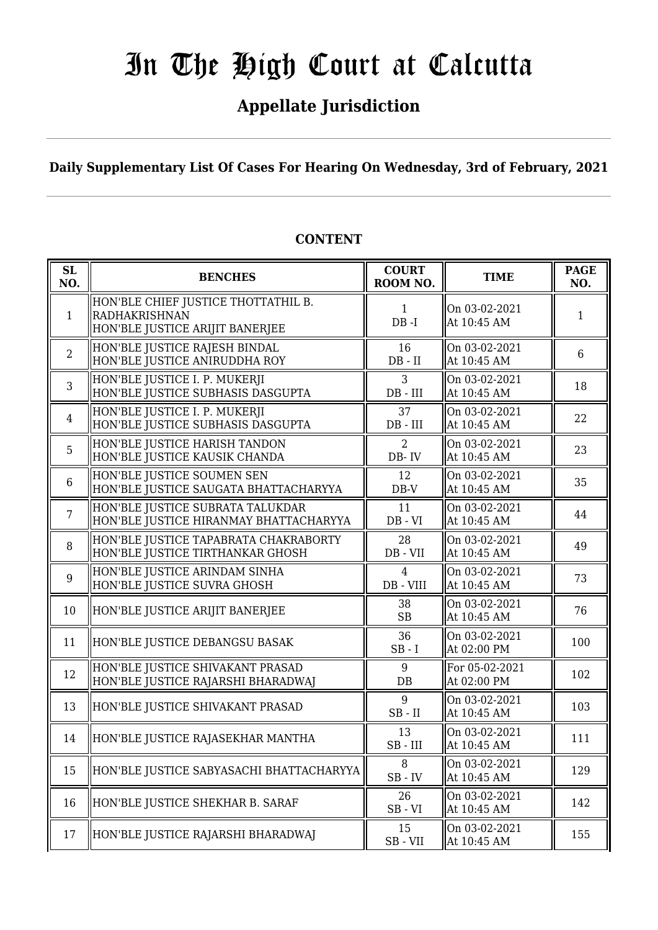# **Appellate Jurisdiction**

**Daily Supplementary List Of Cases For Hearing On Wednesday, 3rd of February, 2021**

| SL<br>NO.      | <b>BENCHES</b>                                                                          | <b>COURT</b><br>ROOM NO.                         | <b>TIME</b>                   | <b>PAGE</b><br>NO. |
|----------------|-----------------------------------------------------------------------------------------|--------------------------------------------------|-------------------------------|--------------------|
| $\mathbf{1}$   | HON'BLE CHIEF JUSTICE THOTTATHIL B.<br>RADHAKRISHNAN<br>HON'BLE JUSTICE ARIJIT BANERJEE | $\mathbf{1}$<br>$DB - I$                         | On 03-02-2021<br>At 10:45 AM  | 1                  |
| 2              | HON'BLE JUSTICE RAJESH BINDAL<br>HON'BLE JUSTICE ANIRUDDHA ROY                          | 16<br>$DB - II$                                  | On 03-02-2021<br>At 10:45 AM  | 6                  |
| 3              | HON'BLE JUSTICE I. P. MUKERJI<br>HON'BLE JUSTICE SUBHASIS DASGUPTA                      | 3<br>DB - III                                    | On 03-02-2021<br>At 10:45 AM  | 18                 |
| $\overline{4}$ | HON'BLE JUSTICE I. P. MUKERJI<br>HON'BLE JUSTICE SUBHASIS DASGUPTA                      | 37<br>$DB$ - $III$                               | On 03-02-2021<br>At 10:45 AM  | 22                 |
| 5              | HON'BLE JUSTICE HARISH TANDON<br>HON'BLE JUSTICE KAUSIK CHANDA                          | 2<br>DB-IV                                       | On 03-02-2021<br>At 10:45 AM  | 23                 |
| 6              | HON'BLE JUSTICE SOUMEN SEN<br>HON'BLE JUSTICE SAUGATA BHATTACHARYYA                     | 12<br>$DB-V$                                     | On 03-02-2021<br>At 10:45 AM  | 35                 |
| 7              | HON'BLE JUSTICE SUBRATA TALUKDAR<br>HON'BLE JUSTICE HIRANMAY BHATTACHARYYA              | 11<br>$DB - VI$                                  | On 03-02-2021<br>At 10:45 AM  | 44                 |
| 8              | HON'BLE JUSTICE TAPABRATA CHAKRABORTY<br>HON'BLE JUSTICE TIRTHANKAR GHOSH               | 28<br>DB - VII                                   | On 03-02-2021<br>At 10:45 AM  | 49                 |
| 9              | HON'BLE JUSTICE ARINDAM SINHA<br>HON'BLE JUSTICE SUVRA GHOSH                            | $\overline{4}$<br>DB - VIII                      | On 03-02-2021<br>At 10:45 AM  | 73                 |
| 10             | HON'BLE JUSTICE ARIJIT BANERJEE                                                         | 38<br>SB                                         | On 03-02-2021<br>At 10:45 AM  | 76                 |
| 11             | HON'BLE JUSTICE DEBANGSU BASAK                                                          | 36<br>$SB - I$                                   | On 03-02-2021<br>At 02:00 PM  | 100                |
| 12             | HON'BLE JUSTICE SHIVAKANT PRASAD<br>HON'BLE JUSTICE RAJARSHI BHARADWAJ                  | 9<br>$DB$                                        | For 05-02-2021<br>At 02:00 PM | 102                |
| 13             | HON'BLE JUSTICE SHIVAKANT PRASAD                                                        | 9<br>$SB$ - $II$                                 | On 03-02-2021<br>At 10:45 AM  | 103                |
| 14             | HON'BLE JUSTICE RAJASEKHAR MANTHA                                                       | 13<br>$SB$ - $III$                               | On 03-02-2021<br>At 10:45 AM  | 111                |
| 15             | HON'BLE JUSTICE SABYASACHI BHATTACHARYYA                                                | 8<br>$SB$ - $IV$                                 | On 03-02-2021<br>At 10:45 AM  | 129                |
| 16             | HON'BLE JUSTICE SHEKHAR B. SARAF                                                        | 26<br>$SB - VI$                                  | On 03-02-2021<br>At 10:45 AM  | 142                |
| 17             | HON'BLE JUSTICE RAJARSHI BHARADWAJ                                                      | 15<br>$\operatorname{SB}$ - $\operatorname{VII}$ | On 03-02-2021<br>At 10:45 AM  | 155                |

# **CONTENT**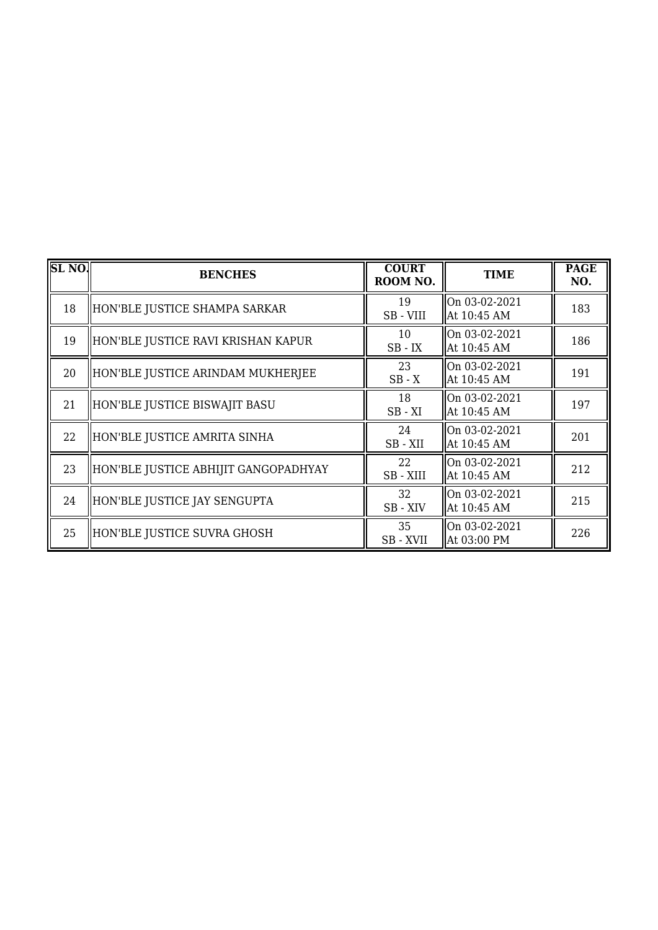| <b>SL NO.</b> | <b>BENCHES</b>                       | <b>COURT</b><br>ROOM NO. | <b>TIME</b>                  | <b>PAGE</b><br>NO. |
|---------------|--------------------------------------|--------------------------|------------------------------|--------------------|
| 18            | HON'BLE JUSTICE SHAMPA SARKAR        | 19<br>SB-VIII            | On 03-02-2021<br>At 10:45 AM | 183                |
| 19            | HON'BLE JUSTICE RAVI KRISHAN KAPUR   | 10<br>$SB$ - $IX$        | On 03-02-2021<br>At 10:45 AM | 186                |
| 20            | HON'BLE JUSTICE ARINDAM MUKHERJEE    | 23<br>$SB - X$           | On 03-02-2021<br>At 10:45 AM | 191                |
| 21            | HON'BLE JUSTICE BISWAJIT BASU        | 18<br>$SB - XI$          | On 03-02-2021<br>At 10:45 AM | 197                |
| 22            | HON'BLE JUSTICE AMRITA SINHA         | 24<br>SB-XII             | On 03-02-2021<br>At 10:45 AM | 201                |
| 23            | HON'BLE JUSTICE ABHIJIT GANGOPADHYAY | 22<br>SB - XIII          | On 03-02-2021<br>At 10:45 AM | 212                |
| 24            | HON'BLE JUSTICE JAY SENGUPTA         | 32<br>SB-XIV             | On 03-02-2021<br>At 10:45 AM | 215                |
| 25            | HON'BLE JUSTICE SUVRA GHOSH          | 35<br>SB - XVII          | On 03-02-2021<br>At 03:00 PM | 226                |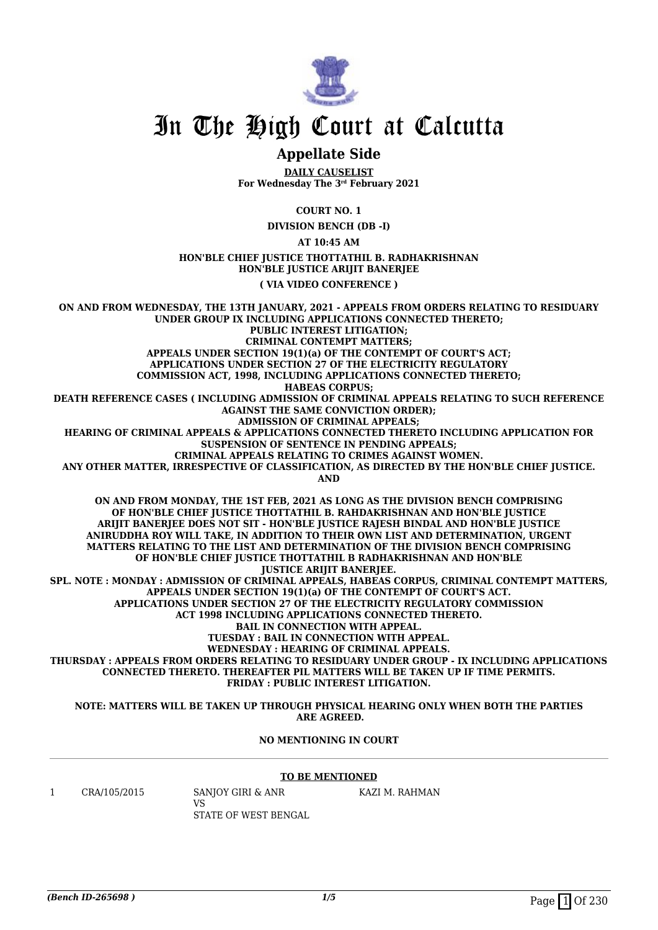

# **Appellate Side**

**DAILY CAUSELIST For Wednesday The 3rd February 2021**

**COURT NO. 1**

**DIVISION BENCH (DB -I)**

**AT 10:45 AM**

#### **HON'BLE CHIEF JUSTICE THOTTATHIL B. RADHAKRISHNAN HON'BLE JUSTICE ARIJIT BANERJEE**

**( VIA VIDEO CONFERENCE )**

**ON AND FROM WEDNESDAY, THE 13TH JANUARY, 2021 - APPEALS FROM ORDERS RELATING TO RESIDUARY UNDER GROUP IX INCLUDING APPLICATIONS CONNECTED THERETO; PUBLIC INTEREST LITIGATION; CRIMINAL CONTEMPT MATTERS; APPEALS UNDER SECTION 19(1)(a) OF THE CONTEMPT OF COURT'S ACT; APPLICATIONS UNDER SECTION 27 OF THE ELECTRICITY REGULATORY COMMISSION ACT, 1998, INCLUDING APPLICATIONS CONNECTED THERETO; HABEAS CORPUS; DEATH REFERENCE CASES ( INCLUDING ADMISSION OF CRIMINAL APPEALS RELATING TO SUCH REFERENCE AGAINST THE SAME CONVICTION ORDER); ADMISSION OF CRIMINAL APPEALS; HEARING OF CRIMINAL APPEALS & APPLICATIONS CONNECTED THERETO INCLUDING APPLICATION FOR SUSPENSION OF SENTENCE IN PENDING APPEALS; CRIMINAL APPEALS RELATING TO CRIMES AGAINST WOMEN. ANY OTHER MATTER, IRRESPECTIVE OF CLASSIFICATION, AS DIRECTED BY THE HON'BLE CHIEF JUSTICE. AND ON AND FROM MONDAY, THE 1ST FEB, 2021 AS LONG AS THE DIVISION BENCH COMPRISING OF HON'BLE CHIEF JUSTICE THOTTATHIL B. RAHDAKRISHNAN AND HON'BLE JUSTICE ARIJIT BANERJEE DOES NOT SIT - HON'BLE JUSTICE RAJESH BINDAL AND HON'BLE JUSTICE ANIRUDDHA ROY WILL TAKE, IN ADDITION TO THEIR OWN LIST AND DETERMINATION, URGENT MATTERS RELATING TO THE LIST AND DETERMINATION OF THE DIVISION BENCH COMPRISING OF HON'BLE CHIEF JUSTICE THOTTATHIL B RADHAKRISHNAN AND HON'BLE JUSTICE ARIJIT BANERJEE. SPL. NOTE : MONDAY : ADMISSION OF CRIMINAL APPEALS, HABEAS CORPUS, CRIMINAL CONTEMPT MATTERS, APPEALS UNDER SECTION 19(1)(a) OF THE CONTEMPT OF COURT'S ACT. APPLICATIONS UNDER SECTION 27 OF THE ELECTRICITY REGULATORY COMMISSION ACT 1998 INCLUDING APPLICATIONS CONNECTED THERETO. BAIL IN CONNECTION WITH APPEAL. TUESDAY : BAIL IN CONNECTION WITH APPEAL. WEDNESDAY : HEARING OF CRIMINAL APPEALS. THURSDAY : APPEALS FROM ORDERS RELATING TO RESIDUARY UNDER GROUP - IX INCLUDING APPLICATIONS CONNECTED THERETO. THEREAFTER PIL MATTERS WILL BE TAKEN UP IF TIME PERMITS. FRIDAY : PUBLIC INTEREST LITIGATION.**

**NOTE: MATTERS WILL BE TAKEN UP THROUGH PHYSICAL HEARING ONLY WHEN BOTH THE PARTIES ARE AGREED.**

#### **NO MENTIONING IN COURT**

#### **TO BE MENTIONED**

1 CRA/105/2015 SANJOY GIRI & ANR

VS STATE OF WEST BENGAL KAZI M. RAHMAN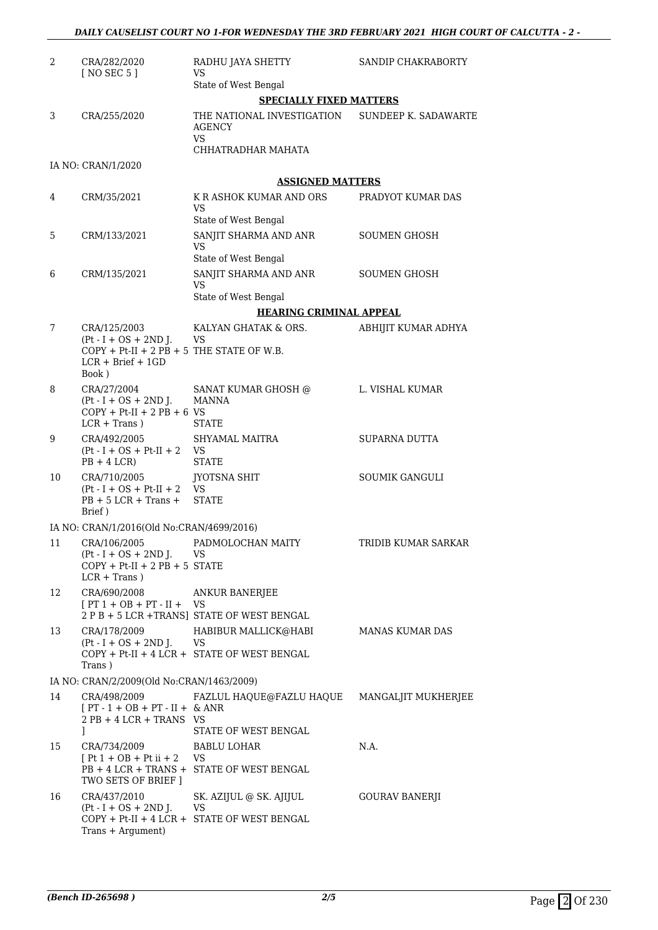| 2  | CRA/282/2020<br>[ NO SEC 5 ]                                                                                           | RADHU JAYA SHETTY<br>VS                                                       | SANDIP CHAKRABORTY    |
|----|------------------------------------------------------------------------------------------------------------------------|-------------------------------------------------------------------------------|-----------------------|
|    |                                                                                                                        | State of West Bengal                                                          |                       |
|    |                                                                                                                        | <b>SPECIALLY FIXED MATTERS</b>                                                |                       |
| 3  | CRA/255/2020                                                                                                           | THE NATIONAL INVESTIGATION SUNDEEP K. SADAWARTE<br><b>AGENCY</b><br><b>VS</b> |                       |
|    |                                                                                                                        | CHHATRADHAR MAHATA                                                            |                       |
|    | IA NO: CRAN/1/2020                                                                                                     |                                                                               |                       |
|    |                                                                                                                        | <b>ASSIGNED MATTERS</b>                                                       |                       |
| 4  | CRM/35/2021                                                                                                            | K R ASHOK KUMAR AND ORS<br>VS<br>State of West Bengal                         | PRADYOT KUMAR DAS     |
| 5  | CRM/133/2021                                                                                                           | SANJIT SHARMA AND ANR                                                         | SOUMEN GHOSH          |
|    |                                                                                                                        | VS                                                                            |                       |
| 6  | CRM/135/2021                                                                                                           | State of West Bengal<br>SANJIT SHARMA AND ANR                                 | <b>SOUMEN GHOSH</b>   |
|    |                                                                                                                        | VS                                                                            |                       |
|    |                                                                                                                        | State of West Bengal                                                          |                       |
|    |                                                                                                                        | <b>HEARING CRIMINAL APPEAL</b>                                                |                       |
| 7  | CRA/125/2003<br>$(Pt - I + OS + 2ND J.$<br>$COPY + Pt-II + 2 PB + 5$ THE STATE OF W.B.<br>$LCR + Brief + 1GD$<br>Book) | KALYAN GHATAK & ORS.<br>VS                                                    | ABHIJIT KUMAR ADHYA   |
| 8  | CRA/27/2004<br>$(Pt - I + OS + 2ND J.$<br>$COPY + Pt-II + 2 PB + 6 VS$<br>$LCR + Trans$ )                              | SANAT KUMAR GHOSH @<br>MANNA<br><b>STATE</b>                                  | L. VISHAL KUMAR       |
| 9  | CRA/492/2005<br>$(Pt - I + OS + Pt-II + 2$ VS<br>$PB + 4 LCR$                                                          | SHYAMAL MAITRA<br><b>STATE</b>                                                | SUPARNA DUTTA         |
| 10 | CRA/710/2005<br>$(Pt - I + OS + Pt-II + 2)$<br>$PB + 5 LCR + Trans +$<br>Brief)                                        | JYOTSNA SHIT<br>$\tilde{V}S$<br><b>STATE</b>                                  | <b>SOUMIK GANGULI</b> |
|    | IA NO: CRAN/1/2016(Old No:CRAN/4699/2016)                                                                              |                                                                               |                       |
| 11 | CRA/106/2005<br>$(Pt - I + OS + 2ND J.$<br>$COPY + Pt-II + 2 PB + 5 STATE$<br>$LCR + Trans$ )                          | PADMOLOCHAN MAITY<br>VS                                                       | TRIDIB KUMAR SARKAR   |
| 12 | CRA/690/2008<br>$[PT 1 + OB + PT - II + VS$                                                                            | ANKUR BANERJEE<br>2 P B + 5 LCR +TRANS] STATE OF WEST BENGAL                  |                       |
| 13 | CRA/178/2009                                                                                                           | HABIBUR MALLICK@HABI                                                          | MANAS KUMAR DAS       |
|    | $Pt-I + OS + 2ND J.$<br>Trans)                                                                                         | VS<br>COPY + Pt-II + 4 LCR + STATE OF WEST BENGAL                             |                       |
|    | IA NO: CRAN/2/2009(Old No:CRAN/1463/2009)                                                                              |                                                                               |                       |
| 14 | CRA/498/2009<br>$[PT - 1 + OB + PT - II + & ANR]$                                                                      | FAZLUL HAQUE@FAZLU HAQUE                                                      | MANGALJIT MUKHERJEE   |
|    | $2$ PB + 4 LCR + TRANS VS<br>1                                                                                         | STATE OF WEST BENGAL                                                          |                       |
| 15 | CRA/734/2009                                                                                                           | BABLU LOHAR                                                                   | N.A.                  |
|    | $[Pt 1 + OB + Pt ii + 2]$<br>$PB + 4 LCR + TRANS +$<br>TWO SETS OF BRIEF ]                                             | VS<br>STATE OF WEST BENGAL                                                    |                       |
| 16 | CRA/437/2010<br>$Pt-I + OS + 2ND$ J.                                                                                   | SK. AZIJUL @ SK. AJIJUL<br>VS                                                 | GOURAV BANERJI        |
|    | Trans + Argument)                                                                                                      | COPY + Pt-II + 4 LCR + STATE OF WEST BENGAL                                   |                       |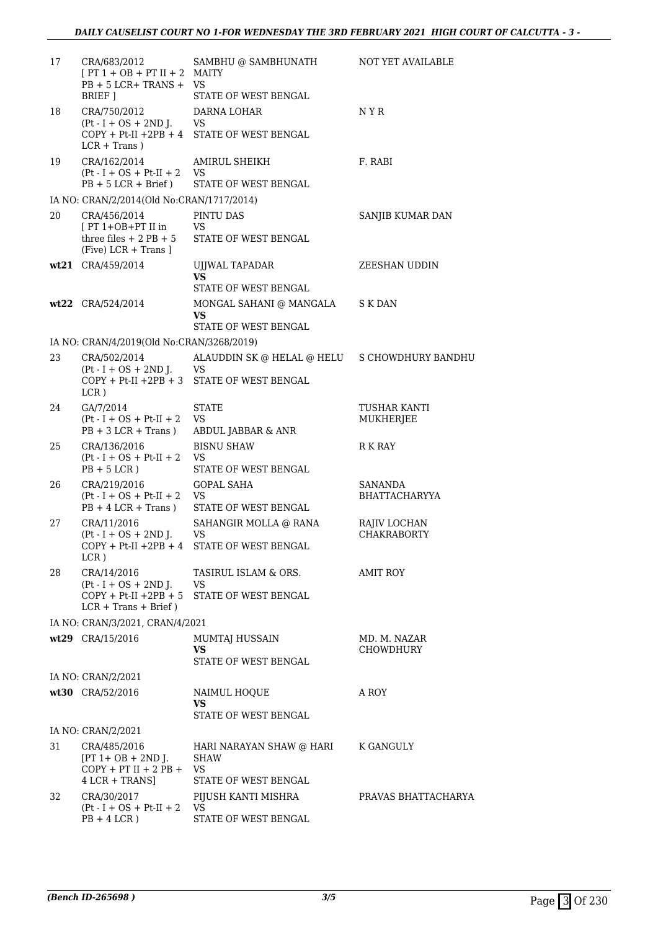| 17 | CRA/683/2012<br>$[PT 1 + OB + PT II + 2$ MAITY<br>$PB + 5 LCR + TRANS + VS$<br>BRIEF ]  | SAMBHU @ SAMBHUNATH<br>STATE OF WEST BENGAL                                 | NOT YET AVAILABLE                  |
|----|-----------------------------------------------------------------------------------------|-----------------------------------------------------------------------------|------------------------------------|
| 18 | CRA/750/2012<br>$(Pt - I + OS + 2ND J.$<br>$COPY + Pt-II +2PB + 4$<br>$LCR + Trans$ )   | DARNA LOHAR<br>VS<br>STATE OF WEST BENGAL                                   | N Y R                              |
| 19 | CRA/162/2014<br>$Pt - I + OS + Pt - II + 2$<br>$PB + 5 LCR + Brief)$                    | AMIRUL SHEIKH<br>VS<br>STATE OF WEST BENGAL                                 | F. RABI                            |
|    | IA NO: CRAN/2/2014(Old No:CRAN/1717/2014)                                               |                                                                             |                                    |
| 20 | CRA/456/2014<br>$[PT 1+OB+PT II]$<br>three files $+ 2$ PB $+ 5$<br>$(Five) LCR + Trans$ | PINTU DAS<br>VS<br>STATE OF WEST BENGAL                                     | SANJIB KUMAR DAN                   |
|    | wt21 CRA/459/2014                                                                       | UJJWAL TAPADAR                                                              | ZEESHAN UDDIN                      |
|    |                                                                                         | VS.                                                                         |                                    |
|    | wt22 CRA/524/2014                                                                       | STATE OF WEST BENGAL<br>MONGAL SAHANI @ MANGALA                             | S K DAN                            |
|    |                                                                                         | <b>VS</b><br>STATE OF WEST BENGAL                                           |                                    |
|    | IA NO: CRAN/4/2019(Old No:CRAN/3268/2019)                                               |                                                                             |                                    |
| 23 | CRA/502/2014                                                                            | ALAUDDIN SK @ HELAL @ HELU S CHOWDHURY BANDHU                               |                                    |
|    | $Pt - I + OS + 2ND J.$<br>$COPY + Pt-II +2PB + 3$<br>LCR)                               | VS<br>STATE OF WEST BENGAL                                                  |                                    |
| 24 | GA/7/2014<br>$Pt - I + OS + Pt - II + 2$<br>$PB + 3 LCR + Trans)$                       | <b>STATE</b><br>VS<br>ABDUL JABBAR & ANR                                    | TUSHAR KANTI<br>MUKHERJEE          |
| 25 | CRA/136/2016<br>$Pt-I + OS + Pt-II + 2$<br>$PB + 5 LCR$ )                               | <b>BISNU SHAW</b><br>VS<br>STATE OF WEST BENGAL                             | R K RAY                            |
| 26 | CRA/219/2016<br>$Pt-I + OS + Pt-II + 2$<br>$PB + 4 LCR + Trans$ )                       | <b>GOPAL SAHA</b><br>VS<br>STATE OF WEST BENGAL                             | SANANDA<br>BHATTACHARYYA           |
| 27 | CRA/11/2016<br>$(Pt - I + OS + 2ND J.$<br>$COPY + Pt-II +2PB + 4$<br>LCR)               | SAHANGIR MOLLA @ RANA<br>VS<br>STATE OF WEST BENGAL                         | RAJIV LOCHAN<br><b>CHAKRABORTY</b> |
| 28 | CRA/14/2016<br>$Pt - I + OS + 2ND J.$<br>$LCR + Trans + Brief)$                         | TASIRUL ISLAM & ORS.<br>VS<br>$COPY + Pt-II + 2PB + 5$ STATE OF WEST BENGAL | <b>AMIT ROY</b>                    |
|    | IA NO: CRAN/3/2021, CRAN/4/2021                                                         |                                                                             |                                    |
|    | wt29 CRA/15/2016                                                                        | MUMTAJ HUSSAIN<br>VS                                                        | MD. M. NAZAR<br><b>CHOWDHURY</b>   |
|    |                                                                                         | STATE OF WEST BENGAL                                                        |                                    |
|    | IA NO: CRAN/2/2021                                                                      |                                                                             |                                    |
|    | wt30 CRA/52/2016                                                                        | NAIMUL HOQUE<br>VS<br>STATE OF WEST BENGAL                                  | A ROY                              |
|    | IA NO: CRAN/2/2021                                                                      |                                                                             |                                    |
| 31 | CRA/485/2016<br>$[PT 1 + OB + 2ND J.$<br>$COPY + PT II + 2 PB + VS$<br>$4$ LCR + TRANS] | HARI NARAYAN SHAW @ HARI<br>SHAW<br>STATE OF WEST BENGAL                    | K GANGULY                          |
| 32 | CRA/30/2017                                                                             | PIJUSH KANTI MISHRA                                                         | PRAVAS BHATTACHARYA                |
|    | $(Pt - I + OS + Pt-II + 2$ VS<br>$PB + 4 LCR$ )                                         | STATE OF WEST BENGAL                                                        |                                    |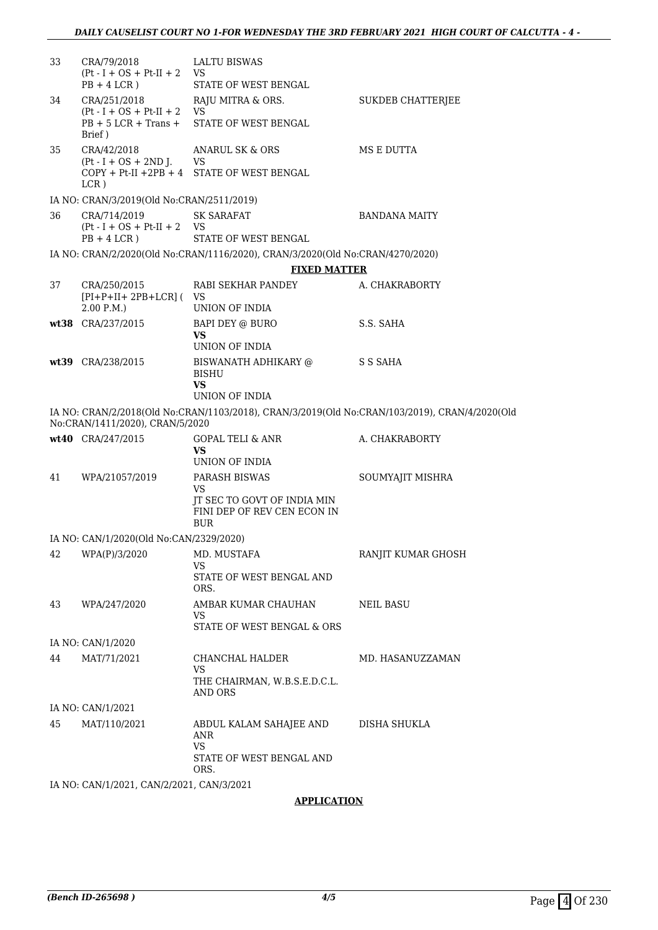| 33 | CRA/79/2018<br>$(Pt - I + OS + Pt-II + 2$ VS                    | <b>LALTU BISWAS</b>                                                                           |                          |
|----|-----------------------------------------------------------------|-----------------------------------------------------------------------------------------------|--------------------------|
|    | $PB + 4 LCR$ )                                                  | STATE OF WEST BENGAL                                                                          |                          |
| 34 | CRA/251/2018                                                    | RAJU MITRA & ORS.                                                                             | <b>SUKDEB CHATTERJEE</b> |
|    | $Pt-I + OS + Pt-II + 2$<br>$PB + 5 LCR + Trans +$<br>Brief)     | VS.<br>STATE OF WEST BENGAL                                                                   |                          |
| 35 | CRA/42/2018                                                     | ANARUL SK & ORS                                                                               | MS E DUTTA               |
|    | $(Pt - I + OS + 2ND J.$ VS<br>$LCR$ )                           | COPY + Pt-II +2PB + 4 STATE OF WEST BENGAL                                                    |                          |
|    | IA NO: CRAN/3/2019(Old No:CRAN/2511/2019)                       |                                                                                               |                          |
| 36 | CRA/714/2019<br>$(Pt - I + OS + Pt-II + 2$ VS<br>$PB + 4 LCR$ ) | <b>SK SARAFAT</b><br>STATE OF WEST BENGAL                                                     | BANDANA MAITY            |
|    |                                                                 | IA NO: CRAN/2/2020(Old No:CRAN/1116/2020), CRAN/3/2020(Old No:CRAN/4270/2020)                 |                          |
|    |                                                                 | <b>FIXED MATTER</b>                                                                           |                          |
| 37 | CRA/250/2015                                                    | RABI SEKHAR PANDEY                                                                            | A. CHAKRABORTY           |
|    | $[PI+P+II+2PB+LCR]$ ( VS<br>2.00 P.M.                           | UNION OF INDIA                                                                                |                          |
|    | wt38 CRA/237/2015                                               | BAPI DEY @ BURO                                                                               | S.S. SAHA                |
|    |                                                                 | VS<br>UNION OF INDIA                                                                          |                          |
|    | wt39 CRA/238/2015                                               | BISWANATH ADHIKARY @<br><b>BISHU</b>                                                          | S S SAHA                 |
|    |                                                                 | VS                                                                                            |                          |
|    |                                                                 | UNION OF INDIA                                                                                |                          |
|    | No:CRAN/1411/2020), CRAN/5/2020                                 | IA NO: CRAN/2/2018(Old No:CRAN/1103/2018), CRAN/3/2019(Old No:CRAN/103/2019), CRAN/4/2020(Old |                          |
|    | wt40 CRA/247/2015                                               | <b>GOPAL TELI &amp; ANR</b><br>VS<br>UNION OF INDIA                                           | A. CHAKRABORTY           |
| 41 | WPA/21057/2019                                                  | PARASH BISWAS                                                                                 | SOUMYAJIT MISHRA         |
|    |                                                                 | VS                                                                                            |                          |
|    |                                                                 | <b>IT SEC TO GOVT OF INDIA MIN</b><br>FINI DEP OF REV CEN ECON IN<br><b>BUR</b>               |                          |
|    | IA NO: CAN/1/2020(Old No:CAN/2329/2020)                         |                                                                                               |                          |
| 42 | WPA(P)/3/2020                                                   | MD. MUSTAFA                                                                                   | RANJIT KUMAR GHOSH       |
|    |                                                                 | VS<br>STATE OF WEST BENGAL AND<br>ORS.                                                        |                          |
| 43 | WPA/247/2020                                                    | AMBAR KUMAR CHAUHAN<br>VS                                                                     | <b>NEIL BASU</b>         |
|    |                                                                 | STATE OF WEST BENGAL & ORS                                                                    |                          |
|    | IA NO: CAN/1/2020                                               |                                                                                               |                          |
| 44 | MAT/71/2021                                                     | CHANCHAL HALDER<br><b>VS</b>                                                                  | MD. HASANUZZAMAN         |
|    |                                                                 | THE CHAIRMAN, W.B.S.E.D.C.L.<br><b>AND ORS</b>                                                |                          |
|    | IA NO: CAN/1/2021                                               |                                                                                               |                          |
| 45 | MAT/110/2021                                                    | ABDUL KALAM SAHAJEE AND<br>ANR<br>VS<br>STATE OF WEST BENGAL AND                              | DISHA SHUKLA             |
|    |                                                                 | ORS.                                                                                          |                          |
|    | <b>IA NO. CAN/1/2021 CAN/2/2021 CAN/3/2021</b>                  |                                                                                               |                          |

IA NO: CAN/1/2021, CAN/2/2021, CAN/3/2021

### **APPLICATION**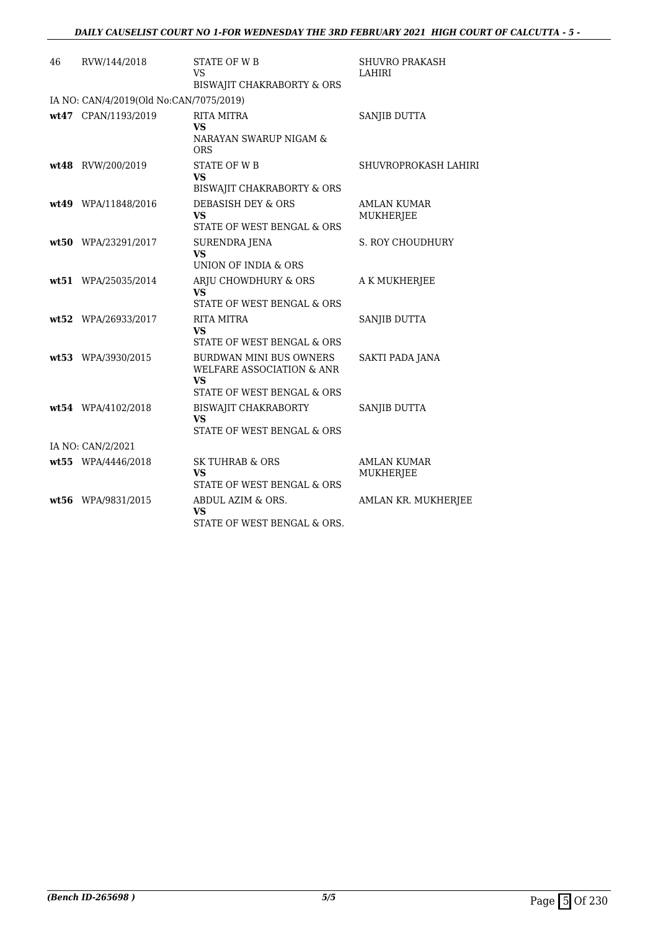| 46 | RVW/144/2018                            | <b>STATE OF WB</b><br>VS<br>BISWAJIT CHAKRABORTY & ORS                                                 | <b>SHUVRO PRAKASH</b><br>LAHIRI        |
|----|-----------------------------------------|--------------------------------------------------------------------------------------------------------|----------------------------------------|
|    | IA NO: CAN/4/2019(Old No:CAN/7075/2019) |                                                                                                        |                                        |
|    | wt47 CPAN/1193/2019                     | <b>RITA MITRA</b><br>VS<br>NARAYAN SWARUP NIGAM &<br>ORS                                               | SANJIB DUTTA                           |
|    | wt48 RVW/200/2019                       | <b>STATE OF WB</b><br>VS<br>BISWAJIT CHAKRABORTY & ORS                                                 | SHUVROPROKASH LAHIRI                   |
|    | wt49 WPA/11848/2016                     | <b>DEBASISH DEY &amp; ORS</b><br>VS<br>STATE OF WEST BENGAL & ORS                                      | <b>AMLAN KUMAR</b><br>MUKHERJEE        |
|    | wt50 WPA/23291/2017                     | SURENDRA JENA<br>VS<br>UNION OF INDIA & ORS                                                            | <b>S. ROY CHOUDHURY</b>                |
|    | wt51 WPA/25035/2014                     | ARJU CHOWDHURY & ORS<br><b>VS</b><br>STATE OF WEST BENGAL & ORS                                        | A K MUKHERJEE                          |
|    | wt52 WPA/26933/2017                     | <b>RITA MITRA</b><br>VS<br>STATE OF WEST BENGAL & ORS                                                  | SANJIB DUTTA                           |
|    | wt53 WPA/3930/2015                      | <b>BURDWAN MINI BUS OWNERS</b><br>WELFARE ASSOCIATION & ANR<br><b>VS</b><br>STATE OF WEST BENGAL & ORS | <b>SAKTI PADA JANA</b>                 |
|    | wt54 WPA/4102/2018                      | BISWAJIT CHAKRABORTY<br><b>VS</b><br>STATE OF WEST BENGAL & ORS                                        | SANJIB DUTTA                           |
|    | IA NO: CAN/2/2021                       |                                                                                                        |                                        |
|    | wt55 WPA/4446/2018                      | <b>SK TUHRAB &amp; ORS</b><br>VS<br>STATE OF WEST BENGAL & ORS                                         | <b>AMLAN KUMAR</b><br><b>MUKHERJEE</b> |
|    | wt56 WPA/9831/2015                      | ABDUL AZIM & ORS.<br><b>VS</b><br>STATE OF WEST BENGAL & ORS.                                          | AMLAN KR. MUKHERJEE                    |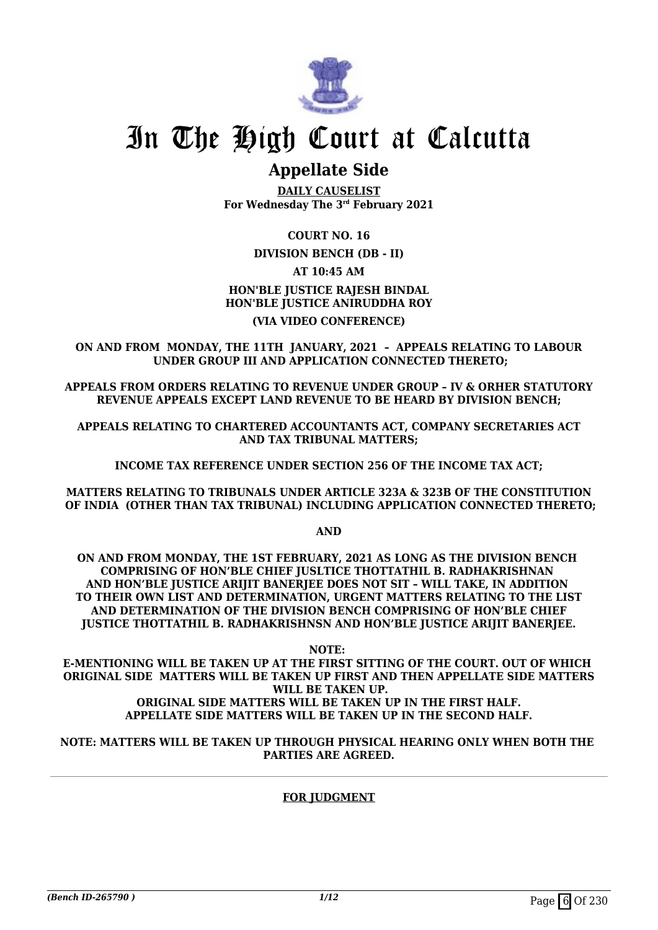

# **Appellate Side**

**DAILY CAUSELIST For Wednesday The 3rd February 2021**

## **COURT NO. 16**

## **DIVISION BENCH (DB - II)**

## **AT 10:45 AM**

# **HON'BLE JUSTICE RAJESH BINDAL HON'BLE JUSTICE ANIRUDDHA ROY (VIA VIDEO CONFERENCE)**

### **ON AND FROM MONDAY, THE 11TH JANUARY, 2021 – APPEALS RELATING TO LABOUR UNDER GROUP III AND APPLICATION CONNECTED THERETO;**

**APPEALS FROM ORDERS RELATING TO REVENUE UNDER GROUP – IV & ORHER STATUTORY REVENUE APPEALS EXCEPT LAND REVENUE TO BE HEARD BY DIVISION BENCH;**

**APPEALS RELATING TO CHARTERED ACCOUNTANTS ACT, COMPANY SECRETARIES ACT AND TAX TRIBUNAL MATTERS;** 

**INCOME TAX REFERENCE UNDER SECTION 256 OF THE INCOME TAX ACT;**

**MATTERS RELATING TO TRIBUNALS UNDER ARTICLE 323A & 323B OF THE CONSTITUTION OF INDIA (OTHER THAN TAX TRIBUNAL) INCLUDING APPLICATION CONNECTED THERETO;**

**AND**

**ON AND FROM MONDAY, THE 1ST FEBRUARY, 2021 AS LONG AS THE DIVISION BENCH COMPRISING OF HON'BLE CHIEF JUSLTICE THOTTATHIL B. RADHAKRISHNAN AND HON'BLE JUSTICE ARIJIT BANERJEE DOES NOT SIT – WILL TAKE, IN ADDITION TO THEIR OWN LIST AND DETERMINATION, URGENT MATTERS RELATING TO THE LIST AND DETERMINATION OF THE DIVISION BENCH COMPRISING OF HON'BLE CHIEF JUSTICE THOTTATHIL B. RADHAKRISHNSN AND HON'BLE JUSTICE ARIJIT BANERJEE.**

**NOTE:** 

**E-MENTIONING WILL BE TAKEN UP AT THE FIRST SITTING OF THE COURT. OUT OF WHICH ORIGINAL SIDE MATTERS WILL BE TAKEN UP FIRST AND THEN APPELLATE SIDE MATTERS WILL BE TAKEN UP. ORIGINAL SIDE MATTERS WILL BE TAKEN UP IN THE FIRST HALF. APPELLATE SIDE MATTERS WILL BE TAKEN UP IN THE SECOND HALF.**

### **NOTE: MATTERS WILL BE TAKEN UP THROUGH PHYSICAL HEARING ONLY WHEN BOTH THE PARTIES ARE AGREED.**

# **FOR JUDGMENT**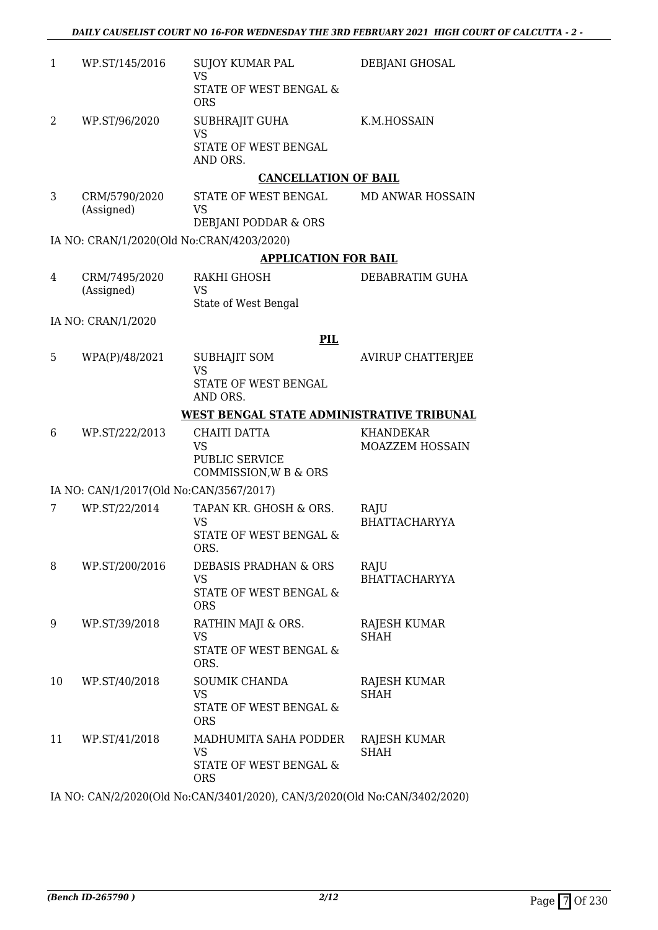| $\mathbf{1}$ | WP.ST/145/2016                          | SUJOY KUMAR PAL                                   | DEBJANI GHOSAL                      |
|--------------|-----------------------------------------|---------------------------------------------------|-------------------------------------|
|              |                                         | <b>VS</b><br>STATE OF WEST BENGAL &<br><b>ORS</b> |                                     |
| 2            | WP.ST/96/2020                           | <b>SUBHRAJIT GUHA</b><br><b>VS</b>                | K.M.HOSSAIN                         |
|              |                                         | STATE OF WEST BENGAL<br>AND ORS.                  |                                     |
|              |                                         | <b>CANCELLATION OF BAIL</b>                       |                                     |
| 3            | CRM/5790/2020<br>(Assigned)             | STATE OF WEST BENGAL<br><b>VS</b>                 | MD ANWAR HOSSAIN                    |
|              |                                         | DEBJANI PODDAR & ORS                              |                                     |
|              |                                         | IA NO: CRAN/1/2020(Old No:CRAN/4203/2020)         |                                     |
|              |                                         | <b>APPLICATION FOR BAIL</b>                       |                                     |
| 4            | CRM/7495/2020<br>(Assigned)             | RAKHI GHOSH<br>VS                                 | DEBABRATIM GUHA                     |
|              |                                         | State of West Bengal                              |                                     |
|              | IA NO: CRAN/1/2020                      |                                                   |                                     |
|              |                                         | PIL                                               |                                     |
| 5            | WPA(P)/48/2021                          | <b>SUBHAJIT SOM</b><br><b>VS</b>                  | <b>AVIRUP CHATTERJEE</b>            |
|              |                                         | STATE OF WEST BENGAL<br>AND ORS.                  |                                     |
|              |                                         | WEST BENGAL STATE ADMINISTRATIVE TRIBUNAL         |                                     |
| 6            | WP.ST/222/2013                          | <b>CHAITI DATTA</b><br><b>VS</b>                  | <b>KHANDEKAR</b><br>MOAZZEM HOSSAIN |
|              |                                         | PUBLIC SERVICE<br>COMMISSION, W B & ORS           |                                     |
|              | IA NO: CAN/1/2017(Old No:CAN/3567/2017) |                                                   |                                     |
| 7            | WP.ST/22/2014                           | TAPAN KR. GHOSH & ORS.                            | RAJU                                |
|              |                                         | VS                                                | <b>BHATTACHARYYA</b>                |
|              |                                         | STATE OF WEST BENGAL &<br>ORS.                    |                                     |
| 8            | WP.ST/200/2016                          | <b>DEBASIS PRADHAN &amp; ORS</b><br><b>VS</b>     | RAJU<br><b>BHATTACHARYYA</b>        |
|              |                                         | STATE OF WEST BENGAL &<br><b>ORS</b>              |                                     |
| 9            | WP.ST/39/2018                           | RATHIN MAJI & ORS.                                | RAJESH KUMAR                        |
|              |                                         | <b>VS</b><br>STATE OF WEST BENGAL &<br>ORS.       | <b>SHAH</b>                         |
| 10           | WP.ST/40/2018                           | SOUMIK CHANDA                                     | RAJESH KUMAR                        |
|              |                                         | VS                                                | SHAH                                |
|              |                                         | STATE OF WEST BENGAL &<br><b>ORS</b>              |                                     |
| 11           | WP.ST/41/2018                           | MADHUMITA SAHA PODDER<br><b>VS</b>                | RAJESH KUMAR<br><b>SHAH</b>         |
|              |                                         | STATE OF WEST BENGAL &                            |                                     |

IA NO: CAN/2/2020(Old No:CAN/3401/2020), CAN/3/2020(Old No:CAN/3402/2020)

ORS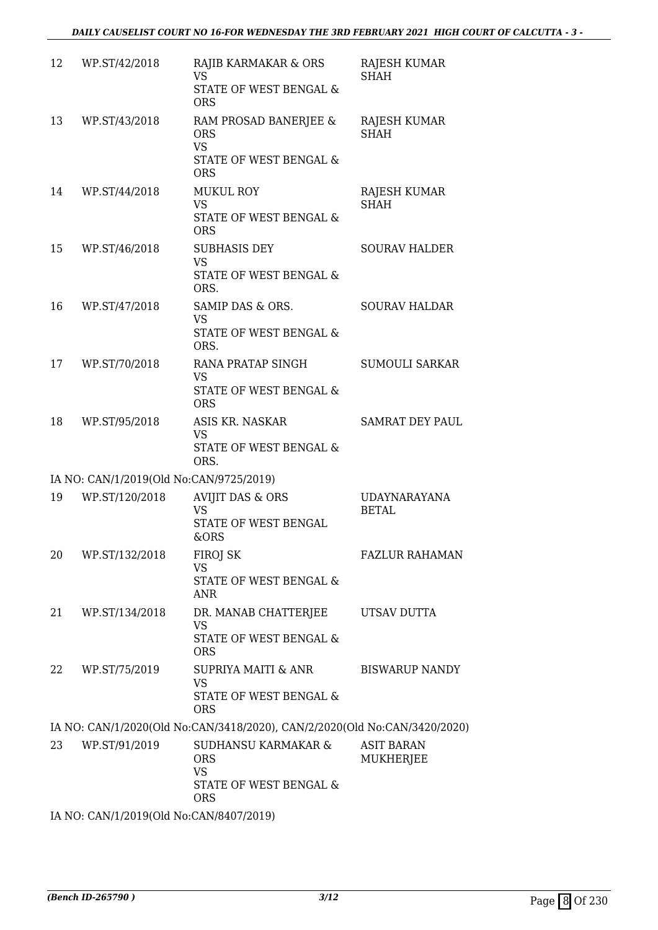| 12 | WP.ST/42/2018                           | RAJIB KARMAKAR & ORS<br><b>VS</b><br>STATE OF WEST BENGAL &<br><b>ORS</b>                         | RAJESH KUMAR<br><b>SHAH</b>           |
|----|-----------------------------------------|---------------------------------------------------------------------------------------------------|---------------------------------------|
| 13 | WP.ST/43/2018                           | RAM PROSAD BANERJEE &<br><b>ORS</b><br><b>VS</b><br>STATE OF WEST BENGAL &<br><b>ORS</b>          | RAJESH KUMAR<br><b>SHAH</b>           |
| 14 | WP.ST/44/2018                           | <b>MUKUL ROY</b><br><b>VS</b><br>STATE OF WEST BENGAL &<br><b>ORS</b>                             | RAJESH KUMAR<br><b>SHAH</b>           |
| 15 | WP.ST/46/2018                           | <b>SUBHASIS DEY</b><br><b>VS</b><br>STATE OF WEST BENGAL &<br>ORS.                                | <b>SOURAV HALDER</b>                  |
| 16 | WP.ST/47/2018                           | SAMIP DAS & ORS.<br><b>VS</b><br><b>STATE OF WEST BENGAL &amp;</b><br>ORS.                        | <b>SOURAV HALDAR</b>                  |
| 17 | WP.ST/70/2018                           | RANA PRATAP SINGH<br><b>VS</b><br>STATE OF WEST BENGAL &<br><b>ORS</b>                            | <b>SUMOULI SARKAR</b>                 |
| 18 | WP.ST/95/2018                           | ASIS KR. NASKAR<br><b>VS</b><br>STATE OF WEST BENGAL &<br>ORS.                                    | <b>SAMRAT DEY PAUL</b>                |
|    | IA NO: CAN/1/2019(Old No:CAN/9725/2019) |                                                                                                   |                                       |
| 19 | WP.ST/120/2018                          | <b>AVIJIT DAS &amp; ORS</b><br><b>VS</b><br><b>STATE OF WEST BENGAL</b><br>&ORS                   | <b>UDAYNARAYANA</b><br><b>BETAL</b>   |
| 20 | WP.ST/132/2018                          | FIROJ SK<br><b>VS</b><br>STATE OF WEST BENGAL &<br><b>ANR</b>                                     | FAZLUR RAHAMAN                        |
| 21 | WP.ST/134/2018                          | DR. MANAB CHATTERJEE<br><b>VS</b><br>STATE OF WEST BENGAL &<br><b>ORS</b>                         | UTSAV DUTTA                           |
| 22 | WP.ST/75/2019                           | SUPRIYA MAITI & ANR<br><b>VS</b><br>STATE OF WEST BENGAL &<br><b>ORS</b>                          | <b>BISWARUP NANDY</b>                 |
|    |                                         | IA NO: CAN/1/2020(Old No:CAN/3418/2020), CAN/2/2020(Old No:CAN/3420/2020)                         |                                       |
| 23 | WP.ST/91/2019                           | <b>SUDHANSU KARMAKAR &amp;</b><br><b>ORS</b><br><b>VS</b><br>STATE OF WEST BENGAL &<br><b>ORS</b> | <b>ASIT BARAN</b><br><b>MUKHERJEE</b> |
|    | IA NO: CAN/1/2019(Old No:CAN/8407/2019) |                                                                                                   |                                       |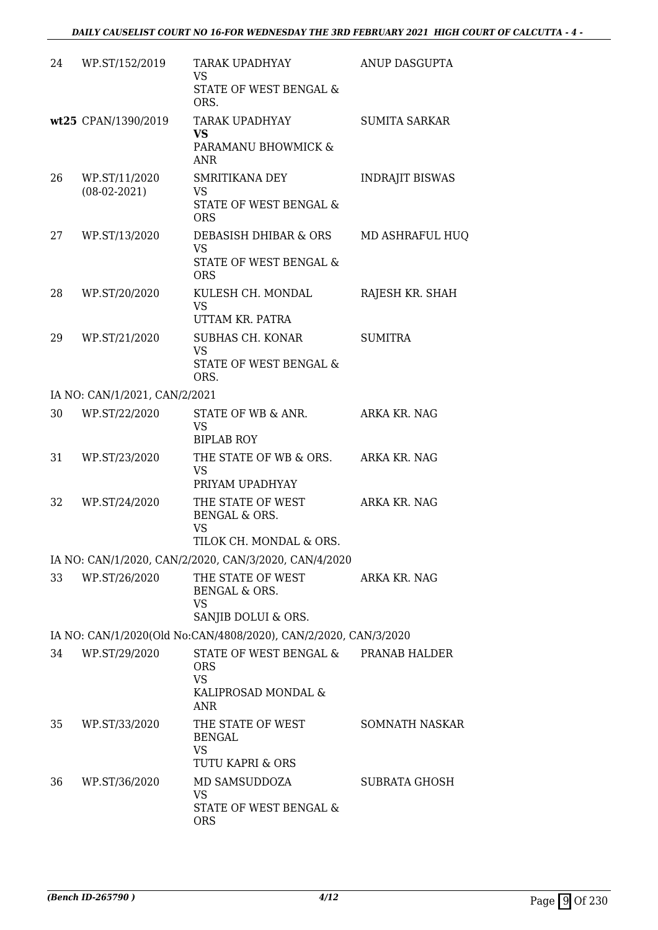| 24 | WP.ST/152/2019                  | TARAK UPADHYAY<br><b>VS</b><br>STATE OF WEST BENGAL &<br>ORS.              | ANUP DASGUPTA          |
|----|---------------------------------|----------------------------------------------------------------------------|------------------------|
|    | wt25 CPAN/1390/2019             | TARAK UPADHYAY<br><b>VS</b><br>PARAMANU BHOWMICK &<br>ANR.                 | <b>SUMITA SARKAR</b>   |
| 26 | WP.ST/11/2020<br>$(08-02-2021)$ | SMRITIKANA DEY<br><b>VS</b><br>STATE OF WEST BENGAL &<br><b>ORS</b>        | <b>INDRAJIT BISWAS</b> |
| 27 | WP.ST/13/2020                   | DEBASISH DHIBAR & ORS<br><b>VS</b><br>STATE OF WEST BENGAL &<br><b>ORS</b> | MD ASHRAFUL HUQ        |
| 28 | WP.ST/20/2020                   | KULESH CH. MONDAL<br><b>VS</b><br>UTTAM KR. PATRA                          | RAJESH KR. SHAH        |
| 29 | WP.ST/21/2020                   | SUBHAS CH. KONAR<br><b>VS</b><br>STATE OF WEST BENGAL &<br>ORS.            | <b>SUMITRA</b>         |
|    | IA NO: CAN/1/2021, CAN/2/2021   |                                                                            |                        |
| 30 | WP.ST/22/2020                   | STATE OF WB & ANR.<br><b>VS</b><br><b>BIPLAB ROY</b>                       | ARKA KR. NAG           |
| 31 | WP.ST/23/2020                   | THE STATE OF WB & ORS.<br><b>VS</b><br>PRIYAM UPADHYAY                     | ARKA KR. NAG           |
| 32 | WP.ST/24/2020                   | THE STATE OF WEST<br>BENGAL & ORS.<br><b>VS</b><br>TILOK CH. MONDAL & ORS. | ARKA KR. NAG           |
|    |                                 | IA NO: CAN/1/2020, CAN/2/2020, CAN/3/2020, CAN/4/2020                      |                        |
| 33 | WP.ST/26/2020                   | THE STATE OF WEST<br>BENGAL & ORS.<br>VS<br>SANJIB DOLUI & ORS.            | ARKA KR. NAG           |
|    |                                 | IA NO: CAN/1/2020(Old No:CAN/4808/2020), CAN/2/2020, CAN/3/2020            |                        |
| 34 | WP.ST/29/2020                   | STATE OF WEST BENGAL & PRANAB HALDER<br><b>ORS</b><br><b>VS</b>            |                        |
|    |                                 | KALIPROSAD MONDAL &<br>ANR.                                                |                        |
| 35 | WP.ST/33/2020                   | THE STATE OF WEST<br>BENGAL<br><b>VS</b><br>TUTU KAPRI & ORS               | <b>SOMNATH NASKAR</b>  |
| 36 | WP.ST/36/2020                   | MD SAMSUDDOZA<br>VS<br>STATE OF WEST BENGAL &<br><b>ORS</b>                | SUBRATA GHOSH          |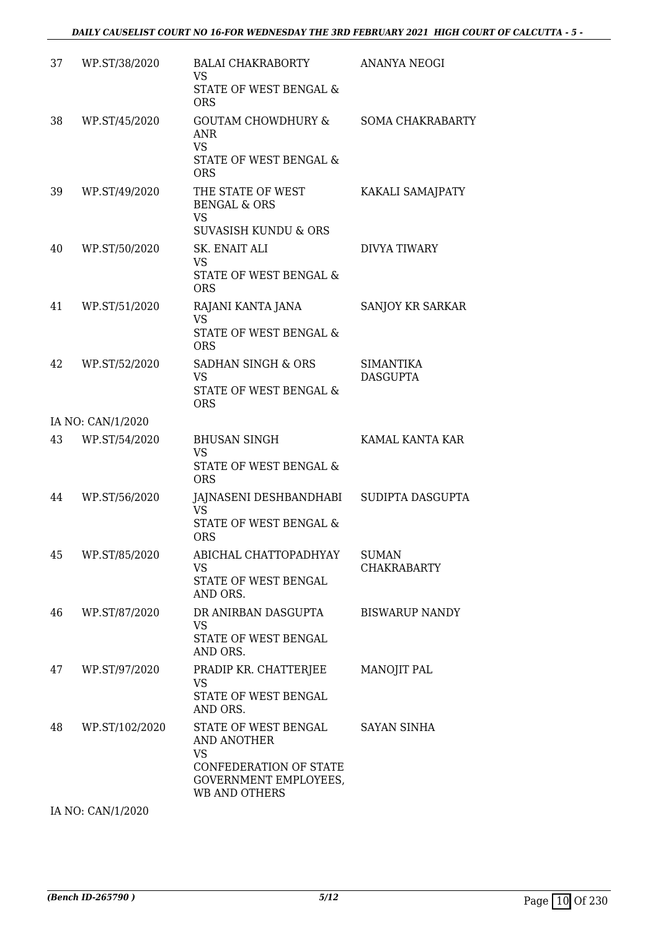| 37 | WP.ST/38/2020     | <b>BALAI CHAKRABORTY</b><br><b>VS</b><br>STATE OF WEST BENGAL &<br><b>ORS</b>                                               | ANANYA NEOGI                        |
|----|-------------------|-----------------------------------------------------------------------------------------------------------------------------|-------------------------------------|
| 38 | WP.ST/45/2020     | <b>GOUTAM CHOWDHURY &amp;</b><br><b>ANR</b><br><b>VS</b><br>STATE OF WEST BENGAL &<br><b>ORS</b>                            | <b>SOMA CHAKRABARTY</b>             |
| 39 | WP.ST/49/2020     | THE STATE OF WEST<br><b>BENGAL &amp; ORS</b><br><b>VS</b><br><b>SUVASISH KUNDU &amp; ORS</b>                                | KAKALI SAMAJPATY                    |
| 40 | WP.ST/50/2020     | SK. ENAIT ALI<br>VS<br>STATE OF WEST BENGAL &<br><b>ORS</b>                                                                 | <b>DIVYA TIWARY</b>                 |
| 41 | WP.ST/51/2020     | RAJANI KANTA JANA<br><b>VS</b><br><b>STATE OF WEST BENGAL &amp;</b><br><b>ORS</b>                                           | SANJOY KR SARKAR                    |
| 42 | WP.ST/52/2020     | SADHAN SINGH & ORS<br><b>VS</b><br>STATE OF WEST BENGAL &<br><b>ORS</b>                                                     | <b>SIMANTIKA</b><br><b>DASGUPTA</b> |
|    | IA NO: CAN/1/2020 |                                                                                                                             |                                     |
| 43 | WP.ST/54/2020     | <b>BHUSAN SINGH</b><br><b>VS</b><br>STATE OF WEST BENGAL &<br><b>ORS</b>                                                    | KAMAL KANTA KAR                     |
| 44 | WP.ST/56/2020     | JAJNASENI DESHBANDHABI SUDIPTA DASGUPTA<br>VS<br>STATE OF WEST BENGAL &<br><b>ORS</b>                                       |                                     |
| 45 | WP.ST/85/2020     | ABICHAL CHATTOPADHYAY<br><b>VS</b><br>STATE OF WEST BENGAL<br>AND ORS.                                                      | <b>SUMAN</b><br><b>CHAKRABARTY</b>  |
| 46 | WP.ST/87/2020     | DR ANIRBAN DASGUPTA<br><b>VS</b><br>STATE OF WEST BENGAL<br>AND ORS.                                                        | <b>BISWARUP NANDY</b>               |
| 47 | WP.ST/97/2020     | PRADIP KR. CHATTERJEE<br>VS<br>STATE OF WEST BENGAL<br>AND ORS.                                                             | MANOJIT PAL                         |
| 48 | WP.ST/102/2020    | STATE OF WEST BENGAL<br>AND ANOTHER<br><b>VS</b><br>CONFEDERATION OF STATE<br>GOVERNMENT EMPLOYEES,<br><b>WB AND OTHERS</b> | <b>SAYAN SINHA</b>                  |

IA NO: CAN/1/2020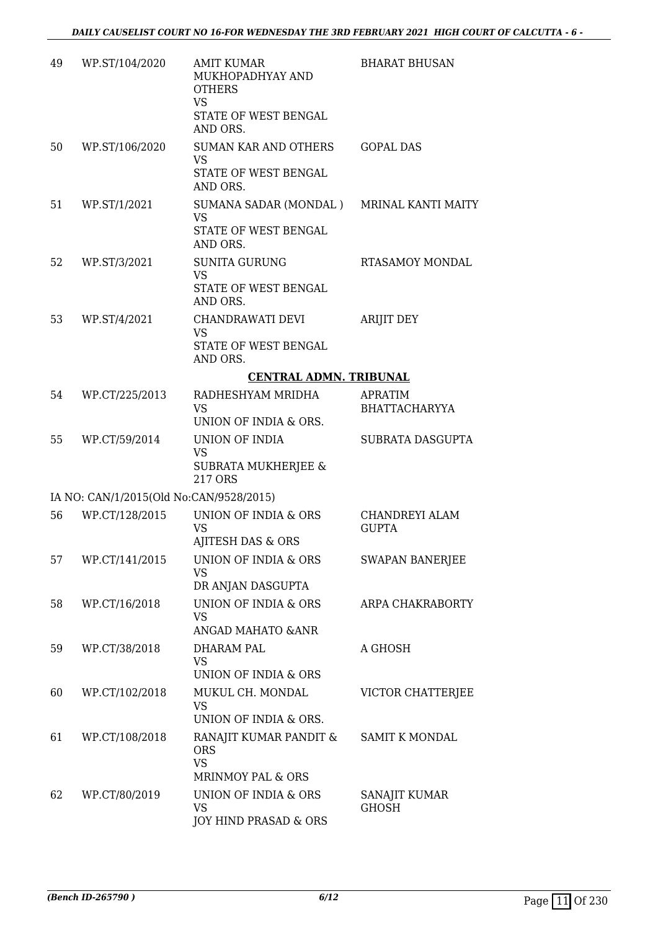| 49 | WP.ST/104/2020                          | <b>AMIT KUMAR</b><br>MUKHOPADHYAY AND<br><b>OTHERS</b><br><b>VS</b>     | <b>BHARAT BHUSAN</b>                   |
|----|-----------------------------------------|-------------------------------------------------------------------------|----------------------------------------|
|    |                                         | STATE OF WEST BENGAL<br>AND ORS.                                        |                                        |
| 50 | WP.ST/106/2020                          | <b>SUMAN KAR AND OTHERS</b><br>VS<br>STATE OF WEST BENGAL<br>AND ORS.   | <b>GOPAL DAS</b>                       |
| 51 | WP.ST/1/2021                            | SUMANA SADAR (MONDAL )<br><b>VS</b><br>STATE OF WEST BENGAL<br>AND ORS. | MRINAL KANTI MAITY                     |
| 52 | WP.ST/3/2021                            | <b>SUNITA GURUNG</b><br><b>VS</b><br>STATE OF WEST BENGAL<br>AND ORS.   | RTASAMOY MONDAL                        |
| 53 | WP.ST/4/2021                            | CHANDRAWATI DEVI<br><b>VS</b><br>STATE OF WEST BENGAL<br>AND ORS.       | <b>ARIJIT DEY</b>                      |
|    |                                         | <b>CENTRAL ADMN. TRIBUNAL</b>                                           |                                        |
| 54 | WP.CT/225/2013                          | RADHESHYAM MRIDHA<br><b>VS</b>                                          | <b>APRATIM</b><br><b>BHATTACHARYYA</b> |
| 55 | WP.CT/59/2014                           | UNION OF INDIA & ORS.<br>UNION OF INDIA                                 | SUBRATA DASGUPTA                       |
|    |                                         | <b>VS</b><br>SUBRATA MUKHERJEE &<br>217 ORS                             |                                        |
|    | IA NO: CAN/1/2015(Old No:CAN/9528/2015) |                                                                         |                                        |
| 56 | WP.CT/128/2015                          | UNION OF INDIA & ORS<br><b>VS</b><br>AJITESH DAS & ORS                  | CHANDREYI ALAM<br><b>GUPTA</b>         |
| 57 | WP.CT/141/2015                          | <b>UNION OF INDIA &amp; ORS</b><br><b>VS</b><br>DR ANJAN DASGUPTA       | <b>SWAPAN BANERJEE</b>                 |
| 58 | WP.CT/16/2018                           | UNION OF INDIA & ORS<br>VS<br>ANGAD MAHATO & ANR                        | ARPA CHAKRABORTY                       |
| 59 | WP.CT/38/2018                           | DHARAM PAL<br><b>VS</b><br>UNION OF INDIA & ORS                         | A GHOSH                                |
| 60 | WP.CT/102/2018                          | MUKUL CH. MONDAL<br><b>VS</b><br>UNION OF INDIA & ORS.                  | VICTOR CHATTERJEE                      |
| 61 | WP.CT/108/2018                          | RANAJIT KUMAR PANDIT &<br><b>ORS</b><br><b>VS</b><br>MRINMOY PAL & ORS  | <b>SAMIT K MONDAL</b>                  |
| 62 | WP.CT/80/2019                           | UNION OF INDIA & ORS<br><b>VS</b><br>JOY HIND PRASAD & ORS              | SANAJIT KUMAR<br><b>GHOSH</b>          |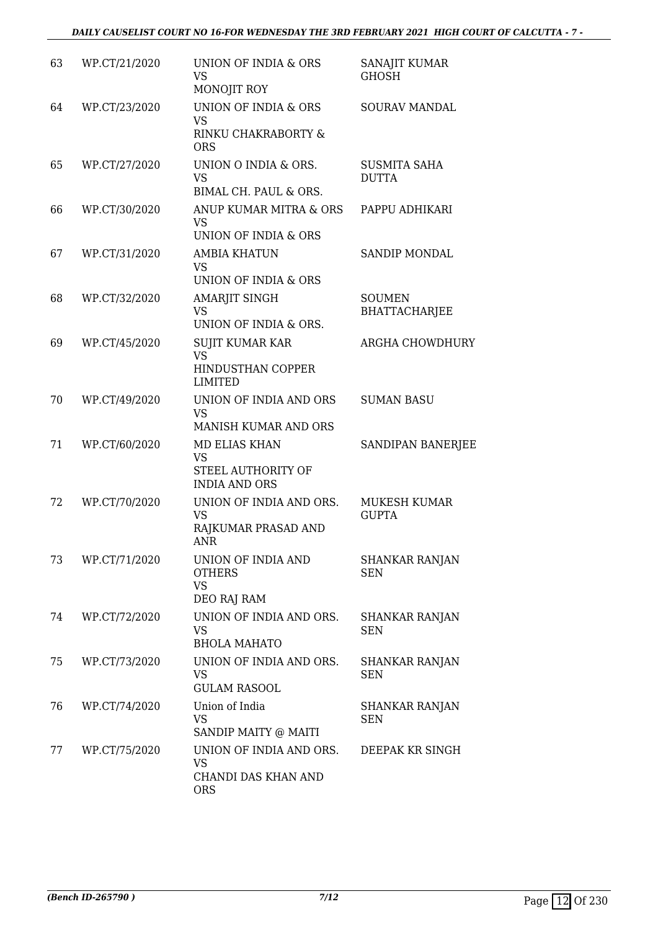| 63 | WP.CT/21/2020 | UNION OF INDIA & ORS<br><b>VS</b><br>MONOJIT ROY                           | SANAJIT KUMAR<br><b>GHOSH</b>         |
|----|---------------|----------------------------------------------------------------------------|---------------------------------------|
| 64 | WP.CT/23/2020 | UNION OF INDIA & ORS<br><b>VS</b><br>RINKU CHAKRABORTY &<br><b>ORS</b>     | SOURAV MANDAL                         |
| 65 | WP.CT/27/2020 | UNION O INDIA & ORS.<br><b>VS</b><br>BIMAL CH. PAUL & ORS.                 | <b>SUSMITA SAHA</b><br><b>DUTTA</b>   |
| 66 | WP.CT/30/2020 | ANUP KUMAR MITRA & ORS<br><b>VS</b><br>UNION OF INDIA & ORS                | PAPPU ADHIKARI                        |
| 67 | WP.CT/31/2020 | <b>AMBIA KHATUN</b><br><b>VS</b><br><b>UNION OF INDIA &amp; ORS</b>        | SANDIP MONDAL                         |
| 68 | WP.CT/32/2020 | AMARJIT SINGH<br><b>VS</b><br>UNION OF INDIA & ORS.                        | <b>SOUMEN</b><br><b>BHATTACHARJEE</b> |
| 69 | WP.CT/45/2020 | <b>SUJIT KUMAR KAR</b><br><b>VS</b><br>HINDUSTHAN COPPER<br><b>LIMITED</b> | <b>ARGHA CHOWDHURY</b>                |
| 70 | WP.CT/49/2020 | UNION OF INDIA AND ORS<br><b>VS</b><br>MANISH KUMAR AND ORS                | <b>SUMAN BASU</b>                     |
| 71 | WP.CT/60/2020 | MD ELIAS KHAN<br><b>VS</b><br>STEEL AUTHORITY OF<br><b>INDIA AND ORS</b>   | SANDIPAN BANERJEE                     |
| 72 | WP.CT/70/2020 | UNION OF INDIA AND ORS.<br><b>VS</b><br>RAJKUMAR PRASAD AND<br>ANR         | MUKESH KUMAR<br><b>GUPTA</b>          |
| 73 | WP.CT/71/2020 | UNION OF INDIA AND<br><b>OTHERS</b><br><b>VS</b><br>DEO RAJ RAM            | <b>SHANKAR RANJAN</b><br><b>SEN</b>   |
| 74 | WP.CT/72/2020 | UNION OF INDIA AND ORS.<br><b>VS</b><br><b>BHOLA MAHATO</b>                | <b>SHANKAR RANJAN</b><br><b>SEN</b>   |
| 75 | WP.CT/73/2020 | UNION OF INDIA AND ORS.<br><b>VS</b><br><b>GULAM RASOOL</b>                | <b>SHANKAR RANJAN</b><br><b>SEN</b>   |
| 76 | WP.CT/74/2020 | Union of India<br><b>VS</b><br>SANDIP MAITY @ MAITI                        | SHANKAR RANJAN<br><b>SEN</b>          |
| 77 | WP.CT/75/2020 | UNION OF INDIA AND ORS.<br><b>VS</b><br>CHANDI DAS KHAN AND<br><b>ORS</b>  | DEEPAK KR SINGH                       |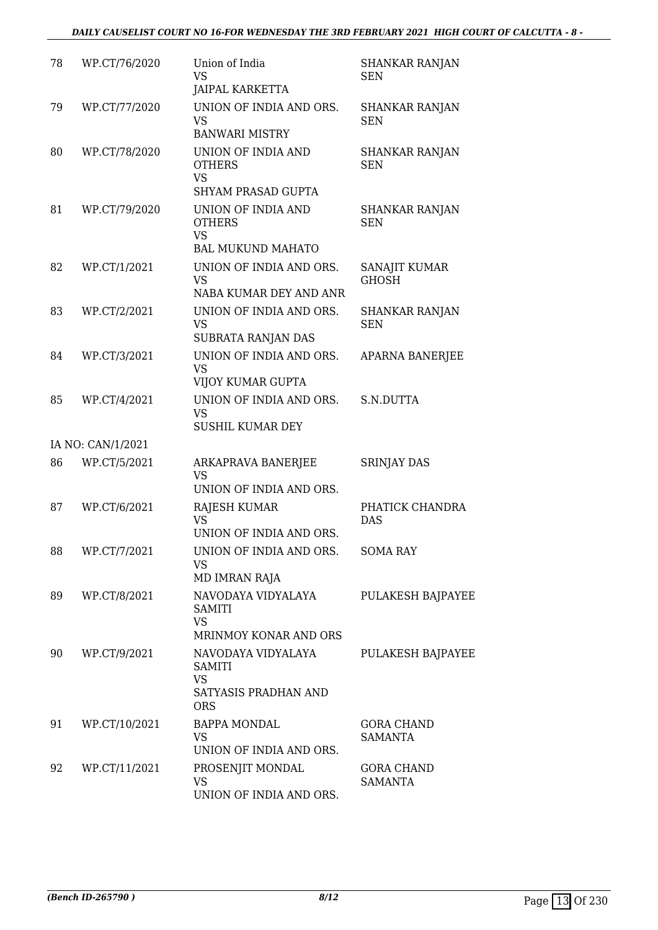| 78 | WP.CT/76/2020     | Union of India<br><b>VS</b><br><b>JAIPAL KARKETTA</b>                                      | <b>SHANKAR RANJAN</b><br><b>SEN</b> |
|----|-------------------|--------------------------------------------------------------------------------------------|-------------------------------------|
| 79 | WP.CT/77/2020     | UNION OF INDIA AND ORS.<br><b>VS</b><br><b>BANWARI MISTRY</b>                              | <b>SHANKAR RANJAN</b><br><b>SEN</b> |
| 80 | WP.CT/78/2020     | UNION OF INDIA AND<br><b>OTHERS</b><br><b>VS</b><br><b>SHYAM PRASAD GUPTA</b>              | <b>SHANKAR RANJAN</b><br><b>SEN</b> |
| 81 | WP.CT/79/2020     | UNION OF INDIA AND<br><b>OTHERS</b><br><b>VS</b>                                           | <b>SHANKAR RANJAN</b><br><b>SEN</b> |
| 82 | WP.CT/1/2021      | <b>BAL MUKUND MAHATO</b><br>UNION OF INDIA AND ORS.<br><b>VS</b><br>NABA KUMAR DEY AND ANR | SANAJIT KUMAR<br><b>GHOSH</b>       |
| 83 | WP.CT/2/2021      | UNION OF INDIA AND ORS.<br><b>VS</b><br>SUBRATA RANJAN DAS                                 | SHANKAR RANJAN<br><b>SEN</b>        |
| 84 | WP.CT/3/2021      | UNION OF INDIA AND ORS.<br>VS<br>VIJOY KUMAR GUPTA                                         | <b>APARNA BANERJEE</b>              |
| 85 | WP.CT/4/2021      | UNION OF INDIA AND ORS.<br><b>VS</b><br><b>SUSHIL KUMAR DEY</b>                            | S.N.DUTTA                           |
|    | IA NO: CAN/1/2021 |                                                                                            |                                     |
| 86 | WP.CT/5/2021      | ARKAPRAVA BANERJEE<br><b>VS</b><br>UNION OF INDIA AND ORS.                                 | <b>SRINJAY DAS</b>                  |
| 87 | WP.CT/6/2021      | <b>RAJESH KUMAR</b><br><b>VS</b><br>UNION OF INDIA AND ORS.                                | PHATICK CHANDRA<br><b>DAS</b>       |
| 88 | WP.CT/7/2021      | UNION OF INDIA AND ORS.<br><b>VS</b><br>MD IMRAN RAJA                                      | <b>SOMA RAY</b>                     |
| 89 | WP.CT/8/2021      | NAVODAYA VIDYALAYA<br><b>SAMITI</b><br><b>VS</b><br>MRINMOY KONAR AND ORS                  | PULAKESH BAJPAYEE                   |
| 90 | WP.CT/9/2021      | NAVODAYA VIDYALAYA<br><b>SAMITI</b><br><b>VS</b><br>SATYASIS PRADHAN AND<br><b>ORS</b>     | PULAKESH BAJPAYEE                   |
| 91 | WP.CT/10/2021     | <b>BAPPA MONDAL</b><br><b>VS</b><br>UNION OF INDIA AND ORS.                                | <b>GORA CHAND</b><br><b>SAMANTA</b> |
| 92 | WP.CT/11/2021     | PROSENJIT MONDAL<br>VS<br>UNION OF INDIA AND ORS.                                          | <b>GORA CHAND</b><br><b>SAMANTA</b> |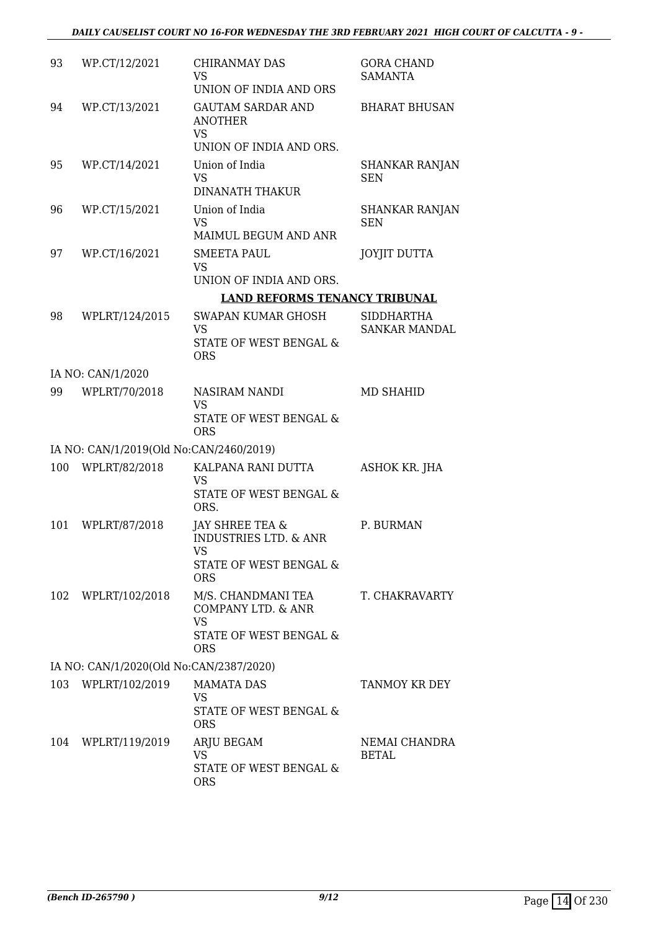| 93  | WP.CT/12/2021                           | CHIRANMAY DAS<br><b>VS</b><br>UNION OF INDIA AND ORS                               | <b>GORA CHAND</b><br><b>SAMANTA</b> |
|-----|-----------------------------------------|------------------------------------------------------------------------------------|-------------------------------------|
|     |                                         |                                                                                    |                                     |
| 94  | WP.CT/13/2021                           | <b>GAUTAM SARDAR AND</b><br><b>ANOTHER</b><br><b>VS</b><br>UNION OF INDIA AND ORS. | <b>BHARAT BHUSAN</b>                |
| 95  | WP.CT/14/2021                           | Union of India                                                                     |                                     |
|     |                                         | <b>VS</b><br><b>DINANATH THAKUR</b>                                                | <b>SHANKAR RANJAN</b><br><b>SEN</b> |
| 96  | WP.CT/15/2021                           | Union of India                                                                     | <b>SHANKAR RANJAN</b>               |
|     |                                         | <b>VS</b><br>MAIMUL BEGUM AND ANR                                                  | <b>SEN</b>                          |
| 97  | WP.CT/16/2021                           | <b>SMEETA PAUL</b>                                                                 | <b>JOYJIT DUTTA</b>                 |
|     |                                         | <b>VS</b><br>UNION OF INDIA AND ORS.                                               |                                     |
|     |                                         | <b>LAND REFORMS TENANCY TRIBUNAL</b>                                               |                                     |
| 98  | WPLRT/124/2015                          | <b>SWAPAN KUMAR GHOSH</b>                                                          | <b>SIDDHARTHA</b>                   |
|     |                                         | VS<br><b>STATE OF WEST BENGAL &amp;</b>                                            | <b>SANKAR MANDAL</b>                |
|     |                                         | <b>ORS</b>                                                                         |                                     |
|     | IA NO: CAN/1/2020                       |                                                                                    |                                     |
| 99  | WPLRT/70/2018                           | NASIRAM NANDI<br><b>VS</b>                                                         | <b>MD SHAHID</b>                    |
|     |                                         | STATE OF WEST BENGAL &<br><b>ORS</b>                                               |                                     |
|     | IA NO: CAN/1/2019(Old No:CAN/2460/2019) |                                                                                    |                                     |
| 100 | WPLRT/82/2018                           | KALPANA RANI DUTTA                                                                 | ASHOK KR. JHA                       |
|     |                                         | VS<br>STATE OF WEST BENGAL &<br>ORS.                                               |                                     |
| 101 | WPLRT/87/2018                           | JAY SHREE TEA &<br><b>INDUSTRIES LTD. &amp; ANR</b>                                | P. BURMAN                           |
|     |                                         | VS                                                                                 |                                     |
|     |                                         | STATE OF WEST BENGAL &<br><b>ORS</b>                                               |                                     |
|     | 102 WPLRT/102/2018                      | M/S. CHANDMANI TEA<br>COMPANY LTD. & ANR                                           | T. CHAKRAVARTY                      |
|     |                                         | <b>VS</b><br>STATE OF WEST BENGAL &<br><b>ORS</b>                                  |                                     |
|     | IA NO: CAN/1/2020(Old No:CAN/2387/2020) |                                                                                    |                                     |
|     | 103 WPLRT/102/2019                      | <b>MAMATA DAS</b>                                                                  | TANMOY KR DEY                       |
|     |                                         | <b>VS</b>                                                                          |                                     |
|     |                                         | STATE OF WEST BENGAL &<br><b>ORS</b>                                               |                                     |
|     | 104 WPLRT/119/2019                      | ARJU BEGAM                                                                         | NEMAI CHANDRA                       |
|     |                                         | <b>VS</b><br>STATE OF WEST BENGAL &                                                | BETAL                               |
|     |                                         | <b>ORS</b>                                                                         |                                     |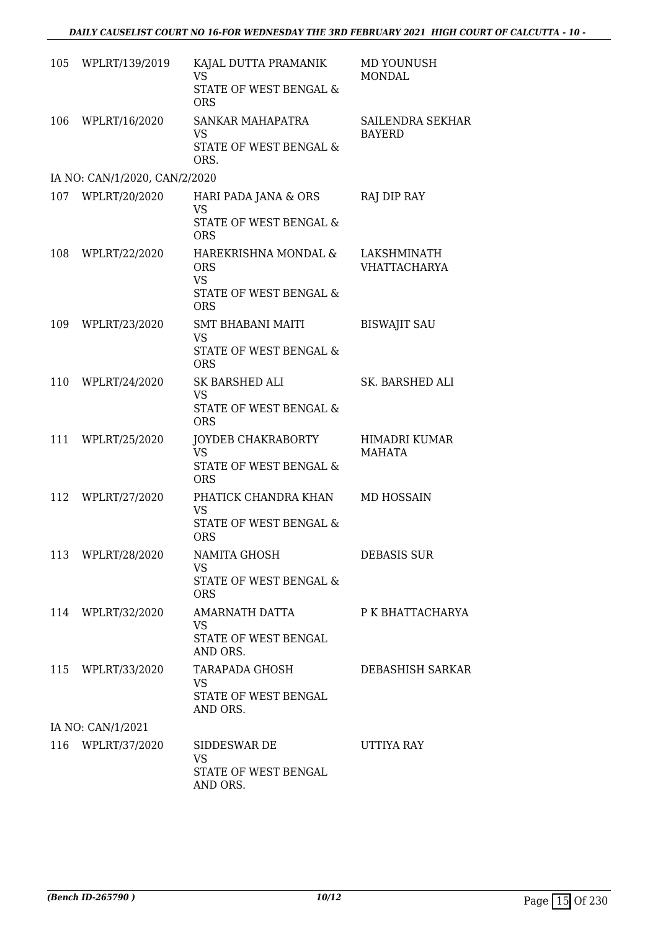| 105 | WPLRT/139/2019                | KAJAL DUTTA PRAMANIK<br><b>VS</b><br>STATE OF WEST BENGAL &<br><b>ORS</b>                          | MD YOUNUSH<br><b>MONDAL</b>           |
|-----|-------------------------------|----------------------------------------------------------------------------------------------------|---------------------------------------|
| 106 | WPLRT/16/2020                 | SANKAR MAHAPATRA<br>VS<br>STATE OF WEST BENGAL &<br>ORS.                                           | SAILENDRA SEKHAR<br><b>BAYERD</b>     |
|     | IA NO: CAN/1/2020, CAN/2/2020 |                                                                                                    |                                       |
|     | 107 WPLRT/20/2020             | HARI PADA JANA & ORS<br>VS<br>STATE OF WEST BENGAL &<br><b>ORS</b>                                 | RAJ DIP RAY                           |
| 108 | WPLRT/22/2020                 | HAREKRISHNA MONDAL &<br><b>ORS</b><br><b>VS</b><br><b>STATE OF WEST BENGAL &amp;</b><br><b>ORS</b> | LAKSHMINATH<br><b>VHATTACHARYA</b>    |
| 109 | WPLRT/23/2020                 | <b>SMT BHABANI MAITI</b><br>VS<br>STATE OF WEST BENGAL &<br><b>ORS</b>                             | <b>BISWAJIT SAU</b>                   |
| 110 | WPLRT/24/2020                 | SK BARSHED ALI<br><b>VS</b><br>STATE OF WEST BENGAL &<br><b>ORS</b>                                | SK. BARSHED ALI                       |
| 111 | WPLRT/25/2020                 | JOYDEB CHAKRABORTY<br><b>VS</b><br>STATE OF WEST BENGAL &<br><b>ORS</b>                            | <b>HIMADRI KUMAR</b><br><b>MAHATA</b> |
| 112 | WPLRT/27/2020                 | PHATICK CHANDRA KHAN<br>VS<br>STATE OF WEST BENGAL &<br><b>ORS</b>                                 | <b>MD HOSSAIN</b>                     |
|     | 113 WPLRT/28/2020             | NAMITA GHOSH<br><b>VS</b><br>STATE OF WEST BENGAL &<br><b>ORS</b>                                  | DEBASIS SUR                           |
|     | 114 WPLRT/32/2020             | AMARNATH DATTA<br><b>VS</b><br>STATE OF WEST BENGAL<br>AND ORS.                                    | P K BHATTACHARYA                      |
|     | 115 WPLRT/33/2020             | TARAPADA GHOSH<br><b>VS</b><br>STATE OF WEST BENGAL<br>AND ORS.                                    | DEBASHISH SARKAR                      |
|     | IA NO: CAN/1/2021             |                                                                                                    |                                       |
|     | 116 WPLRT/37/2020             | SIDDESWAR DE<br><b>VS</b><br>STATE OF WEST BENGAL<br>AND ORS.                                      | UTTIYA RAY                            |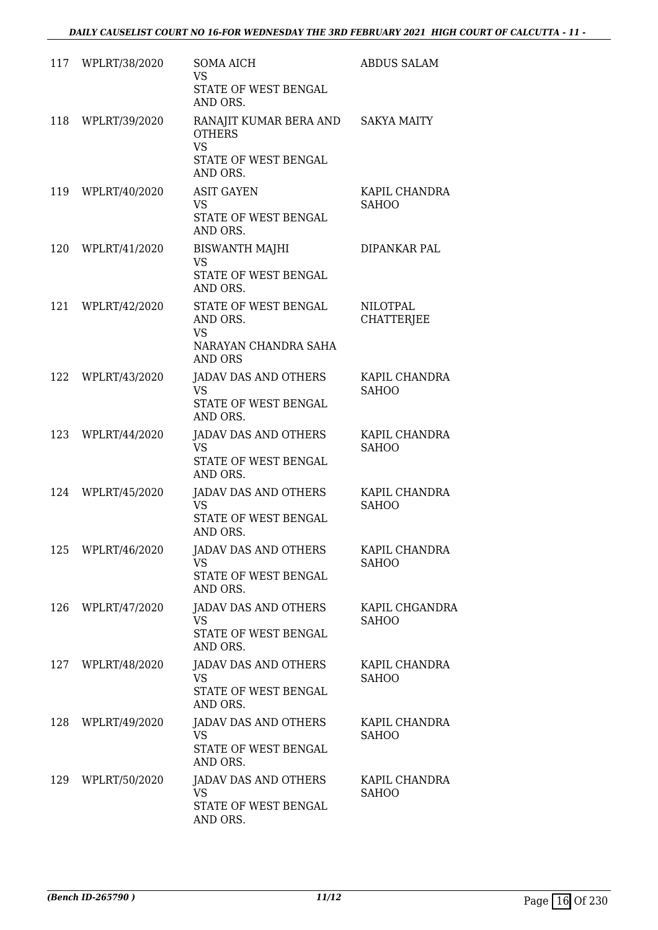|     | 117 WPLRT/38/2020 | <b>SOMA AICH</b><br><b>VS</b><br>STATE OF WEST BENGAL                            | <b>ABDUS SALAM</b>                   |
|-----|-------------------|----------------------------------------------------------------------------------|--------------------------------------|
|     | 118 WPLRT/39/2020 | AND ORS.<br>RANAJIT KUMAR BERA AND SAKYA MAITY<br><b>OTHERS</b><br><b>VS</b>     |                                      |
|     |                   | STATE OF WEST BENGAL<br>AND ORS.                                                 |                                      |
| 119 | WPLRT/40/2020     | <b>ASIT GAYEN</b><br>VS.<br>STATE OF WEST BENGAL<br>AND ORS.                     | KAPIL CHANDRA<br><b>SAHOO</b>        |
|     | 120 WPLRT/41/2020 | <b>BISWANTH MAJHI</b><br><b>VS</b><br>STATE OF WEST BENGAL<br>AND ORS.           | DIPANKAR PAL                         |
|     | 121 WPLRT/42/2020 | STATE OF WEST BENGAL<br>AND ORS.<br>VS<br>NARAYAN CHANDRA SAHA<br><b>AND ORS</b> | <b>NILOTPAL</b><br><b>CHATTERJEE</b> |
|     | 122 WPLRT/43/2020 | JADAV DAS AND OTHERS<br><b>VS</b><br>STATE OF WEST BENGAL<br>AND ORS.            | KAPIL CHANDRA<br><b>SAHOO</b>        |
|     | 123 WPLRT/44/2020 | JADAV DAS AND OTHERS<br><b>VS</b><br>STATE OF WEST BENGAL<br>AND ORS.            | KAPIL CHANDRA<br><b>SAHOO</b>        |
|     | 124 WPLRT/45/2020 | JADAV DAS AND OTHERS<br><b>VS</b><br>STATE OF WEST BENGAL<br>AND ORS.            | KAPIL CHANDRA<br><b>SAHOO</b>        |
|     | 125 WPLRT/46/2020 | JADAV DAS AND OTHERS KAPIL CHANDRA<br>VS<br>STATE OF WEST BENGAL<br>AND ORS.     | <b>SAHOO</b>                         |
| 126 | WPLRT/47/2020     | JADAV DAS AND OTHERS<br><b>VS</b><br>STATE OF WEST BENGAL<br>AND ORS.            | KAPIL CHGANDRA<br><b>SAHOO</b>       |
|     | 127 WPLRT/48/2020 | JADAV DAS AND OTHERS<br><b>VS</b><br>STATE OF WEST BENGAL<br>AND ORS.            | KAPIL CHANDRA<br><b>SAHOO</b>        |
|     | 128 WPLRT/49/2020 | JADAV DAS AND OTHERS<br>VS.<br>STATE OF WEST BENGAL<br>AND ORS.                  | KAPIL CHANDRA<br><b>SAHOO</b>        |
| 129 | WPLRT/50/2020     | JADAV DAS AND OTHERS<br><b>VS</b><br>STATE OF WEST BENGAL<br>AND ORS.            | KAPIL CHANDRA<br><b>SAHOO</b>        |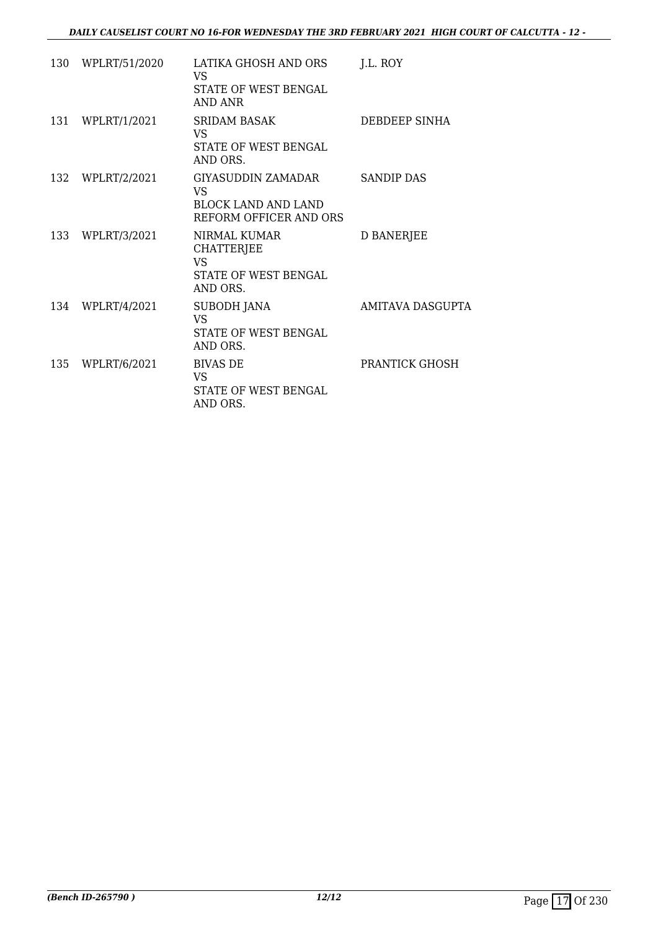|     | 130 WPLRT/51/2020 | LATIKA GHOSH AND ORS<br>VS.<br>STATE OF WEST BENGAL<br>AND ANR                          | J.L. ROY                |
|-----|-------------------|-----------------------------------------------------------------------------------------|-------------------------|
|     | 131 WPLRT/1/2021  | <b>SRIDAM BASAK</b><br>VS.<br>STATE OF WEST BENGAL<br>AND ORS.                          | DEBDEEP SINHA           |
|     | 132 WPLRT/2/2021  | GIYASUDDIN ZAMADAR<br><b>VS</b><br><b>BLOCK LAND AND LAND</b><br>REFORM OFFICER AND ORS | SANDIP DAS              |
|     | 133 WPLRT/3/2021  | NIRMAL KUMAR<br><b>CHATTERJEE</b><br>VS.<br>STATE OF WEST BENGAL<br>AND ORS.            | D BANERJEE              |
|     | 134 WPLRT/4/2021  | <b>SUBODH JANA</b><br><b>VS</b><br>STATE OF WEST BENGAL<br>AND ORS.                     | <b>AMITAVA DASGUPTA</b> |
| 135 | WPLRT/6/2021      | <b>BIVAS DE</b><br>VS.<br>STATE OF WEST BENGAL<br>AND ORS.                              | PRANTICK GHOSH          |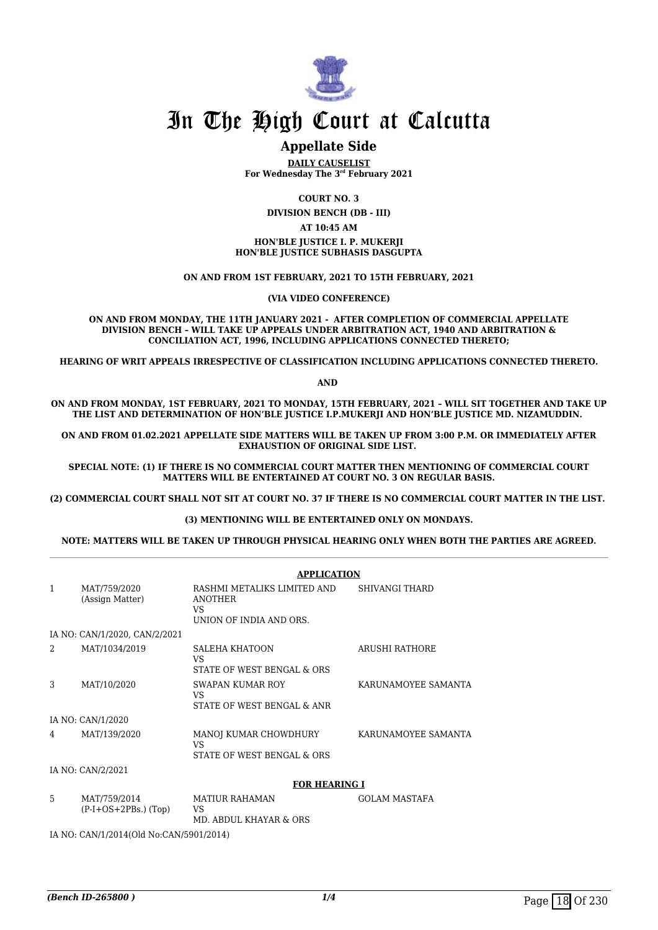

# **Appellate Side**

**DAILY CAUSELIST For Wednesday The 3rd February 2021**

**COURT NO. 3**

**DIVISION BENCH (DB - III)**

#### **AT 10:45 AM**

**HON'BLE JUSTICE I. P. MUKERJI HON'BLE JUSTICE SUBHASIS DASGUPTA**

**ON AND FROM 1ST FEBRUARY, 2021 TO 15TH FEBRUARY, 2021**

**(VIA VIDEO CONFERENCE)**

**ON AND FROM MONDAY, THE 11TH JANUARY 2021 - AFTER COMPLETION OF COMMERCIAL APPELLATE DIVISION BENCH – WILL TAKE UP APPEALS UNDER ARBITRATION ACT, 1940 AND ARBITRATION & CONCILIATION ACT, 1996, INCLUDING APPLICATIONS CONNECTED THERETO;**

**HEARING OF WRIT APPEALS IRRESPECTIVE OF CLASSIFICATION INCLUDING APPLICATIONS CONNECTED THERETO.**

**AND** 

**ON AND FROM MONDAY, 1ST FEBRUARY, 2021 TO MONDAY, 15TH FEBRUARY, 2021 – WILL SIT TOGETHER AND TAKE UP THE LIST AND DETERMINATION OF HON'BLE JUSTICE I.P.MUKERJI AND HON'BLE JUSTICE MD. NIZAMUDDIN.** 

**ON AND FROM 01.02.2021 APPELLATE SIDE MATTERS WILL BE TAKEN UP FROM 3:00 P.M. OR IMMEDIATELY AFTER EXHAUSTION OF ORIGINAL SIDE LIST.** 

**SPECIAL NOTE: (1) IF THERE IS NO COMMERCIAL COURT MATTER THEN MENTIONING OF COMMERCIAL COURT MATTERS WILL BE ENTERTAINED AT COURT NO. 3 ON REGULAR BASIS.**

**(2) COMMERCIAL COURT SHALL NOT SIT AT COURT NO. 37 IF THERE IS NO COMMERCIAL COURT MATTER IN THE LIST.** 

#### **(3) MENTIONING WILL BE ENTERTAINED ONLY ON MONDAYS.**

#### **NOTE: MATTERS WILL BE TAKEN UP THROUGH PHYSICAL HEARING ONLY WHEN BOTH THE PARTIES ARE AGREED.**

|                |                                        | <b>APPLICATION</b>                                                              |                       |  |
|----------------|----------------------------------------|---------------------------------------------------------------------------------|-----------------------|--|
| $\mathbf{1}$   | MAT/759/2020<br>(Assign Matter)        | RASHMI METALIKS LIMITED AND<br><b>ANOTHER</b><br>VS.<br>UNION OF INDIA AND ORS. | <b>SHIVANGI THARD</b> |  |
|                | IA NO: CAN/1/2020, CAN/2/2021          |                                                                                 |                       |  |
| $\mathfrak{D}$ | MAT/1034/2019                          | <b>SALEHA KHATOON</b><br>VS.<br>STATE OF WEST BENGAL & ORS                      | <b>ARUSHI RATHORE</b> |  |
| 3              | MAT/10/2020                            | SWAPAN KUMAR ROY<br>VS.<br>STATE OF WEST BENGAL & ANR                           | KARUNAMOYEE SAMANTA   |  |
|                | IA NO: CAN/1/2020                      |                                                                                 |                       |  |
| 4              | MAT/139/2020                           | MANOJ KUMAR CHOWDHURY<br>VS.<br>STATE OF WEST BENGAL & ORS                      | KARUNAMOYEE SAMANTA   |  |
|                | IA NO: CAN/2/2021                      |                                                                                 |                       |  |
|                |                                        | <b>FOR HEARING I</b>                                                            |                       |  |
| 5              | MAT/759/2014<br>$(P-I+OS+2PBs.)$ (Top) | <b>MATIUR RAHAMAN</b><br><b>VS</b>                                              | <b>GOLAM MASTAFA</b>  |  |

MD. ABDUL KHAYAR & ORS

IA NO: CAN/1/2014(Old No:CAN/5901/2014)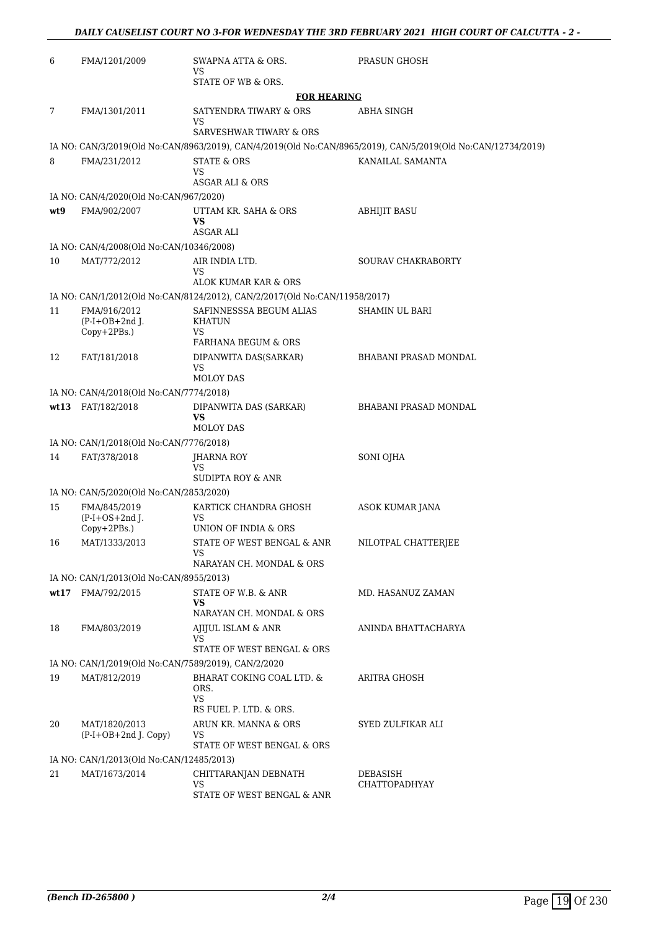| 6    | FMA/1201/2009                                           | SWAPNA ATTA & ORS.<br>VS                                                   | PRASUN GHOSH                                                                                                 |
|------|---------------------------------------------------------|----------------------------------------------------------------------------|--------------------------------------------------------------------------------------------------------------|
|      |                                                         | STATE OF WB & ORS.                                                         |                                                                                                              |
|      |                                                         | <b>FOR HEARING</b>                                                         |                                                                                                              |
| 7    | FMA/1301/2011                                           | SATYENDRA TIWARY & ORS<br>VS                                               | ABHA SINGH                                                                                                   |
|      |                                                         | SARVESHWAR TIWARY & ORS                                                    |                                                                                                              |
|      |                                                         |                                                                            | IA NO: CAN/3/2019(Old No:CAN/8963/2019), CAN/4/2019(Old No:CAN/8965/2019), CAN/5/2019(Old No:CAN/12734/2019) |
| 8    | FMA/231/2012                                            | <b>STATE &amp; ORS</b><br>VS<br>ASGAR ALI & ORS                            | KANAILAL SAMANTA                                                                                             |
|      | IA NO: CAN/4/2020(Old No:CAN/967/2020)                  |                                                                            |                                                                                                              |
| wt9  | FMA/902/2007                                            | UTTAM KR. SAHA & ORS<br>VS                                                 | <b>ABHIJIT BASU</b>                                                                                          |
|      |                                                         | <b>ASGAR ALI</b>                                                           |                                                                                                              |
|      | IA NO: CAN/4/2008(Old No:CAN/10346/2008)                |                                                                            |                                                                                                              |
| 10   | MAT/772/2012                                            | AIR INDIA LTD.<br><b>VS</b>                                                | <b>SOURAV CHAKRABORTY</b>                                                                                    |
|      |                                                         | ALOK KUMAR KAR & ORS                                                       |                                                                                                              |
|      |                                                         | IA NO: CAN/1/2012(Old No:CAN/8124/2012), CAN/2/2017(Old No:CAN/11958/2017) |                                                                                                              |
| 11   | FMA/916/2012<br>$(P-I+OB+2nd$ J.<br>Copy+2PBs.)         | SAFINNESSSA BEGUM ALIAS<br>KHATUN<br>VS                                    | SHAMIN UL BARI                                                                                               |
|      |                                                         | FARHANA BEGUM & ORS                                                        |                                                                                                              |
| 12   | FAT/181/2018                                            | DIPANWITA DAS(SARKAR)<br><b>VS</b><br>MOLOY DAS                            | <b>BHABANI PRASAD MONDAL</b>                                                                                 |
|      | IA NO: CAN/4/2018(Old No:CAN/7774/2018)                 |                                                                            |                                                                                                              |
|      | wt13 FAT/182/2018                                       | DIPANWITA DAS (SARKAR)                                                     | BHABANI PRASAD MONDAL                                                                                        |
|      |                                                         | VS<br><b>MOLOY DAS</b>                                                     |                                                                                                              |
|      | IA NO: CAN/1/2018(Old No:CAN/7776/2018)                 |                                                                            |                                                                                                              |
| 14   | FAT/378/2018                                            | JHARNA ROY<br>VS                                                           | SONI OJHA                                                                                                    |
|      |                                                         | SUDIPTA ROY & ANR                                                          |                                                                                                              |
| 15   | IA NO: CAN/5/2020(Old No:CAN/2853/2020)<br>FMA/845/2019 | KARTICK CHANDRA GHOSH                                                      | ASOK KUMAR JANA                                                                                              |
|      | $(P-I+OS+2nd J.$<br>Copy+2PBs.)                         | VS<br>UNION OF INDIA & ORS                                                 |                                                                                                              |
| 16   | MAT/1333/2013                                           | STATE OF WEST BENGAL & ANR<br>VS                                           | NILOTPAL CHATTERJEE                                                                                          |
|      |                                                         | NARAYAN CH. MONDAL & ORS                                                   |                                                                                                              |
|      | IA NO: CAN/1/2013(Old No:CAN/8955/2013)                 |                                                                            |                                                                                                              |
| wt17 | FMA/792/2015                                            | STATE OF W.B. & ANR<br>VS                                                  | MD. HASANUZ ZAMAN                                                                                            |
|      |                                                         | NARAYAN CH. MONDAL & ORS<br>AJIJUL ISLAM & ANR                             |                                                                                                              |
| 18   | FMA/803/2019                                            | VS<br>STATE OF WEST BENGAL & ORS                                           | ANINDA BHATTACHARYA                                                                                          |
|      | IA NO: CAN/1/2019(Old No:CAN/7589/2019), CAN/2/2020     |                                                                            |                                                                                                              |
| 19   | MAT/812/2019                                            | BHARAT COKING COAL LTD. &<br>ORS.<br>VS                                    | ARITRA GHOSH                                                                                                 |
|      |                                                         | RS FUEL P. LTD. & ORS.                                                     |                                                                                                              |
| 20   | MAT/1820/2013<br>(P-I+OB+2nd J. Copy)                   | ARUN KR. MANNA & ORS<br>VS<br>STATE OF WEST BENGAL & ORS                   | SYED ZULFIKAR ALI                                                                                            |
|      | IA NO: CAN/1/2013(Old No:CAN/12485/2013)                |                                                                            |                                                                                                              |
| 21   | MAT/1673/2014                                           | CHITTARANJAN DEBNATH                                                       | DEBASISH                                                                                                     |
|      |                                                         | VS<br>STATE OF WEST BENGAL & ANR                                           | <b>CHATTOPADHYAY</b>                                                                                         |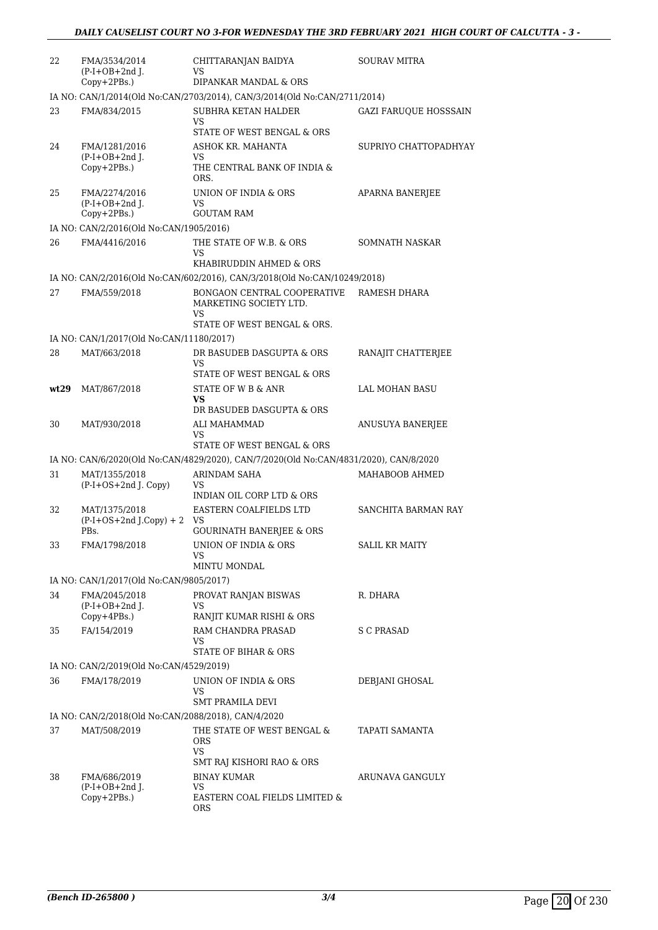| 22   | FMA/3534/2014<br>$(P-I+OB+2nd I.$                   | CHITTARANJAN BAIDYA<br>VS                                                                          | <b>SOURAV MITRA</b>          |
|------|-----------------------------------------------------|----------------------------------------------------------------------------------------------------|------------------------------|
|      | Copy+2PBs.)                                         | DIPANKAR MANDAL & ORS<br>IA NO: CAN/1/2014(Old No:CAN/2703/2014), CAN/3/2014(Old No:CAN/2711/2014) |                              |
| 23   | FMA/834/2015                                        | <b>SUBHRA KETAN HALDER</b>                                                                         | <b>GAZI FARUOUE HOSSSAIN</b> |
|      |                                                     | VS<br>STATE OF WEST BENGAL & ORS                                                                   |                              |
| 24   | FMA/1281/2016<br>$(P-I+OB+2nd J.$<br>Copy+2PBs.)    | ASHOK KR. MAHANTA<br>VS<br>THE CENTRAL BANK OF INDIA &<br>ORS.                                     | SUPRIYO CHATTOPADHYAY        |
| 25   | FMA/2274/2016<br>$(P-I+OB+2nd$ J.<br>Copy+2PBs.)    | UNION OF INDIA & ORS<br>VS<br><b>GOUTAM RAM</b>                                                    | <b>APARNA BANERJEE</b>       |
|      | IA NO: CAN/2/2016(Old No:CAN/1905/2016)             |                                                                                                    |                              |
| 26   | FMA/4416/2016                                       | THE STATE OF W.B. & ORS<br>VS<br>KHABIRUDDIN AHMED & ORS                                           | SOMNATH NASKAR               |
|      |                                                     | IA NO: CAN/2/2016(Old No:CAN/602/2016), CAN/3/2018(Old No:CAN/10249/2018)                          |                              |
| 27   | FMA/559/2018                                        | BONGAON CENTRAL COOPERATIVE                                                                        | RAMESH DHARA                 |
|      |                                                     | MARKETING SOCIETY LTD.<br>VS<br>STATE OF WEST BENGAL & ORS.                                        |                              |
|      | IA NO: CAN/1/2017(Old No:CAN/11180/2017)            |                                                                                                    |                              |
| 28   | MAT/663/2018                                        | DR BASUDEB DASGUPTA & ORS<br>VS<br>STATE OF WEST BENGAL & ORS                                      | RANAJIT CHATTERJEE           |
| wt29 | MAT/867/2018                                        | STATE OF W B & ANR<br>VS                                                                           | LAL MOHAN BASU               |
|      |                                                     | DR BASUDEB DASGUPTA & ORS                                                                          |                              |
| 30   | MAT/930/2018                                        | ALI MAHAMMAD<br>VS<br>STATE OF WEST BENGAL & ORS                                                   | ANUSUYA BANERJEE             |
|      |                                                     | IA NO: CAN/6/2020(Old No:CAN/4829/2020), CAN/7/2020(Old No:CAN/4831/2020), CAN/8/2020              |                              |
| 31   | MAT/1355/2018<br>(P-I+OS+2nd J. Copy)               | ARINDAM SAHA<br>VS<br>INDIAN OIL CORP LTD & ORS                                                    | MAHABOOB AHMED               |
| 32   | MAT/1375/2018<br>$(P-I+OS+2nd J.Copy) + 2$<br>PBs.  | EASTERN COALFIELDS LTD<br>VS<br><b>GOURINATH BANERIEE &amp; ORS</b>                                | SANCHITA BARMAN RAY          |
| 33   | FMA/1798/2018                                       | UNION OF INDIA & ORS<br>VS<br><b>MINTU MONDAL</b>                                                  | SALIL KR MAITY               |
|      | IA NO: CAN/1/2017(Old No:CAN/9805/2017)             |                                                                                                    |                              |
| 34   | FMA/2045/2018<br>$(P-I+OB+2nd)$ .                   | PROVAT RANJAN BISWAS<br>VS                                                                         | R. DHARA                     |
|      | $Copy+4PBs.$ )                                      | RANJIT KUMAR RISHI & ORS                                                                           |                              |
| 35   | FA/154/2019                                         | RAM CHANDRA PRASAD<br>VS<br>STATE OF BIHAR & ORS                                                   | <b>S C PRASAD</b>            |
|      | IA NO: CAN/2/2019(Old No:CAN/4529/2019)             |                                                                                                    |                              |
| 36   | FMA/178/2019                                        | UNION OF INDIA & ORS                                                                               | DEBJANI GHOSAL               |
|      |                                                     | VS<br><b>SMT PRAMILA DEVI</b>                                                                      |                              |
|      | IA NO: CAN/2/2018(Old No:CAN/2088/2018), CAN/4/2020 |                                                                                                    |                              |
| 37   | MAT/508/2019                                        | THE STATE OF WEST BENGAL &<br>ORS<br>VS                                                            | TAPATI SAMANTA               |
|      |                                                     | SMT RAJ KISHORI RAO & ORS                                                                          |                              |
| 38   | FMA/686/2019<br>$(P-I+OB+2nd$ J.                    | BINAY KUMAR<br><b>VS</b>                                                                           | ARUNAVA GANGULY              |
|      | Copy+2PBs.)                                         | EASTERN COAL FIELDS LIMITED &<br>ORS                                                               |                              |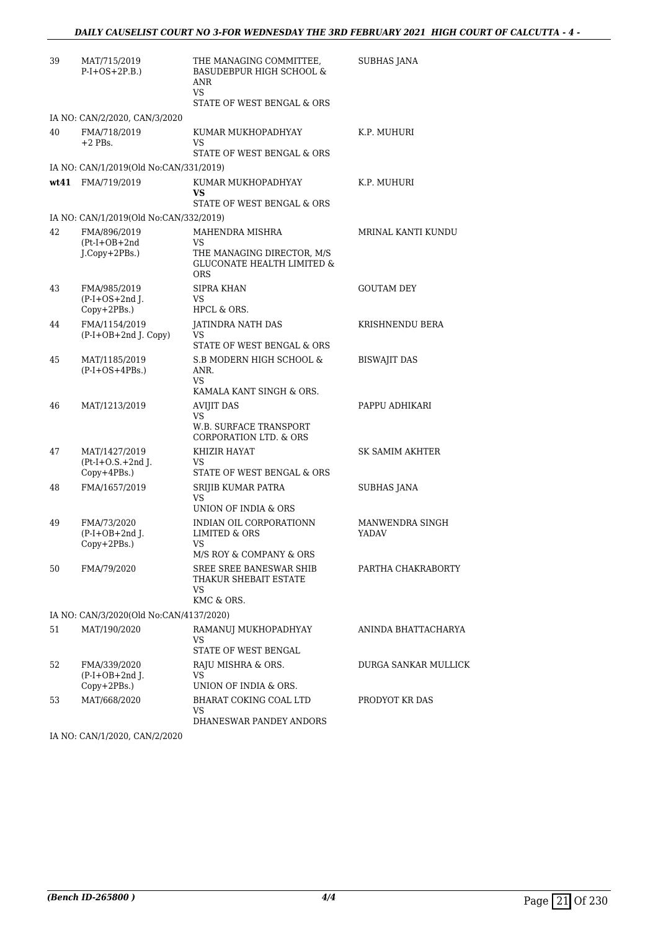| 39 | MAT/715/2019<br>$P-I+OS+2P.B.)$                        | THE MANAGING COMMITTEE,<br><b>BASUDEBPUR HIGH SCHOOL &amp;</b><br>ANR<br>VS.<br>STATE OF WEST BENGAL & ORS  | SUBHAS JANA                     |
|----|--------------------------------------------------------|-------------------------------------------------------------------------------------------------------------|---------------------------------|
|    | IA NO: CAN/2/2020, CAN/3/2020                          |                                                                                                             |                                 |
| 40 | FMA/718/2019<br>$+2$ PBs.                              | KUMAR MUKHOPADHYAY<br><b>VS</b><br>STATE OF WEST BENGAL & ORS                                               | K.P. MUHURI                     |
|    | IA NO: CAN/1/2019(Old No:CAN/331/2019)                 |                                                                                                             |                                 |
|    | wt41 FMA/719/2019                                      | KUMAR MUKHOPADHYAY<br><b>VS</b>                                                                             | K.P. MUHURI                     |
|    |                                                        | STATE OF WEST BENGAL & ORS                                                                                  |                                 |
|    | IA NO: CAN/1/2019(Old No:CAN/332/2019)                 |                                                                                                             |                                 |
| 42 | FMA/896/2019<br>$(Pt-I+OB+2nd$<br>J.Copy+2PBs.)        | MAHENDRA MISHRA<br>VS.<br>THE MANAGING DIRECTOR, M/S<br><b>GLUCONATE HEALTH LIMITED &amp;</b><br><b>ORS</b> | MRINAL KANTI KUNDU              |
| 43 | FMA/985/2019<br>$(P-I+OS+2nd)$ .<br>$Copy+2PBs.$ )     | SIPRA KHAN<br>VS<br>HPCL & ORS.                                                                             | <b>GOUTAM DEY</b>               |
| 44 | FMA/1154/2019<br>(P-I+OB+2nd J. Copy)                  | <b>JATINDRA NATH DAS</b><br>VS<br>STATE OF WEST BENGAL & ORS                                                | KRISHNENDU BERA                 |
| 45 | MAT/1185/2019<br>$(P-I+OS+4PBs.)$                      | S.B MODERN HIGH SCHOOL &<br>ANR.<br>VS.<br>KAMALA KANT SINGH & ORS.                                         | <b>BISWAJIT DAS</b>             |
| 46 | MAT/1213/2019                                          | <b>AVIJIT DAS</b><br>VS.<br>W.B. SURFACE TRANSPORT                                                          | PAPPU ADHIKARI                  |
|    |                                                        | CORPORATION LTD. & ORS                                                                                      |                                 |
| 47 | MAT/1427/2019<br>$(Pt-I+O.S.+2nd J.$<br>$Copy+4PBs.$ ) | KHIZIR HAYAT<br>VS.<br>STATE OF WEST BENGAL & ORS                                                           | SK SAMIM AKHTER                 |
| 48 | FMA/1657/2019                                          | SRIJIB KUMAR PATRA<br><b>VS</b><br>UNION OF INDIA & ORS                                                     | <b>SUBHAS JANA</b>              |
| 49 | FMA/73/2020<br>$(P-I+OB+2nd J.$<br>Copy+2PBs.)         | INDIAN OIL CORPORATIONN<br>LIMITED & ORS<br>VS<br>M/S ROY & COMPANY & ORS                                   | MANWENDRA SINGH<br><b>YADAV</b> |
| 50 | FMA/79/2020                                            | SREE SREE BANESWAR SHIB<br>THAKUR SHEBAIT ESTATE<br>VS.<br>KMC & ORS.                                       | PARTHA CHAKRABORTY              |
|    | IA NO: CAN/3/2020(Old No:CAN/4137/2020)                |                                                                                                             |                                 |
| 51 | MAT/190/2020                                           | RAMANUJ MUKHOPADHYAY<br>VS<br>STATE OF WEST BENGAL                                                          | ANINDA BHATTACHARYA             |
| 52 | FMA/339/2020<br>$(P-I+OB+2nd I.$<br>Copy+2PBs.)        | RAJU MISHRA & ORS.<br>VS<br>UNION OF INDIA & ORS.                                                           | DURGA SANKAR MULLICK            |
| 53 | MAT/668/2020                                           | BHARAT COKING COAL LTD<br>VS<br>DHANESWAR PANDEY ANDORS                                                     | PRODYOT KR DAS                  |

IA NO: CAN/1/2020, CAN/2/2020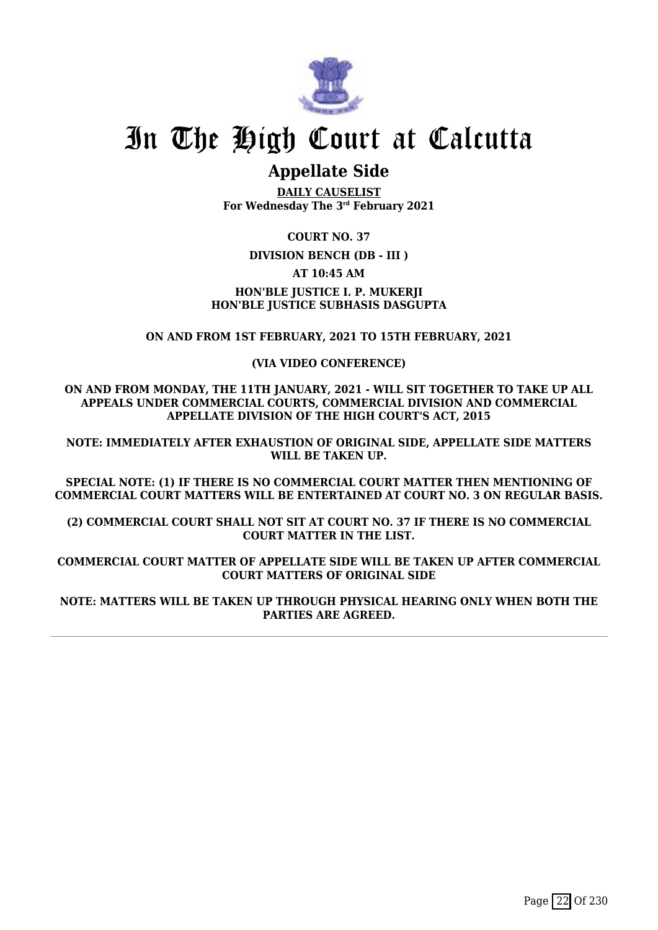

# **Appellate Side**

**DAILY CAUSELIST For Wednesday The 3rd February 2021**

**COURT NO. 37**

# **DIVISION BENCH (DB - III )**

**AT 10:45 AM**

# **HON'BLE JUSTICE I. P. MUKERJI HON'BLE JUSTICE SUBHASIS DASGUPTA**

# **ON AND FROM 1ST FEBRUARY, 2021 TO 15TH FEBRUARY, 2021**

## **(VIA VIDEO CONFERENCE)**

**ON AND FROM MONDAY, THE 11TH JANUARY, 2021 - WILL SIT TOGETHER TO TAKE UP ALL APPEALS UNDER COMMERCIAL COURTS, COMMERCIAL DIVISION AND COMMERCIAL APPELLATE DIVISION OF THE HIGH COURT'S ACT, 2015**

**NOTE: IMMEDIATELY AFTER EXHAUSTION OF ORIGINAL SIDE, APPELLATE SIDE MATTERS WILL BE TAKEN UP.**

**SPECIAL NOTE: (1) IF THERE IS NO COMMERCIAL COURT MATTER THEN MENTIONING OF COMMERCIAL COURT MATTERS WILL BE ENTERTAINED AT COURT NO. 3 ON REGULAR BASIS.**

**(2) COMMERCIAL COURT SHALL NOT SIT AT COURT NO. 37 IF THERE IS NO COMMERCIAL COURT MATTER IN THE LIST.**

**COMMERCIAL COURT MATTER OF APPELLATE SIDE WILL BE TAKEN UP AFTER COMMERCIAL COURT MATTERS OF ORIGINAL SIDE**

**NOTE: MATTERS WILL BE TAKEN UP THROUGH PHYSICAL HEARING ONLY WHEN BOTH THE PARTIES ARE AGREED.**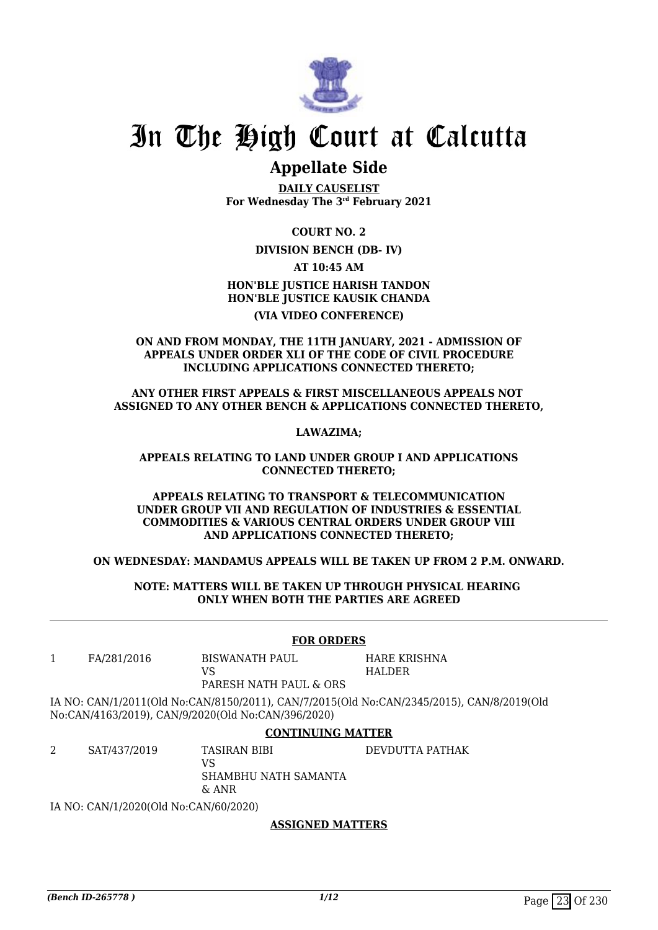

# **Appellate Side**

**DAILY CAUSELIST For Wednesday The 3rd February 2021**

## **COURT NO. 2**

**DIVISION BENCH (DB- IV)**

#### **AT 10:45 AM**

# **HON'BLE JUSTICE HARISH TANDON HON'BLE JUSTICE KAUSIK CHANDA (VIA VIDEO CONFERENCE)**

### **ON AND FROM MONDAY, THE 11TH JANUARY, 2021 - ADMISSION OF APPEALS UNDER ORDER XLI OF THE CODE OF CIVIL PROCEDURE INCLUDING APPLICATIONS CONNECTED THERETO;**

### **ANY OTHER FIRST APPEALS & FIRST MISCELLANEOUS APPEALS NOT ASSIGNED TO ANY OTHER BENCH & APPLICATIONS CONNECTED THERETO,**

## **LAWAZIMA;**

#### **APPEALS RELATING TO LAND UNDER GROUP I AND APPLICATIONS CONNECTED THERETO;**

#### **APPEALS RELATING TO TRANSPORT & TELECOMMUNICATION UNDER GROUP VII AND REGULATION OF INDUSTRIES & ESSENTIAL COMMODITIES & VARIOUS CENTRAL ORDERS UNDER GROUP VIII AND APPLICATIONS CONNECTED THERETO;**

### **ON WEDNESDAY: MANDAMUS APPEALS WILL BE TAKEN UP FROM 2 P.M. ONWARD.**

### **NOTE: MATTERS WILL BE TAKEN UP THROUGH PHYSICAL HEARING ONLY WHEN BOTH THE PARTIES ARE AGREED**

### **FOR ORDERS**

1 FA/281/2016 BISWANATH PAUL

VS

HARE KRISHNA HALDER

PARESH NATH PAUL & ORS

IA NO: CAN/1/2011(Old No:CAN/8150/2011), CAN/7/2015(Old No:CAN/2345/2015), CAN/8/2019(Old No:CAN/4163/2019), CAN/9/2020(Old No:CAN/396/2020)

# **CONTINUING MATTER**

2 SAT/437/2019 TASIRAN BIBI VS SHAMBHU NATH SAMANTA & ANR DEVDUTTA PATHAK

IA NO: CAN/1/2020(Old No:CAN/60/2020)

# **ASSIGNED MATTERS**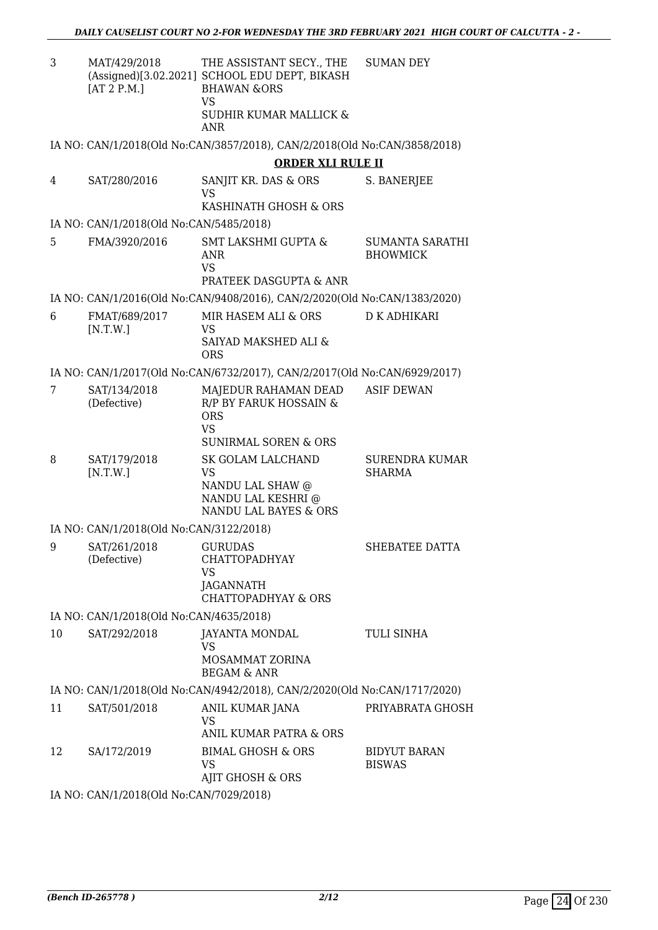| 3  | MAT/429/2018<br>[AT 2 P.M.]             | THE ASSISTANT SECY., THE<br>(Assigned)[3.02.2021] SCHOOL EDU DEPT, BIKASH<br><b>BHAWAN &amp;ORS</b><br><b>VS</b> | <b>SUMAN DEY</b>                       |
|----|-----------------------------------------|------------------------------------------------------------------------------------------------------------------|----------------------------------------|
|    |                                         | SUDHIR KUMAR MALLICK &<br><b>ANR</b>                                                                             |                                        |
|    |                                         | IA NO: CAN/1/2018(Old No:CAN/3857/2018), CAN/2/2018(Old No:CAN/3858/2018)                                        |                                        |
|    |                                         | <b>ORDER XLI RULE II</b>                                                                                         |                                        |
| 4  | SAT/280/2016                            | SANJIT KR. DAS & ORS<br><b>VS</b>                                                                                | S. BANERJEE                            |
|    |                                         | KASHINATH GHOSH & ORS                                                                                            |                                        |
|    | IA NO: CAN/1/2018(Old No:CAN/5485/2018) |                                                                                                                  |                                        |
| 5  | FMA/3920/2016                           | <b>SMT LAKSHMI GUPTA &amp;</b><br><b>ANR</b><br><b>VS</b><br><b>PRATEEK DASGUPTA &amp; ANR</b>                   | SUMANTA SARATHI<br><b>BHOWMICK</b>     |
|    |                                         | IA NO: CAN/1/2016(Old No:CAN/9408/2016), CAN/2/2020(Old No:CAN/1383/2020)                                        |                                        |
| 6  | FMAT/689/2017                           | MIR HASEM ALI & ORS                                                                                              | D K ADHIKARI                           |
|    | [N.T.W.]                                | VS<br>SAIYAD MAKSHED ALI &<br><b>ORS</b>                                                                         |                                        |
|    |                                         | IA NO: CAN/1/2017(Old No:CAN/6732/2017), CAN/2/2017(Old No:CAN/6929/2017)                                        |                                        |
| 7  | SAT/134/2018<br>(Defective)             | MAJEDUR RAHAMAN DEAD<br>R/P BY FARUK HOSSAIN &                                                                   | <b>ASIF DEWAN</b>                      |
|    |                                         | <b>ORS</b><br><b>VS</b><br><b>SUNIRMAL SOREN &amp; ORS</b>                                                       |                                        |
| 8  | SAT/179/2018<br>[N.T.W.]                | SK GOLAM LALCHAND<br><b>VS</b>                                                                                   | <b>SURENDRA KUMAR</b><br><b>SHARMA</b> |
|    |                                         | NANDU LAL SHAW @<br>NANDU LAL KESHRI @<br>NANDU LAL BAYES & ORS                                                  |                                        |
|    | IA NO: CAN/1/2018(Old No:CAN/3122/2018) |                                                                                                                  |                                        |
| 9  | SAT/261/2018<br>(Defective)             | <b>GURUDAS</b><br><b>CHATTOPADHYAY</b><br>VS<br><b>JAGANNATH</b>                                                 | SHEBATEE DATTA                         |
|    |                                         | <b>CHATTOPADHYAY &amp; ORS</b>                                                                                   |                                        |
|    | IA NO: CAN/1/2018(Old No:CAN/4635/2018) |                                                                                                                  |                                        |
| 10 | SAT/292/2018                            | JAYANTA MONDAL<br>VS                                                                                             | TULI SINHA                             |
|    |                                         | MOSAMMAT ZORINA<br><b>BEGAM &amp; ANR</b>                                                                        |                                        |
|    |                                         | IA NO: CAN/1/2018(Old No:CAN/4942/2018), CAN/2/2020(Old No:CAN/1717/2020)                                        |                                        |
| 11 | SAT/501/2018                            | ANIL KUMAR JANA<br><b>VS</b><br>ANIL KUMAR PATRA & ORS                                                           | PRIYABRATA GHOSH                       |
| 12 | SA/172/2019                             | <b>BIMAL GHOSH &amp; ORS</b>                                                                                     | <b>BIDYUT BARAN</b>                    |
|    |                                         | VS<br>AJIT GHOSH & ORS                                                                                           | <b>BISWAS</b>                          |

IA NO: CAN/1/2018(Old No:CAN/7029/2018)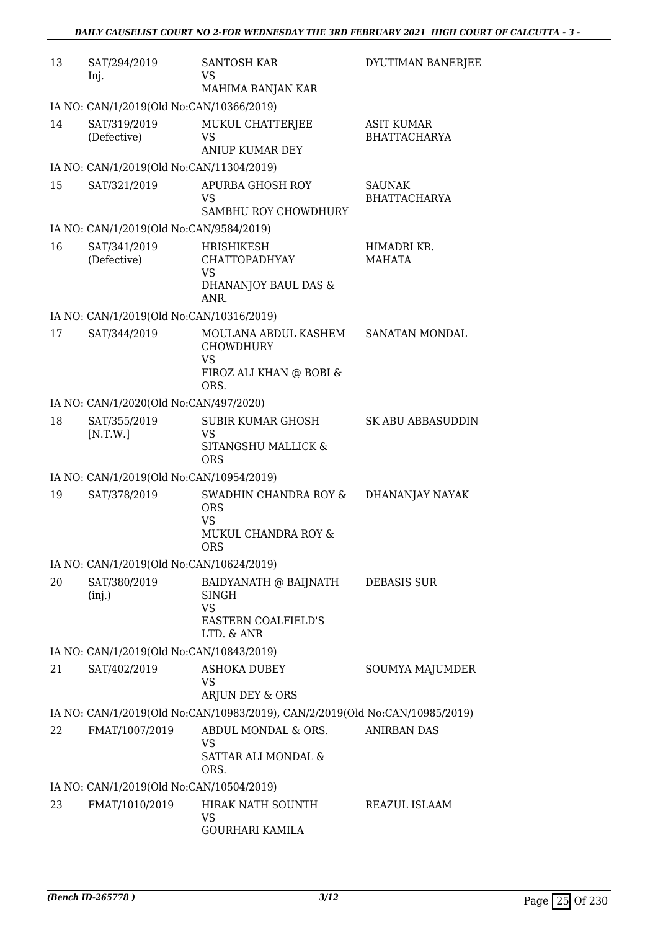| 13 | SAT/294/2019<br>Inj.                     | <b>SANTOSH KAR</b><br>VS                                                    | DYUTIMAN BANERJEE                        |
|----|------------------------------------------|-----------------------------------------------------------------------------|------------------------------------------|
|    |                                          | MAHIMA RANJAN KAR                                                           |                                          |
|    | IA NO: CAN/1/2019(Old No:CAN/10366/2019) |                                                                             |                                          |
| 14 | SAT/319/2019<br>(Defective)              | MUKUL CHATTERJEE<br>VS<br><b>ANIUP KUMAR DEY</b>                            | <b>ASIT KUMAR</b><br><b>BHATTACHARYA</b> |
|    | IA NO: CAN/1/2019(Old No:CAN/11304/2019) |                                                                             |                                          |
| 15 | SAT/321/2019                             | <b>APURBA GHOSH ROY</b>                                                     | <b>SAUNAK</b>                            |
|    |                                          | <b>VS</b><br>SAMBHU ROY CHOWDHURY                                           | <b>BHATTACHARYA</b>                      |
|    | IA NO: CAN/1/2019(Old No:CAN/9584/2019)  |                                                                             |                                          |
| 16 | SAT/341/2019<br>(Defective)              | HRISHIKESH<br><b>CHATTOPADHYAY</b><br>VS.<br>DHANANJOY BAUL DAS &<br>ANR.   | HIMADRI KR.<br>MAHATA                    |
|    | IA NO: CAN/1/2019(Old No:CAN/10316/2019) |                                                                             |                                          |
| 17 | SAT/344/2019                             | MOULANA ABDUL KASHEM<br><b>CHOWDHURY</b><br><b>VS</b>                       | SANATAN MONDAL                           |
|    |                                          | FIROZ ALI KHAN @ BOBI &<br>ORS.                                             |                                          |
|    | IA NO: CAN/1/2020(Old No:CAN/497/2020)   |                                                                             |                                          |
| 18 | SAT/355/2019<br>[N.T.W.]                 | <b>SUBIR KUMAR GHOSH</b><br><b>VS</b><br>SITANGSHU MALLICK &                | <b>SK ABU ABBASUDDIN</b>                 |
|    |                                          | <b>ORS</b>                                                                  |                                          |
|    | IA NO: CAN/1/2019(Old No:CAN/10954/2019) |                                                                             |                                          |
| 19 | SAT/378/2019                             | SWADHIN CHANDRA ROY &<br><b>ORS</b><br><b>VS</b>                            | DHANANJAY NAYAK                          |
|    |                                          | MUKUL CHANDRA ROY &<br>ORS                                                  |                                          |
|    | IA NO: CAN/1/2019(Old No:CAN/10624/2019) |                                                                             |                                          |
| 20 | SAT/380/2019<br>(inj.)                   | BAIDYANATH @ BAIJNATH<br><b>SINGH</b><br><b>VS</b>                          | DEBASIS SUR                              |
|    |                                          | <b>EASTERN COALFIELD'S</b><br>LTD. & ANR                                    |                                          |
|    | IA NO: CAN/1/2019(Old No:CAN/10843/2019) |                                                                             |                                          |
| 21 | SAT/402/2019                             | <b>ASHOKA DUBEY</b><br><b>VS</b><br>ARJUN DEY & ORS                         | SOUMYA MAJUMDER                          |
|    |                                          | IA NO: CAN/1/2019(Old No:CAN/10983/2019), CAN/2/2019(Old No:CAN/10985/2019) |                                          |
|    |                                          | ABDUL MONDAL & ORS.                                                         |                                          |
| 22 | FMAT/1007/2019                           | VS<br>SATTAR ALI MONDAL &<br>ORS.                                           | <b>ANIRBAN DAS</b>                       |
|    | IA NO: CAN/1/2019(Old No:CAN/10504/2019) |                                                                             |                                          |
| 23 | FMAT/1010/2019                           | HIRAK NATH SOUNTH<br>VS<br><b>GOURHARI KAMILA</b>                           | REAZUL ISLAAM                            |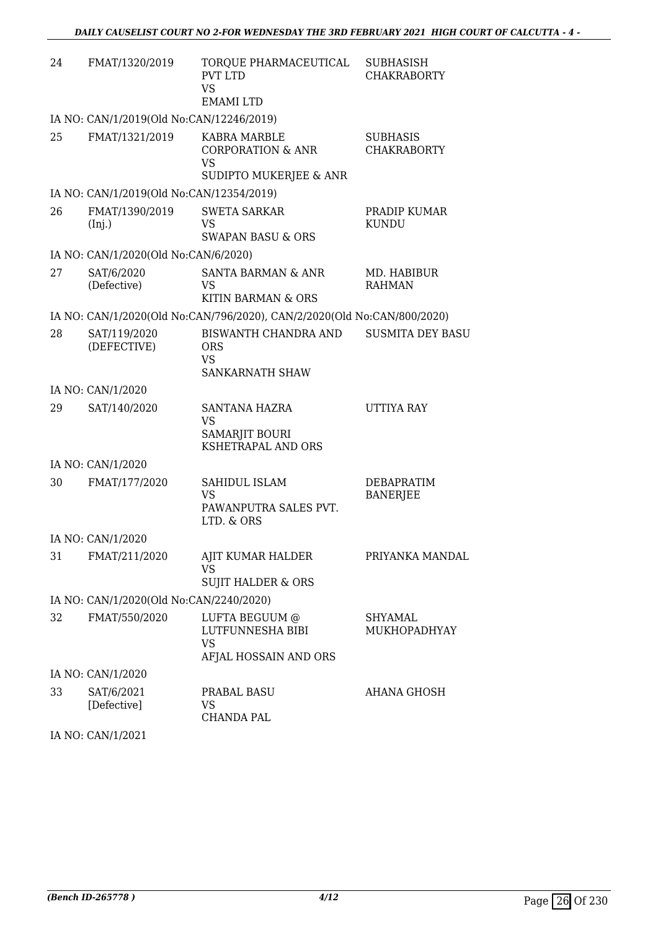| 24 | FMAT/1320/2019                           | TORQUE PHARMACEUTICAL<br><b>PVT LTD</b><br>VS<br><b>EMAMILTD</b>             | <b>SUBHASISH</b><br><b>CHAKRABORTY</b> |
|----|------------------------------------------|------------------------------------------------------------------------------|----------------------------------------|
|    | IA NO: CAN/1/2019(Old No:CAN/12246/2019) |                                                                              |                                        |
| 25 | FMAT/1321/2019                           | KABRA MARBLE<br><b>CORPORATION &amp; ANR</b><br>VS<br>SUDIPTO MUKERJEE & ANR | <b>SUBHASIS</b><br><b>CHAKRABORTY</b>  |
|    | IA NO: CAN/1/2019(Old No:CAN/12354/2019) |                                                                              |                                        |
| 26 | FMAT/1390/2019<br>(Inj.)                 | <b>SWETA SARKAR</b><br>VS<br><b>SWAPAN BASU &amp; ORS</b>                    | PRADIP KUMAR<br>KUNDU                  |
|    | IA NO: CAN/1/2020(Old No:CAN/6/2020)     |                                                                              |                                        |
| 27 | SAT/6/2020<br>(Defective)                | <b>SANTA BARMAN &amp; ANR</b><br>VS<br>KITIN BARMAN & ORS                    | MD. HABIBUR<br><b>RAHMAN</b>           |
|    |                                          | IA NO: CAN/1/2020(Old No:CAN/796/2020), CAN/2/2020(Old No:CAN/800/2020)      |                                        |
| 28 | SAT/119/2020<br>(DEFECTIVE)              | BISWANTH CHANDRA AND<br><b>ORS</b><br><b>VS</b><br>SANKARNATH SHAW           | <b>SUSMITA DEY BASU</b>                |
|    | IA NO: CAN/1/2020                        |                                                                              |                                        |
| 29 | SAT/140/2020                             | SANTANA HAZRA<br><b>VS</b><br>SAMARJIT BOURI<br>KSHETRAPAL AND ORS           | UTTIYA RAY                             |
|    | IA NO: CAN/1/2020                        |                                                                              |                                        |
| 30 | FMAT/177/2020                            | <b>SAHIDUL ISLAM</b><br><b>VS</b><br>PAWANPUTRA SALES PVT.<br>LTD. & ORS     | <b>DEBAPRATIM</b><br><b>BANERJEE</b>   |
|    | IA NO: CAN/1/2020                        |                                                                              |                                        |
| 31 | FMAT/211/2020                            | AJIT KUMAR HALDER<br>VS<br><b>SUJIT HALDER &amp; ORS</b>                     | PRIYANKA MANDAL                        |
|    | IA NO: CAN/1/2020(Old No:CAN/2240/2020)  |                                                                              |                                        |
| 32 | FMAT/550/2020                            | LUFTA BEGUUM @<br>LUTFUNNESHA BIBI<br>VS<br>AFJAL HOSSAIN AND ORS            | SHYAMAL<br>MUKHOPADHYAY                |
|    | IA NO: CAN/1/2020                        |                                                                              |                                        |
| 33 | SAT/6/2021<br>[Defective]                | PRABAL BASU<br>VS.<br><b>CHANDA PAL</b>                                      | AHANA GHOSH                            |

IA NO: CAN/1/2021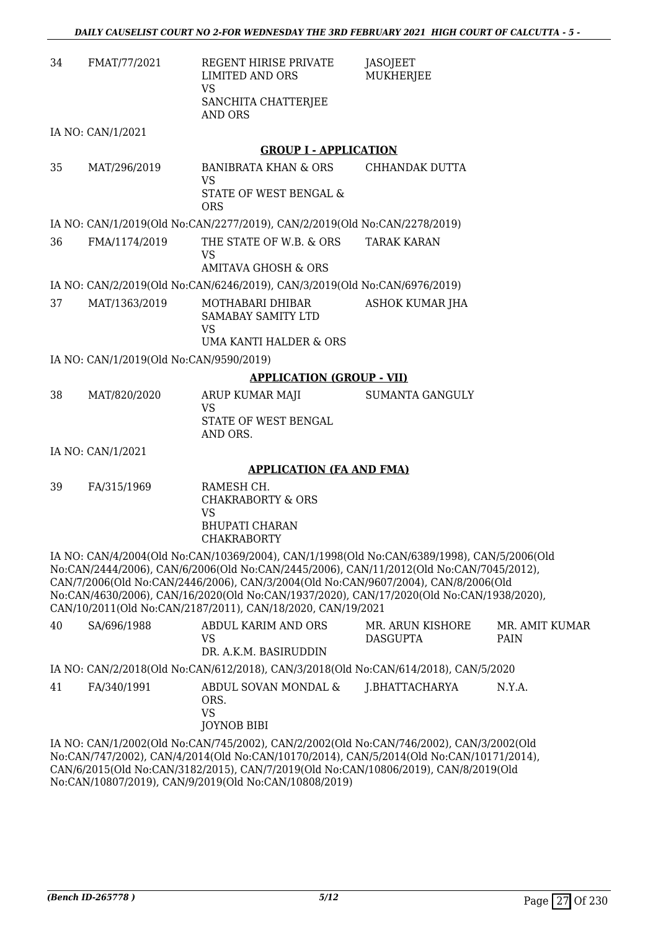| -34 | FMAT/77/2021      | REGENT HIRISE PRIVATE<br>LIMITED AND ORS<br>VS<br>SANCHITA CHATTERJEE<br>AND ORS | JASOJEET<br>MUKHERJEE |
|-----|-------------------|----------------------------------------------------------------------------------|-----------------------|
|     | IA NO: CAN/1/2021 |                                                                                  |                       |

**GROUP I - APPLICATION** 35 MAT/296/2019 BANIBRATA KHAN & ORS VS STATE OF WEST BENGAL & ORS CHHANDAK DUTTA

IA NO: CAN/1/2019(Old No:CAN/2277/2019), CAN/2/2019(Old No:CAN/2278/2019)

36 FMA/1174/2019 THE STATE OF W.B. & ORS VS AMITAVA GHOSH & ORS TARAK KARAN

IA NO: CAN/2/2019(Old No:CAN/6246/2019), CAN/3/2019(Old No:CAN/6976/2019)

37 MAT/1363/2019 MOTHABARI DHIBAR SAMABAY SAMITY LTD VS UMA KANTI HALDER & ORS ASHOK KUMAR JHA

IA NO: CAN/1/2019(Old No:CAN/9590/2019)

#### **APPLICATION (GROUP - VII)**

38 MAT/820/2020 ARUP KUMAR MAJI  $V<sup>2</sup>$ STATE OF WEST BENGAL AND ORS. SUMANTA GANGULY

IA NO: CAN/1/2021

#### **APPLICATION (FA AND FMA)**

39 FA/315/1969 RAMESH CH. CHAKRABORTY & ORS VS BHUPATI CHARAN CHAKRABORTY

IA NO: CAN/4/2004(Old No:CAN/10369/2004), CAN/1/1998(Old No:CAN/6389/1998), CAN/5/2006(Old No:CAN/2444/2006), CAN/6/2006(Old No:CAN/2445/2006), CAN/11/2012(Old No:CAN/7045/2012), CAN/7/2006(Old No:CAN/2446/2006), CAN/3/2004(Old No:CAN/9607/2004), CAN/8/2006(Old No:CAN/4630/2006), CAN/16/2020(Old No:CAN/1937/2020), CAN/17/2020(Old No:CAN/1938/2020), CAN/10/2011(Old No:CAN/2187/2011), CAN/18/2020, CAN/19/2021

| 40                                                                                                                                                                              | SA/696/1988 | ABDUL KARIM AND ORS<br>VS<br>DR. A.K.M. BASIRUDDIN                                  | MR. ARUN KISHORE<br><b>DASGUPTA</b> | MR. AMIT KUMAR<br><b>PAIN</b> |
|---------------------------------------------------------------------------------------------------------------------------------------------------------------------------------|-------------|-------------------------------------------------------------------------------------|-------------------------------------|-------------------------------|
|                                                                                                                                                                                 |             | IA NO: CAN/2/2018(Old No:CAN/612/2018), CAN/3/2018(Old No:CAN/614/2018), CAN/5/2020 |                                     |                               |
| 41                                                                                                                                                                              | FA/340/1991 | ABDUL SOVAN MONDAL &<br>ORS.<br>VS<br><b>JOYNOB BIBI</b>                            | J.BHATTACHARYA                      | N.Y.A.                        |
| IA NO: CAN/1/2002(Old No:CAN/745/2002), CAN/2/2002(Old No:CAN/746/2002), CAN/3/2002(Old<br>No:CAN/747/2002) CAN/4/2014(Old No:CAN/10170/2014) CAN/5/2014(Old No:CAN/10171/2014) |             |                                                                                     |                                     |                               |

No:CAN/747/2002), CAN/4/2014(Old No:CAN/10170/2014), CAN/5/2014(Old No:CAN/10171/2014), CAN/6/2015(Old No:CAN/3182/2015), CAN/7/2019(Old No:CAN/10806/2019), CAN/8/2019(Old No:CAN/10807/2019), CAN/9/2019(Old No:CAN/10808/2019)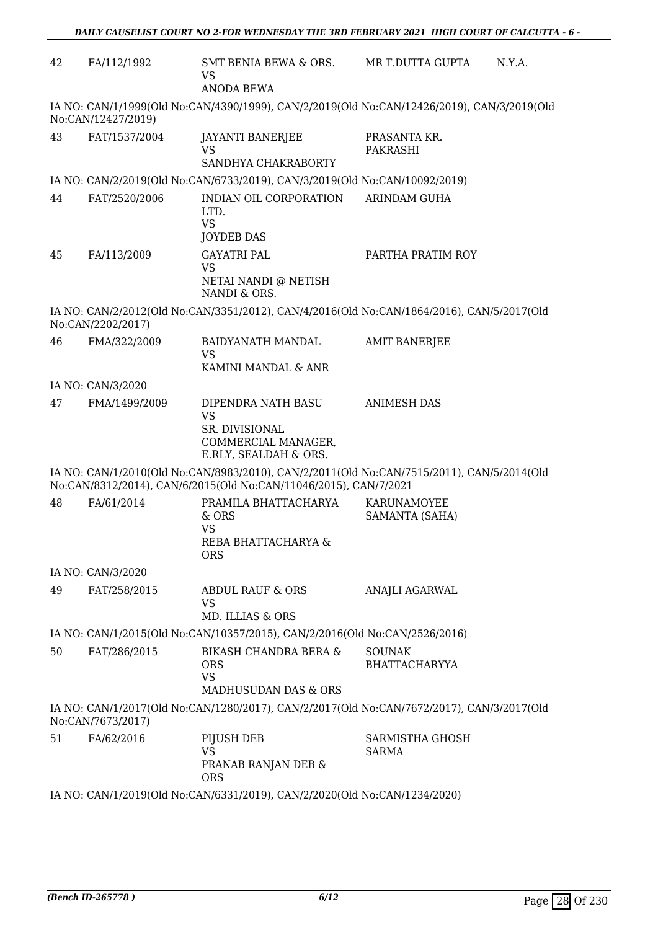| 42 | FA/112/1992                                                                                                      | SMT BENIA BEWA & ORS.<br>VS<br><b>ANODA BEWA</b>                                                  | MR T.DUTTA GUPTA<br>N.Y.A.                                                                |  |  |
|----|------------------------------------------------------------------------------------------------------------------|---------------------------------------------------------------------------------------------------|-------------------------------------------------------------------------------------------|--|--|
|    | IA NO: CAN/1/1999(Old No:CAN/4390/1999), CAN/2/2019(Old No:CAN/12426/2019), CAN/3/2019(Old<br>No:CAN/12427/2019) |                                                                                                   |                                                                                           |  |  |
| 43 | FAT/1537/2004                                                                                                    | <b>JAYANTI BANERJEE</b><br>VS<br>SANDHYA CHAKRABORTY                                              | PRASANTA KR.<br>PAKRASHI                                                                  |  |  |
|    |                                                                                                                  | IA NO: CAN/2/2019(Old No:CAN/6733/2019), CAN/3/2019(Old No:CAN/10092/2019)                        |                                                                                           |  |  |
| 44 | FAT/2520/2006                                                                                                    | INDIAN OIL CORPORATION<br>LTD.<br><b>VS</b><br><b>JOYDEB DAS</b>                                  | <b>ARINDAM GUHA</b>                                                                       |  |  |
| 45 | FA/113/2009                                                                                                      | <b>GAYATRI PAL</b><br>VS<br>NETAI NANDI @ NETISH<br>NANDI & ORS.                                  | PARTHA PRATIM ROY                                                                         |  |  |
|    | No:CAN/2202/2017)                                                                                                |                                                                                                   | IA NO: CAN/2/2012(Old No:CAN/3351/2012), CAN/4/2016(Old No:CAN/1864/2016), CAN/5/2017(Old |  |  |
| 46 | FMA/322/2009                                                                                                     | <b>BAIDYANATH MANDAL</b><br><b>VS</b><br>KAMINI MANDAL & ANR                                      | <b>AMIT BANERJEE</b>                                                                      |  |  |
|    | IA NO: CAN/3/2020                                                                                                |                                                                                                   |                                                                                           |  |  |
| 47 | FMA/1499/2009                                                                                                    | DIPENDRA NATH BASU<br><b>VS</b><br>SR. DIVISIONAL<br>COMMERCIAL MANAGER,<br>E.RLY, SEALDAH & ORS. | <b>ANIMESH DAS</b>                                                                        |  |  |
|    |                                                                                                                  | No:CAN/8312/2014), CAN/6/2015(Old No:CAN/11046/2015), CAN/7/2021                                  | IA NO: CAN/1/2010(Old No:CAN/8983/2010), CAN/2/2011(Old No:CAN/7515/2011), CAN/5/2014(Old |  |  |
| 48 | FA/61/2014                                                                                                       | PRAMILA BHATTACHARYA<br>& ORS<br><b>VS</b><br>REBA BHATTACHARYA &<br><b>ORS</b>                   | KARUNAMOYEE<br>SAMANTA (SAHA)                                                             |  |  |
|    | IA NO: CAN/3/2020                                                                                                |                                                                                                   |                                                                                           |  |  |
| 49 | FAT/258/2015                                                                                                     | ABDUL RAUF & ORS<br><b>VS</b><br>MD. ILLIAS & ORS                                                 | ANAJLI AGARWAL                                                                            |  |  |
|    |                                                                                                                  | IA NO: CAN/1/2015(Old No:CAN/10357/2015), CAN/2/2016(Old No:CAN/2526/2016)                        |                                                                                           |  |  |
| 50 | FAT/286/2015                                                                                                     | <b>BIKASH CHANDRA BERA &amp;</b><br><b>ORS</b><br><b>VS</b><br>MADHUSUDAN DAS & ORS               | <b>SOUNAK</b><br><b>BHATTACHARYYA</b>                                                     |  |  |
|    | No:CAN/7673/2017)                                                                                                |                                                                                                   | IA NO: CAN/1/2017(Old No:CAN/1280/2017), CAN/2/2017(Old No:CAN/7672/2017), CAN/3/2017(Old |  |  |
| 51 | FA/62/2016                                                                                                       | PIJUSH DEB<br>VS<br>PRANAB RANJAN DEB &<br><b>ORS</b>                                             | SARMISTHA GHOSH<br><b>SARMA</b>                                                           |  |  |

IA NO: CAN/1/2019(Old No:CAN/6331/2019), CAN/2/2020(Old No:CAN/1234/2020)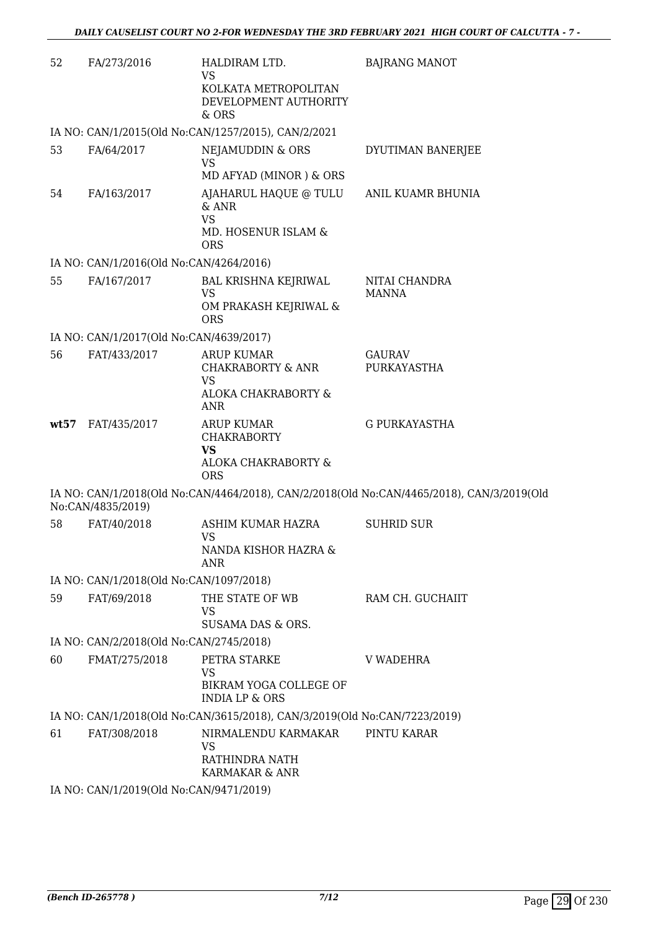| 52   | FA/273/2016                             | HALDIRAM LTD.<br><b>VS</b><br>KOLKATA METROPOLITAN<br>DEVELOPMENT AUTHORITY<br>$&$ ORS    | <b>BAJRANG MANOT</b>                                                                      |
|------|-----------------------------------------|-------------------------------------------------------------------------------------------|-------------------------------------------------------------------------------------------|
|      |                                         | IA NO: CAN/1/2015(Old No:CAN/1257/2015), CAN/2/2021                                       |                                                                                           |
| 53   | FA/64/2017                              | NEJAMUDDIN & ORS<br><b>VS</b><br>MD AFYAD (MINOR) & ORS                                   | DYUTIMAN BANERJEE                                                                         |
| 54   | FA/163/2017                             | AJAHARUL HAQUE @ TULU<br>& ANR<br><b>VS</b><br>MD. HOSENUR ISLAM &<br><b>ORS</b>          | ANIL KUAMR BHUNIA                                                                         |
|      | IA NO: CAN/1/2016(Old No:CAN/4264/2016) |                                                                                           |                                                                                           |
| 55   | FA/167/2017                             | <b>BAL KRISHNA KEJRIWAL</b><br><b>VS</b><br>OM PRAKASH KEJRIWAL &<br><b>ORS</b>           | NITAI CHANDRA<br><b>MANNA</b>                                                             |
|      | IA NO: CAN/1/2017(Old No:CAN/4639/2017) |                                                                                           |                                                                                           |
| 56   | FAT/433/2017                            | <b>ARUP KUMAR</b><br><b>CHAKRABORTY &amp; ANR</b><br><b>VS</b>                            | GAURAV<br>PURKAYASTHA                                                                     |
|      |                                         | ALOKA CHAKRABORTY &<br><b>ANR</b>                                                         |                                                                                           |
| wt57 | FAT/435/2017                            | <b>ARUP KUMAR</b><br><b>CHAKRABORTY</b><br><b>VS</b><br>ALOKA CHAKRABORTY &<br><b>ORS</b> | <b>G PURKAYASTHA</b>                                                                      |
|      | No:CAN/4835/2019)                       |                                                                                           | IA NO: CAN/1/2018(Old No:CAN/4464/2018), CAN/2/2018(Old No:CAN/4465/2018), CAN/3/2019(Old |
| 58   | FAT/40/2018                             | ASHIM KUMAR HAZRA<br><b>VS</b><br>NANDA KISHOR HAZRA &<br>ANR                             | <b>SUHRID SUR</b>                                                                         |
|      | IA NO: CAN/1/2018(Old No:CAN/1097/2018) |                                                                                           |                                                                                           |
| 59   | FAT/69/2018                             | THE STATE OF WB<br>VS<br>SUSAMA DAS & ORS.                                                | RAM CH. GUCHAIIT                                                                          |
|      | IA NO: CAN/2/2018(Old No:CAN/2745/2018) |                                                                                           |                                                                                           |
| 60   | FMAT/275/2018                           | PETRA STARKE                                                                              | V WADEHRA                                                                                 |
|      |                                         | <b>VS</b><br>BIKRAM YOGA COLLEGE OF<br><b>INDIA LP &amp; ORS</b>                          |                                                                                           |
|      |                                         | IA NO: CAN/1/2018(Old No:CAN/3615/2018), CAN/3/2019(Old No:CAN/7223/2019)                 |                                                                                           |
| 61   | FAT/308/2018                            | NIRMALENDU KARMAKAR<br>VS<br>RATHINDRA NATH<br>KARMAKAR & ANR                             | PINTU KARAR                                                                               |
|      | IA NO: CAN/1/2019(Old No:CAN/9471/2019) |                                                                                           |                                                                                           |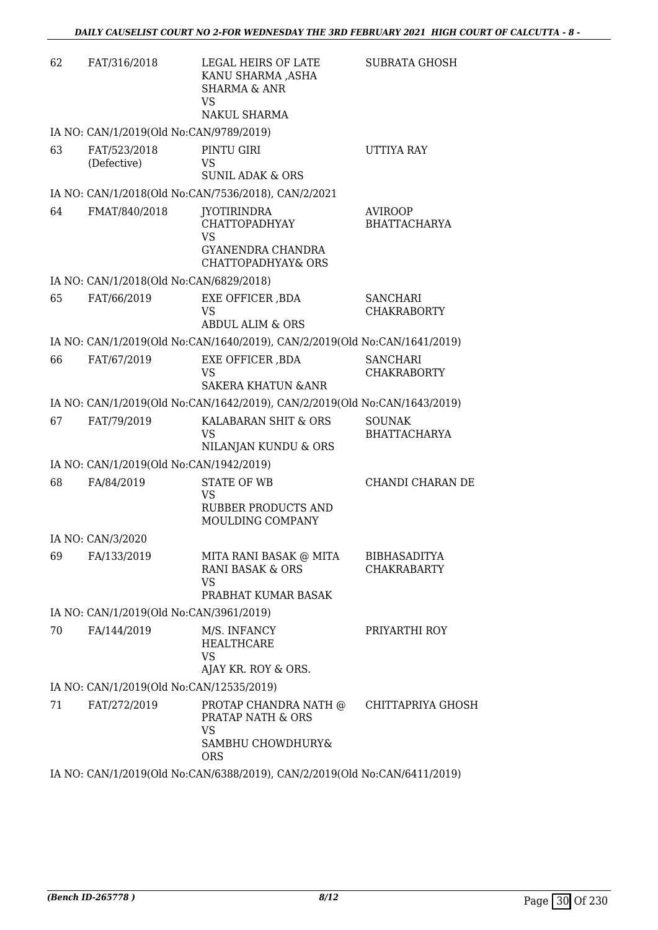| 62 | FAT/316/2018                             | LEGAL HEIRS OF LATE<br>KANU SHARMA ,ASHA<br><b>SHARMA &amp; ANR</b><br><b>VS</b><br>NAKUL SHARMA       | <b>SUBRATA GHOSH</b>                      |
|----|------------------------------------------|--------------------------------------------------------------------------------------------------------|-------------------------------------------|
|    | IA NO: CAN/1/2019(Old No:CAN/9789/2019)  |                                                                                                        |                                           |
| 63 | FAT/523/2018<br>(Defective)              | PINTU GIRI<br><b>VS</b><br><b>SUNIL ADAK &amp; ORS</b>                                                 | UTTIYA RAY                                |
|    |                                          | IA NO: CAN/1/2018(Old No:CAN/7536/2018), CAN/2/2021                                                    |                                           |
| 64 | FMAT/840/2018                            | JYOTIRINDRA<br><b>CHATTOPADHYAY</b><br><b>VS</b><br>GYANENDRA CHANDRA<br><b>CHATTOPADHYAY&amp; ORS</b> | <b>AVIROOP</b><br><b>BHATTACHARYA</b>     |
|    | IA NO: CAN/1/2018(Old No:CAN/6829/2018)  |                                                                                                        |                                           |
| 65 | FAT/66/2019                              | EXE OFFICER , BDA<br>VS<br>ABDUL ALIM & ORS                                                            | SANCHARI<br><b>CHAKRABORTY</b>            |
|    |                                          | IA NO: CAN/1/2019(Old No:CAN/1640/2019), CAN/2/2019(Old No:CAN/1641/2019)                              |                                           |
| 66 | FAT/67/2019                              | EXE OFFICER , BDA<br><b>VS</b><br><b>SAKERA KHATUN &amp; ANR</b>                                       | <b>SANCHARI</b><br><b>CHAKRABORTY</b>     |
|    |                                          | IA NO: CAN/1/2019(Old No:CAN/1642/2019), CAN/2/2019(Old No:CAN/1643/2019)                              |                                           |
| 67 | FAT/79/2019                              | KALABARAN SHIT & ORS<br><b>VS</b><br>NILANJAN KUNDU & ORS                                              | <b>SOUNAK</b><br><b>BHATTACHARYA</b>      |
|    | IA NO: CAN/1/2019(Old No:CAN/1942/2019)  |                                                                                                        |                                           |
| 68 | FA/84/2019                               | STATE OF WB<br>VS<br>RUBBER PRODUCTS AND<br>MOULDING COMPANY                                           | CHANDI CHARAN DE                          |
|    | IA NO: CAN/3/2020                        |                                                                                                        |                                           |
| 69 | FA/133/2019                              | MITA RANI BASAK @ MITA<br>RANI BASAK & ORS<br><b>VS</b><br>PRABHAT KUMAR BASAK                         | <b>BIBHASADITYA</b><br><b>CHAKRABARTY</b> |
|    | IA NO: CAN/1/2019(Old No:CAN/3961/2019)  |                                                                                                        |                                           |
| 70 | FA/144/2019                              | M/S. INFANCY<br><b>HEALTHCARE</b><br><b>VS</b><br>AJAY KR. ROY & ORS.                                  | PRIYARTHI ROY                             |
|    | IA NO: CAN/1/2019(Old No:CAN/12535/2019) |                                                                                                        |                                           |
| 71 | FAT/272/2019                             | PROTAP CHANDRA NATH @<br>PRATAP NATH & ORS<br>VS<br>SAMBHU CHOWDHURY&<br><b>ORS</b>                    | CHITTAPRIYA GHOSH                         |
|    |                                          | IA NO: CAN/1/2019(Old No:CAN/6388/2019), CAN/2/2019(Old No:CAN/6411/2019)                              |                                           |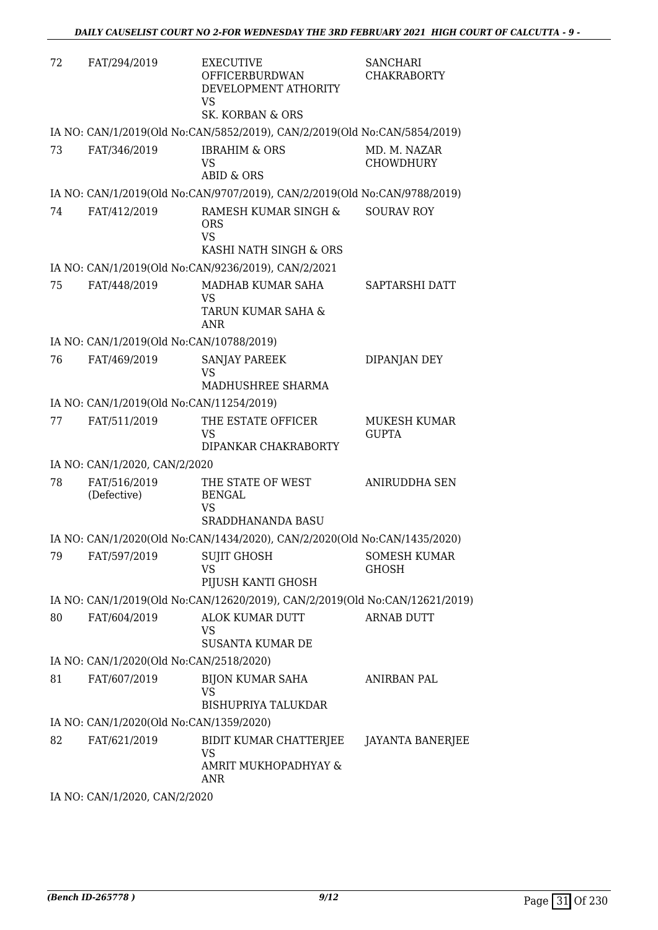| 72 | FAT/294/2019                             | <b>EXECUTIVE</b><br><b>OFFICERBURDWAN</b><br>DEVELOPMENT ATHORITY<br>VS<br>SK. KORBAN & ORS | <b>SANCHARI</b><br><b>CHAKRABORTY</b> |
|----|------------------------------------------|---------------------------------------------------------------------------------------------|---------------------------------------|
|    |                                          | IA NO: CAN/1/2019(Old No:CAN/5852/2019), CAN/2/2019(Old No:CAN/5854/2019)                   |                                       |
| 73 | FAT/346/2019                             | <b>IBRAHIM &amp; ORS</b><br>VS<br>ABID & ORS                                                | MD. M. NAZAR<br><b>CHOWDHURY</b>      |
|    |                                          | IA NO: CAN/1/2019(Old No:CAN/9707/2019), CAN/2/2019(Old No:CAN/9788/2019)                   |                                       |
| 74 | FAT/412/2019                             | RAMESH KUMAR SINGH &<br><b>ORS</b><br><b>VS</b>                                             | <b>SOURAV ROY</b>                     |
|    |                                          | KASHI NATH SINGH & ORS                                                                      |                                       |
| 75 | FAT/448/2019                             | IA NO: CAN/1/2019(Old No:CAN/9236/2019), CAN/2/2021<br>MADHAB KUMAR SAHA<br>VS              | SAPTARSHI DATT                        |
|    |                                          | TARUN KUMAR SAHA &<br><b>ANR</b>                                                            |                                       |
|    | IA NO: CAN/1/2019(Old No:CAN/10788/2019) |                                                                                             |                                       |
| 76 | FAT/469/2019                             | <b>SANJAY PAREEK</b><br><b>VS</b><br>MADHUSHREE SHARMA                                      | DIPANJAN DEY                          |
|    | IA NO: CAN/1/2019(Old No:CAN/11254/2019) |                                                                                             |                                       |
| 77 | FAT/511/2019                             | THE ESTATE OFFICER<br>VS<br>DIPANKAR CHAKRABORTY                                            | MUKESH KUMAR<br><b>GUPTA</b>          |
|    | IA NO: CAN/1/2020, CAN/2/2020            |                                                                                             |                                       |
| 78 | FAT/516/2019<br>(Defective)              | THE STATE OF WEST<br><b>BENGAL</b><br>VS<br>SRADDHANANDA BASU                               | ANIRUDDHA SEN                         |
|    |                                          | IA NO: CAN/1/2020(Old No:CAN/1434/2020), CAN/2/2020(Old No:CAN/1435/2020)                   |                                       |
| 79 | FAT/597/2019                             | <b>SUJIT GHOSH</b><br><b>VS</b><br>PIJUSH KANTI GHOSH                                       | SOMESH KUMAR<br><b>GHOSH</b>          |
|    |                                          | IA NO: CAN/1/2019(Old No:CAN/12620/2019), CAN/2/2019(Old No:CAN/12621/2019)                 |                                       |
| 80 | FAT/604/2019                             | ALOK KUMAR DUTT<br>VS.                                                                      | <b>ARNAB DUTT</b>                     |
|    | IA NO: CAN/1/2020(Old No:CAN/2518/2020)  | <b>SUSANTA KUMAR DE</b>                                                                     |                                       |
| 81 | FAT/607/2019                             | <b>BIJON KUMAR SAHA</b>                                                                     | <b>ANIRBAN PAL</b>                    |
|    |                                          | VS<br><b>BISHUPRIYA TALUKDAR</b>                                                            |                                       |
|    | IA NO: CAN/1/2020(Old No:CAN/1359/2020)  |                                                                                             |                                       |
| 82 | FAT/621/2019                             | BIDIT KUMAR CHATTERJEE<br><b>VS</b><br>AMRIT MUKHOPADHYAY &<br>ANR                          | JAYANTA BANERJEE                      |
|    | IA NO: CAN/1/2020, CAN/2/2020            |                                                                                             |                                       |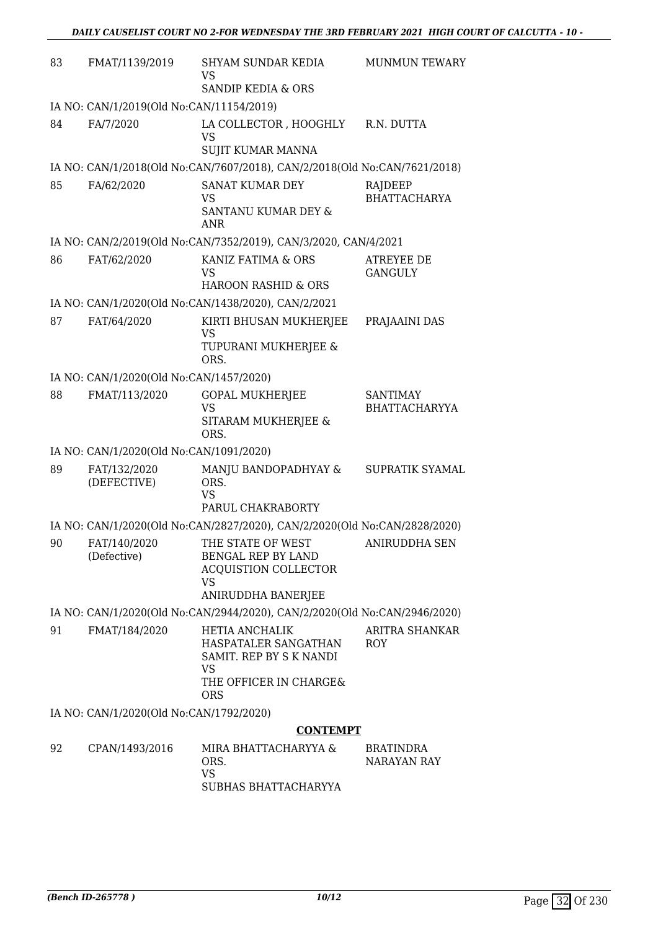| 83                                                                        | FMAT/1139/2019                           | SHYAM SUNDAR KEDIA<br>VS<br>SANDIP KEDIA & ORS                                                                          | <b>MUNMUN TEWARY</b>                    |  |
|---------------------------------------------------------------------------|------------------------------------------|-------------------------------------------------------------------------------------------------------------------------|-----------------------------------------|--|
|                                                                           | IA NO: CAN/1/2019(Old No:CAN/11154/2019) |                                                                                                                         |                                         |  |
| 84                                                                        | FA/7/2020                                | LA COLLECTOR , HOOGHLY<br>VS<br>SUJIT KUMAR MANNA                                                                       | R.N. DUTTA                              |  |
|                                                                           |                                          | IA NO: CAN/1/2018(Old No:CAN/7607/2018), CAN/2/2018(Old No:CAN/7621/2018)                                               |                                         |  |
| 85                                                                        | FA/62/2020                               | <b>SANAT KUMAR DEY</b><br>VS<br>SANTANU KUMAR DEY &<br>ANR                                                              | RAJDEEP<br><b>BHATTACHARYA</b>          |  |
|                                                                           |                                          | IA NO: CAN/2/2019(Old No:CAN/7352/2019), CAN/3/2020, CAN/4/2021                                                         |                                         |  |
| 86                                                                        | FAT/62/2020                              | KANIZ FATIMA & ORS<br>VS<br><b>HAROON RASHID &amp; ORS</b>                                                              | ATREYEE DE<br><b>GANGULY</b>            |  |
|                                                                           |                                          | IA NO: CAN/1/2020(Old No:CAN/1438/2020), CAN/2/2021                                                                     |                                         |  |
| 87                                                                        | FAT/64/2020                              | KIRTI BHUSAN MUKHERJEE<br>VS<br>TUPURANI MUKHERJEE &<br>ORS.                                                            | PRAJAAINI DAS                           |  |
|                                                                           | IA NO: CAN/1/2020(Old No:CAN/1457/2020)  |                                                                                                                         |                                         |  |
| 88                                                                        | FMAT/113/2020                            | <b>GOPAL MUKHERJEE</b><br>VS<br>SITARAM MUKHERJEE &<br>ORS.                                                             | <b>SANTIMAY</b><br><b>BHATTACHARYYA</b> |  |
|                                                                           | IA NO: CAN/1/2020(Old No:CAN/1091/2020)  |                                                                                                                         |                                         |  |
| 89                                                                        | FAT/132/2020<br>(DEFECTIVE)              | MANJU BANDOPADHYAY &<br>ORS.<br>VS<br>PARUL CHAKRABORTY                                                                 | SUPRATIK SYAMAL                         |  |
|                                                                           |                                          | IA NO: CAN/1/2020(Old No:CAN/2827/2020), CAN/2/2020(Old No:CAN/2828/2020)                                               |                                         |  |
|                                                                           | 90 FAT/140/2020<br>(Defective)           | THE STATE OF WEST ANIRUDDHA SEN<br>BENGAL REP BY LAND<br><b>ACQUISTION COLLECTOR</b><br><b>VS</b><br>ANIRUDDHA BANERJEE |                                         |  |
| IA NO: CAN/1/2020(Old No:CAN/2944/2020), CAN/2/2020(Old No:CAN/2946/2020) |                                          |                                                                                                                         |                                         |  |
| 91                                                                        | FMAT/184/2020                            | HETIA ANCHALIK<br>HASPATALER SANGATHAN<br>SAMIT. REP BY S K NANDI<br><b>VS</b><br>THE OFFICER IN CHARGE&<br><b>ORS</b>  | <b>ARITRA SHANKAR</b><br>ROY            |  |
| IA NO: CAN/1/2020(Old No:CAN/1792/2020)                                   |                                          |                                                                                                                         |                                         |  |
|                                                                           | <b>CONTEMPT</b>                          |                                                                                                                         |                                         |  |
| 92                                                                        | CPAN/1493/2016                           | MIRA BHATTACHARYYA &<br>ORS.<br><b>VS</b>                                                                               | <b>BRATINDRA</b><br>NARAYAN RAY         |  |

SUBHAS BHATTACHARYYA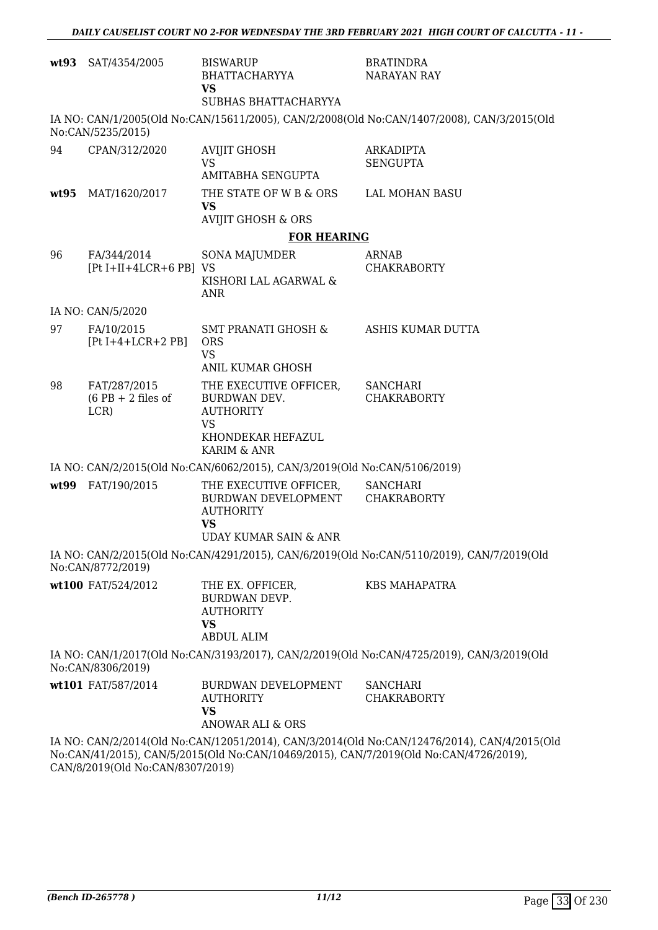|      | wt93 SAT/4354/2005                          | <b>BISWARUP</b><br><b>BHATTACHARYYA</b><br><b>VS</b><br>SUBHAS BHATTACHARYYA                                        | <b>BRATINDRA</b><br><b>NARAYAN RAY</b>                                                                                                                                               |
|------|---------------------------------------------|---------------------------------------------------------------------------------------------------------------------|--------------------------------------------------------------------------------------------------------------------------------------------------------------------------------------|
|      | No:CAN/5235/2015)                           |                                                                                                                     | IA NO: CAN/1/2005(Old No:CAN/15611/2005), CAN/2/2008(Old No:CAN/1407/2008), CAN/3/2015(Old                                                                                           |
| 94   | CPAN/312/2020                               | <b>AVIJIT GHOSH</b><br><b>VS</b><br>AMITABHA SENGUPTA                                                               | <b>ARKADIPTA</b><br><b>SENGUPTA</b>                                                                                                                                                  |
| wt95 | MAT/1620/2017                               | THE STATE OF W B & ORS<br><b>VS</b><br><b>AVIJIT GHOSH &amp; ORS</b>                                                | <b>LAL MOHAN BASU</b>                                                                                                                                                                |
|      |                                             | <b>FOR HEARING</b>                                                                                                  |                                                                                                                                                                                      |
| 96   | FA/344/2014<br>[Pt I+II+4LCR+6 PB] VS       | <b>SONA MAJUMDER</b><br>KISHORI LAL AGARWAL &<br>ANR                                                                | ARNAB<br><b>CHAKRABORTY</b>                                                                                                                                                          |
|      | IA NO: CAN/5/2020                           |                                                                                                                     |                                                                                                                                                                                      |
| 97   | FA/10/2015<br>$[Pt I+4+LCR+2 PB]$           | SMT PRANATI GHOSH &<br><b>ORS</b><br><b>VS</b><br>ANIL KUMAR GHOSH                                                  | ASHIS KUMAR DUTTA                                                                                                                                                                    |
| 98   | FAT/287/2015<br>$(6$ PB + 2 files of<br>LCR | THE EXECUTIVE OFFICER,<br>BURDWAN DEV.<br><b>AUTHORITY</b><br><b>VS</b><br>KHONDEKAR HEFAZUL<br>KARIM & ANR         | SANCHARI<br><b>CHAKRABORTY</b>                                                                                                                                                       |
|      |                                             | IA NO: CAN/2/2015(Old No:CAN/6062/2015), CAN/3/2019(Old No:CAN/5106/2019)                                           |                                                                                                                                                                                      |
| wt99 | FAT/190/2015                                | THE EXECUTIVE OFFICER,<br>BURDWAN DEVELOPMENT CHAKRABORTY<br><b>AUTHORITY</b><br><b>VS</b><br>UDAY KUMAR SAIN & ANR | <b>SANCHARI</b>                                                                                                                                                                      |
|      | No:CAN/8772/2019)                           |                                                                                                                     | IA NO: CAN/2/2015(Old No:CAN/4291/2015), CAN/6/2019(Old No:CAN/5110/2019), CAN/7/2019(Old                                                                                            |
|      | wt100 FAT/524/2012                          | THE EX. OFFICER,<br>BURDWAN DEVP.<br><b>AUTHORITY</b><br><b>VS</b><br>ABDUL ALIM                                    | <b>KBS MAHAPATRA</b>                                                                                                                                                                 |
|      | No:CAN/8306/2019)                           |                                                                                                                     | IA NO: CAN/1/2017(Old No:CAN/3193/2017), CAN/2/2019(Old No:CAN/4725/2019), CAN/3/2019(Old                                                                                            |
|      | wt101 FAT/587/2014                          | BURDWAN DEVELOPMENT<br><b>AUTHORITY</b><br><b>VS</b><br>ANOWAR ALI & ORS                                            | <b>SANCHARI</b><br><b>CHAKRABORTY</b>                                                                                                                                                |
|      |                                             |                                                                                                                     | IA NO: CAN/2/2014(Old No:CAN/12051/2014), CAN/3/2014(Old No:CAN/12476/2014), CAN/4/2015(Old<br>No:CAN/41/2015), CAN/5/2015(Old No:CAN/10469/2015), CAN/7/2019(Old No:CAN/4726/2019), |

CAN/8/2019(Old No:CAN/8307/2019)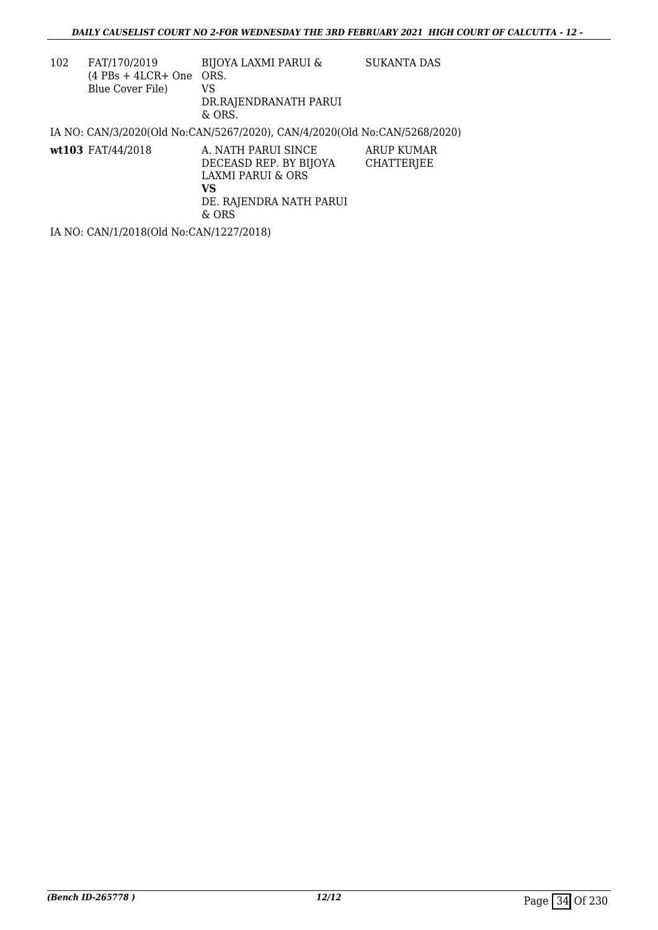| 102 | FAT/170/2019<br>$(4$ PBs + 4LCR+ One ORS.<br>Blue Cover File) | <b>BIJOYA LAXMI PARUI &amp;</b><br>VS<br>DR.RAJENDRANATH PARUI<br>& ORS.                                     | SUKANTA DAS              |
|-----|---------------------------------------------------------------|--------------------------------------------------------------------------------------------------------------|--------------------------|
|     |                                                               | IA NO: CAN/3/2020(Old No:CAN/5267/2020), CAN/4/2020(Old No:CAN/5268/2020)                                    |                          |
|     | wt103 $FAT/44/2018$                                           | A. NATH PARUI SINCE<br>DECEASD REP. BY BIJOYA<br>LAXMI PARUI & ORS<br>VS<br>DE. RAJENDRA NATH PARUI<br>& ORS | ARUP KUMAR<br>CHATTERJEE |

IA NO: CAN/1/2018(Old No:CAN/1227/2018)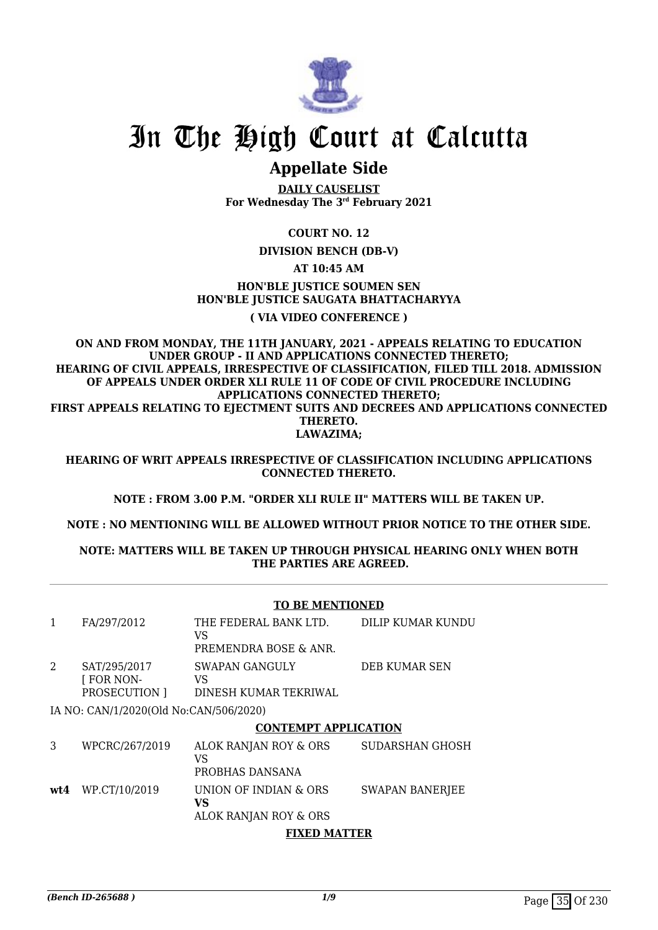

# In The High Court at Calcutta

# **Appellate Side**

**DAILY CAUSELIST For Wednesday The 3rd February 2021**

## **COURT NO. 12**

**DIVISION BENCH (DB-V)**

### **AT 10:45 AM**

## **HON'BLE JUSTICE SOUMEN SEN HON'BLE JUSTICE SAUGATA BHATTACHARYYA**

#### **( VIA VIDEO CONFERENCE )**

**ON AND FROM MONDAY, THE 11TH JANUARY, 2021 - APPEALS RELATING TO EDUCATION UNDER GROUP - II AND APPLICATIONS CONNECTED THERETO; HEARING OF CIVIL APPEALS, IRRESPECTIVE OF CLASSIFICATION, FILED TILL 2018. ADMISSION OF APPEALS UNDER ORDER XLI RULE 11 OF CODE OF CIVIL PROCEDURE INCLUDING APPLICATIONS CONNECTED THERETO; FIRST APPEALS RELATING TO EJECTMENT SUITS AND DECREES AND APPLICATIONS CONNECTED THERETO. LAWAZIMA;**

**HEARING OF WRIT APPEALS IRRESPECTIVE OF CLASSIFICATION INCLUDING APPLICATIONS CONNECTED THERETO.**

**NOTE : FROM 3.00 P.M. "ORDER XLI RULE II" MATTERS WILL BE TAKEN UP.**

**NOTE : NO MENTIONING WILL BE ALLOWED WITHOUT PRIOR NOTICE TO THE OTHER SIDE.**

#### **NOTE: MATTERS WILL BE TAKEN UP THROUGH PHYSICAL HEARING ONLY WHEN BOTH THE PARTIES ARE AGREED.**

#### **TO BE MENTIONED** 1 FA/297/2012 THE FEDERAL BANK LTD. VS PREMENDRA BOSE & ANR. DILIP KUMAR KUNDU 2 SAT/295/2017 [ FOR NON-PROSECUTION ] SWAPAN GANGULY VS DINESH KUMAR TEKRIWAL DEB KUMAR SEN IA NO: CAN/1/2020(Old No:CAN/506/2020) **CONTEMPT APPLICATION** 3 WPCRC/267/2019 ALOK RANJAN ROY & ORS VS PROBHAS DANSANA SUDARSHAN GHOSH **wt4** WP.CT/10/2019 UNION OF INDIAN & ORS **VS** ALOK RANJAN ROY & ORS SWAPAN BANERJEE **FIXED MATTER**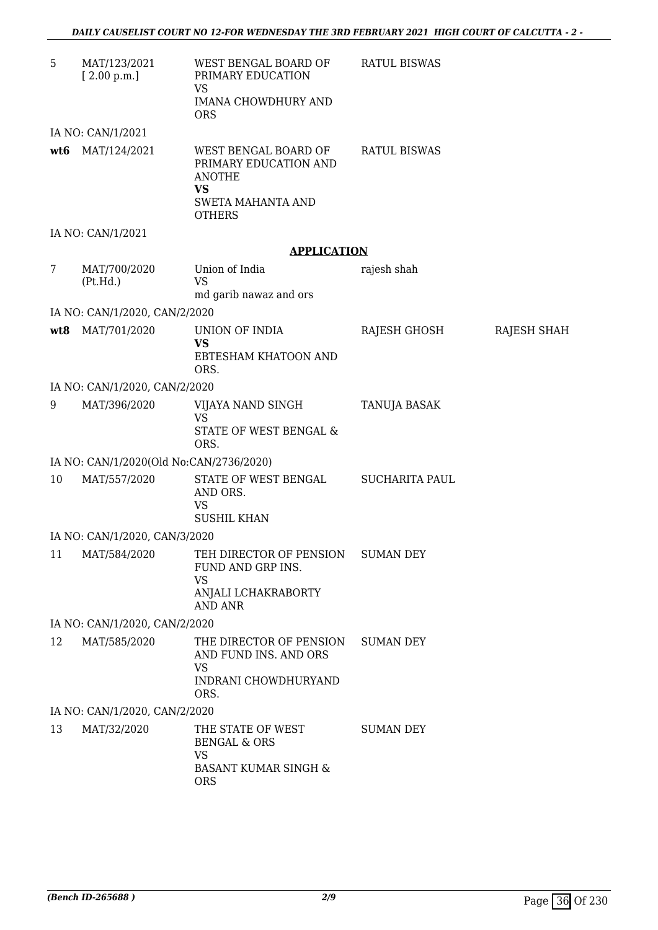| MAT/123/2021<br>[2.00 p.m.] | WEST BENGAL BOARD OF<br>PRIMARY EDUCATION<br><b>VS</b><br><b>IMANA CHOWDHURY AND</b>                       | <b>RATUL BISWAS</b>                                                                                                                                                                                                                                                                                                                                                                                                                   |                                                                                 |
|-----------------------------|------------------------------------------------------------------------------------------------------------|---------------------------------------------------------------------------------------------------------------------------------------------------------------------------------------------------------------------------------------------------------------------------------------------------------------------------------------------------------------------------------------------------------------------------------------|---------------------------------------------------------------------------------|
|                             | <b>ORS</b>                                                                                                 |                                                                                                                                                                                                                                                                                                                                                                                                                                       |                                                                                 |
| IA NO: CAN/1/2021           |                                                                                                            |                                                                                                                                                                                                                                                                                                                                                                                                                                       |                                                                                 |
| MAT/124/2021                | WEST BENGAL BOARD OF<br>PRIMARY EDUCATION AND<br><b>ANOTHE</b><br><b>VS</b>                                | <b>RATUL BISWAS</b>                                                                                                                                                                                                                                                                                                                                                                                                                   |                                                                                 |
|                             | <b>OTHERS</b>                                                                                              |                                                                                                                                                                                                                                                                                                                                                                                                                                       |                                                                                 |
| IA NO: CAN/1/2021           |                                                                                                            |                                                                                                                                                                                                                                                                                                                                                                                                                                       |                                                                                 |
|                             |                                                                                                            |                                                                                                                                                                                                                                                                                                                                                                                                                                       |                                                                                 |
| MAT/700/2020<br>(Pt.Hd.)    | Union of India<br><b>VS</b>                                                                                | rajesh shah                                                                                                                                                                                                                                                                                                                                                                                                                           |                                                                                 |
|                             |                                                                                                            |                                                                                                                                                                                                                                                                                                                                                                                                                                       |                                                                                 |
|                             |                                                                                                            |                                                                                                                                                                                                                                                                                                                                                                                                                                       |                                                                                 |
|                             |                                                                                                            |                                                                                                                                                                                                                                                                                                                                                                                                                                       | RAJESH SHAH                                                                     |
|                             | EBTESHAM KHATOON AND<br>ORS.                                                                               |                                                                                                                                                                                                                                                                                                                                                                                                                                       |                                                                                 |
|                             |                                                                                                            |                                                                                                                                                                                                                                                                                                                                                                                                                                       |                                                                                 |
| MAT/396/2020                | VIJAYA NAND SINGH<br><b>VS</b><br>STATE OF WEST BENGAL &                                                   | TANUJA BASAK                                                                                                                                                                                                                                                                                                                                                                                                                          |                                                                                 |
|                             |                                                                                                            |                                                                                                                                                                                                                                                                                                                                                                                                                                       |                                                                                 |
|                             |                                                                                                            |                                                                                                                                                                                                                                                                                                                                                                                                                                       |                                                                                 |
|                             | AND ORS.<br>VS                                                                                             |                                                                                                                                                                                                                                                                                                                                                                                                                                       |                                                                                 |
|                             |                                                                                                            |                                                                                                                                                                                                                                                                                                                                                                                                                                       |                                                                                 |
|                             |                                                                                                            |                                                                                                                                                                                                                                                                                                                                                                                                                                       |                                                                                 |
|                             | FUND AND GRP INS.<br><b>VS</b><br>ANJALI LCHAKRABORTY                                                      |                                                                                                                                                                                                                                                                                                                                                                                                                                       |                                                                                 |
|                             |                                                                                                            |                                                                                                                                                                                                                                                                                                                                                                                                                                       |                                                                                 |
|                             |                                                                                                            | <b>SUMAN DEY</b>                                                                                                                                                                                                                                                                                                                                                                                                                      |                                                                                 |
|                             | AND FUND INS. AND ORS                                                                                      |                                                                                                                                                                                                                                                                                                                                                                                                                                       |                                                                                 |
|                             | INDRANI CHOWDHURYAND<br>ORS.                                                                               |                                                                                                                                                                                                                                                                                                                                                                                                                                       |                                                                                 |
|                             |                                                                                                            |                                                                                                                                                                                                                                                                                                                                                                                                                                       |                                                                                 |
| MAT/32/2020                 | THE STATE OF WEST<br><b>BENGAL &amp; ORS</b><br><b>VS</b><br><b>BASANT KUMAR SINGH &amp;</b><br><b>ORS</b> | SUMAN DEY                                                                                                                                                                                                                                                                                                                                                                                                                             |                                                                                 |
|                             | MAT/701/2020<br>MAT/557/2020<br>MAT/584/2020<br>MAT/585/2020                                               | <b>SWETA MAHANTA AND</b><br>md garib nawaz and ors<br>IA NO: CAN/1/2020, CAN/2/2020<br>UNION OF INDIA<br><b>VS</b><br>IA NO: CAN/1/2020, CAN/2/2020<br>ORS.<br>IA NO: CAN/1/2020(Old No:CAN/2736/2020)<br>STATE OF WEST BENGAL<br><b>SUSHIL KHAN</b><br>IA NO: CAN/1/2020, CAN/3/2020<br>TEH DIRECTOR OF PENSION<br><b>AND ANR</b><br>IA NO: CAN/1/2020, CAN/2/2020<br>THE DIRECTOR OF PENSION<br>VS<br>IA NO: CAN/1/2020, CAN/2/2020 | <b>APPLICATION</b><br>RAJESH GHOSH<br><b>SUCHARITA PAUL</b><br><b>SUMAN DEY</b> |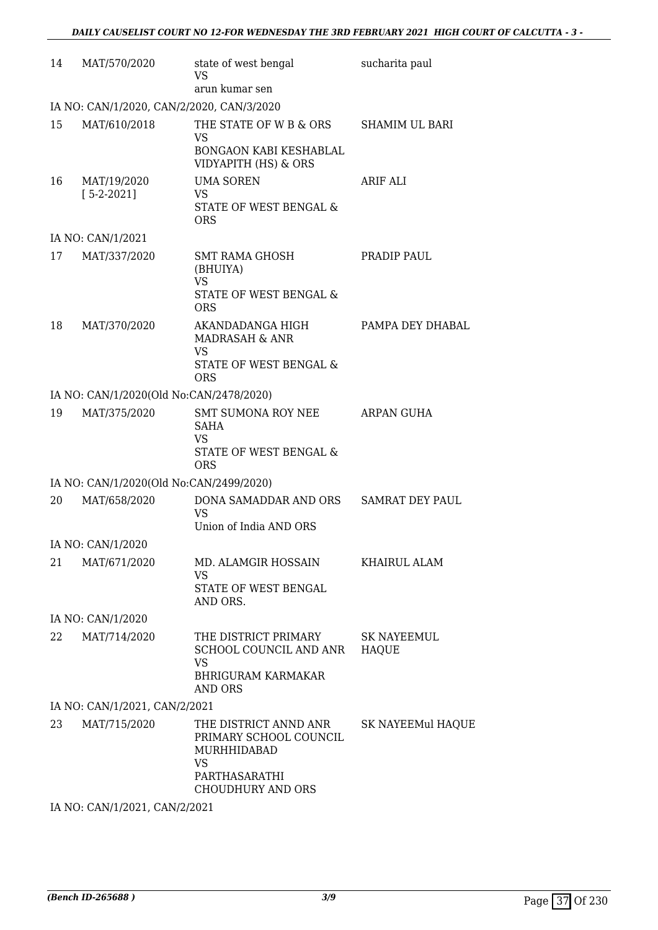| 14 | MAT/570/2020                              | state of west bengal<br>VS<br>arun kumar sen                                                                      | sucharita paul              |
|----|-------------------------------------------|-------------------------------------------------------------------------------------------------------------------|-----------------------------|
|    | IA NO: CAN/1/2020, CAN/2/2020, CAN/3/2020 |                                                                                                                   |                             |
| 15 | MAT/610/2018                              | THE STATE OF W B & ORS<br><b>VS</b><br>BONGAON KABI KESHABLAL<br>VIDYAPITH (HS) & ORS                             | <b>SHAMIM UL BARI</b>       |
| 16 | MAT/19/2020<br>$[5-2-2021]$               | <b>UMA SOREN</b><br><b>VS</b><br>STATE OF WEST BENGAL &<br><b>ORS</b>                                             | ARIF ALI                    |
|    | IA NO: CAN/1/2021                         |                                                                                                                   |                             |
| 17 | MAT/337/2020                              | <b>SMT RAMA GHOSH</b><br>(BHUIYA)<br><b>VS</b><br><b>STATE OF WEST BENGAL &amp;</b><br><b>ORS</b>                 | PRADIP PAUL                 |
| 18 | MAT/370/2020                              | AKANDADANGA HIGH<br>MADRASAH & ANR<br><b>VS</b><br>STATE OF WEST BENGAL &<br><b>ORS</b>                           | PAMPA DEY DHABAL            |
|    | IA NO: CAN/1/2020(Old No:CAN/2478/2020)   |                                                                                                                   |                             |
| 19 | MAT/375/2020                              | <b>SMT SUMONA ROY NEE</b><br><b>SAHA</b><br><b>VS</b><br>STATE OF WEST BENGAL &<br><b>ORS</b>                     | ARPAN GUHA                  |
|    | IA NO: CAN/1/2020(Old No:CAN/2499/2020)   |                                                                                                                   |                             |
| 20 | MAT/658/2020                              | DONA SAMADDAR AND ORS<br><b>VS</b><br>Union of India AND ORS                                                      | <b>SAMRAT DEY PAUL</b>      |
|    | IA NO: CAN/1/2020                         |                                                                                                                   |                             |
| 21 | MAT/671/2020                              | MD. ALAMGIR HOSSAIN<br><b>VS</b><br>STATE OF WEST BENGAL<br>AND ORS.                                              | KHAIRUL ALAM                |
|    | IA NO: CAN/1/2020                         |                                                                                                                   |                             |
| 22 | MAT/714/2020                              | THE DISTRICT PRIMARY<br>SCHOOL COUNCIL AND ANR<br><b>VS</b><br><b>BHRIGURAM KARMAKAR</b><br>AND ORS               | SK NAYEEMUL<br><b>HAQUE</b> |
|    | IA NO: CAN/1/2021, CAN/2/2021             |                                                                                                                   |                             |
| 23 | MAT/715/2020                              | THE DISTRICT ANND ANR<br>PRIMARY SCHOOL COUNCIL<br>MURHHIDABAD<br>VS<br>PARTHASARATHI<br><b>CHOUDHURY AND ORS</b> | SK NAYEEMul HAQUE           |
|    | IA NO: CAN/1/2021, CAN/2/2021             |                                                                                                                   |                             |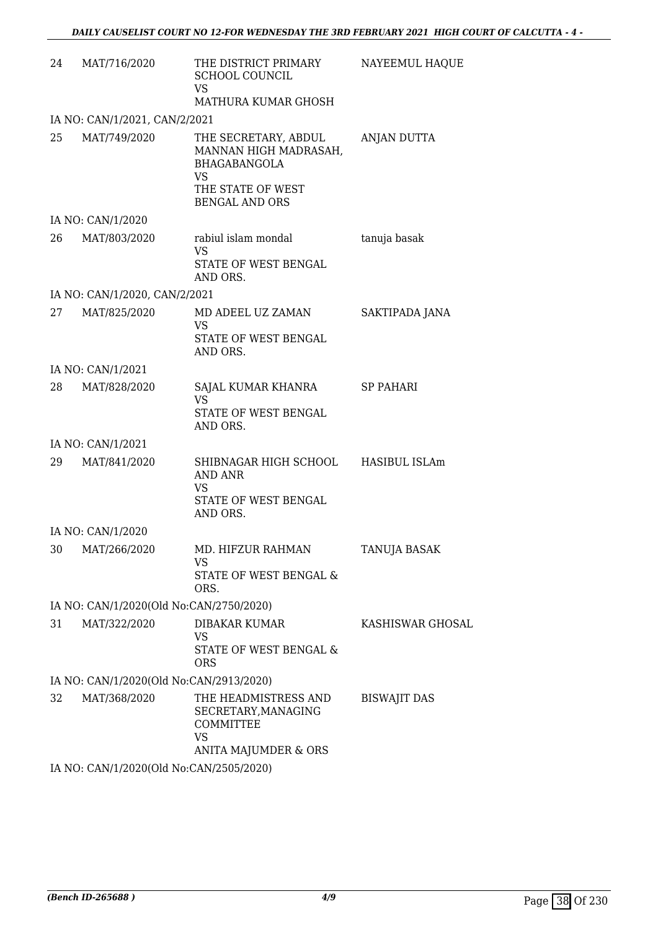| 24 | MAT/716/2020                            | THE DISTRICT PRIMARY<br><b>SCHOOL COUNCIL</b><br><b>VS</b><br>MATHURA KUMAR GHOSH                                        | NAYEEMUL HAQUE          |
|----|-----------------------------------------|--------------------------------------------------------------------------------------------------------------------------|-------------------------|
|    | IA NO: CAN/1/2021, CAN/2/2021           |                                                                                                                          |                         |
| 25 | MAT/749/2020                            | THE SECRETARY, ABDUL<br>MANNAN HIGH MADRASAH,<br><b>BHAGABANGOLA</b><br>VS<br>THE STATE OF WEST<br><b>BENGAL AND ORS</b> | ANJAN DUTTA             |
|    | IA NO: CAN/1/2020                       |                                                                                                                          |                         |
|    | 26 MAT/803/2020                         | rabiul islam mondal<br>VS<br>STATE OF WEST BENGAL<br>AND ORS.                                                            | tanuja basak            |
|    | IA NO: CAN/1/2020, CAN/2/2021           |                                                                                                                          |                         |
| 27 | MAT/825/2020                            | MD ADEEL UZ ZAMAN<br>VS<br>STATE OF WEST BENGAL<br>AND ORS.                                                              | SAKTIPADA JANA          |
|    | IA NO: CAN/1/2021                       |                                                                                                                          |                         |
| 28 | MAT/828/2020                            | SAJAL KUMAR KHANRA SP PAHARI<br><b>VS</b><br>STATE OF WEST BENGAL<br>AND ORS.                                            |                         |
|    | IA NO: CAN/1/2021                       |                                                                                                                          |                         |
|    | 29 MAT/841/2020                         | SHIBNAGAR HIGH SCHOOL HASIBUL ISLAm<br>AND ANR<br><b>VS</b><br>STATE OF WEST BENGAL<br>AND ORS.                          |                         |
|    | IA NO: CAN/1/2020                       |                                                                                                                          |                         |
|    | 30 MAT/266/2020                         | MD. HIFZUR RAHMAN<br>VS<br>STATE OF WEST BENGAL &<br>ORS.                                                                | <b>TANUJA BASAK</b>     |
|    | IA NO: CAN/1/2020(Old No:CAN/2750/2020) |                                                                                                                          |                         |
| 31 | MAT/322/2020                            | DIBAKAR KUMAR<br><b>VS</b><br>STATE OF WEST BENGAL &<br><b>ORS</b>                                                       | <b>KASHISWAR GHOSAL</b> |
|    | IA NO: CAN/1/2020(Old No:CAN/2913/2020) |                                                                                                                          |                         |
| 32 | MAT/368/2020                            | THE HEADMISTRESS AND<br>SECRETARY, MANAGING<br>COMMITTEE<br><b>VS</b><br>ANITA MAJUMDER & ORS                            | <b>BISWAJIT DAS</b>     |
|    | IA NO: CAN/1/2020(Old No:CAN/2505/2020) |                                                                                                                          |                         |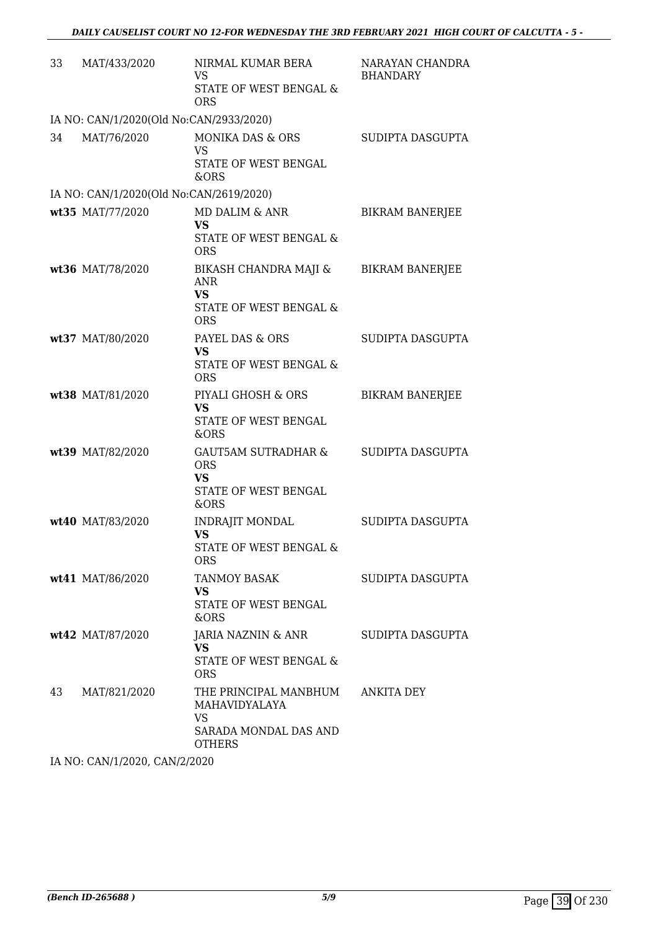| 33 | MAT/433/2020                            | NIRMAL KUMAR BERA<br>VS<br>STATE OF WEST BENGAL &<br><b>ORS</b>                               | NARAYAN CHANDRA<br><b>BHANDARY</b> |
|----|-----------------------------------------|-----------------------------------------------------------------------------------------------|------------------------------------|
|    | IA NO: CAN/1/2020(Old No:CAN/2933/2020) |                                                                                               |                                    |
| 34 | MAT/76/2020                             | <b>MONIKA DAS &amp; ORS</b><br>VS<br>STATE OF WEST BENGAL<br>&ORS                             | SUDIPTA DASGUPTA                   |
|    | IA NO: CAN/1/2020(Old No:CAN/2619/2020) |                                                                                               |                                    |
|    | wt35 MAT/77/2020                        | MD DALIM & ANR<br>VS<br>STATE OF WEST BENGAL &<br><b>ORS</b>                                  | <b>BIKRAM BANERJEE</b>             |
|    | wt36 MAT/78/2020                        | BIKASH CHANDRA MAJI &<br><b>ANR</b><br><b>VS</b><br>STATE OF WEST BENGAL &<br><b>ORS</b>      | <b>BIKRAM BANERJEE</b>             |
|    | wt37 MAT/80/2020                        | PAYEL DAS & ORS<br><b>VS</b><br>STATE OF WEST BENGAL &<br><b>ORS</b>                          | SUDIPTA DASGUPTA                   |
|    | wt38 MAT/81/2020                        | PIYALI GHOSH & ORS<br><b>VS</b><br>STATE OF WEST BENGAL<br>&ORS                               | <b>BIKRAM BANERJEE</b>             |
|    | wt39 MAT/82/2020                        | <b>GAUT5AM SUTRADHAR &amp;</b><br><b>ORS</b><br><b>VS</b><br>STATE OF WEST BENGAL<br>&ORS     | SUDIPTA DASGUPTA                   |
|    | wt40 MAT/83/2020                        | <b>INDRAJIT MONDAL</b><br>VS<br>STATE OF WEST BENGAL &<br>ORS                                 | SUDIPTA DASGUPTA                   |
|    | wt41 MAT/86/2020                        | <b>TANMOY BASAK</b><br><b>VS</b><br>STATE OF WEST BENGAL<br>&ORS                              | SUDIPTA DASGUPTA                   |
|    | wt42 MAT/87/2020                        | JARIA NAZNIN & ANR<br><b>VS</b><br>STATE OF WEST BENGAL &<br><b>ORS</b>                       | SUDIPTA DASGUPTA                   |
| 43 | MAT/821/2020                            | THE PRINCIPAL MANBHUM<br>MAHAVIDYALAYA<br><b>VS</b><br>SARADA MONDAL DAS AND<br><b>OTHERS</b> | ANKITA DEY                         |

IA NO: CAN/1/2020, CAN/2/2020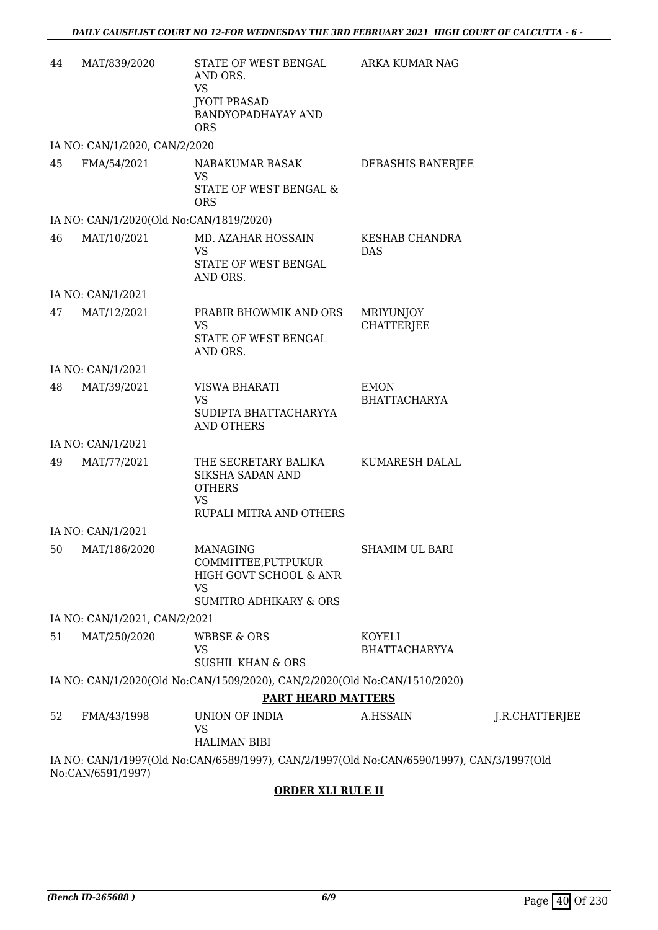| 44 | MAT/839/2020                            | STATE OF WEST BENGAL<br>AND ORS.<br><b>VS</b><br><b>JYOTI PRASAD</b><br>BANDYOPADHAYAY AND             | ARKA KUMAR NAG                      |                |
|----|-----------------------------------------|--------------------------------------------------------------------------------------------------------|-------------------------------------|----------------|
|    | IA NO: CAN/1/2020, CAN/2/2020           | <b>ORS</b>                                                                                             |                                     |                |
| 45 | FMA/54/2021                             | NABAKUMAR BASAK                                                                                        | DEBASHIS BANERJEE                   |                |
|    |                                         | <b>VS</b><br>STATE OF WEST BENGAL &<br><b>ORS</b>                                                      |                                     |                |
|    | IA NO: CAN/1/2020(Old No:CAN/1819/2020) |                                                                                                        |                                     |                |
| 46 | MAT/10/2021                             | MD. AZAHAR HOSSAIN<br>VS<br>STATE OF WEST BENGAL<br>AND ORS.                                           | <b>KESHAB CHANDRA</b><br><b>DAS</b> |                |
|    | IA NO: CAN/1/2021                       |                                                                                                        |                                     |                |
| 47 | MAT/12/2021                             | PRABIR BHOWMIK AND ORS<br><b>VS</b>                                                                    | MRIYUNJOY<br><b>CHATTERJEE</b>      |                |
|    |                                         | STATE OF WEST BENGAL<br>AND ORS.                                                                       |                                     |                |
|    | IA NO: CAN/1/2021                       |                                                                                                        |                                     |                |
| 48 | MAT/39/2021                             | VISWA BHARATI<br><b>VS</b><br>SUDIPTA BHATTACHARYYA<br><b>AND OTHERS</b>                               | <b>EMON</b><br><b>BHATTACHARYA</b>  |                |
|    | IA NO: CAN/1/2021                       |                                                                                                        |                                     |                |
| 49 | MAT/77/2021                             | THE SECRETARY BALIKA<br>SIKSHA SADAN AND<br><b>OTHERS</b><br><b>VS</b><br>RUPALI MITRA AND OTHERS      | KUMARESH DALAL                      |                |
|    | IA NO: CAN/1/2021                       |                                                                                                        |                                     |                |
|    | 50 MAT/186/2020                         | MANAGING<br>COMMITTEE, PUTPUKUR<br>HIGH GOVT SCHOOL & ANR<br>VS<br><b>SUMITRO ADHIKARY &amp; ORS</b>   | SHAMIM UL BARI                      |                |
|    | IA NO: CAN/1/2021, CAN/2/2021           |                                                                                                        |                                     |                |
| 51 | MAT/250/2020                            | <b>WBBSE &amp; ORS</b><br><b>VS</b>                                                                    | KOYELI<br><b>BHATTACHARYYA</b>      |                |
|    |                                         | <b>SUSHIL KHAN &amp; ORS</b>                                                                           |                                     |                |
|    |                                         | IA NO: CAN/1/2020(Old No:CAN/1509/2020), CAN/2/2020(Old No:CAN/1510/2020)<br><b>PART HEARD MATTERS</b> |                                     |                |
| 52 | FMA/43/1998                             | UNION OF INDIA                                                                                         | A.HSSAIN                            | J.R.CHATTERJEE |
|    |                                         | <b>VS</b><br><b>HALIMAN BIBI</b>                                                                       |                                     |                |
|    | No:CAN/6591/1997)                       | IA NO: CAN/1/1997(Old No:CAN/6589/1997), CAN/2/1997(Old No:CAN/6590/1997), CAN/3/1997(Old              |                                     |                |
|    |                                         |                                                                                                        |                                     |                |

### **ORDER XLI RULE II**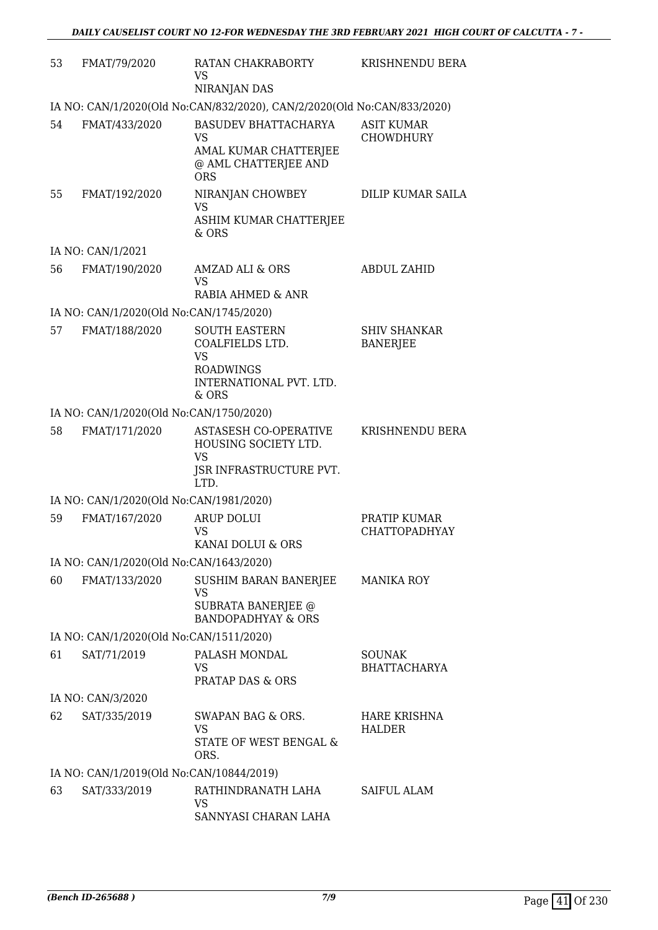| 53 | FMAT/79/2020                             | RATAN CHAKRABORTY<br>VS<br>NIRANJAN DAS                                                                      | KRISHNENDU BERA                        |
|----|------------------------------------------|--------------------------------------------------------------------------------------------------------------|----------------------------------------|
|    |                                          | IA NO: CAN/1/2020(Old No:CAN/832/2020), CAN/2/2020(Old No:CAN/833/2020)                                      |                                        |
| 54 | FMAT/433/2020                            | <b>BASUDEV BHATTACHARYA</b><br>VS<br>AMAL KUMAR CHATTERJEE<br>@ AML CHATTERJEE AND<br><b>ORS</b>             | <b>ASIT KUMAR</b><br><b>CHOWDHURY</b>  |
| 55 | FMAT/192/2020                            | NIRANJAN CHOWBEY<br>VS<br>ASHIM KUMAR CHATTERJEE<br>$&$ ORS                                                  | DILIP KUMAR SAILA                      |
|    | IA NO: CAN/1/2021                        |                                                                                                              |                                        |
| 56 | FMAT/190/2020                            | AMZAD ALI & ORS<br><b>VS</b><br>RABIA AHMED & ANR                                                            | <b>ABDUL ZAHID</b>                     |
|    | IA NO: CAN/1/2020(Old No:CAN/1745/2020)  |                                                                                                              |                                        |
| 57 | FMAT/188/2020                            | <b>SOUTH EASTERN</b><br>COALFIELDS LTD.<br><b>VS</b><br><b>ROADWINGS</b><br>INTERNATIONAL PVT. LTD.<br>& ORS | <b>SHIV SHANKAR</b><br><b>BANERJEE</b> |
|    | IA NO: CAN/1/2020(Old No:CAN/1750/2020)  |                                                                                                              |                                        |
| 58 | FMAT/171/2020                            | <b>ASTASESH CO-OPERATIVE</b><br>HOUSING SOCIETY LTD.<br><b>VS</b><br>JSR INFRASTRUCTURE PVT.<br>LTD.         | KRISHNENDU BERA                        |
|    | IA NO: CAN/1/2020(Old No:CAN/1981/2020)  |                                                                                                              |                                        |
| 59 | FMAT/167/2020                            | <b>ARUP DOLUI</b><br><b>VS</b><br>KANAI DOLUI & ORS                                                          | PRATIP KUMAR<br><b>CHATTOPADHYAY</b>   |
|    | IA NO: CAN/1/2020(Old No:CAN/1643/2020)  |                                                                                                              |                                        |
| 60 | FMAT/133/2020                            | <b>SUSHIM BARAN BANERJEE</b><br><b>VS</b><br><b>SUBRATA BANERJEE @</b><br><b>BANDOPADHYAY &amp; ORS</b>      | <b>MANIKA ROY</b>                      |
|    | IA NO: CAN/1/2020(Old No:CAN/1511/2020)  |                                                                                                              |                                        |
| 61 | SAT/71/2019                              | PALASH MONDAL<br>VS<br>PRATAP DAS & ORS                                                                      | <b>SOUNAK</b><br><b>BHATTACHARYA</b>   |
|    | IA NO: CAN/3/2020                        |                                                                                                              |                                        |
| 62 | SAT/335/2019                             | SWAPAN BAG & ORS.<br><b>VS</b><br>STATE OF WEST BENGAL &<br>ORS.                                             | <b>HARE KRISHNA</b><br>HALDER          |
|    | IA NO: CAN/1/2019(Old No:CAN/10844/2019) |                                                                                                              |                                        |
| 63 | SAT/333/2019                             | RATHINDRANATH LAHA<br>VS<br>SANNYASI CHARAN LAHA                                                             | SAIFUL ALAM                            |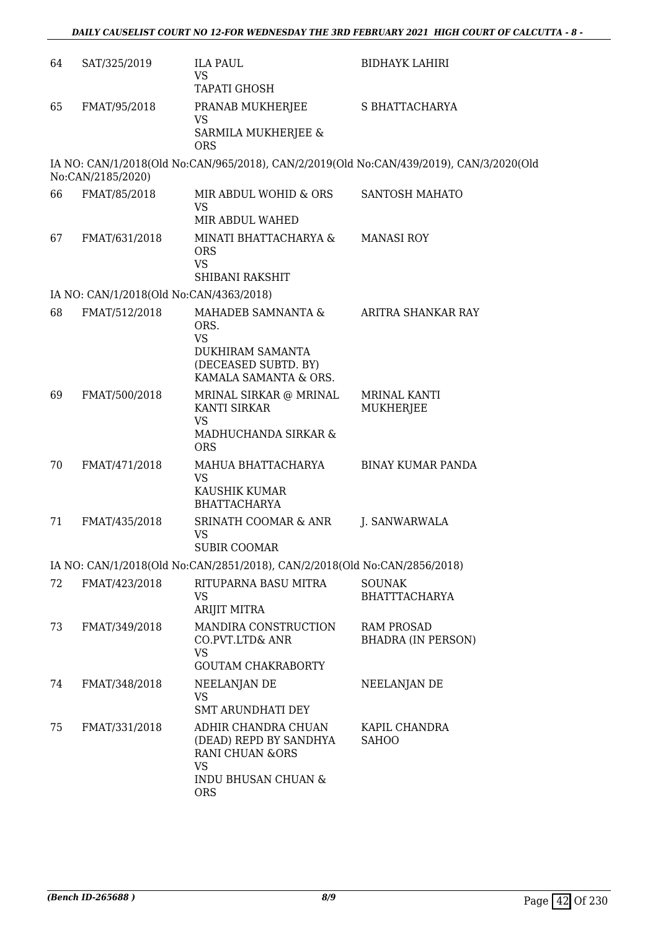| 64 | SAT/325/2019                            | <b>ILA PAUL</b><br><b>VS</b><br><b>TAPATI GHOSH</b>                                                          | <b>BIDHAYK LAHIRI</b>                                                                   |
|----|-----------------------------------------|--------------------------------------------------------------------------------------------------------------|-----------------------------------------------------------------------------------------|
| 65 | FMAT/95/2018                            | PRANAB MUKHERJEE<br>VS<br>SARMILA MUKHERJEE &<br><b>ORS</b>                                                  | S BHATTACHARYA                                                                          |
|    | No:CAN/2185/2020)                       |                                                                                                              | IA NO: CAN/1/2018(Old No:CAN/965/2018), CAN/2/2019(Old No:CAN/439/2019), CAN/3/2020(Old |
| 66 | FMAT/85/2018                            | MIR ABDUL WOHID & ORS<br>VS<br>MIR ABDUL WAHED                                                               | SANTOSH MAHATO                                                                          |
| 67 | FMAT/631/2018                           | MINATI BHATTACHARYA &<br><b>ORS</b><br><b>VS</b><br>SHIBANI RAKSHIT                                          | <b>MANASI ROY</b>                                                                       |
|    | IA NO: CAN/1/2018(Old No:CAN/4363/2018) |                                                                                                              |                                                                                         |
| 68 | FMAT/512/2018                           | MAHADEB SAMNANTA &<br>ORS.<br><b>VS</b><br>DUKHIRAM SAMANTA<br>(DECEASED SUBTD. BY)<br>KAMALA SAMANTA & ORS. | ARITRA SHANKAR RAY                                                                      |
| 69 | FMAT/500/2018                           | MRINAL SIRKAR @ MRINAL<br>KANTI SIRKAR<br><b>VS</b><br>MADHUCHANDA SIRKAR &<br><b>ORS</b>                    | <b>MRINAL KANTI</b><br>MUKHERJEE                                                        |
| 70 | FMAT/471/2018                           | MAHUA BHATTACHARYA<br><b>VS</b><br>KAUSHIK KUMAR<br><b>BHATTACHARYA</b>                                      | <b>BINAY KUMAR PANDA</b>                                                                |
| 71 | FMAT/435/2018                           | SRINATH COOMAR & ANR<br><b>VS</b><br><b>SUBIR COOMAR</b>                                                     | J. SANWARWALA                                                                           |
|    |                                         | IA NO: CAN/1/2018(Old No:CAN/2851/2018), CAN/2/2018(Old No:CAN/2856/2018)                                    |                                                                                         |
| 72 | FMAT/423/2018                           | RITUPARNA BASU MITRA<br><b>VS</b><br>ARIJIT MITRA                                                            | <b>SOUNAK</b><br><b>BHATTTACHARYA</b>                                                   |
| 73 | FMAT/349/2018                           | MANDIRA CONSTRUCTION<br>CO.PVT.LTD& ANR<br><b>VS</b><br><b>GOUTAM CHAKRABORTY</b>                            | <b>RAM PROSAD</b><br><b>BHADRA (IN PERSON)</b>                                          |
| 74 | FMAT/348/2018                           | NEELANJAN DE<br>VS<br><b>SMT ARUNDHATI DEY</b>                                                               | NEELANJAN DE                                                                            |
| 75 | FMAT/331/2018                           | ADHIR CHANDRA CHUAN<br>(DEAD) REPD BY SANDHYA<br><b>RANI CHUAN &amp;ORS</b><br><b>VS</b>                     | KAPIL CHANDRA<br><b>SAHOO</b>                                                           |
|    |                                         | <b>INDU BHUSAN CHUAN &amp;</b><br><b>ORS</b>                                                                 |                                                                                         |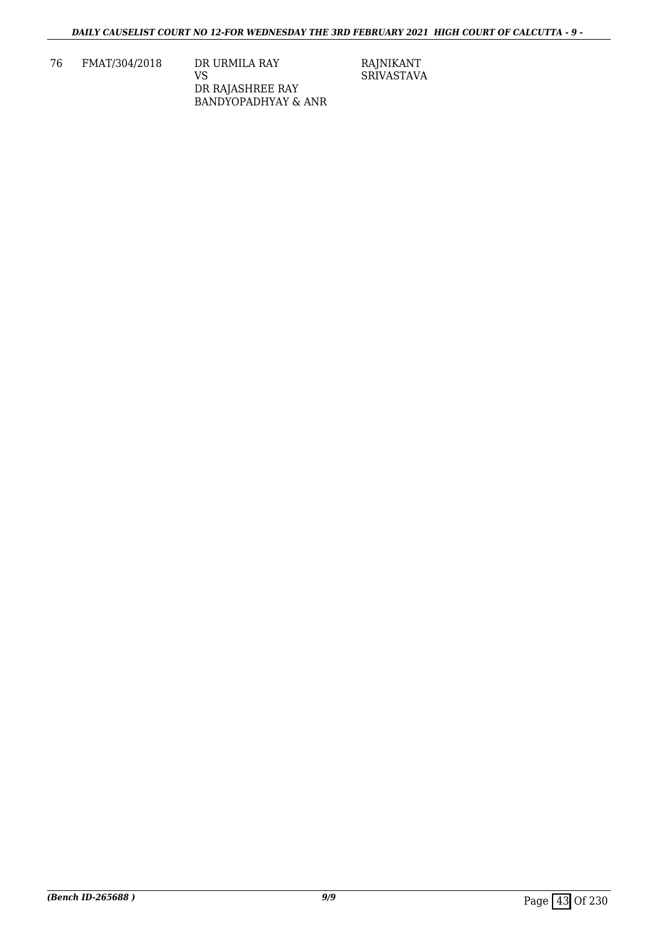76 FMAT/304/2018 DR URMILA RAY VS DR RAJASHREE RAY BANDYOPADHYAY & ANR RAJNIKANT SRIVASTAVA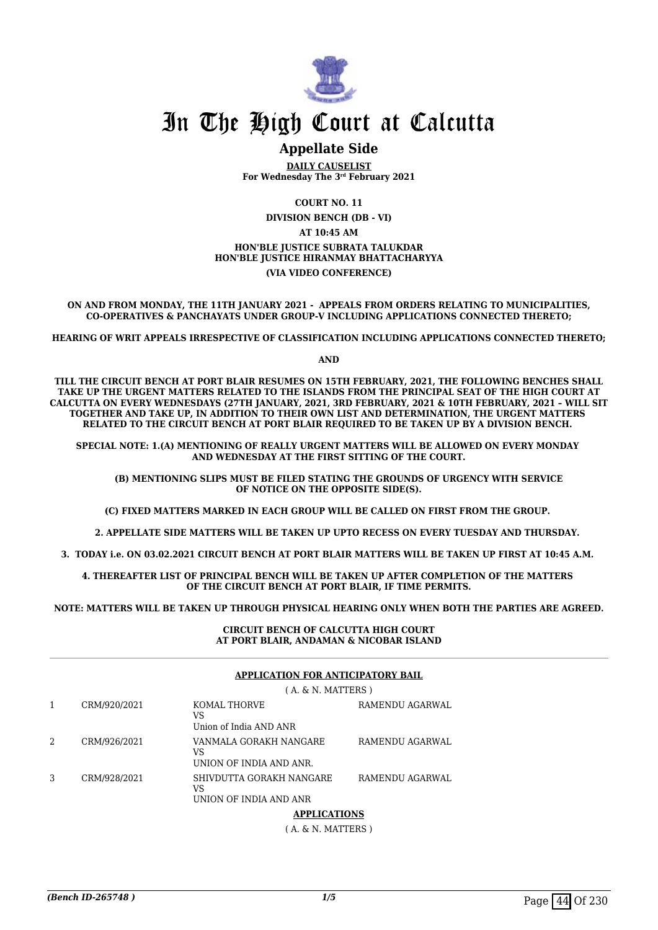

# In The High Court at Calcutta

# **Appellate Side**

**DAILY CAUSELIST For Wednesday The 3rd February 2021**

**COURT NO. 11 DIVISION BENCH (DB - VI) AT 10:45 AM HON'BLE JUSTICE SUBRATA TALUKDAR HON'BLE JUSTICE HIRANMAY BHATTACHARYYA (VIA VIDEO CONFERENCE)**

**ON AND FROM MONDAY, THE 11TH JANUARY 2021 - APPEALS FROM ORDERS RELATING TO MUNICIPALITIES, CO-OPERATIVES & PANCHAYATS UNDER GROUP-V INCLUDING APPLICATIONS CONNECTED THERETO;**

**HEARING OF WRIT APPEALS IRRESPECTIVE OF CLASSIFICATION INCLUDING APPLICATIONS CONNECTED THERETO;**

**AND**

**TILL THE CIRCUIT BENCH AT PORT BLAIR RESUMES ON 15TH FEBRUARY, 2021, THE FOLLOWING BENCHES SHALL TAKE UP THE URGENT MATTERS RELATED TO THE ISLANDS FROM THE PRINCIPAL SEAT OF THE HIGH COURT AT CALCUTTA ON EVERY WEDNESDAYS (27TH JANUARY, 2021, 3RD FEBRUARY, 2021 & 10TH FEBRUARY, 2021 – WILL SIT TOGETHER AND TAKE UP, IN ADDITION TO THEIR OWN LIST AND DETERMINATION, THE URGENT MATTERS RELATED TO THE CIRCUIT BENCH AT PORT BLAIR REQUIRED TO BE TAKEN UP BY A DIVISION BENCH.** 

**SPECIAL NOTE: 1.(A) MENTIONING OF REALLY URGENT MATTERS WILL BE ALLOWED ON EVERY MONDAY AND WEDNESDAY AT THE FIRST SITTING OF THE COURT.**

 **(B) MENTIONING SLIPS MUST BE FILED STATING THE GROUNDS OF URGENCY WITH SERVICE OF NOTICE ON THE OPPOSITE SIDE(S).**

**(C) FIXED MATTERS MARKED IN EACH GROUP WILL BE CALLED ON FIRST FROM THE GROUP.** 

 **2. APPELLATE SIDE MATTERS WILL BE TAKEN UP UPTO RECESS ON EVERY TUESDAY AND THURSDAY.** 

**3. TODAY i.e. ON 03.02.2021 CIRCUIT BENCH AT PORT BLAIR MATTERS WILL BE TAKEN UP FIRST AT 10:45 A.M.** 

**4. THEREAFTER LIST OF PRINCIPAL BENCH WILL BE TAKEN UP AFTER COMPLETION OF THE MATTERS OF THE CIRCUIT BENCH AT PORT BLAIR, IF TIME PERMITS.**

**NOTE: MATTERS WILL BE TAKEN UP THROUGH PHYSICAL HEARING ONLY WHEN BOTH THE PARTIES ARE AGREED.**

**CIRCUIT BENCH OF CALCUTTA HIGH COURT AT PORT BLAIR, ANDAMAN & NICOBAR ISLAND**

#### **APPLICATION FOR ANTICIPATORY BAIL**

|              | $(A, \& N.$ MATTERS $)$                                  |                 |
|--------------|----------------------------------------------------------|-----------------|
| CRM/920/2021 | KOMAL THORVE<br>VS<br>Union of India AND ANR             | RAMENDU AGARWAL |
| CRM/926/2021 | VANMALA GORAKH NANGARE<br>VS<br>UNION OF INDIA AND ANR.  | RAMENDU AGARWAL |
| CRM/928/2021 | SHIVDUTTA GORAKH NANGARE<br>VS<br>UNION OF INDIA AND ANR | RAMENDU AGARWAL |

#### **APPLICATIONS**

( A. & N. MATTERS )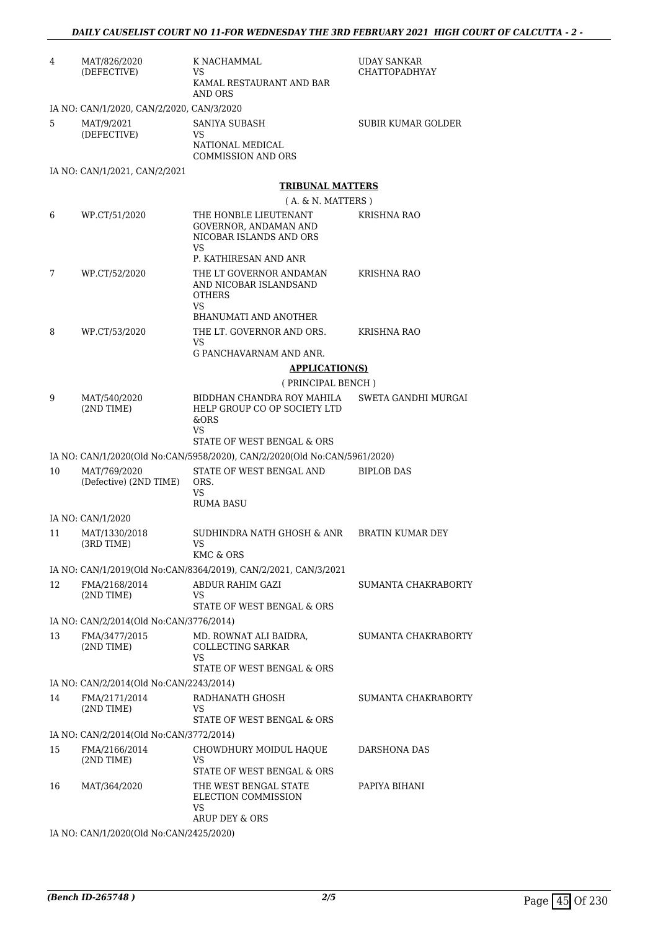| 4  | MAT/826/2020<br>(DEFECTIVE)               | K NACHAMMAL<br>VS<br>KAMAL RESTAURANT AND BAR<br>AND ORS                               | UDAY SANKAR<br>CHATTOPADHYAY |
|----|-------------------------------------------|----------------------------------------------------------------------------------------|------------------------------|
|    | IA NO: CAN/1/2020, CAN/2/2020, CAN/3/2020 |                                                                                        |                              |
| 5  | MAT/9/2021<br>(DEFECTIVE)                 | SANIYA SUBASH<br>VS<br>NATIONAL MEDICAL<br><b>COMMISSION AND ORS</b>                   | SUBIR KUMAR GOLDER           |
|    | IA NO: CAN/1/2021, CAN/2/2021             |                                                                                        |                              |
|    |                                           | <b>TRIBUNAL MATTERS</b>                                                                |                              |
|    |                                           | $(A. \& N. MATTERS)$                                                                   |                              |
| 6  | WP.CT/51/2020                             | THE HONBLE LIEUTENANT<br>GOVERNOR, ANDAMAN AND<br>NICOBAR ISLANDS AND ORS<br>VS        | KRISHNA RAO                  |
|    |                                           | P. KATHIRESAN AND ANR                                                                  |                              |
| 7  | WP.CT/52/2020                             | THE LT GOVERNOR ANDAMAN<br>AND NICOBAR ISLANDSAND<br><b>OTHERS</b><br>VS               | <b>KRISHNA RAO</b>           |
| 8  | WP.CT/53/2020                             | <b>BHANUMATI AND ANOTHER</b><br>THE LT. GOVERNOR AND ORS.                              | KRISHNA RAO                  |
|    |                                           | VS                                                                                     |                              |
|    |                                           | G PANCHAVARNAM AND ANR.                                                                |                              |
|    |                                           | <b>APPLICATION(S)</b>                                                                  |                              |
| 9  | MAT/540/2020                              | (PRINCIPAL BENCH)<br>BIDDHAN CHANDRA ROY MAHILA                                        | SWETA GANDHI MURGAI          |
|    | (2ND TIME)                                | HELP GROUP CO OP SOCIETY LTD<br>&ORS<br>VS<br>STATE OF WEST BENGAL & ORS               |                              |
|    |                                           | IA NO: CAN/1/2020(Old No:CAN/5958/2020), CAN/2/2020(Old No:CAN/5961/2020)              |                              |
| 10 | MAT/769/2020<br>(Defective) (2ND TIME)    | STATE OF WEST BENGAL AND<br>ORS.<br>VS<br><b>RUMA BASU</b>                             | <b>BIPLOB DAS</b>            |
|    | IA NO: CAN/1/2020                         |                                                                                        |                              |
| 11 | MAT/1330/2018<br>(3RD TIME)               | SUDHINDRA NATH GHOSH & ANR BRATIN KUMAR DEY<br>VS.<br>KMC & ORS                        |                              |
|    |                                           | IA NO: CAN/1/2019(Old No:CAN/8364/2019), CAN/2/2021, CAN/3/2021                        |                              |
| 12 | FMA/2168/2014<br>$(2ND$ TIME)             | ABDUR RAHIM GAZI<br>VS<br>STATE OF WEST BENGAL & ORS                                   | SUMANTA CHAKRABORTY          |
|    | IA NO: CAN/2/2014(Old No:CAN/3776/2014)   |                                                                                        |                              |
| 13 | FMA/3477/2015<br>$(2ND$ TIME)             | MD. ROWNAT ALI BAIDRA,<br><b>COLLECTING SARKAR</b><br>VS<br>STATE OF WEST BENGAL & ORS | SUMANTA CHAKRABORTY          |
|    | IA NO: CAN/2/2014(Old No:CAN/2243/2014)   |                                                                                        |                              |
| 14 | FMA/2171/2014<br>(2ND TIME)               | RADHANATH GHOSH<br>VS<br>STATE OF WEST BENGAL & ORS                                    | SUMANTA CHAKRABORTY          |
|    | IA NO: CAN/2/2014(Old No:CAN/3772/2014)   |                                                                                        |                              |
| 15 | FMA/2166/2014<br>$(2ND$ TIME)             | CHOWDHURY MOIDUL HAQUE<br>VS<br>STATE OF WEST BENGAL & ORS                             | DARSHONA DAS                 |
| 16 | MAT/364/2020                              | THE WEST BENGAL STATE<br>ELECTION COMMISSION<br>VS<br>ARUP DEY & ORS                   | PAPIYA BIHANI                |

IA NO: CAN/1/2020(Old No:CAN/2425/2020)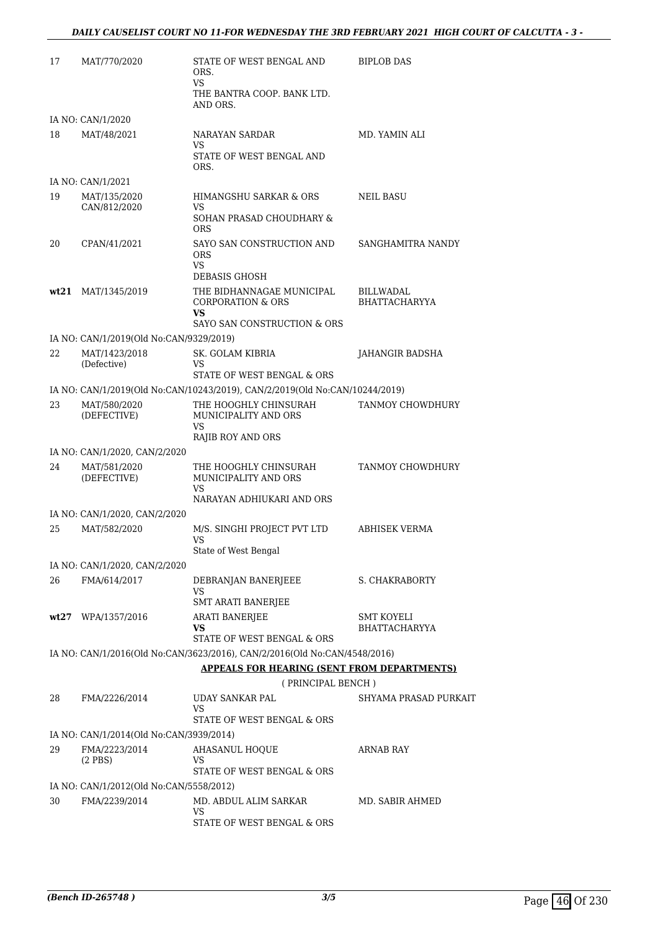| 17 | MAT/770/2020                            | STATE OF WEST BENGAL AND<br>ORS.<br>VS                                      | <b>BIPLOB DAS</b>                        |
|----|-----------------------------------------|-----------------------------------------------------------------------------|------------------------------------------|
|    |                                         | THE BANTRA COOP. BANK LTD.<br>AND ORS.                                      |                                          |
|    | IA NO: CAN/1/2020                       |                                                                             |                                          |
| 18 | MAT/48/2021                             | NARAYAN SARDAR<br>VS                                                        | MD. YAMIN ALI                            |
|    |                                         | STATE OF WEST BENGAL AND<br>ORS.                                            |                                          |
|    | IA NO: CAN/1/2021                       |                                                                             |                                          |
| 19 | MAT/135/2020<br>CAN/812/2020            | HIMANGSHU SARKAR & ORS<br>VS                                                | NEIL BASU                                |
|    |                                         | SOHAN PRASAD CHOUDHARY &<br><b>ORS</b>                                      |                                          |
| 20 | CPAN/41/2021                            | SAYO SAN CONSTRUCTION AND<br><b>ORS</b><br>VS                               | SANGHAMITRA NANDY                        |
|    |                                         | <b>DEBASIS GHOSH</b>                                                        |                                          |
|    | wt21 MAT/1345/2019                      | THE BIDHANNAGAE MUNICIPAL<br><b>CORPORATION &amp; ORS</b><br>VS             | <b>BILLWADAL</b><br><b>BHATTACHARYYA</b> |
|    |                                         | SAYO SAN CONSTRUCTION & ORS                                                 |                                          |
|    | IA NO: CAN/1/2019(Old No:CAN/9329/2019) |                                                                             |                                          |
| 22 | MAT/1423/2018<br>(Defective)            | SK. GOLAM KIBRIA<br>VS.<br>STATE OF WEST BENGAL & ORS                       | <b>JAHANGIR BADSHA</b>                   |
|    |                                         |                                                                             |                                          |
|    |                                         | IA NO: CAN/1/2019(Old No:CAN/10243/2019), CAN/2/2019(Old No:CAN/10244/2019) |                                          |
| 23 | MAT/580/2020<br>(DEFECTIVE)             | THE HOOGHLY CHINSURAH<br>MUNICIPALITY AND ORS<br>VS                         | TANMOY CHOWDHURY                         |
|    |                                         | <b>RAJIB ROY AND ORS</b>                                                    |                                          |
|    | IA NO: CAN/1/2020, CAN/2/2020           |                                                                             |                                          |
| 24 | MAT/581/2020<br>(DEFECTIVE)             | THE HOOGHLY CHINSURAH<br>MUNICIPALITY AND ORS<br>VS                         | TANMOY CHOWDHURY                         |
|    |                                         | NARAYAN ADHIUKARI AND ORS                                                   |                                          |
|    | IA NO: CAN/1/2020, CAN/2/2020           |                                                                             |                                          |
| 25 | MAT/582/2020                            | M/S. SINGHI PROJECT PVT LTD<br>VS                                           | ABHISEK VERMA                            |
|    |                                         | State of West Bengal                                                        |                                          |
|    | IA NO: CAN/1/2020, CAN/2/2020           |                                                                             |                                          |
| 26 | FMA/614/2017                            | DEBRANJAN BANERJEEE<br>VS<br>SMT ARATI BANERJEE                             | S. CHAKRABORTY                           |
|    | wt27 WPA/1357/2016                      | <b>ARATI BANERJEE</b>                                                       | <b>SMT KOYELI</b>                        |
|    |                                         | VS<br>STATE OF WEST BENGAL & ORS                                            | <b>BHATTACHARYYA</b>                     |
|    |                                         | IA NO: CAN/1/2016(Old No:CAN/3623/2016), CAN/2/2016(Old No:CAN/4548/2016)   |                                          |
|    |                                         | <b>APPEALS FOR HEARING (SENT FROM DEPARTMENTS)</b>                          |                                          |
|    |                                         | (PRINCIPAL BENCH)                                                           |                                          |
| 28 | FMA/2226/2014                           | UDAY SANKAR PAL<br>VS<br>STATE OF WEST BENGAL & ORS                         | SHYAMA PRASAD PURKAIT                    |
|    | IA NO: CAN/1/2014(Old No:CAN/3939/2014) |                                                                             |                                          |
| 29 | FMA/2223/2014                           | <b>AHASANUL HOQUE</b>                                                       | ARNAB RAY                                |
|    | $(2$ PBS $)$                            | VS<br>STATE OF WEST BENGAL & ORS                                            |                                          |
|    | IA NO: CAN/1/2012(Old No:CAN/5558/2012) |                                                                             |                                          |
| 30 | FMA/2239/2014                           | MD. ABDUL ALIM SARKAR<br>VS                                                 | MD. SABIR AHMED                          |
|    |                                         | STATE OF WEST BENGAL & ORS                                                  |                                          |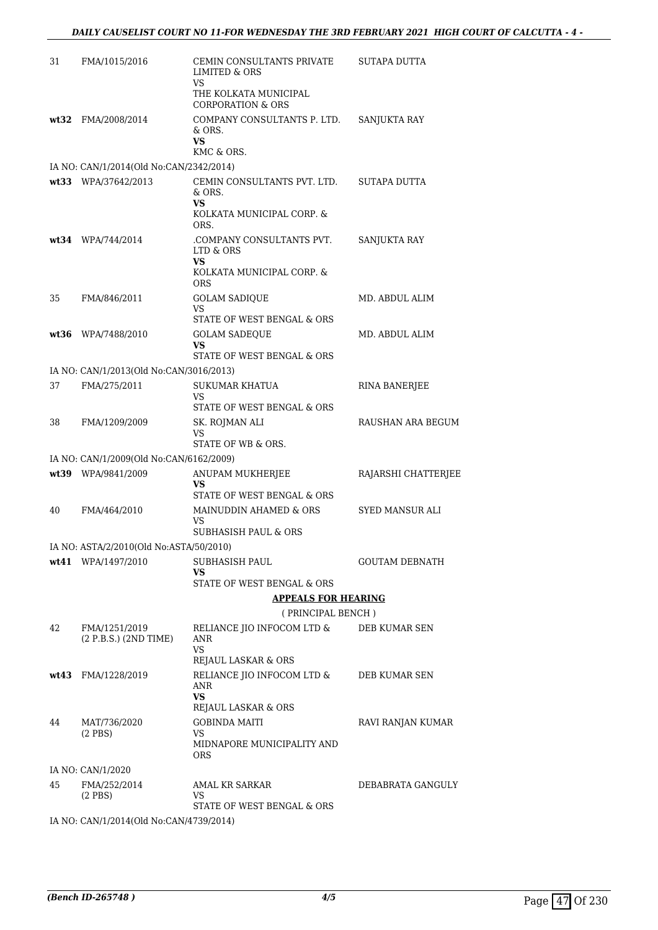| 31 | FMA/1015/2016                           | CEMIN CONSULTANTS PRIVATE<br><b>LIMITED &amp; ORS</b><br>VS                     | SUTAPA DUTTA          |
|----|-----------------------------------------|---------------------------------------------------------------------------------|-----------------------|
|    |                                         | THE KOLKATA MUNICIPAL<br>CORPORATION & ORS                                      |                       |
|    | wt32 FMA/2008/2014                      | COMPANY CONSULTANTS P. LTD.<br>& ORS.<br>VS.<br>KMC & ORS.                      | SANJUKTA RAY          |
|    | IA NO: CAN/1/2014(Old No:CAN/2342/2014) |                                                                                 |                       |
|    | wt33 WPA/37642/2013                     | CEMIN CONSULTANTS PVT. LTD.<br>$&$ ORS.<br>VS.<br>KOLKATA MUNICIPAL CORP. &     | SUTAPA DUTTA          |
|    | wt34 WPA/744/2014                       | ORS.<br>.COMPANY CONSULTANTS PVT.<br>LTD & ORS                                  | SANJUKTA RAY          |
|    |                                         | VS<br>KOLKATA MUNICIPAL CORP. &<br><b>ORS</b>                                   |                       |
| 35 | FMA/846/2011                            | <b>GOLAM SADIQUE</b><br><b>VS</b><br>STATE OF WEST BENGAL & ORS                 | MD. ABDUL ALIM        |
|    | wt36 WPA/7488/2010                      | <b>GOLAM SADEQUE</b><br>VS<br>STATE OF WEST BENGAL & ORS                        | MD. ABDUL ALIM        |
|    | IA NO: CAN/1/2013(Old No:CAN/3016/2013) |                                                                                 |                       |
| 37 | FMA/275/2011                            | SUKUMAR KHATUA<br>VS<br>STATE OF WEST BENGAL & ORS                              | RINA BANERJEE         |
| 38 | FMA/1209/2009                           | SK. ROJMAN ALI<br>VS<br>STATE OF WB & ORS.                                      | RAUSHAN ARA BEGUM     |
|    | IA NO: CAN/1/2009(Old No:CAN/6162/2009) |                                                                                 |                       |
|    | wt39 WPA/9841/2009                      | ANUPAM MUKHERJEE<br>VS<br>STATE OF WEST BENGAL & ORS                            | RAJARSHI CHATTERJEE   |
| 40 | FMA/464/2010                            | MAINUDDIN AHAMED & ORS<br>VS                                                    | SYED MANSUR ALI       |
|    | IA NO: ASTA/2/2010(Old No:ASTA/50/2010) | <b>SUBHASISH PAUL &amp; ORS</b>                                                 |                       |
|    | wt41 WPA/1497/2010                      | SUBHASISH PAUL<br>VS                                                            | <b>GOUTAM DEBNATH</b> |
|    |                                         | STATE OF WEST BENGAL & ORS                                                      |                       |
|    |                                         | <b>APPEALS FOR HEARING</b>                                                      |                       |
| 42 | FMA/1251/2019<br>(2 P.B.S.) (2ND TIME)  | (PRINCIPAL BENCH)<br>RELIANCE JIO INFOCOM LTD &<br>ANR                          | DEB KUMAR SEN         |
|    |                                         | <b>VS</b><br>REJAUL LASKAR & ORS                                                |                       |
|    | wt43 FMA/1228/2019                      | RELIANCE JIO INFOCOM LTD & DEB KUMAR SEN<br>ANR<br>VS                           |                       |
| 44 | MAT/736/2020<br>$(2$ PBS)               | REJAUL LASKAR & ORS<br><b>GOBINDA MAITI</b><br>VS<br>MIDNAPORE MUNICIPALITY AND | RAVI RANJAN KUMAR     |
|    | IA NO: CAN/1/2020                       | ORS                                                                             |                       |
| 45 | FMA/252/2014<br>$(2$ PBS $)$            | AMAL KR SARKAR<br>VS                                                            | DEBABRATA GANGULY     |
|    | IA NO: CAN/1/2014(Old No:CAN/4739/2014) | STATE OF WEST BENGAL & ORS                                                      |                       |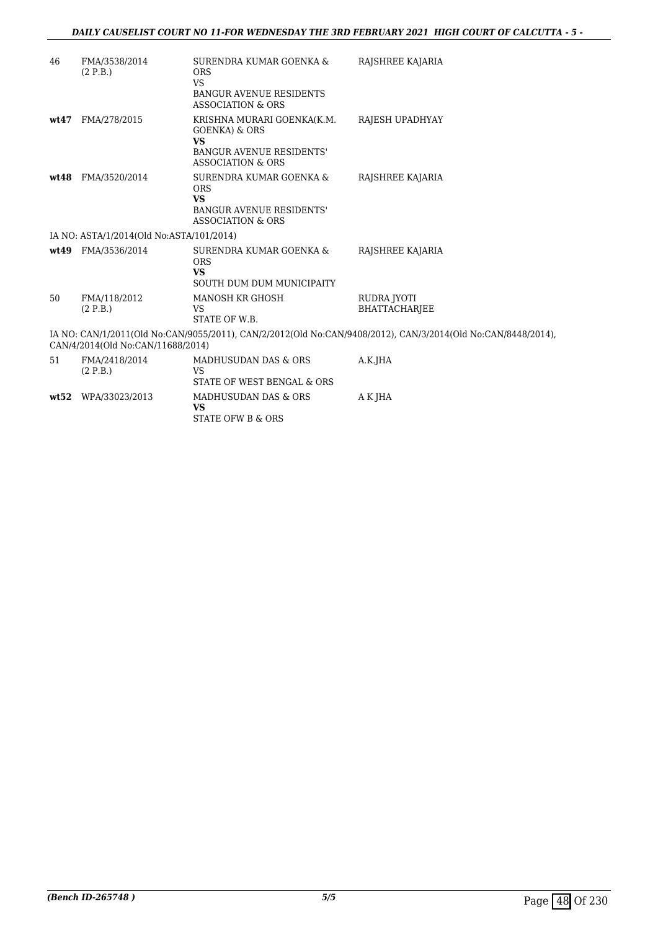| 46                                                                                                                                                | FMA/3538/2014<br>(2 P.B.)                | SURENDRA KUMAR GOENKA &<br><b>ORS</b><br><b>VS</b><br><b>BANGUR AVENUE RESIDENTS</b><br>ASSOCIATION & ORS                   | RAJSHREE KAJARIA             |  |
|---------------------------------------------------------------------------------------------------------------------------------------------------|------------------------------------------|-----------------------------------------------------------------------------------------------------------------------------|------------------------------|--|
| wt47                                                                                                                                              | FMA/278/2015                             | KRISHNA MURARI GOENKA(K.M.<br>GOENKA) & ORS<br><b>VS</b><br><b>BANGUR AVENUE RESIDENTS'</b><br><b>ASSOCIATION &amp; ORS</b> | RAJESH UPADHYAY              |  |
| wt.48                                                                                                                                             | FMA/3520/2014                            | SURENDRA KUMAR GOENKA &<br><b>ORS</b><br><b>VS</b><br><b>BANGUR AVENUE RESIDENTS'</b><br><b>ASSOCIATION &amp; ORS</b>       | RAJSHREE KAJARIA             |  |
|                                                                                                                                                   | IA NO: ASTA/1/2014(Old No:ASTA/101/2014) |                                                                                                                             |                              |  |
| wt.49                                                                                                                                             | FMA/3536/2014                            | SURENDRA KUMAR GOENKA &<br><b>ORS</b><br><b>VS</b><br>SOUTH DUM DUM MUNICIPAITY                                             | RAJSHREE KAJARIA             |  |
| 50                                                                                                                                                | FMA/118/2012<br>(2 P.B.)                 | MANOSH KR GHOSH<br><b>VS</b><br>STATE OF W.B.                                                                               | RUDRA JYOTI<br>BHATTACHARJEE |  |
| IA NO: CAN/1/2011(Old No:CAN/9055/2011), CAN/2/2012(Old No:CAN/9408/2012), CAN/3/2014(Old No:CAN/8448/2014),<br>CAN/4/2014(Old No:CAN/11688/2014) |                                          |                                                                                                                             |                              |  |
| 51                                                                                                                                                | FMA/2418/2014<br>(2 P.B.)                | MADHUSUDAN DAS & ORS<br>VS<br>STATE OF WEST BENGAL & ORS                                                                    | A.K.JHA                      |  |
|                                                                                                                                                   | wt52 WPA/33023/2013                      | MADHUSUDAN DAS & ORS<br><b>VS</b><br><b>STATE OFW B &amp; ORS</b>                                                           | A K JHA                      |  |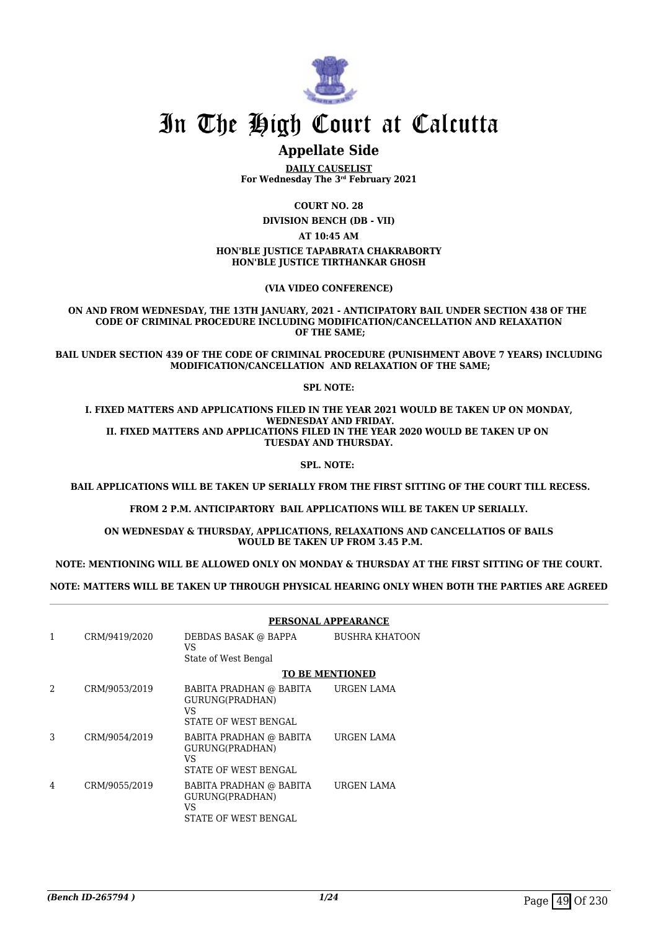

# In The High Court at Calcutta

# **Appellate Side**

**DAILY CAUSELIST For Wednesday The 3rd February 2021**

**COURT NO. 28**

**DIVISION BENCH (DB - VII)**

**AT 10:45 AM**

#### **HON'BLE JUSTICE TAPABRATA CHAKRABORTY HON'BLE JUSTICE TIRTHANKAR GHOSH**

**(VIA VIDEO CONFERENCE)**

**ON AND FROM WEDNESDAY, THE 13TH JANUARY, 2021 - ANTICIPATORY BAIL UNDER SECTION 438 OF THE CODE OF CRIMINAL PROCEDURE INCLUDING MODIFICATION/CANCELLATION AND RELAXATION OF THE SAME;**

**BAIL UNDER SECTION 439 OF THE CODE OF CRIMINAL PROCEDURE (PUNISHMENT ABOVE 7 YEARS) INCLUDING MODIFICATION/CANCELLATION AND RELAXATION OF THE SAME;**

#### **SPL NOTE:**

**I. FIXED MATTERS AND APPLICATIONS FILED IN THE YEAR 2021 WOULD BE TAKEN UP ON MONDAY, WEDNESDAY AND FRIDAY. II. FIXED MATTERS AND APPLICATIONS FILED IN THE YEAR 2020 WOULD BE TAKEN UP ON TUESDAY AND THURSDAY.**

**SPL. NOTE:** 

 **BAIL APPLICATIONS WILL BE TAKEN UP SERIALLY FROM THE FIRST SITTING OF THE COURT TILL RECESS.**

**FROM 2 P.M. ANTICIPARTORY BAIL APPLICATIONS WILL BE TAKEN UP SERIALLY.**

**ON WEDNESDAY & THURSDAY, APPLICATIONS, RELAXATIONS AND CANCELLATIOS OF BAILS WOULD BE TAKEN UP FROM 3.45 P.M.**

**NOTE: MENTIONING WILL BE ALLOWED ONLY ON MONDAY & THURSDAY AT THE FIRST SITTING OF THE COURT.**

**NOTE: MATTERS WILL BE TAKEN UP THROUGH PHYSICAL HEARING ONLY WHEN BOTH THE PARTIES ARE AGREED**

|               |               | PERSONAL APPEARANCE                                                       |                       |
|---------------|---------------|---------------------------------------------------------------------------|-----------------------|
| 1             | CRM/9419/2020 | DEBDAS BASAK @ BAPPA<br>VS                                                | <b>BUSHRA KHATOON</b> |
|               |               | State of West Bengal                                                      |                       |
|               |               | <b>TO BE MENTIONED</b>                                                    |                       |
| $\mathcal{D}$ | CRM/9053/2019 | BABITA PRADHAN @ BABITA<br>GURUNG(PRADHAN)<br>VS<br>STATE OF WEST BENGAL  | URGEN LAMA            |
| 3             | CRM/9054/2019 | BABITA PRADHAN @ BABITA<br>GURUNG(PRADHAN)<br>VS.<br>STATE OF WEST BENGAL | URGEN LAMA            |
| 4             | CRM/9055/2019 | BABITA PRADHAN @ BABITA<br>GURUNG(PRADHAN)<br>VS<br>STATE OF WEST BENGAL  | URGEN LAMA            |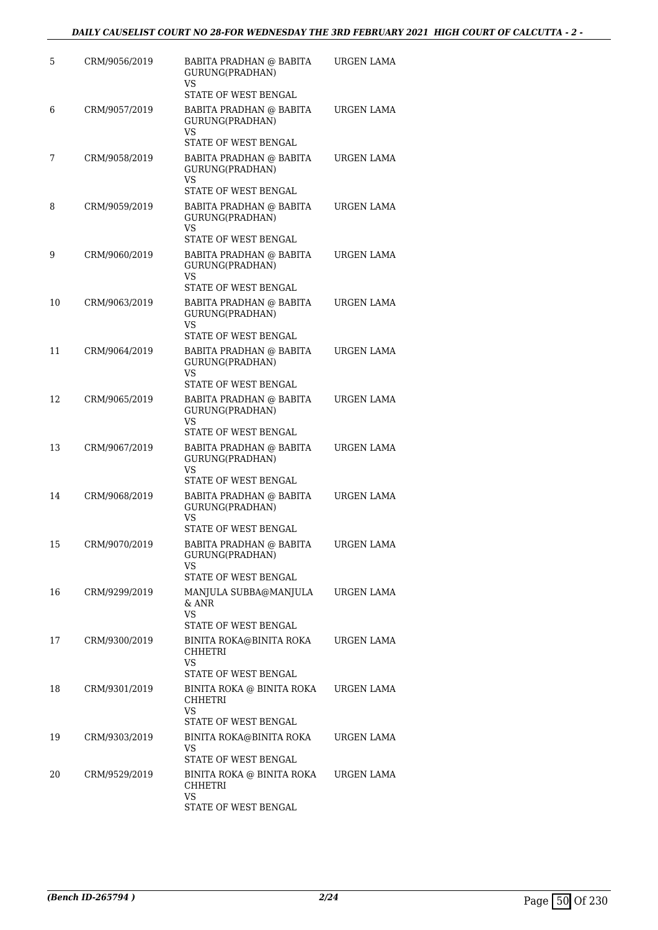| 5  | CRM/9056/2019 | <b>BABITA PRADHAN @ BABITA</b><br>GURUNG(PRADHAN)<br>VS.                         | URGEN LAMA |
|----|---------------|----------------------------------------------------------------------------------|------------|
| 6  | CRM/9057/2019 | STATE OF WEST BENGAL<br>BABITA PRADHAN @ BABITA<br>GURUNG(PRADHAN)<br>VS         | URGEN LAMA |
| 7  | CRM/9058/2019 | STATE OF WEST BENGAL<br>BABITA PRADHAN @ BABITA<br>GURUNG(PRADHAN)<br>VS         | URGEN LAMA |
| 8  | CRM/9059/2019 | <b>STATE OF WEST BENGAL</b><br>BABITA PRADHAN @ BABITA<br>GURUNG(PRADHAN)<br>VS. | URGEN LAMA |
| 9  | CRM/9060/2019 | STATE OF WEST BENGAL<br>BABITA PRADHAN @ BABITA<br>GURUNG(PRADHAN)<br>VS.        | URGEN LAMA |
| 10 | CRM/9063/2019 | STATE OF WEST BENGAL<br>BABITA PRADHAN @ BABITA<br>GURUNG(PRADHAN)<br>VS         | URGEN LAMA |
| 11 | CRM/9064/2019 | STATE OF WEST BENGAL<br>BABITA PRADHAN @ BABITA<br>GURUNG(PRADHAN)<br><b>VS</b>  | URGEN LAMA |
| 12 | CRM/9065/2019 | STATE OF WEST BENGAL<br>BABITA PRADHAN @ BABITA<br>GURUNG(PRADHAN)<br>VS.        | URGEN LAMA |
| 13 | CRM/9067/2019 | STATE OF WEST BENGAL<br>BABITA PRADHAN @ BABITA<br>GURUNG(PRADHAN)<br>VS         | URGEN LAMA |
| 14 | CRM/9068/2019 | STATE OF WEST BENGAL<br>BABITA PRADHAN @ BABITA<br>GURUNG(PRADHAN)<br><b>VS</b>  | URGEN LAMA |
| 15 | CRM/9070/2019 | STATE OF WEST BENGAL<br>BABITA PRADHAN @ BABITA<br>GURUNG(PRADHAN)<br>VS.        | URGEN LAMA |
| 16 | CRM/9299/2019 | STATE OF WEST BENGAL<br>MANJULA SUBBA@MANJULA<br>$&$ ANR<br><b>VS</b>            | URGEN LAMA |
| 17 | CRM/9300/2019 | STATE OF WEST BENGAL<br>BINITA ROKA@BINITA ROKA<br>CHHETRI<br>VS                 | URGEN LAMA |
| 18 | CRM/9301/2019 | STATE OF WEST BENGAL<br>BINITA ROKA @ BINITA ROKA<br>CHHETRI<br>VS.              | URGEN LAMA |
| 19 | CRM/9303/2019 | STATE OF WEST BENGAL<br>BINITA ROKA@BINITA ROKA<br>VS<br>STATE OF WEST BENGAL    | URGEN LAMA |
| 20 | CRM/9529/2019 | BINITA ROKA @ BINITA ROKA<br><b>CHHETRI</b><br>VS<br>STATE OF WEST BENGAL        | URGEN LAMA |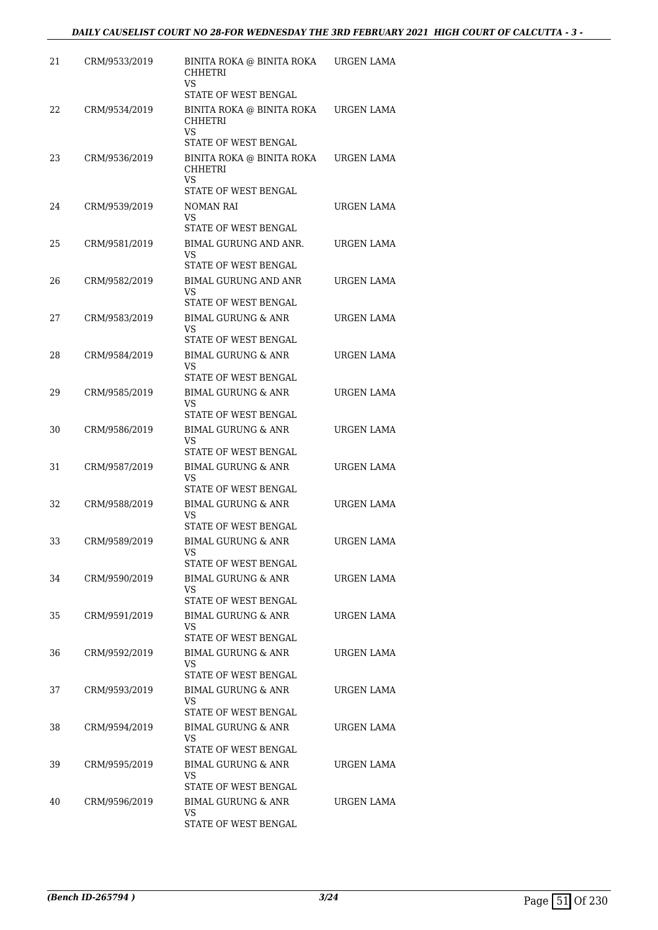| 21 | CRM/9533/2019 | BINITA ROKA @ BINITA ROKA<br>CHHETRI<br>VS.                                      | URGEN LAMA        |
|----|---------------|----------------------------------------------------------------------------------|-------------------|
| 22 | CRM/9534/2019 | STATE OF WEST BENGAL<br>BINITA ROKA @ BINITA ROKA<br><b>CHHETRI</b><br><b>VS</b> | URGEN LAMA        |
| 23 | CRM/9536/2019 | STATE OF WEST BENGAL<br>BINITA ROKA @ BINITA ROKA<br>CHHETRI<br>VS               | URGEN LAMA        |
| 24 | CRM/9539/2019 | STATE OF WEST BENGAL<br>NOMAN RAI<br>VS                                          | URGEN LAMA        |
| 25 | CRM/9581/2019 | STATE OF WEST BENGAL<br>BIMAL GURUNG AND ANR.<br>VS<br>STATE OF WEST BENGAL      | URGEN LAMA        |
| 26 | CRM/9582/2019 | <b>BIMAL GURUNG AND ANR</b><br>VS<br>STATE OF WEST BENGAL                        | URGEN LAMA        |
| 27 | CRM/9583/2019 | <b>BIMAL GURUNG &amp; ANR</b><br>VS<br>STATE OF WEST BENGAL                      | URGEN LAMA        |
| 28 | CRM/9584/2019 | <b>BIMAL GURUNG &amp; ANR</b><br>VS<br>STATE OF WEST BENGAL                      | URGEN LAMA        |
| 29 | CRM/9585/2019 | <b>BIMAL GURUNG &amp; ANR</b><br>VS<br>STATE OF WEST BENGAL                      | URGEN LAMA        |
| 30 | CRM/9586/2019 | BIMAL GURUNG & ANR<br>VS<br>STATE OF WEST BENGAL                                 | URGEN LAMA        |
| 31 | CRM/9587/2019 | <b>BIMAL GURUNG &amp; ANR</b><br><b>VS</b><br>STATE OF WEST BENGAL               | URGEN LAMA        |
| 32 | CRM/9588/2019 | <b>BIMAL GURUNG &amp; ANR</b><br>VS<br>STATE OF WEST BENGAL                      | URGEN LAMA        |
| 33 | CRM/9589/2019 | <b>BIMAL GURUNG &amp; ANR</b><br>VS<br>STATE OF WEST BENGAL                      | <b>URGEN LAMA</b> |
| 34 | CRM/9590/2019 | BIMAL GURUNG & ANR<br>VS<br>STATE OF WEST BENGAL                                 | URGEN LAMA        |
| 35 | CRM/9591/2019 | <b>BIMAL GURUNG &amp; ANR</b><br>VS<br>STATE OF WEST BENGAL                      | URGEN LAMA        |
| 36 | CRM/9592/2019 | <b>BIMAL GURUNG &amp; ANR</b><br>VS<br>STATE OF WEST BENGAL                      | URGEN LAMA        |
| 37 | CRM/9593/2019 | BIMAL GURUNG & ANR<br>VS<br>STATE OF WEST BENGAL                                 | URGEN LAMA        |
| 38 | CRM/9594/2019 | BIMAL GURUNG & ANR<br>VS<br>STATE OF WEST BENGAL                                 | URGEN LAMA        |
| 39 | CRM/9595/2019 | BIMAL GURUNG & ANR<br>VS<br>STATE OF WEST BENGAL                                 | URGEN LAMA        |
| 40 | CRM/9596/2019 | BIMAL GURUNG & ANR<br>VS<br>STATE OF WEST BENGAL                                 | URGEN LAMA        |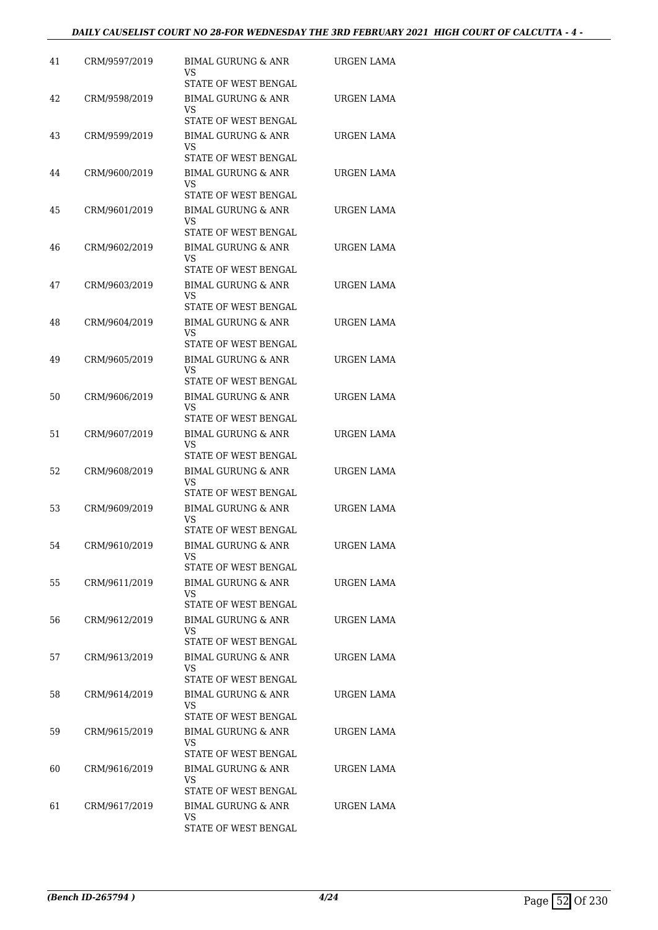| CRM/9597/2019 | <b>BIMAL GURUNG &amp; ANR</b><br>VS  | URGEN LAMA                                                                                                                                                                                                                                                                                                                                                                                                                                                                                                                         |
|---------------|--------------------------------------|------------------------------------------------------------------------------------------------------------------------------------------------------------------------------------------------------------------------------------------------------------------------------------------------------------------------------------------------------------------------------------------------------------------------------------------------------------------------------------------------------------------------------------|
| CRM/9598/2019 | <b>BIMAL GURUNG &amp; ANR</b><br>VS  | URGEN LAMA                                                                                                                                                                                                                                                                                                                                                                                                                                                                                                                         |
| CRM/9599/2019 | <b>BIMAL GURUNG &amp; ANR</b><br>VS  | URGEN LAMA                                                                                                                                                                                                                                                                                                                                                                                                                                                                                                                         |
| CRM/9600/2019 | <b>BIMAL GURUNG &amp; ANR</b><br>VS  | URGEN LAMA                                                                                                                                                                                                                                                                                                                                                                                                                                                                                                                         |
| CRM/9601/2019 | BIMAL GURUNG & ANR<br>VS             | URGEN LAMA                                                                                                                                                                                                                                                                                                                                                                                                                                                                                                                         |
| CRM/9602/2019 | <b>BIMAL GURUNG &amp; ANR</b><br>VS  | URGEN LAMA                                                                                                                                                                                                                                                                                                                                                                                                                                                                                                                         |
| CRM/9603/2019 | <b>BIMAL GURUNG &amp; ANR</b><br>VS. | URGEN LAMA                                                                                                                                                                                                                                                                                                                                                                                                                                                                                                                         |
| CRM/9604/2019 | <b>BIMAL GURUNG &amp; ANR</b><br>VS  | URGEN LAMA                                                                                                                                                                                                                                                                                                                                                                                                                                                                                                                         |
| CRM/9605/2019 | <b>BIMAL GURUNG &amp; ANR</b><br>VS  | URGEN LAMA                                                                                                                                                                                                                                                                                                                                                                                                                                                                                                                         |
| CRM/9606/2019 | <b>BIMAL GURUNG &amp; ANR</b><br>VS  | URGEN LAMA                                                                                                                                                                                                                                                                                                                                                                                                                                                                                                                         |
| CRM/9607/2019 | BIMAL GURUNG & ANR<br>VS             | URGEN LAMA                                                                                                                                                                                                                                                                                                                                                                                                                                                                                                                         |
| CRM/9608/2019 | <b>BIMAL GURUNG &amp; ANR</b><br>VS  | URGEN LAMA                                                                                                                                                                                                                                                                                                                                                                                                                                                                                                                         |
| CRM/9609/2019 | <b>BIMAL GURUNG &amp; ANR</b><br>VS  | URGEN LAMA                                                                                                                                                                                                                                                                                                                                                                                                                                                                                                                         |
| CRM/9610/2019 | BIMAL GURUNG & ANR<br>VS             | URGEN LAMA                                                                                                                                                                                                                                                                                                                                                                                                                                                                                                                         |
| CRM/9611/2019 | <b>BIMAL GURUNG &amp; ANR</b><br>VS  | URGEN LAMA                                                                                                                                                                                                                                                                                                                                                                                                                                                                                                                         |
| CRM/9612/2019 | <b>BIMAL GURUNG &amp; ANR</b><br>VS  | URGEN LAMA                                                                                                                                                                                                                                                                                                                                                                                                                                                                                                                         |
| CRM/9613/2019 | BIMAL GURUNG & ANR<br>VS             | URGEN LAMA                                                                                                                                                                                                                                                                                                                                                                                                                                                                                                                         |
| CRM/9614/2019 | BIMAL GURUNG & ANR<br>VS             | URGEN LAMA                                                                                                                                                                                                                                                                                                                                                                                                                                                                                                                         |
| CRM/9615/2019 | BIMAL GURUNG & ANR<br>VS             | URGEN LAMA                                                                                                                                                                                                                                                                                                                                                                                                                                                                                                                         |
| CRM/9616/2019 | <b>BIMAL GURUNG &amp; ANR</b><br>VS  | URGEN LAMA                                                                                                                                                                                                                                                                                                                                                                                                                                                                                                                         |
| CRM/9617/2019 | BIMAL GURUNG & ANR<br>VS             | URGEN LAMA                                                                                                                                                                                                                                                                                                                                                                                                                                                                                                                         |
|               |                                      | STATE OF WEST BENGAL<br>STATE OF WEST BENGAL<br>STATE OF WEST BENGAL<br><b>STATE OF WEST BENGAL</b><br>STATE OF WEST BENGAL<br>STATE OF WEST BENGAL<br>STATE OF WEST BENGAL<br>STATE OF WEST BENGAL<br>STATE OF WEST BENGAL<br>STATE OF WEST BENGAL<br>STATE OF WEST BENGAL<br>STATE OF WEST BENGAL<br><b>STATE OF WEST BENGAL</b><br>STATE OF WEST BENGAL<br>STATE OF WEST BENGAL<br>STATE OF WEST BENGAL<br>STATE OF WEST BENGAL<br>STATE OF WEST BENGAL<br>STATE OF WEST BENGAL<br>STATE OF WEST BENGAL<br>STATE OF WEST BENGAL |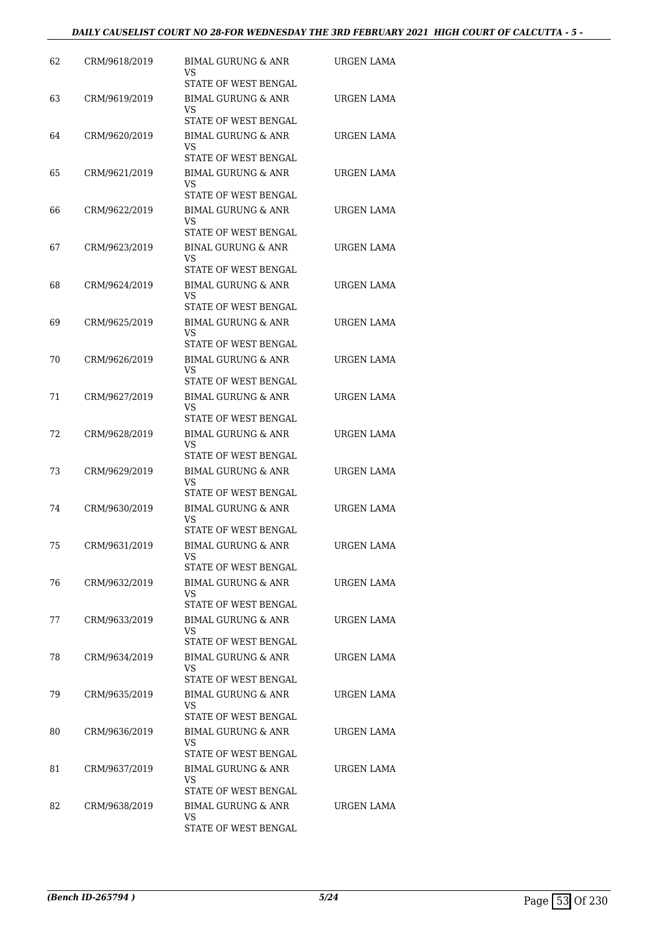#### *DAILY CAUSELIST COURT NO 28-FOR WEDNESDAY THE 3RD FEBRUARY 2021 HIGH COURT OF CALCUTTA - 5 -*

| 62 | CRM/9618/2019 | BIMAL GURUNG & ANR<br>VS                                                 | URGEN LAMA        |
|----|---------------|--------------------------------------------------------------------------|-------------------|
| 63 | CRM/9619/2019 | STATE OF WEST BENGAL<br><b>BIMAL GURUNG &amp; ANR</b><br>VS              | URGEN LAMA        |
| 64 | CRM/9620/2019 | STATE OF WEST BENGAL<br>BIMAL GURUNG & ANR                               | URGEN LAMA        |
|    |               | VS<br>STATE OF WEST BENGAL<br><b>BIMAL GURUNG &amp; ANR</b>              | <b>URGEN LAMA</b> |
| 65 | CRM/9621/2019 | VS<br>STATE OF WEST BENGAL                                               |                   |
| 66 | CRM/9622/2019 | <b>BIMAL GURUNG &amp; ANR</b><br>VS                                      | URGEN LAMA        |
| 67 | CRM/9623/2019 | STATE OF WEST BENGAL<br>BINAL GURUNG & ANR<br>VS<br>STATE OF WEST BENGAL | URGEN LAMA        |
| 68 | CRM/9624/2019 | <b>BIMAL GURUNG &amp; ANR</b><br>VS                                      | URGEN LAMA        |
| 69 | CRM/9625/2019 | STATE OF WEST BENGAL<br>BIMAL GURUNG & ANR<br>VS                         | <b>URGEN LAMA</b> |
| 70 | CRM/9626/2019 | STATE OF WEST BENGAL<br><b>BIMAL GURUNG &amp; ANR</b><br>VS              | URGEN LAMA        |
| 71 | CRM/9627/2019 | STATE OF WEST BENGAL<br><b>BIMAL GURUNG &amp; ANR</b><br>VS              | URGEN LAMA        |
| 72 | CRM/9628/2019 | STATE OF WEST BENGAL<br>BIMAL GURUNG & ANR<br>VS                         | URGEN LAMA        |
| 73 | CRM/9629/2019 | STATE OF WEST BENGAL<br>BIMAL GURUNG & ANR<br>VS                         | URGEN LAMA        |
| 74 | CRM/9630/2019 | STATE OF WEST BENGAL<br><b>BIMAL GURUNG &amp; ANR</b><br>VS              | <b>URGEN LAMA</b> |
| 75 | CRM/9631/2019 | STATE OF WEST BENGAL<br><b>BIMAL GURUNG &amp; ANR</b><br>VS              | URGEN LAMA        |
| 76 | CRM/9632/2019 | STATE OF WEST BENGAL<br>BIMAL GURUNG & ANR<br>VS                         | URGEN LAMA        |
| 77 | CRM/9633/2019 | STATE OF WEST BENGAL<br>BIMAL GURUNG & ANR<br>VS                         | URGEN LAMA        |
| 78 | CRM/9634/2019 | STATE OF WEST BENGAL<br>BIMAL GURUNG & ANR<br>VS                         | <b>URGEN LAMA</b> |
| 79 | CRM/9635/2019 | STATE OF WEST BENGAL<br>BIMAL GURUNG & ANR<br>VS                         | URGEN LAMA        |
| 80 | CRM/9636/2019 | STATE OF WEST BENGAL<br>BIMAL GURUNG & ANR<br>VS                         | URGEN LAMA        |
| 81 | CRM/9637/2019 | STATE OF WEST BENGAL<br>BIMAL GURUNG & ANR<br>VS                         | URGEN LAMA        |
| 82 | CRM/9638/2019 | STATE OF WEST BENGAL<br>BIMAL GURUNG & ANR<br>VS<br>STATE OF WEST BENGAL | URGEN LAMA        |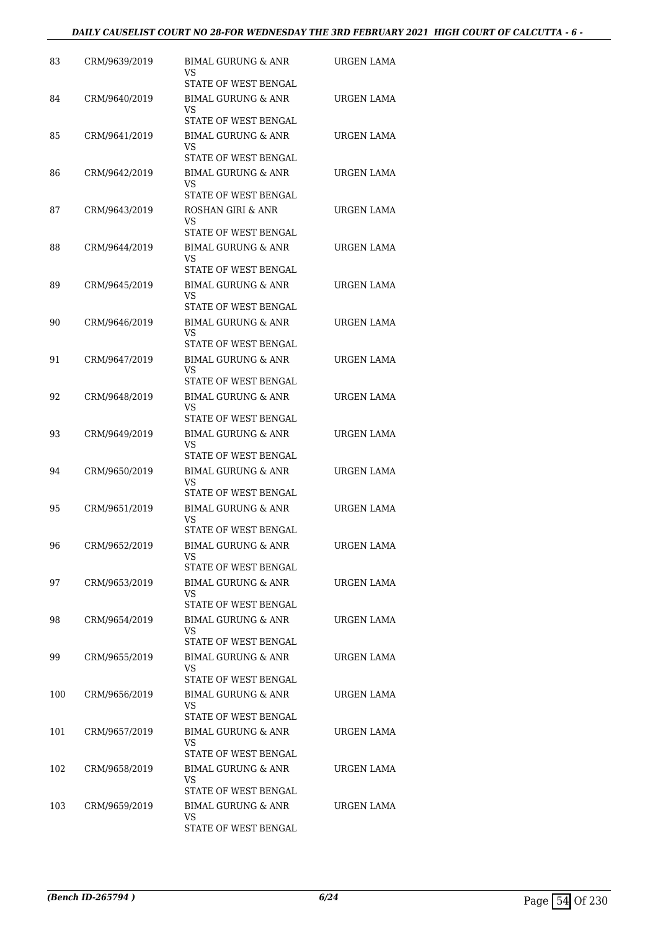#### *DAILY CAUSELIST COURT NO 28-FOR WEDNESDAY THE 3RD FEBRUARY 2021 HIGH COURT OF CALCUTTA - 6 -*

| 83  | CRM/9639/2019 | BIMAL GURUNG & ANR<br>VS<br>STATE OF WEST BENGAL                                    | URGEN LAMA        |
|-----|---------------|-------------------------------------------------------------------------------------|-------------------|
| 84  | CRM/9640/2019 | <b>BIMAL GURUNG &amp; ANR</b><br>VS<br><b>STATE OF WEST BENGAL</b>                  | URGEN LAMA        |
| 85  | CRM/9641/2019 | <b>BIMAL GURUNG &amp; ANR</b><br>VS<br>STATE OF WEST BENGAL                         | URGEN LAMA        |
| 86  | CRM/9642/2019 | <b>BIMAL GURUNG &amp; ANR</b><br>VS<br>STATE OF WEST BENGAL                         | URGEN LAMA        |
| 87  | CRM/9643/2019 | ROSHAN GIRI & ANR<br>VS<br>STATE OF WEST BENGAL                                     | URGEN LAMA        |
| 88  | CRM/9644/2019 | BIMAL GURUNG & ANR<br>VS<br>STATE OF WEST BENGAL                                    | URGEN LAMA        |
| 89  | CRM/9645/2019 | <b>BIMAL GURUNG &amp; ANR</b><br><b>VS</b><br>STATE OF WEST BENGAL                  | URGEN LAMA        |
| 90  | CRM/9646/2019 | <b>BIMAL GURUNG &amp; ANR</b><br>VS<br>STATE OF WEST BENGAL                         | URGEN LAMA        |
| 91  | CRM/9647/2019 | <b>BIMAL GURUNG &amp; ANR</b><br>VS<br>STATE OF WEST BENGAL                         | <b>URGEN LAMA</b> |
| 92  | CRM/9648/2019 | <b>BIMAL GURUNG &amp; ANR</b><br>VS<br>STATE OF WEST BENGAL                         | URGEN LAMA        |
| 93  | CRM/9649/2019 | BIMAL GURUNG & ANR<br>VS<br>STATE OF WEST BENGAL                                    | URGEN LAMA        |
| 94  | CRM/9650/2019 | <b>BIMAL GURUNG &amp; ANR</b><br>VS<br>STATE OF WEST BENGAL                         | URGEN LAMA        |
| 95  | CRM/9651/2019 | <b>BIMAL GURUNG &amp; ANR</b><br>VS<br><b>STATE OF WEST BENGAL</b>                  | URGEN LAMA        |
| 96  | CRM/9652/2019 | BIMAL GURUNG & ANR<br>VS<br>STATE OF WEST BENGAL                                    | URGEN LAMA        |
| 97  | CRM/9653/2019 | BIMAL GURUNG & ANR<br>VS<br>STATE OF WEST BENGAL                                    | URGEN LAMA        |
| 98  | CRM/9654/2019 | <b>BIMAL GURUNG &amp; ANR</b><br>VS<br>STATE OF WEST BENGAL                         | URGEN LAMA        |
| 99  | CRM/9655/2019 | <b>BIMAL GURUNG &amp; ANR</b><br>VS<br>STATE OF WEST BENGAL                         | URGEN LAMA        |
| 100 | CRM/9656/2019 | <b>BIMAL GURUNG &amp; ANR</b><br>VS                                                 | URGEN LAMA        |
| 101 | CRM/9657/2019 | STATE OF WEST BENGAL<br>BIMAL GURUNG & ANR<br>VS                                    | URGEN LAMA        |
| 102 | CRM/9658/2019 | STATE OF WEST BENGAL<br><b>BIMAL GURUNG &amp; ANR</b><br>VS<br>STATE OF WEST BENGAL | URGEN LAMA        |
| 103 | CRM/9659/2019 | BIMAL GURUNG & ANR<br>VS<br>STATE OF WEST BENGAL                                    | URGEN LAMA        |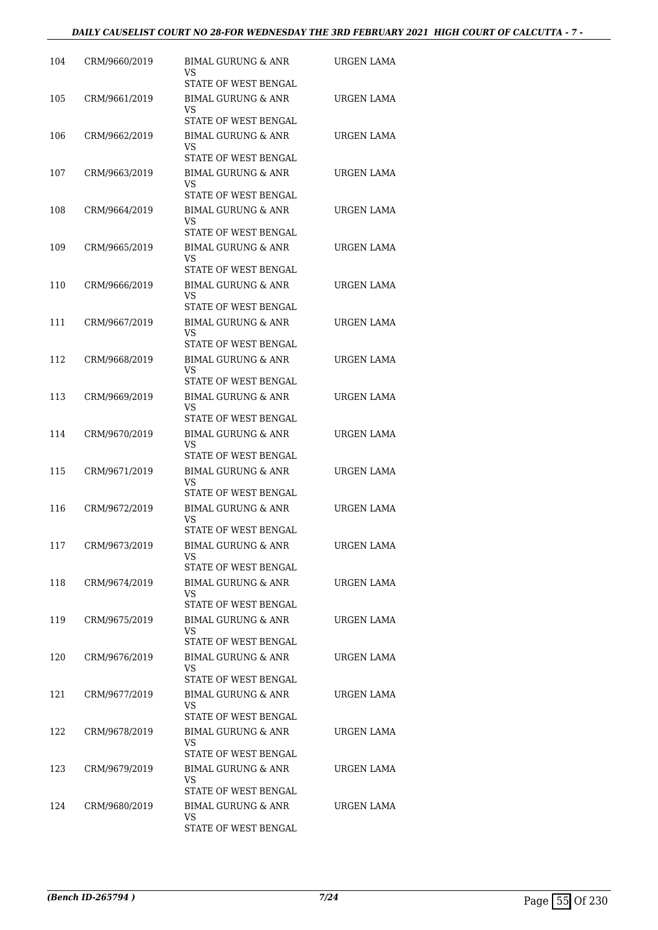#### *DAILY CAUSELIST COURT NO 28-FOR WEDNESDAY THE 3RD FEBRUARY 2021 HIGH COURT OF CALCUTTA - 7 -*

| 104 | CRM/9660/2019 | BIMAL GURUNG & ANR<br>VS<br>STATE OF WEST BENGAL                         | URGEN LAMA        |
|-----|---------------|--------------------------------------------------------------------------|-------------------|
| 105 | CRM/9661/2019 | <b>BIMAL GURUNG &amp; ANR</b><br>VS                                      | URGEN LAMA        |
| 106 | CRM/9662/2019 | STATE OF WEST BENGAL<br>BIMAL GURUNG & ANR<br>VS                         | URGEN LAMA        |
| 107 | CRM/9663/2019 | STATE OF WEST BENGAL<br><b>BIMAL GURUNG &amp; ANR</b><br>VS              | <b>URGEN LAMA</b> |
| 108 | CRM/9664/2019 | STATE OF WEST BENGAL<br><b>BIMAL GURUNG &amp; ANR</b><br>VS              | URGEN LAMA        |
| 109 | CRM/9665/2019 | STATE OF WEST BENGAL<br>BIMAL GURUNG & ANR<br>VS                         | URGEN LAMA        |
| 110 | CRM/9666/2019 | STATE OF WEST BENGAL<br>BIMAL GURUNG & ANR<br>VS                         | URGEN LAMA        |
| 111 | CRM/9667/2019 | STATE OF WEST BENGAL<br><b>BIMAL GURUNG &amp; ANR</b><br>VS              | URGEN LAMA        |
| 112 | CRM/9668/2019 | STATE OF WEST BENGAL<br><b>BIMAL GURUNG &amp; ANR</b><br>VS              | URGEN LAMA        |
| 113 | CRM/9669/2019 | STATE OF WEST BENGAL<br><b>BIMAL GURUNG &amp; ANR</b><br>VS              | URGEN LAMA        |
| 114 | CRM/9670/2019 | STATE OF WEST BENGAL<br>BIMAL GURUNG & ANR<br>VS                         | URGEN LAMA        |
| 115 | CRM/9671/2019 | STATE OF WEST BENGAL<br><b>BIMAL GURUNG &amp; ANR</b><br>VS              | URGEN LAMA        |
| 116 | CRM/9672/2019 | STATE OF WEST BENGAL<br>BIMAL GURUNG & ANR<br>VS                         | <b>URGEN LAMA</b> |
| 117 | CRM/9673/2019 | STATE OF WEST BENGAL<br><b>BIMAL GURUNG &amp; ANR</b><br>VS              | <b>URGEN LAMA</b> |
| 118 | CRM/9674/2019 | STATE OF WEST BENGAL<br>BIMAL GURUNG & ANR<br>VS                         | URGEN LAMA        |
| 119 | CRM/9675/2019 | STATE OF WEST BENGAL<br>BIMAL GURUNG & ANR<br>VS                         | URGEN LAMA        |
| 120 | CRM/9676/2019 | STATE OF WEST BENGAL<br>BIMAL GURUNG & ANR<br>VS                         | URGEN LAMA        |
| 121 | CRM/9677/2019 | STATE OF WEST BENGAL<br>BIMAL GURUNG & ANR<br>VS                         | URGEN LAMA        |
| 122 | CRM/9678/2019 | STATE OF WEST BENGAL<br>BIMAL GURUNG & ANR<br>VS                         | URGEN LAMA        |
| 123 | CRM/9679/2019 | STATE OF WEST BENGAL<br>BIMAL GURUNG & ANR<br>VS.                        | URGEN LAMA        |
| 124 | CRM/9680/2019 | STATE OF WEST BENGAL<br>BIMAL GURUNG & ANR<br>VS<br>STATE OF WEST BENGAL | URGEN LAMA        |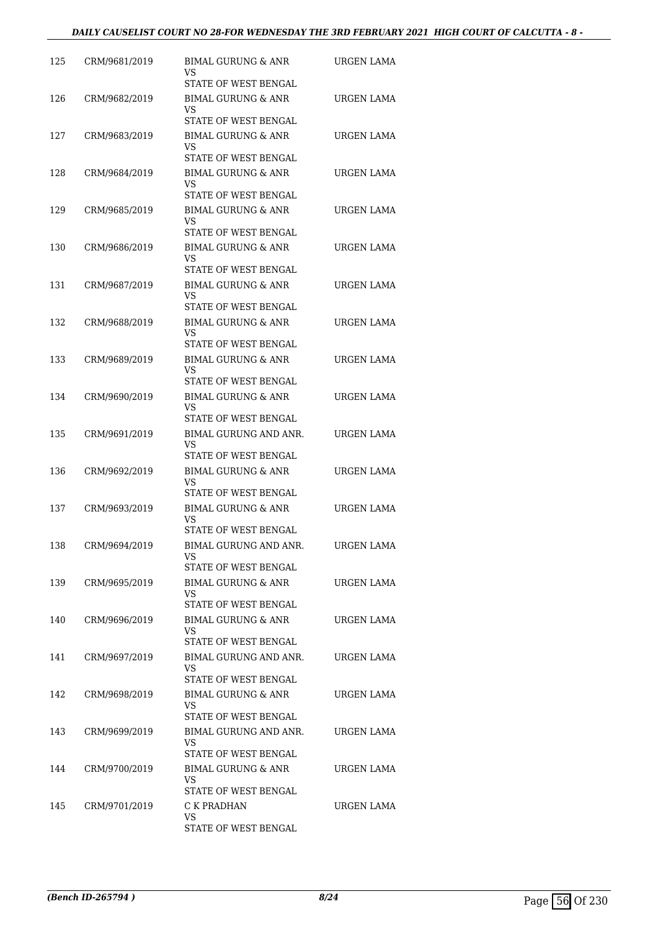#### *DAILY CAUSELIST COURT NO 28-FOR WEDNESDAY THE 3RD FEBRUARY 2021 HIGH COURT OF CALCUTTA - 8 -*

| 125 | CRM/9681/2019 | BIMAL GURUNG & ANR<br>VS<br>STATE OF WEST BENGAL                                    | URGEN LAMA        |
|-----|---------------|-------------------------------------------------------------------------------------|-------------------|
| 126 | CRM/9682/2019 | BIMAL GURUNG & ANR<br>VS<br>STATE OF WEST BENGAL                                    | URGEN LAMA        |
| 127 | CRM/9683/2019 | BIMAL GURUNG & ANR<br>VS                                                            | URGEN LAMA        |
| 128 | CRM/9684/2019 | STATE OF WEST BENGAL<br><b>BIMAL GURUNG &amp; ANR</b><br>VS                         | URGEN LAMA        |
| 129 | CRM/9685/2019 | STATE OF WEST BENGAL<br><b>BIMAL GURUNG &amp; ANR</b><br>VS                         | URGEN LAMA        |
| 130 | CRM/9686/2019 | STATE OF WEST BENGAL<br><b>BIMAL GURUNG &amp; ANR</b><br>VS<br>STATE OF WEST BENGAL | URGEN LAMA        |
| 131 | CRM/9687/2019 | BIMAL GURUNG & ANR<br>VS<br><b>STATE OF WEST BENGAL</b>                             | URGEN LAMA        |
| 132 | CRM/9688/2019 | <b>BIMAL GURUNG &amp; ANR</b><br>VS<br>STATE OF WEST BENGAL                         | URGEN LAMA        |
| 133 | CRM/9689/2019 | <b>BIMAL GURUNG &amp; ANR</b><br>VS                                                 | URGEN LAMA        |
| 134 | CRM/9690/2019 | STATE OF WEST BENGAL<br><b>BIMAL GURUNG &amp; ANR</b><br>VS                         | URGEN LAMA        |
| 135 | CRM/9691/2019 | STATE OF WEST BENGAL<br>BIMAL GURUNG AND ANR.<br>VS                                 | URGEN LAMA        |
| 136 | CRM/9692/2019 | STATE OF WEST BENGAL<br><b>BIMAL GURUNG &amp; ANR</b><br>VS                         | URGEN LAMA        |
| 137 | CRM/9693/2019 | STATE OF WEST BENGAL<br>BIMAL GURUNG & ANR<br>VS                                    | URGEN LAMA        |
| 138 | CRM/9694/2019 | STATE OF WEST BENGAL<br><b>BIMAL GURUNG AND ANR.</b><br>VS                          | <b>URGEN LAMA</b> |
| 139 | CRM/9695/2019 | STATE OF WEST BENGAL<br>BIMAL GURUNG & ANR<br>VS                                    | URGEN LAMA        |
| 140 | CRM/9696/2019 | STATE OF WEST BENGAL<br>BIMAL GURUNG & ANR<br>VS                                    | URGEN LAMA        |
| 141 | CRM/9697/2019 | STATE OF WEST BENGAL<br>BIMAL GURUNG AND ANR.<br>VS.                                | URGEN LAMA        |
| 142 | CRM/9698/2019 | STATE OF WEST BENGAL<br>BIMAL GURUNG & ANR<br>VS                                    | URGEN LAMA        |
| 143 | CRM/9699/2019 | STATE OF WEST BENGAL<br>BIMAL GURUNG AND ANR.<br><b>VS</b>                          | URGEN LAMA        |
| 144 | CRM/9700/2019 | STATE OF WEST BENGAL<br>BIMAL GURUNG & ANR<br><b>VS</b><br>STATE OF WEST BENGAL     | URGEN LAMA        |
| 145 | CRM/9701/2019 | C K PRADHAN<br>VS<br>STATE OF WEST BENGAL                                           | URGEN LAMA        |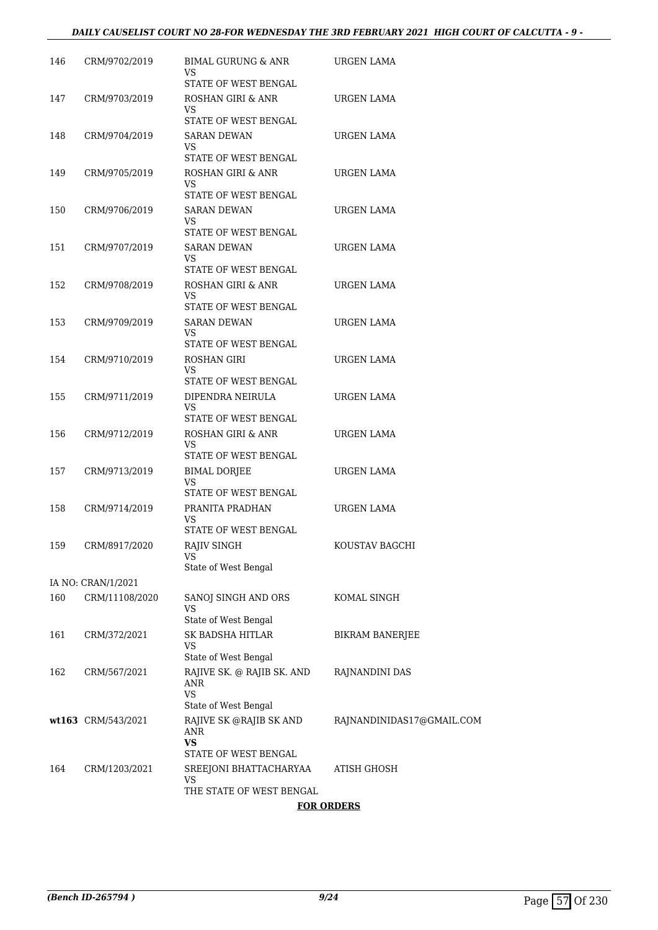#### *DAILY CAUSELIST COURT NO 28-FOR WEDNESDAY THE 3RD FEBRUARY 2021 HIGH COURT OF CALCUTTA - 9 -*

| 146 | CRM/9702/2019      | BIMAL GURUNG & ANR<br>VS                        | URGEN LAMA                |
|-----|--------------------|-------------------------------------------------|---------------------------|
| 147 | CRM/9703/2019      | STATE OF WEST BENGAL<br>ROSHAN GIRI & ANR<br>VS | URGEN LAMA                |
|     |                    | STATE OF WEST BENGAL                            |                           |
| 148 | CRM/9704/2019      | <b>SARAN DEWAN</b><br>VS                        | URGEN LAMA                |
| 149 |                    | STATE OF WEST BENGAL<br>ROSHAN GIRI & ANR       | URGEN LAMA                |
|     | CRM/9705/2019      | VS<br>STATE OF WEST BENGAL                      |                           |
| 150 | CRM/9706/2019      | <b>SARAN DEWAN</b>                              | URGEN LAMA                |
|     |                    | VS<br>STATE OF WEST BENGAL                      |                           |
| 151 | CRM/9707/2019      | SARAN DEWAN                                     | URGEN LAMA                |
|     |                    | VS<br>STATE OF WEST BENGAL                      |                           |
| 152 | CRM/9708/2019      | ROSHAN GIRI & ANR                               | URGEN LAMA                |
|     |                    | VS                                              |                           |
|     |                    | STATE OF WEST BENGAL                            |                           |
| 153 | CRM/9709/2019      | <b>SARAN DEWAN</b><br>VS                        | URGEN LAMA                |
|     |                    | STATE OF WEST BENGAL                            |                           |
| 154 | CRM/9710/2019      | ROSHAN GIRI<br>VS                               | URGEN LAMA                |
|     |                    | STATE OF WEST BENGAL                            |                           |
| 155 | CRM/9711/2019      | DIPENDRA NEIRULA                                | URGEN LAMA                |
|     |                    | VS<br>STATE OF WEST BENGAL                      |                           |
| 156 | CRM/9712/2019      | ROSHAN GIRI & ANR<br>VS                         | URGEN LAMA                |
| 157 | CRM/9713/2019      | STATE OF WEST BENGAL                            | URGEN LAMA                |
|     |                    | BIMAL DORJEE<br>VS<br>STATE OF WEST BENGAL      |                           |
| 158 | CRM/9714/2019      | PRANITA PRADHAN                                 | URGEN LAMA                |
|     |                    | VS.<br>STATE OF WEST BENGAL                     |                           |
| 159 | CRM/8917/2020      | RAJIV SINGH                                     | KOUSTAV BAGCHI            |
|     |                    | VS<br>State of West Bengal                      |                           |
|     | IA NO: CRAN/1/2021 |                                                 |                           |
| 160 | CRM/11108/2020     | SANOJ SINGH AND ORS                             | KOMAL SINGH               |
|     |                    | VS<br>State of West Bengal                      |                           |
| 161 | CRM/372/2021       | SK BADSHA HITLAR                                | <b>BIKRAM BANERJEE</b>    |
|     |                    | VS                                              |                           |
|     |                    | State of West Bengal                            |                           |
| 162 | CRM/567/2021       | RAJIVE SK. @ RAJIB SK. AND<br>ANR<br>VS         | RAJNANDINI DAS            |
|     |                    | State of West Bengal                            |                           |
|     | wt163 CRM/543/2021 | RAJIVE SK @RAJIB SK AND<br>ANR<br><b>VS</b>     | RAJNANDINIDAS17@GMAIL.COM |
|     |                    | STATE OF WEST BENGAL                            |                           |
| 164 | CRM/1203/2021      | SREEJONI BHATTACHARYAA<br>VS                    | ATISH GHOSH               |
|     |                    | THE STATE OF WEST BENGAL                        |                           |
|     |                    |                                                 |                           |

#### **FOR ORDERS**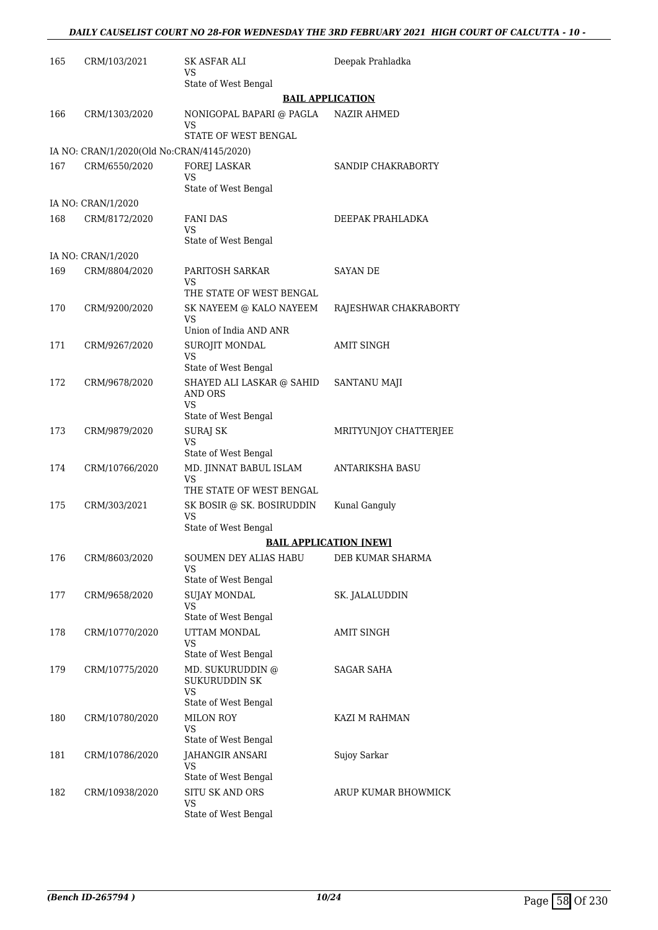| 165 | CRM/103/2021                              | SK ASFAR ALI<br>VS                                                            | Deepak Prahladka              |
|-----|-------------------------------------------|-------------------------------------------------------------------------------|-------------------------------|
|     |                                           | State of West Bengal                                                          |                               |
|     |                                           |                                                                               | <b>BAIL APPLICATION</b>       |
| 166 | CRM/1303/2020                             | NONIGOPAL BAPARI @ PAGLA<br>VS<br>STATE OF WEST BENGAL                        | <b>NAZIR AHMED</b>            |
|     | IA NO: CRAN/1/2020(Old No:CRAN/4145/2020) |                                                                               |                               |
| 167 | CRM/6550/2020                             | <b>FOREJ LASKAR</b><br><b>VS</b><br>State of West Bengal                      | SANDIP CHAKRABORTY            |
|     | IA NO: CRAN/1/2020                        |                                                                               |                               |
| 168 | CRM/8172/2020                             | FANI DAS                                                                      | DEEPAK PRAHLADKA              |
|     |                                           | VS<br>State of West Bengal                                                    |                               |
|     | IA NO: CRAN/1/2020                        |                                                                               |                               |
| 169 | CRM/8804/2020                             | PARITOSH SARKAR<br>VS<br>THE STATE OF WEST BENGAL                             | <b>SAYAN DE</b>               |
| 170 | CRM/9200/2020                             | SK NAYEEM @ KALO NAYEEM                                                       |                               |
|     |                                           | VS<br>Union of India AND ANR                                                  | RAJESHWAR CHAKRABORTY         |
| 171 | CRM/9267/2020                             | SUROJIT MONDAL                                                                | <b>AMIT SINGH</b>             |
|     |                                           | <b>VS</b><br>State of West Bengal                                             |                               |
| 172 | CRM/9678/2020                             | SHAYED ALI LASKAR @ SAHID<br>AND ORS                                          | SANTANU MAJI                  |
|     |                                           | VS.                                                                           |                               |
| 173 | CRM/9879/2020                             | State of West Bengal<br>SURAJ SK                                              | MRITYUNJOY CHATTERJEE         |
|     |                                           | <b>VS</b><br>State of West Bengal                                             |                               |
| 174 | CRM/10766/2020                            | MD. JINNAT BABUL ISLAM<br>VS<br>THE STATE OF WEST BENGAL                      | ANTARIKSHA BASU               |
|     |                                           |                                                                               |                               |
| 175 | CRM/303/2021                              | SK BOSIR @ SK. BOSIRUDDIN<br>VS<br>State of West Bengal                       | Kunal Ganguly                 |
|     |                                           |                                                                               | <b>BAIL APPLICATION [NEW]</b> |
| 176 | CRM/8603/2020                             | SOUMEN DEY ALIAS HABU<br>VS                                                   | DEB KUMAR SHARMA              |
|     |                                           | State of West Bengal                                                          |                               |
| 177 | CRM/9658/2020                             | <b>SUJAY MONDAL</b><br><b>VS</b><br>State of West Bengal                      | SK. JALALUDDIN                |
| 178 | CRM/10770/2020                            | UTTAM MONDAL<br>VS                                                            | <b>AMIT SINGH</b>             |
|     |                                           | State of West Bengal                                                          |                               |
| 179 | CRM/10775/2020                            | MD. SUKURUDDIN @<br><b>SUKURUDDIN SK</b><br><b>VS</b><br>State of West Bengal | SAGAR SAHA                    |
| 180 | CRM/10780/2020                            | <b>MILON ROY</b><br><b>VS</b>                                                 | KAZI M RAHMAN                 |
|     |                                           | State of West Bengal                                                          |                               |
| 181 | CRM/10786/2020                            | JAHANGIR ANSARI<br>VS<br>State of West Bengal                                 | Sujoy Sarkar                  |
| 182 | CRM/10938/2020                            | SITU SK AND ORS<br><b>VS</b><br>State of West Bengal                          | ARUP KUMAR BHOWMICK           |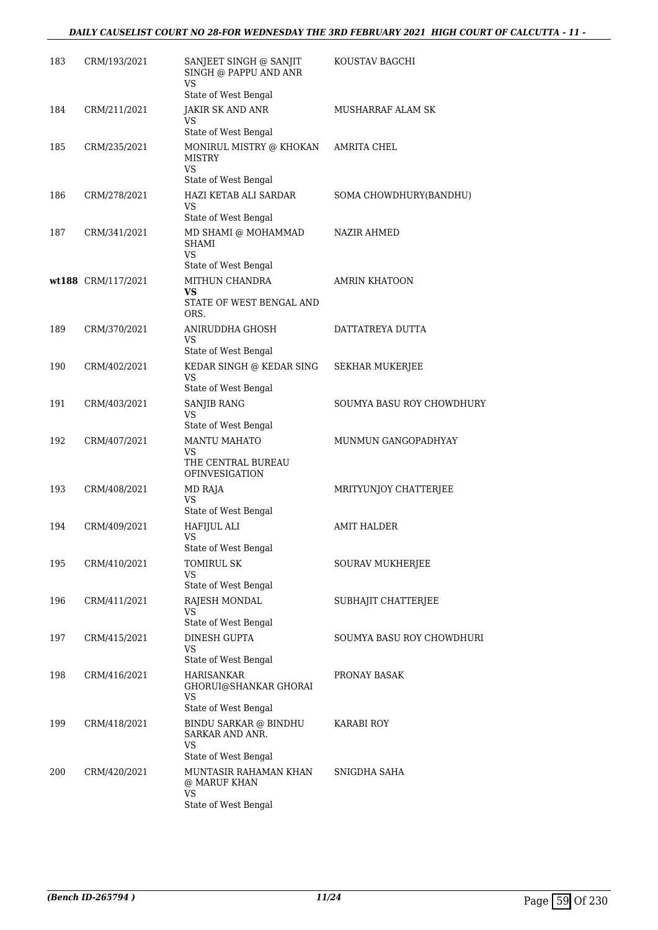### *DAILY CAUSELIST COURT NO 28-FOR WEDNESDAY THE 3RD FEBRUARY 2021 HIGH COURT OF CALCUTTA - 11 -*

| 183 | CRM/193/2021       | SANJEET SINGH @ SANJIT<br>SINGH @ PAPPU AND ANR<br><b>VS</b>                                     | KOUSTAV BAGCHI            |
|-----|--------------------|--------------------------------------------------------------------------------------------------|---------------------------|
| 184 | CRM/211/2021       | State of West Bengal<br>JAKIR SK AND ANR<br>VS                                                   | MUSHARRAF ALAM SK         |
| 185 | CRM/235/2021       | State of West Bengal<br>MONIRUL MISTRY @ KHOKAN<br><b>MISTRY</b><br>VS<br>State of West Bengal   | AMRITA CHEL               |
| 186 | CRM/278/2021       | HAZI KETAB ALI SARDAR<br>VS                                                                      | SOMA CHOWDHURY(BANDHU)    |
| 187 | CRM/341/2021       | State of West Bengal<br>MD SHAMI @ MOHAMMAD<br>SHAMI<br><b>VS</b>                                | NAZIR AHMED               |
|     |                    | State of West Bengal                                                                             |                           |
|     | wt188 CRM/117/2021 | MITHUN CHANDRA<br>VS<br>STATE OF WEST BENGAL AND<br>ORS.                                         | <b>AMRIN KHATOON</b>      |
| 189 | CRM/370/2021       | ANIRUDDHA GHOSH<br>VS<br>State of West Bengal                                                    | DATTATREYA DUTTA          |
| 190 | CRM/402/2021       | KEDAR SINGH @ KEDAR SING<br>VS<br>State of West Bengal                                           | SEKHAR MUKERJEE           |
| 191 | CRM/403/2021       | <b>SANJIB RANG</b><br>VS                                                                         | SOUMYA BASU ROY CHOWDHURY |
| 192 | CRM/407/2021       | State of West Bengal<br><b>MANTU MAHATO</b><br>VS<br>THE CENTRAL BUREAU<br><b>OFINVESIGATION</b> | MUNMUN GANGOPADHYAY       |
| 193 | CRM/408/2021       | MD RAJA<br>VS<br>State of West Bengal                                                            | MRITYUNJOY CHATTERJEE     |
| 194 | CRM/409/2021       | HAFIJUL ALI<br>VS<br>State of West Bengal                                                        | <b>AMIT HALDER</b>        |
| 195 | CRM/410/2021       | TOMIRUL SK<br>VS<br>State of West Bengal                                                         | SOURAV MUKHERJEE          |
| 196 | CRM/411/2021       | RAJESH MONDAL<br>VS.<br>State of West Bengal                                                     | SUBHAJIT CHATTERJEE       |
| 197 | CRM/415/2021       | DINESH GUPTA<br>VS<br>State of West Bengal                                                       | SOUMYA BASU ROY CHOWDHURI |
| 198 | CRM/416/2021       | <b>HARISANKAR</b><br>GHORUI@SHANKAR GHORAI<br>VS                                                 | PRONAY BASAK              |
| 199 | CRM/418/2021       | State of West Bengal<br>BINDU SARKAR @ BINDHU<br>SARKAR AND ANR.<br>VS                           | KARABI ROY                |
| 200 | CRM/420/2021       | State of West Bengal<br>MUNTASIR RAHAMAN KHAN<br>@ MARUF KHAN<br>VS<br>State of West Bengal      | SNIGDHA SAHA              |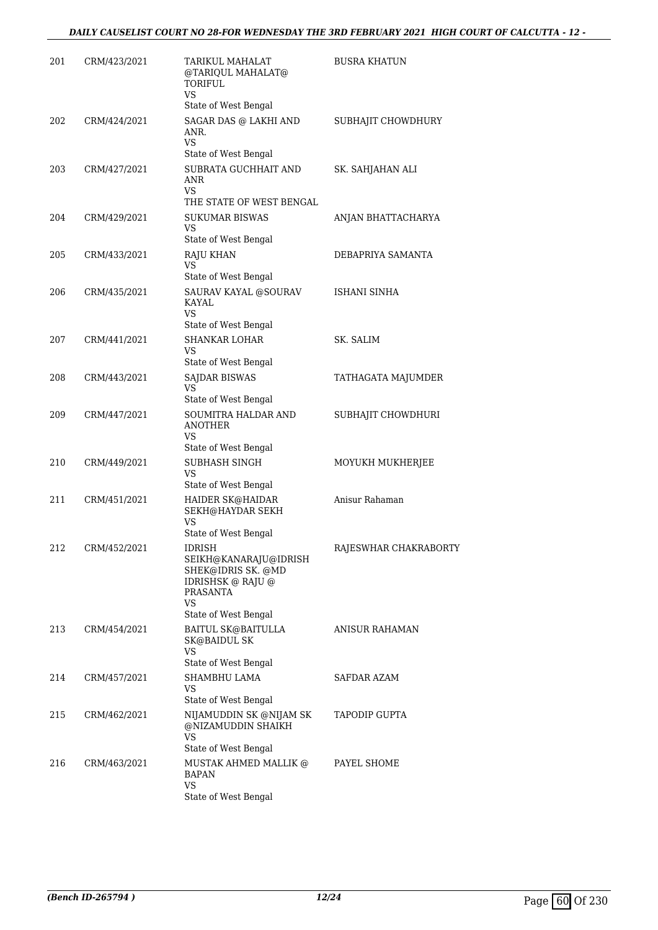| 201 | CRM/423/2021 | TARIKUL MAHALAT<br>@TARIQUL MAHALAT@<br>TORIFUL<br><b>VS</b><br>State of West Bengal                                                                | <b>BUSRA KHATUN</b>   |
|-----|--------------|-----------------------------------------------------------------------------------------------------------------------------------------------------|-----------------------|
| 202 | CRM/424/2021 | SAGAR DAS @ LAKHI AND<br>ANR.<br><b>VS</b>                                                                                                          | SUBHAJIT CHOWDHURY    |
| 203 | CRM/427/2021 | State of West Bengal<br>SUBRATA GUCHHAIT AND<br><b>ANR</b><br>VS.                                                                                   | SK. SAHJAHAN ALI      |
| 204 | CRM/429/2021 | THE STATE OF WEST BENGAL<br><b>SUKUMAR BISWAS</b><br>VS<br>State of West Bengal                                                                     | ANJAN BHATTACHARYA    |
| 205 | CRM/433/2021 | <b>RAJU KHAN</b><br>VS<br>State of West Bengal                                                                                                      | DEBAPRIYA SAMANTA     |
| 206 | CRM/435/2021 | SAURAV KAYAL @SOURAV<br>KAYAL<br>VS                                                                                                                 | <b>ISHANI SINHA</b>   |
| 207 | CRM/441/2021 | State of West Bengal<br><b>SHANKAR LOHAR</b><br>VS<br>State of West Bengal                                                                          | SK. SALIM             |
| 208 | CRM/443/2021 | <b>SAJDAR BISWAS</b><br>VS<br>State of West Bengal                                                                                                  | TATHAGATA MAJUMDER    |
| 209 | CRM/447/2021 | SOUMITRA HALDAR AND<br><b>ANOTHER</b><br>VS                                                                                                         | SUBHAJIT CHOWDHURI    |
| 210 | CRM/449/2021 | State of West Bengal<br>SUBHASH SINGH<br>VS<br>State of West Bengal                                                                                 | MOYUKH MUKHERJEE      |
| 211 | CRM/451/2021 | HAIDER SK@HAIDAR<br>SEKH@HAYDAR SEKH<br>VS                                                                                                          | Anisur Rahaman        |
| 212 | CRM/452/2021 | State of West Bengal<br>IDRISH<br>SEIKH@KANARAJU@IDRISH<br>SHEK@IDRIS SK. @MD<br>IDRISHSK @ RAJU @<br><b>PRASANTA</b><br>VS<br>State of West Bengal | RAJESWHAR CHAKRABORTY |
| 213 | CRM/454/2021 | BAITUL SK@BAITULLA<br><b>SK@BAIDUL SK</b><br><b>VS</b><br>State of West Bengal                                                                      | ANISUR RAHAMAN        |
| 214 | CRM/457/2021 | SHAMBHU LAMA<br>VS.<br>State of West Bengal                                                                                                         | SAFDAR AZAM           |
| 215 | CRM/462/2021 | NIJAMUDDIN SK @NIJAM SK<br>@NIZAMUDDIN SHAIKH<br>VS                                                                                                 | TAPODIP GUPTA         |
| 216 | CRM/463/2021 | State of West Bengal<br>MUSTAK AHMED MALLIK @<br>BAPAN<br><b>VS</b><br>State of West Bengal                                                         | PAYEL SHOME           |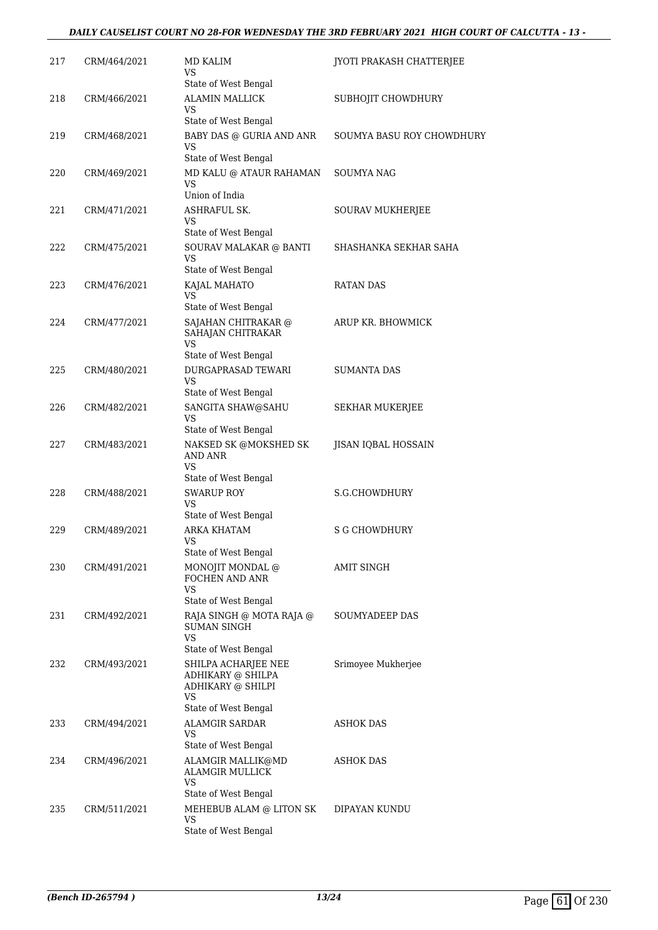#### *DAILY CAUSELIST COURT NO 28-FOR WEDNESDAY THE 3RD FEBRUARY 2021 HIGH COURT OF CALCUTTA - 13 -*

| 217 | CRM/464/2021 | MD KALIM<br>VS                                    | JYOTI PRAKASH CHATTERJEE  |
|-----|--------------|---------------------------------------------------|---------------------------|
|     |              | State of West Bengal                              |                           |
| 218 | CRM/466/2021 | <b>ALAMIN MALLICK</b><br>VS.                      | SUBHOJIT CHOWDHURY        |
|     |              | State of West Bengal                              |                           |
| 219 | CRM/468/2021 | BABY DAS @ GURIA AND ANR<br>VS                    | SOUMYA BASU ROY CHOWDHURY |
|     |              | State of West Bengal                              |                           |
| 220 | CRM/469/2021 | MD KALU @ ATAUR RAHAMAN<br>VS<br>Union of India   | SOUMYA NAG                |
| 221 | CRM/471/2021 | <b>ASHRAFUL SK.</b>                               | SOURAV MUKHERJEE          |
|     |              | VS<br>State of West Bengal                        |                           |
| 222 | CRM/475/2021 | SOURAV MALAKAR @ BANTI                            | SHASHANKA SEKHAR SAHA     |
|     |              | VS                                                |                           |
|     |              | State of West Bengal                              |                           |
| 223 | CRM/476/2021 | KAJAL MAHATO<br><b>VS</b><br>State of West Bengal | <b>RATAN DAS</b>          |
|     |              |                                                   |                           |
| 224 | CRM/477/2021 | SAJAHAN CHITRAKAR @<br>SAHAJAN CHITRAKAR<br>VS    | ARUP KR. BHOWMICK         |
|     |              | State of West Bengal                              |                           |
| 225 | CRM/480/2021 | DURGAPRASAD TEWARI                                | <b>SUMANTA DAS</b>        |
|     |              | VS                                                |                           |
|     |              | State of West Bengal                              |                           |
| 226 | CRM/482/2021 | SANGITA SHAW@SAHU<br>VS<br>State of West Bengal   | SEKHAR MUKERJEE           |
| 227 | CRM/483/2021 | NAKSED SK @MOKSHED SK                             | JISAN IQBAL HOSSAIN       |
|     |              | <b>AND ANR</b><br>VS                              |                           |
|     |              | State of West Bengal                              |                           |
| 228 | CRM/488/2021 | <b>SWARUP ROY</b><br><b>VS</b>                    | S.G.CHOWDHURY             |
|     |              | State of West Bengal                              |                           |
| 229 | CRM/489/2021 | <b>ARKA KHATAM</b>                                | <b>S G CHOWDHURY</b>      |
|     |              | VS                                                |                           |
|     |              | State of West Bengal                              |                           |
| 230 | CRM/491/2021 | MONOJIT MONDAL @<br>FOCHEN AND ANR<br>VS          | AMIT SINGH                |
|     |              | State of West Bengal                              |                           |
| 231 | CRM/492/2021 | RAJA SINGH @ MOTA RAJA @<br>SUMAN SINGH           | SOUMYADEEP DAS            |
|     |              | VS<br>State of West Bengal                        |                           |
| 232 | CRM/493/2021 | SHILPA ACHARJEE NEE                               | Srimoyee Mukherjee        |
|     |              | ADHIKARY @ SHILPA<br>ADHIKARY @ SHILPI<br>VS      |                           |
|     |              | State of West Bengal                              |                           |
| 233 | CRM/494/2021 | <b>ALAMGIR SARDAR</b><br>VS                       | ASHOK DAS                 |
|     |              | State of West Bengal                              |                           |
| 234 | CRM/496/2021 | ALAMGIR MALLIK@MD<br>ALAMGIR MULLICK              | ASHOK DAS                 |
|     |              | VS                                                |                           |
|     |              | State of West Bengal                              |                           |
| 235 | CRM/511/2021 | MEHEBUB ALAM @ LITON SK<br>VS                     | DIPAYAN KUNDU             |
|     |              | State of West Bengal                              |                           |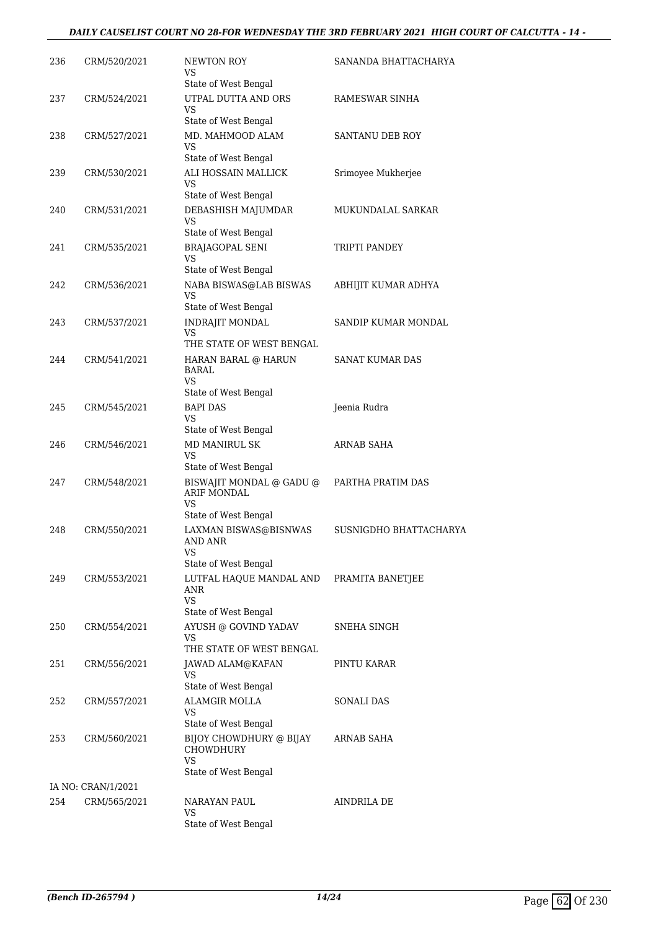### *DAILY CAUSELIST COURT NO 28-FOR WEDNESDAY THE 3RD FEBRUARY 2021 HIGH COURT OF CALCUTTA - 14 -*

| 236 | CRM/520/2021       | NEWTON ROY<br>VS<br>State of West Bengal                                                | SANANDA BHATTACHARYA   |
|-----|--------------------|-----------------------------------------------------------------------------------------|------------------------|
| 237 | CRM/524/2021       | UTPAL DUTTA AND ORS<br>VS<br>State of West Bengal                                       | RAMESWAR SINHA         |
| 238 | CRM/527/2021       | MD. MAHMOOD ALAM<br>VS                                                                  | SANTANU DEB ROY        |
| 239 | CRM/530/2021       | State of West Bengal<br>ALI HOSSAIN MALLICK<br>VS                                       | Srimoyee Mukherjee     |
| 240 | CRM/531/2021       | State of West Bengal<br>DEBASHISH MAJUMDAR<br>VS                                        | MUKUNDALAL SARKAR      |
| 241 | CRM/535/2021       | State of West Bengal<br><b>BRAJAGOPAL SENI</b><br>VS                                    | TRIPTI PANDEY          |
| 242 | CRM/536/2021       | State of West Bengal<br>NABA BISWAS@LAB BISWAS<br>VS                                    | ABHIJIT KUMAR ADHYA    |
| 243 | CRM/537/2021       | State of West Bengal<br><b>INDRAJIT MONDAL</b><br><b>VS</b><br>THE STATE OF WEST BENGAL | SANDIP KUMAR MONDAL    |
| 244 | CRM/541/2021       | HARAN BARAL @ HARUN<br><b>BARAL</b><br>VS<br>State of West Bengal                       | <b>SANAT KUMAR DAS</b> |
| 245 | CRM/545/2021       | <b>BAPI DAS</b><br>VS<br>State of West Bengal                                           | Jeenia Rudra           |
| 246 | CRM/546/2021       | <b>MD MANIRUL SK</b><br>VS<br>State of West Bengal                                      | ARNAB SAHA             |
| 247 | CRM/548/2021       | BISWAJIT MONDAL @ GADU @<br><b>ARIF MONDAL</b><br>VS                                    | PARTHA PRATIM DAS      |
| 248 | CRM/550/2021       | State of West Bengal<br>LAXMAN BISWAS@BISNWAS<br><b>AND ANR</b><br><b>VS</b>            | SUSNIGDHO BHATTACHARYA |
| 249 | CRM/553/2021       | State of West Bengal<br>LUTFAL HAQUE MANDAL AND<br>ANR<br><b>VS</b>                     | PRAMITA BANETJEE       |
| 250 | CRM/554/2021       | State of West Bengal<br>AYUSH @ GOVIND YADAV<br>VS<br>THE STATE OF WEST BENGAL          | SNEHA SINGH            |
| 251 | CRM/556/2021       | JAWAD ALAM@KAFAN<br>VS<br>State of West Bengal                                          | PINTU KARAR            |
| 252 | CRM/557/2021       | ALAMGIR MOLLA<br>VS<br>State of West Bengal                                             | SONALI DAS             |
| 253 | CRM/560/2021       | BIJOY CHOWDHURY @ BIJAY<br>CHOWDHURY<br>VS                                              | ARNAB SAHA             |
|     | IA NO: CRAN/1/2021 | State of West Bengal                                                                    |                        |
| 254 | CRM/565/2021       | NARAYAN PAUL<br>VS<br>State of West Bengal                                              | AINDRILA DE            |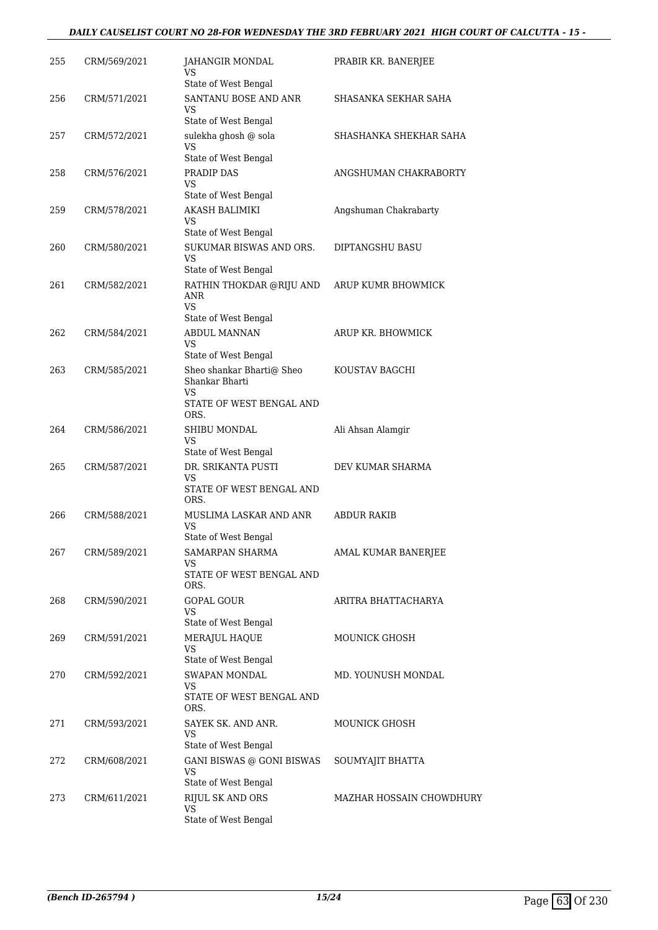#### *DAILY CAUSELIST COURT NO 28-FOR WEDNESDAY THE 3RD FEBRUARY 2021 HIGH COURT OF CALCUTTA - 15 -*

| 255 | CRM/569/2021 | JAHANGIR MONDAL<br>VS                                   | PRABIR KR. BANERJEE      |
|-----|--------------|---------------------------------------------------------|--------------------------|
|     |              | State of West Bengal                                    |                          |
| 256 | CRM/571/2021 | SANTANU BOSE AND ANR<br>VS                              | SHASANKA SEKHAR SAHA     |
|     |              | State of West Bengal                                    |                          |
| 257 | CRM/572/2021 | sulekha ghosh @ sola<br>VS                              | SHASHANKA SHEKHAR SAHA   |
|     |              | State of West Bengal                                    |                          |
| 258 | CRM/576/2021 | PRADIP DAS<br>VS<br>State of West Bengal                | ANGSHUMAN CHAKRABORTY    |
| 259 | CRM/578/2021 | AKASH BALIMIKI                                          | Angshuman Chakrabarty    |
|     |              | VS<br>State of West Bengal                              |                          |
| 260 | CRM/580/2021 | SUKUMAR BISWAS AND ORS.                                 | DIPTANGSHU BASU          |
|     |              | VS<br>State of West Bengal                              |                          |
| 261 | CRM/582/2021 | RATHIN THOKDAR @RIJU AND<br>ANR                         | ARUP KUMR BHOWMICK       |
|     |              | <b>VS</b><br>State of West Bengal                       |                          |
| 262 | CRM/584/2021 | <b>ABDUL MANNAN</b>                                     | ARUP KR. BHOWMICK        |
|     |              | VS<br>State of West Bengal                              |                          |
| 263 | CRM/585/2021 | Sheo shankar Bharti@ Sheo                               | KOUSTAV BAGCHI           |
|     |              | Shankar Bharti<br>VS<br>STATE OF WEST BENGAL AND        |                          |
|     |              | ORS.                                                    |                          |
| 264 | CRM/586/2021 | SHIBU MONDAL                                            | Ali Ahsan Alamgir        |
|     |              | VS<br>State of West Bengal                              |                          |
| 265 | CRM/587/2021 | DR. SRIKANTA PUSTI                                      | DEV KUMAR SHARMA         |
|     |              | VS<br>STATE OF WEST BENGAL AND<br>ORS.                  |                          |
| 266 | CRM/588/2021 | MUSLIMA LASKAR AND ANR                                  | <b>ABDUR RAKIB</b>       |
|     |              | VS<br>State of West Bengal                              |                          |
| 267 | CRM/589/2021 | <b>SAMARPAN SHARMA</b>                                  | AMAL KUMAR BANERJEE      |
|     |              | VS<br>STATE OF WEST BENGAL AND<br>ORS.                  |                          |
| 268 | CRM/590/2021 | GOPAL GOUR                                              | ARITRA BHATTACHARYA      |
|     |              | VS                                                      |                          |
|     |              | State of West Bengal                                    |                          |
| 269 | CRM/591/2021 | MERAJUL HAQUE<br>VS                                     | <b>MOUNICK GHOSH</b>     |
|     |              | State of West Bengal                                    |                          |
| 270 | CRM/592/2021 | SWAPAN MONDAL<br>VS<br>STATE OF WEST BENGAL AND         | MD. YOUNUSH MONDAL       |
|     |              | ORS.                                                    |                          |
| 271 | CRM/593/2021 | SAYEK SK. AND ANR.<br>VS                                | MOUNICK GHOSH            |
|     |              | State of West Bengal                                    |                          |
| 272 | CRM/608/2021 | GANI BISWAS @ GONI BISWAS<br>VS<br>State of West Bengal | SOUMYAJIT BHATTA         |
| 273 | CRM/611/2021 | RIJUL SK AND ORS                                        | MAZHAR HOSSAIN CHOWDHURY |
|     |              | VS<br>State of West Bengal                              |                          |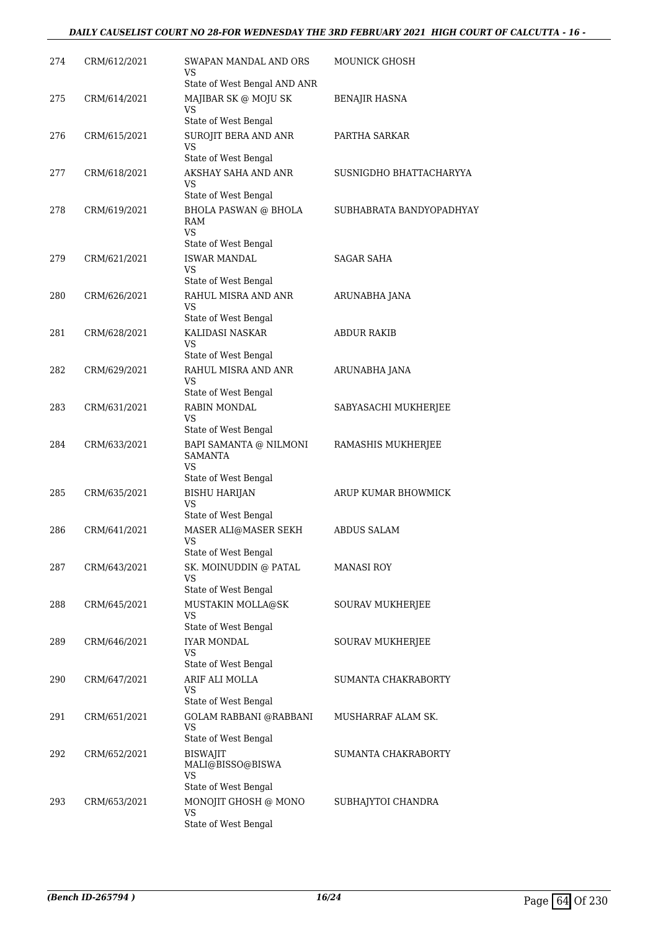### *DAILY CAUSELIST COURT NO 28-FOR WEDNESDAY THE 3RD FEBRUARY 2021 HIGH COURT OF CALCUTTA - 16 -*

| 274 | CRM/612/2021 | SWAPAN MANDAL AND ORS<br>VS                       | <b>MOUNICK GHOSH</b>     |
|-----|--------------|---------------------------------------------------|--------------------------|
|     |              | State of West Bengal AND ANR                      |                          |
| 275 | CRM/614/2021 | MAJIBAR SK @ MOJU SK<br><b>VS</b>                 | BENAJIR HASNA            |
|     |              | State of West Bengal                              |                          |
| 276 | CRM/615/2021 | SUROJIT BERA AND ANR<br>VS                        | PARTHA SARKAR            |
|     |              | State of West Bengal                              |                          |
| 277 | CRM/618/2021 | AKSHAY SAHA AND ANR<br>VS<br>State of West Bengal | SUSNIGDHO BHATTACHARYYA  |
| 278 | CRM/619/2021 | <b>BHOLA PASWAN @ BHOLA</b>                       | SUBHABRATA BANDYOPADHYAY |
|     |              | RAM<br><b>VS</b>                                  |                          |
|     |              | State of West Bengal                              |                          |
| 279 | CRM/621/2021 | <b>ISWAR MANDAL</b><br>VS<br>State of West Bengal | <b>SAGAR SAHA</b>        |
| 280 | CRM/626/2021 | RAHUL MISRA AND ANR                               | ARUNABHA JANA            |
|     |              | VS.                                               |                          |
|     |              | State of West Bengal                              |                          |
| 281 | CRM/628/2021 | KALIDASI NASKAR<br>VS                             | ABDUR RAKIB              |
|     |              | State of West Bengal                              |                          |
| 282 | CRM/629/2021 | RAHUL MISRA AND ANR                               | ARUNABHA JANA            |
|     |              | VS                                                |                          |
|     |              | State of West Bengal                              |                          |
| 283 | CRM/631/2021 | <b>RABIN MONDAL</b><br>VS                         | SABYASACHI MUKHERJEE     |
|     |              | State of West Bengal                              |                          |
| 284 | CRM/633/2021 | BAPI SAMANTA @ NILMONI<br><b>SAMANTA</b><br>VS.   | RAMASHIS MUKHERJEE       |
|     |              | State of West Bengal                              |                          |
| 285 | CRM/635/2021 | <b>BISHU HARIJAN</b>                              | ARUP KUMAR BHOWMICK      |
|     |              | <b>VS</b><br>State of West Bengal                 |                          |
| 286 | CRM/641/2021 | MASER ALI@MASER SEKH                              | <b>ABDUS SALAM</b>       |
|     |              | VS<br>State of West Bengal                        |                          |
| 287 | CRM/643/2021 | SK. MOINUDDIN @ PATAL                             | <b>MANASI ROY</b>        |
|     |              | <b>VS</b><br>State of West Bengal                 |                          |
| 288 | CRM/645/2021 | MUSTAKIN MOLLA@SK                                 | SOURAV MUKHERJEE         |
|     |              | VS                                                |                          |
|     |              | State of West Bengal<br><b>IYAR MONDAL</b>        |                          |
| 289 | CRM/646/2021 | VS                                                | SOURAV MUKHERJEE         |
|     |              | State of West Bengal                              |                          |
| 290 | CRM/647/2021 | ARIF ALI MOLLA                                    | SUMANTA CHAKRABORTY      |
|     |              | VS<br>State of West Bengal                        |                          |
| 291 | CRM/651/2021 | <b>GOLAM RABBANI @RABBANI</b>                     | MUSHARRAF ALAM SK.       |
|     |              | VS<br>State of West Bengal                        |                          |
| 292 | CRM/652/2021 | <b>BISWAJIT</b>                                   | SUMANTA CHAKRABORTY      |
|     |              | MALI@BISSO@BISWA<br><b>VS</b>                     |                          |
|     |              | State of West Bengal                              |                          |
| 293 | CRM/653/2021 | MONOJIT GHOSH @ MONO<br>VS                        | SUBHAJYTOI CHANDRA       |
|     |              | State of West Bengal                              |                          |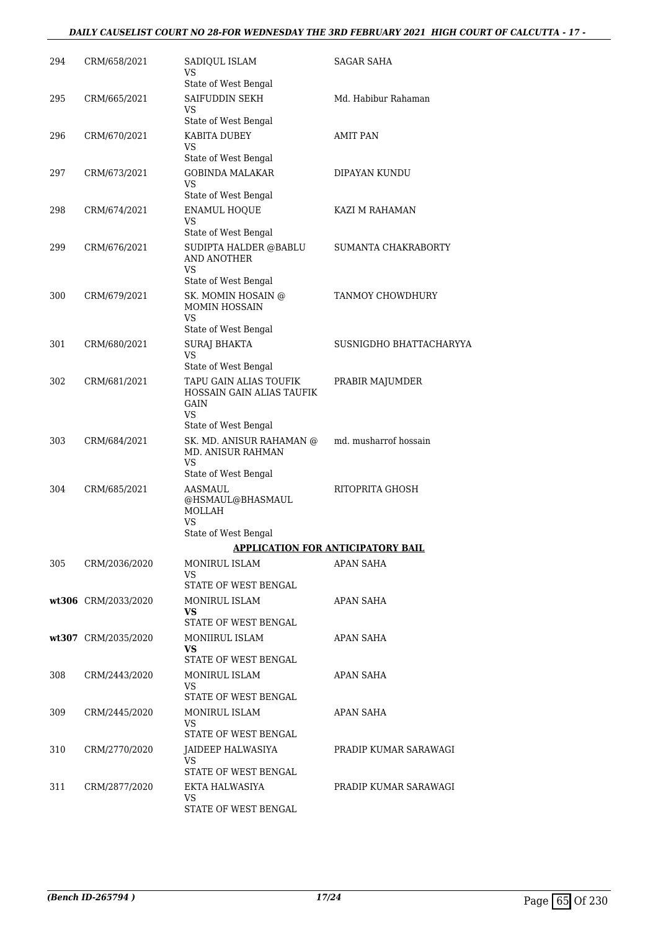### *DAILY CAUSELIST COURT NO 28-FOR WEDNESDAY THE 3RD FEBRUARY 2021 HIGH COURT OF CALCUTTA - 17 -*

| 294 | CRM/658/2021        | SADIQUL ISLAM<br>VS<br>State of West Bengal                                                                              | SAGAR SAHA              |
|-----|---------------------|--------------------------------------------------------------------------------------------------------------------------|-------------------------|
| 295 | CRM/665/2021        | SAIFUDDIN SEKH<br>VS<br>State of West Bengal                                                                             | Md. Habibur Rahaman     |
| 296 | CRM/670/2021        | KABITA DUBEY<br>VS                                                                                                       | AMIT PAN                |
| 297 | CRM/673/2021        | State of West Bengal<br><b>GOBINDA MALAKAR</b><br>VS<br>State of West Bengal                                             | DIPAYAN KUNDU           |
| 298 | CRM/674/2021        | <b>ENAMUL HOQUE</b><br><b>VS</b><br>State of West Bengal                                                                 | KAZI M RAHAMAN          |
| 299 | CRM/676/2021        | SUDIPTA HALDER @BABLU<br>AND ANOTHER<br>VS<br>State of West Bengal                                                       | SUMANTA CHAKRABORTY     |
| 300 | CRM/679/2021        | SK. MOMIN HOSAIN @<br>MOMIN HOSSAIN<br>VS.<br>State of West Bengal                                                       | TANMOY CHOWDHURY        |
| 301 | CRM/680/2021        | <b>SURAJ BHAKTA</b><br>VS                                                                                                | SUSNIGDHO BHATTACHARYYA |
| 302 | CRM/681/2021        | State of West Bengal<br>TAPU GAIN ALIAS TOUFIK<br>HOSSAIN GAIN ALIAS TAUFIK<br><b>GAIN</b><br>VS<br>State of West Bengal | PRABIR MAJUMDER         |
| 303 | CRM/684/2021        | SK. MD. ANISUR RAHAMAN @<br><b>MD. ANISUR RAHMAN</b><br>VS<br>State of West Bengal                                       | md. musharrof hossain   |
| 304 | CRM/685/2021        | AASMAUL<br>@HSMAUL@BHASMAUL<br>MOLLAH<br><b>VS</b><br>State of West Bengal                                               | RITOPRITA GHOSH         |
|     |                     | APPLICATION FOR ANTICIPATORY BAIL                                                                                        |                         |
| 305 | CRM/2036/2020       | MONIRUL ISLAM<br>VS.<br>STATE OF WEST BENGAL                                                                             | APAN SAHA               |
|     | wt306 CRM/2033/2020 | MONIRUL ISLAM<br>VS<br>STATE OF WEST BENGAL                                                                              | APAN SAHA               |
|     | wt307 CRM/2035/2020 | MONIIRUL ISLAM<br>VS.<br>STATE OF WEST BENGAL                                                                            | APAN SAHA               |
| 308 | CRM/2443/2020       | MONIRUL ISLAM<br>VS<br>STATE OF WEST BENGAL                                                                              | APAN SAHA               |
| 309 | CRM/2445/2020       | MONIRUL ISLAM<br>VS<br>STATE OF WEST BENGAL                                                                              | APAN SAHA               |
| 310 | CRM/2770/2020       | JAIDEEP HALWASIYA<br>VS.<br>STATE OF WEST BENGAL                                                                         | PRADIP KUMAR SARAWAGI   |
| 311 | CRM/2877/2020       | EKTA HALWASIYA<br>VS<br>STATE OF WEST BENGAL                                                                             | PRADIP KUMAR SARAWAGI   |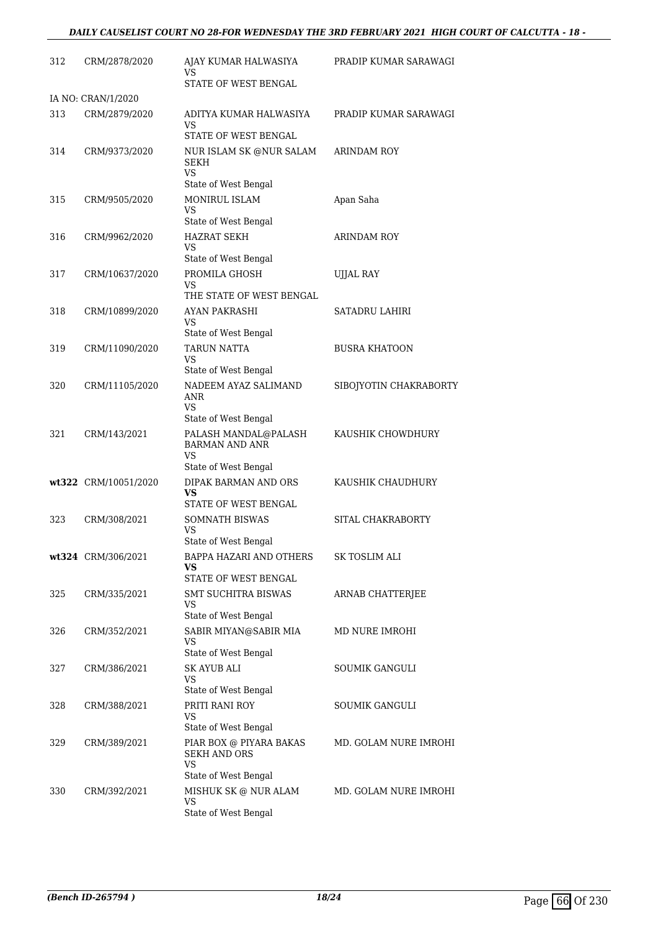### *DAILY CAUSELIST COURT NO 28-FOR WEDNESDAY THE 3RD FEBRUARY 2021 HIGH COURT OF CALCUTTA - 18 -*

| 312 | CRM/2878/2020                       | AJAY KUMAR HALWASIYA<br>VS<br>STATE OF WEST BENGAL                                  | PRADIP KUMAR SARAWAGI  |
|-----|-------------------------------------|-------------------------------------------------------------------------------------|------------------------|
|     |                                     |                                                                                     |                        |
| 313 | IA NO: CRAN/1/2020<br>CRM/2879/2020 | ADITYA KUMAR HALWASIYA<br>VS                                                        | PRADIP KUMAR SARAWAGI  |
| 314 | CRM/9373/2020                       | STATE OF WEST BENGAL<br>NUR ISLAM SK @NUR SALAM<br>SEKH<br><b>VS</b>                | ARINDAM ROY            |
| 315 | CRM/9505/2020                       | State of West Bengal<br>MONIRUL ISLAM<br>VS                                         | Apan Saha              |
| 316 | CRM/9962/2020                       | State of West Bengal<br><b>HAZRAT SEKH</b><br>VS                                    | <b>ARINDAM ROY</b>     |
| 317 | CRM/10637/2020                      | State of West Bengal<br>PROMILA GHOSH<br>VS                                         | <b>UJJAL RAY</b>       |
| 318 | CRM/10899/2020                      | THE STATE OF WEST BENGAL<br>AYAN PAKRASHI<br>VS                                     | <b>SATADRU LAHIRI</b>  |
| 319 | CRM/11090/2020                      | State of West Bengal<br>TARUN NATTA<br><b>VS</b>                                    | <b>BUSRA KHATOON</b>   |
| 320 | CRM/11105/2020                      | State of West Bengal<br>NADEEM AYAZ SALIMAND<br>ANR<br>VS                           | SIBOJYOTIN CHAKRABORTY |
| 321 | CRM/143/2021                        | State of West Bengal<br>PALASH MANDAL@PALASH<br><b>BARMAN AND ANR</b><br><b>VS</b>  | KAUSHIK CHOWDHURY      |
|     | wt322 CRM/10051/2020                | State of West Bengal<br>DIPAK BARMAN AND ORS<br>VS.<br>STATE OF WEST BENGAL         | KAUSHIK CHAUDHURY      |
| 323 | CRM/308/2021                        | <b>SOMNATH BISWAS</b><br><b>VS</b>                                                  | SITAL CHAKRABORTY      |
|     | wt324 CRM/306/2021                  | State of West Bengal<br>BAPPA HAZARI AND OTHERS<br>VS.<br>STATE OF WEST BENGAL      | SK TOSLIM ALI          |
| 325 | CRM/335/2021                        | SMT SUCHITRA BISWAS<br>VS<br>State of West Bengal                                   | ARNAB CHATTERJEE       |
| 326 | CRM/352/2021                        | SABIR MIYAN@SABIR MIA<br>VS                                                         | MD NURE IMROHI         |
| 327 | CRM/386/2021                        | State of West Bengal<br><b>SK AYUB ALI</b><br>VS                                    | <b>SOUMIK GANGULI</b>  |
| 328 | CRM/388/2021                        | State of West Bengal<br>PRITI RANI ROY<br>VS                                        | SOUMIK GANGULI         |
| 329 | CRM/389/2021                        | State of West Bengal<br>PIAR BOX @ PIYARA BAKAS<br><b>SEKH AND ORS</b><br><b>VS</b> | MD. GOLAM NURE IMROHI  |
| 330 | CRM/392/2021                        | State of West Bengal<br>MISHUK SK @ NUR ALAM<br><b>VS</b><br>State of West Bengal   | MD. GOLAM NURE IMROHI  |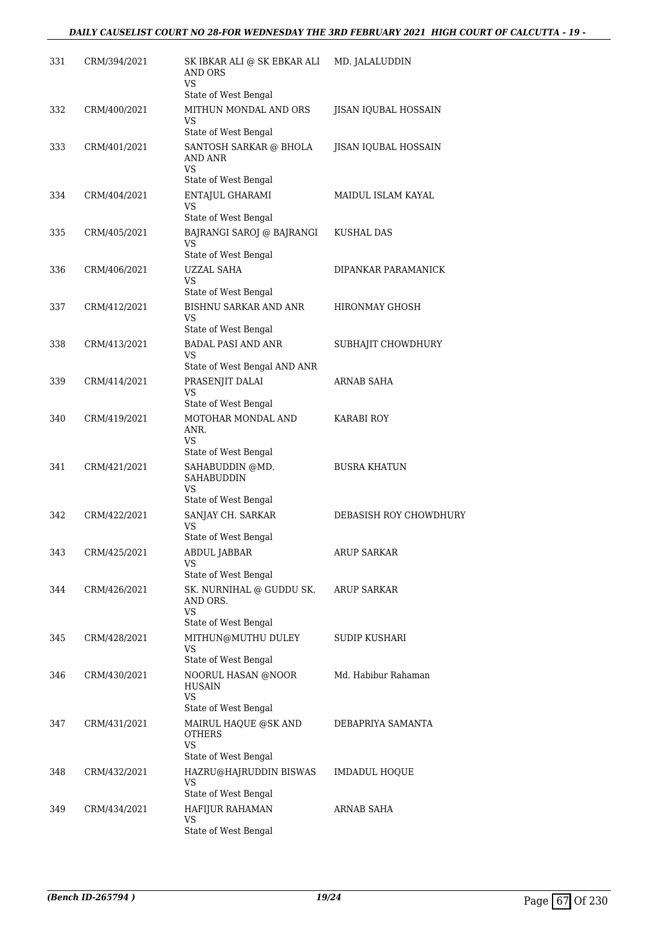| 331 | CRM/394/2021 | SK IBKAR ALI @ SK EBKAR ALI<br>AND ORS<br>VS                          | MD. JALALUDDIN              |
|-----|--------------|-----------------------------------------------------------------------|-----------------------------|
| 332 | CRM/400/2021 | State of West Bengal<br>MITHUN MONDAL AND ORS<br>VS                   | <b>JISAN IQUBAL HOSSAIN</b> |
| 333 | CRM/401/2021 | State of West Bengal<br>SANTOSH SARKAR @ BHOLA<br>AND ANR<br>VS       | JISAN IQUBAL HOSSAIN        |
| 334 | CRM/404/2021 | State of West Bengal<br>ENTAJUL GHARAMI<br>VS                         | MAIDUL ISLAM KAYAL          |
| 335 | CRM/405/2021 | State of West Bengal<br>BAJRANGI SAROJ @ BAJRANGI<br>VS               | KUSHAL DAS                  |
| 336 | CRM/406/2021 | State of West Bengal<br>UZZAL SAHA<br>VS                              | DIPANKAR PARAMANICK         |
| 337 | CRM/412/2021 | State of West Bengal<br>BISHNU SARKAR AND ANR<br>VS                   | HIRONMAY GHOSH              |
| 338 | CRM/413/2021 | State of West Bengal<br><b>BADAL PASI AND ANR</b><br>VS               | SUBHAJIT CHOWDHURY          |
| 339 | CRM/414/2021 | State of West Bengal AND ANR<br>PRASENJIT DALAI<br>VS                 | ARNAB SAHA                  |
| 340 | CRM/419/2021 | State of West Bengal<br>MOTOHAR MONDAL AND<br>ANR.<br>VS.             | KARABI ROY                  |
| 341 | CRM/421/2021 | State of West Bengal<br>SAHABUDDIN @MD.<br><b>SAHABUDDIN</b><br>VS    | <b>BUSRA KHATUN</b>         |
| 342 | CRM/422/2021 | State of West Bengal<br>SANJAY CH. SARKAR<br>VS                       | DEBASISH ROY CHOWDHURY      |
| 343 | CRM/425/2021 | State of West Bengal<br>ABDUL JABBAR<br>VS                            | <b>ARUP SARKAR</b>          |
| 344 | CRM/426/2021 | State of West Bengal<br>SK. NURNIHAL @ GUDDU SK.<br>AND ORS.<br>VS    | ARUP SARKAR                 |
| 345 | CRM/428/2021 | State of West Bengal<br>MITHUN@MUTHU DULEY<br>VS                      | SUDIP KUSHARI               |
| 346 | CRM/430/2021 | State of West Bengal<br>NOORUL HASAN @NOOR<br>HUSAIN<br>VS            | Md. Habibur Rahaman         |
| 347 | CRM/431/2021 | State of West Bengal<br>MAIRUL HAQUE @SK AND<br>OTHERS<br>VS          | DEBAPRIYA SAMANTA           |
| 348 | CRM/432/2021 | State of West Bengal<br>HAZRU@HAJRUDDIN BISWAS<br>VS                  | <b>IMDADUL HOQUE</b>        |
| 349 | CRM/434/2021 | State of West Bengal<br>HAFIJUR RAHAMAN<br>VS<br>State of West Bengal | ARNAB SAHA                  |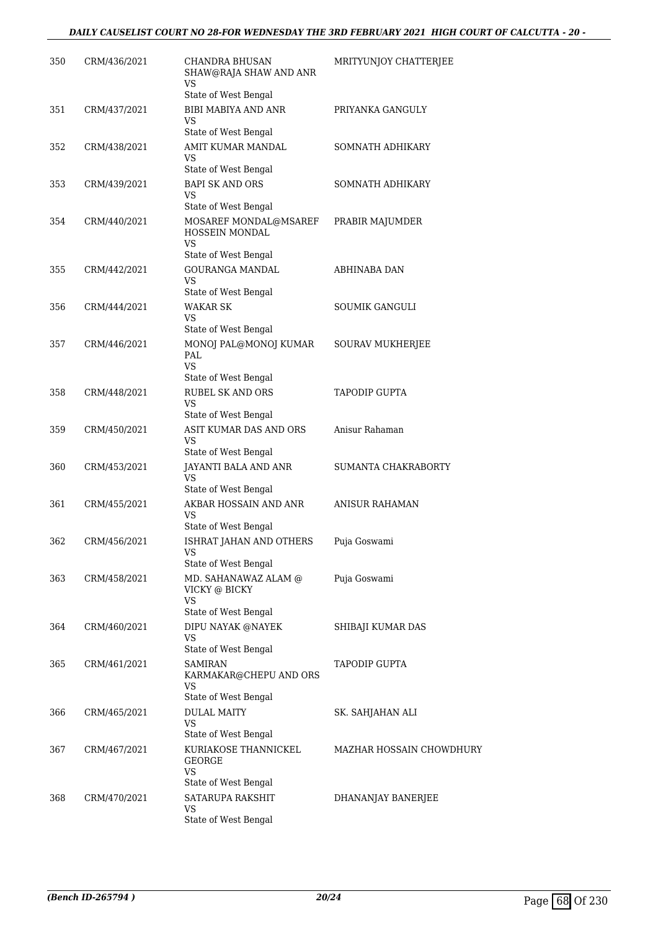| 350 | CRM/436/2021 | <b>CHANDRA BHUSAN</b><br>SHAW@RAJA SHAW AND ANR<br><b>VS</b> | MRITYUNJOY CHATTERJEE    |
|-----|--------------|--------------------------------------------------------------|--------------------------|
|     |              | State of West Bengal                                         |                          |
| 351 | CRM/437/2021 | <b>BIBI MABIYA AND ANR</b><br>VS<br>State of West Bengal     | PRIYANKA GANGULY         |
| 352 | CRM/438/2021 | AMIT KUMAR MANDAL                                            | SOMNATH ADHIKARY         |
|     |              | VS                                                           |                          |
|     |              | State of West Bengal                                         |                          |
| 353 | CRM/439/2021 | <b>BAPI SK AND ORS</b>                                       | SOMNATH ADHIKARY         |
|     |              | VS<br>State of West Bengal                                   |                          |
| 354 | CRM/440/2021 | MOSAREF MONDAL@MSAREF<br>HOSSEIN MONDAL                      | PRABIR MAJUMDER          |
|     |              | VS                                                           |                          |
|     |              | State of West Bengal                                         |                          |
| 355 | CRM/442/2021 | <b>GOURANGA MANDAL</b><br><b>VS</b><br>State of West Bengal  | ABHINABA DAN             |
| 356 | CRM/444/2021 | <b>WAKAR SK</b>                                              | <b>SOUMIK GANGULI</b>    |
|     |              | VS                                                           |                          |
|     |              | State of West Bengal                                         |                          |
| 357 | CRM/446/2021 | MONOJ PAL@MONOJ KUMAR<br>PAL<br>VS.                          | SOURAV MUKHERJEE         |
|     |              | State of West Bengal                                         |                          |
| 358 | CRM/448/2021 | RUBEL SK AND ORS<br>VS                                       | <b>TAPODIP GUPTA</b>     |
|     |              | State of West Bengal                                         |                          |
| 359 | CRM/450/2021 | ASIT KUMAR DAS AND ORS                                       | Anisur Rahaman           |
|     |              | VS<br>State of West Bengal                                   |                          |
| 360 | CRM/453/2021 | JAYANTI BALA AND ANR<br><b>VS</b>                            | SUMANTA CHAKRABORTY      |
|     |              | State of West Bengal                                         |                          |
| 361 | CRM/455/2021 | AKBAR HOSSAIN AND ANR<br>VS<br>State of West Bengal          | <b>ANISUR RAHAMAN</b>    |
| 362 | CRM/456/2021 | ISHRAT JAHAN AND OTHERS                                      | Puja Goswami             |
|     |              | VS<br>State of West Bengal                                   |                          |
| 363 | CRM/458/2021 | MD. SAHANAWAZ ALAM @<br>VICKY @ BICKY                        | Puja Goswami             |
|     |              | VS<br>State of West Bengal                                   |                          |
|     |              |                                                              |                          |
| 364 | CRM/460/2021 | DIPU NAYAK @NAYEK<br>VS<br>State of West Bengal              | SHIBAJI KUMAR DAS        |
| 365 | CRM/461/2021 | <b>SAMIRAN</b>                                               | TAPODIP GUPTA            |
|     |              | KARMAKAR@CHEPU AND ORS<br>VS<br>State of West Bengal         |                          |
| 366 |              | <b>DULAL MAITY</b>                                           |                          |
|     | CRM/465/2021 | VS<br>State of West Bengal                                   | SK. SAHJAHAN ALI         |
| 367 | CRM/467/2021 | KURIAKOSE THANNICKEL                                         | MAZHAR HOSSAIN CHOWDHURY |
|     |              | <b>GEORGE</b><br>VS                                          |                          |
|     |              | State of West Bengal                                         |                          |
| 368 | CRM/470/2021 | SATARUPA RAKSHIT<br>VS                                       | DHANANJAY BANERJEE       |
|     |              | State of West Bengal                                         |                          |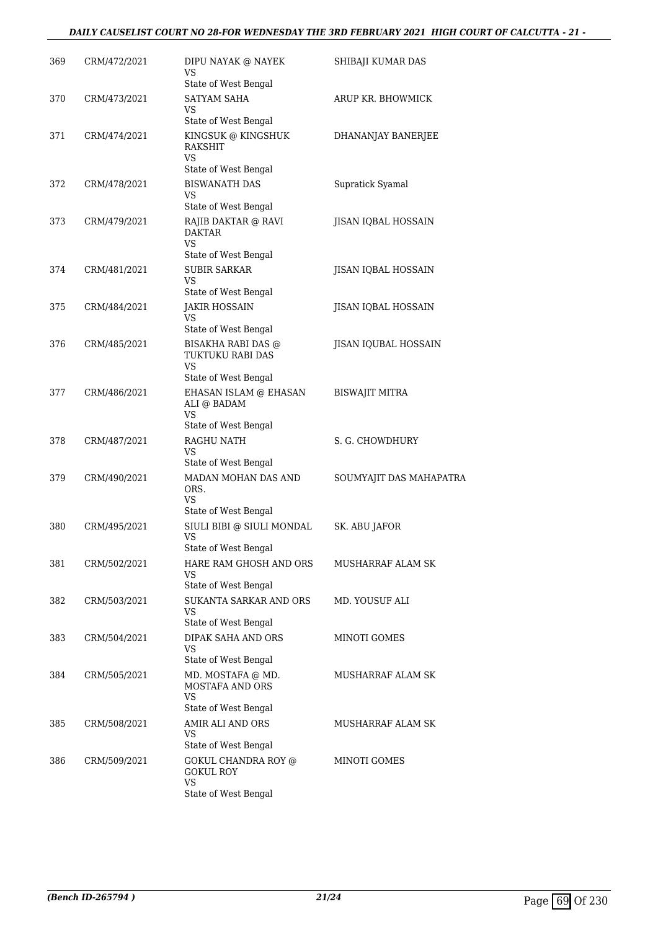#### *DAILY CAUSELIST COURT NO 28-FOR WEDNESDAY THE 3RD FEBRUARY 2021 HIGH COURT OF CALCUTTA - 21 -*

| 369 | CRM/472/2021 | DIPU NAYAK @ NAYEK<br>VS<br>State of West Bengal                                   | SHIBAJI KUMAR DAS       |
|-----|--------------|------------------------------------------------------------------------------------|-------------------------|
| 370 | CRM/473/2021 | <b>SATYAM SAHA</b><br>VS<br>State of West Bengal                                   | ARUP KR. BHOWMICK       |
| 371 | CRM/474/2021 | KINGSUK @ KINGSHUK<br>RAKSHIT<br><b>VS</b>                                         | DHANANJAY BANERJEE      |
| 372 | CRM/478/2021 | State of West Bengal<br><b>BISWANATH DAS</b><br>VS<br>State of West Bengal         | Supratick Syamal        |
| 373 | CRM/479/2021 | RAJIB DAKTAR @ RAVI<br><b>DAKTAR</b><br>VS.<br>State of West Bengal                | JISAN IQBAL HOSSAIN     |
| 374 | CRM/481/2021 | <b>SUBIR SARKAR</b><br>VS<br>State of West Bengal                                  | JISAN IQBAL HOSSAIN     |
| 375 | CRM/484/2021 | <b>JAKIR HOSSAIN</b><br>VS<br>State of West Bengal                                 | JISAN IQBAL HOSSAIN     |
| 376 | CRM/485/2021 | <b>BISAKHA RABI DAS @</b><br>TUKTUKU RABI DAS<br><b>VS</b><br>State of West Bengal | JISAN IQUBAL HOSSAIN    |
| 377 | CRM/486/2021 | EHASAN ISLAM @ EHASAN<br>ALI @ BADAM<br>VS<br>State of West Bengal                 | <b>BISWAJIT MITRA</b>   |
| 378 | CRM/487/2021 | RAGHU NATH<br>VS<br>State of West Bengal                                           | S. G. CHOWDHURY         |
| 379 | CRM/490/2021 | MADAN MOHAN DAS AND<br>ORS.<br><b>VS</b><br>State of West Bengal                   | SOUMYAJIT DAS MAHAPATRA |
| 380 | CRM/495/2021 | SIULI BIBI @ SIULI MONDAL<br>VS<br>State of West Bengal                            | SK. ABU JAFOR           |
| 381 | CRM/502/2021 | HARE RAM GHOSH AND ORS<br>VS<br>State of West Bengal                               | MUSHARRAF ALAM SK       |
| 382 | CRM/503/2021 | SUKANTA SARKAR AND ORS<br>VS<br>State of West Bengal                               | MD. YOUSUF ALI          |
| 383 | CRM/504/2021 | DIPAK SAHA AND ORS<br>VS<br>State of West Bengal                                   | MINOTI GOMES            |
| 384 | CRM/505/2021 | MD. MOSTAFA @ MD.<br>MOSTAFA AND ORS<br><b>VS</b><br>State of West Bengal          | MUSHARRAF ALAM SK       |
| 385 | CRM/508/2021 | AMIR ALI AND ORS<br>VS<br>State of West Bengal                                     | MUSHARRAF ALAM SK       |
| 386 | CRM/509/2021 | GOKUL CHANDRA ROY @<br><b>GOKUL ROY</b><br>VS<br>State of West Bengal              | MINOTI GOMES            |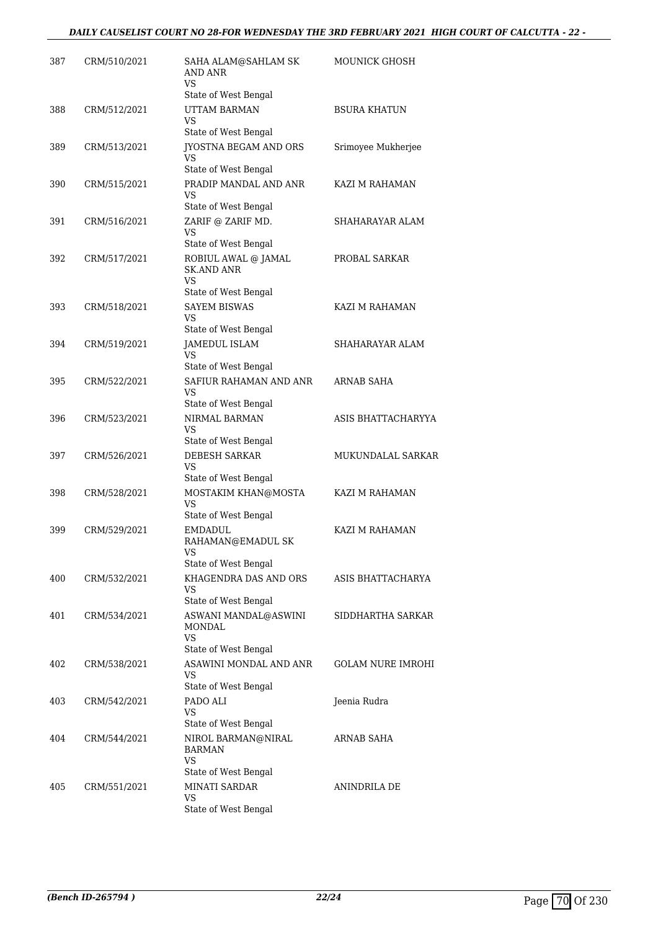| 387 | CRM/510/2021 | SAHA ALAM@SAHLAM SK<br><b>AND ANR</b><br>VS.                                 | <b>MOUNICK GHOSH</b> |
|-----|--------------|------------------------------------------------------------------------------|----------------------|
| 388 | CRM/512/2021 | State of West Bengal<br><b>UTTAM BARMAN</b><br>VS                            | <b>BSURA KHATUN</b>  |
| 389 | CRM/513/2021 | State of West Bengal<br>JYOSTNA BEGAM AND ORS<br>VS                          | Srimoyee Mukherjee   |
| 390 | CRM/515/2021 | State of West Bengal<br>PRADIP MANDAL AND ANR<br>VS<br>State of West Bengal  | KAZI M RAHAMAN       |
| 391 | CRM/516/2021 | ZARIF @ ZARIF MD.<br>VS<br>State of West Bengal                              | SHAHARAYAR ALAM      |
| 392 | CRM/517/2021 | ROBIUL AWAL @ JAMAL<br><b>SK.AND ANR</b><br>VS<br>State of West Bengal       | PROBAL SARKAR        |
| 393 | CRM/518/2021 | <b>SAYEM BISWAS</b><br>VS                                                    | KAZI M RAHAMAN       |
| 394 | CRM/519/2021 | State of West Bengal<br><b>JAMEDUL ISLAM</b><br>VS<br>State of West Bengal   | SHAHARAYAR ALAM      |
| 395 | CRM/522/2021 | SAFIUR RAHAMAN AND ANR<br>VS<br>State of West Bengal                         | ARNAB SAHA           |
| 396 | CRM/523/2021 | NIRMAL BARMAN<br>VS                                                          | ASIS BHATTACHARYYA   |
| 397 | CRM/526/2021 | State of West Bengal<br><b>DEBESH SARKAR</b><br>VS<br>State of West Bengal   | MUKUNDALAL SARKAR    |
| 398 | CRM/528/2021 | MOSTAKIM KHAN@MOSTA<br>VS<br>State of West Bengal                            | KAZI M RAHAMAN       |
| 399 | CRM/529/2021 | <b>EMDADUL</b><br>RAHAMAN@EMADUL SK<br>VS<br>State of West Bengal            | KAZI M RAHAMAN       |
| 400 | CRM/532/2021 | KHAGENDRA DAS AND ORS<br>VS                                                  | ASIS BHATTACHARYA    |
| 401 | CRM/534/2021 | State of West Bengal<br>ASWANI MANDAL@ASWINI<br>MONDAL<br><b>VS</b>          | SIDDHARTHA SARKAR    |
| 402 | CRM/538/2021 | State of West Bengal<br>ASAWINI MONDAL AND ANR<br>VS<br>State of West Bengal | GOLAM NURE IMROHI    |
| 403 | CRM/542/2021 | PADO ALI<br>VS<br>State of West Bengal                                       | Jeenia Rudra         |
| 404 | CRM/544/2021 | NIROL BARMAN@NIRAL<br><b>BARMAN</b><br>VS                                    | ARNAB SAHA           |
| 405 | CRM/551/2021 | State of West Bengal<br>MINATI SARDAR<br>VS<br>State of West Bengal          | ANINDRILA DE         |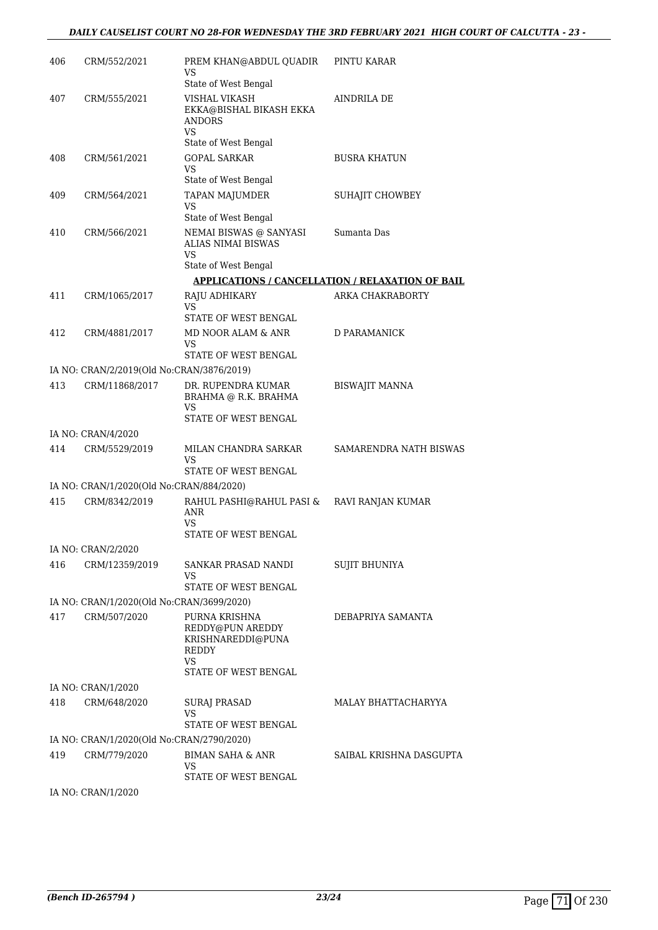| 406 | CRM/552/2021                              | PREM KHAN@ABDUL OUADIR<br>VS                                                                  | PINTU KARAR                                             |
|-----|-------------------------------------------|-----------------------------------------------------------------------------------------------|---------------------------------------------------------|
|     |                                           | State of West Bengal                                                                          |                                                         |
| 407 | CRM/555/2021                              | VISHAL VIKASH<br>EKKA@BISHAL BIKASH EKKA<br><b>ANDORS</b><br>VS<br>State of West Bengal       | AINDRILA DE                                             |
| 408 | CRM/561/2021                              | <b>GOPAL SARKAR</b>                                                                           | <b>BUSRA KHATUN</b>                                     |
|     |                                           | <b>VS</b><br>State of West Bengal                                                             |                                                         |
| 409 | CRM/564/2021                              | TAPAN MAJUMDER                                                                                | SUHAJIT CHOWBEY                                         |
|     |                                           | VS<br>State of West Bengal                                                                    |                                                         |
| 410 | CRM/566/2021                              | NEMAI BISWAS @ SANYASI<br>ALIAS NIMAI BISWAS<br><b>VS</b>                                     | Sumanta Das                                             |
|     |                                           | State of West Bengal                                                                          |                                                         |
|     |                                           |                                                                                               | <b>APPLICATIONS / CANCELLATION / RELAXATION OF BAIL</b> |
| 411 | CRM/1065/2017                             | RAJU ADHIKARY<br>VS                                                                           | ARKA CHAKRABORTY                                        |
|     |                                           | STATE OF WEST BENGAL                                                                          |                                                         |
| 412 | CRM/4881/2017                             | MD NOOR ALAM & ANR<br>VS<br>STATE OF WEST BENGAL                                              | <b>D PARAMANICK</b>                                     |
|     | IA NO: CRAN/2/2019(Old No:CRAN/3876/2019) |                                                                                               |                                                         |
| 413 | CRM/11868/2017                            | DR. RUPENDRA KUMAR                                                                            | <b>BISWAJIT MANNA</b>                                   |
|     |                                           | BRAHMA @ R.K. BRAHMA<br>VS.<br>STATE OF WEST BENGAL                                           |                                                         |
|     | IA NO: CRAN/4/2020                        |                                                                                               |                                                         |
| 414 | CRM/5529/2019                             | MILAN CHANDRA SARKAR<br>VS                                                                    | SAMARENDRA NATH BISWAS                                  |
|     |                                           | STATE OF WEST BENGAL                                                                          |                                                         |
|     | IA NO: CRAN/1/2020(Old No:CRAN/884/2020)  |                                                                                               |                                                         |
| 415 | CRM/8342/2019                             | RAHUL PASHI@RAHUL PASI & RAVI RANJAN KUMAR<br>ANR<br>VS                                       |                                                         |
|     |                                           | STATE OF WEST BENGAL                                                                          |                                                         |
|     | IA NO: CRAN/2/2020                        |                                                                                               |                                                         |
| 416 | CRM/12359/2019                            | SANKAR PRASAD NANDI<br>VS                                                                     | <b>SUJIT BHUNIYA</b>                                    |
|     |                                           | STATE OF WEST BENGAL                                                                          |                                                         |
|     | IA NO: CRAN/1/2020(Old No:CRAN/3699/2020) |                                                                                               |                                                         |
| 417 | CRM/507/2020                              | PURNA KRISHNA<br>REDDY@PUN AREDDY<br>KRISHNAREDDI@PUNA<br>REDDY<br>VS<br>STATE OF WEST BENGAL | DEBAPRIYA SAMANTA                                       |
|     | IA NO: CRAN/1/2020                        |                                                                                               |                                                         |
| 418 | CRM/648/2020                              | SURAJ PRASAD                                                                                  | MALAY BHATTACHARYYA                                     |
|     |                                           | VS<br>STATE OF WEST BENGAL                                                                    |                                                         |
|     | IA NO: CRAN/1/2020(Old No:CRAN/2790/2020) |                                                                                               |                                                         |
| 419 | CRM/779/2020                              | BIMAN SAHA & ANR<br>VS                                                                        | SAIBAL KRISHNA DASGUPTA                                 |
|     |                                           | STATE OF WEST BENGAL                                                                          |                                                         |

IA NO: CRAN/1/2020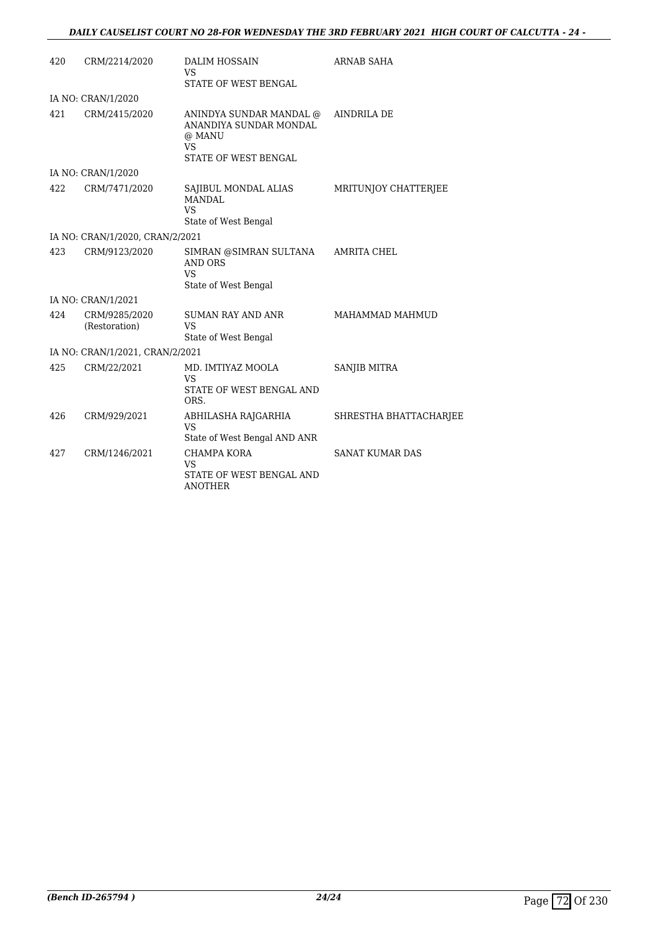| 420 | CRM/2214/2020                   | DALIM HOSSAIN<br>VS<br>STATE OF WEST BENGAL                                                      | ARNAB SAHA             |
|-----|---------------------------------|--------------------------------------------------------------------------------------------------|------------------------|
|     |                                 |                                                                                                  |                        |
|     | IA NO: CRAN/1/2020              |                                                                                                  |                        |
| 421 | CRM/2415/2020                   | ANINDYA SUNDAR MANDAL @<br>ANANDIYA SUNDAR MONDAL<br>@ MANU<br><b>VS</b><br>STATE OF WEST BENGAL | <b>AINDRILA DE</b>     |
|     | IA NO: CRAN/1/2020              |                                                                                                  |                        |
| 422 | CRM/7471/2020                   | SAJIBUL MONDAL ALIAS<br><b>MANDAL</b><br><b>VS</b><br>State of West Bengal                       | MRITUNJOY CHATTERJEE   |
|     | IA NO: CRAN/1/2020, CRAN/2/2021 |                                                                                                  |                        |
| 423 | CRM/9123/2020                   | SIMRAN @SIMRAN SULTANA<br>AND ORS<br><b>VS</b><br>State of West Bengal                           | <b>AMRITA CHEL</b>     |
|     | IA NO: CRAN/1/2021              |                                                                                                  |                        |
| 424 | CRM/9285/2020<br>(Restoration)  | <b>SUMAN RAY AND ANR</b><br><b>VS</b><br>State of West Bengal                                    | MAHAMMAD MAHMUD        |
|     | IA NO: CRAN/1/2021, CRAN/2/2021 |                                                                                                  |                        |
| 425 | CRM/22/2021                     | MD. IMTIYAZ MOOLA<br><b>VS</b><br>STATE OF WEST BENGAL AND<br>ORS.                               | SANJIB MITRA           |
| 426 | CRM/929/2021                    | ABHILASHA RAJGARHIA<br><b>VS</b><br>State of West Bengal AND ANR                                 | SHRESTHA BHATTACHARJEE |
| 427 | CRM/1246/2021                   | <b>CHAMPA KORA</b><br><b>VS</b><br>STATE OF WEST BENGAL AND<br><b>ANOTHER</b>                    | <b>SANAT KUMAR DAS</b> |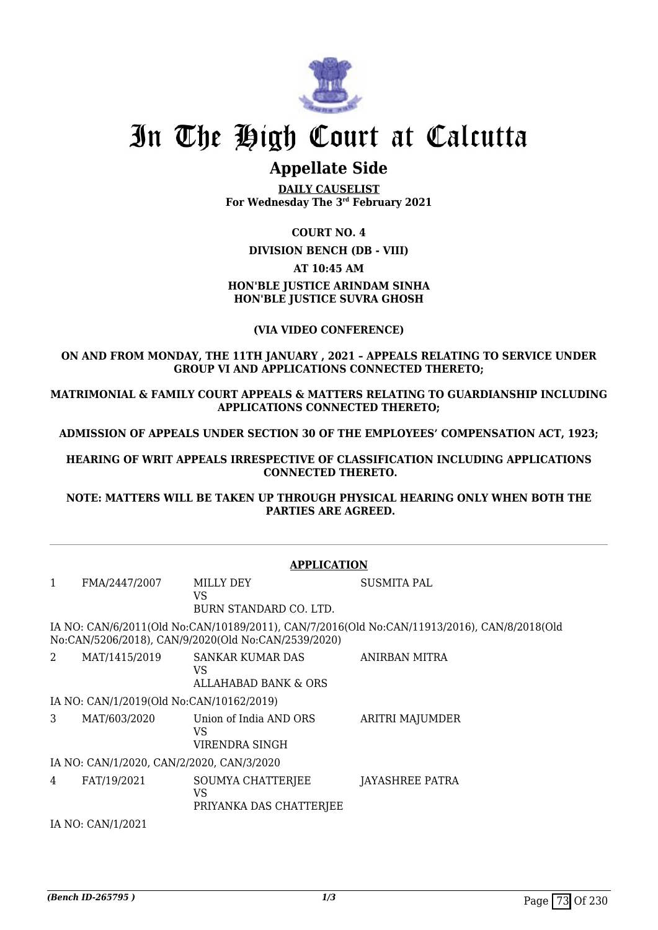

## **Appellate Side**

**DAILY CAUSELIST For Wednesday The 3rd February 2021**

## **COURT NO. 4**

**DIVISION BENCH (DB - VIII)**

### **AT 10:45 AM**

## **HON'BLE JUSTICE ARINDAM SINHA HON'BLE JUSTICE SUVRA GHOSH**

## **(VIA VIDEO CONFERENCE)**

## **ON AND FROM MONDAY, THE 11TH JANUARY , 2021 – APPEALS RELATING TO SERVICE UNDER GROUP VI AND APPLICATIONS CONNECTED THERETO;**

**MATRIMONIAL & FAMILY COURT APPEALS & MATTERS RELATING TO GUARDIANSHIP INCLUDING APPLICATIONS CONNECTED THERETO;**

**ADMISSION OF APPEALS UNDER SECTION 30 OF THE EMPLOYEES' COMPENSATION ACT, 1923;**

**HEARING OF WRIT APPEALS IRRESPECTIVE OF CLASSIFICATION INCLUDING APPLICATIONS CONNECTED THERETO.**

**NOTE: MATTERS WILL BE TAKEN UP THROUGH PHYSICAL HEARING ONLY WHEN BOTH THE PARTIES ARE AGREED.**

|                   |                                           | <b>APPLICATION</b>                                    |                                                                                             |  |
|-------------------|-------------------------------------------|-------------------------------------------------------|---------------------------------------------------------------------------------------------|--|
| $\mathbf{1}$      | FMA/2447/2007                             | MILLY DEY<br>VS.<br>BURN STANDARD CO. LTD.            | <b>SUSMITA PAL</b>                                                                          |  |
|                   |                                           | No:CAN/5206/2018), CAN/9/2020(Old No:CAN/2539/2020)   | IA NO: CAN/6/2011(Old No:CAN/10189/2011), CAN/7/2016(Old No:CAN/11913/2016), CAN/8/2018(Old |  |
| 2                 | MAT/1415/2019                             | <b>SANKAR KUMAR DAS</b><br>VS<br>ALLAHABAD BANK & ORS | ANIRBAN MITRA                                                                               |  |
|                   | IA NO: CAN/1/2019(Old No:CAN/10162/2019)  |                                                       |                                                                                             |  |
| 3                 | MAT/603/2020                              | Union of India AND ORS<br>VS<br>VIRENDRA SINGH        | ARITRI MAJUMDER                                                                             |  |
|                   | IA NO: CAN/1/2020, CAN/2/2020, CAN/3/2020 |                                                       |                                                                                             |  |
| 4                 | FAT/19/2021                               | SOUMYA CHATTERJEE<br>VS<br>PRIYANKA DAS CHATTERJEE    | JAYASHREE PATRA                                                                             |  |
| IA NO: CAN/1/2021 |                                           |                                                       |                                                                                             |  |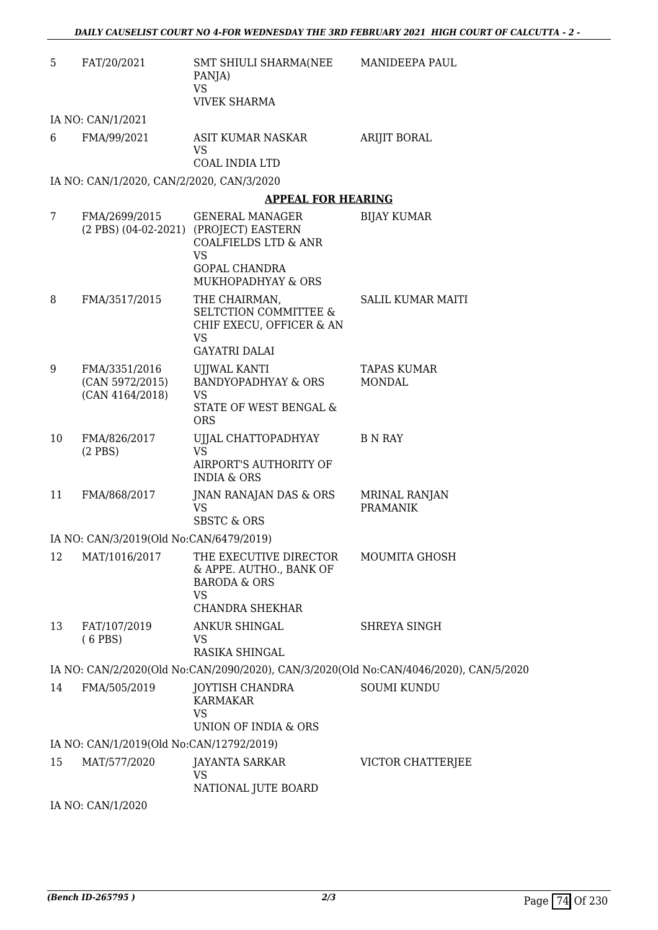| 5  | FAT/20/2021                                         | SMT SHIULI SHARMA(NEE<br>PANJA)<br><b>VS</b><br><b>VIVEK SHARMA</b>                                                 | MANIDEEPA PAUL                                                                        |
|----|-----------------------------------------------------|---------------------------------------------------------------------------------------------------------------------|---------------------------------------------------------------------------------------|
|    | IA NO: CAN/1/2021                                   |                                                                                                                     |                                                                                       |
| 6  | FMA/99/2021                                         | ASIT KUMAR NASKAR<br>VS.<br>COAL INDIA LTD                                                                          | <b>ARIJIT BORAL</b>                                                                   |
|    | IA NO: CAN/1/2020, CAN/2/2020, CAN/3/2020           |                                                                                                                     |                                                                                       |
|    |                                                     | <b>APPEAL FOR HEARING</b>                                                                                           |                                                                                       |
| 7  | FMA/2699/2015                                       | <b>GENERAL MANAGER</b><br>(2 PBS) (04-02-2021) (PROJECT) EASTERN<br><b>COALFIELDS LTD &amp; ANR</b><br><b>VS</b>    | <b>BIJAY KUMAR</b>                                                                    |
|    |                                                     | <b>GOPAL CHANDRA</b><br>MUKHOPADHYAY & ORS                                                                          |                                                                                       |
| 8  | FMA/3517/2015                                       | THE CHAIRMAN,<br><b>SELTCTION COMMITTEE &amp;</b><br>CHIF EXECU, OFFICER & AN<br><b>VS</b>                          | SALIL KUMAR MAITI                                                                     |
|    |                                                     | <b>GAYATRI DALAI</b>                                                                                                |                                                                                       |
| 9  | FMA/3351/2016<br>(CAN 5972/2015)<br>(CAN 4164/2018) | UJJWAL KANTI<br><b>BANDYOPADHYAY &amp; ORS</b><br><b>VS</b><br>STATE OF WEST BENGAL &<br><b>ORS</b>                 | TAPAS KUMAR<br><b>MONDAL</b>                                                          |
| 10 | FMA/826/2017<br>$(2$ PBS)                           | UJJAL CHATTOPADHYAY<br><b>VS</b><br><b>AIRPORT'S AUTHORITY OF</b><br><b>INDIA &amp; ORS</b>                         | <b>B</b> N RAY                                                                        |
| 11 | FMA/868/2017                                        | JNAN RANAJAN DAS & ORS<br><b>VS</b><br>SBSTC & ORS                                                                  | <b>MRINAL RANJAN</b><br><b>PRAMANIK</b>                                               |
|    | IA NO: CAN/3/2019(Old No:CAN/6479/2019)             |                                                                                                                     |                                                                                       |
| 12 | MAT/1016/2017                                       | THE EXECUTIVE DIRECTOR<br>& APPE. AUTHO., BANK OF<br><b>BARODA &amp; ORS</b><br><b>VS</b><br><b>CHANDRA SHEKHAR</b> | MOUMITA GHOSH                                                                         |
| 13 | FAT/107/2019                                        | ANKUR SHINGAL                                                                                                       | SHREYA SINGH                                                                          |
|    | $(6$ PBS)                                           | VS.<br>RASIKA SHINGAL                                                                                               |                                                                                       |
|    |                                                     |                                                                                                                     | IA NO: CAN/2/2020(Old No:CAN/2090/2020), CAN/3/2020(Old No:CAN/4046/2020), CAN/5/2020 |
| 14 | FMA/505/2019                                        | JOYTISH CHANDRA<br><b>KARMAKAR</b><br><b>VS</b><br>UNION OF INDIA & ORS                                             | <b>SOUMI KUNDU</b>                                                                    |
|    | IA NO: CAN/1/2019(Old No:CAN/12792/2019)            |                                                                                                                     |                                                                                       |
| 15 | MAT/577/2020                                        | <b>JAYANTA SARKAR</b><br><b>VS</b><br>NATIONAL JUTE BOARD                                                           | VICTOR CHATTERJEE                                                                     |
|    | IA NO: CAN/1/2020                                   |                                                                                                                     |                                                                                       |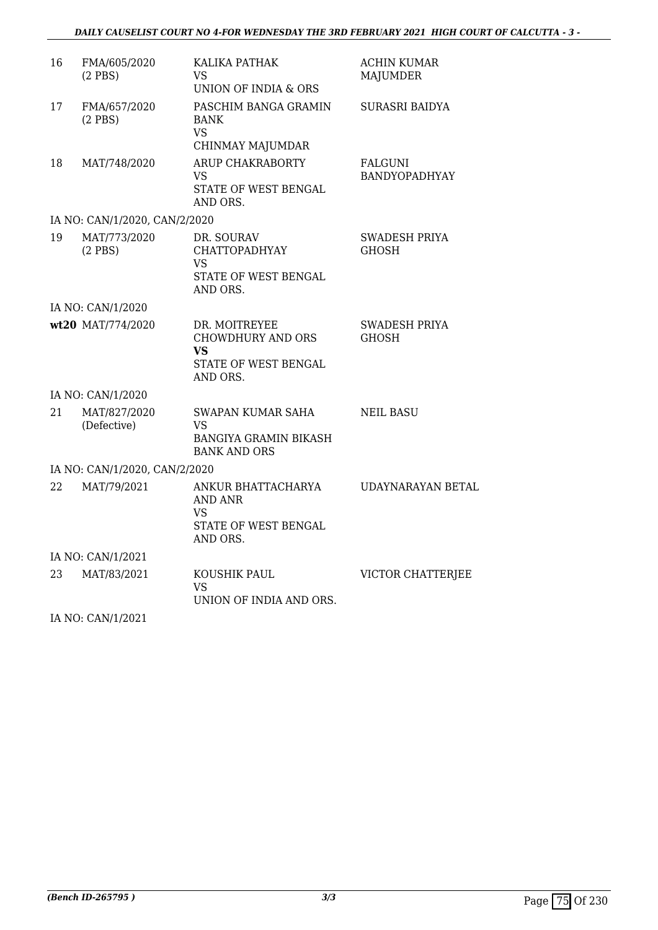| 16 | FMA/605/2020<br>$(2$ PBS)     | KALIKA PATHAK<br>VS.<br>UNION OF INDIA & ORS                                          | <b>ACHIN KUMAR</b><br><b>MAJUMDER</b>  |
|----|-------------------------------|---------------------------------------------------------------------------------------|----------------------------------------|
| 17 | FMA/657/2020<br>$(2$ PBS)     | PASCHIM BANGA GRAMIN<br><b>BANK</b><br><b>VS</b><br>CHINMAY MAJUMDAR                  | SURASRI BAIDYA                         |
| 18 | MAT/748/2020                  | ARUP CHAKRABORTY<br>VS<br>STATE OF WEST BENGAL<br>AND ORS.                            | <b>FALGUNI</b><br><b>BANDYOPADHYAY</b> |
|    | IA NO: CAN/1/2020, CAN/2/2020 |                                                                                       |                                        |
| 19 | MAT/773/2020<br>$(2$ PBS $)$  | DR. SOURAV<br><b>CHATTOPADHYAY</b><br><b>VS</b><br>STATE OF WEST BENGAL<br>AND ORS.   | SWADESH PRIYA<br><b>GHOSH</b>          |
|    | IA NO: CAN/1/2020             |                                                                                       |                                        |
|    | wt20 MAT/774/2020             | DR. MOITREYEE<br><b>CHOWDHURY AND ORS</b><br>VS<br>STATE OF WEST BENGAL<br>AND ORS.   | <b>SWADESH PRIYA</b><br>GHOSH          |
|    | IA NO: CAN/1/2020             |                                                                                       |                                        |
| 21 | MAT/827/2020<br>(Defective)   | SWAPAN KUMAR SAHA<br>VS<br>BANGIYA GRAMIN BIKASH<br><b>BANK AND ORS</b>               | <b>NEIL BASU</b>                       |
|    | IA NO: CAN/1/2020, CAN/2/2020 |                                                                                       |                                        |
| 22 | MAT/79/2021                   | ANKUR BHATTACHARYA<br><b>AND ANR</b><br><b>VS</b><br>STATE OF WEST BENGAL<br>AND ORS. | UDAYNARAYAN BETAL                      |
|    | IA NO: CAN/1/2021             |                                                                                       |                                        |
| 23 | MAT/83/2021                   | KOUSHIK PAUL<br><b>VS</b><br>UNION OF INDIA AND ORS.                                  | VICTOR CHATTERJEE                      |

IA NO: CAN/1/2021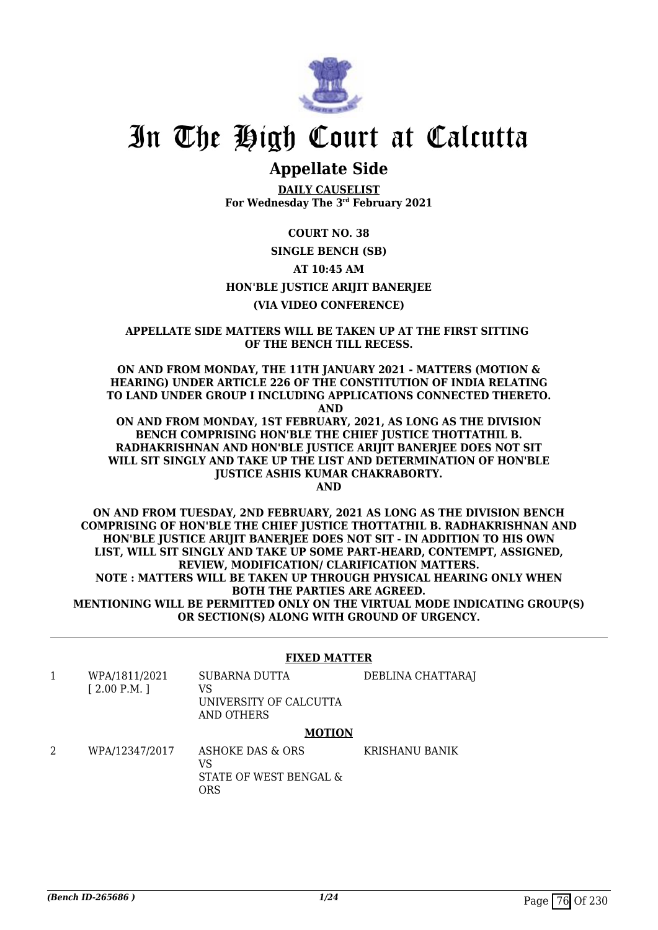

## **Appellate Side**

**DAILY CAUSELIST For Wednesday The 3rd February 2021**

## **COURT NO. 38**

**SINGLE BENCH (SB)**

## **AT 10:45 AM**

## **HON'BLE JUSTICE ARIJIT BANERJEE**

## **(VIA VIDEO CONFERENCE)**

### **APPELLATE SIDE MATTERS WILL BE TAKEN UP AT THE FIRST SITTING OF THE BENCH TILL RECESS.**

**ON AND FROM MONDAY, THE 11TH JANUARY 2021 - MATTERS (MOTION & HEARING) UNDER ARTICLE 226 OF THE CONSTITUTION OF INDIA RELATING TO LAND UNDER GROUP I INCLUDING APPLICATIONS CONNECTED THERETO. AND**

**ON AND FROM MONDAY, 1ST FEBRUARY, 2021, AS LONG AS THE DIVISION BENCH COMPRISING HON'BLE THE CHIEF JUSTICE THOTTATHIL B. RADHAKRISHNAN AND HON'BLE JUSTICE ARIJIT BANERJEE DOES NOT SIT WILL SIT SINGLY AND TAKE UP THE LIST AND DETERMINATION OF HON'BLE JUSTICE ASHIS KUMAR CHAKRABORTY.**

**AND**

**ON AND FROM TUESDAY, 2ND FEBRUARY, 2021 AS LONG AS THE DIVISION BENCH COMPRISING OF HON'BLE THE CHIEF JUSTICE THOTTATHIL B. RADHAKRISHNAN AND HON'BLE JUSTICE ARIJIT BANERJEE DOES NOT SIT - IN ADDITION TO HIS OWN LIST, WILL SIT SINGLY AND TAKE UP SOME PART-HEARD, CONTEMPT, ASSIGNED, REVIEW, MODIFICATION/ CLARIFICATION MATTERS. NOTE : MATTERS WILL BE TAKEN UP THROUGH PHYSICAL HEARING ONLY WHEN BOTH THE PARTIES ARE AGREED. MENTIONING WILL BE PERMITTED ONLY ON THE VIRTUAL MODE INDICATING GROUP(S) OR SECTION(S) ALONG WITH GROUND OF URGENCY.**

## **FIXED MATTER**

- 1 WPA/1811/2021 [ 2.00 P.M. ] SUBARNA DUTTA VS UNIVERSITY OF CALCUTTA AND OTHERS DEBLINA CHATTARAJ **MOTION**
- 2 WPA/12347/2017 ASHOKE DAS & ORS VS STATE OF WEST BENGAL & ORS KRISHANU BANIK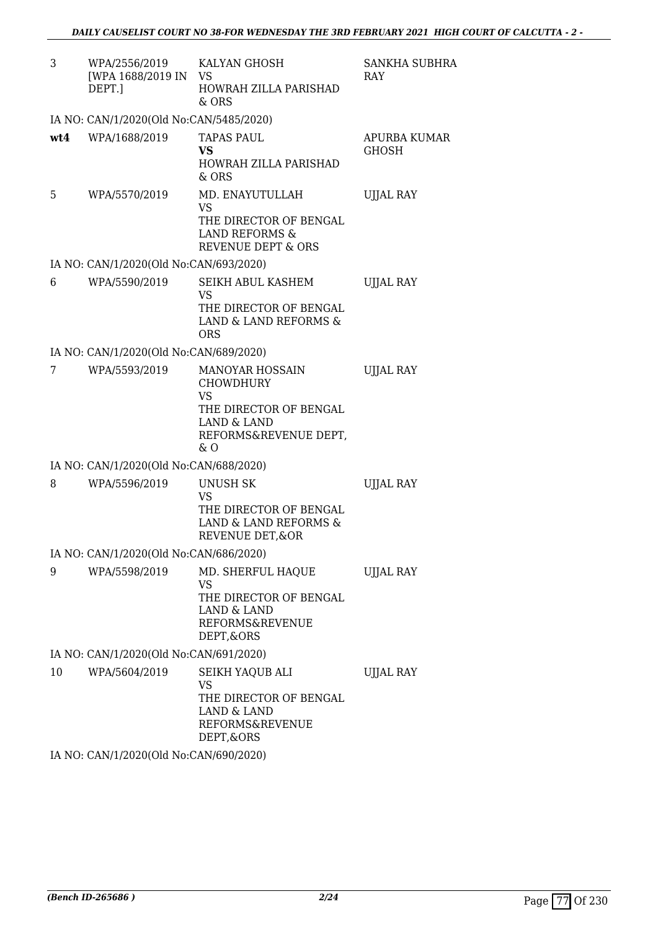| 3   | WPA/2556/2019<br>[WPA 1688/2019 IN<br>DEPT.] | KALYAN GHOSH<br><b>VS</b><br><b>HOWRAH ZILLA PARISHAD</b>                                                                                     | SANKHA SUBHRA<br><b>RAY</b>  |
|-----|----------------------------------------------|-----------------------------------------------------------------------------------------------------------------------------------------------|------------------------------|
|     |                                              | & ORS                                                                                                                                         |                              |
|     | IA NO: CAN/1/2020(Old No:CAN/5485/2020)      |                                                                                                                                               |                              |
| wt4 | WPA/1688/2019                                | <b>TAPAS PAUL</b><br>VS<br>HOWRAH ZILLA PARISHAD<br>& ORS                                                                                     | APURBA KUMAR<br><b>GHOSH</b> |
| 5   | WPA/5570/2019                                | MD. ENAYUTULLAH<br>VS<br>THE DIRECTOR OF BENGAL<br><b>LAND REFORMS &amp;</b><br><b>REVENUE DEPT &amp; ORS</b>                                 | <b>UJJAL RAY</b>             |
|     | IA NO: CAN/1/2020(Old No:CAN/693/2020)       |                                                                                                                                               |                              |
| 6   | WPA/5590/2019                                | SEIKH ABUL KASHEM<br><b>VS</b><br>THE DIRECTOR OF BENGAL<br>LAND & LAND REFORMS &<br><b>ORS</b>                                               | UJJAL RAY                    |
|     | IA NO: CAN/1/2020(Old No:CAN/689/2020)       |                                                                                                                                               |                              |
| 7   | WPA/5593/2019                                | <b>MANOYAR HOSSAIN</b><br><b>CHOWDHURY</b><br><b>VS</b><br>THE DIRECTOR OF BENGAL<br><b>LAND &amp; LAND</b><br>REFORMS&REVENUE DEPT,<br>$&$ 0 | <b>UJJAL RAY</b>             |
|     | IA NO: CAN/1/2020(Old No:CAN/688/2020)       |                                                                                                                                               |                              |
| 8   | WPA/5596/2019                                | <b>UNUSH SK</b><br>VS<br>THE DIRECTOR OF BENGAL<br>LAND & LAND REFORMS &<br>REVENUE DET, & OR                                                 | <b>UJJAL RAY</b>             |
|     | IA NO: CAN/1/2020(Old No:CAN/686/2020)       |                                                                                                                                               |                              |
| 9   | WPA/5598/2019                                | MD. SHERFUL HAQUE<br>VS<br>THE DIRECTOR OF BENGAL<br><b>LAND &amp; LAND</b><br><b>REFORMS&amp;REVENUE</b><br>DEPT, & ORS                      | <b>UJJAL RAY</b>             |
|     | IA NO: CAN/1/2020(Old No:CAN/691/2020)       |                                                                                                                                               |                              |
| 10  | WPA/5604/2019                                | SEIKH YAQUB ALI<br>VS<br>THE DIRECTOR OF BENGAL<br>LAND & LAND<br><b>REFORMS&amp;REVENUE</b><br>DEPT, & ORS                                   | <b>UJJAL RAY</b>             |

IA NO: CAN/1/2020(Old No:CAN/690/2020)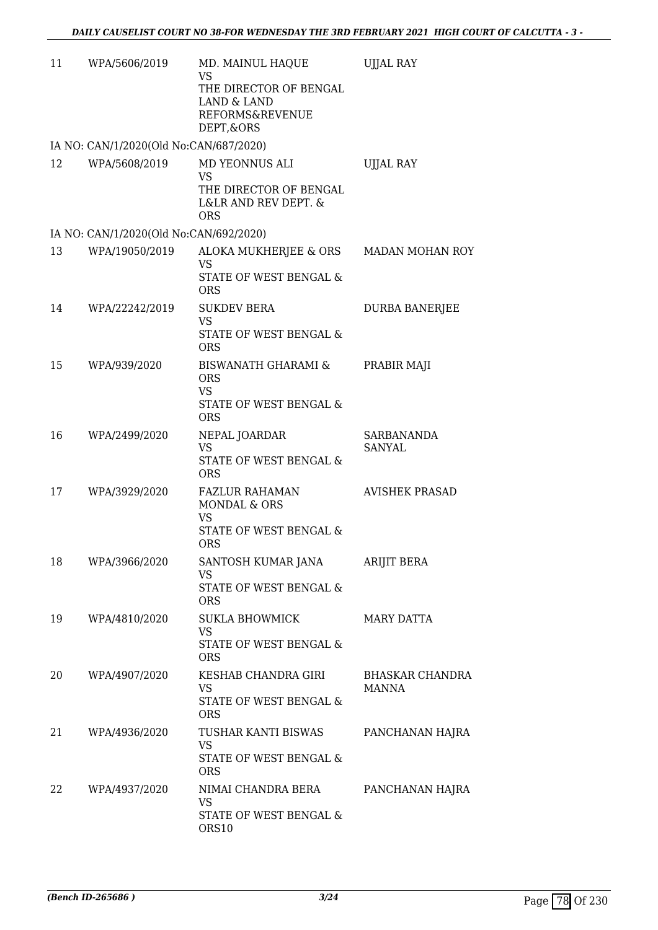| 11 | WPA/5606/2019                          | MD. MAINUL HAQUE<br><b>VS</b><br>THE DIRECTOR OF BENGAL<br>LAND & LAND<br>REFORMS&REVENUE<br>DEPT, & ORS | <b>UJJAL RAY</b>                       |
|----|----------------------------------------|----------------------------------------------------------------------------------------------------------|----------------------------------------|
|    | IA NO: CAN/1/2020(Old No:CAN/687/2020) |                                                                                                          |                                        |
| 12 | WPA/5608/2019                          | MD YEONNUS ALI<br>VS<br>THE DIRECTOR OF BENGAL<br>L&LR AND REV DEPT. &<br><b>ORS</b>                     | <b>UJJAL RAY</b>                       |
|    | IA NO: CAN/1/2020(Old No:CAN/692/2020) |                                                                                                          |                                        |
| 13 | WPA/19050/2019                         | ALOKA MUKHERJEE & ORS<br>VS<br>STATE OF WEST BENGAL &<br><b>ORS</b>                                      | MADAN MOHAN ROY                        |
| 14 | WPA/22242/2019                         | <b>SUKDEV BERA</b><br>VS<br>STATE OF WEST BENGAL &<br><b>ORS</b>                                         | DURBA BANERJEE                         |
| 15 | WPA/939/2020                           | <b>BISWANATH GHARAMI &amp;</b><br><b>ORS</b><br><b>VS</b><br>STATE OF WEST BENGAL &<br><b>ORS</b>        | PRABIR MAJI                            |
| 16 | WPA/2499/2020                          | NEPAL JOARDAR<br><b>VS</b><br>STATE OF WEST BENGAL &<br><b>ORS</b>                                       | SARBANANDA<br>SANYAL                   |
| 17 | WPA/3929/2020                          | <b>FAZLUR RAHAMAN</b><br><b>MONDAL &amp; ORS</b><br><b>VS</b><br>STATE OF WEST BENGAL &<br><b>ORS</b>    | <b>AVISHEK PRASAD</b>                  |
| 18 | WPA/3966/2020                          | SANTOSH KUMAR JANA<br>VS<br>STATE OF WEST BENGAL &<br><b>ORS</b>                                         | <b>ARIJIT BERA</b>                     |
| 19 | WPA/4810/2020                          | <b>SUKLA BHOWMICK</b><br><b>VS</b><br>STATE OF WEST BENGAL &<br><b>ORS</b>                               | <b>MARY DATTA</b>                      |
| 20 | WPA/4907/2020                          | KESHAB CHANDRA GIRI<br><b>VS</b><br>STATE OF WEST BENGAL &<br><b>ORS</b>                                 | <b>BHASKAR CHANDRA</b><br><b>MANNA</b> |
| 21 | WPA/4936/2020                          | TUSHAR KANTI BISWAS<br><b>VS</b><br>STATE OF WEST BENGAL &<br><b>ORS</b>                                 | PANCHANAN HAJRA                        |
| 22 | WPA/4937/2020                          | NIMAI CHANDRA BERA<br><b>VS</b><br>STATE OF WEST BENGAL &<br>ORS10                                       | PANCHANAN HAJRA                        |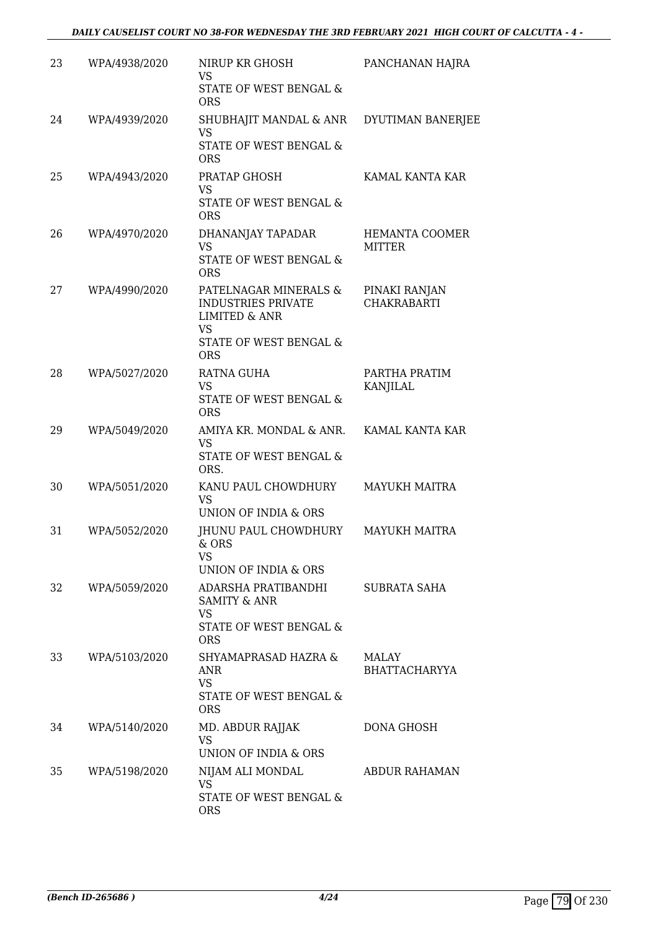| 23 | WPA/4938/2020 | NIRUP KR GHOSH<br>VS<br>STATE OF WEST BENGAL &                                                                                      | PANCHANAN HAJRA                     |
|----|---------------|-------------------------------------------------------------------------------------------------------------------------------------|-------------------------------------|
| 24 | WPA/4939/2020 | <b>ORS</b><br>SHUBHAJIT MANDAL & ANR DYUTIMAN BANERJEE<br><b>VS</b><br>STATE OF WEST BENGAL &<br><b>ORS</b>                         |                                     |
| 25 | WPA/4943/2020 | PRATAP GHOSH<br><b>VS</b><br>STATE OF WEST BENGAL &<br><b>ORS</b>                                                                   | KAMAL KANTA KAR                     |
| 26 | WPA/4970/2020 | DHANANJAY TAPADAR<br><b>VS</b><br>STATE OF WEST BENGAL &<br><b>ORS</b>                                                              | HEMANTA COOMER<br>MITTER            |
| 27 | WPA/4990/2020 | PATELNAGAR MINERALS &<br><b>INDUSTRIES PRIVATE</b><br><b>LIMITED &amp; ANR</b><br><b>VS</b><br>STATE OF WEST BENGAL &<br><b>ORS</b> | PINAKI RANJAN<br><b>CHAKRABARTI</b> |
| 28 | WPA/5027/2020 | RATNA GUHA<br><b>VS</b><br>STATE OF WEST BENGAL &<br><b>ORS</b>                                                                     | PARTHA PRATIM<br>KANJILAL           |
| 29 | WPA/5049/2020 | AMIYA KR. MONDAL & ANR.<br><b>VS</b><br>STATE OF WEST BENGAL &<br>ORS.                                                              | KAMAL KANTA KAR                     |
| 30 | WPA/5051/2020 | KANU PAUL CHOWDHURY<br><b>VS</b><br>UNION OF INDIA & ORS                                                                            | <b>MAYUKH MAITRA</b>                |
| 31 | WPA/5052/2020 | IHUNU PAUL CHOWDHURY<br>& ORS<br>VS<br>UNION OF INDIA & ORS                                                                         | <b>MAYUKH MAITRA</b>                |
| 32 | WPA/5059/2020 | ADARSHA PRATIBANDHI<br><b>SAMITY &amp; ANR</b><br><b>VS</b><br>STATE OF WEST BENGAL &<br><b>ORS</b>                                 | SUBRATA SAHA                        |
| 33 | WPA/5103/2020 | SHYAMAPRASAD HAZRA &<br>ANR<br><b>VS</b><br>STATE OF WEST BENGAL &<br><b>ORS</b>                                                    | MALAY<br><b>BHATTACHARYYA</b>       |
| 34 | WPA/5140/2020 | MD. ABDUR RAJJAK<br><b>VS</b><br>UNION OF INDIA & ORS                                                                               | DONA GHOSH                          |
| 35 | WPA/5198/2020 | NIJAM ALI MONDAL<br>VS<br>STATE OF WEST BENGAL &<br><b>ORS</b>                                                                      | ABDUR RAHAMAN                       |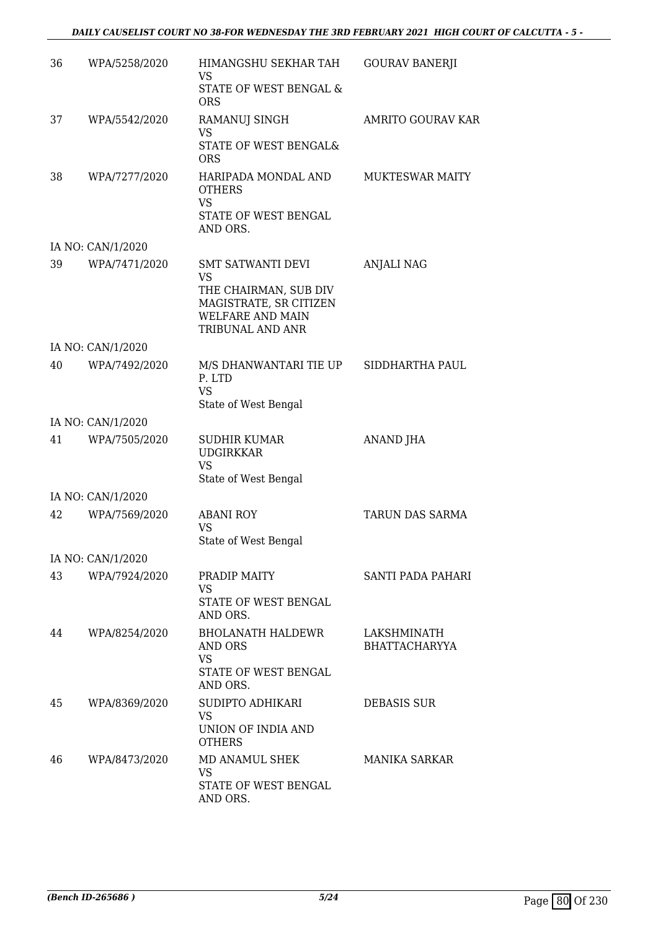### *DAILY CAUSELIST COURT NO 38-FOR WEDNESDAY THE 3RD FEBRUARY 2021 HIGH COURT OF CALCUTTA - 5 -*

| 36 | WPA/5258/2020     | HIMANGSHU SEKHAR TAH<br>VS                                                                     | <b>GOURAV BANERJI</b>               |
|----|-------------------|------------------------------------------------------------------------------------------------|-------------------------------------|
|    |                   | STATE OF WEST BENGAL &<br><b>ORS</b>                                                           |                                     |
| 37 | WPA/5542/2020     | RAMANUJ SINGH<br><b>VS</b>                                                                     | <b>AMRITO GOURAV KAR</b>            |
|    |                   | STATE OF WEST BENGAL&<br><b>ORS</b>                                                            |                                     |
| 38 | WPA/7277/2020     | HARIPADA MONDAL AND<br><b>OTHERS</b><br><b>VS</b>                                              | <b>MUKTESWAR MAITY</b>              |
|    |                   | STATE OF WEST BENGAL<br>AND ORS.                                                               |                                     |
|    | IA NO: CAN/1/2020 |                                                                                                |                                     |
| 39 | WPA/7471/2020     | <b>SMT SATWANTI DEVI</b><br>VS                                                                 | <b>ANJALI NAG</b>                   |
|    |                   | THE CHAIRMAN, SUB DIV<br>MAGISTRATE, SR CITIZEN<br><b>WELFARE AND MAIN</b><br>TRIBUNAL AND ANR |                                     |
|    | IA NO: CAN/1/2020 |                                                                                                |                                     |
| 40 | WPA/7492/2020     | M/S DHANWANTARI TIE UP<br>P. LTD<br><b>VS</b><br>State of West Bengal                          | SIDDHARTHA PAUL                     |
|    | IA NO: CAN/1/2020 |                                                                                                |                                     |
| 41 | WPA/7505/2020     | <b>SUDHIR KUMAR</b><br><b>UDGIRKKAR</b><br><b>VS</b><br>State of West Bengal                   | ANAND JHA                           |
|    | IA NO: CAN/1/2020 |                                                                                                |                                     |
| 42 | WPA/7569/2020     | <b>ABANI ROY</b><br><b>VS</b><br>State of West Bengal                                          | <b>TARUN DAS SARMA</b>              |
|    | IA NO: CAN/1/2020 |                                                                                                |                                     |
| 43 | WPA/7924/2020     | PRADIP MAITY<br><b>VS</b><br>STATE OF WEST BENGAL<br>AND ORS.                                  | SANTI PADA PAHARI                   |
| 44 | WPA/8254/2020     | <b>BHOLANATH HALDEWR</b><br>AND ORS<br>VS<br>STATE OF WEST BENGAL                              | LAKSHMINATH<br><b>BHATTACHARYYA</b> |
|    |                   | AND ORS.                                                                                       |                                     |
| 45 | WPA/8369/2020     | SUDIPTO ADHIKARI<br><b>VS</b><br>UNION OF INDIA AND<br><b>OTHERS</b>                           | DEBASIS SUR                         |
| 46 | WPA/8473/2020     | MD ANAMUL SHEK<br>VS<br>STATE OF WEST BENGAL<br>AND ORS.                                       | <b>MANIKA SARKAR</b>                |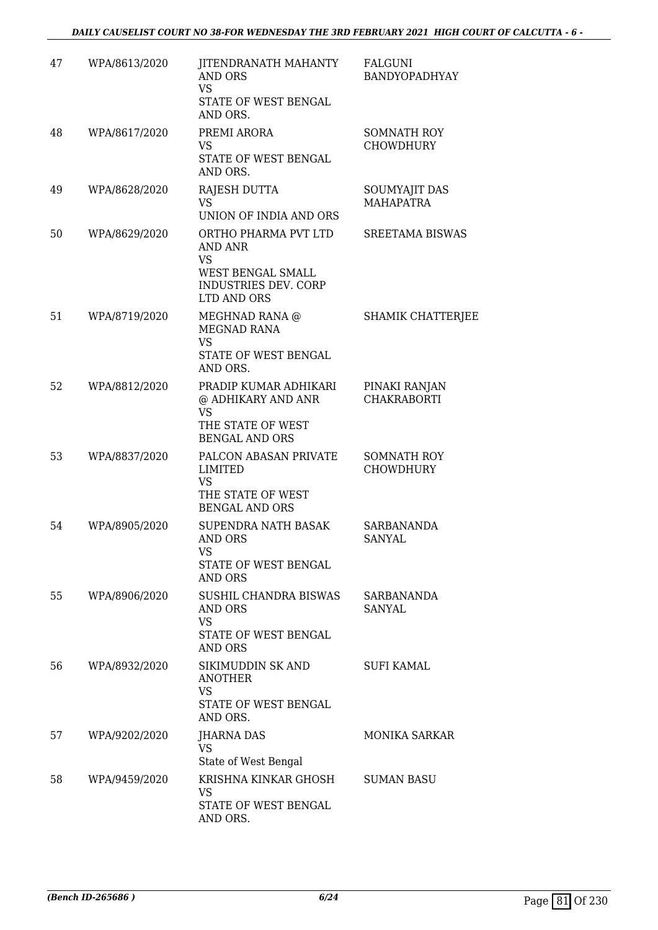| 47 | WPA/8613/2020 | JITENDRANATH MAHANTY<br>AND ORS<br><b>VS</b><br>STATE OF WEST BENGAL<br>AND ORS.                         | <b>FALGUNI</b><br>BANDYOPADHYAY        |
|----|---------------|----------------------------------------------------------------------------------------------------------|----------------------------------------|
| 48 | WPA/8617/2020 | PREMI ARORA<br>VS.<br>STATE OF WEST BENGAL<br>AND ORS.                                                   | SOMNATH ROY<br><b>CHOWDHURY</b>        |
| 49 | WPA/8628/2020 | <b>RAJESH DUTTA</b><br><b>VS</b><br>UNION OF INDIA AND ORS                                               | SOUMYAJIT DAS<br><b>MAHAPATRA</b>      |
| 50 | WPA/8629/2020 | ORTHO PHARMA PVT LTD<br>AND ANR<br><b>VS</b><br>WEST BENGAL SMALL<br>INDUSTRIES DEV. CORP<br>LTD AND ORS | <b>SREETAMA BISWAS</b>                 |
| 51 | WPA/8719/2020 | MEGHNAD RANA @<br><b>MEGNAD RANA</b><br><b>VS</b><br>STATE OF WEST BENGAL<br>AND ORS.                    | <b>SHAMIK CHATTERJEE</b>               |
| 52 | WPA/8812/2020 | PRADIP KUMAR ADHIKARI<br>@ ADHIKARY AND ANR<br><b>VS</b><br>THE STATE OF WEST<br><b>BENGAL AND ORS</b>   | PINAKI RANJAN<br><b>CHAKRABORTI</b>    |
| 53 | WPA/8837/2020 | PALCON ABASAN PRIVATE<br><b>LIMITED</b><br><b>VS</b><br>THE STATE OF WEST<br><b>BENGAL AND ORS</b>       | <b>SOMNATH ROY</b><br><b>CHOWDHURY</b> |
| 54 | WPA/8905/2020 | SUPENDRA NATH BASAK<br>AND ORS<br>vs<br>STATE OF WEST BENGAL<br><b>AND ORS</b>                           | SARBANANDA<br><b>SANYAL</b>            |
| 55 | WPA/8906/2020 | SUSHIL CHANDRA BISWAS<br>AND ORS<br><b>VS</b><br>STATE OF WEST BENGAL<br><b>AND ORS</b>                  | SARBANANDA<br>SANYAL                   |
| 56 | WPA/8932/2020 | SIKIMUDDIN SK AND<br><b>ANOTHER</b><br><b>VS</b><br>STATE OF WEST BENGAL<br>AND ORS.                     | <b>SUFI KAMAL</b>                      |
| 57 | WPA/9202/2020 | <b>JHARNA DAS</b><br>VS<br>State of West Bengal                                                          | <b>MONIKA SARKAR</b>                   |
| 58 | WPA/9459/2020 | KRISHNA KINKAR GHOSH<br><b>VS</b><br>STATE OF WEST BENGAL<br>AND ORS.                                    | <b>SUMAN BASU</b>                      |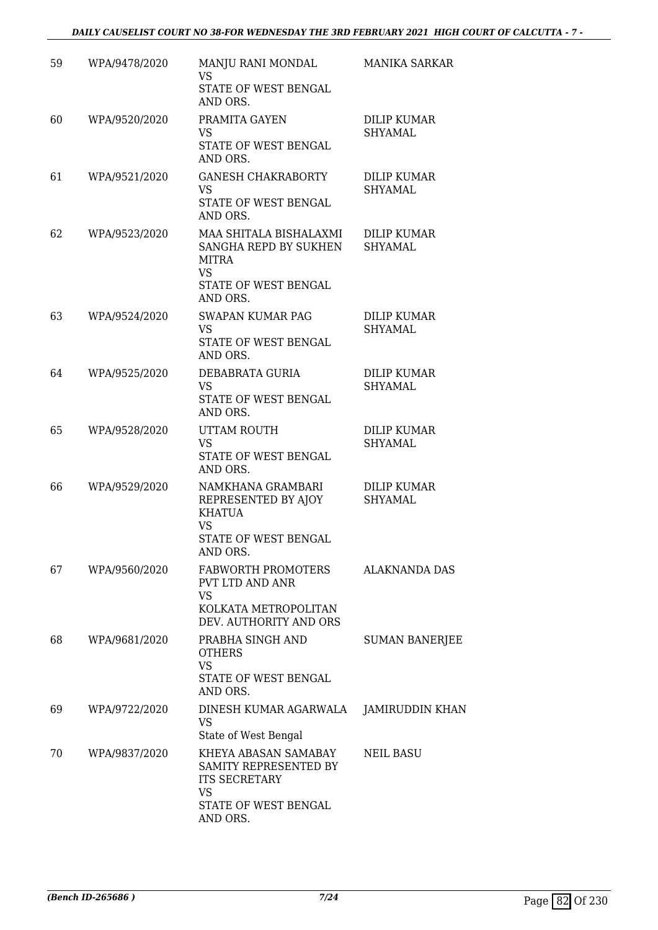| 59 | WPA/9478/2020 | MANJU RANI MONDAL<br>VS.<br>STATE OF WEST BENGAL                                                            | <b>MANIKA SARKAR</b>                 |
|----|---------------|-------------------------------------------------------------------------------------------------------------|--------------------------------------|
|    |               | AND ORS.                                                                                                    |                                      |
| 60 | WPA/9520/2020 | PRAMITA GAYEN<br><b>VS</b><br>STATE OF WEST BENGAL<br>AND ORS.                                              | DILIP KUMAR<br>SHYAMAL               |
| 61 | WPA/9521/2020 | <b>GANESH CHAKRABORTY</b><br><b>VS</b><br>STATE OF WEST BENGAL<br>AND ORS.                                  | <b>DILIP KUMAR</b><br><b>SHYAMAL</b> |
| 62 | WPA/9523/2020 | MAA SHITALA BISHALAXMI<br>SANGHA REPD BY SUKHEN<br><b>MITRA</b><br><b>VS</b><br>STATE OF WEST BENGAL        | <b>DILIP KUMAR</b><br>SHYAMAL        |
|    |               | AND ORS.                                                                                                    |                                      |
| 63 | WPA/9524/2020 | SWAPAN KUMAR PAG<br><b>VS</b><br>STATE OF WEST BENGAL<br>AND ORS.                                           | <b>DILIP KUMAR</b><br>SHYAMAL        |
| 64 | WPA/9525/2020 | DEBABRATA GURIA<br><b>VS</b><br>STATE OF WEST BENGAL<br>AND ORS.                                            | <b>DILIP KUMAR</b><br>SHYAMAL        |
| 65 | WPA/9528/2020 | UTTAM ROUTH<br><b>VS</b><br>STATE OF WEST BENGAL<br>AND ORS.                                                | <b>DILIP KUMAR</b><br><b>SHYAMAL</b> |
| 66 | WPA/9529/2020 | NAMKHANA GRAMBARI<br>REPRESENTED BY AJOY<br><b>KHATUA</b><br><b>VS</b><br>STATE OF WEST BENGAL<br>AND ORS.  | <b>DILIP KUMAR</b><br>SHYAMAL        |
| 67 | WPA/9560/2020 | <b>FABWORTH PROMOTERS</b><br>PVT LTD AND ANR<br><b>VS</b><br>KOLKATA METROPOLITAN<br>DEV. AUTHORITY AND ORS | ALAKNANDA DAS                        |
| 68 | WPA/9681/2020 | PRABHA SINGH AND<br><b>OTHERS</b><br><b>VS</b><br>STATE OF WEST BENGAL<br>AND ORS.                          | <b>SUMAN BANERJEE</b>                |
| 69 | WPA/9722/2020 | DINESH KUMAR AGARWALA<br>VS<br>State of West Bengal                                                         | <b>JAMIRUDDIN KHAN</b>               |
| 70 | WPA/9837/2020 | KHEYA ABASAN SAMABAY<br>SAMITY REPRESENTED BY<br><b>ITS SECRETARY</b><br><b>VS</b>                          | <b>NEIL BASU</b>                     |
|    |               | STATE OF WEST BENGAL<br>AND ORS.                                                                            |                                      |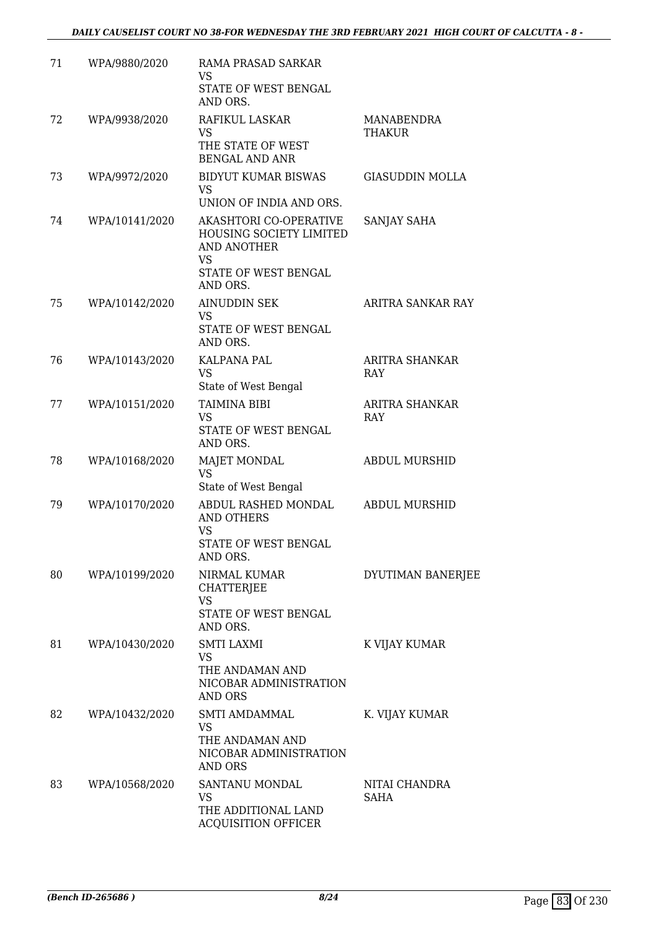| 71 | WPA/9880/2020  | RAMA PRASAD SARKAR<br>VS<br>STATE OF WEST BENGAL<br>AND ORS.                                |                              |
|----|----------------|---------------------------------------------------------------------------------------------|------------------------------|
| 72 | WPA/9938/2020  | RAFIKUL LASKAR<br><b>VS</b>                                                                 | MANABENDRA<br>THAKUR         |
|    |                | THE STATE OF WEST<br><b>BENGAL AND ANR</b>                                                  |                              |
| 73 | WPA/9972/2020  | <b>BIDYUT KUMAR BISWAS</b><br><b>VS</b><br>UNION OF INDIA AND ORS.                          | <b>GIASUDDIN MOLLA</b>       |
| 74 | WPA/10141/2020 | AKASHTORI CO-OPERATIVE<br>HOUSING SOCIETY LIMITED<br><b>AND ANOTHER</b><br><b>VS</b>        | SANJAY SAHA                  |
|    |                | STATE OF WEST BENGAL<br>AND ORS.                                                            |                              |
| 75 | WPA/10142/2020 | <b>AINUDDIN SEK</b><br>VS<br>STATE OF WEST BENGAL<br>AND ORS.                               | ARITRA SANKAR RAY            |
| 76 | WPA/10143/2020 | KALPANA PAL<br><b>VS</b><br>State of West Bengal                                            | ARITRA SHANKAR<br>RAY        |
| 77 | WPA/10151/2020 | TAIMINA BIBI<br>VS<br>STATE OF WEST BENGAL<br>AND ORS.                                      | ARITRA SHANKAR<br><b>RAY</b> |
| 78 | WPA/10168/2020 | MAJET MONDAL<br><b>VS</b><br>State of West Bengal                                           | <b>ABDUL MURSHID</b>         |
| 79 | WPA/10170/2020 | ABDUL RASHED MONDAL<br><b>AND OTHERS</b><br><b>VS</b><br>STATE OF WEST BENGAL<br>AND ORS.   | <b>ABDUL MURSHID</b>         |
| 80 | WPA/10199/2020 | NIRMAL KUMAR<br><b>CHATTERJEE</b><br><b>VS</b><br>STATE OF WEST BENGAL                      | DYUTIMAN BANERJEE            |
| 81 | WPA/10430/2020 | AND ORS.<br><b>SMTI LAXMI</b><br>VS<br>THE ANDAMAN AND<br>NICOBAR ADMINISTRATION<br>AND ORS | K VIJAY KUMAR                |
| 82 | WPA/10432/2020 | <b>SMTI AMDAMMAL</b><br>VS<br>THE ANDAMAN AND<br>NICOBAR ADMINISTRATION<br>AND ORS          | K. VIJAY KUMAR               |
| 83 | WPA/10568/2020 | SANTANU MONDAL<br>VS<br>THE ADDITIONAL LAND<br><b>ACQUISITION OFFICER</b>                   | NITAI CHANDRA<br><b>SAHA</b> |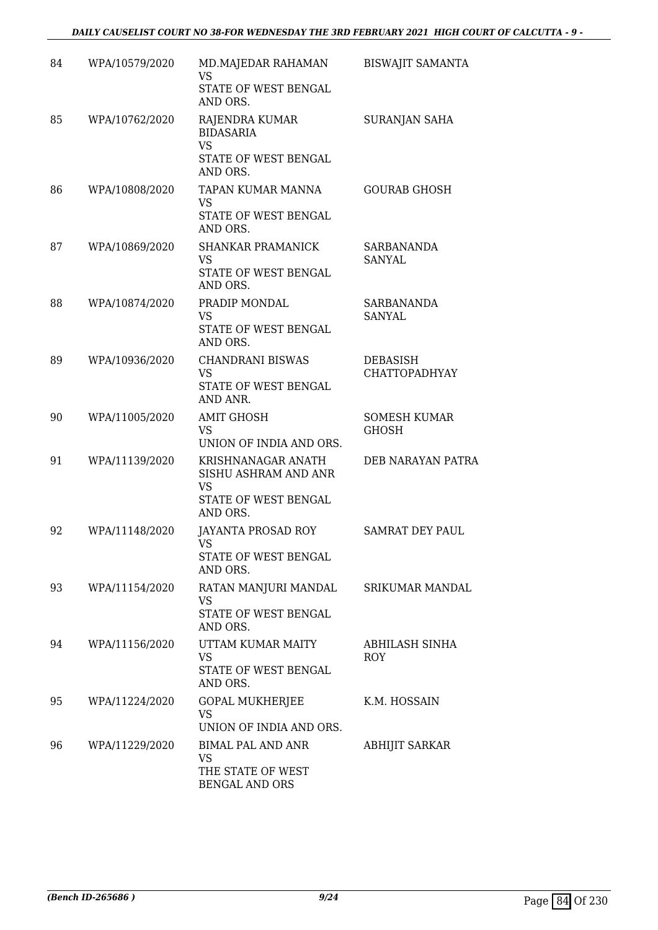| 84 | WPA/10579/2020 | MD.MAJEDAR RAHAMAN<br>VS<br>STATE OF WEST BENGAL<br>AND ORS.                         | <b>BISWAJIT SAMANTA</b>                 |
|----|----------------|--------------------------------------------------------------------------------------|-----------------------------------------|
| 85 | WPA/10762/2020 | RAJENDRA KUMAR<br><b>BIDASARIA</b><br><b>VS</b><br>STATE OF WEST BENGAL<br>AND ORS.  | SURANJAN SAHA                           |
| 86 | WPA/10808/2020 | TAPAN KUMAR MANNA<br><b>VS</b><br>STATE OF WEST BENGAL<br>AND ORS.                   | <b>GOURAB GHOSH</b>                     |
| 87 | WPA/10869/2020 | <b>SHANKAR PRAMANICK</b><br><b>VS</b><br>STATE OF WEST BENGAL<br>AND ORS.            | SARBANANDA<br>SANYAL                    |
| 88 | WPA/10874/2020 | PRADIP MONDAL<br>VS<br>STATE OF WEST BENGAL<br>AND ORS.                              | <b>SARBANANDA</b><br><b>SANYAL</b>      |
| 89 | WPA/10936/2020 | <b>CHANDRANI BISWAS</b><br><b>VS</b><br>STATE OF WEST BENGAL<br>AND ANR.             | <b>DEBASISH</b><br><b>CHATTOPADHYAY</b> |
| 90 | WPA/11005/2020 | <b>AMIT GHOSH</b><br><b>VS</b><br>UNION OF INDIA AND ORS.                            | <b>SOMESH KUMAR</b><br><b>GHOSH</b>     |
| 91 | WPA/11139/2020 | KRISHNANAGAR ANATH<br>SISHU ASHRAM AND ANR<br>VS<br>STATE OF WEST BENGAL<br>AND ORS. | DEB NARAYAN PATRA                       |
| 92 | WPA/11148/2020 | JAYANTA PROSAD ROY<br>VS.<br>STATE OF WEST BENGAL<br>AND ORS.                        | <b>SAMRAT DEY PAUL</b>                  |
| 93 | WPA/11154/2020 | RATAN MANJURI MANDAL<br>VS<br>STATE OF WEST BENGAL<br>AND ORS.                       | SRIKUMAR MANDAL                         |
| 94 | WPA/11156/2020 | UTTAM KUMAR MAITY<br>VS<br>STATE OF WEST BENGAL<br>AND ORS.                          | ABHILASH SINHA<br>ROY                   |
| 95 | WPA/11224/2020 | <b>GOPAL MUKHERJEE</b><br>VS<br>UNION OF INDIA AND ORS.                              | K.M. HOSSAIN                            |
| 96 | WPA/11229/2020 | <b>BIMAL PAL AND ANR</b><br><b>VS</b><br>THE STATE OF WEST<br><b>BENGAL AND ORS</b>  | ABHIJIT SARKAR                          |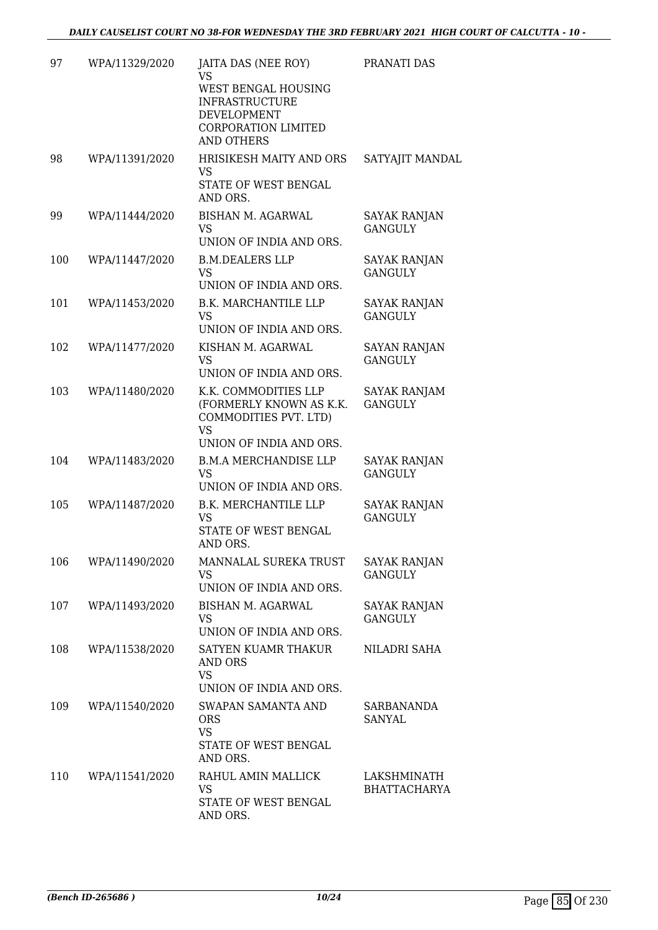| 97  | WPA/11329/2020 | JAITA DAS (NEE ROY)<br>VS<br>WEST BENGAL HOUSING<br><b>INFRASTRUCTURE</b><br>DEVELOPMENT<br><b>CORPORATION LIMITED</b><br><b>AND OTHERS</b> | PRANATI DAS                           |
|-----|----------------|---------------------------------------------------------------------------------------------------------------------------------------------|---------------------------------------|
| 98  | WPA/11391/2020 | HRISIKESH MAITY AND ORS<br><b>VS</b><br>STATE OF WEST BENGAL<br>AND ORS.                                                                    | SATYAJIT MANDAL                       |
| 99  | WPA/11444/2020 | <b>BISHAN M. AGARWAL</b><br><b>VS</b><br>UNION OF INDIA AND ORS.                                                                            | <b>SAYAK RANJAN</b><br><b>GANGULY</b> |
| 100 | WPA/11447/2020 | <b>B.M.DEALERS LLP</b><br><b>VS</b><br>UNION OF INDIA AND ORS.                                                                              | <b>SAYAK RANJAN</b><br><b>GANGULY</b> |
| 101 | WPA/11453/2020 | <b>B.K. MARCHANTILE LLP</b><br><b>VS</b><br>UNION OF INDIA AND ORS.                                                                         | <b>SAYAK RANJAN</b><br><b>GANGULY</b> |
| 102 | WPA/11477/2020 | KISHAN M. AGARWAL<br><b>VS</b><br>UNION OF INDIA AND ORS.                                                                                   | <b>SAYAN RANJAN</b><br><b>GANGULY</b> |
| 103 | WPA/11480/2020 | K.K. COMMODITIES LLP<br>(FORMERLY KNOWN AS K.K.<br>COMMODITIES PVT. LTD)<br><b>VS</b><br>UNION OF INDIA AND ORS.                            | SAYAK RANJAM<br><b>GANGULY</b>        |
| 104 | WPA/11483/2020 | <b>B.M.A MERCHANDISE LLP</b><br><b>VS</b><br>UNION OF INDIA AND ORS.                                                                        | SAYAK RANJAN<br><b>GANGULY</b>        |
| 105 | WPA/11487/2020 | <b>B.K. MERCHANTILE LLP</b><br><b>VS</b><br>STATE OF WEST BENGAL<br>AND ORS.                                                                | <b>SAYAK RANJAN</b><br><b>GANGULY</b> |
| 106 | WPA/11490/2020 | MANNALAL SUREKA TRUST<br><b>VS</b><br>UNION OF INDIA AND ORS.                                                                               | <b>SAYAK RANJAN</b><br><b>GANGULY</b> |
| 107 | WPA/11493/2020 | BISHAN M. AGARWAL<br>VS<br>UNION OF INDIA AND ORS.                                                                                          | <b>SAYAK RANJAN</b><br><b>GANGULY</b> |
| 108 | WPA/11538/2020 | <b>SATYEN KUAMR THAKUR</b><br>AND ORS<br><b>VS</b><br>UNION OF INDIA AND ORS.                                                               | NILADRI SAHA                          |
| 109 | WPA/11540/2020 | SWAPAN SAMANTA AND<br><b>ORS</b><br><b>VS</b><br>STATE OF WEST BENGAL<br>AND ORS.                                                           | SARBANANDA<br>SANYAL                  |
| 110 | WPA/11541/2020 | RAHUL AMIN MALLICK<br><b>VS</b><br>STATE OF WEST BENGAL<br>AND ORS.                                                                         | LAKSHMINATH<br><b>BHATTACHARYA</b>    |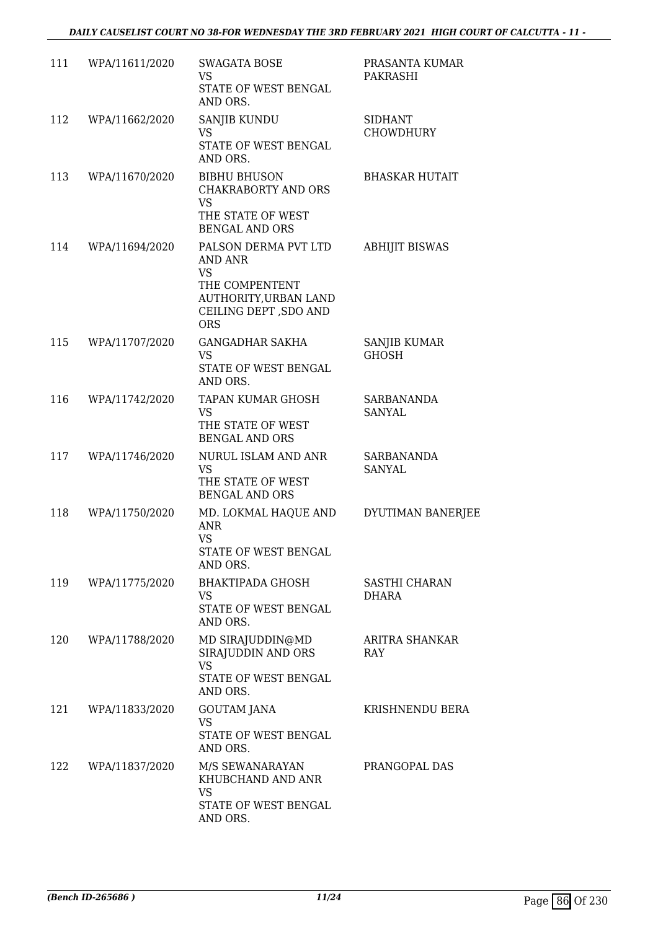| 111 | WPA/11611/2020 | <b>SWAGATA BOSE</b><br>VS.<br>STATE OF WEST BENGAL<br>AND ORS.                                                                  | PRASANTA KUMAR<br>PAKRASHI         |
|-----|----------------|---------------------------------------------------------------------------------------------------------------------------------|------------------------------------|
| 112 | WPA/11662/2020 | SANJIB KUNDU<br><b>VS</b><br>STATE OF WEST BENGAL<br>AND ORS.                                                                   | <b>SIDHANT</b><br><b>CHOWDHURY</b> |
| 113 | WPA/11670/2020 | <b>BIBHU BHUSON</b><br><b>CHAKRABORTY AND ORS</b><br><b>VS</b><br>THE STATE OF WEST<br><b>BENGAL AND ORS</b>                    | <b>BHASKAR HUTAIT</b>              |
| 114 | WPA/11694/2020 | PALSON DERMA PVT LTD<br>AND ANR<br><b>VS</b><br>THE COMPENTENT<br>AUTHORITY, URBAN LAND<br>CEILING DEPT , SDO AND<br><b>ORS</b> | <b>ABHIJIT BISWAS</b>              |
| 115 | WPA/11707/2020 | <b>GANGADHAR SAKHA</b><br><b>VS</b><br>STATE OF WEST BENGAL<br>AND ORS.                                                         | SANJIB KUMAR<br><b>GHOSH</b>       |
| 116 | WPA/11742/2020 | TAPAN KUMAR GHOSH<br><b>VS</b><br>THE STATE OF WEST<br><b>BENGAL AND ORS</b>                                                    | SARBANANDA<br><b>SANYAL</b>        |
| 117 | WPA/11746/2020 | NURUL ISLAM AND ANR<br>VS<br>THE STATE OF WEST<br><b>BENGAL AND ORS</b>                                                         | SARBANANDA<br>SANYAL               |
| 118 | WPA/11750/2020 | MD. LOKMAL HAQUE AND<br><b>ANR</b><br><b>VS</b><br>STATE OF WEST BENGAL<br>AND ORS.                                             | DYUTIMAN BANERJEE                  |
| 119 | WPA/11775/2020 | <b>BHAKTIPADA GHOSH</b><br>VS.<br>STATE OF WEST BENGAL<br>AND ORS.                                                              | SASTHI CHARAN<br>DHARA             |
| 120 | WPA/11788/2020 | MD SIRAJUDDIN@MD<br>SIRAJUDDIN AND ORS<br><b>VS</b><br>STATE OF WEST BENGAL<br>AND ORS.                                         | ARITRA SHANKAR<br>RAY              |
| 121 | WPA/11833/2020 | <b>GOUTAM JANA</b><br><b>VS</b><br>STATE OF WEST BENGAL<br>AND ORS.                                                             | KRISHNENDU BERA                    |
| 122 | WPA/11837/2020 | M/S SEWANARAYAN<br>KHUBCHAND AND ANR<br><b>VS</b><br>STATE OF WEST BENGAL<br>AND ORS.                                           | PRANGOPAL DAS                      |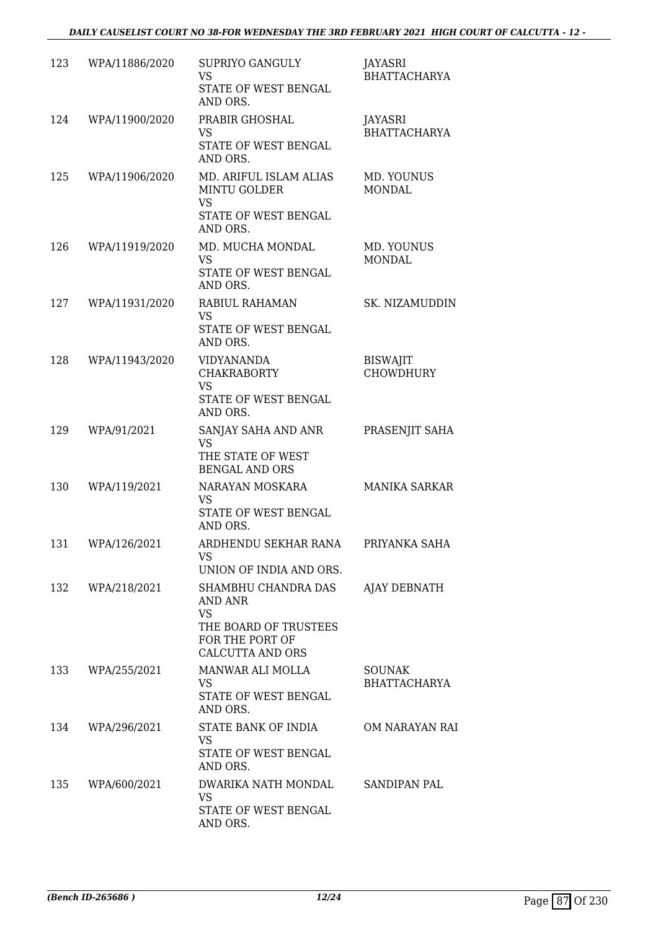| 123 | WPA/11886/2020 | SUPRIYO GANGULY<br><b>VS</b><br>STATE OF WEST BENGAL<br>AND ORS.                                                   | JAYASRI<br><b>BHATTACHARYA</b>       |
|-----|----------------|--------------------------------------------------------------------------------------------------------------------|--------------------------------------|
| 124 | WPA/11900/2020 | PRABIR GHOSHAL<br><b>VS</b><br>STATE OF WEST BENGAL<br>AND ORS.                                                    | JAYASRI<br><b>BHATTACHARYA</b>       |
| 125 | WPA/11906/2020 | MD. ARIFUL ISLAM ALIAS<br><b>MINTU GOLDER</b><br><b>VS</b><br>STATE OF WEST BENGAL<br>AND ORS.                     | MD. YOUNUS<br><b>MONDAL</b>          |
| 126 | WPA/11919/2020 | MD. MUCHA MONDAL<br><b>VS</b><br>STATE OF WEST BENGAL<br>AND ORS.                                                  | MD. YOUNUS<br><b>MONDAL</b>          |
| 127 | WPA/11931/2020 | RABIUL RAHAMAN<br><b>VS</b><br>STATE OF WEST BENGAL<br>AND ORS.                                                    | SK. NIZAMUDDIN                       |
| 128 | WPA/11943/2020 | <b>VIDYANANDA</b><br><b>CHAKRABORTY</b><br><b>VS</b><br>STATE OF WEST BENGAL<br>AND ORS.                           | <b>BISWAJIT</b><br><b>CHOWDHURY</b>  |
| 129 | WPA/91/2021    | SANJAY SAHA AND ANR<br><b>VS</b><br>THE STATE OF WEST<br><b>BENGAL AND ORS</b>                                     | PRASENJIT SAHA                       |
| 130 | WPA/119/2021   | NARAYAN MOSKARA<br><b>VS</b><br>STATE OF WEST BENGAL<br>AND ORS.                                                   | <b>MANIKA SARKAR</b>                 |
| 131 | WPA/126/2021   | ARDHENDU SEKHAR RANA<br>VS.<br>UNION OF INDIA AND ORS.                                                             | PRIYANKA SAHA                        |
| 132 | WPA/218/2021   | SHAMBHU CHANDRA DAS<br>AND ANR<br><b>VS</b><br>THE BOARD OF TRUSTEES<br>FOR THE PORT OF<br><b>CALCUTTA AND ORS</b> | <b>AJAY DEBNATH</b>                  |
| 133 | WPA/255/2021   | MANWAR ALI MOLLA<br><b>VS</b><br>STATE OF WEST BENGAL<br>AND ORS.                                                  | <b>SOUNAK</b><br><b>BHATTACHARYA</b> |
| 134 | WPA/296/2021   | STATE BANK OF INDIA<br><b>VS</b><br>STATE OF WEST BENGAL<br>AND ORS.                                               | OM NARAYAN RAI                       |
| 135 | WPA/600/2021   | DWARIKA NATH MONDAL<br>VS<br>STATE OF WEST BENGAL<br>AND ORS.                                                      | SANDIPAN PAL                         |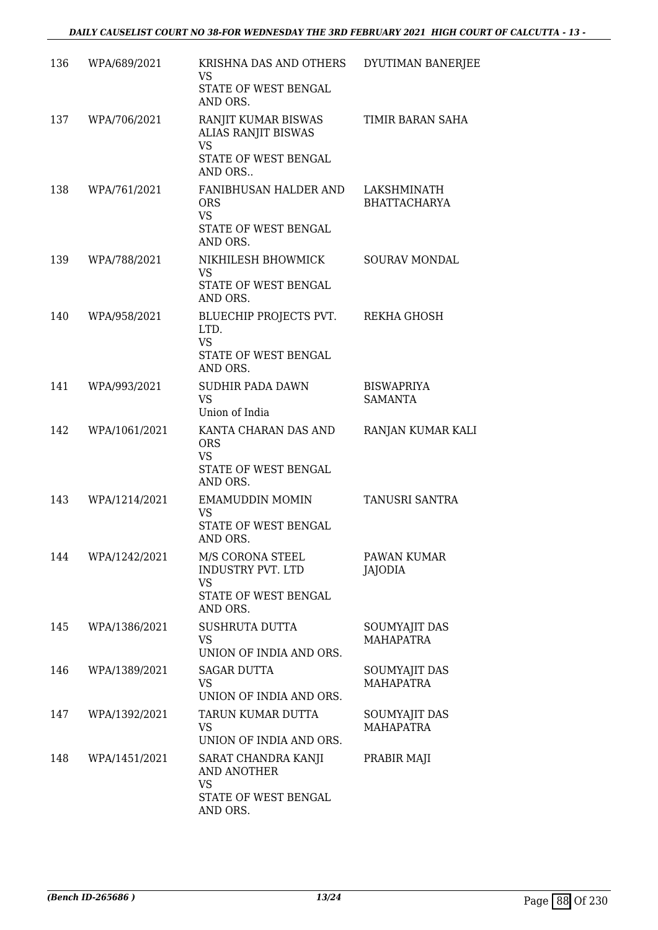| 136 | WPA/689/2021  | KRISHNA DAS AND OTHERS<br>VS<br>STATE OF WEST BENGAL<br>AND ORS.                       | DYUTIMAN BANERJEE                   |
|-----|---------------|----------------------------------------------------------------------------------------|-------------------------------------|
| 137 | WPA/706/2021  | RANJIT KUMAR BISWAS<br>ALIAS RANJIT BISWAS<br><b>VS</b><br>STATE OF WEST BENGAL        | TIMIR BARAN SAHA                    |
|     |               | AND ORS                                                                                |                                     |
| 138 | WPA/761/2021  | FANIBHUSAN HALDER AND<br><b>ORS</b><br><b>VS</b><br>STATE OF WEST BENGAL<br>AND ORS.   | LAKSHMINATH<br><b>BHATTACHARYA</b>  |
| 139 | WPA/788/2021  | NIKHILESH BHOWMICK<br><b>VS</b><br>STATE OF WEST BENGAL                                | SOURAV MONDAL                       |
|     |               | AND ORS.                                                                               |                                     |
| 140 | WPA/958/2021  | BLUECHIP PROJECTS PVT.<br>LTD.<br><b>VS</b><br>STATE OF WEST BENGAL<br>AND ORS.        | REKHA GHOSH                         |
| 141 | WPA/993/2021  | SUDHIR PADA DAWN<br><b>VS</b><br>Union of India                                        | <b>BISWAPRIYA</b><br><b>SAMANTA</b> |
| 142 | WPA/1061/2021 | KANTA CHARAN DAS AND<br><b>ORS</b><br><b>VS</b><br>STATE OF WEST BENGAL<br>AND ORS.    | RANJAN KUMAR KALI                   |
| 143 | WPA/1214/2021 | EMAMUDDIN MOMIN<br>VS<br>STATE OF WEST BENGAL<br>AND ORS.                              | TANUSRI SANTRA                      |
| 144 | WPA/1242/2021 | M/S CORONA STEEL<br>INDUSTRY PVT. LTD<br><b>VS</b><br>STATE OF WEST BENGAL<br>AND ORS. | PAWAN KUMAR<br>JAJODIA              |
| 145 | WPA/1386/2021 | <b>SUSHRUTA DUTTA</b><br>VS<br>UNION OF INDIA AND ORS.                                 | <b>SOUMYAJIT DAS</b><br>MAHAPATRA   |
| 146 | WPA/1389/2021 | <b>SAGAR DUTTA</b><br>VS.<br>UNION OF INDIA AND ORS.                                   | SOUMYAJIT DAS<br><b>MAHAPATRA</b>   |
| 147 | WPA/1392/2021 | TARUN KUMAR DUTTA<br>VS<br>UNION OF INDIA AND ORS.                                     | SOUMYAJIT DAS<br><b>MAHAPATRA</b>   |
| 148 | WPA/1451/2021 | SARAT CHANDRA KANJI<br>AND ANOTHER<br><b>VS</b>                                        | PRABIR MAJI                         |
|     |               | STATE OF WEST BENGAL<br>AND ORS.                                                       |                                     |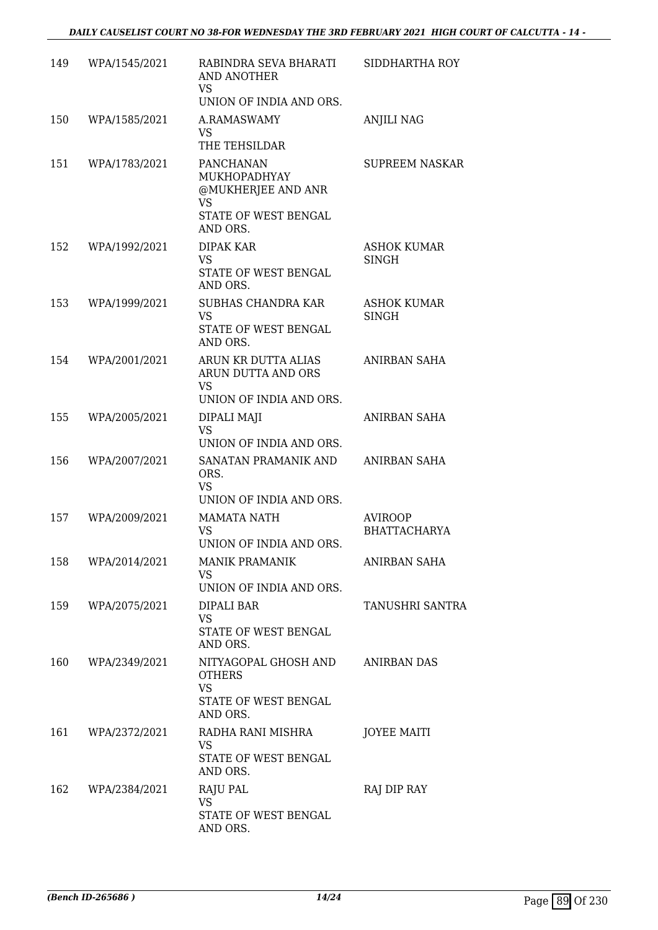| 149 | WPA/1545/2021 | RABINDRA SEVA BHARATI<br>AND ANOTHER<br><b>VS</b>                                         | SIDDHARTHA ROY                        |
|-----|---------------|-------------------------------------------------------------------------------------------|---------------------------------------|
| 150 | WPA/1585/2021 | UNION OF INDIA AND ORS.<br>A.RAMASWAMY<br>VS<br>THE TEHSILDAR                             | <b>ANJILI NAG</b>                     |
| 151 | WPA/1783/2021 | PANCHANAN<br>MUKHOPADHYAY<br>@MUKHERJEE AND ANR<br>VS<br>STATE OF WEST BENGAL<br>AND ORS. | <b>SUPREEM NASKAR</b>                 |
| 152 | WPA/1992/2021 | DIPAK KAR<br><b>VS</b><br>STATE OF WEST BENGAL<br>AND ORS.                                | ASHOK KUMAR<br><b>SINGH</b>           |
| 153 | WPA/1999/2021 | <b>SUBHAS CHANDRA KAR</b><br><b>VS</b><br>STATE OF WEST BENGAL<br>AND ORS.                | <b>ASHOK KUMAR</b><br>SINGH           |
| 154 | WPA/2001/2021 | ARUN KR DUTTA ALIAS<br>ARUN DUTTA AND ORS<br><b>VS</b><br>UNION OF INDIA AND ORS.         | ANIRBAN SAHA                          |
| 155 | WPA/2005/2021 | DIPALI MAJI<br><b>VS</b><br>UNION OF INDIA AND ORS.                                       | ANIRBAN SAHA                          |
| 156 | WPA/2007/2021 | SANATAN PRAMANIK AND<br>ORS.<br><b>VS</b><br>UNION OF INDIA AND ORS.                      | ANIRBAN SAHA                          |
| 157 | WPA/2009/2021 | <b>MAMATA NATH</b><br><b>VS</b><br>UNION OF INDIA AND ORS.                                | <b>AVIROOP</b><br><b>BHATTACHARYA</b> |
| 158 | WPA/2014/2021 | <b>MANIK PRAMANIK</b><br>VS.<br>UNION OF INDIA AND ORS.                                   | ANIRBAN SAHA                          |
| 159 | WPA/2075/2021 | DIPALI BAR<br>VS<br>STATE OF WEST BENGAL<br>AND ORS.                                      | <b>TANUSHRI SANTRA</b>                |
| 160 | WPA/2349/2021 | NITYAGOPAL GHOSH AND<br><b>OTHERS</b><br><b>VS</b><br>STATE OF WEST BENGAL<br>AND ORS.    | <b>ANIRBAN DAS</b>                    |
| 161 | WPA/2372/2021 | RADHA RANI MISHRA<br>VS.<br>STATE OF WEST BENGAL<br>AND ORS.                              | <b>JOYEE MAITI</b>                    |
| 162 | WPA/2384/2021 | RAJU PAL<br>VS<br>STATE OF WEST BENGAL<br>AND ORS.                                        | RAJ DIP RAY                           |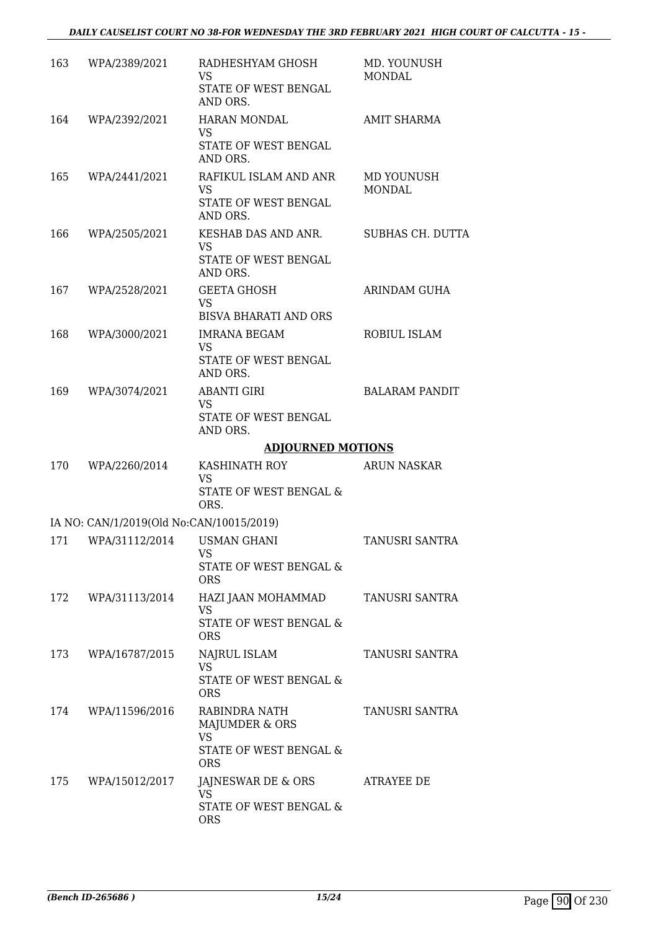| 163 | WPA/2389/2021                            | RADHESHYAM GHOSH<br>VS<br>STATE OF WEST BENGAL<br>AND ORS.                           | MD. YOUNUSH<br><b>MONDAL</b> |
|-----|------------------------------------------|--------------------------------------------------------------------------------------|------------------------------|
| 164 | WPA/2392/2021                            | HARAN MONDAL<br><b>VS</b><br>STATE OF WEST BENGAL<br>AND ORS.                        | <b>AMIT SHARMA</b>           |
| 165 | WPA/2441/2021                            | RAFIKUL ISLAM AND ANR<br>VS<br>STATE OF WEST BENGAL<br>AND ORS.                      | MD YOUNUSH<br><b>MONDAL</b>  |
| 166 | WPA/2505/2021                            | KESHAB DAS AND ANR.<br><b>VS</b><br>STATE OF WEST BENGAL<br>AND ORS.                 | SUBHAS CH. DUTTA             |
| 167 | WPA/2528/2021                            | <b>GEETA GHOSH</b><br><b>VS</b><br><b>BISVA BHARATI AND ORS</b>                      | <b>ARINDAM GUHA</b>          |
| 168 | WPA/3000/2021                            | <b>IMRANA BEGAM</b><br>VS<br>STATE OF WEST BENGAL<br>AND ORS.                        | ROBIUL ISLAM                 |
| 169 | WPA/3074/2021                            | <b>ABANTI GIRI</b><br>VS.<br>STATE OF WEST BENGAL<br>AND ORS.                        | <b>BALARAM PANDIT</b>        |
|     |                                          | <b>ADJOURNED MOTIONS</b>                                                             |                              |
| 170 | WPA/2260/2014                            | KASHINATH ROY<br><b>VS</b><br>STATE OF WEST BENGAL &<br>ORS.                         | ARUN NASKAR                  |
|     | IA NO: CAN/1/2019(Old No:CAN/10015/2019) |                                                                                      |                              |
| 171 | WPA/31112/2014                           | <b>USMAN GHANI</b><br>VS<br>STATE OF WEST BENGAL &<br><b>ORS</b>                     | TANUSRI SANTRA               |
| 172 | WPA/31113/2014                           | HAZI JAAN MOHAMMAD<br><b>VS</b><br>STATE OF WEST BENGAL &<br><b>ORS</b>              | TANUSRI SANTRA               |
| 173 | WPA/16787/2015                           | <b>NAJRUL ISLAM</b><br>VS<br>STATE OF WEST BENGAL &<br><b>ORS</b>                    | TANUSRI SANTRA               |
| 174 | WPA/11596/2016                           | RABINDRA NATH<br>MAJUMDER & ORS<br><b>VS</b><br>STATE OF WEST BENGAL &<br><b>ORS</b> | TANUSRI SANTRA               |
| 175 | WPA/15012/2017                           | JAJNESWAR DE & ORS<br>VS<br>STATE OF WEST BENGAL &<br><b>ORS</b>                     | ATRAYEE DE                   |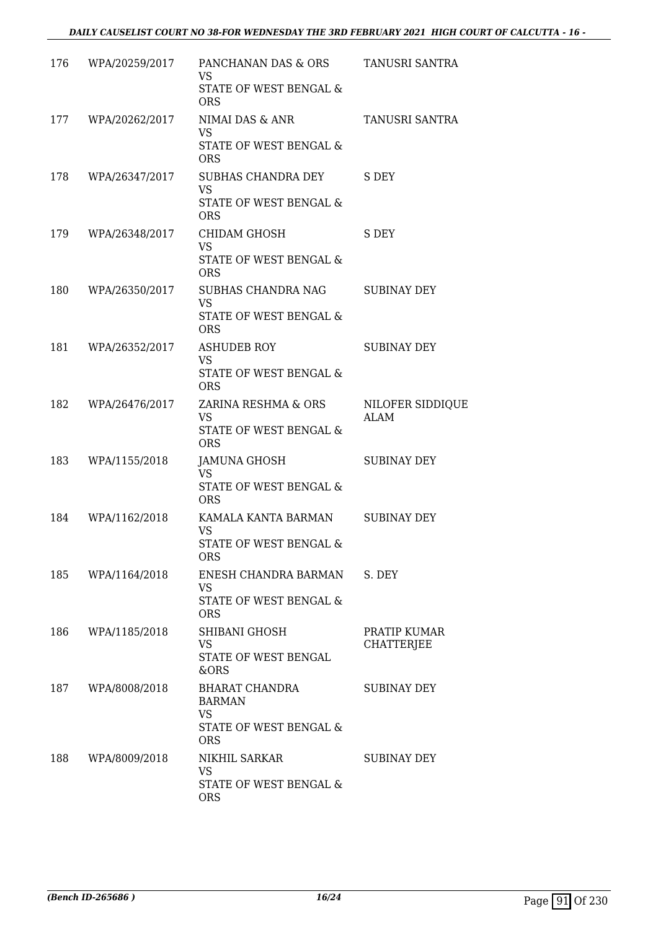| 176 | WPA/20259/2017 | PANCHANAN DAS & ORS<br><b>VS</b>                  | TANUSRI SANTRA                    |
|-----|----------------|---------------------------------------------------|-----------------------------------|
|     |                | <b>STATE OF WEST BENGAL &amp;</b><br><b>ORS</b>   |                                   |
| 177 | WPA/20262/2017 | NIMAI DAS & ANR<br><b>VS</b>                      | TANUSRI SANTRA                    |
|     |                | STATE OF WEST BENGAL &<br><b>ORS</b>              |                                   |
| 178 | WPA/26347/2017 | SUBHAS CHANDRA DEY<br><b>VS</b>                   | S DEY                             |
|     |                | STATE OF WEST BENGAL &<br><b>ORS</b>              |                                   |
| 179 | WPA/26348/2017 | CHIDAM GHOSH<br>VS.                               | S DEY                             |
|     |                | STATE OF WEST BENGAL &<br><b>ORS</b>              |                                   |
| 180 | WPA/26350/2017 | SUBHAS CHANDRA NAG<br><b>VS</b>                   | <b>SUBINAY DEY</b>                |
|     |                | STATE OF WEST BENGAL &<br><b>ORS</b>              |                                   |
| 181 | WPA/26352/2017 | <b>ASHUDEB ROY</b><br><b>VS</b>                   | <b>SUBINAY DEY</b>                |
|     |                | STATE OF WEST BENGAL &<br><b>ORS</b>              |                                   |
| 182 | WPA/26476/2017 | ZARINA RESHMA & ORS<br><b>VS</b>                  | NILOFER SIDDIQUE<br><b>ALAM</b>   |
|     |                | STATE OF WEST BENGAL &<br><b>ORS</b>              |                                   |
| 183 | WPA/1155/2018  | JAMUNA GHOSH<br>VS                                | <b>SUBINAY DEY</b>                |
|     |                | STATE OF WEST BENGAL &<br><b>ORS</b>              |                                   |
| 184 | WPA/1162/2018  | KAMALA KANTA BARMAN<br><b>VS</b>                  | <b>SUBINAY DEY</b>                |
|     |                | STATE OF WEST BENGAL &<br>ORS                     |                                   |
| 185 | WPA/1164/2018  | ENESH CHANDRA BARMAN<br>VS.                       | S. DEY                            |
|     |                | STATE OF WEST BENGAL &<br><b>ORS</b>              |                                   |
| 186 | WPA/1185/2018  | SHIBANI GHOSH<br><b>VS</b>                        | PRATIP KUMAR<br><b>CHATTERJEE</b> |
|     |                | STATE OF WEST BENGAL<br>&ORS                      |                                   |
| 187 | WPA/8008/2018  | BHARAT CHANDRA<br><b>BARMAN</b>                   | SUBINAY DEY                       |
|     |                | <b>VS</b><br>STATE OF WEST BENGAL &<br><b>ORS</b> |                                   |
| 188 | WPA/8009/2018  | NIKHIL SARKAR                                     | SUBINAY DEY                       |
|     |                | <b>VS</b><br>STATE OF WEST BENGAL &<br><b>ORS</b> |                                   |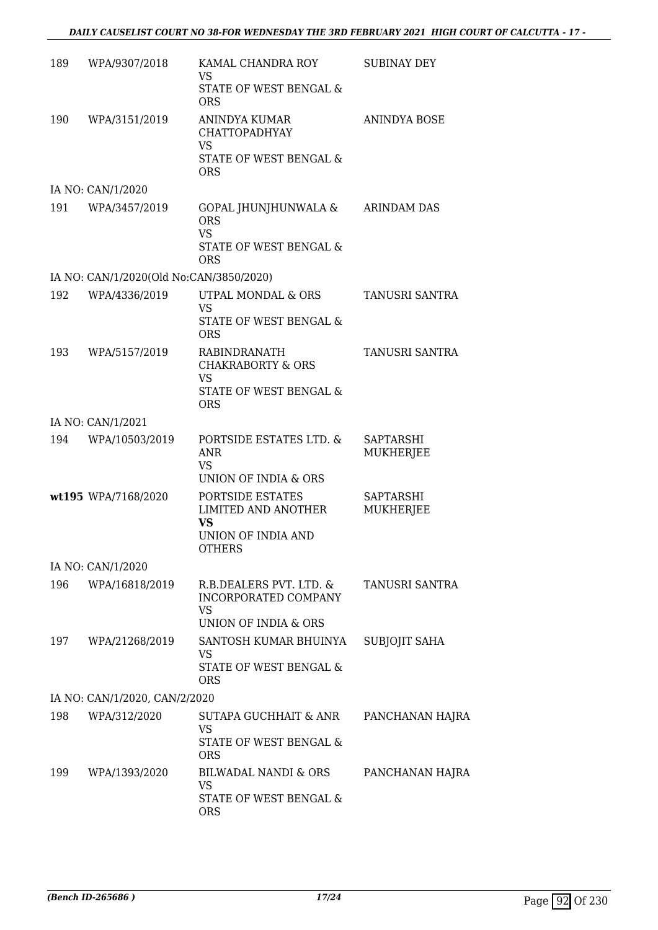| 189 | WPA/9307/2018                           | KAMAL CHANDRA ROY<br><b>VS</b>                                                          | <b>SUBINAY DEY</b>            |
|-----|-----------------------------------------|-----------------------------------------------------------------------------------------|-------------------------------|
|     |                                         | STATE OF WEST BENGAL &<br><b>ORS</b>                                                    |                               |
| 190 | WPA/3151/2019                           | ANINDYA KUMAR<br><b>CHATTOPADHYAY</b><br><b>VS</b>                                      | <b>ANINDYA BOSE</b>           |
|     |                                         | STATE OF WEST BENGAL &<br><b>ORS</b>                                                    |                               |
|     | IA NO: CAN/1/2020                       |                                                                                         |                               |
| 191 | WPA/3457/2019                           | GOPAL JHUNJHUNWALA &<br><b>ORS</b><br><b>VS</b><br>STATE OF WEST BENGAL &<br><b>ORS</b> | <b>ARINDAM DAS</b>            |
|     | IA NO: CAN/1/2020(Old No:CAN/3850/2020) |                                                                                         |                               |
| 192 | WPA/4336/2019                           | UTPAL MONDAL & ORS<br><b>VS</b>                                                         | <b>TANUSRI SANTRA</b>         |
|     |                                         | <b>STATE OF WEST BENGAL &amp;</b><br><b>ORS</b>                                         |                               |
| 193 | WPA/5157/2019                           | RABINDRANATH<br><b>CHAKRABORTY &amp; ORS</b><br><b>VS</b>                               | TANUSRI SANTRA                |
|     |                                         | STATE OF WEST BENGAL &<br><b>ORS</b>                                                    |                               |
|     | IA NO: CAN/1/2021                       |                                                                                         |                               |
| 194 | WPA/10503/2019                          | PORTSIDE ESTATES LTD. &<br>ANR<br><b>VS</b>                                             | <b>SAPTARSHI</b><br>MUKHERJEE |
|     |                                         | UNION OF INDIA & ORS                                                                    |                               |
|     | wt195 WPA/7168/2020                     | PORTSIDE ESTATES<br>LIMITED AND ANOTHER<br>VS                                           | SAPTARSHI<br>MUKHERJEE        |
|     |                                         | UNION OF INDIA AND<br><b>OTHERS</b>                                                     |                               |
|     | IA NO: CAN/1/2020                       |                                                                                         |                               |
| 196 | WPA/16818/2019                          | R.B.DEALERS PVT. LTD. &<br>INCORPORATED COMPANY<br><b>VS</b>                            | TANUSRI SANTRA                |
|     |                                         | UNION OF INDIA & ORS                                                                    |                               |
|     | 197 WPA/21268/2019                      | SANTOSH KUMAR BHUINYA<br>VS<br>STATE OF WEST BENGAL &                                   | SUBJOJIT SAHA                 |
|     |                                         | <b>ORS</b>                                                                              |                               |
|     | IA NO: CAN/1/2020, CAN/2/2020           |                                                                                         |                               |
| 198 | WPA/312/2020                            | SUTAPA GUCHHAIT & ANR<br><b>VS</b>                                                      | PANCHANAN HAJRA               |
|     |                                         | STATE OF WEST BENGAL &<br><b>ORS</b>                                                    |                               |
| 199 | WPA/1393/2020                           | BILWADAL NANDI & ORS<br>VS                                                              | PANCHANAN HAJRA               |
|     |                                         | STATE OF WEST BENGAL &<br><b>ORS</b>                                                    |                               |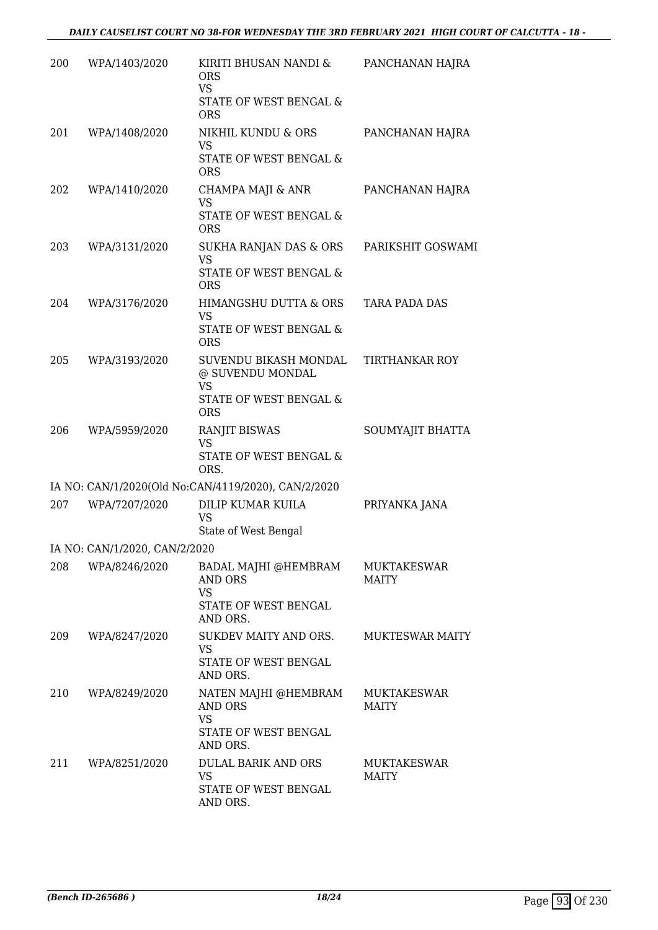| 200 | WPA/1403/2020                 | KIRITI BHUSAN NANDI &<br><b>ORS</b><br><b>VS</b><br>STATE OF WEST BENGAL &<br><b>ORS</b>       | PANCHANAN HAJRA                    |
|-----|-------------------------------|------------------------------------------------------------------------------------------------|------------------------------------|
| 201 | WPA/1408/2020                 | NIKHIL KUNDU & ORS<br><b>VS</b><br>STATE OF WEST BENGAL &<br><b>ORS</b>                        | PANCHANAN HAJRA                    |
| 202 | WPA/1410/2020                 | CHAMPA MAJI & ANR<br><b>VS</b><br>STATE OF WEST BENGAL &<br><b>ORS</b>                         | PANCHANAN HAJRA                    |
| 203 | WPA/3131/2020                 | SUKHA RANJAN DAS & ORS<br><b>VS</b><br>STATE OF WEST BENGAL &<br><b>ORS</b>                    | PARIKSHIT GOSWAMI                  |
| 204 | WPA/3176/2020                 | HIMANGSHU DUTTA & ORS<br>VS<br>STATE OF WEST BENGAL &<br><b>ORS</b>                            | TARA PADA DAS                      |
| 205 | WPA/3193/2020                 | SUVENDU BIKASH MONDAL<br>@ SUVENDU MONDAL<br><b>VS</b><br>STATE OF WEST BENGAL &<br><b>ORS</b> | <b>TIRTHANKAR ROY</b>              |
| 206 | WPA/5959/2020                 | <b>RANJIT BISWAS</b><br><b>VS</b><br>STATE OF WEST BENGAL &<br>ORS.                            | SOUMYAJIT BHATTA                   |
|     |                               | IA NO: CAN/1/2020(Old No:CAN/4119/2020), CAN/2/2020                                            |                                    |
| 207 | WPA/7207/2020                 | DILIP KUMAR KUILA<br><b>VS</b><br>State of West Bengal                                         | PRIYANKA JANA                      |
|     | IA NO: CAN/1/2020, CAN/2/2020 |                                                                                                |                                    |
| 208 | WPA/8246/2020                 | BADAL MAJHI @HEMBRAM<br>AND ORS<br>VS<br>STATE OF WEST BENGAL<br>AND ORS.                      | <b>MUKTAKESWAR</b><br><b>MAITY</b> |
| 209 | WPA/8247/2020                 | SUKDEV MAITY AND ORS.<br><b>VS</b><br>STATE OF WEST BENGAL<br>AND ORS.                         | <b>MUKTESWAR MAITY</b>             |
| 210 | WPA/8249/2020                 | NATEN MAJHI @HEMBRAM<br>AND ORS<br><b>VS</b><br>STATE OF WEST BENGAL<br>AND ORS.               | MUKTAKESWAR<br><b>MAITY</b>        |
| 211 | WPA/8251/2020                 | DULAL BARIK AND ORS<br><b>VS</b><br>STATE OF WEST BENGAL<br>AND ORS.                           | <b>MUKTAKESWAR</b><br><b>MAITY</b> |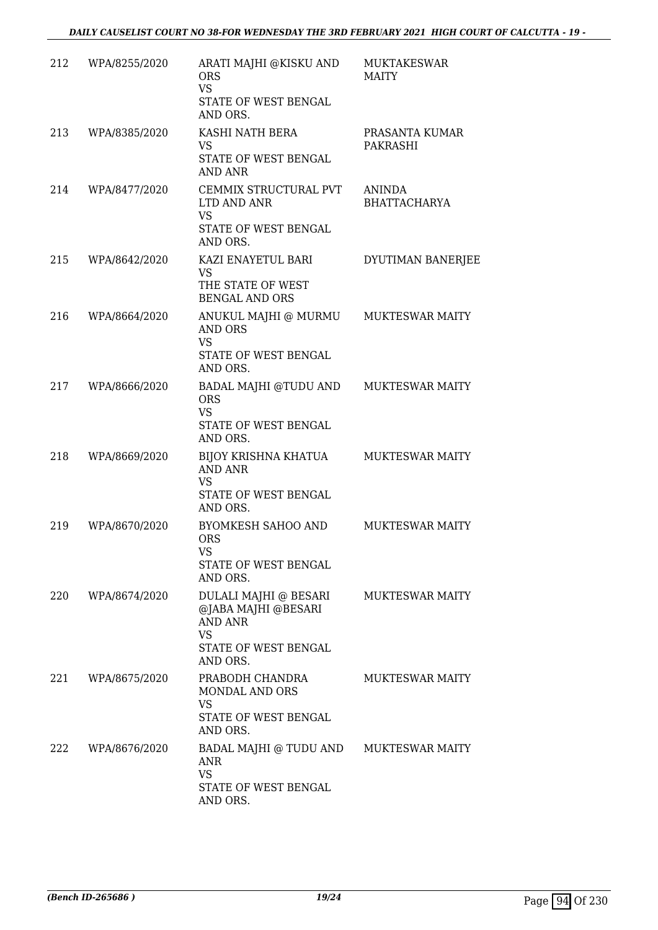| 212 | WPA/8255/2020 | ARATI MAJHI @KISKU AND<br><b>ORS</b><br><b>VS</b><br>STATE OF WEST BENGAL<br>AND ORS.                           | <b>MUKTAKESWAR</b><br>MAITY          |
|-----|---------------|-----------------------------------------------------------------------------------------------------------------|--------------------------------------|
| 213 | WPA/8385/2020 | KASHI NATH BERA<br>VS.<br>STATE OF WEST BENGAL<br>AND ANR                                                       | PRASANTA KUMAR<br>PAKRASHI           |
| 214 | WPA/8477/2020 | CEMMIX STRUCTURAL PVT<br>LTD AND ANR<br><b>VS</b><br>STATE OF WEST BENGAL<br>AND ORS.                           | <b>ANINDA</b><br><b>BHATTACHARYA</b> |
| 215 | WPA/8642/2020 | KAZI ENAYETUL BARI<br><b>VS</b><br>THE STATE OF WEST<br><b>BENGAL AND ORS</b>                                   | DYUTIMAN BANERJEE                    |
| 216 | WPA/8664/2020 | ANUKUL MAJHI @ MURMU<br>AND ORS<br><b>VS</b><br>STATE OF WEST BENGAL<br>AND ORS.                                | <b>MUKTESWAR MAITY</b>               |
| 217 | WPA/8666/2020 | BADAL MAJHI @TUDU AND<br><b>ORS</b><br><b>VS</b><br>STATE OF WEST BENGAL<br>AND ORS.                            | <b>MUKTESWAR MAITY</b>               |
| 218 | WPA/8669/2020 | BIJOY KRISHNA KHATUA<br><b>AND ANR</b><br>VS<br>STATE OF WEST BENGAL<br>AND ORS.                                | <b>MUKTESWAR MAITY</b>               |
| 219 | WPA/8670/2020 | <b>BYOMKESH SAHOO AND</b><br><b>ORS</b><br>VS<br>STATE OF WEST BENGAL<br>AND ORS.                               | <b>MUKTESWAR MAITY</b>               |
| 220 | WPA/8674/2020 | DULALI MAJHI @ BESARI<br>@JABA MAJHI @BESARI<br><b>AND ANR</b><br><b>VS</b><br>STATE OF WEST BENGAL<br>AND ORS. | <b>MUKTESWAR MAITY</b>               |
| 221 | WPA/8675/2020 | PRABODH CHANDRA<br>MONDAL AND ORS<br><b>VS</b><br>STATE OF WEST BENGAL<br>AND ORS.                              | <b>MUKTESWAR MAITY</b>               |
| 222 | WPA/8676/2020 | BADAL MAJHI @ TUDU AND<br>ANR<br><b>VS</b><br>STATE OF WEST BENGAL<br>AND ORS.                                  | <b>MUKTESWAR MAITY</b>               |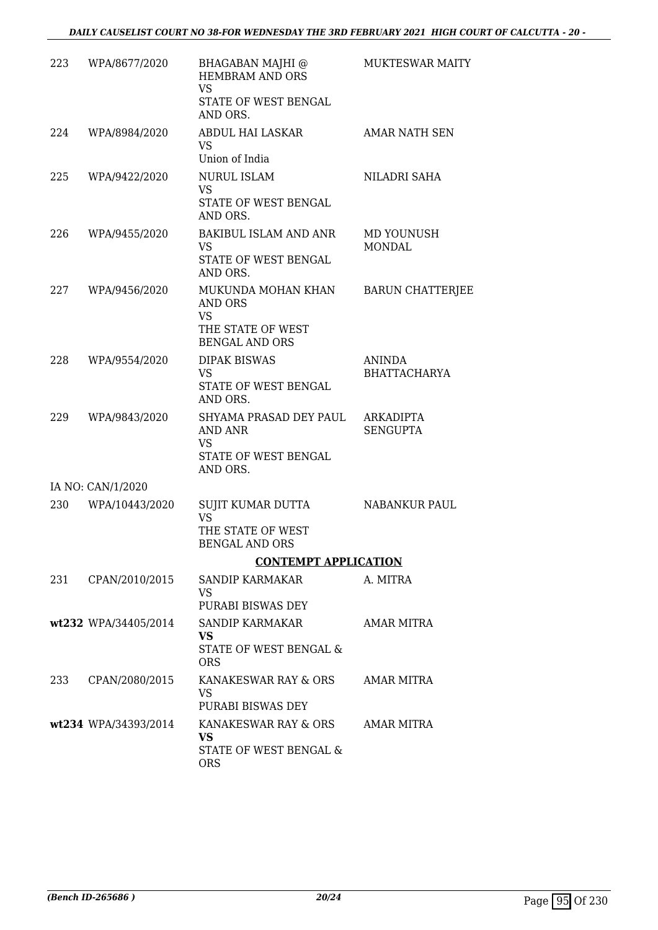| 223 | WPA/8677/2020        | BHAGABAN MAJHI @<br><b>HEMBRAM AND ORS</b><br><b>VS</b><br>STATE OF WEST BENGAL<br>AND ORS. | <b>MUKTESWAR MAITY</b>               |
|-----|----------------------|---------------------------------------------------------------------------------------------|--------------------------------------|
| 224 | WPA/8984/2020        | ABDUL HAI LASKAR<br>VS<br>Union of India                                                    | AMAR NATH SEN                        |
| 225 | WPA/9422/2020        | <b>NURUL ISLAM</b><br><b>VS</b><br>STATE OF WEST BENGAL<br>AND ORS.                         | NILADRI SAHA                         |
| 226 | WPA/9455/2020        | BAKIBUL ISLAM AND ANR<br>VS<br>STATE OF WEST BENGAL<br>AND ORS.                             | MD YOUNUSH<br><b>MONDAL</b>          |
| 227 | WPA/9456/2020        | MUKUNDA MOHAN KHAN<br><b>AND ORS</b><br>VS<br>THE STATE OF WEST<br><b>BENGAL AND ORS</b>    | <b>BARUN CHATTERJEE</b>              |
| 228 | WPA/9554/2020        | <b>DIPAK BISWAS</b><br><b>VS</b><br>STATE OF WEST BENGAL<br>AND ORS.                        | <b>ANINDA</b><br><b>BHATTACHARYA</b> |
| 229 | WPA/9843/2020        | SHYAMA PRASAD DEY PAUL<br>AND ANR<br><b>VS</b><br>STATE OF WEST BENGAL<br>AND ORS.          | <b>ARKADIPTA</b><br><b>SENGUPTA</b>  |
|     | IA NO: CAN/1/2020    |                                                                                             |                                      |
| 230 | WPA/10443/2020       | SUJIT KUMAR DUTTA<br><b>VS</b><br>THE STATE OF WEST<br><b>BENGAL AND ORS</b>                | <b>NABANKUR PAUL</b>                 |
|     |                      | <b>CONTEMPT APPLICATION</b>                                                                 |                                      |
| 231 | CPAN/2010/2015       | SANDIP KARMAKAR<br>VS.<br>PURABI BISWAS DEY                                                 | A. MITRA                             |
|     | wt232 WPA/34405/2014 | SANDIP KARMAKAR<br><b>VS</b><br>STATE OF WEST BENGAL &<br><b>ORS</b>                        | AMAR MITRA                           |
| 233 | CPAN/2080/2015       | KANAKESWAR RAY & ORS<br>VS.<br>PURABI BISWAS DEY                                            | AMAR MITRA                           |
|     | wt234 WPA/34393/2014 | KANAKESWAR RAY & ORS<br><b>VS</b><br>STATE OF WEST BENGAL &<br><b>ORS</b>                   | AMAR MITRA                           |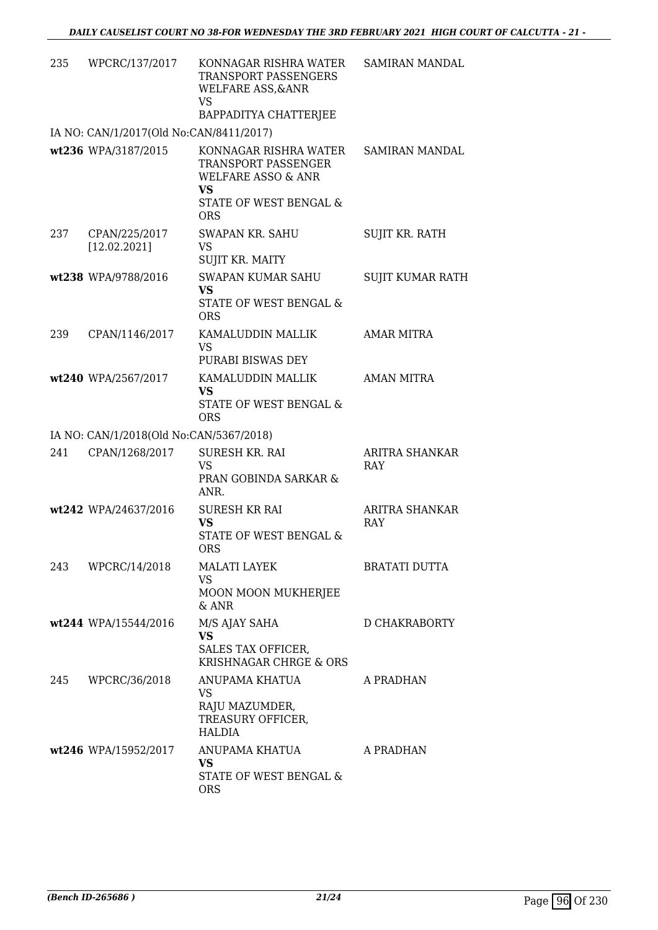| 235 | WPCRC/137/2017                          | KONNAGAR RISHRA WATER<br>TRANSPORT PASSENGERS<br><b>WELFARE ASS, &amp; ANR</b><br><b>VS</b>                                        | <b>SAMIRAN MANDAL</b>   |
|-----|-----------------------------------------|------------------------------------------------------------------------------------------------------------------------------------|-------------------------|
|     |                                         | BAPPADITYA CHATTERJEE                                                                                                              |                         |
|     | IA NO: CAN/1/2017(Old No:CAN/8411/2017) |                                                                                                                                    |                         |
|     | wt236 WPA/3187/2015                     | KONNAGAR RISHRA WATER<br>TRANSPORT PASSENGER<br><b>WELFARE ASSO &amp; ANR</b><br><b>VS</b><br>STATE OF WEST BENGAL &<br><b>ORS</b> | <b>SAMIRAN MANDAL</b>   |
| 237 | CPAN/225/2017<br>[12.02.2021]           | <b>SWAPAN KR. SAHU</b><br><b>VS</b><br>SUJIT KR. MAITY                                                                             | <b>SUJIT KR. RATH</b>   |
|     | wt238 WPA/9788/2016                     | <b>SWAPAN KUMAR SAHU</b><br><b>VS</b><br>STATE OF WEST BENGAL &<br><b>ORS</b>                                                      | <b>SUJIT KUMAR RATH</b> |
| 239 | CPAN/1146/2017                          | KAMALUDDIN MALLIK<br><b>VS</b><br>PURABI BISWAS DEY                                                                                | AMAR MITRA              |
|     | wt240 WPA/2567/2017                     | KAMALUDDIN MALLIK                                                                                                                  | <b>AMAN MITRA</b>       |
|     |                                         | <b>VS</b><br>STATE OF WEST BENGAL &<br><b>ORS</b>                                                                                  |                         |
|     | IA NO: CAN/1/2018(Old No:CAN/5367/2018) |                                                                                                                                    |                         |
| 241 | CPAN/1268/2017                          | SURESH KR. RAI<br><b>VS</b><br>PRAN GOBINDA SARKAR &<br>ANR.                                                                       | ARITRA SHANKAR<br>RAY   |
|     | wt242 WPA/24637/2016                    | <b>SURESH KR RAI</b><br><b>VS</b><br>STATE OF WEST BENGAL &<br><b>ORS</b>                                                          | ARITRA SHANKAR<br>RAY   |
| 243 | WPCRC/14/2018                           | <b>MALATI LAYEK</b><br><b>VS</b><br>MOON MOON MUKHERJEE                                                                            | <b>BRATATI DUTTA</b>    |
|     | wt244 WPA/15544/2016                    | $&$ ANR                                                                                                                            | <b>D CHAKRABORTY</b>    |
|     |                                         | M/S AJAY SAHA<br><b>VS</b><br>SALES TAX OFFICER,<br>KRISHNAGAR CHRGE & ORS                                                         |                         |
| 245 | WPCRC/36/2018                           | ANUPAMA KHATUA<br><b>VS</b><br>RAJU MAZUMDER,<br>TREASURY OFFICER,<br><b>HALDIA</b>                                                | A PRADHAN               |
|     | wt246 WPA/15952/2017                    | ANUPAMA KHATUA<br><b>VS</b><br>STATE OF WEST BENGAL &<br><b>ORS</b>                                                                | A PRADHAN               |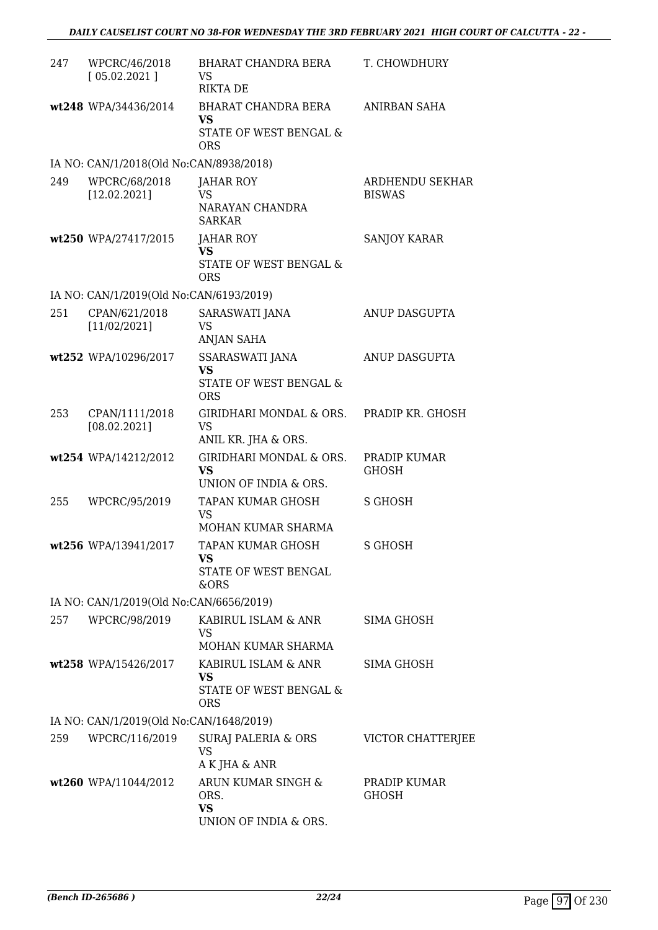| 247 | WPCRC/46/2018<br>[05.02.2021]           | BHARAT CHANDRA BERA<br>VS<br><b>RIKTA DE</b>                             | T. CHOWDHURY                     |
|-----|-----------------------------------------|--------------------------------------------------------------------------|----------------------------------|
|     | wt248 WPA/34436/2014                    | BHARAT CHANDRA BERA<br>VS<br>STATE OF WEST BENGAL &<br><b>ORS</b>        | ANIRBAN SAHA                     |
|     | IA NO: CAN/1/2018(Old No:CAN/8938/2018) |                                                                          |                                  |
| 249 | WPCRC/68/2018<br>[12.02.2021]           | JAHAR ROY<br><b>VS</b><br>NARAYAN CHANDRA<br><b>SARKAR</b>               | ARDHENDU SEKHAR<br><b>BISWAS</b> |
|     | wt250 WPA/27417/2015                    | <b>JAHAR ROY</b><br><b>VS</b><br>STATE OF WEST BENGAL &<br><b>ORS</b>    | <b>SANJOY KARAR</b>              |
|     | IA NO: CAN/1/2019(Old No:CAN/6193/2019) |                                                                          |                                  |
| 251 | CPAN/621/2018<br>[11/02/2021]           | SARASWATI JANA<br>VS<br><b>ANJAN SAHA</b>                                | ANUP DASGUPTA                    |
|     | wt252 WPA/10296/2017                    | SSARASWATI JANA<br><b>VS</b><br>STATE OF WEST BENGAL &<br><b>ORS</b>     | ANUP DASGUPTA                    |
| 253 | CPAN/1111/2018<br>[08.02.2021]          | GIRIDHARI MONDAL & ORS.<br><b>VS</b><br>ANIL KR. JHA & ORS.              | PRADIP KR. GHOSH                 |
|     | wt254 WPA/14212/2012                    | GIRIDHARI MONDAL & ORS.<br><b>VS</b><br>UNION OF INDIA & ORS.            | PRADIP KUMAR<br><b>GHOSH</b>     |
| 255 | WPCRC/95/2019                           | TAPAN KUMAR GHOSH<br><b>VS</b><br>MOHAN KUMAR SHARMA                     | <b>S GHOSH</b>                   |
|     | wt256 WPA/13941/2017                    | TAPAN KUMAR GHOSH<br>VS<br>STATE OF WEST BENGAL<br>&ORS                  | S GHOSH                          |
|     | IA NO: CAN/1/2019(Old No:CAN/6656/2019) |                                                                          |                                  |
| 257 | WPCRC/98/2019                           | KABIRUL ISLAM & ANR<br>VS<br>MOHAN KUMAR SHARMA                          | SIMA GHOSH                       |
|     | wt258 WPA/15426/2017                    | KABIRUL ISLAM & ANR<br><b>VS</b><br>STATE OF WEST BENGAL &<br><b>ORS</b> | SIMA GHOSH                       |
|     | IA NO: CAN/1/2019(Old No:CAN/1648/2019) |                                                                          |                                  |
| 259 | WPCRC/116/2019                          | SURAJ PALERIA & ORS<br><b>VS</b><br>A K JHA & ANR                        | VICTOR CHATTERIEE                |
|     | wt260 WPA/11044/2012                    | ARUN KUMAR SINGH &<br>ORS.<br><b>VS</b><br>UNION OF INDIA & ORS.         | PRADIP KUMAR<br><b>GHOSH</b>     |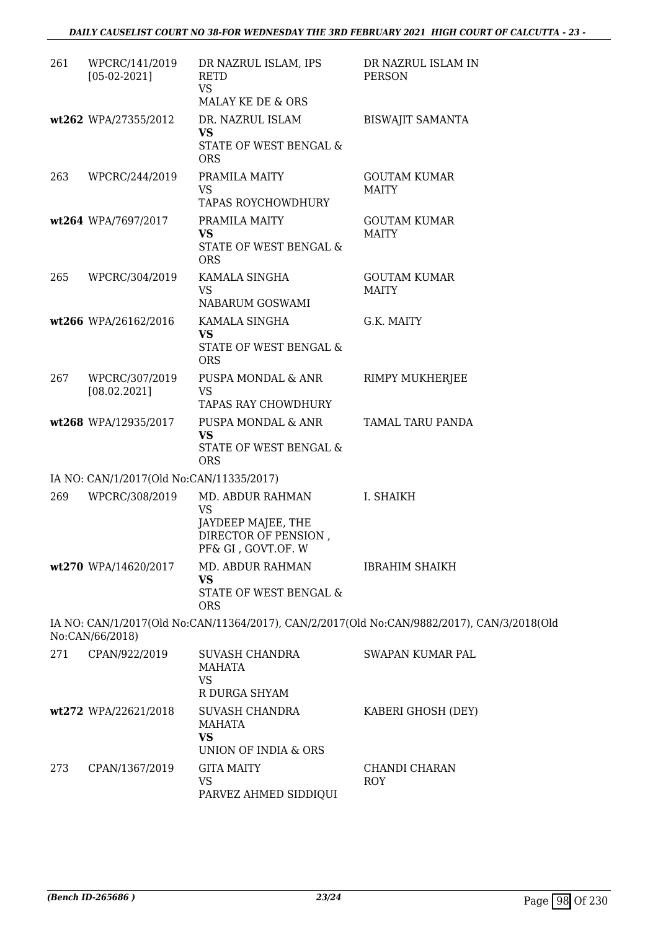| 261 | WPCRC/141/2019<br>$[05-02-2021]$         | DR NAZRUL ISLAM, IPS<br><b>RETD</b><br><b>VS</b>                                                  | DR NAZRUL ISLAM IN<br><b>PERSON</b>                                                        |
|-----|------------------------------------------|---------------------------------------------------------------------------------------------------|--------------------------------------------------------------------------------------------|
|     | wt262 WPA/27355/2012                     | MALAY KE DE & ORS<br>DR. NAZRUL ISLAM<br>VS<br>STATE OF WEST BENGAL &<br><b>ORS</b>               | <b>BISWAJIT SAMANTA</b>                                                                    |
| 263 | WPCRC/244/2019                           | PRAMILA MAITY<br><b>VS</b><br><b>TAPAS ROYCHOWDHURY</b>                                           | <b>GOUTAM KUMAR</b><br><b>MAITY</b>                                                        |
|     | wt264 WPA/7697/2017                      | PRAMILA MAITY<br><b>VS</b><br>STATE OF WEST BENGAL &<br><b>ORS</b>                                | <b>GOUTAM KUMAR</b><br><b>MAITY</b>                                                        |
| 265 | WPCRC/304/2019                           | KAMALA SINGHA<br>VS<br>NABARUM GOSWAMI                                                            | <b>GOUTAM KUMAR</b><br><b>MAITY</b>                                                        |
|     | wt266 WPA/26162/2016                     | KAMALA SINGHA<br><b>VS</b><br><b>STATE OF WEST BENGAL &amp;</b><br><b>ORS</b>                     | G.K. MAITY                                                                                 |
| 267 | WPCRC/307/2019<br>[08.02.2021]           | PUSPA MONDAL & ANR<br>VS.<br>TAPAS RAY CHOWDHURY                                                  | RIMPY MUKHERJEE                                                                            |
|     | wt268 WPA/12935/2017                     | PUSPA MONDAL & ANR<br><b>VS</b><br>STATE OF WEST BENGAL &<br><b>ORS</b>                           | TAMAL TARU PANDA                                                                           |
|     | IA NO: CAN/1/2017(Old No:CAN/11335/2017) |                                                                                                   |                                                                                            |
| 269 | WPCRC/308/2019                           | MD. ABDUR RAHMAN<br><b>VS</b><br>JAYDEEP MAJEE, THE<br>DIRECTOR OF PENSION,<br>PF& GI, GOVT.OF. W | I. SHAIKH                                                                                  |
|     | wt270 WPA/14620/2017                     | MD. ABDUR RAHMAN<br><b>VS</b><br>STATE OF WEST BENGAL &<br><b>ORS</b>                             | <b>IBRAHIM SHAIKH</b>                                                                      |
|     | No:CAN/66/2018)                          |                                                                                                   | IA NO: CAN/1/2017(Old No:CAN/11364/2017), CAN/2/2017(Old No:CAN/9882/2017), CAN/3/2018(Old |
| 271 | CPAN/922/2019                            | SUVASH CHANDRA<br><b>MAHATA</b><br>VS<br>R DURGA SHYAM                                            | <b>SWAPAN KUMAR PAL</b>                                                                    |
|     | wt272 WPA/22621/2018                     | SUVASH CHANDRA<br><b>MAHATA</b><br><b>VS</b>                                                      | KABERI GHOSH (DEY)                                                                         |
| 273 | CPAN/1367/2019                           | UNION OF INDIA & ORS<br><b>GITA MAITY</b><br><b>VS</b><br>PARVEZ AHMED SIDDIQUI                   | CHANDI CHARAN<br>ROY                                                                       |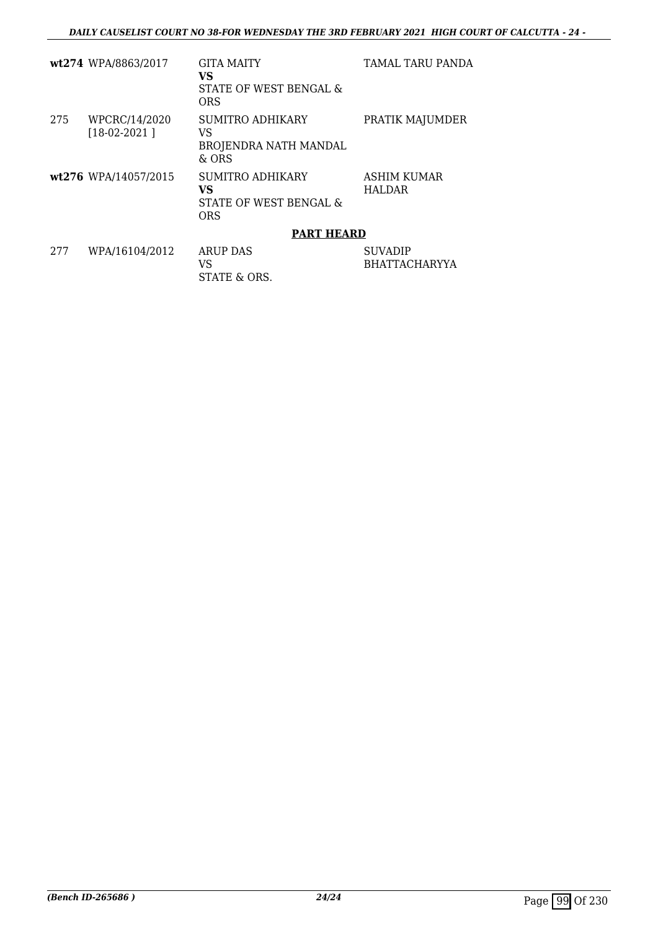|      | wt274 WPA/8863/2017             | GITA MAITY                                                     | <b>TAMAL TARU PANDA</b>                |
|------|---------------------------------|----------------------------------------------------------------|----------------------------------------|
|      |                                 | VS<br>STATE OF WEST BENGAL &<br>ORS                            |                                        |
| 275  | WPCRC/14/2020<br>$[18-02-2021]$ | SUMITRO ADHIKARY<br>VS<br>BROJENDRA NATH MANDAL<br>$\&$ ORS    | PRATIK MAJUMDER                        |
|      | wt276 WPA/14057/2015            | SUMITRO ADHIKARY<br>VS<br>STATE OF WEST BENGAL &<br><b>ORS</b> | ASHIM KUMAR<br>HALDAR                  |
|      |                                 | <b>PART HEARD</b>                                              |                                        |
| 2.77 | WPA/16104/2012                  | ARUP DAS<br>VS<br>STATE & ORS.                                 | <b>SUVADIP</b><br><b>BHATTACHARYYA</b> |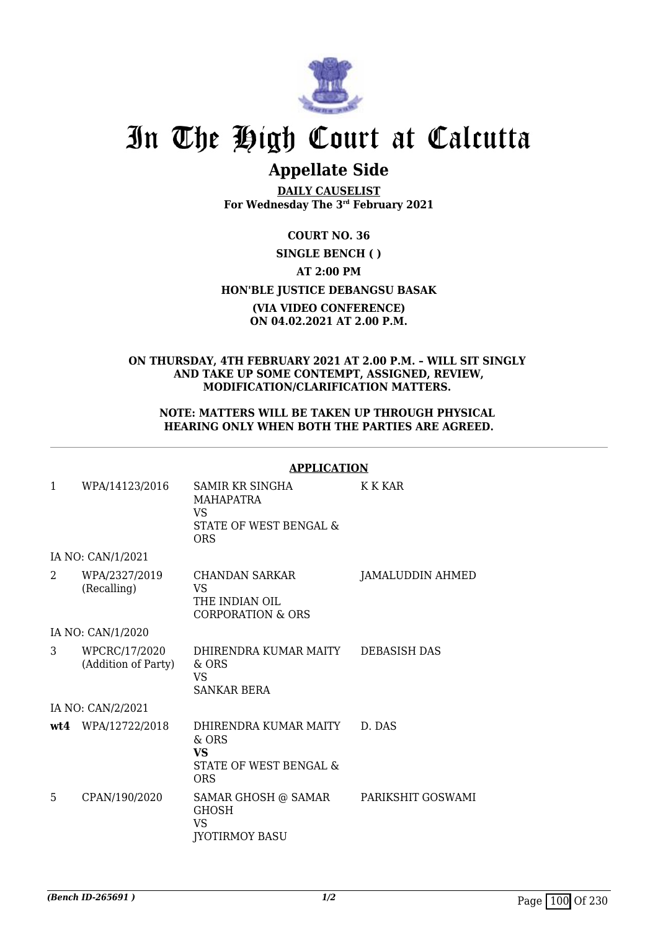

## **Appellate Side**

**DAILY CAUSELIST For Wednesday The 3rd February 2021**

## **COURT NO. 36 SINGLE BENCH ( ) AT 2:00 PM HON'BLE JUSTICE DEBANGSU BASAK (VIA VIDEO CONFERENCE) ON 04.02.2021 AT 2.00 P.M.**

## **ON THURSDAY, 4TH FEBRUARY 2021 AT 2.00 P.M. – WILL SIT SINGLY AND TAKE UP SOME CONTEMPT, ASSIGNED, REVIEW, MODIFICATION/CLARIFICATION MATTERS.**

### **NOTE: MATTERS WILL BE TAKEN UP THROUGH PHYSICAL HEARING ONLY WHEN BOTH THE PARTIES ARE AGREED.**

### **APPLICATION**

| $\mathbf{1}$  | WPA/14123/2016                       | <b>SAMIR KR SINGHA</b><br>MAHAPATRA<br><b>VS</b><br>STATE OF WEST BENGAL &<br><b>ORS</b> | K K KAR             |
|---------------|--------------------------------------|------------------------------------------------------------------------------------------|---------------------|
|               | IA NO: CAN/1/2021                    |                                                                                          |                     |
| $\mathcal{L}$ | WPA/2327/2019<br>(Recalling)         | CHANDAN SARKAR<br>VS<br>THE INDIAN OIL<br><b>CORPORATION &amp; ORS</b>                   | JAMALUDDIN AHMED    |
|               | IA NO: CAN/1/2020                    |                                                                                          |                     |
| 3             | WPCRC/17/2020<br>(Addition of Party) | DHIRENDRA KUMAR MAITY<br>$&$ ORS<br>VS<br>SANKAR BERA                                    | <b>DEBASISH DAS</b> |
|               | IA NO: CAN/2/2021                    |                                                                                          |                     |
|               | wt4 WPA/12722/2018                   | DHIRENDRA KUMAR MAITY<br>& ORS<br><b>VS</b><br>STATE OF WEST BENGAL &<br><b>ORS</b>      | D. DAS              |
| 5             | CPAN/190/2020                        | SAMAR GHOSH @ SAMAR<br><b>GHOSH</b><br><b>VS</b><br><b>JYOTIRMOY BASU</b>                | PARIKSHIT GOSWAMI   |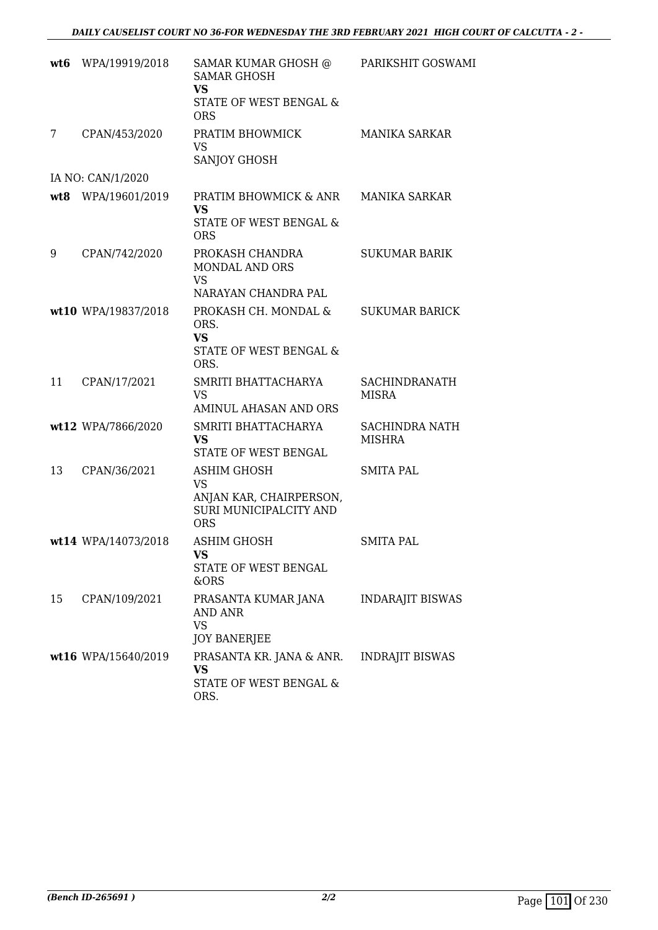| wt6 | WPA/19919/2018      | SAMAR KUMAR GHOSH @<br><b>SAMAR GHOSH</b><br><b>VS</b><br>STATE OF WEST BENGAL &<br><b>ORS</b> | PARIKSHIT GOSWAMI                      |
|-----|---------------------|------------------------------------------------------------------------------------------------|----------------------------------------|
| 7   | CPAN/453/2020       | PRATIM BHOWMICK<br>VS<br>SANJOY GHOSH                                                          | <b>MANIKA SARKAR</b>                   |
|     | IA NO: CAN/1/2020   |                                                                                                |                                        |
|     | wt8 WPA/19601/2019  | PRATIM BHOWMICK & ANR<br><b>VS</b><br>STATE OF WEST BENGAL &<br><b>ORS</b>                     | MANIKA SARKAR                          |
| 9   | CPAN/742/2020       | PROKASH CHANDRA<br><b>MONDAL AND ORS</b><br><b>VS</b><br>NARAYAN CHANDRA PAL                   | <b>SUKUMAR BARIK</b>                   |
|     | wt10 WPA/19837/2018 | PROKASH CH. MONDAL &<br>ORS.<br><b>VS</b><br><b>STATE OF WEST BENGAL &amp;</b><br>ORS.         | <b>SUKUMAR BARICK</b>                  |
| 11  | CPAN/17/2021        | SMRITI BHATTACHARYA<br><b>VS</b><br>AMINUL AHASAN AND ORS                                      | <b>SACHINDRANATH</b><br>MISRA          |
|     | wt12 WPA/7866/2020  | SMRITI BHATTACHARYA<br>VS.<br>STATE OF WEST BENGAL                                             | <b>SACHINDRA NATH</b><br><b>MISHRA</b> |
| 13  | CPAN/36/2021        | ASHIM GHOSH<br>VS<br>ANJAN KAR, CHAIRPERSON,<br>SURI MUNICIPALCITY AND<br><b>ORS</b>           | SMITA PAL                              |
|     | wt14 WPA/14073/2018 | ASHIM GHOSH<br>VS<br>STATE OF WEST BENGAL<br>&ORS                                              | <b>SMITA PAL</b>                       |
| 15  | CPAN/109/2021       | PRASANTA KUMAR JANA<br>AND ANR<br><b>VS</b><br>JOY BANERJEE                                    | <b>INDARAJIT BISWAS</b>                |
|     | wt16 WPA/15640/2019 | PRASANTA KR. JANA & ANR.<br>VS<br>STATE OF WEST BENGAL &<br>ORS.                               | <b>INDRAJIT BISWAS</b>                 |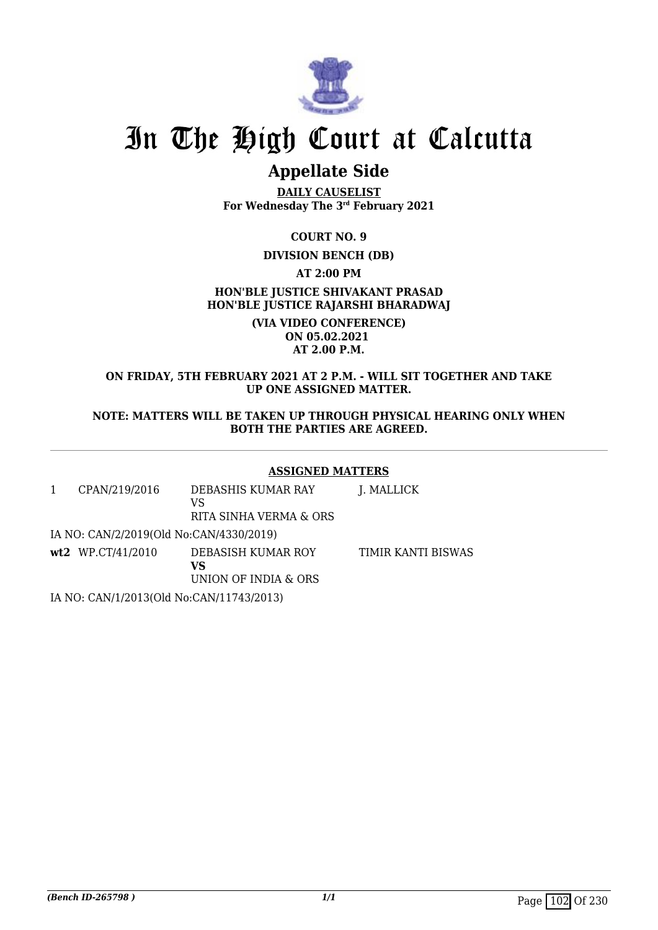

## **Appellate Side**

**DAILY CAUSELIST For Wednesday The 3rd February 2021**

**COURT NO. 9**

## **DIVISION BENCH (DB)**

**AT 2:00 PM**

**HON'BLE JUSTICE SHIVAKANT PRASAD HON'BLE JUSTICE RAJARSHI BHARADWAJ**

> **(VIA VIDEO CONFERENCE) ON 05.02.2021 AT 2.00 P.M.**

## **ON FRIDAY, 5TH FEBRUARY 2021 AT 2 P.M. - WILL SIT TOGETHER AND TAKE UP ONE ASSIGNED MATTER.**

## **NOTE: MATTERS WILL BE TAKEN UP THROUGH PHYSICAL HEARING ONLY WHEN BOTH THE PARTIES ARE AGREED.**

## **ASSIGNED MATTERS**

| CPAN/219/2016                            | DEBASHIS KUMAR RAY<br>VS<br>RITA SINHA VERMA & ORS | J. MALLICK                |
|------------------------------------------|----------------------------------------------------|---------------------------|
| IA NO: CAN/2/2019(Old No:CAN/4330/2019)  |                                                    |                           |
| $wt2$ WP.CT/41/2010                      | DEBASISH KUMAR ROY<br>VS<br>UNION OF INDIA & ORS   | <b>TIMIR KANTI BISWAS</b> |
| IA NO: CAN/1/2013(Old No:CAN/11743/2013) |                                                    |                           |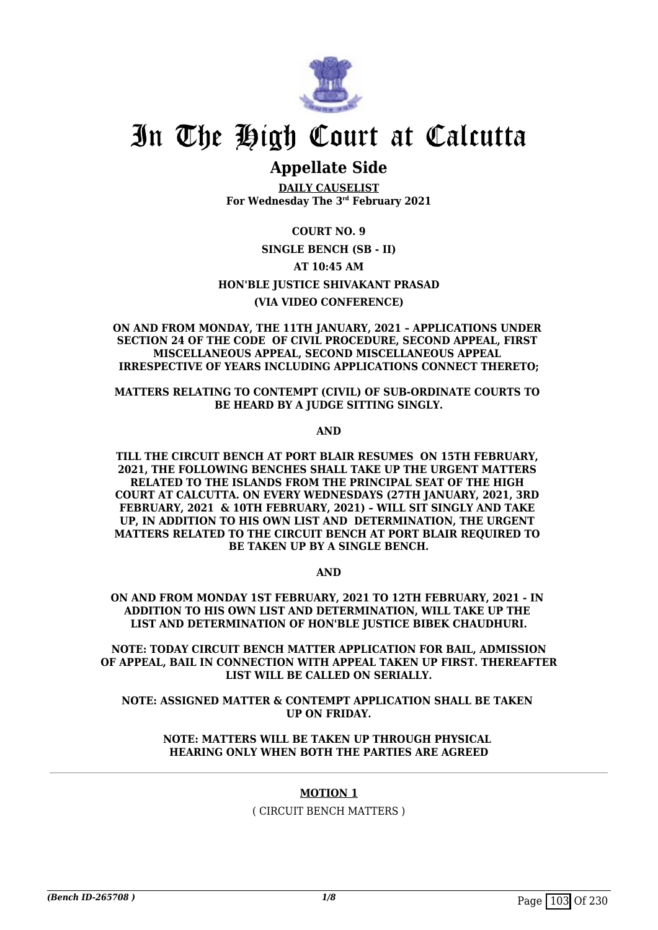

## **Appellate Side**

**DAILY CAUSELIST For Wednesday The 3rd February 2021**

## **COURT NO. 9**

**SINGLE BENCH (SB - II)**

**AT 10:45 AM**

## **HON'BLE JUSTICE SHIVAKANT PRASAD**

### **(VIA VIDEO CONFERENCE)**

**ON AND FROM MONDAY, THE 11TH JANUARY, 2021 – APPLICATIONS UNDER SECTION 24 OF THE CODE OF CIVIL PROCEDURE, SECOND APPEAL, FIRST MISCELLANEOUS APPEAL, SECOND MISCELLANEOUS APPEAL IRRESPECTIVE OF YEARS INCLUDING APPLICATIONS CONNECT THERETO;**

**MATTERS RELATING TO CONTEMPT (CIVIL) OF SUB-ORDINATE COURTS TO BE HEARD BY A JUDGE SITTING SINGLY.**

**AND**

**TILL THE CIRCUIT BENCH AT PORT BLAIR RESUMES ON 15TH FEBRUARY, 2021, THE FOLLOWING BENCHES SHALL TAKE UP THE URGENT MATTERS RELATED TO THE ISLANDS FROM THE PRINCIPAL SEAT OF THE HIGH COURT AT CALCUTTA. ON EVERY WEDNESDAYS (27TH JANUARY, 2021, 3RD FEBRUARY, 2021 & 10TH FEBRUARY, 2021) – WILL SIT SINGLY AND TAKE UP, IN ADDITION TO HIS OWN LIST AND DETERMINATION, THE URGENT MATTERS RELATED TO THE CIRCUIT BENCH AT PORT BLAIR REQUIRED TO BE TAKEN UP BY A SINGLE BENCH.**

**AND**

**ON AND FROM MONDAY 1ST FEBRUARY, 2021 TO 12TH FEBRUARY, 2021 - IN ADDITION TO HIS OWN LIST AND DETERMINATION, WILL TAKE UP THE LIST AND DETERMINATION OF HON'BLE JUSTICE BIBEK CHAUDHURI.**

**NOTE: TODAY CIRCUIT BENCH MATTER APPLICATION FOR BAIL, ADMISSION OF APPEAL, BAIL IN CONNECTION WITH APPEAL TAKEN UP FIRST. THEREAFTER LIST WILL BE CALLED ON SERIALLY.**

**NOTE: ASSIGNED MATTER & CONTEMPT APPLICATION SHALL BE TAKEN UP ON FRIDAY.**

> **NOTE: MATTERS WILL BE TAKEN UP THROUGH PHYSICAL HEARING ONLY WHEN BOTH THE PARTIES ARE AGREED**

### **MOTION 1**

( CIRCUIT BENCH MATTERS )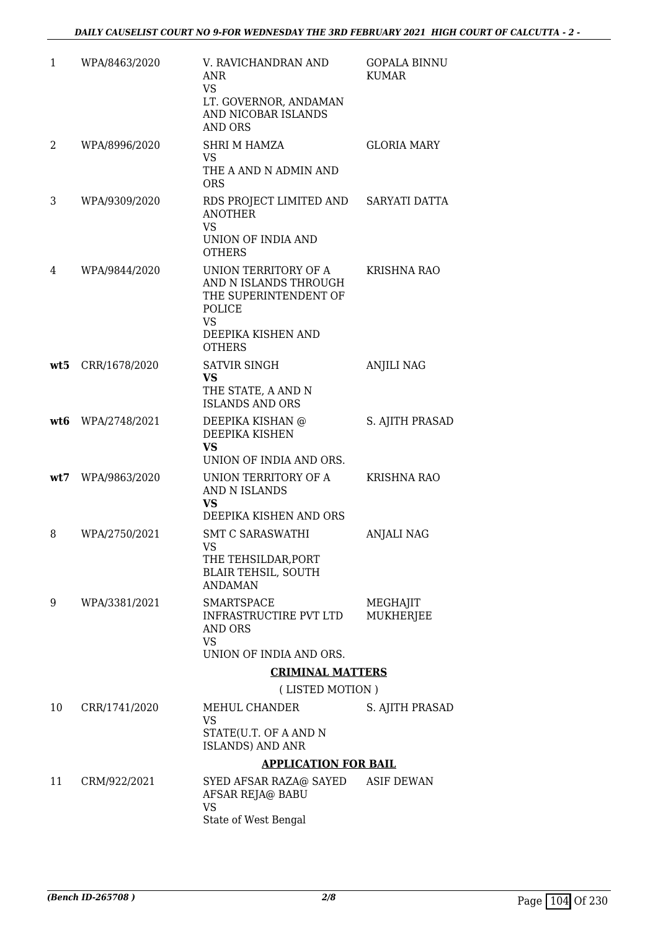| 1   | WPA/8463/2020 | V. RAVICHANDRAN AND<br>ANR<br><b>VS</b><br>LT. GOVERNOR, ANDAMAN<br>AND NICOBAR ISLANDS<br><b>AND ORS</b>                            | GOPALA BINNU<br><b>KUMAR</b> |
|-----|---------------|--------------------------------------------------------------------------------------------------------------------------------------|------------------------------|
| 2   | WPA/8996/2020 | <b>SHRI M HAMZA</b><br>VS.<br>THE A AND N ADMIN AND<br><b>ORS</b>                                                                    | GLORIA MARY                  |
| 3   | WPA/9309/2020 | RDS PROJECT LIMITED AND<br><b>ANOTHER</b><br><b>VS</b><br>UNION OF INDIA AND<br><b>OTHERS</b>                                        | SARYATI DATTA                |
| 4   | WPA/9844/2020 | UNION TERRITORY OF A<br>AND N ISLANDS THROUGH<br>THE SUPERINTENDENT OF<br>POLICE<br><b>VS</b><br>DEEPIKA KISHEN AND<br><b>OTHERS</b> | <b>KRISHNA RAO</b>           |
| wt5 | CRR/1678/2020 | <b>SATVIR SINGH</b><br><b>VS</b><br>THE STATE, A AND N<br><b>ISLANDS AND ORS</b>                                                     | <b>ANJILI NAG</b>            |
| wt6 | WPA/2748/2021 | DEEPIKA KISHAN @<br>DEEPIKA KISHEN<br><b>VS</b><br>UNION OF INDIA AND ORS.                                                           | S. AJITH PRASAD              |
| wt7 | WPA/9863/2020 | UNION TERRITORY OF A<br>AND N ISLANDS<br>VS<br>DEEPIKA KISHEN AND ORS                                                                | <b>KRISHNA RAO</b>           |
| 8   | WPA/2750/2021 | <b>SMT C SARASWATHI</b><br><b>VS</b><br>THE TEHSILDAR, PORT<br><b>BLAIR TEHSIL, SOUTH</b><br><b>ANDAMAN</b>                          | ANJALI NAG                   |
| 9   | WPA/3381/2021 | <b>SMARTSPACE</b><br>INFRASTRUCTIRE PVT LTD<br>AND ORS<br>VS.<br>UNION OF INDIA AND ORS.                                             | MEGHAJIT<br>MUKHERJEE        |
|     |               | <b>CRIMINAL MATTERS</b>                                                                                                              |                              |
|     |               | (LISTED MOTION)                                                                                                                      |                              |
| 10  | CRR/1741/2020 | MEHUL CHANDER<br>VS<br>STATE(U.T. OF A AND N<br><b>ISLANDS) AND ANR</b>                                                              | S. AJITH PRASAD              |
|     |               | <b>APPLICATION FOR BAIL</b>                                                                                                          |                              |
| 11  | CRM/922/2021  | SYED AFSAR RAZA@ SAYED<br>AFSAR REJA@ BABU<br><b>VS</b>                                                                              | <b>ASIF DEWAN</b>            |
|     |               | State of West Bengal                                                                                                                 |                              |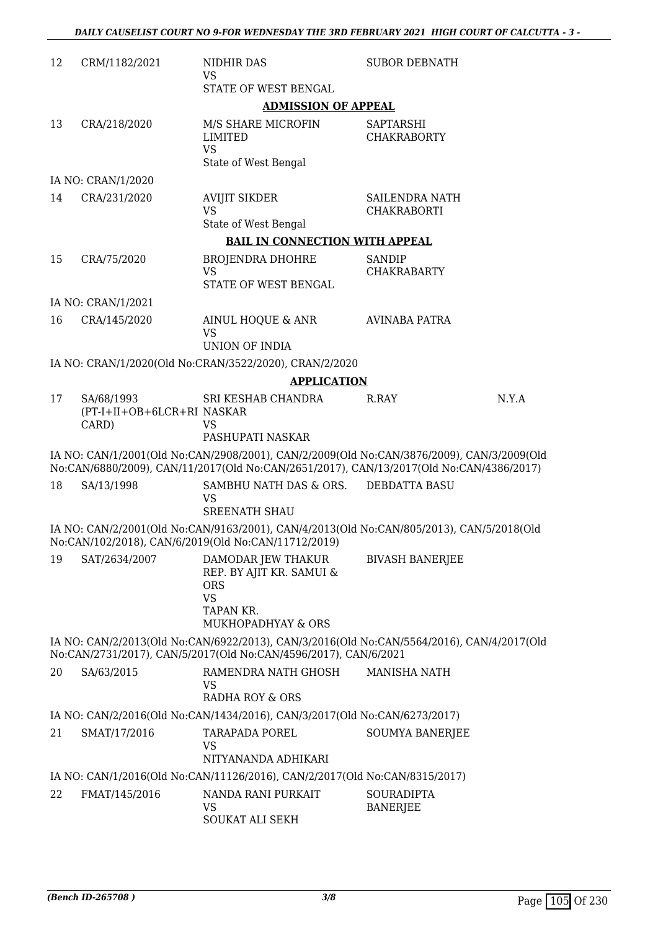| 12 | CRM/1182/2021                       | NIDHIR DAS<br><b>VS</b>                                                                                                                                                              | <b>SUBOR DEBNATH</b>                   |       |
|----|-------------------------------------|--------------------------------------------------------------------------------------------------------------------------------------------------------------------------------------|----------------------------------------|-------|
|    |                                     | STATE OF WEST BENGAL                                                                                                                                                                 |                                        |       |
|    |                                     | <b>ADMISSION OF APPEAL</b>                                                                                                                                                           |                                        |       |
| 13 | CRA/218/2020                        | M/S SHARE MICROFIN<br><b>LIMITED</b><br><b>VS</b><br>State of West Bengal                                                                                                            | <b>SAPTARSHI</b><br><b>CHAKRABORTY</b> |       |
|    | IA NO: CRAN/1/2020                  |                                                                                                                                                                                      |                                        |       |
| 14 | CRA/231/2020                        | <b>AVIJIT SIKDER</b><br><b>VS</b>                                                                                                                                                    | SAILENDRA NATH<br><b>CHAKRABORTI</b>   |       |
|    |                                     | State of West Bengal                                                                                                                                                                 |                                        |       |
| 15 | CRA/75/2020                         | <b>BAIL IN CONNECTION WITH APPEAL</b><br><b>BROJENDRA DHOHRE</b><br><b>VS</b><br>STATE OF WEST BENGAL                                                                                | SANDIP<br><b>CHAKRABARTY</b>           |       |
|    | IA NO: CRAN/1/2021                  |                                                                                                                                                                                      |                                        |       |
| 16 | CRA/145/2020                        | AINUL HOQUE & ANR<br><b>VS</b>                                                                                                                                                       | <b>AVINABA PATRA</b>                   |       |
|    |                                     | <b>UNION OF INDIA</b><br>IA NO: CRAN/1/2020(Old No:CRAN/3522/2020), CRAN/2/2020                                                                                                      |                                        |       |
|    |                                     | <b>APPLICATION</b>                                                                                                                                                                   |                                        |       |
| 17 | SA/68/1993                          | SRI KESHAB CHANDRA                                                                                                                                                                   | R.RAY                                  | N.Y.A |
|    | (PT-I+II+OB+6LCR+RI NASKAR<br>CARD) | VS<br>PASHUPATI NASKAR                                                                                                                                                               |                                        |       |
|    |                                     | IA NO: CAN/1/2001(Old No:CAN/2908/2001), CAN/2/2009(Old No:CAN/3876/2009), CAN/3/2009(Old<br>No:CAN/6880/2009), CAN/11/2017(Old No:CAN/2651/2017), CAN/13/2017(Old No:CAN/4386/2017) |                                        |       |
| 18 | SA/13/1998                          | SAMBHU NATH DAS & ORS.<br><b>VS</b><br><b>SREENATH SHAU</b>                                                                                                                          | <b>DEBDATTA BASU</b>                   |       |
|    |                                     | IA NO: CAN/2/2001(Old No:CAN/9163/2001), CAN/4/2013(Old No:CAN/805/2013), CAN/5/2018(Old<br>No:CAN/102/2018), CAN/6/2019(Old No:CAN/11712/2019)                                      |                                        |       |
| 19 | SAT/2634/2007                       | DAMODAR JEW THAKUR<br>REP. BY AJIT KR. SAMUI &<br><b>ORS</b><br><b>VS</b><br>TAPAN KR.<br>MUKHOPADHYAY & ORS                                                                         | <b>BIVASH BANERJEE</b>                 |       |
|    |                                     | IA NO: CAN/2/2013(Old No:CAN/6922/2013), CAN/3/2016(Old No:CAN/5564/2016), CAN/4/2017(Old                                                                                            |                                        |       |
|    |                                     | No:CAN/2731/2017), CAN/5/2017(Old No:CAN/4596/2017), CAN/6/2021                                                                                                                      |                                        |       |
| 20 | SA/63/2015                          | RAMENDRA NATH GHOSH<br><b>VS</b><br><b>RADHA ROY &amp; ORS</b>                                                                                                                       | <b>MANISHA NATH</b>                    |       |
|    |                                     | IA NO: CAN/2/2016(Old No:CAN/1434/2016), CAN/3/2017(Old No:CAN/6273/2017)                                                                                                            |                                        |       |
| 21 | SMAT/17/2016                        | TARAPADA POREL<br>VS<br>NITYANANDA ADHIKARI                                                                                                                                          | <b>SOUMYA BANERJEE</b>                 |       |
|    |                                     | IA NO: CAN/1/2016(Old No:CAN/11126/2016), CAN/2/2017(Old No:CAN/8315/2017)                                                                                                           |                                        |       |
| 22 | FMAT/145/2016                       | NANDA RANI PURKAIT<br><b>VS</b><br>SOUKAT ALI SEKH                                                                                                                                   | <b>SOURADIPTA</b><br><b>BANERJEE</b>   |       |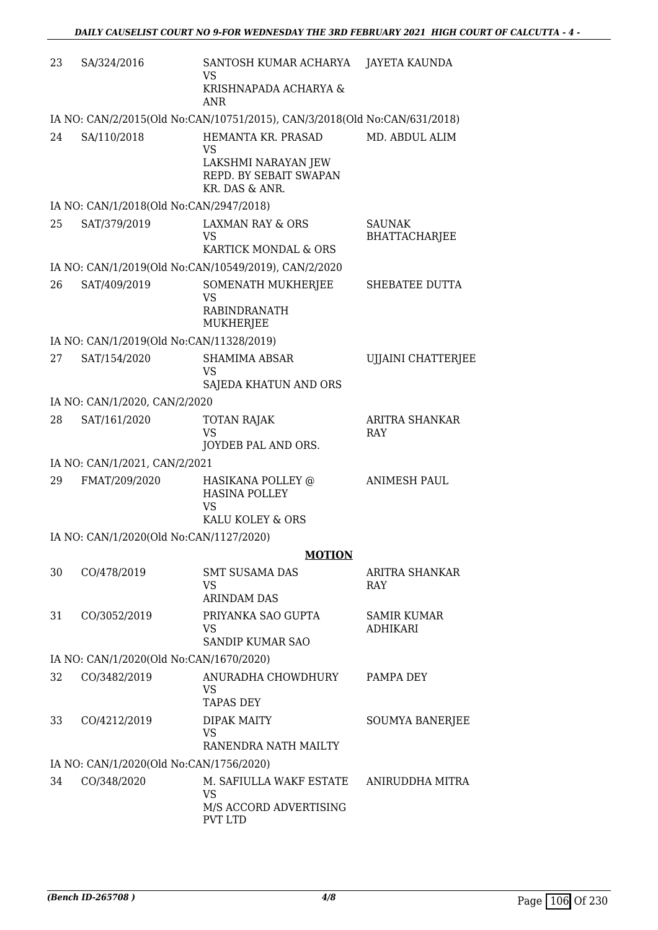| 23 | SA/324/2016                              | SANTOSH KUMAR ACHARYA<br>VS                                               | JAYETA KAUNDA                         |
|----|------------------------------------------|---------------------------------------------------------------------------|---------------------------------------|
|    |                                          | KRISHNAPADA ACHARYA &<br><b>ANR</b>                                       |                                       |
|    |                                          | IA NO: CAN/2/2015(Old No:CAN/10751/2015), CAN/3/2018(Old No:CAN/631/2018) |                                       |
| 24 | SA/110/2018                              | HEMANTA KR. PRASAD<br><b>VS</b>                                           | MD. ABDUL ALIM                        |
|    |                                          | LAKSHMI NARAYAN JEW<br>REPD. BY SEBAIT SWAPAN<br>KR. DAS & ANR.           |                                       |
|    | IA NO: CAN/1/2018(Old No:CAN/2947/2018)  |                                                                           |                                       |
| 25 | SAT/379/2019                             | <b>LAXMAN RAY &amp; ORS</b><br>VS<br>KARTICK MONDAL & ORS                 | <b>SAUNAK</b><br><b>BHATTACHARJEE</b> |
|    |                                          | IA NO: CAN/1/2019(Old No:CAN/10549/2019), CAN/2/2020                      |                                       |
| 26 | SAT/409/2019                             | SOMENATH MUKHERJEE<br><b>VS</b>                                           | SHEBATEE DUTTA                        |
|    |                                          | <b>RABINDRANATH</b><br>MUKHERJEE                                          |                                       |
|    | IA NO: CAN/1/2019(Old No:CAN/11328/2019) |                                                                           |                                       |
| 27 | SAT/154/2020                             | <b>SHAMIMA ABSAR</b><br><b>VS</b>                                         | <b>UJJAINI CHATTERJEE</b>             |
|    |                                          | SAJEDA KHATUN AND ORS                                                     |                                       |
|    | IA NO: CAN/1/2020, CAN/2/2020            |                                                                           |                                       |
| 28 | SAT/161/2020                             | <b>TOTAN RAJAK</b><br><b>VS</b><br>JOYDEB PAL AND ORS.                    | ARITRA SHANKAR<br><b>RAY</b>          |
|    | IA NO: CAN/1/2021, CAN/2/2021            |                                                                           |                                       |
| 29 | FMAT/209/2020                            | HASIKANA POLLEY @<br><b>HASINA POLLEY</b>                                 | <b>ANIMESH PAUL</b>                   |
|    |                                          | VS<br>KALU KOLEY & ORS                                                    |                                       |
|    | IA NO: CAN/1/2020(Old No:CAN/1127/2020)  |                                                                           |                                       |
|    |                                          | <b>MOTION</b>                                                             |                                       |
| 30 | CO/478/2019                              | <b>SMT SUSAMA DAS</b><br>VS                                               | ARITRA SHANKAR<br><b>RAY</b>          |
|    |                                          | <b>ARINDAM DAS</b>                                                        |                                       |
| 31 | CO/3052/2019                             | PRIYANKA SAO GUPTA<br>VS<br><b>SANDIP KUMAR SAO</b>                       | <b>SAMIR KUMAR</b><br><b>ADHIKARI</b> |
|    | IA NO: CAN/1/2020(Old No:CAN/1670/2020)  |                                                                           |                                       |
| 32 | CO/3482/2019                             | ANURADHA CHOWDHURY                                                        | PAMPA DEY                             |
|    |                                          | <b>VS</b><br><b>TAPAS DEY</b>                                             |                                       |
| 33 | CO/4212/2019                             | <b>DIPAK MAITY</b><br>VS<br>RANENDRA NATH MAILTY                          | <b>SOUMYA BANERJEE</b>                |
|    | IA NO: CAN/1/2020(Old No:CAN/1756/2020)  |                                                                           |                                       |
| 34 | CO/348/2020                              | M. SAFIULLA WAKF ESTATE<br><b>VS</b>                                      | ANIRUDDHA MITRA                       |
|    |                                          | M/S ACCORD ADVERTISING<br>PVT LTD                                         |                                       |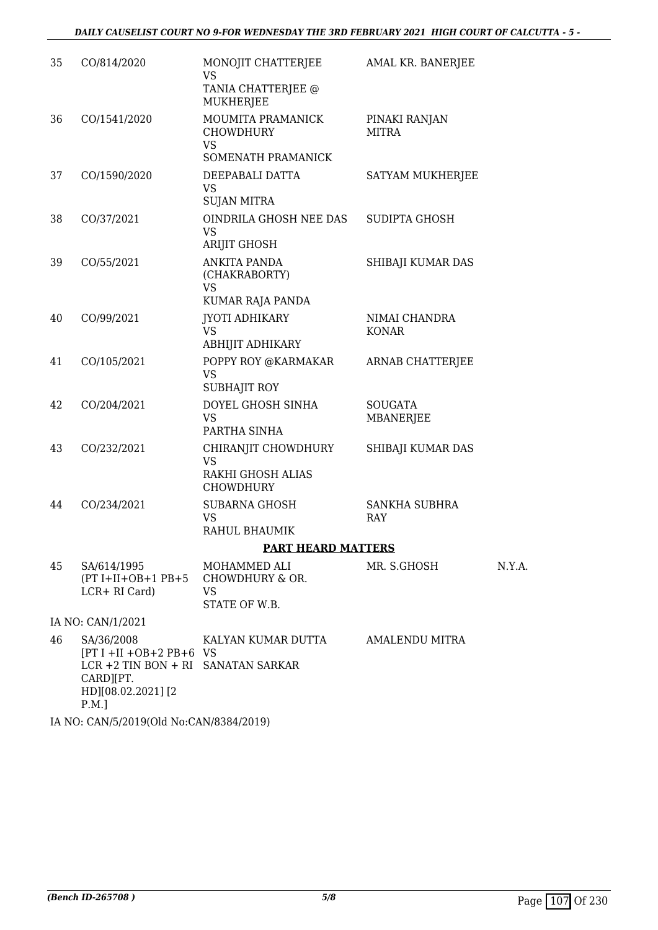| 35 | CO/814/2020                                                                                                                     | MONOJIT CHATTERJEE<br><b>VS</b><br>TANIA CHATTERJEE @<br><b>MUKHERJEE</b> | AMAL KR. BANERJEE             |        |
|----|---------------------------------------------------------------------------------------------------------------------------------|---------------------------------------------------------------------------|-------------------------------|--------|
| 36 | CO/1541/2020                                                                                                                    | MOUMITA PRAMANICK<br><b>CHOWDHURY</b><br><b>VS</b><br>SOMENATH PRAMANICK  | PINAKI RANJAN<br><b>MITRA</b> |        |
| 37 | CO/1590/2020                                                                                                                    | DEEPABALI DATTA<br><b>VS</b><br><b>SUJAN MITRA</b>                        | SATYAM MUKHERJEE              |        |
| 38 | CO/37/2021                                                                                                                      | OINDRILA GHOSH NEE DAS<br><b>VS</b><br><b>ARIJIT GHOSH</b>                | <b>SUDIPTA GHOSH</b>          |        |
| 39 | CO/55/2021                                                                                                                      | ANKITA PANDA<br>(CHAKRABORTY)<br>VS<br>KUMAR RAJA PANDA                   | SHIBAJI KUMAR DAS             |        |
| 40 | CO/99/2021                                                                                                                      | JYOTI ADHIKARY<br><b>VS</b><br><b>ABHIJIT ADHIKARY</b>                    | NIMAI CHANDRA<br>KONAR        |        |
| 41 | CO/105/2021                                                                                                                     | POPPY ROY @KARMAKAR<br>VS.<br><b>SUBHAJIT ROY</b>                         | ARNAB CHATTERJEE              |        |
| 42 | CO/204/2021                                                                                                                     | DOYEL GHOSH SINHA<br><b>VS</b><br>PARTHA SINHA                            | <b>SOUGATA</b><br>MBANERJEE   |        |
| 43 | CO/232/2021                                                                                                                     | CHIRANJIT CHOWDHURY<br><b>VS</b><br>RAKHI GHOSH ALIAS<br><b>CHOWDHURY</b> | SHIBAJI KUMAR DAS             |        |
| 44 | CO/234/2021                                                                                                                     | <b>SUBARNA GHOSH</b><br><b>VS</b><br>RAHUL BHAUMIK                        | SANKHA SUBHRA<br><b>RAY</b>   |        |
|    |                                                                                                                                 | <b>PART HEARD MATTERS</b>                                                 |                               |        |
| 45 | SA/614/1995<br>$(PT I+II+OB+1 PB+5$<br>LCR+ RI Card)                                                                            | MOHAMMED ALI<br>CHOWDHURY & OR.<br>VS<br>STATE OF W.B.                    | MR. S.GHOSH                   | N.Y.A. |
|    | IA NO: CAN/1/2021                                                                                                               |                                                                           |                               |        |
| 46 | SA/36/2008<br>$[PT I + II + OB + 2 PB + 6 VS]$<br>LCR +2 TIN BON + RI SANATAN SARKAR<br>CARD][PT.<br>HD][08.02.2021][2<br>P.M.] | KALYAN KUMAR DUTTA                                                        | <b>AMALENDU MITRA</b>         |        |

IA NO: CAN/5/2019(Old No:CAN/8384/2019)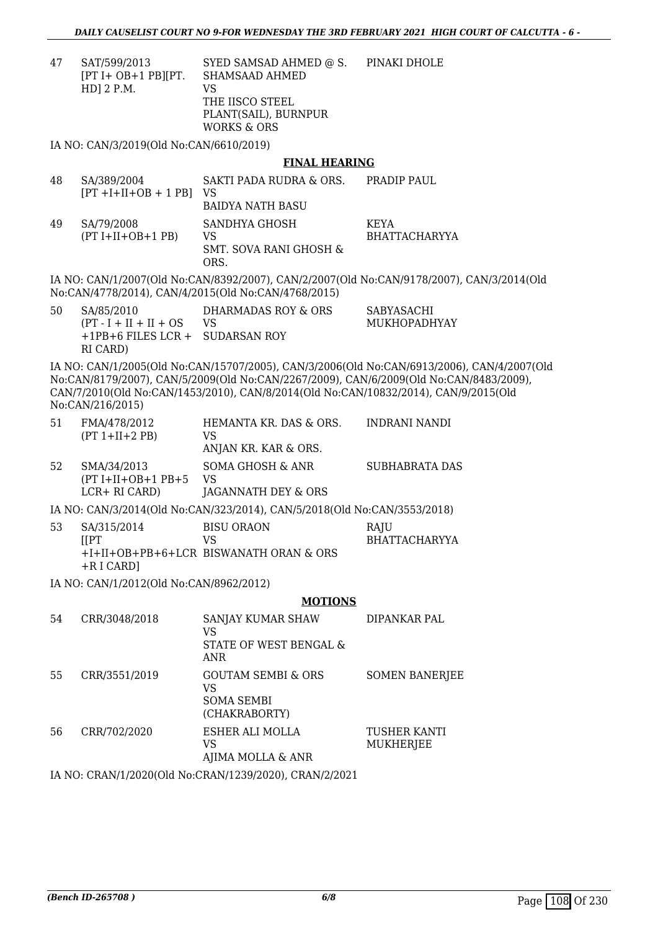47 SAT/599/2013 [PT I+ OB+1 PB][PT. HD] 2 P.M. SYED SAMSAD AHMED @ S. SHAMSAAD AHMED VS THE IISCO STEEL PLANT(SAIL), BURNPUR WORKS & ORS PINAKI DHOLE

IA NO: CAN/3/2019(Old No:CAN/6610/2019)

### **FINAL HEARING**

48 SA/389/2004  $[PT +I+II+OB + 1 PB]$ SAKTI PADA RUDRA & ORS. VS BAIDYA NATH BASU PRADIP PAUL. 49 SA/79/2008  $(PT I+II+OB+1 PB)$ SANDHYA GHOSH VS SMT. SOVA RANI GHOSH & ORS. KEYA BHATTACHARYYA IA NO: CAN/1/2007(Old No:CAN/8392/2007), CAN/2/2007(Old No:CAN/9178/2007), CAN/3/2014(Old No:CAN/4778/2014), CAN/4/2015(Old No:CAN/4768/2015) 50 SA/85/2010  $(PT - I + II + II + OS)$ +1PB+6 FILES LCR + SUDARSAN ROY RI CARD) DHARMADAS ROY & ORS VS SABYASACHI MUKHOPADHYAY IA NO: CAN/1/2005(Old No:CAN/15707/2005), CAN/3/2006(Old No:CAN/6913/2006), CAN/4/2007(Old No:CAN/8179/2007), CAN/5/2009(Old No:CAN/2267/2009), CAN/6/2009(Old No:CAN/8483/2009), CAN/7/2010(Old No:CAN/1453/2010), CAN/8/2014(Old No:CAN/10832/2014), CAN/9/2015(Old No:CAN/216/2015) 51 FMA/478/2012 (PT 1+II+2 PB) HEMANTA KR. DAS & ORS. VS ANJAN KR. KAR & ORS. INDRANI NANDI 52 SMA/34/2013  $(PT I+II+OB+1 PB+5$ LCR+ RI CARD) SOMA GHOSH & ANR VS JAGANNATH DEY & ORS SUBHABRATA DAS IA NO: CAN/3/2014(Old No:CAN/323/2014), CAN/5/2018(Old No:CAN/3553/2018) 53 SA/315/2014 [[PT +I+II+OB+PB+6+LCR BISWANATH ORAN & ORS +R I CARD] BISU ORAON VS **RAIU** BHATTACHARYYA IA NO: CAN/1/2012(Old No:CAN/8962/2012) **MOTIONS** 54 CRR/3048/2018 SANJAY KUMAR SHAW VS STATE OF WEST BENGAL & ANR DIPANKAR PAL 55 CRR/3551/2019 GOUTAM SEMBI & ORS VS SOMA SEMBI (CHAKRABORTY) SOMEN BANERJEE 56 CRR/702/2020 ESHER ALI MOLLA VS AJIMA MOLLA & ANR TUSHER KANTI MUKHERJEE IA NO: CRAN/1/2020(Old No:CRAN/1239/2020), CRAN/2/2021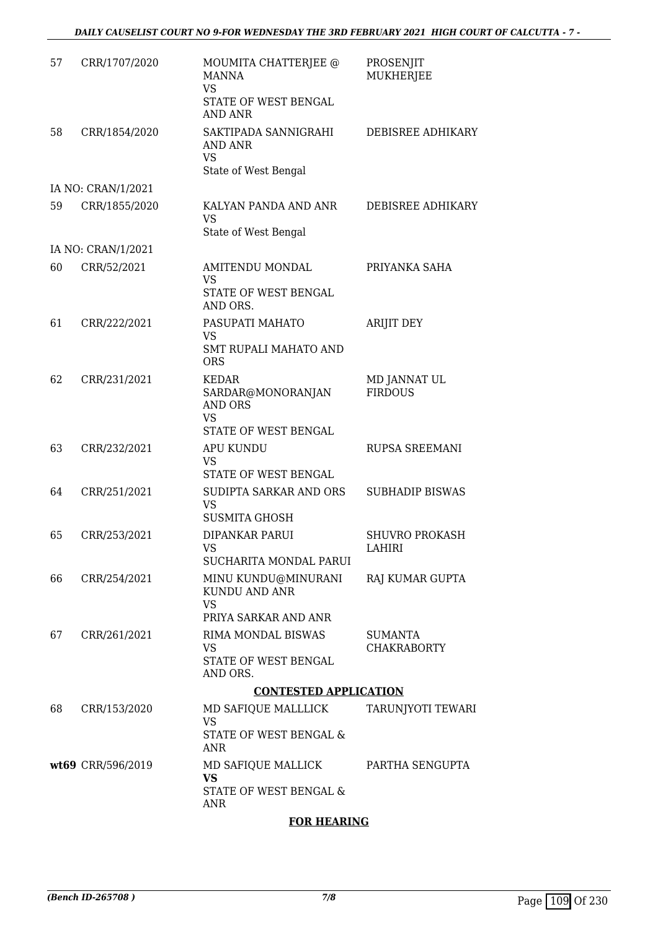| 57 | CRR/1707/2020      | MOUMITA CHATTERJEE @<br><b>MANNA</b><br>VS<br>STATE OF WEST BENGAL<br><b>AND ANR</b> | PROSENJIT<br>MUKHERJEE               |
|----|--------------------|--------------------------------------------------------------------------------------|--------------------------------------|
| 58 | CRR/1854/2020      | SAKTIPADA SANNIGRAHI<br>AND ANR<br><b>VS</b><br>State of West Bengal                 | DEBISREE ADHIKARY                    |
|    | IA NO: CRAN/1/2021 |                                                                                      |                                      |
| 59 | CRR/1855/2020      | KALYAN PANDA AND ANR<br><b>VS</b><br>State of West Bengal                            | DEBISREE ADHIKARY                    |
|    | IA NO: CRAN/1/2021 |                                                                                      |                                      |
| 60 | CRR/52/2021        | <b>AMITENDU MONDAL</b><br>VS<br>STATE OF WEST BENGAL<br>AND ORS.                     | PRIYANKA SAHA                        |
| 61 | CRR/222/2021       | PASUPATI MAHATO<br><b>VS</b>                                                         | <b>ARIJIT DEY</b>                    |
|    |                    | <b>SMT RUPALI MAHATO AND</b><br><b>ORS</b>                                           |                                      |
| 62 | CRR/231/2021       | KEDAR<br>SARDAR@MONORANJAN<br><b>AND ORS</b><br><b>VS</b>                            | MD JANNAT UL<br><b>FIRDOUS</b>       |
|    |                    | STATE OF WEST BENGAL                                                                 |                                      |
| 63 | CRR/232/2021       | <b>APU KUNDU</b><br>VS<br>STATE OF WEST BENGAL                                       | RUPSA SREEMANI                       |
| 64 | CRR/251/2021       | SUDIPTA SARKAR AND ORS<br><b>VS</b><br><b>SUSMITA GHOSH</b>                          | <b>SUBHADIP BISWAS</b>               |
| 65 | CRR/253/2021       | DIPANKAR PARUI<br>VS.<br>SUCHARITA MONDAL PARUI                                      | <b>SHUVRO PROKASH</b><br>LAHIRI      |
| 66 | CRR/254/2021       | MINU KUNDU@MINURANI<br>KUNDU AND ANR<br>VS                                           | RAJ KUMAR GUPTA                      |
|    |                    | PRIYA SARKAR AND ANR                                                                 |                                      |
| 67 | CRR/261/2021       | RIMA MONDAL BISWAS<br>VS                                                             | <b>SUMANTA</b><br><b>CHAKRABORTY</b> |
|    |                    | STATE OF WEST BENGAL<br>AND ORS.                                                     |                                      |
|    |                    | <b>CONTESTED APPLICATION</b>                                                         |                                      |
| 68 | CRR/153/2020       | MD SAFIQUE MALLLICK<br>VS<br>STATE OF WEST BENGAL &                                  | TARUNJYOTI TEWARI                    |
|    | wt69 CRR/596/2019  | ANR<br>MD SAFIQUE MALLICK                                                            | PARTHA SENGUPTA                      |
|    |                    | <b>VS</b><br>STATE OF WEST BENGAL &<br>ANR                                           |                                      |

### **FOR HEARING**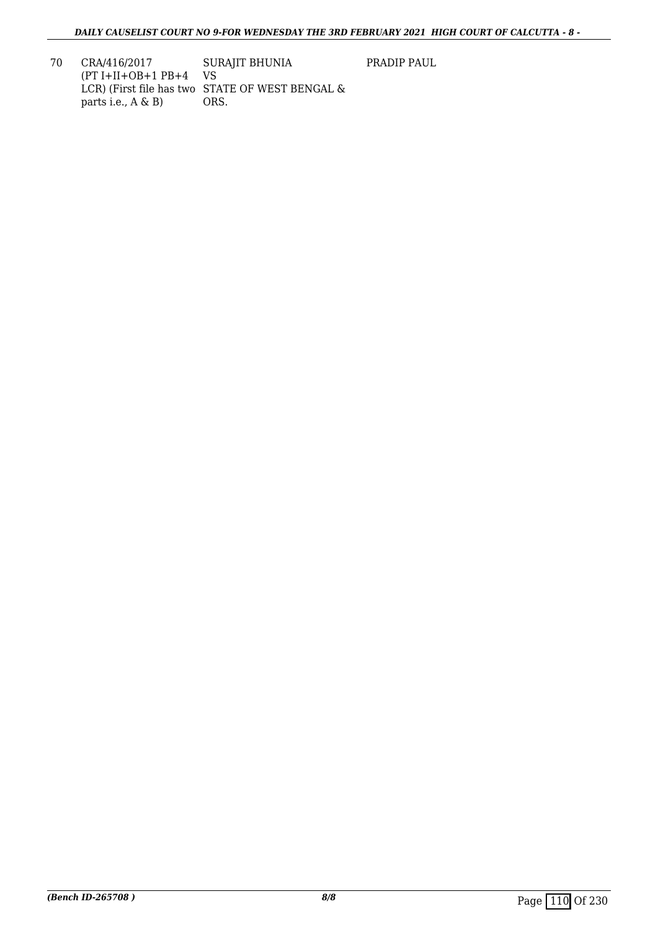PRADIP PAUL

70 CRA/416/2017 (PT I+II+OB+1 PB+4 VS LCR) (First file has two STATE OF WEST BENGAL & parts i.e., A & B) SURAJIT BHUNIA ORS.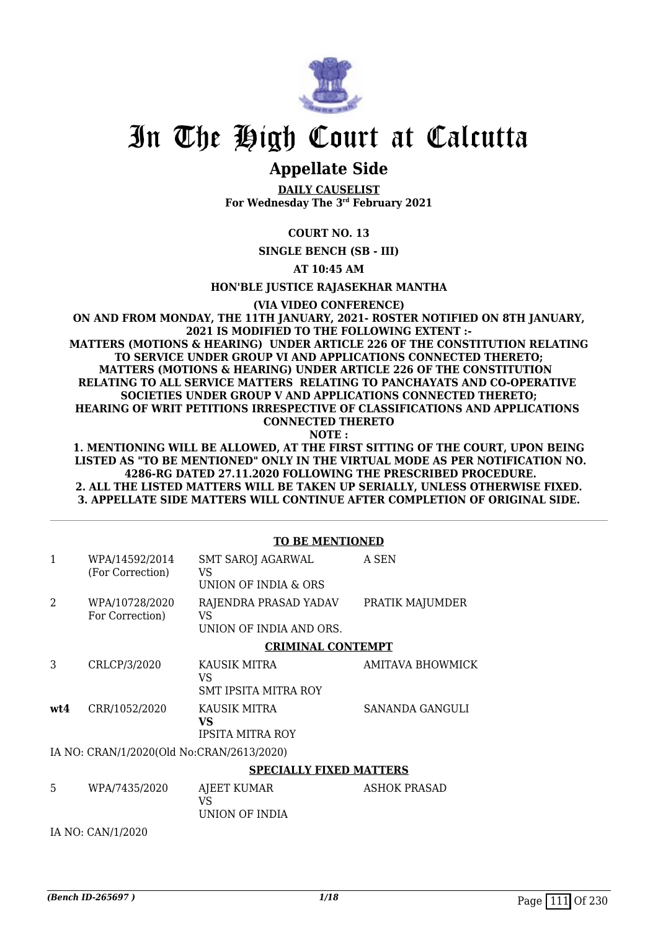

## In The High Court at Calcutta

## **Appellate Side**

**DAILY CAUSELIST For Wednesday The 3rd February 2021**

### **COURT NO. 13**

**SINGLE BENCH (SB - III)**

**AT 10:45 AM**

### **HON'BLE JUSTICE RAJASEKHAR MANTHA**

**(VIA VIDEO CONFERENCE)**

#### **ON AND FROM MONDAY, THE 11TH JANUARY, 2021- ROSTER NOTIFIED ON 8TH JANUARY, 2021 IS MODIFIED TO THE FOLLOWING EXTENT :- MATTERS (MOTIONS & HEARING) UNDER ARTICLE 226 OF THE CONSTITUTION RELATING TO SERVICE UNDER GROUP VI AND APPLICATIONS CONNECTED THERETO; MATTERS (MOTIONS & HEARING) UNDER ARTICLE 226 OF THE CONSTITUTION RELATING TO ALL SERVICE MATTERS RELATING TO PANCHAYATS AND CO-OPERATIVE SOCIETIES UNDER GROUP V AND APPLICATIONS CONNECTED THERETO; HEARING OF WRIT PETITIONS IRRESPECTIVE OF CLASSIFICATIONS AND APPLICATIONS CONNECTED THERETO**

**NOTE :**

#### **1. MENTIONING WILL BE ALLOWED, AT THE FIRST SITTING OF THE COURT, UPON BEING LISTED AS "TO BE MENTIONED" ONLY IN THE VIRTUAL MODE AS PER NOTIFICATION NO. 4286-RG DATED 27.11.2020 FOLLOWING THE PRESCRIBED PROCEDURE. 2. ALL THE LISTED MATTERS WILL BE TAKEN UP SERIALLY, UNLESS OTHERWISE FIXED. 3. APPELLATE SIDE MATTERS WILL CONTINUE AFTER COMPLETION OF ORIGINAL SIDE.**

|              |                                           | <b>TO BE MENTIONED</b>                                 |                     |
|--------------|-------------------------------------------|--------------------------------------------------------|---------------------|
| $\mathbf{1}$ | WPA/14592/2014<br>(For Correction)        | <b>SMT SAROJ AGARWAL</b><br>VS<br>UNION OF INDIA & ORS | A SEN               |
| 2            | WPA/10728/2020<br>For Correction)         | RAJENDRA PRASAD YADAV<br>VS<br>UNION OF INDIA AND ORS. | PRATIK MAJUMDER     |
|              |                                           | <b>CRIMINAL CONTEMPT</b>                               |                     |
| 3            | CRLCP/3/2020                              | KAUSIK MITRA<br>VS<br>SMT IPSITA MITRA ROY             | AMITAVA BHOWMICK    |
| wt4          | CRR/1052/2020                             | KAUSIK MITRA<br>VS.<br><b>IPSITA MITRA ROY</b>         | SANANDA GANGULI     |
|              | IA NO: CRAN/1/2020(Old No:CRAN/2613/2020) |                                                        |                     |
|              |                                           | <b>SPECIALLY FIXED MATTERS</b>                         |                     |
| 5            | WPA/7435/2020                             | AJEET KUMAR<br>VS<br>UNION OF INDIA                    | <b>ASHOK PRASAD</b> |
|              | IA NO: CAN/1/2020                         |                                                        |                     |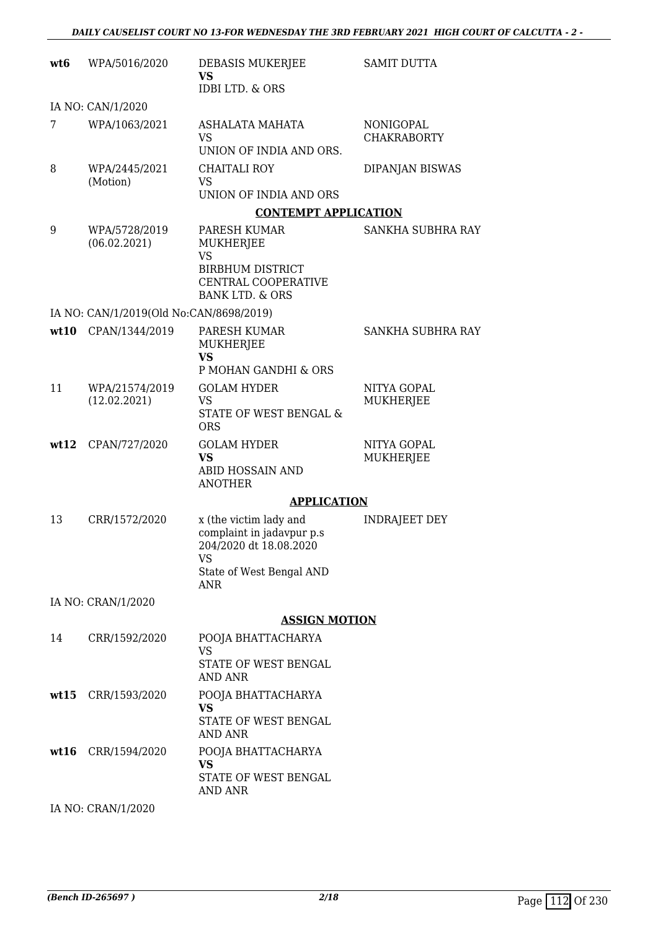| wt <sub>6</sub> | WPA/5016/2020                           | DEBASIS MUKERJEE<br><b>VS</b>                                                              | <b>SAMIT DUTTA</b>              |
|-----------------|-----------------------------------------|--------------------------------------------------------------------------------------------|---------------------------------|
|                 |                                         | <b>IDBI LTD. &amp; ORS</b>                                                                 |                                 |
| 7               | IA NO: CAN/1/2020<br>WPA/1063/2021      | ASHALATA MAHATA                                                                            | NONIGOPAL                       |
|                 |                                         | <b>VS</b><br>UNION OF INDIA AND ORS.                                                       | <b>CHAKRABORTY</b>              |
| 8               | WPA/2445/2021<br>(Motion)               | CHAITALI ROY<br><b>VS</b>                                                                  | DIPANJAN BISWAS                 |
|                 |                                         | UNION OF INDIA AND ORS                                                                     |                                 |
|                 |                                         | <b>CONTEMPT APPLICATION</b>                                                                |                                 |
| 9               | WPA/5728/2019<br>(06.02.2021)           | PARESH KUMAR<br>MUKHERJEE<br><b>VS</b>                                                     | SANKHA SUBHRA RAY               |
|                 |                                         | <b>BIRBHUM DISTRICT</b><br><b>CENTRAL COOPERATIVE</b><br><b>BANK LTD. &amp; ORS</b>        |                                 |
|                 | IA NO: CAN/1/2019(Old No:CAN/8698/2019) |                                                                                            |                                 |
| wt10            | CPAN/1344/2019                          | PARESH KUMAR<br>MUKHERJEE                                                                  | <b>SANKHA SUBHRA RAY</b>        |
|                 |                                         | <b>VS</b><br>P MOHAN GANDHI & ORS                                                          |                                 |
| 11              | WPA/21574/2019                          | <b>GOLAM HYDER</b>                                                                         | NITYA GOPAL                     |
|                 | (12.02.2021)                            | <b>VS</b><br>STATE OF WEST BENGAL &<br><b>ORS</b>                                          | <b>MUKHERJEE</b>                |
| wt12            | CPAN/727/2020                           | <b>GOLAM HYDER</b><br><b>VS</b>                                                            | NITYA GOPAL<br><b>MUKHERJEE</b> |
|                 |                                         | ABID HOSSAIN AND<br><b>ANOTHER</b>                                                         |                                 |
|                 |                                         | <b>APPLICATION</b>                                                                         |                                 |
| 13              | CRR/1572/2020                           | x (the victim lady and<br>complaint in jadavpur p.s<br>204/2020 dt 18.08.2020<br><b>VS</b> | <b>INDRAJEET DEY</b>            |
|                 |                                         | State of West Bengal AND<br><b>ANR</b>                                                     |                                 |
|                 | IA NO: CRAN/1/2020                      |                                                                                            |                                 |
|                 |                                         | <b>ASSIGN MOTION</b>                                                                       |                                 |
| 14              | CRR/1592/2020                           | POOJA BHATTACHARYA<br><b>VS</b>                                                            |                                 |
|                 |                                         | STATE OF WEST BENGAL<br>AND ANR                                                            |                                 |
|                 | wt15 CRR/1593/2020                      | POOJA BHATTACHARYA<br><b>VS</b>                                                            |                                 |
|                 |                                         | STATE OF WEST BENGAL<br>AND ANR                                                            |                                 |
| wt16            | CRR/1594/2020                           | POOJA BHATTACHARYA<br><b>VS</b>                                                            |                                 |
|                 |                                         | STATE OF WEST BENGAL<br><b>AND ANR</b>                                                     |                                 |
|                 | IA NO: CRAN/1/2020                      |                                                                                            |                                 |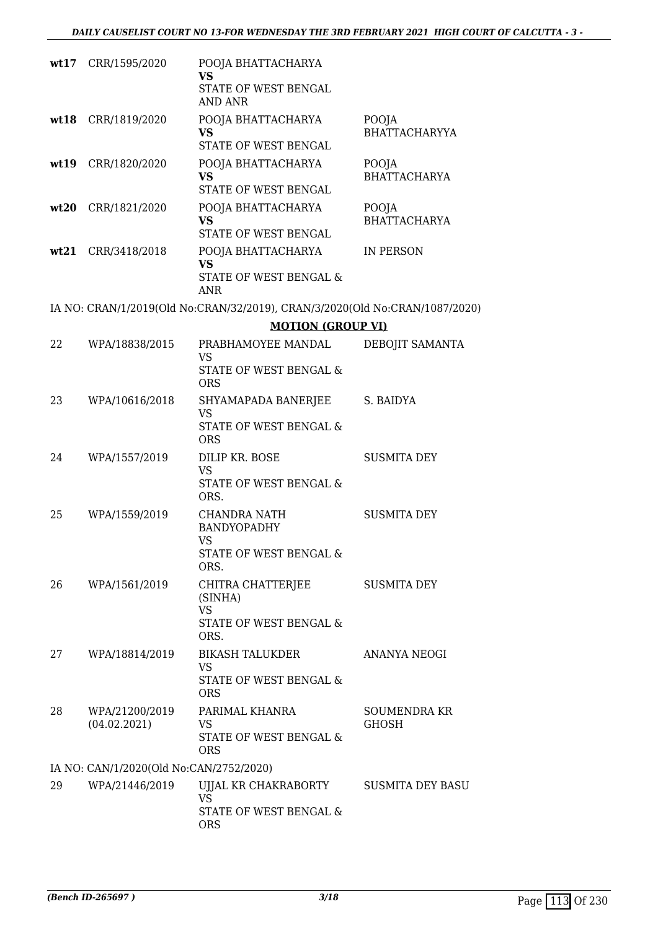|    | wt17 CRR/1595/2020                      | POOJA BHATTACHARYA<br><b>VS</b><br>STATE OF WEST BENGAL                     |                                     |
|----|-----------------------------------------|-----------------------------------------------------------------------------|-------------------------------------|
|    |                                         | AND ANR                                                                     |                                     |
|    | wt18 CRR/1819/2020                      | POOJA BHATTACHARYA<br><b>VS</b>                                             | POOJA<br><b>BHATTACHARYYA</b>       |
|    |                                         | STATE OF WEST BENGAL                                                        |                                     |
|    | wt19 CRR/1820/2020                      | POOJA BHATTACHARYA<br><b>VS</b><br>STATE OF WEST BENGAL                     | POOJA<br><b>BHATTACHARYA</b>        |
|    | wt20 CRR/1821/2020                      | POOJA BHATTACHARYA                                                          | POOJA                               |
|    |                                         | <b>VS</b><br>STATE OF WEST BENGAL                                           | <b>BHATTACHARYA</b>                 |
|    | wt21 CRR/3418/2018                      | POOJA BHATTACHARYA<br><b>VS</b>                                             | IN PERSON                           |
|    |                                         | STATE OF WEST BENGAL &<br>ANR                                               |                                     |
|    |                                         | IA NO: CRAN/1/2019(Old No:CRAN/32/2019), CRAN/3/2020(Old No:CRAN/1087/2020) |                                     |
|    |                                         | <b>MOTION (GROUP VI)</b>                                                    |                                     |
| 22 | WPA/18838/2015                          | PRABHAMOYEE MANDAL<br><b>VS</b>                                             | DEBOJIT SAMANTA                     |
|    |                                         | <b>STATE OF WEST BENGAL &amp;</b><br><b>ORS</b>                             |                                     |
| 23 | WPA/10616/2018                          | SHYAMAPADA BANERJEE                                                         | S. BAIDYA                           |
|    |                                         | <b>VS</b><br>STATE OF WEST BENGAL &<br><b>ORS</b>                           |                                     |
| 24 | WPA/1557/2019                           | DILIP KR. BOSE<br><b>VS</b>                                                 | <b>SUSMITA DEY</b>                  |
|    |                                         | STATE OF WEST BENGAL &<br>ORS.                                              |                                     |
| 25 | WPA/1559/2019                           | <b>CHANDRA NATH</b><br><b>BANDYOPADHY</b>                                   | <b>SUSMITA DEY</b>                  |
|    |                                         | <b>VS</b><br>STATE OF WEST BENGAL &<br>ORS.                                 |                                     |
| 26 | WPA/1561/2019                           | CHITRA CHATTERJEE<br>(SINHA)                                                | <b>SUSMITA DEY</b>                  |
|    |                                         | <b>VS</b><br>STATE OF WEST BENGAL &<br>ORS.                                 |                                     |
| 27 | WPA/18814/2019                          | BIKASH TALUKDER<br>VS                                                       | <b>ANANYA NEOGI</b>                 |
|    |                                         | STATE OF WEST BENGAL &<br><b>ORS</b>                                        |                                     |
| 28 | WPA/21200/2019<br>(04.02.2021)          | PARIMAL KHANRA<br>VS                                                        | <b>SOUMENDRA KR</b><br><b>GHOSH</b> |
|    |                                         | STATE OF WEST BENGAL &<br><b>ORS</b>                                        |                                     |
|    | IA NO: CAN/1/2020(Old No:CAN/2752/2020) |                                                                             |                                     |
| 29 | WPA/21446/2019                          | UJJAL KR CHAKRABORTY                                                        | <b>SUSMITA DEY BASU</b>             |
|    |                                         | <b>VS</b><br>STATE OF WEST BENGAL &<br><b>ORS</b>                           |                                     |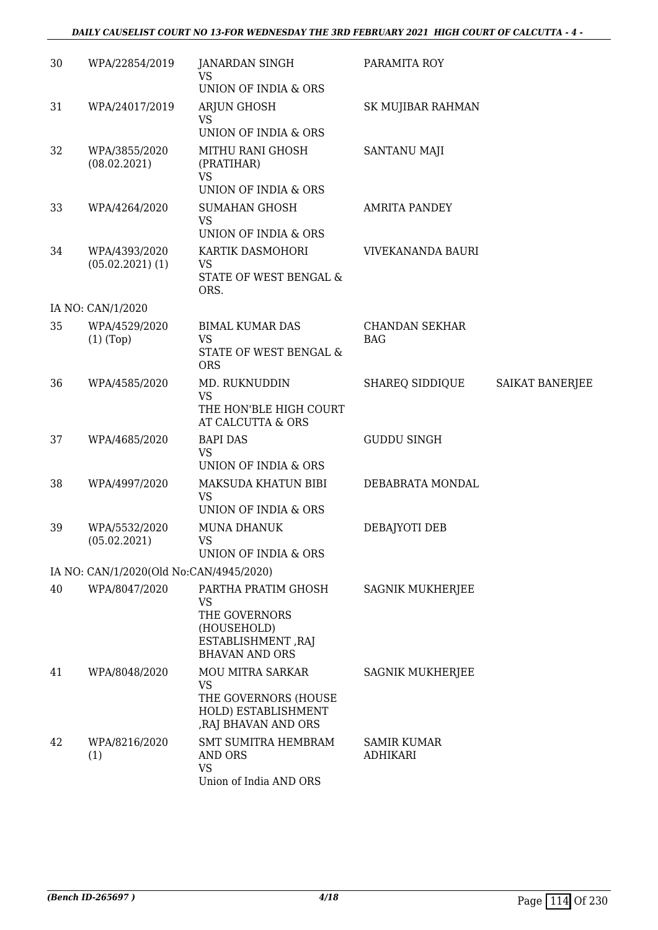### *DAILY CAUSELIST COURT NO 13-FOR WEDNESDAY THE 3RD FEBRUARY 2021 HIGH COURT OF CALCUTTA - 4 -*

| 30 | WPA/22854/2019                          | JANARDAN SINGH<br><b>VS</b><br>UNION OF INDIA & ORS                                                         | PARAMITA ROY                        |                        |
|----|-----------------------------------------|-------------------------------------------------------------------------------------------------------------|-------------------------------------|------------------------|
| 31 | WPA/24017/2019                          | ARJUN GHOSH<br>VS<br>UNION OF INDIA & ORS                                                                   | SK MUJIBAR RAHMAN                   |                        |
| 32 | WPA/3855/2020<br>(08.02.2021)           | MITHU RANI GHOSH<br>(PRATIHAR)<br><b>VS</b><br>UNION OF INDIA & ORS                                         | SANTANU MAJI                        |                        |
| 33 | WPA/4264/2020                           | <b>SUMAHAN GHOSH</b><br><b>VS</b><br>UNION OF INDIA & ORS                                                   | <b>AMRITA PANDEY</b>                |                        |
| 34 | WPA/4393/2020<br>$(05.02.2021)$ $(1)$   | KARTIK DASMOHORI<br>VS<br>STATE OF WEST BENGAL &<br>ORS.                                                    | VIVEKANANDA BAURI                   |                        |
|    | IA NO: CAN/1/2020                       |                                                                                                             |                                     |                        |
| 35 | WPA/4529/2020<br>$(1)$ (Top)            | <b>BIMAL KUMAR DAS</b><br><b>VS</b><br>STATE OF WEST BENGAL &<br><b>ORS</b>                                 | <b>CHANDAN SEKHAR</b><br><b>BAG</b> |                        |
| 36 | WPA/4585/2020                           | MD. RUKNUDDIN<br><b>VS</b><br>THE HON'BLE HIGH COURT<br>AT CALCUTTA & ORS                                   | SHAREQ SIDDIQUE                     | <b>SAIKAT BANERJEE</b> |
| 37 | WPA/4685/2020                           | <b>BAPI DAS</b><br><b>VS</b><br>UNION OF INDIA & ORS                                                        | <b>GUDDU SINGH</b>                  |                        |
| 38 | WPA/4997/2020                           | MAKSUDA KHATUN BIBI<br><b>VS</b><br>UNION OF INDIA & ORS                                                    | DEBABRATA MONDAL                    |                        |
| 39 | WPA/5532/2020<br>(05.02.2021)           | <b>MUNA DHANUK</b><br><b>VS</b><br>UNION OF INDIA & ORS                                                     | DEBAJYOTI DEB                       |                        |
|    | IA NO: CAN/1/2020(Old No:CAN/4945/2020) |                                                                                                             |                                     |                        |
| 40 | WPA/8047/2020                           | PARTHA PRATIM GHOSH<br>VS<br>THE GOVERNORS<br>(HOUSEHOLD)<br>ESTABLISHMENT, RAJ<br><b>BHAVAN AND ORS</b>    | <b>SAGNIK MUKHERJEE</b>             |                        |
| 41 | WPA/8048/2020                           | <b>MOU MITRA SARKAR</b><br><b>VS</b><br>THE GOVERNORS (HOUSE<br>HOLD) ESTABLISHMENT<br>, RAJ BHAVAN AND ORS | <b>SAGNIK MUKHERJEE</b>             |                        |
| 42 | WPA/8216/2020<br>(1)                    | <b>SMT SUMITRA HEMBRAM</b><br>AND ORS<br><b>VS</b><br>Union of India AND ORS                                | SAMIR KUMAR<br><b>ADHIKARI</b>      |                        |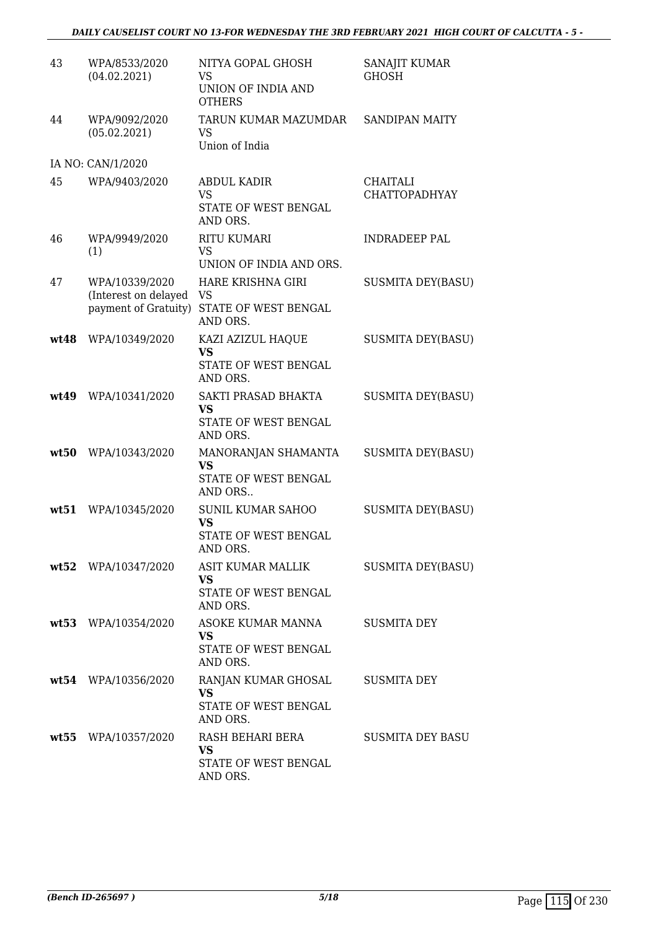| 43   | WPA/8533/2020                                                  | NITYA GOPAL GHOSH                                                    | SANAJIT KUMAR                    |
|------|----------------------------------------------------------------|----------------------------------------------------------------------|----------------------------------|
|      | (04.02.2021)                                                   | VS<br>UNION OF INDIA AND<br><b>OTHERS</b>                            | <b>GHOSH</b>                     |
| 44   | WPA/9092/2020<br>(05.02.2021)                                  | TARUN KUMAR MAZUMDAR<br>VS<br>Union of India                         | <b>SANDIPAN MAITY</b>            |
|      | IA NO: CAN/1/2020                                              |                                                                      |                                  |
| 45   | WPA/9403/2020                                                  | <b>ABDUL KADIR</b><br><b>VS</b><br>STATE OF WEST BENGAL<br>AND ORS.  | CHAITALI<br><b>CHATTOPADHYAY</b> |
| 46   | WPA/9949/2020<br>(1)                                           | <b>RITU KUMARI</b><br><b>VS</b><br>UNION OF INDIA AND ORS.           | <b>INDRADEEP PAL</b>             |
| 47   | WPA/10339/2020<br>(Interest on delayed<br>payment of Gratuity) | HARE KRISHNA GIRI<br>VS<br>STATE OF WEST BENGAL<br>AND ORS.          | <b>SUSMITA DEY(BASU)</b>         |
| wt48 | WPA/10349/2020                                                 | KAZI AZIZUL HAQUE<br><b>VS</b><br>STATE OF WEST BENGAL<br>AND ORS.   | <b>SUSMITA DEY(BASU)</b>         |
| wt49 | WPA/10341/2020                                                 | SAKTI PRASAD BHAKTA<br><b>VS</b><br>STATE OF WEST BENGAL<br>AND ORS. | <b>SUSMITA DEY(BASU)</b>         |
| wt50 | WPA/10343/2020                                                 | MANORANJAN SHAMANTA<br><b>VS</b><br>STATE OF WEST BENGAL<br>AND ORS  | <b>SUSMITA DEY(BASU)</b>         |
| wt51 | WPA/10345/2020                                                 | <b>SUNIL KUMAR SAHOO</b><br>VS<br>STATE OF WEST BENGAL<br>AND ORS.   | <b>SUSMITA DEY(BASU)</b>         |
|      | wt52 WPA/10347/2020                                            | ASIT KUMAR MALLIK<br><b>VS</b><br>STATE OF WEST BENGAL<br>AND ORS.   | <b>SUSMITA DEY(BASU)</b>         |
|      | wt53 WPA/10354/2020                                            | ASOKE KUMAR MANNA<br><b>VS</b><br>STATE OF WEST BENGAL<br>AND ORS.   | SUSMITA DEY                      |
|      | wt54 WPA/10356/2020                                            | RANJAN KUMAR GHOSAL<br><b>VS</b><br>STATE OF WEST BENGAL<br>AND ORS. | <b>SUSMITA DEY</b>               |
|      | wt55 WPA/10357/2020                                            | RASH BEHARI BERA<br><b>VS</b><br>STATE OF WEST BENGAL<br>AND ORS.    | <b>SUSMITA DEY BASU</b>          |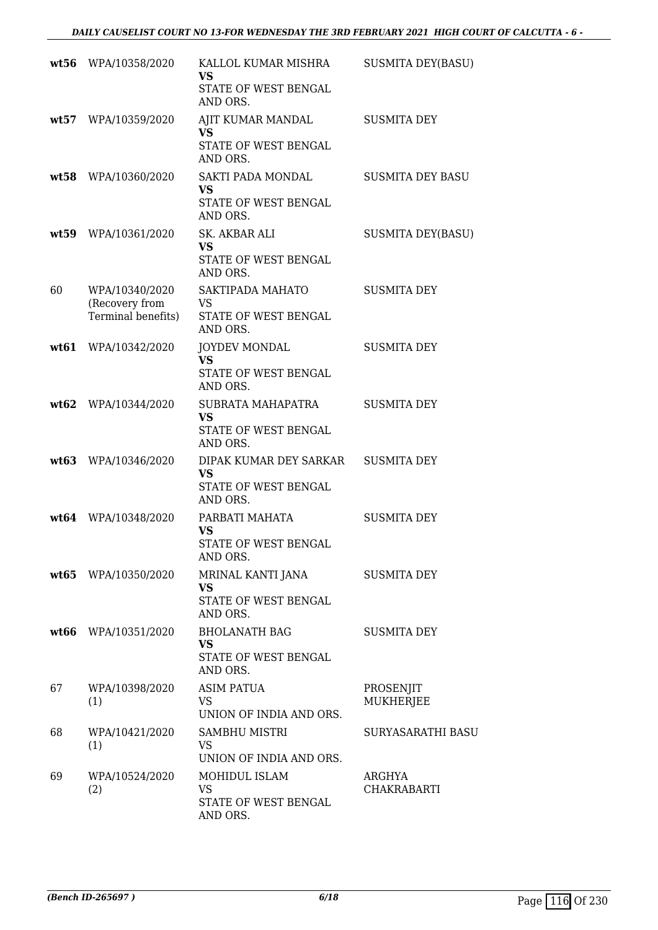|      | wt56 WPA/10358/2020                                    | KALLOL KUMAR MISHRA<br><b>VS</b><br>STATE OF WEST BENGAL<br>AND ORS.    | <b>SUSMITA DEY(BASU)</b>      |
|------|--------------------------------------------------------|-------------------------------------------------------------------------|-------------------------------|
|      | wt57 WPA/10359/2020                                    | AJIT KUMAR MANDAL<br><b>VS</b><br>STATE OF WEST BENGAL<br>AND ORS.      | <b>SUSMITA DEY</b>            |
|      | wt58 WPA/10360/2020                                    | SAKTI PADA MONDAL<br><b>VS</b><br>STATE OF WEST BENGAL<br>AND ORS.      | <b>SUSMITA DEY BASU</b>       |
| wt59 | WPA/10361/2020                                         | SK. AKBAR ALI<br><b>VS</b><br>STATE OF WEST BENGAL<br>AND ORS.          | <b>SUSMITA DEY(BASU)</b>      |
| 60   | WPA/10340/2020<br>(Recovery from<br>Terminal benefits) | SAKTIPADA MAHATO<br>VS<br>STATE OF WEST BENGAL<br>AND ORS.              | <b>SUSMITA DEY</b>            |
| wt61 | WPA/10342/2020                                         | <b>JOYDEV MONDAL</b><br><b>VS</b><br>STATE OF WEST BENGAL<br>AND ORS.   | <b>SUSMITA DEY</b>            |
| wt62 | WPA/10344/2020                                         | SUBRATA MAHAPATRA<br><b>VS</b><br>STATE OF WEST BENGAL<br>AND ORS.      | <b>SUSMITA DEY</b>            |
|      | wt63 WPA/10346/2020                                    | DIPAK KUMAR DEY SARKAR<br><b>VS</b><br>STATE OF WEST BENGAL<br>AND ORS. | <b>SUSMITA DEY</b>            |
|      | wt64 WPA/10348/2020                                    | PARBATI MAHATA<br><b>VS</b><br>STATE OF WEST BENGAL<br>AND ORS.         | <b>SUSMITA DEY</b>            |
|      | wt65 WPA/10350/2020                                    | MRINAL KANTI JANA<br>VS<br>STATE OF WEST BENGAL<br>AND ORS.             | <b>SUSMITA DEY</b>            |
|      | wt66 WPA/10351/2020                                    | <b>BHOLANATH BAG</b><br>VS<br>STATE OF WEST BENGAL<br>AND ORS.          | <b>SUSMITA DEY</b>            |
| 67   | WPA/10398/2020<br>(1)                                  | <b>ASIM PATUA</b><br><b>VS</b><br>UNION OF INDIA AND ORS.               | PROSENJIT<br><b>MUKHERJEE</b> |
| 68   | WPA/10421/2020<br>(1)                                  | SAMBHU MISTRI<br>VS<br>UNION OF INDIA AND ORS.                          | SURYASARATHI BASU             |
| 69   | WPA/10524/2020<br>(2)                                  | MOHIDUL ISLAM<br><b>VS</b><br>STATE OF WEST BENGAL<br>AND ORS.          | ARGHYA<br>CHAKRABARTI         |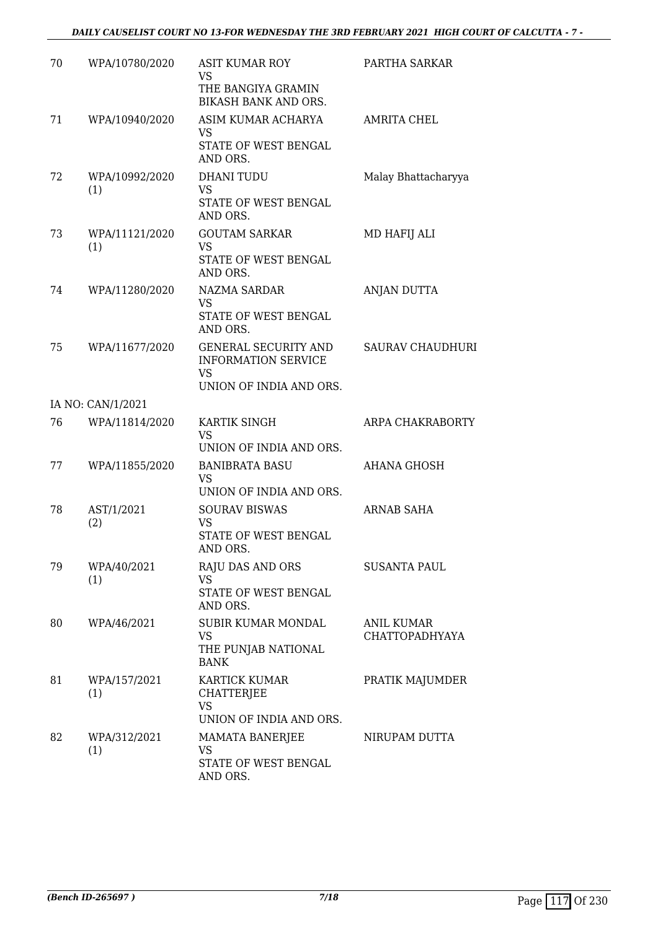| 70 | WPA/10780/2020        | <b>ASIT KUMAR ROY</b><br>VS                                                                       | PARTHA SARKAR                |
|----|-----------------------|---------------------------------------------------------------------------------------------------|------------------------------|
|    |                       | THE BANGIYA GRAMIN<br>BIKASH BANK AND ORS.                                                        |                              |
| 71 | WPA/10940/2020        | ASIM KUMAR ACHARYA<br><b>VS</b><br>STATE OF WEST BENGAL<br>AND ORS.                               | AMRITA CHEL                  |
| 72 | WPA/10992/2020<br>(1) | <b>DHANI TUDU</b><br><b>VS</b><br>STATE OF WEST BENGAL<br>AND ORS.                                | Malay Bhattacharyya          |
| 73 | WPA/11121/2020<br>(1) | <b>GOUTAM SARKAR</b><br>VS<br>STATE OF WEST BENGAL<br>AND ORS.                                    | MD HAFIJ ALI                 |
| 74 | WPA/11280/2020        | NAZMA SARDAR<br>VS.<br>STATE OF WEST BENGAL<br>AND ORS.                                           | ANJAN DUTTA                  |
| 75 | WPA/11677/2020        | <b>GENERAL SECURITY AND</b><br><b>INFORMATION SERVICE</b><br><b>VS</b><br>UNION OF INDIA AND ORS. | <b>SAURAV CHAUDHURI</b>      |
|    | IA NO: CAN/1/2021     |                                                                                                   |                              |
| 76 | WPA/11814/2020        | KARTIK SINGH<br>VS<br>UNION OF INDIA AND ORS.                                                     | ARPA CHAKRABORTY             |
| 77 | WPA/11855/2020        | <b>BANIBRATA BASU</b><br>VS<br>UNION OF INDIA AND ORS.                                            | AHANA GHOSH                  |
| 78 | AST/1/2021<br>(2)     | <b>SOURAV BISWAS</b><br>VS<br>STATE OF WEST BENGAL<br>AND ORS.                                    | ARNAB SAHA                   |
| 79 | WPA/40/2021<br>(1)    | RAJU DAS AND ORS<br>VS<br>STATE OF WEST BENGAL<br>AND ORS.                                        | <b>SUSANTA PAUL</b>          |
| 80 | WPA/46/2021           | SUBIR KUMAR MONDAL<br>VS<br>THE PUNJAB NATIONAL<br><b>BANK</b>                                    | ANIL KUMAR<br>CHATTOPADHYAYA |
| 81 | WPA/157/2021<br>(1)   | <b>KARTICK KUMAR</b><br><b>CHATTERJEE</b><br><b>VS</b><br>UNION OF INDIA AND ORS.                 | PRATIK MAJUMDER              |
| 82 | WPA/312/2021<br>(1)   | MAMATA BANERJEE<br>VS<br>STATE OF WEST BENGAL<br>AND ORS.                                         | NIRUPAM DUTTA                |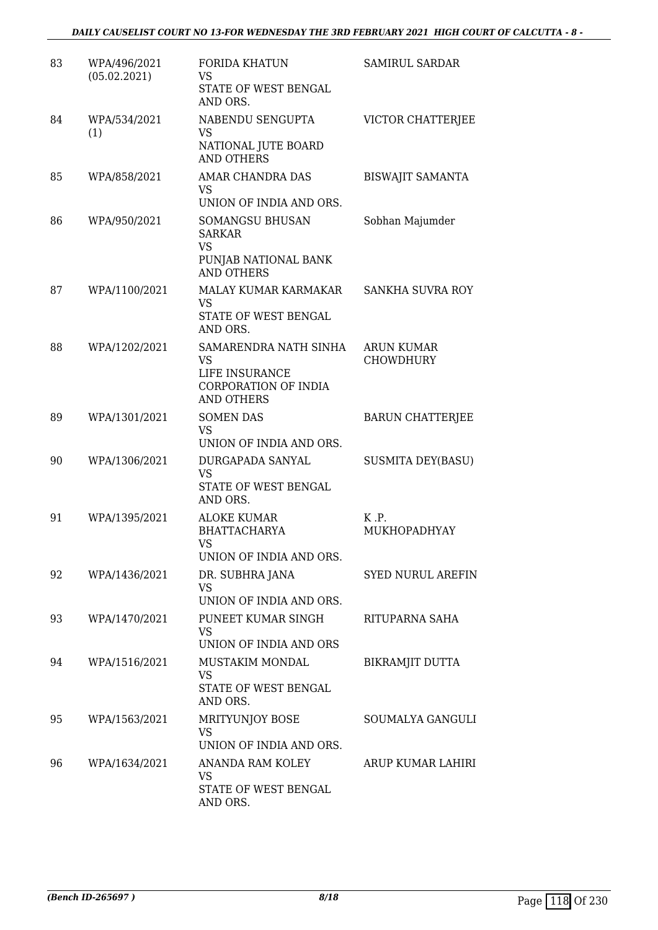| 83 | WPA/496/2021<br>(05.02.2021) | <b>FORIDA KHATUN</b><br>VS<br>STATE OF WEST BENGAL                                         | <b>SAMIRUL SARDAR</b>    |
|----|------------------------------|--------------------------------------------------------------------------------------------|--------------------------|
|    |                              | AND ORS.                                                                                   |                          |
| 84 | WPA/534/2021<br>(1)          | NABENDU SENGUPTA<br>VS<br>NATIONAL JUTE BOARD                                              | VICTOR CHATTERJEE        |
|    |                              | <b>AND OTHERS</b>                                                                          |                          |
| 85 | WPA/858/2021                 | AMAR CHANDRA DAS<br><b>VS</b>                                                              | <b>BISWAJIT SAMANTA</b>  |
|    |                              | UNION OF INDIA AND ORS.                                                                    |                          |
| 86 | WPA/950/2021                 | SOMANGSU BHUSAN<br><b>SARKAR</b><br><b>VS</b><br>PUNJAB NATIONAL BANK<br><b>AND OTHERS</b> | Sobhan Majumder          |
| 87 | WPA/1100/2021                | MALAY KUMAR KARMAKAR                                                                       | SANKHA SUVRA ROY         |
|    |                              | <b>VS</b><br>STATE OF WEST BENGAL<br>AND ORS.                                              |                          |
| 88 | WPA/1202/2021                | SAMARENDRA NATH SINHA                                                                      | <b>ARUN KUMAR</b>        |
|    |                              | <b>VS</b>                                                                                  | <b>CHOWDHURY</b>         |
|    |                              | LIFE INSURANCE<br>CORPORATION OF INDIA<br><b>AND OTHERS</b>                                |                          |
| 89 | WPA/1301/2021                | <b>SOMEN DAS</b>                                                                           | <b>BARUN CHATTERJEE</b>  |
|    |                              | <b>VS</b><br>UNION OF INDIA AND ORS.                                                       |                          |
| 90 | WPA/1306/2021                | DURGAPADA SANYAL<br><b>VS</b>                                                              | <b>SUSMITA DEY(BASU)</b> |
|    |                              | STATE OF WEST BENGAL<br>AND ORS.                                                           |                          |
| 91 | WPA/1395/2021                | <b>ALOKE KUMAR</b>                                                                         | K.P.                     |
|    |                              | <b>BHATTACHARYA</b>                                                                        | MUKHOPADHYAY             |
|    |                              | VS<br>UNION OF INDIA AND ORS.                                                              |                          |
| 92 | WPA/1436/2021                | DR. SUBHRA JANA                                                                            | <b>SYED NURUL AREFIN</b> |
|    |                              | VS.                                                                                        |                          |
|    |                              | UNION OF INDIA AND ORS.                                                                    |                          |
| 93 | WPA/1470/2021                | PUNEET KUMAR SINGH<br>VS                                                                   | RITUPARNA SAHA           |
|    |                              | UNION OF INDIA AND ORS                                                                     |                          |
| 94 | WPA/1516/2021                | <b>MUSTAKIM MONDAL</b>                                                                     | BIKRAMJIT DUTTA          |
|    |                              | VS.<br>STATE OF WEST BENGAL<br>AND ORS.                                                    |                          |
| 95 | WPA/1563/2021                | MRITYUNJOY BOSE                                                                            | SOUMALYA GANGULI         |
|    |                              | VS<br>UNION OF INDIA AND ORS.                                                              |                          |
| 96 | WPA/1634/2021                | ANANDA RAM KOLEY                                                                           | ARUP KUMAR LAHIRI        |
|    |                              | VS.<br>STATE OF WEST BENGAL                                                                |                          |
|    |                              | AND ORS.                                                                                   |                          |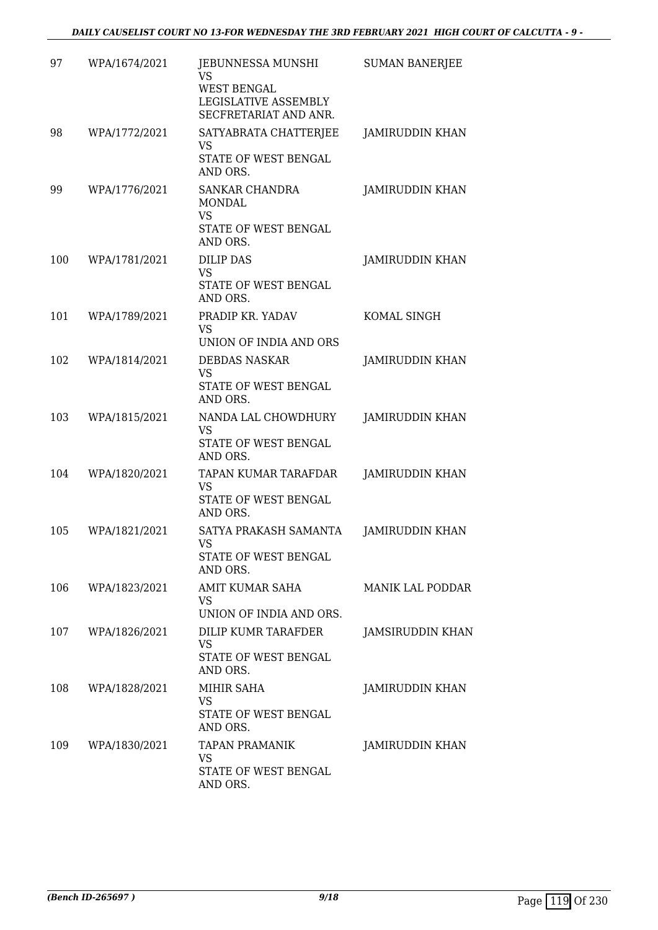| 97  | WPA/1674/2021 | JEBUNNESSA MUNSHI<br>VS<br>WEST BENGAL<br>LEGISLATIVE ASSEMBLY<br>SECFRETARIAT AND ANR. | <b>SUMAN BANERJEE</b>   |
|-----|---------------|-----------------------------------------------------------------------------------------|-------------------------|
| 98  | WPA/1772/2021 | SATYABRATA CHATTERJEE<br><b>VS</b><br>STATE OF WEST BENGAL<br>AND ORS.                  | <b>JAMIRUDDIN KHAN</b>  |
| 99  | WPA/1776/2021 | <b>SANKAR CHANDRA</b><br><b>MONDAL</b><br><b>VS</b><br>STATE OF WEST BENGAL<br>AND ORS. | JAMIRUDDIN KHAN         |
| 100 | WPA/1781/2021 | <b>DILIP DAS</b><br><b>VS</b><br>STATE OF WEST BENGAL<br>AND ORS.                       | <b>JAMIRUDDIN KHAN</b>  |
| 101 | WPA/1789/2021 | PRADIP KR. YADAV<br><b>VS</b><br>UNION OF INDIA AND ORS                                 | KOMAL SINGH             |
| 102 | WPA/1814/2021 | <b>DEBDAS NASKAR</b><br><b>VS</b><br>STATE OF WEST BENGAL<br>AND ORS.                   | JAMIRUDDIN KHAN         |
| 103 | WPA/1815/2021 | NANDA LAL CHOWDHURY<br>VS<br>STATE OF WEST BENGAL<br>AND ORS.                           | <b>JAMIRUDDIN KHAN</b>  |
| 104 | WPA/1820/2021 | TAPAN KUMAR TARAFDAR<br><b>VS</b><br>STATE OF WEST BENGAL<br>AND ORS.                   | <b>JAMIRUDDIN KHAN</b>  |
| 105 | WPA/1821/2021 | SATYA PRAKASH SAMANTA<br>VS.<br>STATE OF WEST BENGAL<br>AND ORS.                        | JAMIRUDDIN KHAN         |
| 106 | WPA/1823/2021 | AMIT KUMAR SAHA<br>VS<br>UNION OF INDIA AND ORS.                                        | <b>MANIK LAL PODDAR</b> |
| 107 | WPA/1826/2021 | DILIP KUMR TARAFDER<br>VS.<br>STATE OF WEST BENGAL<br>AND ORS.                          | <b>JAMSIRUDDIN KHAN</b> |
| 108 | WPA/1828/2021 | MIHIR SAHA<br><b>VS</b><br>STATE OF WEST BENGAL<br>AND ORS.                             | JAMIRUDDIN KHAN         |
| 109 | WPA/1830/2021 | <b>TAPAN PRAMANIK</b><br>VS<br>STATE OF WEST BENGAL<br>AND ORS.                         | JAMIRUDDIN KHAN         |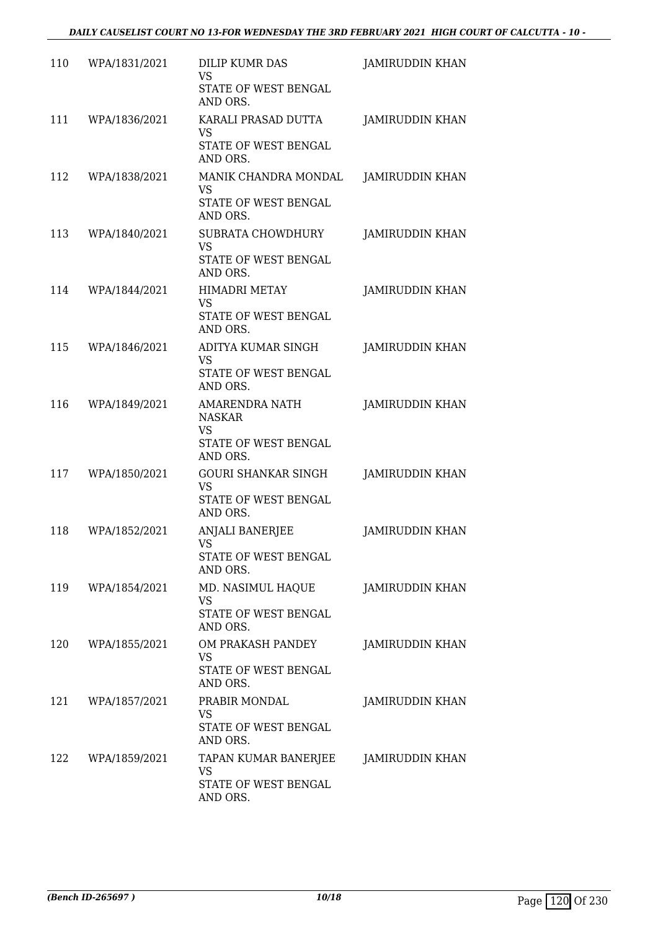| 110 | WPA/1831/2021 | DILIP KUMR DAS<br>VS<br>STATE OF WEST BENGAL<br>AND ORS.                                | <b>JAMIRUDDIN KHAN</b> |
|-----|---------------|-----------------------------------------------------------------------------------------|------------------------|
| 111 | WPA/1836/2021 | KARALI PRASAD DUTTA<br>VS<br>STATE OF WEST BENGAL<br>AND ORS.                           | <b>JAMIRUDDIN KHAN</b> |
| 112 | WPA/1838/2021 | MANIK CHANDRA MONDAL<br><b>VS</b><br>STATE OF WEST BENGAL<br>AND ORS.                   | <b>JAMIRUDDIN KHAN</b> |
| 113 | WPA/1840/2021 | <b>SUBRATA CHOWDHURY</b><br><b>VS</b><br>STATE OF WEST BENGAL<br>AND ORS.               | <b>JAMIRUDDIN KHAN</b> |
| 114 | WPA/1844/2021 | <b>HIMADRI METAY</b><br>VS<br>STATE OF WEST BENGAL<br>AND ORS.                          | <b>JAMIRUDDIN KHAN</b> |
| 115 | WPA/1846/2021 | ADITYA KUMAR SINGH<br><b>VS</b><br>STATE OF WEST BENGAL<br>AND ORS.                     | JAMIRUDDIN KHAN        |
| 116 | WPA/1849/2021 | <b>AMARENDRA NATH</b><br><b>NASKAR</b><br><b>VS</b><br>STATE OF WEST BENGAL<br>AND ORS. | <b>JAMIRUDDIN KHAN</b> |
| 117 | WPA/1850/2021 | <b>GOURI SHANKAR SINGH</b><br>VS<br>STATE OF WEST BENGAL<br>AND ORS.                    | <b>JAMIRUDDIN KHAN</b> |
| 118 | WPA/1852/2021 | <b>ANJALI BANERJEE</b><br>VS.<br>STATE OF WEST BENGAL<br>AND ORS.                       | JAMIRUDDIN KHAN        |
| 119 | WPA/1854/2021 | MD. NASIMUL HAQUE<br><b>VS</b><br>STATE OF WEST BENGAL<br>AND ORS.                      | <b>JAMIRUDDIN KHAN</b> |
| 120 | WPA/1855/2021 | OM PRAKASH PANDEY<br><b>VS</b><br>STATE OF WEST BENGAL<br>AND ORS.                      | <b>JAMIRUDDIN KHAN</b> |
| 121 | WPA/1857/2021 | PRABIR MONDAL<br>VS<br>STATE OF WEST BENGAL<br>AND ORS.                                 | JAMIRUDDIN KHAN        |
| 122 | WPA/1859/2021 | TAPAN KUMAR BANERJEE<br>VS<br>STATE OF WEST BENGAL<br>AND ORS.                          | <b>JAMIRUDDIN KHAN</b> |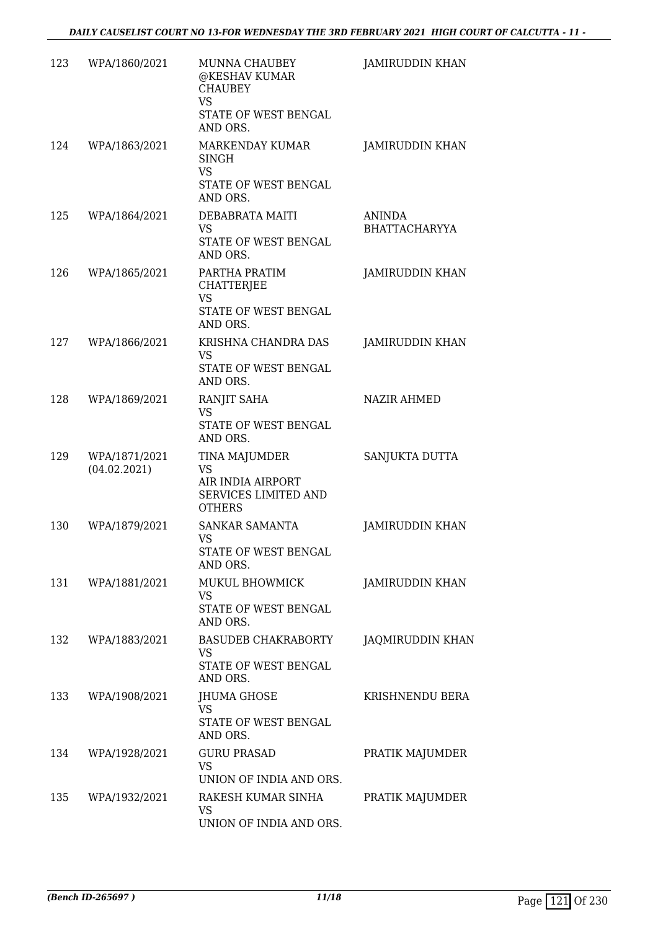| 123 | WPA/1860/2021                 | MUNNA CHAUBEY<br>@KESHAV KUMAR<br><b>CHAUBEY</b><br><b>VS</b><br>STATE OF WEST BENGAL<br>AND ORS. | <b>JAMIRUDDIN KHAN</b>                |
|-----|-------------------------------|---------------------------------------------------------------------------------------------------|---------------------------------------|
| 124 | WPA/1863/2021                 | MARKENDAY KUMAR<br>SINGH<br><b>VS</b><br>STATE OF WEST BENGAL<br>AND ORS.                         | JAMIRUDDIN KHAN                       |
| 125 | WPA/1864/2021                 | DEBABRATA MAITI<br><b>VS</b><br>STATE OF WEST BENGAL<br>AND ORS.                                  | <b>ANINDA</b><br><b>BHATTACHARYYA</b> |
| 126 | WPA/1865/2021                 | PARTHA PRATIM<br>CHATTERJEE<br><b>VS</b><br>STATE OF WEST BENGAL<br>AND ORS.                      | JAMIRUDDIN KHAN                       |
| 127 | WPA/1866/2021                 | KRISHNA CHANDRA DAS<br>VS.<br>STATE OF WEST BENGAL<br>AND ORS.                                    | <b>JAMIRUDDIN KHAN</b>                |
| 128 | WPA/1869/2021                 | RANJIT SAHA<br><b>VS</b><br>STATE OF WEST BENGAL<br>AND ORS.                                      | <b>NAZIR AHMED</b>                    |
| 129 | WPA/1871/2021<br>(04.02.2021) | TINA MAJUMDER<br><b>VS</b><br>AIR INDIA AIRPORT<br>SERVICES LIMITED AND<br><b>OTHERS</b>          | SANJUKTA DUTTA                        |
| 130 | WPA/1879/2021                 | SANKAR SAMANTA<br>VS<br>STATE OF WEST BENGAL<br>AND ORS.                                          | JAMIRUDDIN KHAN                       |
| 131 | WPA/1881/2021                 | MUKUL BHOWMICK<br><b>VS</b><br>STATE OF WEST BENGAL<br>AND ORS.                                   | JAMIRUDDIN KHAN                       |
| 132 | WPA/1883/2021                 | <b>BASUDEB CHAKRABORTY</b><br><b>VS</b><br>STATE OF WEST BENGAL<br>AND ORS.                       | <b>JAQMIRUDDIN KHAN</b>               |
| 133 | WPA/1908/2021                 | JHUMA GHOSE<br>VS.<br>STATE OF WEST BENGAL<br>AND ORS.                                            | KRISHNENDU BERA                       |
| 134 | WPA/1928/2021                 | <b>GURU PRASAD</b><br><b>VS</b><br>UNION OF INDIA AND ORS.                                        | PRATIK MAJUMDER                       |
| 135 | WPA/1932/2021                 | RAKESH KUMAR SINHA<br>VS<br>UNION OF INDIA AND ORS.                                               | PRATIK MAJUMDER                       |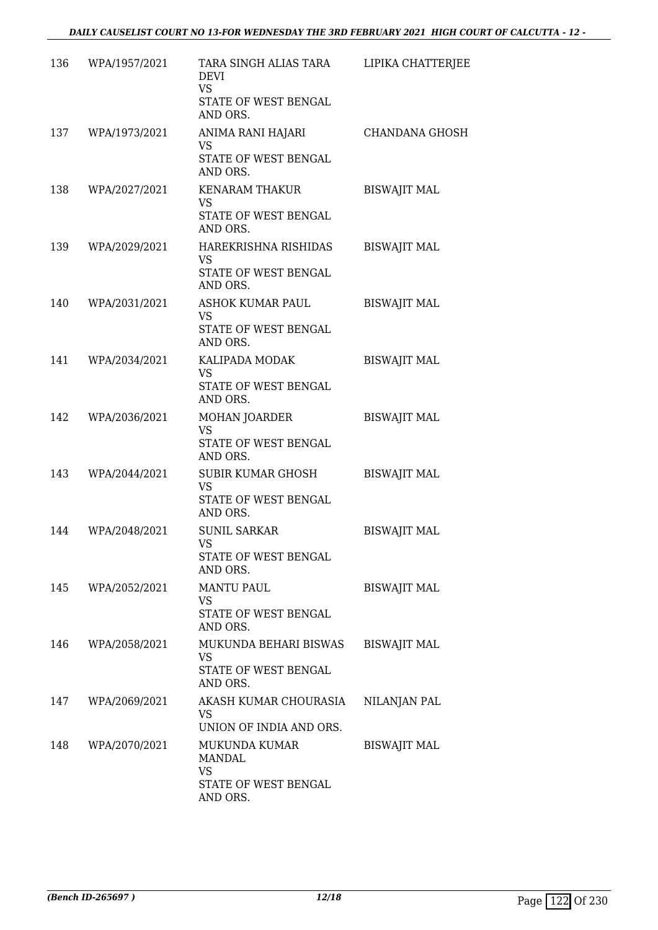| 136 | WPA/1957/2021 | TARA SINGH ALIAS TARA<br>DEVI<br><b>VS</b><br>STATE OF WEST BENGAL<br>AND ORS.  | LIPIKA CHATTERJEE     |
|-----|---------------|---------------------------------------------------------------------------------|-----------------------|
| 137 | WPA/1973/2021 | ANIMA RANI HAJARI<br><b>VS</b><br>STATE OF WEST BENGAL<br>AND ORS.              | <b>CHANDANA GHOSH</b> |
| 138 | WPA/2027/2021 | <b>KENARAM THAKUR</b><br><b>VS</b><br>STATE OF WEST BENGAL<br>AND ORS.          | <b>BISWAJIT MAL</b>   |
| 139 | WPA/2029/2021 | HAREKRISHNA RISHIDAS<br><b>VS</b><br>STATE OF WEST BENGAL<br>AND ORS.           | <b>BISWAJIT MAL</b>   |
| 140 | WPA/2031/2021 | <b>ASHOK KUMAR PAUL</b><br><b>VS</b><br>STATE OF WEST BENGAL<br>AND ORS.        | <b>BISWAJIT MAL</b>   |
| 141 | WPA/2034/2021 | KALIPADA MODAK<br><b>VS</b><br>STATE OF WEST BENGAL<br>AND ORS.                 | <b>BISWAJIT MAL</b>   |
| 142 | WPA/2036/2021 | MOHAN JOARDER<br><b>VS</b><br>STATE OF WEST BENGAL<br>AND ORS.                  | <b>BISWAJIT MAL</b>   |
| 143 | WPA/2044/2021 | SUBIR KUMAR GHOSH<br><b>VS</b><br>STATE OF WEST BENGAL<br>AND ORS.              | <b>BISWAJIT MAL</b>   |
| 144 | WPA/2048/2021 | <b>SUNIL SARKAR</b><br>VS.<br>STATE OF WEST BENGAL<br>AND ORS.                  | <b>BISWAJIT MAL</b>   |
| 145 | WPA/2052/2021 | <b>MANTU PAUL</b><br>VS<br>STATE OF WEST BENGAL<br>AND ORS.                     | <b>BISWAJIT MAL</b>   |
| 146 | WPA/2058/2021 | MUKUNDA BEHARI BISWAS<br><b>VS</b><br>STATE OF WEST BENGAL<br>AND ORS.          | <b>BISWAJIT MAL</b>   |
| 147 | WPA/2069/2021 | AKASH KUMAR CHOURASIA<br>VS<br>UNION OF INDIA AND ORS.                          | NILANJAN PAL          |
| 148 | WPA/2070/2021 | MUKUNDA KUMAR<br><b>MANDAL</b><br><b>VS</b><br>STATE OF WEST BENGAL<br>AND ORS. | <b>BISWAJIT MAL</b>   |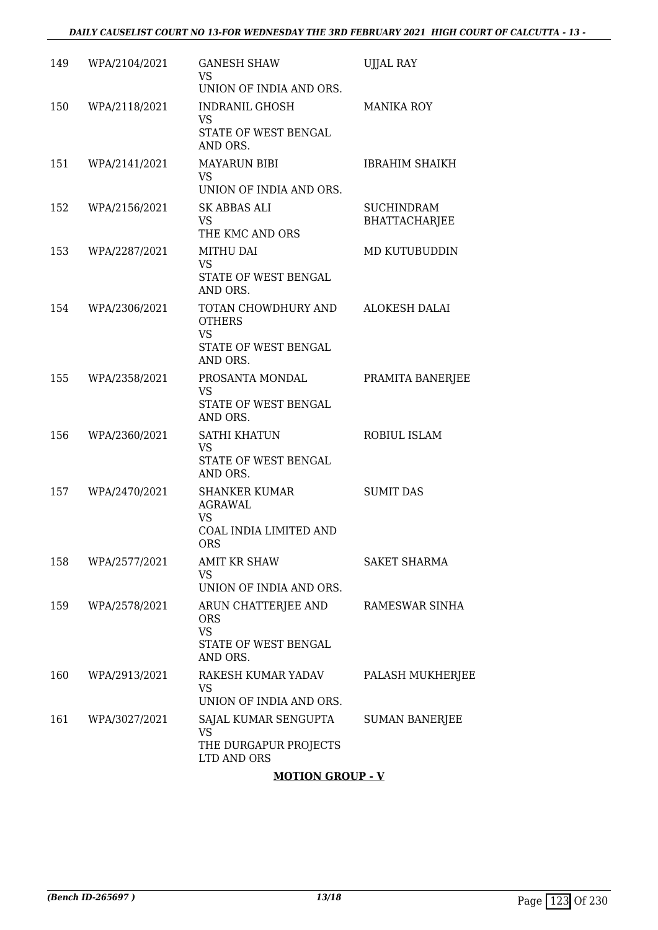| 149 | WPA/2104/2021 | <b>GANESH SHAW</b><br>VS.<br>UNION OF INDIA AND ORS.                                  | <b>UJJAL RAY</b>                          |
|-----|---------------|---------------------------------------------------------------------------------------|-------------------------------------------|
| 150 | WPA/2118/2021 | INDRANIL GHOSH<br><b>VS</b><br>STATE OF WEST BENGAL<br>AND ORS.                       | <b>MANIKA ROY</b>                         |
| 151 | WPA/2141/2021 | <b>MAYARUN BIBI</b><br>VS.<br>UNION OF INDIA AND ORS.                                 | <b>IBRAHIM SHAIKH</b>                     |
| 152 | WPA/2156/2021 | <b>SK ABBAS ALI</b><br><b>VS</b><br>THE KMC AND ORS                                   | <b>SUCHINDRAM</b><br><b>BHATTACHARJEE</b> |
| 153 | WPA/2287/2021 | MITHU DAI<br>VS<br>STATE OF WEST BENGAL<br>AND ORS.                                   | MD KUTUBUDDIN                             |
| 154 | WPA/2306/2021 | TOTAN CHOWDHURY AND<br><b>OTHERS</b><br><b>VS</b><br>STATE OF WEST BENGAL<br>AND ORS. | ALOKESH DALAI                             |
| 155 | WPA/2358/2021 | PROSANTA MONDAL<br><b>VS</b><br>STATE OF WEST BENGAL<br>AND ORS.                      | PRAMITA BANERJEE                          |
| 156 | WPA/2360/2021 | SATHI KHATUN<br><b>VS</b><br>STATE OF WEST BENGAL<br>AND ORS.                         | ROBIUL ISLAM                              |
| 157 | WPA/2470/2021 | <b>SHANKER KUMAR</b><br>AGRAWAL<br><b>VS</b><br>COAL INDIA LIMITED AND<br>ORS.        | <b>SUMIT DAS</b>                          |
| 158 | WPA/2577/2021 | <b>AMIT KR SHAW</b><br>VS<br>UNION OF INDIA AND ORS.                                  | <b>SAKET SHARMA</b>                       |
| 159 | WPA/2578/2021 | ARUN CHATTERJEE AND<br><b>ORS</b><br><b>VS</b><br>STATE OF WEST BENGAL<br>AND ORS.    | RAMESWAR SINHA                            |
| 160 | WPA/2913/2021 | RAKESH KUMAR YADAV<br>VS<br>UNION OF INDIA AND ORS.                                   | PALASH MUKHERJEE                          |
| 161 | WPA/3027/2021 | SAJAL KUMAR SENGUPTA<br>VS<br>THE DURGAPUR PROJECTS<br>LTD AND ORS                    | <b>SUMAN BANERJEE</b>                     |

### **MOTION GROUP - V**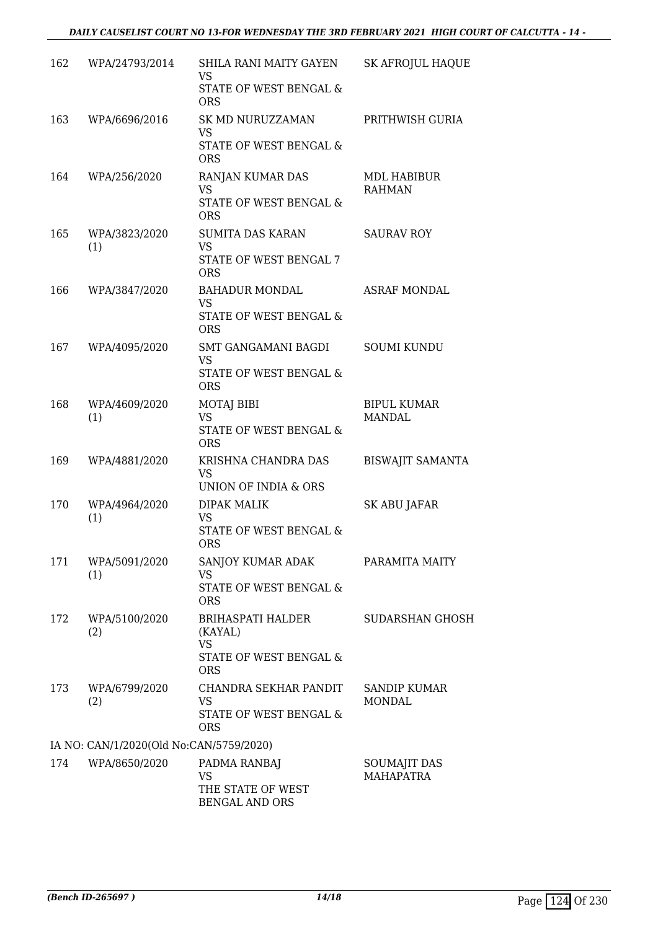| 162 | WPA/24793/2014                          | SHILA RANI MAITY GAYEN<br>VS                      | <b>SK AFROJUL HAQUE</b>             |
|-----|-----------------------------------------|---------------------------------------------------|-------------------------------------|
|     |                                         | STATE OF WEST BENGAL &<br><b>ORS</b>              |                                     |
| 163 | WPA/6696/2016                           | SK MD NURUZZAMAN<br><b>VS</b>                     | PRITHWISH GURIA                     |
|     |                                         | STATE OF WEST BENGAL &<br><b>ORS</b>              |                                     |
| 164 | WPA/256/2020                            | RANJAN KUMAR DAS<br><b>VS</b>                     | <b>MDL HABIBUR</b><br><b>RAHMAN</b> |
|     |                                         | STATE OF WEST BENGAL &<br><b>ORS</b>              |                                     |
| 165 | WPA/3823/2020<br>(1)                    | <b>SUMITA DAS KARAN</b><br><b>VS</b>              | <b>SAURAV ROY</b>                   |
|     |                                         | STATE OF WEST BENGAL 7<br><b>ORS</b>              |                                     |
| 166 | WPA/3847/2020                           | <b>BAHADUR MONDAL</b><br>VS                       | <b>ASRAF MONDAL</b>                 |
|     |                                         | STATE OF WEST BENGAL &<br><b>ORS</b>              |                                     |
| 167 | WPA/4095/2020                           | SMT GANGAMANI BAGDI<br><b>VS</b>                  | <b>SOUMI KUNDU</b>                  |
|     |                                         | STATE OF WEST BENGAL &<br><b>ORS</b>              |                                     |
| 168 | WPA/4609/2020<br>(1)                    | <b>MOTAJ BIBI</b><br><b>VS</b>                    | <b>BIPUL KUMAR</b><br>MANDAL        |
|     |                                         | STATE OF WEST BENGAL &<br><b>ORS</b>              |                                     |
| 169 | WPA/4881/2020                           | KRISHNA CHANDRA DAS<br>VS                         | <b>BISWAJIT SAMANTA</b>             |
|     |                                         | UNION OF INDIA & ORS                              |                                     |
| 170 | WPA/4964/2020<br>(1)                    | <b>DIPAK MALIK</b><br><b>VS</b>                   | SK ABU JAFAR                        |
|     |                                         | STATE OF WEST BENGAL &<br>ORS.                    |                                     |
| 171 | WPA/5091/2020<br>(1)                    | SANJOY KUMAR ADAK<br>VS                           | PARAMITA MAITY                      |
|     |                                         | STATE OF WEST BENGAL &<br><b>ORS</b>              |                                     |
| 172 | WPA/5100/2020<br>(2)                    | BRIHASPATI HALDER<br>(KAYAL)                      | <b>SUDARSHAN GHOSH</b>              |
|     |                                         | <b>VS</b><br>STATE OF WEST BENGAL &<br><b>ORS</b> |                                     |
| 173 | WPA/6799/2020<br>(2)                    | CHANDRA SEKHAR PANDIT<br><b>VS</b>                | SANDIP KUMAR<br><b>MONDAL</b>       |
|     |                                         | STATE OF WEST BENGAL &<br><b>ORS</b>              |                                     |
|     | IA NO: CAN/1/2020(Old No:CAN/5759/2020) |                                                   |                                     |
| 174 | WPA/8650/2020                           | PADMA RANBAJ<br><b>VS</b>                         | SOUMAJIT DAS<br><b>MAHAPATRA</b>    |
|     |                                         | THE STATE OF WEST<br><b>BENGAL AND ORS</b>        |                                     |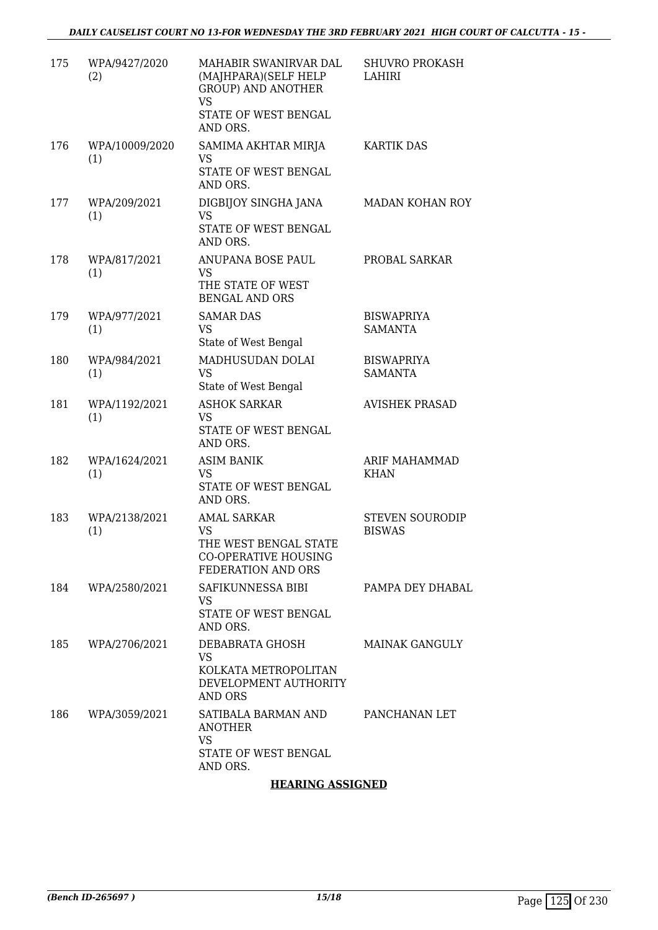| 175 | WPA/9427/2020<br>(2)  | MAHABIR SWANIRVAR DAL<br>(MAJHPARA)(SELF HELP<br><b>GROUP) AND ANOTHER</b><br><b>VS</b><br>STATE OF WEST BENGAL<br>AND ORS. | <b>SHUVRO PROKASH</b><br>LAHIRI         |
|-----|-----------------------|-----------------------------------------------------------------------------------------------------------------------------|-----------------------------------------|
| 176 | WPA/10009/2020<br>(1) | SAMIMA AKHTAR MIRJA<br><b>VS</b><br>STATE OF WEST BENGAL<br>AND ORS.                                                        | <b>KARTIK DAS</b>                       |
| 177 | WPA/209/2021<br>(1)   | DIGBIJOY SINGHA JANA<br><b>VS</b><br>STATE OF WEST BENGAL<br>AND ORS.                                                       | MADAN KOHAN ROY                         |
| 178 | WPA/817/2021<br>(1)   | ANUPANA BOSE PAUL<br>VS<br>THE STATE OF WEST<br><b>BENGAL AND ORS</b>                                                       | PROBAL SARKAR                           |
| 179 | WPA/977/2021<br>(1)   | <b>SAMAR DAS</b><br><b>VS</b><br>State of West Bengal                                                                       | <b>BISWAPRIYA</b><br><b>SAMANTA</b>     |
| 180 | WPA/984/2021<br>(1)   | MADHUSUDAN DOLAI<br><b>VS</b><br>State of West Bengal                                                                       | <b>BISWAPRIYA</b><br><b>SAMANTA</b>     |
| 181 | WPA/1192/2021<br>(1)  | <b>ASHOK SARKAR</b><br><b>VS</b><br>STATE OF WEST BENGAL<br>AND ORS.                                                        | <b>AVISHEK PRASAD</b>                   |
| 182 | WPA/1624/2021<br>(1)  | <b>ASIM BANIK</b><br>VS.<br>STATE OF WEST BENGAL<br>AND ORS.                                                                | ARIF MAHAMMAD<br><b>KHAN</b>            |
| 183 | WPA/2138/2021<br>(1)  | <b>AMAL SARKAR</b><br><b>VS</b><br>THE WEST BENGAL STATE<br><b>CO-OPERATIVE HOUSING</b><br>FEDERATION AND ORS               | <b>STEVEN SOURODIP</b><br><b>BISWAS</b> |
| 184 | WPA/2580/2021         | SAFIKUNNESSA BIBI<br>VS<br>STATE OF WEST BENGAL<br>AND ORS.                                                                 | PAMPA DEY DHABAL                        |
| 185 | WPA/2706/2021         | DEBABRATA GHOSH<br><b>VS</b><br>KOLKATA METROPOLITAN<br>DEVELOPMENT AUTHORITY<br>AND ORS                                    | <b>MAINAK GANGULY</b>                   |
| 186 | WPA/3059/2021         | SATIBALA BARMAN AND<br><b>ANOTHER</b><br><b>VS</b><br>STATE OF WEST BENGAL<br>AND ORS.                                      | PANCHANAN LET                           |

### **HEARING ASSIGNED**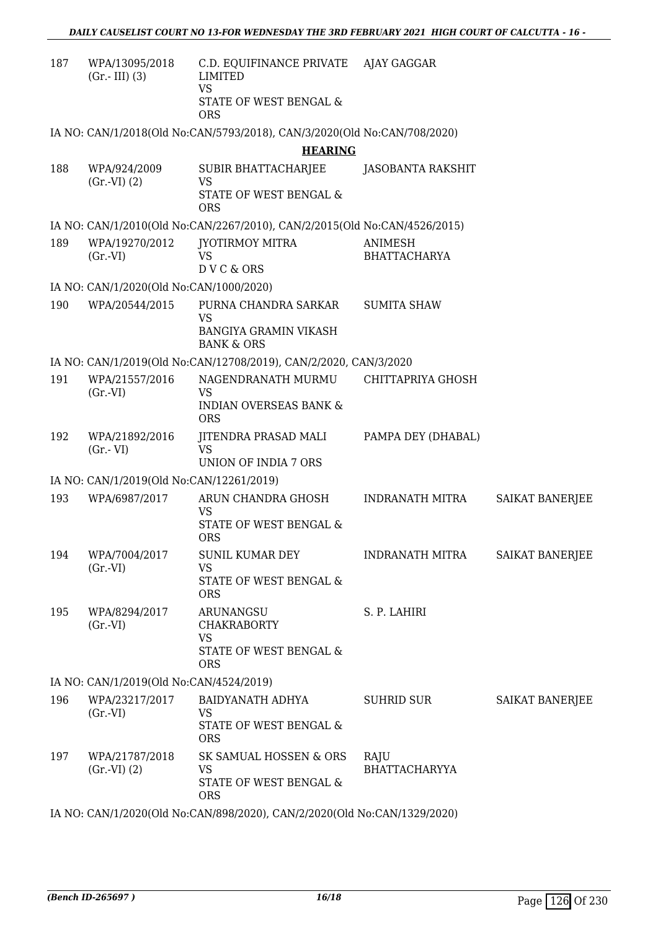| 187 | WPA/13095/2018<br>$(Gr.-III)$ (3)        | C.D. EQUIFINANCE PRIVATE AJAY GAGGAR<br><b>LIMITED</b><br><b>VS</b>       |                      |                        |
|-----|------------------------------------------|---------------------------------------------------------------------------|----------------------|------------------------|
|     |                                          | STATE OF WEST BENGAL &<br><b>ORS</b>                                      |                      |                        |
|     |                                          | IA NO: CAN/1/2018(Old No:CAN/5793/2018), CAN/3/2020(Old No:CAN/708/2020)  |                      |                        |
|     |                                          | <b>HEARING</b>                                                            |                      |                        |
| 188 | WPA/924/2009<br>(Gr.VI) (2)              | <b>SUBIR BHATTACHARJEE</b><br><b>VS</b><br>STATE OF WEST BENGAL &         | JASOBANTA RAKSHIT    |                        |
|     |                                          | <b>ORS</b>                                                                |                      |                        |
|     |                                          | IA NO: CAN/1/2010(Old No:CAN/2267/2010), CAN/2/2015(Old No:CAN/4526/2015) |                      |                        |
| 189 | WPA/19270/2012                           | JYOTIRMOY MITRA                                                           | ANIMESH              |                        |
|     | $(Gr.-VI)$                               | VS<br>DVC & ORS                                                           | <b>BHATTACHARYA</b>  |                        |
|     | IA NO: CAN/1/2020(Old No:CAN/1000/2020)  |                                                                           |                      |                        |
| 190 | WPA/20544/2015                           | PURNA CHANDRA SARKAR                                                      | <b>SUMITA SHAW</b>   |                        |
|     |                                          | <b>VS</b>                                                                 |                      |                        |
|     |                                          | BANGIYA GRAMIN VIKASH<br><b>BANK &amp; ORS</b>                            |                      |                        |
|     |                                          | IA NO: CAN/1/2019(Old No:CAN/12708/2019), CAN/2/2020, CAN/3/2020          |                      |                        |
| 191 | WPA/21557/2016                           | NAGENDRANATH MURMU                                                        | CHITTAPRIYA GHOSH    |                        |
|     | $(Gr.-VI)$                               | <b>VS</b><br><b>INDIAN OVERSEAS BANK &amp;</b><br><b>ORS</b>              |                      |                        |
| 192 | WPA/21892/2016<br>$(Gr.-VI)$             | JITENDRA PRASAD MALI<br><b>VS</b><br>UNION OF INDIA 7 ORS                 | PAMPA DEY (DHABAL)   |                        |
|     | IA NO: CAN/1/2019(Old No:CAN/12261/2019) |                                                                           |                      |                        |
| 193 | WPA/6987/2017                            | ARUN CHANDRA GHOSH                                                        | INDRANATH MITRA      | SAIKAT BANERJEE        |
|     |                                          | VS                                                                        |                      |                        |
|     |                                          | STATE OF WEST BENGAL &<br><b>ORS</b>                                      |                      |                        |
|     | 194 WPA/7004/2017                        | SUNIL KUMAR DEY                                                           | INDRANATH MITRA      | <b>SAIKAT BANERJEE</b> |
|     | $(Gr.-VI)$                               | <b>VS</b><br>STATE OF WEST BENGAL &                                       |                      |                        |
|     |                                          | <b>ORS</b>                                                                |                      |                        |
| 195 | WPA/8294/2017                            | ARUNANGSU                                                                 | S. P. LAHIRI         |                        |
|     | $(Gr.-VI)$                               | <b>CHAKRABORTY</b><br><b>VS</b>                                           |                      |                        |
|     |                                          | STATE OF WEST BENGAL &                                                    |                      |                        |
|     |                                          | <b>ORS</b>                                                                |                      |                        |
|     | IA NO: CAN/1/2019(Old No:CAN/4524/2019)  |                                                                           |                      |                        |
| 196 | WPA/23217/2017<br>(Gr.VI)                | BAIDYANATH ADHYA<br><b>VS</b>                                             | <b>SUHRID SUR</b>    | SAIKAT BANERJEE        |
|     |                                          | STATE OF WEST BENGAL &<br><b>ORS</b>                                      |                      |                        |
| 197 | WPA/21787/2018                           | SK SAMUAL HOSSEN & ORS                                                    | RAJU                 |                        |
|     | (Gr.VI) (2)                              | VS<br>STATE OF WEST BENGAL &<br><b>ORS</b>                                | <b>BHATTACHARYYA</b> |                        |
|     |                                          | IA NO: CAN/1/2020(Old No:CAN/898/2020), CAN/2/2020(Old No:CAN/1329/2020)  |                      |                        |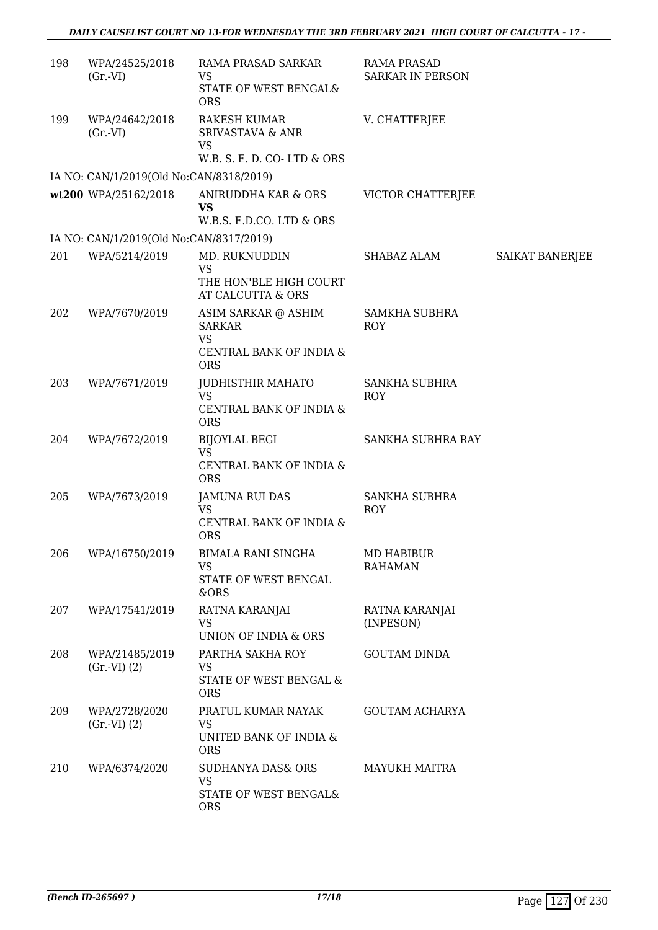| 198 | WPA/24525/2018<br>$(Gr.-VI)$            | RAMA PRASAD SARKAR<br>VS<br>STATE OF WEST BENGAL&                                | <b>RAMA PRASAD</b><br><b>SARKAR IN PERSON</b> |                 |
|-----|-----------------------------------------|----------------------------------------------------------------------------------|-----------------------------------------------|-----------------|
| 199 | WPA/24642/2018<br>$(Gr.-VI)$            | <b>ORS</b><br>RAKESH KUMAR<br><b>SRIVASTAVA &amp; ANR</b><br>VS                  | V. CHATTERJEE                                 |                 |
|     |                                         | W.B. S. E. D. CO-LTD & ORS                                                       |                                               |                 |
|     | IA NO: CAN/1/2019(Old No:CAN/8318/2019) |                                                                                  |                                               |                 |
|     | wt200 WPA/25162/2018                    | ANIRUDDHA KAR & ORS<br><b>VS</b><br>W.B.S. E.D.CO. LTD & ORS                     | VICTOR CHATTERJEE                             |                 |
|     | IA NO: CAN/1/2019(Old No:CAN/8317/2019) |                                                                                  |                                               |                 |
| 201 | WPA/5214/2019                           | MD. RUKNUDDIN<br><b>VS</b>                                                       | SHABAZ ALAM                                   | SAIKAT BANERJEE |
|     |                                         | THE HON'BLE HIGH COURT<br>AT CALCUTTA & ORS                                      |                                               |                 |
| 202 | WPA/7670/2019                           | ASIM SARKAR @ ASHIM<br><b>SARKAR</b><br>VS<br>CENTRAL BANK OF INDIA &            | <b>SAMKHA SUBHRA</b><br>ROY                   |                 |
|     |                                         | <b>ORS</b>                                                                       |                                               |                 |
| 203 | WPA/7671/2019                           | JUDHISTHIR MAHATO<br><b>VS</b><br>CENTRAL BANK OF INDIA &<br><b>ORS</b>          | <b>SANKHA SUBHRA</b><br><b>ROY</b>            |                 |
| 204 | WPA/7672/2019                           | <b>BIJOYLAL BEGI</b><br><b>VS</b><br>CENTRAL BANK OF INDIA &                     | SANKHA SUBHRA RAY                             |                 |
|     |                                         | <b>ORS</b>                                                                       |                                               |                 |
| 205 | WPA/7673/2019                           | <b>JAMUNA RUI DAS</b><br><b>VS</b><br>CENTRAL BANK OF INDIA &<br><b>ORS</b>      | <b>SANKHA SUBHRA</b><br><b>ROY</b>            |                 |
| 206 | WPA/16750/2019                          | <b>BIMALA RANI SINGHA</b><br><b>VS</b><br>STATE OF WEST BENGAL<br>&ORS           | MD HABIBUR<br><b>RAHAMAN</b>                  |                 |
| 207 | WPA/17541/2019                          | RATNA KARANJAI<br>VS<br>UNION OF INDIA & ORS                                     | RATNA KARANJAI<br>(INPESON)                   |                 |
| 208 | WPA/21485/2019<br>(Gr.VI) (2)           | PARTHA SAKHA ROY<br>VS<br>STATE OF WEST BENGAL &<br><b>ORS</b>                   | <b>GOUTAM DINDA</b>                           |                 |
| 209 | WPA/2728/2020<br>(Gr.VI) (2)            | PRATUL KUMAR NAYAK<br>VS<br>UNITED BANK OF INDIA &<br><b>ORS</b>                 | <b>GOUTAM ACHARYA</b>                         |                 |
| 210 | WPA/6374/2020                           | <b>SUDHANYA DAS&amp; ORS</b><br><b>VS</b><br>STATE OF WEST BENGAL&<br><b>ORS</b> | <b>MAYUKH MAITRA</b>                          |                 |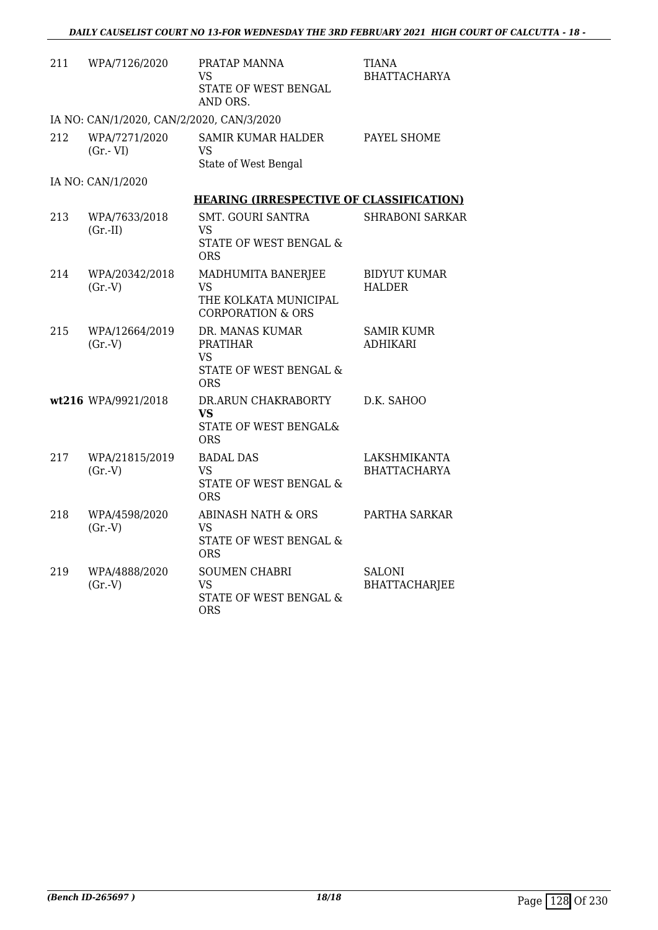| 211 | WPA/7126/2020                             | PRATAP MANNA<br><b>VS</b><br>STATE OF WEST BENGAL<br>AND ORS.                           | TIANA<br><b>BHATTACHARYA</b>         |
|-----|-------------------------------------------|-----------------------------------------------------------------------------------------|--------------------------------------|
|     | IA NO: CAN/1/2020, CAN/2/2020, CAN/3/2020 |                                                                                         |                                      |
| 212 | WPA/7271/2020<br>$(Gr.-VI)$               | <b>SAMIR KUMAR HALDER</b><br>VS<br>State of West Bengal                                 | PAYEL SHOME                          |
|     | IA NO: CAN/1/2020                         |                                                                                         |                                      |
|     |                                           | <b>HEARING (IRRESPECTIVE OF CLASSIFICATION)</b>                                         |                                      |
| 213 | WPA/7633/2018<br>$(Gr.-II)$               | <b>SMT. GOURI SANTRA</b><br>VS<br>STATE OF WEST BENGAL &<br><b>ORS</b>                  | <b>SHRABONI SARKAR</b>               |
| 214 | WPA/20342/2018<br>(Gr.V)                  | MADHUMITA BANERJEE<br>VS<br>THE KOLKATA MUNICIPAL<br><b>CORPORATION &amp; ORS</b>       | <b>BIDYUT KUMAR</b><br><b>HALDER</b> |
| 215 | WPA/12664/2019<br>(Gr.V)                  | DR. MANAS KUMAR<br><b>PRATIHAR</b><br><b>VS</b><br>STATE OF WEST BENGAL &<br><b>ORS</b> | <b>SAMIR KUMR</b><br><b>ADHIKARI</b> |
|     | wt216 WPA/9921/2018                       | DR.ARUN CHAKRABORTY<br><b>VS</b><br>STATE OF WEST BENGAL&<br><b>ORS</b>                 | D.K. SAHOO                           |
| 217 | WPA/21815/2019<br>$(Gr.-V)$               | <b>BADAL DAS</b><br><b>VS</b><br>STATE OF WEST BENGAL &<br><b>ORS</b>                   | LAKSHMIKANTA<br><b>BHATTACHARYA</b>  |
| 218 | WPA/4598/2020<br>(Gr.V)                   | <b>ABINASH NATH &amp; ORS</b><br>VS<br>STATE OF WEST BENGAL &<br><b>ORS</b>             | PARTHA SARKAR                        |
| 219 | WPA/4888/2020<br>$(Gr.-V)$                | <b>SOUMEN CHABRI</b><br><b>VS</b><br>STATE OF WEST BENGAL &<br><b>ORS</b>               | <b>SALONI</b><br>BHATTACHARJEE       |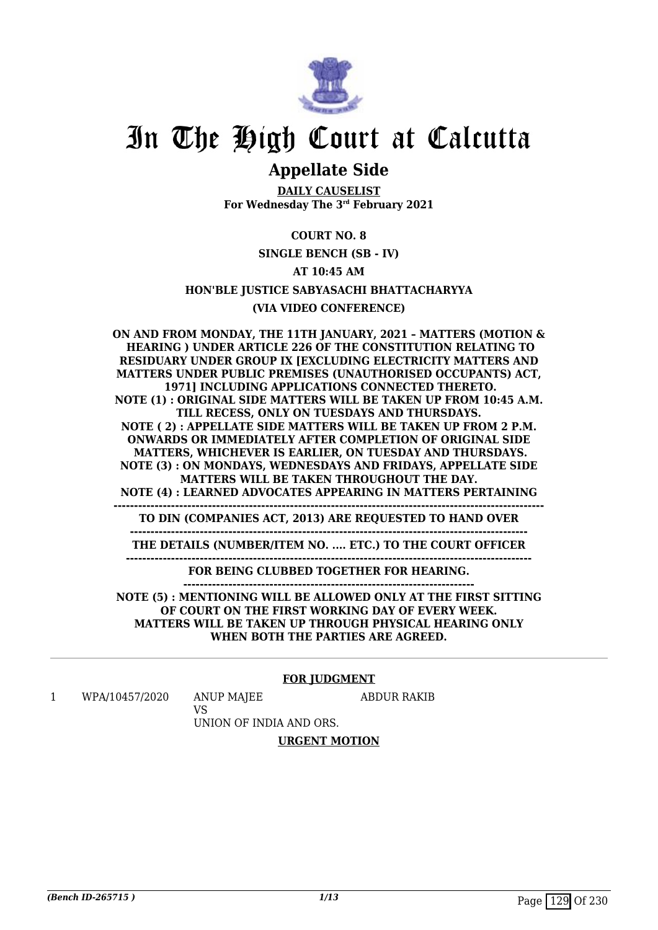

# In The High Court at Calcutta

## **Appellate Side**

**DAILY CAUSELIST For Wednesday The 3rd February 2021**

### **COURT NO. 8**

**SINGLE BENCH (SB - IV)**

### **AT 10:45 AM**

**HON'BLE JUSTICE SABYASACHI BHATTACHARYYA**

### **(VIA VIDEO CONFERENCE)**

**ON AND FROM MONDAY, THE 11TH JANUARY, 2021 – MATTERS (MOTION & HEARING ) UNDER ARTICLE 226 OF THE CONSTITUTION RELATING TO RESIDUARY UNDER GROUP IX [EXCLUDING ELECTRICITY MATTERS AND MATTERS UNDER PUBLIC PREMISES (UNAUTHORISED OCCUPANTS) ACT, 1971] INCLUDING APPLICATIONS CONNECTED THERETO. NOTE (1) : ORIGINAL SIDE MATTERS WILL BE TAKEN UP FROM 10:45 A.M. TILL RECESS, ONLY ON TUESDAYS AND THURSDAYS. NOTE ( 2) : APPELLATE SIDE MATTERS WILL BE TAKEN UP FROM 2 P.M. ONWARDS OR IMMEDIATELY AFTER COMPLETION OF ORIGINAL SIDE MATTERS, WHICHEVER IS EARLIER, ON TUESDAY AND THURSDAYS. NOTE (3) : ON MONDAYS, WEDNESDAYS AND FRIDAYS, APPELLATE SIDE MATTERS WILL BE TAKEN THROUGHOUT THE DAY. NOTE (4) : LEARNED ADVOCATES APPEARING IN MATTERS PERTAINING --------------------------------------------------------------------------------------------------------- TO DIN (COMPANIES ACT, 2013) ARE REQUESTED TO HAND OVER ------------------------------------------------------------------------------------------------- THE DETAILS (NUMBER/ITEM NO. .... ETC.) TO THE COURT OFFICER --------------------------------------------------------------------------------------------------- FOR BEING CLUBBED TOGETHER FOR HEARING. ----------------------------------------------------------------------- NOTE (5) : MENTIONING WILL BE ALLOWED ONLY AT THE FIRST SITTING OF COURT ON THE FIRST WORKING DAY OF EVERY WEEK. MATTERS WILL BE TAKEN UP THROUGH PHYSICAL HEARING ONLY WHEN BOTH THE PARTIES ARE AGREED.**

### **FOR JUDGMENT**

1 WPA/10457/2020 ANUP MAJEE

ABDUR RAKIB

VS UNION OF INDIA AND ORS.

### **URGENT MOTION**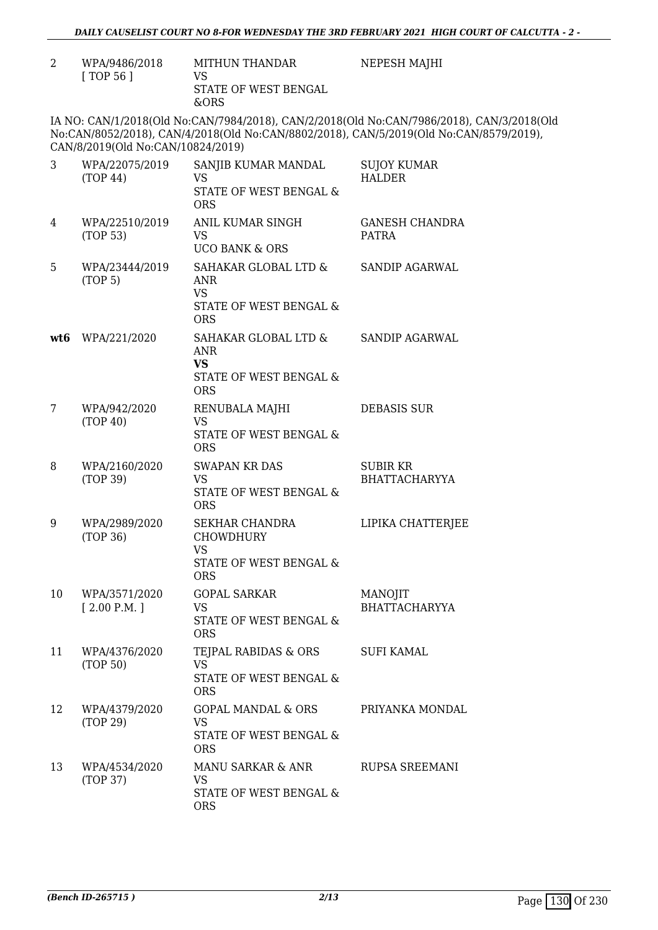NEPESH MAJHI

| WPA/9486/2018<br>$\lceil$ TOP 56 $\rceil$ | MITHUN THANDAR<br>VS.<br>STATE OF WEST BENGAL<br>&ORS |
|-------------------------------------------|-------------------------------------------------------|
|                                           |                                                       |

IA NO: CAN/1/2018(Old No:CAN/7984/2018), CAN/2/2018(Old No:CAN/7986/2018), CAN/3/2018(Old No:CAN/8052/2018), CAN/4/2018(Old No:CAN/8802/2018), CAN/5/2019(Old No:CAN/8579/2019), CAN/8/2019(Old No:CAN/10824/2019)

| 3   | WPA/22075/2019<br>(TOP 44)   | SANJIB KUMAR MANDAL<br><b>VS</b><br>STATE OF WEST BENGAL &<br><b>ORS</b>                       | <b>SUJOY KUMAR</b><br><b>HALDER</b>     |
|-----|------------------------------|------------------------------------------------------------------------------------------------|-----------------------------------------|
| 4   | WPA/22510/2019<br>(TOP 53)   | <b>ANIL KUMAR SINGH</b><br>VS<br><b>UCO BANK &amp; ORS</b>                                     | <b>GANESH CHANDRA</b><br><b>PATRA</b>   |
| 5   | WPA/23444/2019<br>(TOP 5)    | SAHAKAR GLOBAL LTD &<br>ANR<br><b>VS</b><br>STATE OF WEST BENGAL &<br><b>ORS</b>               | <b>SANDIP AGARWAL</b>                   |
| wt6 | WPA/221/2020                 | SAHAKAR GLOBAL LTD &<br><b>ANR</b><br><b>VS</b><br>STATE OF WEST BENGAL &<br><b>ORS</b>        | SANDIP AGARWAL                          |
| 7   | WPA/942/2020<br>(TOP 40)     | RENUBALA MAJHI<br>VS<br>STATE OF WEST BENGAL &<br><b>ORS</b>                                   | <b>DEBASIS SUR</b>                      |
| 8   | WPA/2160/2020<br>(TOP 39)    | <b>SWAPAN KR DAS</b><br><b>VS</b><br>STATE OF WEST BENGAL &<br><b>ORS</b>                      | <b>SUBIR KR</b><br><b>BHATTACHARYYA</b> |
| 9   | WPA/2989/2020<br>(TOP 36)    | <b>SEKHAR CHANDRA</b><br><b>CHOWDHURY</b><br><b>VS</b><br>STATE OF WEST BENGAL &<br><b>ORS</b> | LIPIKA CHATTERJEE                       |
| 10  | WPA/3571/2020<br>[2.00 P.M.] | <b>GOPAL SARKAR</b><br><b>VS</b><br>STATE OF WEST BENGAL &<br><b>ORS</b>                       | <b>MANOJIT</b><br><b>BHATTACHARYYA</b>  |
| 11  | WPA/4376/2020<br>(TOP 50)    | TEJPAL RABIDAS & ORS<br><b>VS</b><br>STATE OF WEST BENGAL &<br><b>ORS</b>                      | SUFI KAMAL                              |
| 12  | WPA/4379/2020<br>(TOP 29)    | <b>GOPAL MANDAL &amp; ORS</b><br><b>VS</b><br><b>STATE OF WEST BENGAL &amp;</b><br><b>ORS</b>  | PRIYANKA MONDAL                         |
| 13  | WPA/4534/2020<br>(TOP 37)    | MANU SARKAR & ANR<br><b>VS</b><br>STATE OF WEST BENGAL &<br><b>ORS</b>                         | <b>RUPSA SREEMANI</b>                   |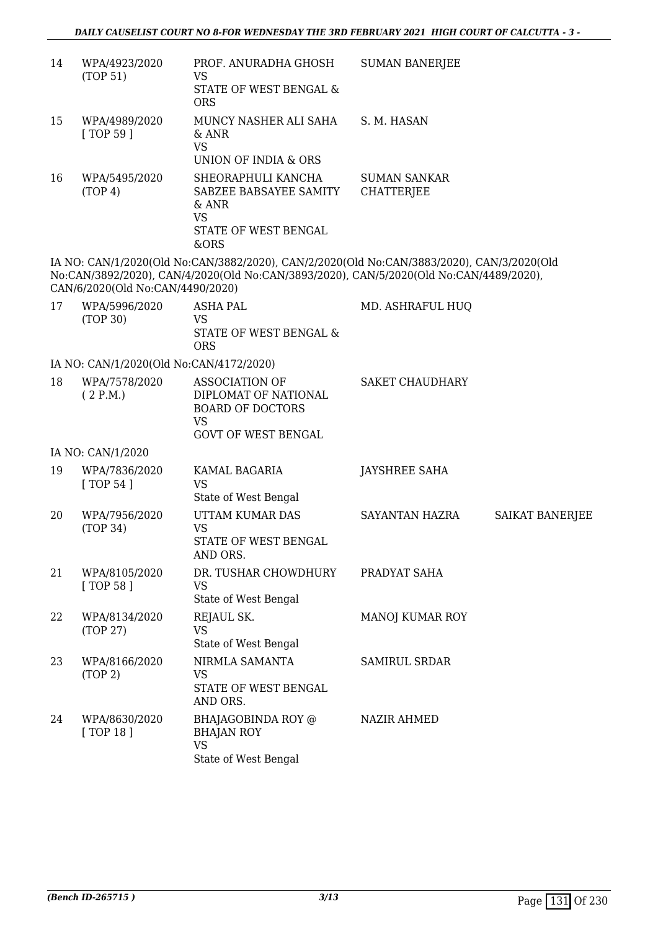| 14 | WPA/4923/2020<br>(TOP 51)               | PROF. ANURADHA GHOSH<br>VS<br>STATE OF WEST BENGAL &                                                                                                                                | <b>SUMAN BANERJEE</b>                    |                        |
|----|-----------------------------------------|-------------------------------------------------------------------------------------------------------------------------------------------------------------------------------------|------------------------------------------|------------------------|
| 15 | WPA/4989/2020<br>[ TOP 59 ]             | <b>ORS</b><br>MUNCY NASHER ALI SAHA<br>& ANR<br><b>VS</b><br>UNION OF INDIA & ORS                                                                                                   | S. M. HASAN                              |                        |
| 16 | WPA/5495/2020<br>(TOP 4)                | SHEORAPHULI KANCHA<br>SABZEE BABSAYEE SAMITY<br>$&$ ANR<br><b>VS</b><br>STATE OF WEST BENGAL<br>&ORS                                                                                | <b>SUMAN SANKAR</b><br><b>CHATTERJEE</b> |                        |
|    | CAN/6/2020(Old No:CAN/4490/2020)        | IA NO: CAN/1/2020(Old No:CAN/3882/2020), CAN/2/2020(Old No:CAN/3883/2020), CAN/3/2020(Old<br>No:CAN/3892/2020), CAN/4/2020(Old No:CAN/3893/2020), CAN/5/2020(Old No:CAN/4489/2020), |                                          |                        |
| 17 | WPA/5996/2020<br>(TOP 30)               | <b>ASHA PAL</b><br><b>VS</b><br>STATE OF WEST BENGAL &<br><b>ORS</b>                                                                                                                | MD. ASHRAFUL HUQ                         |                        |
|    | IA NO: CAN/1/2020(Old No:CAN/4172/2020) |                                                                                                                                                                                     |                                          |                        |
| 18 | WPA/7578/2020<br>(2 P.M.)               | <b>ASSOCIATION OF</b><br>DIPLOMAT OF NATIONAL<br><b>BOARD OF DOCTORS</b><br><b>VS</b><br><b>GOVT OF WEST BENGAL</b>                                                                 | <b>SAKET CHAUDHARY</b>                   |                        |
|    | IA NO: CAN/1/2020                       |                                                                                                                                                                                     |                                          |                        |
| 19 | WPA/7836/2020<br>[TOP 54]               | KAMAL BAGARIA<br><b>VS</b><br>State of West Bengal                                                                                                                                  | JAYSHREE SAHA                            |                        |
| 20 | WPA/7956/2020<br>(TOP 34)               | UTTAM KUMAR DAS<br><b>VS</b><br>STATE OF WEST BENGAL<br>AND ORS.                                                                                                                    | SAYANTAN HAZRA                           | <b>SAIKAT BANERJEE</b> |
| 21 | WPA/8105/2020<br>[ TOP 58 ]             | DR. TUSHAR CHOWDHURY<br><b>VS</b><br>State of West Bengal                                                                                                                           | PRADYAT SAHA                             |                        |
| 22 | WPA/8134/2020<br>(TOP 27)               | REJAUL SK.<br><b>VS</b><br>State of West Bengal                                                                                                                                     | MANOJ KUMAR ROY                          |                        |
| 23 | WPA/8166/2020<br>(TOP 2)                | NIRMLA SAMANTA<br><b>VS</b><br>STATE OF WEST BENGAL<br>AND ORS.                                                                                                                     | <b>SAMIRUL SRDAR</b>                     |                        |
| 24 | WPA/8630/2020<br>[TOP 18]               | BHAJAGOBINDA ROY @<br><b>BHAJAN ROY</b><br><b>VS</b><br>State of West Bengal                                                                                                        | NAZIR AHMED                              |                        |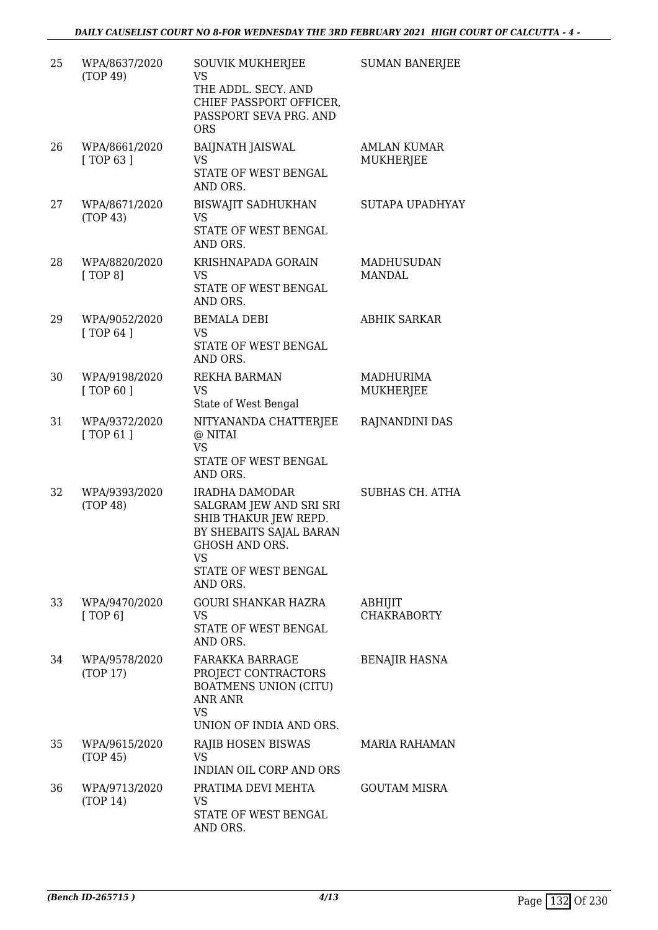| 25 | WPA/8637/2020<br>(TOP 49)   | <b>SOUVIK MUKHERJEE</b><br>VS.<br>THE ADDL. SECY. AND<br>CHIEF PASSPORT OFFICER,<br>PASSPORT SEVA PRG. AND<br><b>ORS</b>                                         | <b>SUMAN BANERJEE</b>                  |
|----|-----------------------------|------------------------------------------------------------------------------------------------------------------------------------------------------------------|----------------------------------------|
| 26 | WPA/8661/2020<br>[TOP 63]   | <b>BAIJNATH JAISWAL</b><br>VS<br>STATE OF WEST BENGAL<br>AND ORS.                                                                                                | <b>AMLAN KUMAR</b><br><b>MUKHERJEE</b> |
| 27 | WPA/8671/2020<br>(TOP 43)   | <b>BISWAJIT SADHUKHAN</b><br><b>VS</b><br>STATE OF WEST BENGAL<br>AND ORS.                                                                                       | SUTAPA UPADHYAY                        |
| 28 | WPA/8820/2020<br>[TOP 8]    | KRISHNAPADA GORAIN<br><b>VS</b><br>STATE OF WEST BENGAL<br>AND ORS.                                                                                              | <b>MADHUSUDAN</b><br><b>MANDAL</b>     |
| 29 | WPA/9052/2020<br>[TOP 64]   | <b>BEMALA DEBI</b><br><b>VS</b><br>STATE OF WEST BENGAL<br>AND ORS.                                                                                              | <b>ABHIK SARKAR</b>                    |
| 30 | WPA/9198/2020<br>[ TOP 60 ] | REKHA BARMAN<br><b>VS</b><br>State of West Bengal                                                                                                                | MADHURIMA<br>MUKHERJEE                 |
| 31 | WPA/9372/2020<br>[TOP 61]   | NITYANANDA CHATTERJEE<br>@ NITAI<br><b>VS</b><br>STATE OF WEST BENGAL<br>AND ORS.                                                                                | RAJNANDINI DAS                         |
| 32 | WPA/9393/2020<br>(TOP 48)   | <b>IRADHA DAMODAR</b><br>SALGRAM JEW AND SRI SRI<br>SHIB THAKUR JEW REPD.<br>BY SHEBAITS SAJAL BARAN<br>GHOSH AND ORS.<br>VS<br>STATE OF WEST BENGAL<br>AND ORS. | <b>SUBHAS CH. ATHA</b>                 |
| 33 | WPA/9470/2020<br>[TOP 6]    | <b>GOURI SHANKAR HAZRA</b><br>VS<br>STATE OF WEST BENGAL<br>AND ORS.                                                                                             | ABHIJIT<br><b>CHAKRABORTY</b>          |
| 34 | WPA/9578/2020<br>(TOP 17)   | FARAKKA BARRAGE<br>PROJECT CONTRACTORS<br><b>BOATMENS UNION (CITU)</b><br><b>ANR ANR</b><br>VS.<br>UNION OF INDIA AND ORS.                                       | <b>BENAJIR HASNA</b>                   |
| 35 | WPA/9615/2020<br>(TOP 45)   | RAJIB HOSEN BISWAS<br><b>VS</b><br>INDIAN OIL CORP AND ORS                                                                                                       | <b>MARIA RAHAMAN</b>                   |
| 36 | WPA/9713/2020<br>(TOP 14)   | PRATIMA DEVI MEHTA<br>VS<br>STATE OF WEST BENGAL<br>AND ORS.                                                                                                     | <b>GOUTAM MISRA</b>                    |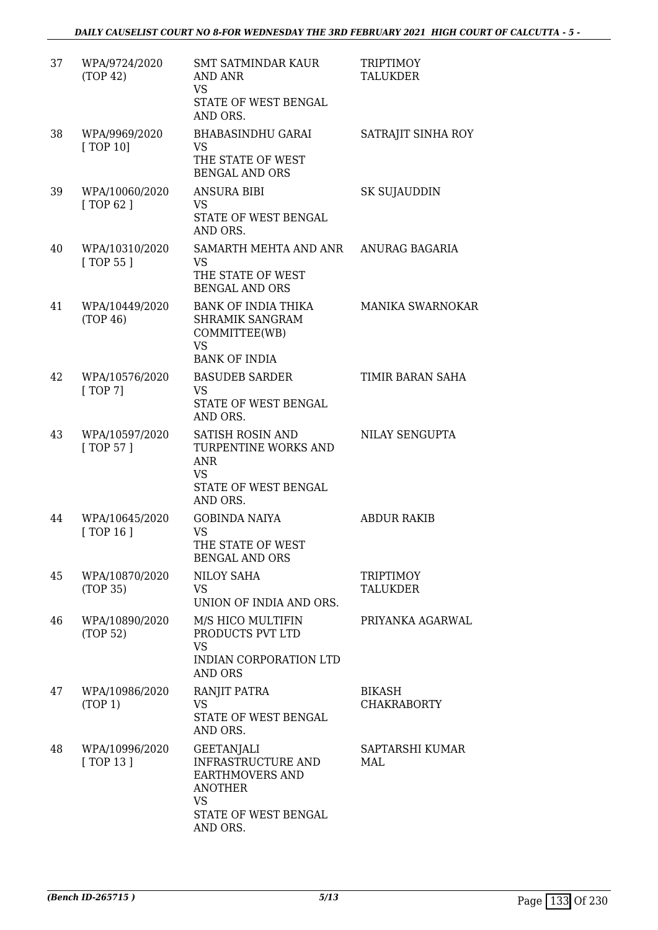| 37 | WPA/9724/2020<br>(TOP 42)    | <b>SMT SATMINDAR KAUR</b><br>AND ANR<br><b>VS</b><br>STATE OF WEST BENGAL<br>AND ORS.                                                       | <b>TRIPTIMOY</b><br><b>TALUKDER</b> |
|----|------------------------------|---------------------------------------------------------------------------------------------------------------------------------------------|-------------------------------------|
| 38 | WPA/9969/2020<br>[TOP 10]    | <b>BHABASINDHU GARAI</b><br><b>VS</b><br>THE STATE OF WEST<br><b>BENGAL AND ORS</b>                                                         | SATRAJIT SINHA ROY                  |
| 39 | WPA/10060/2020<br>[ TOP 62 ] | ANSURA BIBI<br><b>VS</b><br>STATE OF WEST BENGAL<br>AND ORS.                                                                                | SK SUJAUDDIN                        |
| 40 | WPA/10310/2020<br>[ TOP 55 ] | SAMARTH MEHTA AND ANR<br>VS.<br>THE STATE OF WEST<br><b>BENGAL AND ORS</b>                                                                  | ANURAG BAGARIA                      |
| 41 | WPA/10449/2020<br>(TOP 46)   | <b>BANK OF INDIA THIKA</b><br><b>SHRAMIK SANGRAM</b><br>COMMITTEE(WB)<br><b>VS</b><br><b>BANK OF INDIA</b>                                  | MANIKA SWARNOKAR                    |
| 42 | WPA/10576/2020<br>[TOP 7]    | <b>BASUDEB SARDER</b><br>VS<br>STATE OF WEST BENGAL<br>AND ORS.                                                                             | TIMIR BARAN SAHA                    |
| 43 | WPA/10597/2020<br>[ TOP 57 ] | <b>SATISH ROSIN AND</b><br>TURPENTINE WORKS AND<br>ANR<br><b>VS</b><br><b>STATE OF WEST BENGAL</b><br>AND ORS.                              | NILAY SENGUPTA                      |
| 44 | WPA/10645/2020<br>[ TOP 16 ] | <b>GOBINDA NAIYA</b><br><b>VS</b><br>THE STATE OF WEST<br><b>BENGAL AND ORS</b>                                                             | <b>ABDUR RAKIB</b>                  |
| 45 | WPA/10870/2020<br>(TOP 35)   | <b>NILOY SAHA</b><br>VS<br>UNION OF INDIA AND ORS.                                                                                          | <b>TRIPTIMOY</b><br><b>TALUKDER</b> |
| 46 | WPA/10890/2020<br>(TOP 52)   | M/S HICO MULTIFIN<br>PRODUCTS PVT LTD<br><b>VS</b><br>INDIAN CORPORATION LTD<br><b>AND ORS</b>                                              | PRIYANKA AGARWAL                    |
| 47 | WPA/10986/2020<br>(TOP 1)    | RANJIT PATRA<br><b>VS</b><br>STATE OF WEST BENGAL<br>AND ORS.                                                                               | <b>BIKASH</b><br><b>CHAKRABORTY</b> |
| 48 | WPA/10996/2020<br>[TOP 13]   | <b>GEETANJALI</b><br><b>INFRASTRUCTURE AND</b><br><b>EARTHMOVERS AND</b><br><b>ANOTHER</b><br><b>VS</b><br>STATE OF WEST BENGAL<br>AND ORS. | SAPTARSHI KUMAR<br>MAL              |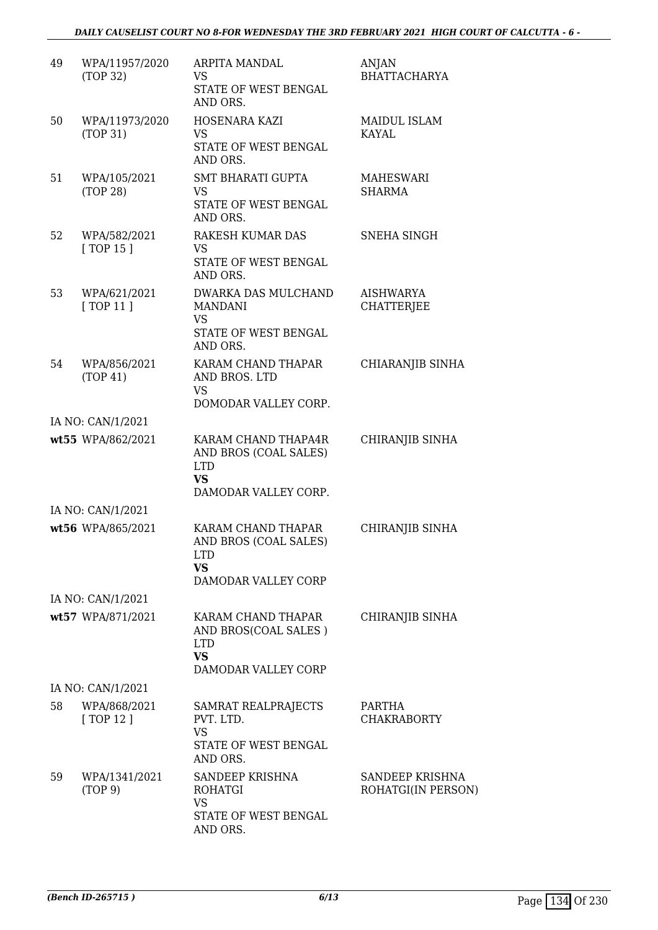| 49 | WPA/11957/2020<br>(TOP 32) | ARPITA MANDAL<br><b>VS</b><br>STATE OF WEST BENGAL<br>AND ORS.                                  | ANJAN<br><b>BHATTACHARYA</b>          |
|----|----------------------------|-------------------------------------------------------------------------------------------------|---------------------------------------|
| 50 | WPA/11973/2020<br>(TOP 31) | HOSENARA KAZI<br><b>VS</b><br>STATE OF WEST BENGAL<br>AND ORS.                                  | <b>MAIDUL ISLAM</b><br><b>KAYAL</b>   |
| 51 | WPA/105/2021<br>(TOP 28)   | <b>SMT BHARATI GUPTA</b><br><b>VS</b><br>STATE OF WEST BENGAL<br>AND ORS.                       | MAHESWARI<br><b>SHARMA</b>            |
| 52 | WPA/582/2021<br>[ TOP 15 ] | <b>RAKESH KUMAR DAS</b><br><b>VS</b><br>STATE OF WEST BENGAL<br>AND ORS.                        | SNEHA SINGH                           |
| 53 | WPA/621/2021<br>[TOP11]    | DWARKA DAS MULCHAND<br><b>MANDANI</b><br><b>VS</b><br>STATE OF WEST BENGAL<br>AND ORS.          | <b>AISHWARYA</b><br><b>CHATTERJEE</b> |
| 54 | WPA/856/2021<br>(TOP 41)   | KARAM CHAND THAPAR<br>AND BROS. LTD<br><b>VS</b><br>DOMODAR VALLEY CORP.                        | CHIARANJIB SINHA                      |
|    | IA NO: CAN/1/2021          |                                                                                                 |                                       |
|    | wt55 WPA/862/2021          | KARAM CHAND THAPA4R<br>AND BROS (COAL SALES)<br><b>LTD</b><br><b>VS</b><br>DAMODAR VALLEY CORP. | CHIRANJIB SINHA                       |
|    | IA NO: CAN/1/2021          |                                                                                                 |                                       |
|    | wt56 WPA/865/2021          | KARAM CHAND THAPAR<br>AND BROS (COAL SALES)<br><b>LTD</b><br><b>VS</b><br>DAMODAR VALLEY CORP   | CHIRANJIB SINHA                       |
|    | IA NO: CAN/1/2021          |                                                                                                 |                                       |
|    | wt57 WPA/871/2021          | KARAM CHAND THAPAR<br>AND BROS(COAL SALES)<br><b>LTD</b><br><b>VS</b><br>DAMODAR VALLEY CORP    | CHIRANJIB SINHA                       |
|    | IA NO: CAN/1/2021          |                                                                                                 |                                       |
| 58 | WPA/868/2021<br>[TOP 12]   | SAMRAT REALPRAJECTS<br>PVT. LTD.<br><b>VS</b><br>STATE OF WEST BENGAL<br>AND ORS.               | PARTHA<br><b>CHAKRABORTY</b>          |
| 59 | WPA/1341/2021<br>(TOP 9)   | SANDEEP KRISHNA<br>ROHATGI<br><b>VS</b><br>STATE OF WEST BENGAL<br>AND ORS.                     | SANDEEP KRISHNA<br>ROHATGI(IN PERSON) |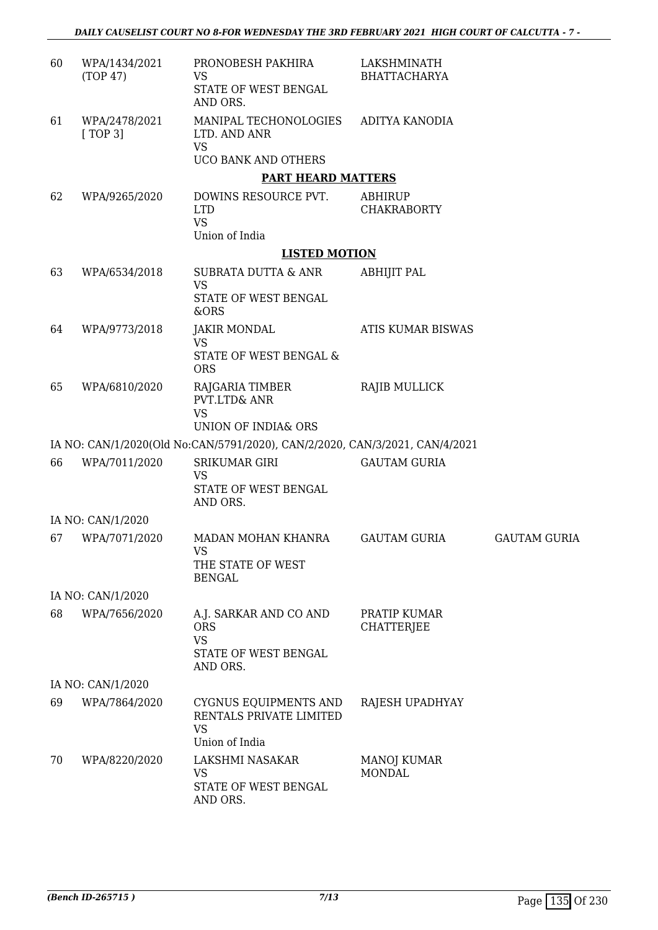| 60 | WPA/1434/2021<br>(TOP 47) | PRONOBESH PAKHIRA<br>VS<br>STATE OF WEST BENGAL<br>AND ORS.                           | LAKSHMINATH<br><b>BHATTACHARYA</b>   |                     |
|----|---------------------------|---------------------------------------------------------------------------------------|--------------------------------------|---------------------|
| 61 | WPA/2478/2021<br>[TOP 3]  | MANIPAL TECHONOLOGIES<br>LTD. AND ANR<br><b>VS</b><br>UCO BANK AND OTHERS             | ADITYA KANODIA                       |                     |
|    |                           | <b>PART HEARD MATTERS</b>                                                             |                                      |                     |
| 62 | WPA/9265/2020             | DOWINS RESOURCE PVT.<br><b>LTD</b><br><b>VS</b><br>Union of India                     | <b>ABHIRUP</b><br><b>CHAKRABORTY</b> |                     |
|    |                           | <b>LISTED MOTION</b>                                                                  |                                      |                     |
| 63 | WPA/6534/2018             | SUBRATA DUTTA & ANR<br><b>VS</b>                                                      | <b>ABHIJIT PAL</b>                   |                     |
|    |                           | STATE OF WEST BENGAL<br>&ORS                                                          |                                      |                     |
| 64 | WPA/9773/2018             | <b>JAKIR MONDAL</b><br>VS<br>STATE OF WEST BENGAL &<br><b>ORS</b>                     | ATIS KUMAR BISWAS                    |                     |
| 65 | WPA/6810/2020             | RAJGARIA TIMBER<br><b>PVT.LTD&amp; ANR</b><br><b>VS</b>                               | RAJIB MULLICK                        |                     |
|    |                           | <b>UNION OF INDIA&amp; ORS</b>                                                        |                                      |                     |
|    |                           | IA NO: CAN/1/2020(Old No:CAN/5791/2020), CAN/2/2020, CAN/3/2021, CAN/4/2021           |                                      |                     |
| 66 | WPA/7011/2020             | <b>SRIKUMAR GIRI</b><br>VS<br>STATE OF WEST BENGAL<br>AND ORS.                        | <b>GAUTAM GURIA</b>                  |                     |
|    | IA NO: CAN/1/2020         |                                                                                       |                                      |                     |
| 67 | WPA/7071/2020             | MADAN MOHAN KHANRA<br>VS<br>THE STATE OF WEST<br><b>BENGAL</b>                        | <b>GAUTAM GURIA</b>                  | <b>GAUTAM GURIA</b> |
|    | IA NO: CAN/1/2020         |                                                                                       |                                      |                     |
| 68 | WPA/7656/2020             | A.J. SARKAR AND CO AND<br><b>ORS</b><br><b>VS</b><br>STATE OF WEST BENGAL<br>AND ORS. | PRATIP KUMAR<br><b>CHATTERJEE</b>    |                     |
|    | IA NO: CAN/1/2020         |                                                                                       |                                      |                     |
| 69 | WPA/7864/2020             | CYGNUS EQUIPMENTS AND<br>RENTALS PRIVATE LIMITED<br><b>VS</b><br>Union of India       | RAJESH UPADHYAY                      |                     |
| 70 | WPA/8220/2020             | LAKSHMI NASAKAR<br>VS<br>STATE OF WEST BENGAL<br>AND ORS.                             | MANOJ KUMAR<br><b>MONDAL</b>         |                     |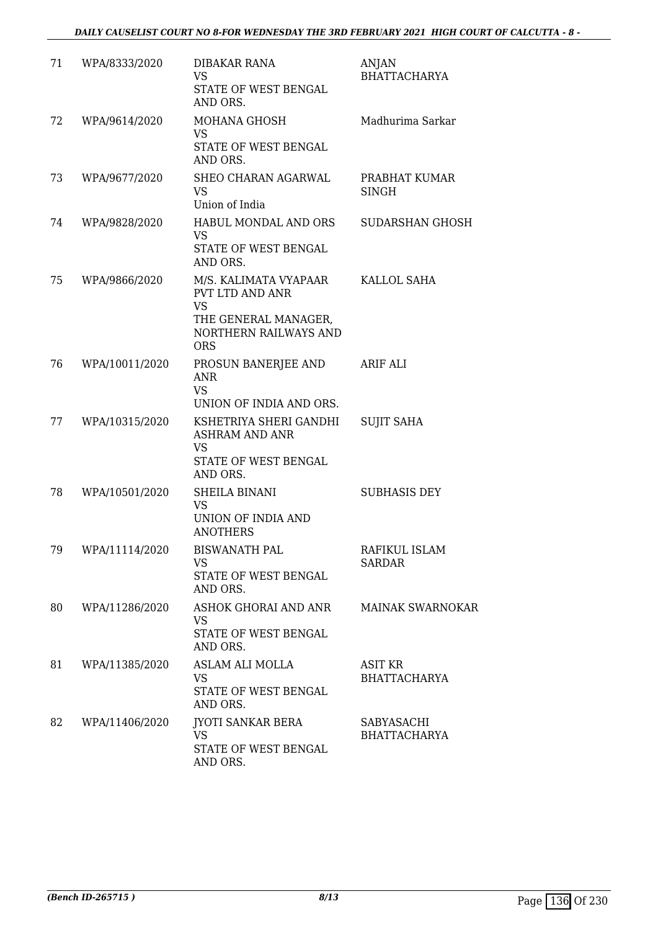| 71 | WPA/8333/2020  | DIBAKAR RANA<br><b>VS</b><br>STATE OF WEST BENGAL<br>AND ORS.                                                               | ANJAN<br><b>BHATTACHARYA</b>          |
|----|----------------|-----------------------------------------------------------------------------------------------------------------------------|---------------------------------------|
| 72 | WPA/9614/2020  | MOHANA GHOSH<br><b>VS</b><br>STATE OF WEST BENGAL<br>AND ORS.                                                               | Madhurima Sarkar                      |
| 73 | WPA/9677/2020  | <b>SHEO CHARAN AGARWAL</b><br><b>VS</b><br>Union of India                                                                   | PRABHAT KUMAR<br><b>SINGH</b>         |
| 74 | WPA/9828/2020  | HABUL MONDAL AND ORS<br><b>VS</b><br>STATE OF WEST BENGAL<br>AND ORS.                                                       | SUDARSHAN GHOSH                       |
| 75 | WPA/9866/2020  | M/S. KALIMATA VYAPAAR<br><b>PVT LTD AND ANR</b><br><b>VS</b><br>THE GENERAL MANAGER,<br>NORTHERN RAILWAYS AND<br><b>ORS</b> | <b>KALLOL SAHA</b>                    |
| 76 | WPA/10011/2020 | PROSUN BANERJEE AND<br>ANR<br><b>VS</b><br>UNION OF INDIA AND ORS.                                                          | ARIF ALI                              |
| 77 | WPA/10315/2020 | KSHETRIYA SHERI GANDHI<br>ASHRAM AND ANR<br><b>VS</b><br>STATE OF WEST BENGAL<br>AND ORS.                                   | <b>SUJIT SAHA</b>                     |
| 78 | WPA/10501/2020 | <b>SHEILA BINANI</b><br><b>VS</b><br>UNION OF INDIA AND<br><b>ANOTHERS</b>                                                  | <b>SUBHASIS DEY</b>                   |
| 79 | WPA/11114/2020 | <b>BISWANATH PAL</b><br>VS<br>STATE OF WEST BENGAL<br>AND ORS.                                                              | RAFIKUL ISLAM<br>SARDAR               |
| 80 | WPA/11286/2020 | ASHOK GHORAI AND ANR<br><b>VS</b><br>STATE OF WEST BENGAL<br>AND ORS.                                                       | <b>MAINAK SWARNOKAR</b>               |
| 81 | WPA/11385/2020 | <b>ASLAM ALI MOLLA</b><br><b>VS</b><br>STATE OF WEST BENGAL<br>AND ORS.                                                     | <b>ASIT KR</b><br><b>BHATTACHARYA</b> |
| 82 | WPA/11406/2020 | JYOTI SANKAR BERA<br><b>VS</b><br>STATE OF WEST BENGAL<br>AND ORS.                                                          | SABYASACHI<br><b>BHATTACHARYA</b>     |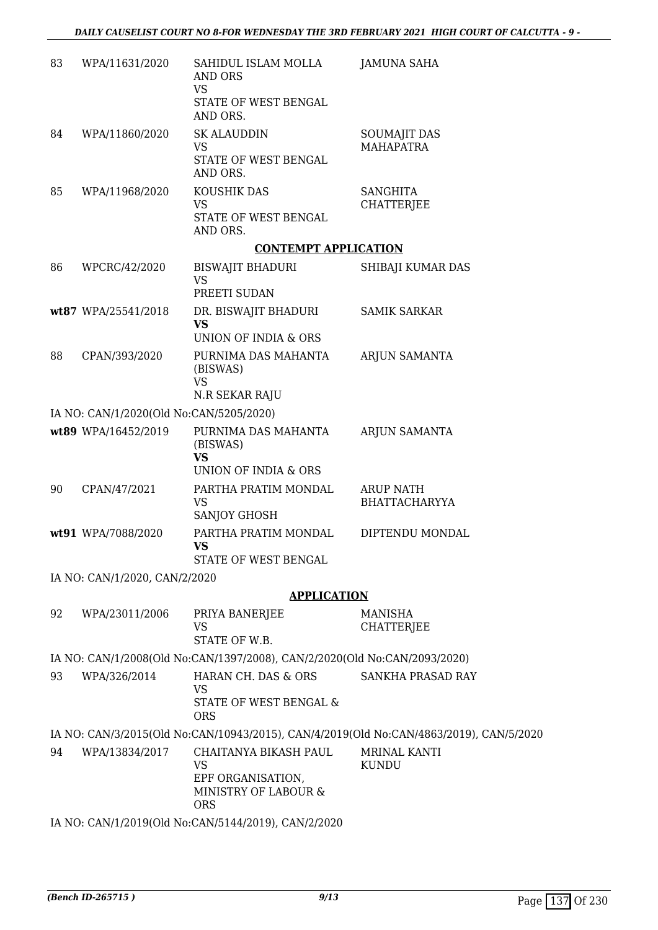| 83 | WPA/11631/2020                          | SAHIDUL ISLAM MOLLA<br>AND ORS<br>VS<br>STATE OF WEST BENGAL                           | <b>JAMUNA SAHA</b>                                                                     |
|----|-----------------------------------------|----------------------------------------------------------------------------------------|----------------------------------------------------------------------------------------|
|    |                                         | AND ORS.                                                                               |                                                                                        |
| 84 | WPA/11860/2020                          | <b>SK ALAUDDIN</b><br><b>VS</b>                                                        | <b>SOUMAJIT DAS</b><br><b>MAHAPATRA</b>                                                |
|    |                                         | STATE OF WEST BENGAL<br>AND ORS.                                                       |                                                                                        |
| 85 | WPA/11968/2020                          | KOUSHIK DAS                                                                            | <b>SANGHITA</b>                                                                        |
|    |                                         | <b>VS</b><br>STATE OF WEST BENGAL<br>AND ORS.                                          | <b>CHATTERJEE</b>                                                                      |
|    |                                         | <b>CONTEMPT APPLICATION</b>                                                            |                                                                                        |
| 86 | WPCRC/42/2020                           | BISWAJIT BHADURI<br><b>VS</b><br>PREETI SUDAN                                          | SHIBAJI KUMAR DAS                                                                      |
|    | wt87 WPA/25541/2018                     | DR. BISWAJIT BHADURI                                                                   | <b>SAMIK SARKAR</b>                                                                    |
|    |                                         | <b>VS</b>                                                                              |                                                                                        |
|    |                                         | UNION OF INDIA & ORS                                                                   |                                                                                        |
| 88 | CPAN/393/2020                           | PURNIMA DAS MAHANTA<br>(BISWAS)<br><b>VS</b><br>N.R SEKAR RAJU                         | <b>ARJUN SAMANTA</b>                                                                   |
|    | IA NO: CAN/1/2020(Old No:CAN/5205/2020) |                                                                                        |                                                                                        |
|    | wt89 WPA/16452/2019                     | PURNIMA DAS MAHANTA<br>(BISWAS)<br><b>VS</b>                                           | <b>ARJUN SAMANTA</b>                                                                   |
|    |                                         | UNION OF INDIA & ORS                                                                   |                                                                                        |
| 90 | CPAN/47/2021                            | PARTHA PRATIM MONDAL<br><b>VS</b><br><b>SANJOY GHOSH</b>                               | <b>ARUP NATH</b><br><b>BHATTACHARYYA</b>                                               |
|    | wt91 WPA/7088/2020                      | PARTHA PRATIM MONDAL<br>VS<br>STATE OF WEST BENGAL                                     | DIPTENDU MONDAL                                                                        |
|    | IA NO: CAN/1/2020, CAN/2/2020           |                                                                                        |                                                                                        |
|    |                                         | <b>APPLICATION</b>                                                                     |                                                                                        |
| 92 | WPA/23011/2006                          | PRIYA BANERJEE                                                                         | MANISHA                                                                                |
|    |                                         | <b>VS</b><br>STATE OF W.B.                                                             | <b>CHATTERJEE</b>                                                                      |
|    |                                         | IA NO: CAN/1/2008(Old No:CAN/1397/2008), CAN/2/2020(Old No:CAN/2093/2020)              |                                                                                        |
| 93 | WPA/326/2014                            | HARAN CH. DAS & ORS                                                                    | SANKHA PRASAD RAY                                                                      |
|    |                                         | <b>VS</b><br>STATE OF WEST BENGAL &<br><b>ORS</b>                                      |                                                                                        |
|    |                                         |                                                                                        | IA NO: CAN/3/2015(Old No:CAN/10943/2015), CAN/4/2019(Old No:CAN/4863/2019), CAN/5/2020 |
| 94 | WPA/13834/2017                          | CHAITANYA BIKASH PAUL<br>VS<br>EPF ORGANISATION,<br>MINISTRY OF LABOUR &<br><b>ORS</b> | MRINAL KANTI<br><b>KUNDU</b>                                                           |
|    |                                         | IA NO: CAN/1/2019(Old No:CAN/5144/2019), CAN/2/2020                                    |                                                                                        |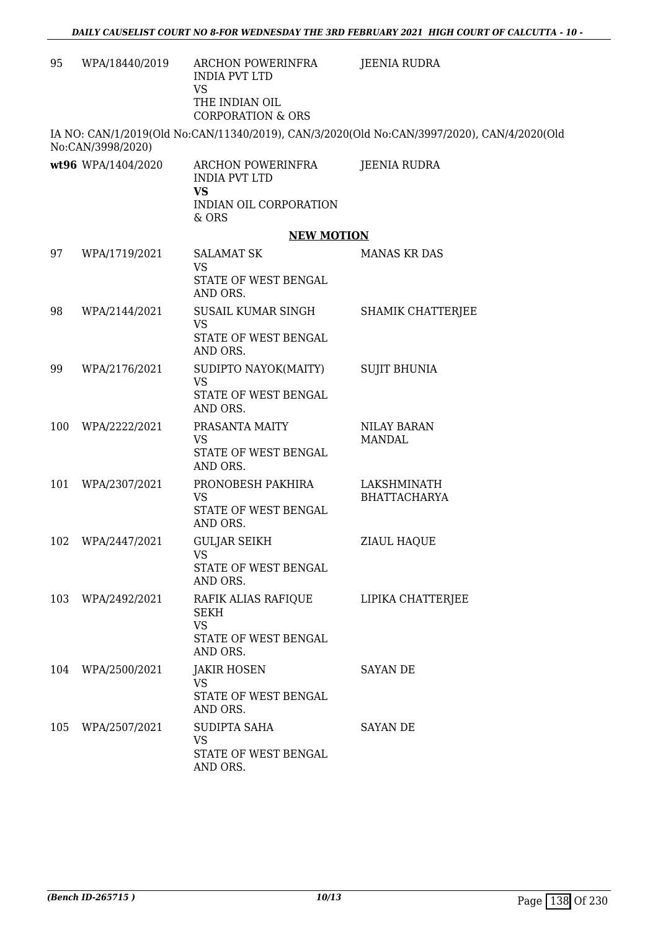| 95  | WPA/18440/2019     | ARCHON POWERINFRA<br><b>INDIA PVT LTD</b><br><b>VS</b><br>THE INDIAN OIL<br><b>CORPORATION &amp; ORS</b> | <b>JEENIA RUDRA</b>                                                                        |
|-----|--------------------|----------------------------------------------------------------------------------------------------------|--------------------------------------------------------------------------------------------|
|     | No:CAN/3998/2020)  |                                                                                                          | IA NO: CAN/1/2019(Old No:CAN/11340/2019), CAN/3/2020(Old No:CAN/3997/2020), CAN/4/2020(Old |
|     | wt96 WPA/1404/2020 | ARCHON POWERINFRA<br><b>INDIA PVT LTD</b><br><b>VS</b><br>INDIAN OIL CORPORATION<br>$&$ ORS              | <b>JEENIA RUDRA</b>                                                                        |
|     |                    | <b>NEW MOTION</b>                                                                                        |                                                                                            |
| 97  | WPA/1719/2021      | <b>SALAMAT SK</b><br><b>VS</b><br>STATE OF WEST BENGAL<br>AND ORS.                                       | <b>MANAS KR DAS</b>                                                                        |
| 98  | WPA/2144/2021      | SUSAIL KUMAR SINGH<br><b>VS</b><br>STATE OF WEST BENGAL<br>AND ORS.                                      | <b>SHAMIK CHATTERJEE</b>                                                                   |
| 99  | WPA/2176/2021      | SUDIPTO NAYOK(MAITY)<br>VS<br>STATE OF WEST BENGAL<br>AND ORS.                                           | <b>SUJIT BHUNIA</b>                                                                        |
| 100 | WPA/2222/2021      | PRASANTA MAITY<br><b>VS</b><br>STATE OF WEST BENGAL<br>AND ORS.                                          | <b>NILAY BARAN</b><br><b>MANDAL</b>                                                        |
| 101 | WPA/2307/2021      | PRONOBESH PAKHIRA<br><b>VS</b><br>STATE OF WEST BENGAL<br>AND ORS.                                       | LAKSHMINATH<br><b>BHATTACHARYA</b>                                                         |
| 102 | WPA/2447/2021      | <b>GULJAR SEIKH</b><br>VS<br>STATE OF WEST BENGAL<br>AND ORS.                                            | <b>ZIAUL HAQUE</b>                                                                         |
| 103 | WPA/2492/2021      | RAFIK ALIAS RAFIQUE<br><b>SEKH</b><br><b>VS</b><br>STATE OF WEST BENGAL<br>AND ORS.                      | LIPIKA CHATTERJEE                                                                          |
| 104 | WPA/2500/2021      | <b>JAKIR HOSEN</b><br><b>VS</b><br>STATE OF WEST BENGAL<br>AND ORS.                                      | <b>SAYAN DE</b>                                                                            |
| 105 | WPA/2507/2021      | SUDIPTA SAHA<br><b>VS</b><br>STATE OF WEST BENGAL<br>AND ORS.                                            | <b>SAYAN DE</b>                                                                            |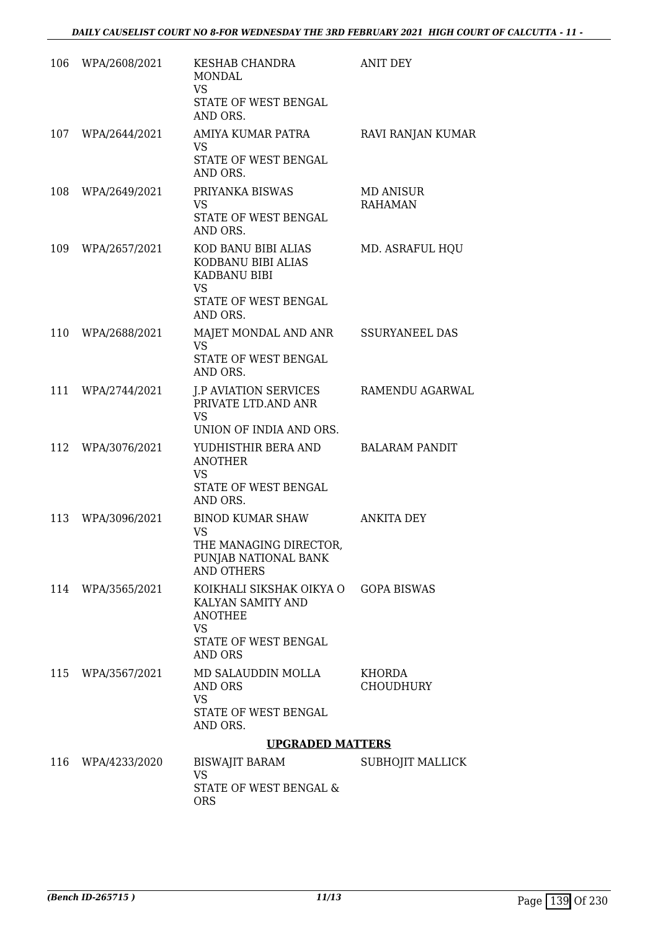|     | 106 WPA/2608/2021 | KESHAB CHANDRA<br>MONDAL<br><b>VS</b><br>STATE OF WEST BENGAL<br>AND ORS.                                              | <b>ANIT DEY</b>                   |
|-----|-------------------|------------------------------------------------------------------------------------------------------------------------|-----------------------------------|
| 107 | WPA/2644/2021     | AMIYA KUMAR PATRA<br><b>VS</b><br>STATE OF WEST BENGAL<br>AND ORS.                                                     | RAVI RANJAN KUMAR                 |
| 108 | WPA/2649/2021     | PRIYANKA BISWAS<br><b>VS</b><br>STATE OF WEST BENGAL<br>AND ORS.                                                       | MD ANISUR<br><b>RAHAMAN</b>       |
| 109 | WPA/2657/2021     | KOD BANU BIBI ALIAS<br>KODBANU BIBI ALIAS<br>KADBANU BIBI<br><b>VS</b><br>STATE OF WEST BENGAL<br>AND ORS.             | MD. ASRAFUL HQU                   |
| 110 | WPA/2688/2021     | MAJET MONDAL AND ANR<br><b>VS</b><br>STATE OF WEST BENGAL<br>AND ORS.                                                  | <b>SSURYANEEL DAS</b>             |
|     | 111 WPA/2744/2021 | <b>J.P AVIATION SERVICES</b><br>PRIVATE LTD.AND ANR<br><b>VS</b><br>UNION OF INDIA AND ORS.                            | RAMENDU AGARWAL                   |
| 112 | WPA/3076/2021     | YUDHISTHIR BERA AND<br><b>ANOTHER</b><br><b>VS</b><br>STATE OF WEST BENGAL<br>AND ORS.                                 | <b>BALARAM PANDIT</b>             |
| 113 | WPA/3096/2021     | BINOD KUMAR SHAW<br>VS<br>THE MANAGING DIRECTOR,<br>PUNJAB NATIONAL BANK<br><b>AND OTHERS</b>                          | ANKITA DEY                        |
|     | 114 WPA/3565/2021 | KOIKHALI SIKSHAK OIKYA O<br>KALYAN SAMITY AND<br><b>ANOTHEE</b><br><b>VS</b><br>STATE OF WEST BENGAL<br><b>AND ORS</b> | <b>GOPA BISWAS</b>                |
|     | 115 WPA/3567/2021 | MD SALAUDDIN MOLLA<br>AND ORS<br><b>VS</b><br>STATE OF WEST BENGAL<br>AND ORS.                                         | <b>KHORDA</b><br><b>CHOUDHURY</b> |
|     |                   | <b>UPGRADED MATTERS</b>                                                                                                |                                   |
| 116 | WPA/4233/2020     | <b>BISWAJIT BARAM</b><br><b>VS</b><br>STATE OF WEST BENGAL &<br><b>ORS</b>                                             | SUBHOJIT MALLICK                  |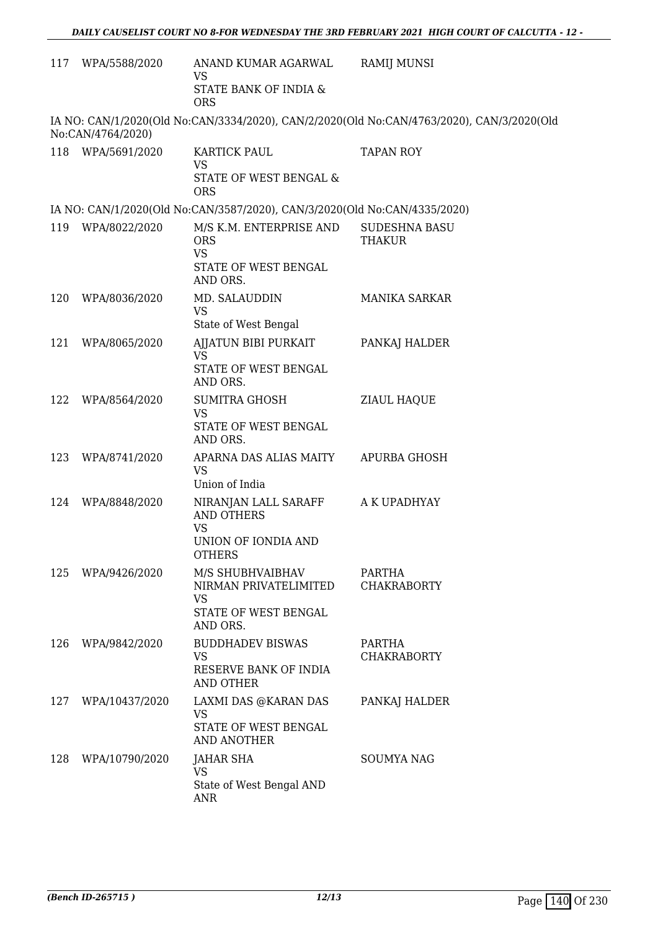|     | 117 WPA/5588/2020 | ANAND KUMAR AGARWAL<br><b>VS</b>                                          | <b>RAMIJ MUNSI</b>                                                                        |
|-----|-------------------|---------------------------------------------------------------------------|-------------------------------------------------------------------------------------------|
|     |                   | STATE BANK OF INDIA &<br><b>ORS</b>                                       |                                                                                           |
|     | No:CAN/4764/2020) |                                                                           | IA NO: CAN/1/2020(Old No:CAN/3334/2020), CAN/2/2020(Old No:CAN/4763/2020), CAN/3/2020(Old |
| 118 | WPA/5691/2020     | KARTICK PAUL<br><b>VS</b><br>STATE OF WEST BENGAL &                       | <b>TAPAN ROY</b>                                                                          |
|     |                   | <b>ORS</b>                                                                |                                                                                           |
|     |                   | IA NO: CAN/1/2020(Old No:CAN/3587/2020), CAN/3/2020(Old No:CAN/4335/2020) |                                                                                           |
| 119 | WPA/8022/2020     | M/S K.M. ENTERPRISE AND<br><b>ORS</b><br><b>VS</b>                        | <b>SUDESHNA BASU</b><br><b>THAKUR</b>                                                     |
|     |                   | STATE OF WEST BENGAL<br>AND ORS.                                          |                                                                                           |
| 120 | WPA/8036/2020     | MD. SALAUDDIN<br><b>VS</b>                                                | <b>MANIKA SARKAR</b>                                                                      |
| 121 | WPA/8065/2020     | State of West Bengal<br>AIJATUN BIBI PURKAIT                              |                                                                                           |
|     |                   | <b>VS</b>                                                                 | PANKAJ HALDER                                                                             |
|     |                   | STATE OF WEST BENGAL<br>AND ORS.                                          |                                                                                           |
| 122 | WPA/8564/2020     | <b>SUMITRA GHOSH</b><br><b>VS</b>                                         | <b>ZIAUL HAQUE</b>                                                                        |
|     |                   | STATE OF WEST BENGAL<br>AND ORS.                                          |                                                                                           |
| 123 | WPA/8741/2020     | APARNA DAS ALIAS MAITY<br><b>VS</b>                                       | <b>APURBA GHOSH</b>                                                                       |
|     |                   | Union of India                                                            |                                                                                           |
| 124 | WPA/8848/2020     | NIRANJAN LALL SARAFF<br><b>AND OTHERS</b><br><b>VS</b>                    | A K UPADHYAY                                                                              |
|     |                   | UNION OF IONDIA AND<br><b>OTHERS</b>                                      |                                                                                           |
| 125 | WPA/9426/2020     | M/S SHUBHVAIBHAV<br>NIRMAN PRIVATELIMITED<br><b>VS</b>                    | PARTHA<br><b>CHAKRABORTY</b>                                                              |
|     |                   | STATE OF WEST BENGAL<br>AND ORS.                                          |                                                                                           |
| 126 | WPA/9842/2020     | <b>BUDDHADEV BISWAS</b>                                                   | PARTHA                                                                                    |
|     |                   | VS<br>RESERVE BANK OF INDIA<br>AND OTHER                                  | <b>CHAKRABORTY</b>                                                                        |
| 127 | WPA/10437/2020    | LAXMI DAS @KARAN DAS                                                      | PANKAJ HALDER                                                                             |
|     |                   | <b>VS</b><br>STATE OF WEST BENGAL<br><b>AND ANOTHER</b>                   |                                                                                           |
| 128 | WPA/10790/2020    | <b>JAHAR SHA</b>                                                          | <b>SOUMYA NAG</b>                                                                         |
|     |                   | <b>VS</b><br>State of West Bengal AND<br><b>ANR</b>                       |                                                                                           |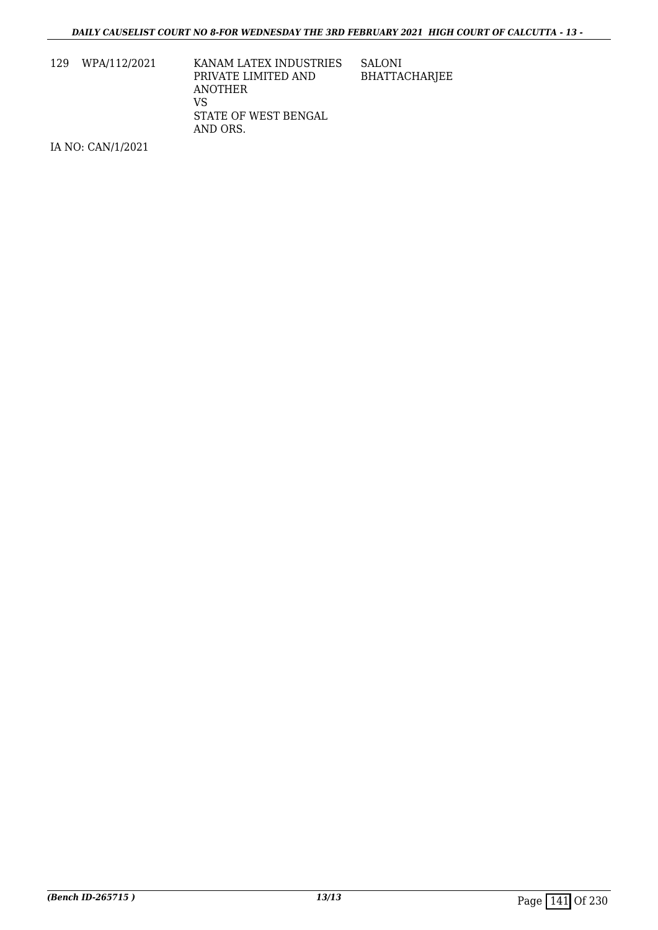129 WPA/112/2021 KANAM LATEX INDUSTRIES PRIVATE LIMITED AND ANOTHER VS STATE OF WEST BENGAL AND ORS. SALONI BHATTACHARJEE

IA NO: CAN/1/2021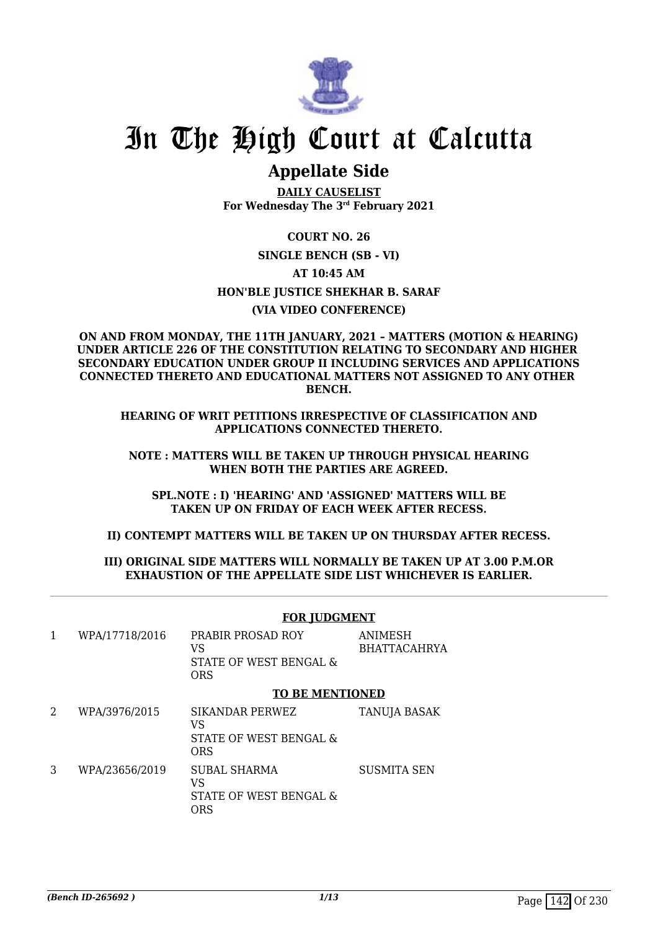

# In The High Court at Calcutta

### **Appellate Side**

**DAILY CAUSELIST For Wednesday The 3rd February 2021**

**COURT NO. 26 SINGLE BENCH (SB - VI) AT 10:45 AM HON'BLE JUSTICE SHEKHAR B. SARAF (VIA VIDEO CONFERENCE)**

**ON AND FROM MONDAY, THE 11TH JANUARY, 2021 – MATTERS (MOTION & HEARING) UNDER ARTICLE 226 OF THE CONSTITUTION RELATING TO SECONDARY AND HIGHER SECONDARY EDUCATION UNDER GROUP II INCLUDING SERVICES AND APPLICATIONS CONNECTED THERETO AND EDUCATIONAL MATTERS NOT ASSIGNED TO ANY OTHER BENCH.**

**HEARING OF WRIT PETITIONS IRRESPECTIVE OF CLASSIFICATION AND APPLICATIONS CONNECTED THERETO.**

**NOTE : MATTERS WILL BE TAKEN UP THROUGH PHYSICAL HEARING WHEN BOTH THE PARTIES ARE AGREED.**

**SPL.NOTE : I) 'HEARING' AND 'ASSIGNED' MATTERS WILL BE TAKEN UP ON FRIDAY OF EACH WEEK AFTER RECESS.**

**II) CONTEMPT MATTERS WILL BE TAKEN UP ON THURSDAY AFTER RECESS.**

### **III) ORIGINAL SIDE MATTERS WILL NORMALLY BE TAKEN UP AT 3.00 P.M.OR EXHAUSTION OF THE APPELLATE SIDE LIST WHICHEVER IS EARLIER.**

#### **FOR JUDGMENT** 1 WPA/17718/2016 PRABIR PROSAD ROY VS STATE OF WEST BENGAL & ORS ANIMESH BHATTACAHRYA **TO BE MENTIONED** 2 WPA/3976/2015 SIKANDAR PERWEZ VS STATE OF WEST BENGAL & ORS TANUJA BASAK 3 WPA/23656/2019 SUBAL SHARMA  $V<sub>S</sub>$ STATE OF WEST BENGAL & ORS SUSMITA SEN

**(Bench ID-265692)** 1/13 Page 142 Of 230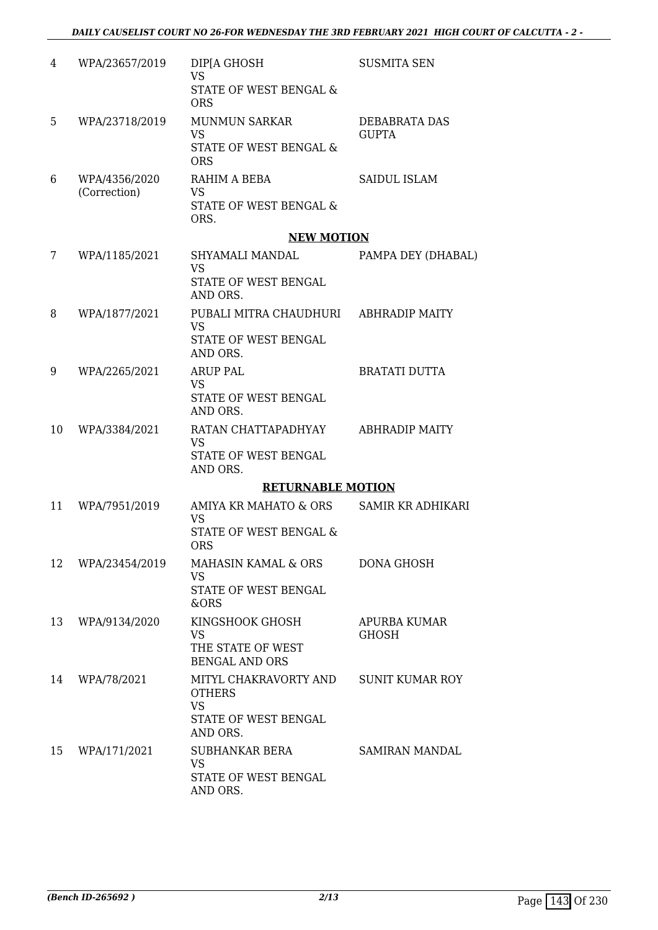| 4  | WPA/23657/2019                | DIP[A GHOSH<br><b>VS</b><br>STATE OF WEST BENGAL &<br><b>ORS</b>                        | <b>SUSMITA SEN</b>            |
|----|-------------------------------|-----------------------------------------------------------------------------------------|-------------------------------|
| 5  | WPA/23718/2019                | <b>MUNMUN SARKAR</b><br><b>VS</b><br>STATE OF WEST BENGAL &<br><b>ORS</b>               | DEBABRATA DAS<br><b>GUPTA</b> |
| 6  | WPA/4356/2020<br>(Correction) | RAHIM A BEBA<br><b>VS</b><br>STATE OF WEST BENGAL &<br>ORS.                             | SAIDUL ISLAM                  |
|    |                               | <b>NEW MOTION</b>                                                                       |                               |
| 7  | WPA/1185/2021                 | SHYAMALI MANDAL<br><b>VS</b><br>STATE OF WEST BENGAL<br>AND ORS.                        | PAMPA DEY (DHABAL)            |
| 8  | WPA/1877/2021                 | PUBALI MITRA CHAUDHURI<br><b>VS</b><br>STATE OF WEST BENGAL<br>AND ORS.                 | <b>ABHRADIP MAITY</b>         |
| 9  | WPA/2265/2021                 | <b>ARUP PAL</b><br><b>VS</b><br>STATE OF WEST BENGAL<br>AND ORS.                        | <b>BRATATI DUTTA</b>          |
| 10 | WPA/3384/2021                 | RATAN CHATTAPADHYAY<br><b>VS</b><br>STATE OF WEST BENGAL<br>AND ORS.                    | <b>ABHRADIP MAITY</b>         |
|    |                               | <b>RETURNABLE MOTION</b>                                                                |                               |
| 11 | WPA/7951/2019                 | AMIYA KR MAHATO & ORS<br><b>VS</b><br><b>STATE OF WEST BENGAL &amp;</b><br><b>ORS</b>   | SAMIR KR ADHIKARI             |
| 12 | WPA/23454/2019                | MAHASIN KAMAL & ORS<br><b>VS</b><br>STATE OF WEST BENGAL<br>&ORS                        | <b>DONA GHOSH</b>             |
| 13 | WPA/9134/2020                 | KINGSHOOK GHOSH<br><b>VS</b><br>THE STATE OF WEST<br><b>BENGAL AND ORS</b>              | APURBA KUMAR<br><b>GHOSH</b>  |
| 14 | WPA/78/2021                   | MITYL CHAKRAVORTY AND<br><b>OTHERS</b><br><b>VS</b><br>STATE OF WEST BENGAL<br>AND ORS. | <b>SUNIT KUMAR ROY</b>        |
| 15 | WPA/171/2021                  | SUBHANKAR BERA<br><b>VS</b><br>STATE OF WEST BENGAL<br>AND ORS.                         | SAMIRAN MANDAL                |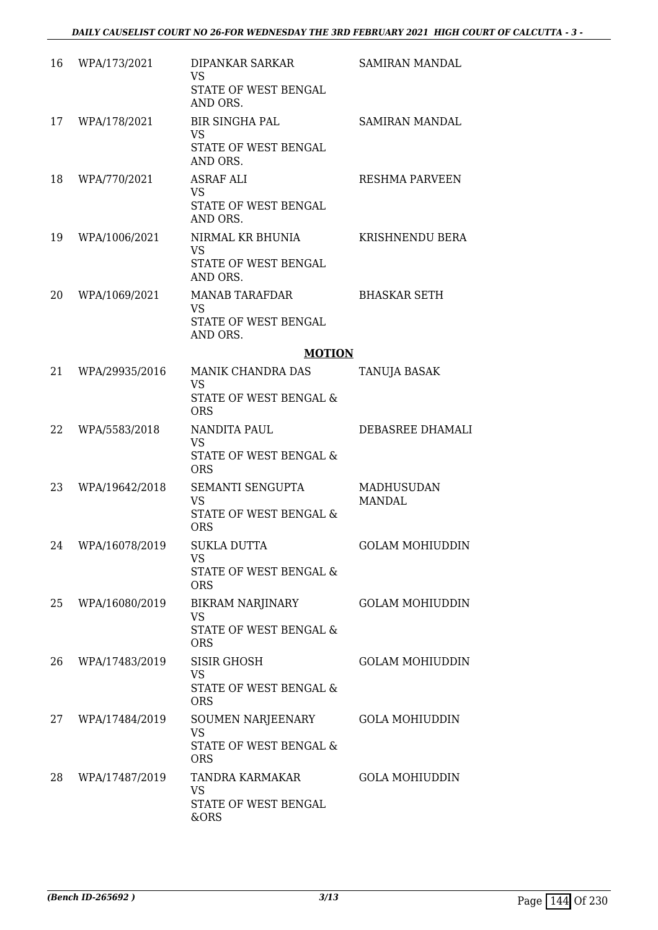| 16 | WPA/173/2021   | DIPANKAR SARKAR<br><b>VS</b><br>STATE OF WEST BENGAL<br>AND ORS.                           | SAMIRAN MANDAL                     |
|----|----------------|--------------------------------------------------------------------------------------------|------------------------------------|
| 17 | WPA/178/2021   | <b>BIR SINGHA PAL</b><br><b>VS</b><br>STATE OF WEST BENGAL<br>AND ORS.                     | SAMIRAN MANDAL                     |
| 18 | WPA/770/2021   | ASRAF ALI<br><b>VS</b><br>STATE OF WEST BENGAL<br>AND ORS.                                 | <b>RESHMA PARVEEN</b>              |
| 19 | WPA/1006/2021  | NIRMAL KR BHUNIA<br><b>VS</b><br>STATE OF WEST BENGAL<br>AND ORS.                          | KRISHNENDU BERA                    |
| 20 | WPA/1069/2021  | <b>MANAB TARAFDAR</b><br><b>VS</b><br>STATE OF WEST BENGAL<br>AND ORS.                     | <b>BHASKAR SETH</b>                |
|    |                | <b>MOTION</b>                                                                              |                                    |
| 21 | WPA/29935/2016 | MANIK CHANDRA DAS<br><b>VS</b><br><b>STATE OF WEST BENGAL &amp;</b>                        | TANUJA BASAK                       |
| 22 | WPA/5583/2018  | <b>ORS</b><br>NANDITA PAUL<br><b>VS</b><br><b>STATE OF WEST BENGAL &amp;</b><br><b>ORS</b> | DEBASREE DHAMALI                   |
| 23 | WPA/19642/2018 | SEMANTI SENGUPTA<br><b>VS</b><br>STATE OF WEST BENGAL &<br><b>ORS</b>                      | <b>MADHUSUDAN</b><br><b>MANDAL</b> |
| 24 | WPA/16078/2019 | <b>SUKLA DUTTA</b><br><b>VS</b><br>STATE OF WEST BENGAL &<br><b>ORS</b>                    | <b>GOLAM MOHIUDDIN</b>             |
| 25 | WPA/16080/2019 | <b>BIKRAM NARJINARY</b><br><b>VS</b><br>STATE OF WEST BENGAL &<br><b>ORS</b>               | <b>GOLAM MOHIUDDIN</b>             |
| 26 | WPA/17483/2019 | <b>SISIR GHOSH</b><br><b>VS</b><br>STATE OF WEST BENGAL &<br><b>ORS</b>                    | <b>GOLAM MOHIUDDIN</b>             |
| 27 | WPA/17484/2019 | SOUMEN NARJEENARY<br><b>VS</b><br>STATE OF WEST BENGAL &<br><b>ORS</b>                     | <b>GOLA MOHIUDDIN</b>              |
| 28 | WPA/17487/2019 | TANDRA KARMAKAR<br><b>VS</b><br>STATE OF WEST BENGAL<br>&ORS                               | <b>GOLA MOHIUDDIN</b>              |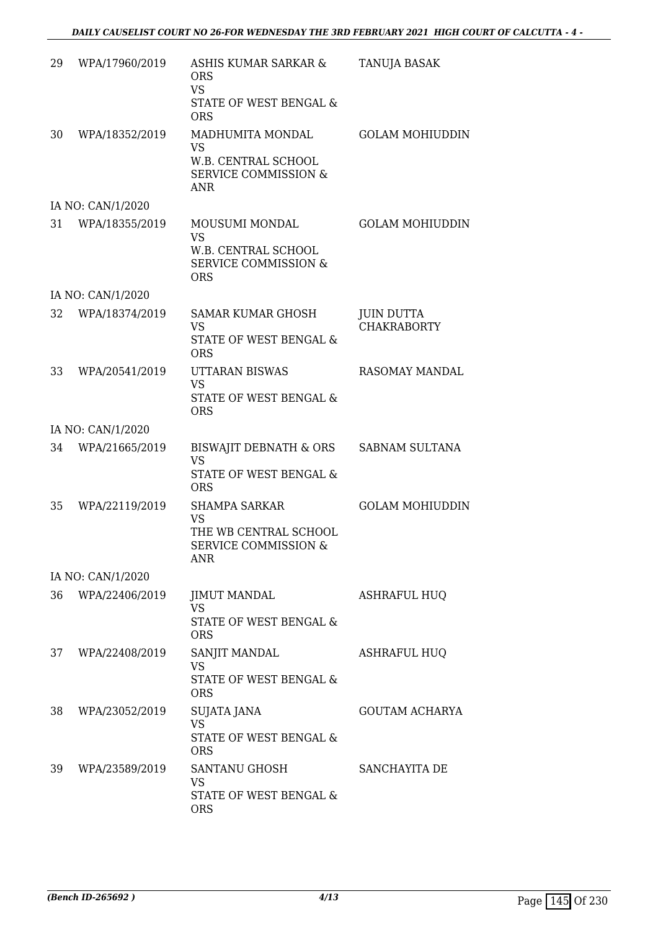| 29 | WPA/17960/2019    | ASHIS KUMAR SARKAR &<br><b>ORS</b><br><b>VS</b><br>STATE OF WEST BENGAL &<br><b>ORS</b>              | TANUJA BASAK                            |
|----|-------------------|------------------------------------------------------------------------------------------------------|-----------------------------------------|
| 30 | WPA/18352/2019    | MADHUMITA MONDAL<br>VS<br>W.B. CENTRAL SCHOOL<br><b>SERVICE COMMISSION &amp;</b><br>ANR              | <b>GOLAM MOHIUDDIN</b>                  |
|    | IA NO: CAN/1/2020 |                                                                                                      |                                         |
|    | 31 WPA/18355/2019 | MOUSUMI MONDAL<br>VS<br>W.B. CENTRAL SCHOOL<br><b>SERVICE COMMISSION &amp;</b><br><b>ORS</b>         | <b>GOLAM MOHIUDDIN</b>                  |
|    | IA NO: CAN/1/2020 |                                                                                                      |                                         |
| 32 | WPA/18374/2019    | SAMAR KUMAR GHOSH<br>VS<br><b>STATE OF WEST BENGAL &amp;</b><br><b>ORS</b>                           | <b>JUIN DUTTA</b><br><b>CHAKRABORTY</b> |
| 33 | WPA/20541/2019    | UTTARAN BISWAS<br><b>VS</b><br>STATE OF WEST BENGAL &<br><b>ORS</b>                                  | <b>RASOMAY MANDAL</b>                   |
|    | IA NO: CAN/1/2020 |                                                                                                      |                                         |
| 34 | WPA/21665/2019    | BISWAJIT DEBNATH & ORS<br><b>VS</b><br>STATE OF WEST BENGAL &<br><b>ORS</b>                          | SABNAM SULTANA                          |
| 35 | WPA/22119/2019    | <b>SHAMPA SARKAR</b><br><b>VS</b><br>THE WB CENTRAL SCHOOL<br><b>SERVICE COMMISSION &amp;</b><br>ANR | <b>GOLAM MOHIUDDIN</b>                  |
|    | IA NO: CAN/1/2020 |                                                                                                      |                                         |
| 36 | WPA/22406/2019    | <b>JIMUT MANDAL</b><br><b>VS</b><br>STATE OF WEST BENGAL &<br><b>ORS</b>                             | <b>ASHRAFUL HUQ</b>                     |
| 37 | WPA/22408/2019    | SANJIT MANDAL<br><b>VS</b><br><b>STATE OF WEST BENGAL &amp;</b><br><b>ORS</b>                        | <b>ASHRAFUL HUQ</b>                     |
| 38 | WPA/23052/2019    | SUJATA JANA<br><b>VS</b><br>STATE OF WEST BENGAL &<br><b>ORS</b>                                     | <b>GOUTAM ACHARYA</b>                   |
| 39 | WPA/23589/2019    | SANTANU GHOSH<br><b>VS</b><br>STATE OF WEST BENGAL &<br><b>ORS</b>                                   | SANCHAYITA DE                           |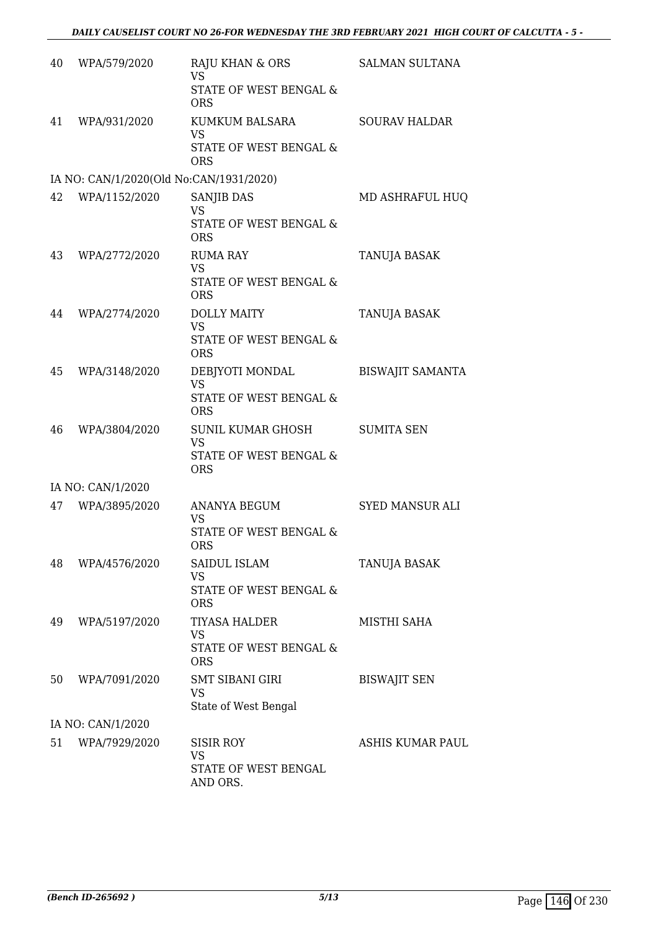| 40 | WPA/579/2020                            | RAJU KHAN & ORS<br><b>VS</b><br>STATE OF WEST BENGAL &                              | <b>SALMAN SULTANA</b>   |
|----|-----------------------------------------|-------------------------------------------------------------------------------------|-------------------------|
| 41 | WPA/931/2020                            | <b>ORS</b><br>KUMKUM BALSARA<br><b>VS</b><br>STATE OF WEST BENGAL &<br><b>ORS</b>   | <b>SOURAV HALDAR</b>    |
|    | IA NO: CAN/1/2020(Old No:CAN/1931/2020) |                                                                                     |                         |
|    | 42 WPA/1152/2020                        | <b>SANJIB DAS</b><br><b>VS</b><br>STATE OF WEST BENGAL &<br><b>ORS</b>              | MD ASHRAFUL HUQ         |
| 43 | WPA/2772/2020                           | <b>RUMA RAY</b><br><b>VS</b><br><b>STATE OF WEST BENGAL &amp;</b><br><b>ORS</b>     | TANUJA BASAK            |
| 44 | WPA/2774/2020                           | <b>DOLLY MAITY</b><br><b>VS</b><br><b>STATE OF WEST BENGAL &amp;</b><br><b>ORS</b>  | TANUJA BASAK            |
| 45 | WPA/3148/2020                           | DEBJYOTI MONDAL<br><b>VS</b><br>STATE OF WEST BENGAL &<br><b>ORS</b>                | <b>BISWAJIT SAMANTA</b> |
| 46 | WPA/3804/2020                           | SUNIL KUMAR GHOSH<br><b>VS</b><br><b>STATE OF WEST BENGAL &amp;</b><br><b>ORS</b>   | <b>SUMITA SEN</b>       |
|    | IA NO: CAN/1/2020                       |                                                                                     |                         |
| 47 | WPA/3895/2020                           | <b>ANANYA BEGUM</b><br><b>VS</b><br><b>STATE OF WEST BENGAL &amp;</b><br><b>ORS</b> | <b>SYED MANSUR ALI</b>  |
| 48 | WPA/4576/2020                           | SAIDUL ISLAM<br><b>VS</b><br>STATE OF WEST BENGAL &<br><b>ORS</b>                   | <b>TANUJA BASAK</b>     |
| 49 | WPA/5197/2020                           | <b>TIYASA HALDER</b><br><b>VS</b><br>STATE OF WEST BENGAL &<br><b>ORS</b>           | MISTHI SAHA             |
| 50 | WPA/7091/2020                           | <b>SMT SIBANI GIRI</b><br><b>VS</b><br>State of West Bengal                         | <b>BISWAJIT SEN</b>     |
|    | IA NO: CAN/1/2020                       |                                                                                     |                         |
| 51 | WPA/7929/2020                           | <b>SISIR ROY</b><br><b>VS</b><br>STATE OF WEST BENGAL<br>AND ORS.                   | ASHIS KUMAR PAUL        |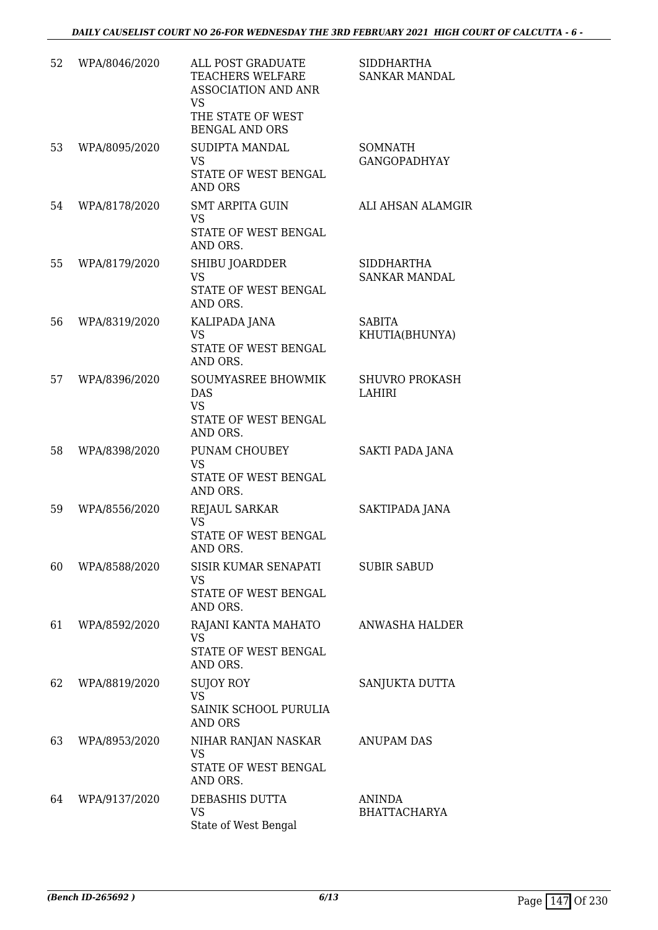| 52 | WPA/8046/2020 | ALL POST GRADUATE<br>TEACHERS WELFARE<br><b>ASSOCIATION AND ANR</b><br><b>VS</b><br>THE STATE OF WEST<br><b>BENGAL AND ORS</b> | <b>SIDDHARTHA</b><br><b>SANKAR MANDAL</b> |
|----|---------------|--------------------------------------------------------------------------------------------------------------------------------|-------------------------------------------|
| 53 | WPA/8095/2020 | SUDIPTA MANDAL<br><b>VS</b><br>STATE OF WEST BENGAL<br><b>AND ORS</b>                                                          | <b>SOMNATH</b><br><b>GANGOPADHYAY</b>     |
| 54 | WPA/8178/2020 | <b>SMT ARPITA GUIN</b><br><b>VS</b><br>STATE OF WEST BENGAL<br>AND ORS.                                                        | ALI AHSAN ALAMGIR                         |
| 55 | WPA/8179/2020 | SHIBU JOARDDER<br><b>VS</b><br>STATE OF WEST BENGAL<br>AND ORS.                                                                | <b>SIDDHARTHA</b><br><b>SANKAR MANDAL</b> |
| 56 | WPA/8319/2020 | KALIPADA JANA<br><b>VS</b><br>STATE OF WEST BENGAL<br>AND ORS.                                                                 | <b>SABITA</b><br>KHUTIA(BHUNYA)           |
| 57 | WPA/8396/2020 | SOUMYASREE BHOWMIK<br><b>DAS</b><br><b>VS</b><br>STATE OF WEST BENGAL<br>AND ORS.                                              | <b>SHUVRO PROKASH</b><br><b>LAHIRI</b>    |
| 58 | WPA/8398/2020 | PUNAM CHOUBEY<br><b>VS</b><br>STATE OF WEST BENGAL<br>AND ORS.                                                                 | SAKTI PADA JANA                           |
| 59 | WPA/8556/2020 | <b>REJAUL SARKAR</b><br><b>VS</b><br>STATE OF WEST BENGAL<br>AND ORS.                                                          | SAKTIPADA JANA                            |
| 60 | WPA/8588/2020 | SISIR KUMAR SENAPATI<br><b>VS</b><br>STATE OF WEST BENGAL<br>AND ORS.                                                          | <b>SUBIR SABUD</b>                        |
| 61 | WPA/8592/2020 | RAJANI KANTA MAHATO<br><b>VS</b><br>STATE OF WEST BENGAL<br>AND ORS.                                                           | ANWASHA HALDER                            |
| 62 | WPA/8819/2020 | <b>SUJOY ROY</b><br><b>VS</b><br>SAINIK SCHOOL PURULIA<br><b>AND ORS</b>                                                       | SANJUKTA DUTTA                            |
| 63 | WPA/8953/2020 | NIHAR RANJAN NASKAR<br><b>VS</b><br>STATE OF WEST BENGAL<br>AND ORS.                                                           | <b>ANUPAM DAS</b>                         |
| 64 | WPA/9137/2020 | DEBASHIS DUTTA<br><b>VS</b><br>State of West Bengal                                                                            | <b>ANINDA</b><br><b>BHATTACHARYA</b>      |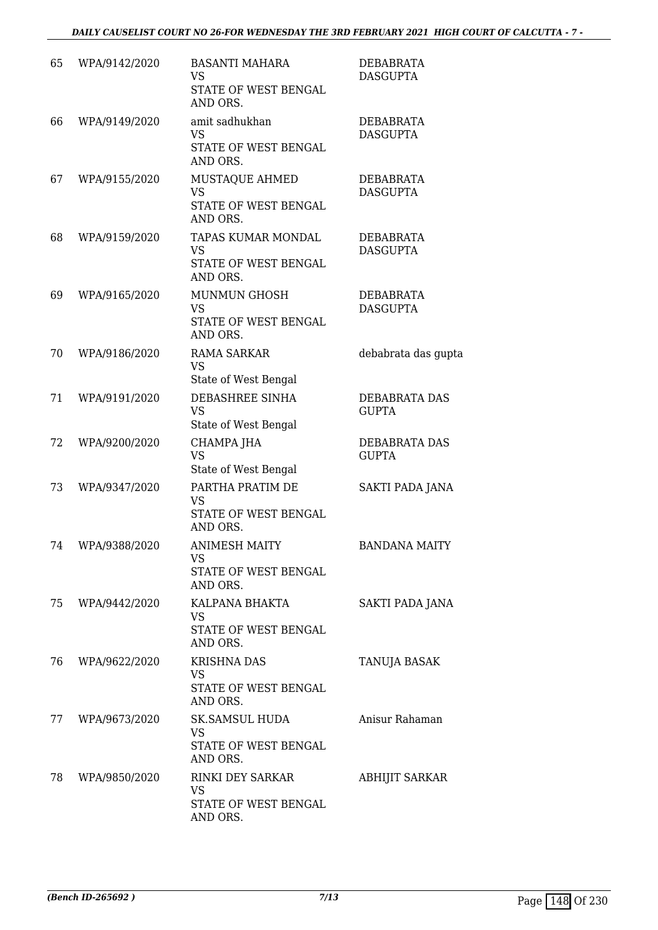| 65 | WPA/9142/2020 | <b>BASANTI MAHARA</b><br>VS<br>STATE OF WEST BENGAL<br>AND ORS.       | DEBABRATA<br><b>DASGUPTA</b>        |
|----|---------------|-----------------------------------------------------------------------|-------------------------------------|
| 66 | WPA/9149/2020 | amit sadhukhan<br><b>VS</b><br>STATE OF WEST BENGAL<br>AND ORS.       | <b>DEBABRATA</b><br><b>DASGUPTA</b> |
| 67 | WPA/9155/2020 | MUSTAQUE AHMED<br><b>VS</b><br>STATE OF WEST BENGAL<br>AND ORS.       | DEBABRATA<br><b>DASGUPTA</b>        |
| 68 | WPA/9159/2020 | TAPAS KUMAR MONDAL<br><b>VS</b><br>STATE OF WEST BENGAL<br>AND ORS.   | DEBABRATA<br><b>DASGUPTA</b>        |
| 69 | WPA/9165/2020 | <b>MUNMUN GHOSH</b><br><b>VS</b><br>STATE OF WEST BENGAL<br>AND ORS.  | <b>DEBABRATA</b><br><b>DASGUPTA</b> |
| 70 | WPA/9186/2020 | <b>RAMA SARKAR</b><br><b>VS</b><br>State of West Bengal               | debabrata das gupta                 |
| 71 | WPA/9191/2020 | DEBASHREE SINHA<br><b>VS</b><br>State of West Bengal                  | DEBABRATA DAS<br><b>GUPTA</b>       |
| 72 | WPA/9200/2020 | CHAMPA JHA<br><b>VS</b><br>State of West Bengal                       | DEBABRATA DAS<br><b>GUPTA</b>       |
| 73 | WPA/9347/2020 | PARTHA PRATIM DE<br><b>VS</b><br>STATE OF WEST BENGAL<br>AND ORS.     | SAKTI PADA JANA                     |
| 74 | WPA/9388/2020 | <b>ANIMESH MAITY</b><br><b>VS</b><br>STATE OF WEST BENGAL<br>AND ORS. | <b>BANDANA MAITY</b>                |
| 75 | WPA/9442/2020 | KALPANA BHAKTA<br><b>VS</b><br>STATE OF WEST BENGAL<br>AND ORS.       | SAKTI PADA JANA                     |
| 76 | WPA/9622/2020 | <b>KRISHNA DAS</b><br><b>VS</b><br>STATE OF WEST BENGAL<br>AND ORS.   | TANUJA BASAK                        |
| 77 | WPA/9673/2020 | SK.SAMSUL HUDA<br>VS<br>STATE OF WEST BENGAL<br>AND ORS.              | Anisur Rahaman                      |
| 78 | WPA/9850/2020 | RINKI DEY SARKAR<br>VS.<br>STATE OF WEST BENGAL<br>AND ORS.           | <b>ABHIJIT SARKAR</b>               |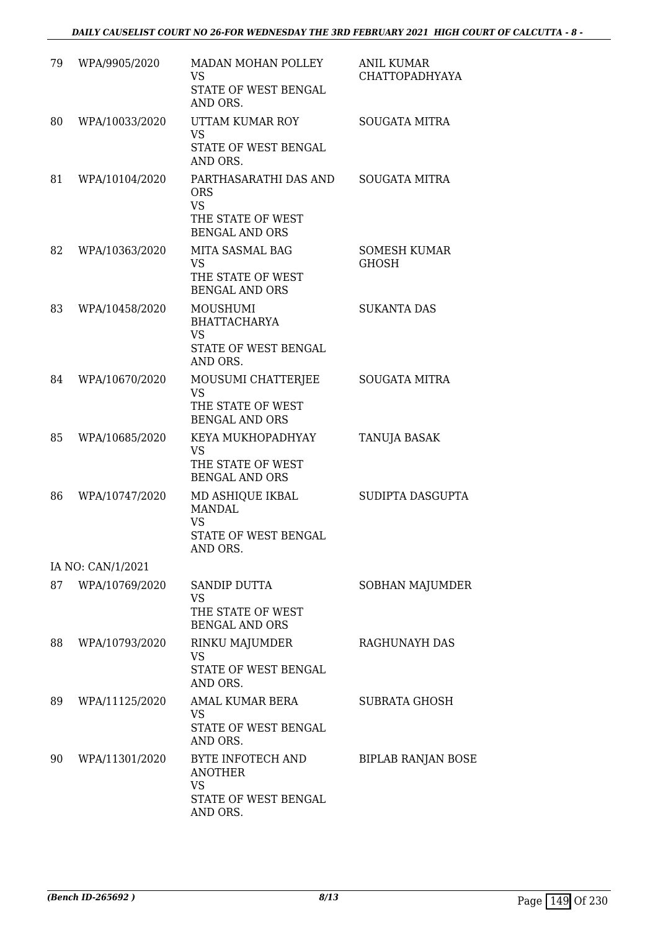| 79 | WPA/9905/2020     | MADAN MOHAN POLLEY<br><b>VS</b><br>STATE OF WEST BENGAL<br>AND ORS.                  | <b>ANIL KUMAR</b><br><b>CHATTOPADHYAYA</b> |
|----|-------------------|--------------------------------------------------------------------------------------|--------------------------------------------|
| 80 | WPA/10033/2020    | UTTAM KUMAR ROY<br><b>VS</b><br>STATE OF WEST BENGAL<br>AND ORS.                     | <b>SOUGATA MITRA</b>                       |
| 81 | WPA/10104/2020    | PARTHASARATHI DAS AND<br><b>ORS</b><br><b>VS</b><br>THE STATE OF WEST                | SOUGATA MITRA                              |
|    |                   | <b>BENGAL AND ORS</b>                                                                |                                            |
| 82 | WPA/10363/2020    | MITA SASMAL BAG<br><b>VS</b><br>THE STATE OF WEST<br><b>BENGAL AND ORS</b>           | <b>SOMESH KUMAR</b><br><b>GHOSH</b>        |
| 83 | WPA/10458/2020    | MOUSHUMI<br><b>BHATTACHARYA</b><br><b>VS</b><br><b>STATE OF WEST BENGAL</b>          | <b>SUKANTA DAS</b>                         |
|    |                   | AND ORS.                                                                             |                                            |
| 84 | WPA/10670/2020    | MOUSUMI CHATTERJEE<br><b>VS</b><br>THE STATE OF WEST<br><b>BENGAL AND ORS</b>        | <b>SOUGATA MITRA</b>                       |
| 85 | WPA/10685/2020    | KEYA MUKHOPADHYAY<br><b>VS</b><br>THE STATE OF WEST<br><b>BENGAL AND ORS</b>         | TANUJA BASAK                               |
| 86 | WPA/10747/2020    | MD ASHIQUE IKBAL<br><b>MANDAL</b><br><b>VS</b><br>STATE OF WEST BENGAL<br>AND ORS.   | SUDIPTA DASGUPTA                           |
|    | IA NO: CAN/1/2021 |                                                                                      |                                            |
| 87 | WPA/10769/2020    | <b>SANDIP DUTTA</b><br><b>VS</b><br>THE STATE OF WEST<br><b>BENGAL AND ORS</b>       | SOBHAN MAJUMDER                            |
| 88 | WPA/10793/2020    | RINKU MAJUMDER<br><b>VS</b><br>STATE OF WEST BENGAL<br>AND ORS.                      | <b>RAGHUNAYH DAS</b>                       |
| 89 | WPA/11125/2020    | AMAL KUMAR BERA<br><b>VS</b><br>STATE OF WEST BENGAL<br>AND ORS.                     | <b>SUBRATA GHOSH</b>                       |
| 90 | WPA/11301/2020    | BYTE INFOTECH AND<br><b>ANOTHER</b><br><b>VS</b><br>STATE OF WEST BENGAL<br>AND ORS. | <b>BIPLAB RANJAN BOSE</b>                  |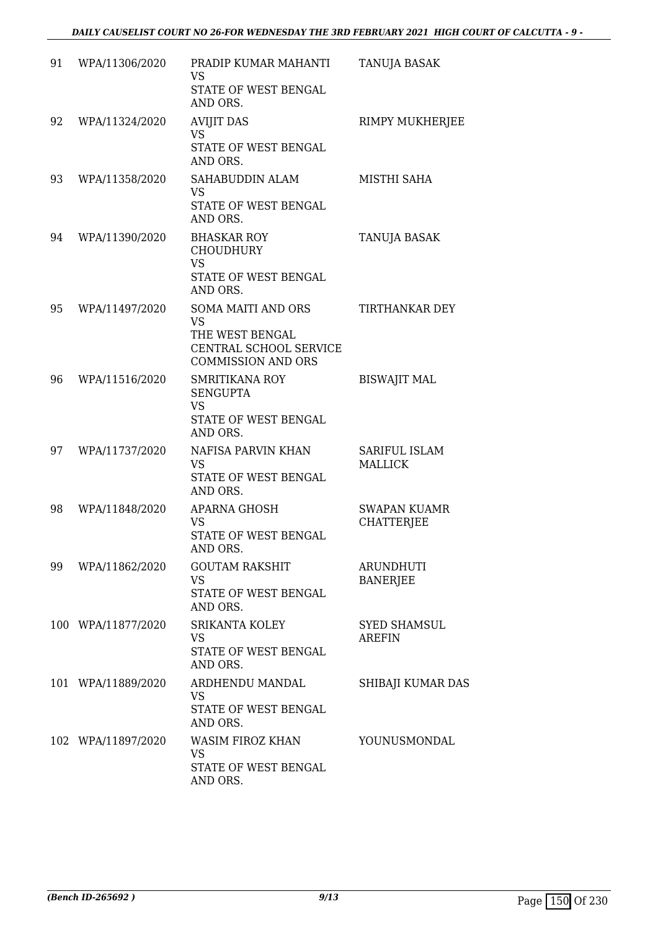| 91 | WPA/11306/2020     | PRADIP KUMAR MAHANTI<br><b>VS</b><br>STATE OF WEST BENGAL<br>AND ORS.                                            | TANUJA BASAK                             |
|----|--------------------|------------------------------------------------------------------------------------------------------------------|------------------------------------------|
| 92 | WPA/11324/2020     | <b>AVIJIT DAS</b><br><b>VS</b><br>STATE OF WEST BENGAL<br>AND ORS.                                               | RIMPY MUKHERJEE                          |
| 93 | WPA/11358/2020     | SAHABUDDIN ALAM<br><b>VS</b><br>STATE OF WEST BENGAL<br>AND ORS.                                                 | MISTHI SAHA                              |
| 94 | WPA/11390/2020     | <b>BHASKAR ROY</b><br><b>CHOUDHURY</b><br><b>VS</b><br>STATE OF WEST BENGAL<br>AND ORS.                          | TANUJA BASAK                             |
| 95 | WPA/11497/2020     | <b>SOMA MAITI AND ORS</b><br><b>VS</b><br>THE WEST BENGAL<br>CENTRAL SCHOOL SERVICE<br><b>COMMISSION AND ORS</b> | TIRTHANKAR DEY                           |
| 96 | WPA/11516/2020     | <b>SMRITIKANA ROY</b><br><b>SENGUPTA</b><br><b>VS</b><br>STATE OF WEST BENGAL<br>AND ORS.                        | <b>BISWAJIT MAL</b>                      |
| 97 | WPA/11737/2020     | NAFISA PARVIN KHAN<br><b>VS</b><br>STATE OF WEST BENGAL<br>AND ORS.                                              | <b>SARIFUL ISLAM</b><br><b>MALLICK</b>   |
| 98 | WPA/11848/2020     | APARNA GHOSH<br><b>VS</b><br>STATE OF WEST BENGAL<br>AND ORS.                                                    | <b>SWAPAN KUAMR</b><br><b>CHATTERJEE</b> |
| 99 | WPA/11862/2020     | <b>GOUTAM RAKSHIT</b><br><b>VS</b><br>STATE OF WEST BENGAL<br>AND ORS.                                           | <b>ARUNDHUTI</b><br><b>BANERJEE</b>      |
|    | 100 WPA/11877/2020 | <b>SRIKANTA KOLEY</b><br><b>VS</b><br>STATE OF WEST BENGAL<br>AND ORS.                                           | <b>SYED SHAMSUL</b><br><b>AREFIN</b>     |
|    | 101 WPA/11889/2020 | ARDHENDU MANDAL<br><b>VS</b><br>STATE OF WEST BENGAL<br>AND ORS.                                                 | SHIBAJI KUMAR DAS                        |
|    | 102 WPA/11897/2020 | WASIM FIROZ KHAN<br><b>VS</b><br>STATE OF WEST BENGAL<br>AND ORS.                                                | YOUNUSMONDAL                             |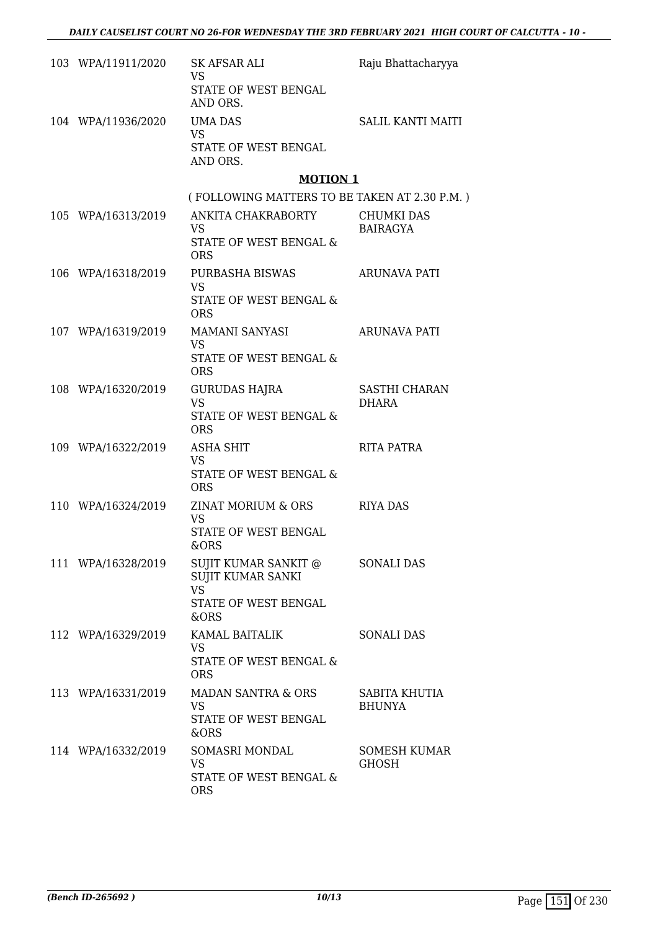| 103 WPA/11911/2020 | SK AFSAR ALI<br><b>VS</b><br>STATE OF WEST BENGAL             | Raju Bhattacharyya                   |
|--------------------|---------------------------------------------------------------|--------------------------------------|
|                    | AND ORS.                                                      |                                      |
| 104 WPA/11936/2020 | UMA DAS<br><b>VS</b><br>STATE OF WEST BENGAL                  | <b>SALIL KANTI MAITI</b>             |
|                    | AND ORS.                                                      |                                      |
|                    | <b>MOTION 1</b>                                               |                                      |
|                    | (FOLLOWING MATTERS TO BE TAKEN AT 2.30 P.M.)                  |                                      |
| 105 WPA/16313/2019 | ANKITA CHAKRABORTY<br><b>VS</b><br>STATE OF WEST BENGAL &     | <b>CHUMKI DAS</b><br><b>BAIRAGYA</b> |
|                    | <b>ORS</b>                                                    |                                      |
| 106 WPA/16318/2019 | PURBASHA BISWAS<br><b>VS</b>                                  | <b>ARUNAVA PATI</b>                  |
|                    | STATE OF WEST BENGAL &<br><b>ORS</b>                          |                                      |
| 107 WPA/16319/2019 | MAMANI SANYASI<br><b>VS</b>                                   | ARUNAVA PATI                         |
|                    | <b>STATE OF WEST BENGAL &amp;</b><br><b>ORS</b>               |                                      |
| 108 WPA/16320/2019 | <b>GURUDAS HAJRA</b><br><b>VS</b>                             | SASTHI CHARAN<br><b>DHARA</b>        |
|                    | STATE OF WEST BENGAL &<br><b>ORS</b>                          |                                      |
| 109 WPA/16322/2019 | ASHA SHIT<br><b>VS</b>                                        | RITA PATRA                           |
|                    | STATE OF WEST BENGAL &<br><b>ORS</b>                          |                                      |
| 110 WPA/16324/2019 | ZINAT MORIUM & ORS<br><b>VS</b>                               | <b>RIYA DAS</b>                      |
|                    | <b>STATE OF WEST BENGAL</b><br>&ORS                           |                                      |
| 111 WPA/16328/2019 | SUJIT KUMAR SANKIT @<br><b>SUJIT KUMAR SANKI</b><br><b>VS</b> | <b>SONALI DAS</b>                    |
|                    | <b>STATE OF WEST BENGAL</b><br>&ORS                           |                                      |
| 112 WPA/16329/2019 | KAMAL BAITALIK<br>VS                                          | <b>SONALI DAS</b>                    |
|                    | STATE OF WEST BENGAL &<br>ORS                                 |                                      |
| 113 WPA/16331/2019 | <b>MADAN SANTRA &amp; ORS</b>                                 | SABITA KHUTIA                        |
|                    | VS<br>STATE OF WEST BENGAL<br>&ORS                            | <b>BHUNYA</b>                        |
| 114 WPA/16332/2019 | SOMASRI MONDAL<br><b>VS</b>                                   | <b>SOMESH KUMAR</b><br>GHOSH         |
|                    | STATE OF WEST BENGAL &<br><b>ORS</b>                          |                                      |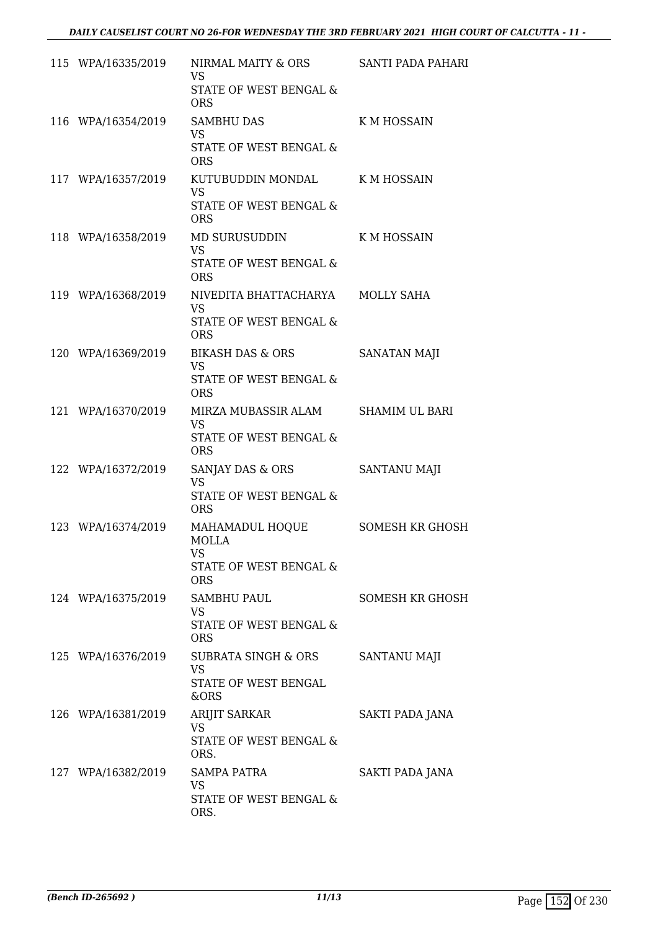| 115 WPA/16335/2019 | NIRMAL MAITY & ORS<br><b>VS</b><br>STATE OF WEST BENGAL & | <b>SANTI PADA PAHARI</b> |
|--------------------|-----------------------------------------------------------|--------------------------|
|                    | <b>ORS</b>                                                |                          |
| 116 WPA/16354/2019 | <b>SAMBHU DAS</b><br><b>VS</b><br>STATE OF WEST BENGAL &  | K M HOSSAIN              |
|                    | <b>ORS</b>                                                |                          |
| 117 WPA/16357/2019 | KUTUBUDDIN MONDAL<br><b>VS</b><br>STATE OF WEST BENGAL &  | K M HOSSAIN              |
|                    | <b>ORS</b>                                                |                          |
| 118 WPA/16358/2019 | MD SURUSUDDIN<br><b>VS</b>                                | <b>KMHOSSAIN</b>         |
|                    | STATE OF WEST BENGAL &<br><b>ORS</b>                      |                          |
| 119 WPA/16368/2019 | NIVEDITA BHATTACHARYA MOLLY SAHA<br><b>VS</b>             |                          |
|                    | <b>STATE OF WEST BENGAL &amp;</b><br><b>ORS</b>           |                          |
| 120 WPA/16369/2019 | <b>BIKASH DAS &amp; ORS</b><br><b>VS</b>                  | SANATAN MAJI             |
|                    | STATE OF WEST BENGAL &<br><b>ORS</b>                      |                          |
| 121 WPA/16370/2019 | MIRZA MUBASSIR ALAM<br><b>VS</b>                          | <b>SHAMIM UL BARI</b>    |
|                    | STATE OF WEST BENGAL &<br><b>ORS</b>                      |                          |
| 122 WPA/16372/2019 | SANJAY DAS & ORS<br><b>VS</b>                             | <b>SANTANU MAJI</b>      |
|                    | STATE OF WEST BENGAL &<br><b>ORS</b>                      |                          |
| 123 WPA/16374/2019 | MAHAMADUL HOQUE<br><b>MOLLA</b>                           | <b>SOMESH KR GHOSH</b>   |
|                    | <b>VS</b><br>STATE OF WEST BENGAL &<br><b>ORS</b>         |                          |
| 124 WPA/16375/2019 | <b>SAMBHU PAUL</b>                                        | <b>SOMESH KR GHOSH</b>   |
|                    | VS.<br>STATE OF WEST BENGAL &<br><b>ORS</b>               |                          |
| 125 WPA/16376/2019 | SUBRATA SINGH & ORS<br>VS                                 | <b>SANTANU MAJI</b>      |
|                    | STATE OF WEST BENGAL<br>&ORS                              |                          |
| 126 WPA/16381/2019 | <b>ARIJIT SARKAR</b>                                      | SAKTI PADA JANA          |
|                    | <b>VS</b><br>STATE OF WEST BENGAL &<br>ORS.               |                          |
| 127 WPA/16382/2019 | SAMPA PATRA<br>VS                                         | SAKTI PADA JANA          |
|                    | STATE OF WEST BENGAL &<br>ORS.                            |                          |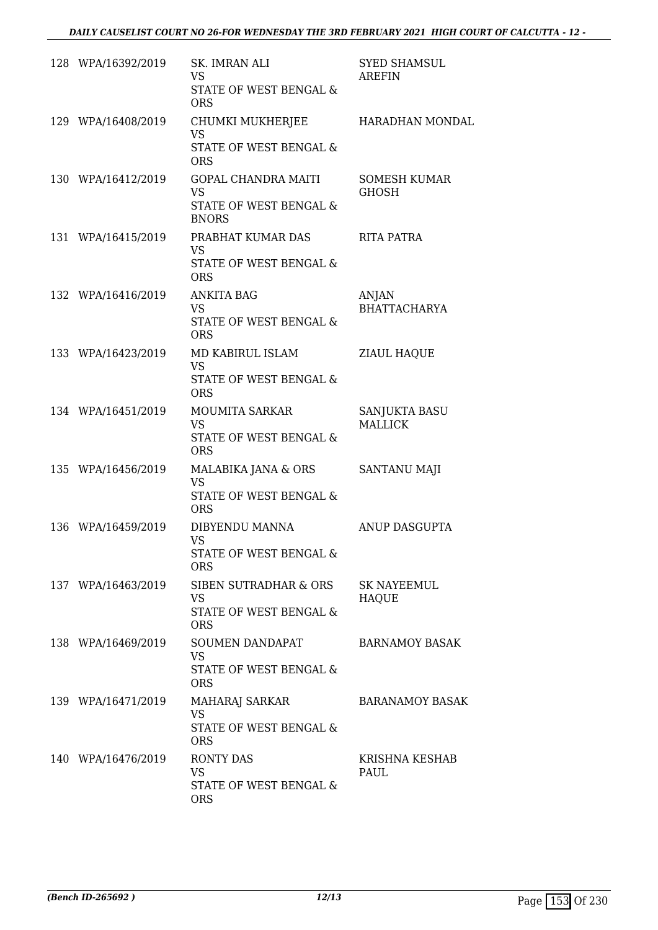| 128 WPA/16392/2019 | SK. IMRAN ALI<br><b>VS</b><br>STATE OF WEST BENGAL &<br><b>ORS</b>                | <b>SYED SHAMSUL</b><br><b>AREFIN</b> |
|--------------------|-----------------------------------------------------------------------------------|--------------------------------------|
| 129 WPA/16408/2019 | CHUMKI MUKHERJEE<br><b>VS</b><br>STATE OF WEST BENGAL &<br><b>ORS</b>             | HARADHAN MONDAL                      |
| 130 WPA/16412/2019 | <b>GOPAL CHANDRA MAITI</b><br><b>VS</b><br>STATE OF WEST BENGAL &<br><b>BNORS</b> | <b>SOMESH KUMAR</b><br><b>GHOSH</b>  |
| 131 WPA/16415/2019 | PRABHAT KUMAR DAS<br><b>VS</b><br>STATE OF WEST BENGAL &<br><b>ORS</b>            | <b>RITA PATRA</b>                    |
| 132 WPA/16416/2019 | <b>ANKITA BAG</b><br><b>VS</b><br>STATE OF WEST BENGAL &<br><b>ORS</b>            | <b>ANJAN</b><br><b>BHATTACHARYA</b>  |
| 133 WPA/16423/2019 | MD KABIRUL ISLAM<br><b>VS</b><br>STATE OF WEST BENGAL &<br><b>ORS</b>             | ZIAUL HAQUE                          |
| 134 WPA/16451/2019 | <b>MOUMITA SARKAR</b><br><b>VS</b><br>STATE OF WEST BENGAL &<br><b>ORS</b>        | SANJUKTA BASU<br><b>MALLICK</b>      |
| 135 WPA/16456/2019 | MALABIKA JANA & ORS<br><b>VS</b><br>STATE OF WEST BENGAL &<br><b>ORS</b>          | SANTANU MAJI                         |
| 136 WPA/16459/2019 | DIBYENDU MANNA<br><b>VS</b><br>STATE OF WEST BENGAL &<br><b>ORS</b>               | ANUP DASGUPTA                        |
| 137 WPA/16463/2019 | SIBEN SUTRADHAR & ORS<br>VS.<br><b>STATE OF WEST BENGAL &amp;</b><br><b>ORS</b>   | <b>SK NAYEEMUL</b><br><b>HAQUE</b>   |
| 138 WPA/16469/2019 | SOUMEN DANDAPAT<br><b>VS</b><br>STATE OF WEST BENGAL &<br><b>ORS</b>              | <b>BARNAMOY BASAK</b>                |
| 139 WPA/16471/2019 | MAHARAJ SARKAR<br><b>VS</b><br>STATE OF WEST BENGAL &<br><b>ORS</b>               | <b>BARANAMOY BASAK</b>               |
| 140 WPA/16476/2019 | <b>RONTY DAS</b><br>VS<br>STATE OF WEST BENGAL &<br><b>ORS</b>                    | KRISHNA KESHAB<br>PAUL               |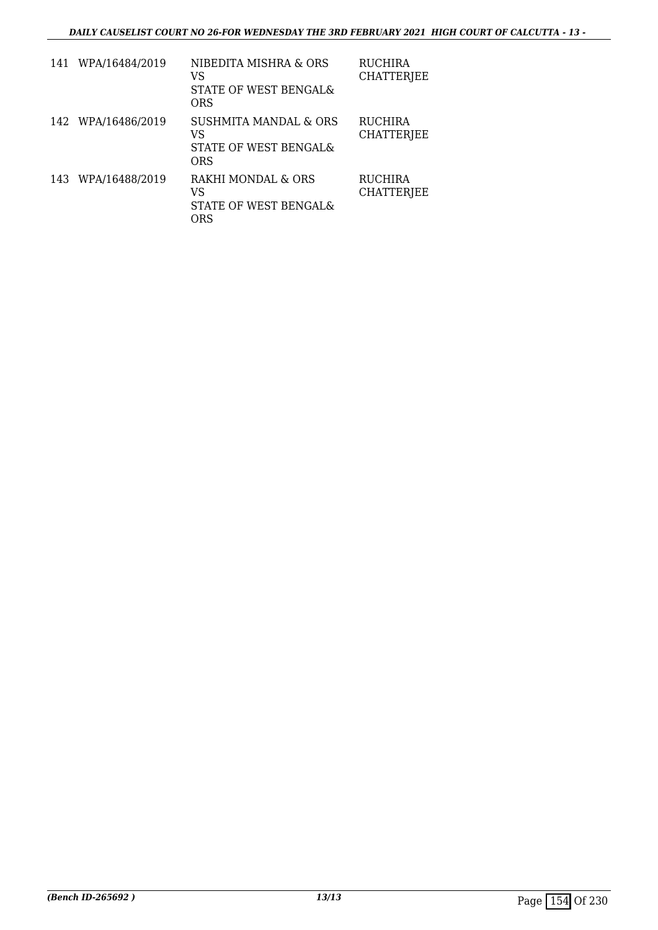| 141 WPA/16484/2019 | NIBEDITA MISHRA & ORS<br>VS<br>STATE OF WEST BENGAL&<br>ORS            | <b>RUCHIRA</b><br><b>CHATTERJEE</b> |
|--------------------|------------------------------------------------------------------------|-------------------------------------|
| 142 WPA/16486/2019 | <b>SUSHMITA MANDAL &amp; ORS</b><br>VS<br>STATE OF WEST BENGALS<br>ORS | <b>RUCHIRA</b><br><b>CHATTERJEE</b> |
| 143 WPA/16488/2019 | RAKHI MONDAL & ORS<br>VS<br>STATE OF WEST BENGAL&<br>ORS               | <b>RUCHIRA</b><br><b>CHATTERJEE</b> |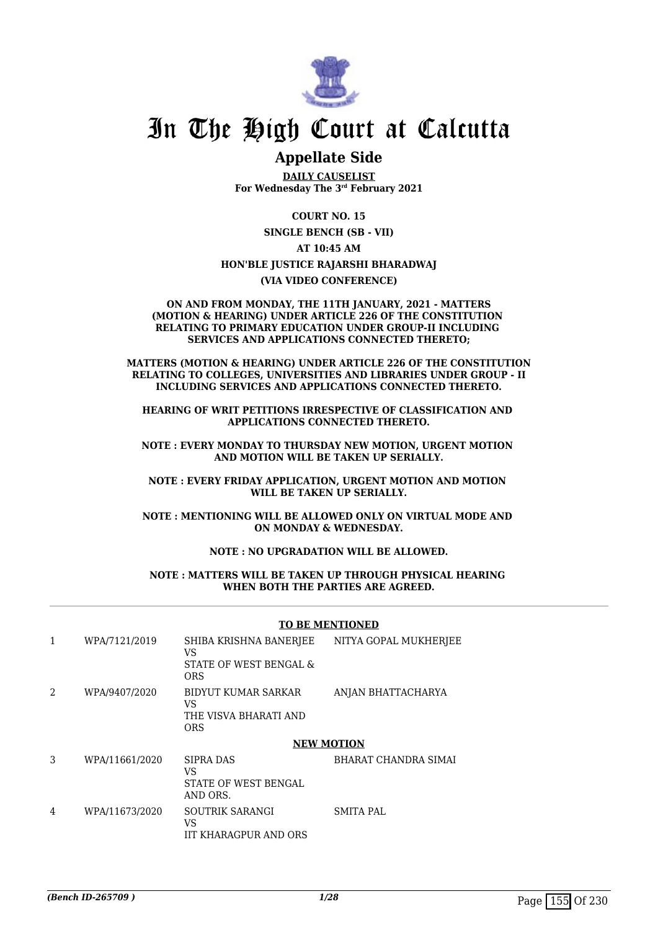

# In The High Court at Calcutta

# **Appellate Side**

**DAILY CAUSELIST For Wednesday The 3rd February 2021**

**COURT NO. 15**

**SINGLE BENCH (SB - VII)**

# **AT 10:45 AM**

## **HON'BLE JUSTICE RAJARSHI BHARADWAJ**

**(VIA VIDEO CONFERENCE)**

#### **ON AND FROM MONDAY, THE 11TH JANUARY, 2021 - MATTERS (MOTION & HEARING) UNDER ARTICLE 226 OF THE CONSTITUTION RELATING TO PRIMARY EDUCATION UNDER GROUP-II INCLUDING SERVICES AND APPLICATIONS CONNECTED THERETO;**

**MATTERS (MOTION & HEARING) UNDER ARTICLE 226 OF THE CONSTITUTION RELATING TO COLLEGES, UNIVERSITIES AND LIBRARIES UNDER GROUP - II INCLUDING SERVICES AND APPLICATIONS CONNECTED THERETO.** 

**HEARING OF WRIT PETITIONS IRRESPECTIVE OF CLASSIFICATION AND APPLICATIONS CONNECTED THERETO.**

**NOTE : EVERY MONDAY TO THURSDAY NEW MOTION, URGENT MOTION AND MOTION WILL BE TAKEN UP SERIALLY.**

**NOTE : EVERY FRIDAY APPLICATION, URGENT MOTION AND MOTION WILL BE TAKEN UP SERIALLY.**

**NOTE : MENTIONING WILL BE ALLOWED ONLY ON VIRTUAL MODE AND ON MONDAY & WEDNESDAY.**

### **NOTE : NO UPGRADATION WILL BE ALLOWED.**

#### **NOTE : MATTERS WILL BE TAKEN UP THROUGH PHYSICAL HEARING WHEN BOTH THE PARTIES ARE AGREED.**

#### **TO BE MENTIONED**

| 1              | WPA/7121/2019  | SHIBA KRISHNA BANERJEE<br>VS.<br>STATE OF WEST BENGAL &<br><b>ORS</b> | NITYA GOPAL MUKHERJEE |
|----------------|----------------|-----------------------------------------------------------------------|-----------------------|
| $\mathfrak{D}$ | WPA/9407/2020  | BIDYUT KUMAR SARKAR<br>VS.<br>THE VISVA BHARATI AND<br><b>ORS</b>     | ANJAN BHATTACHARYA    |
|                |                | <b>NEW MOTION</b>                                                     |                       |
| 3              | WPA/11661/2020 | <b>SIPRA DAS</b><br>VS<br><b>STATE OF WEST BENGAL</b>                 | BHARAT CHANDRA SIMAI  |
|                |                | AND ORS.                                                              |                       |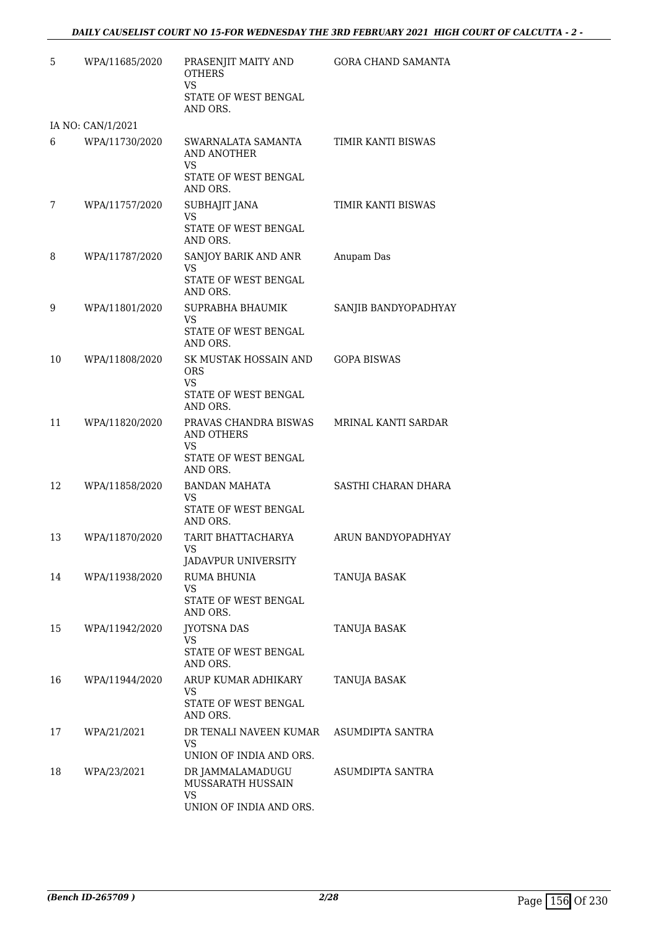| 5  | WPA/11685/2020    | PRASENJIT MAITY AND<br><b>OTHERS</b><br><b>VS</b>                                                       | <b>GORA CHAND SAMANTA</b> |
|----|-------------------|---------------------------------------------------------------------------------------------------------|---------------------------|
|    |                   | STATE OF WEST BENGAL<br>AND ORS.                                                                        |                           |
|    | IA NO: CAN/1/2021 |                                                                                                         |                           |
| 6  | WPA/11730/2020    | SWARNALATA SAMANTA<br>AND ANOTHER<br>VS                                                                 | TIMIR KANTI BISWAS        |
|    |                   | STATE OF WEST BENGAL<br>AND ORS.                                                                        |                           |
| 7  | WPA/11757/2020    | SUBHAJIT JANA<br><b>VS</b><br>STATE OF WEST BENGAL<br>AND ORS.                                          | TIMIR KANTI BISWAS        |
| 8  | WPA/11787/2020    | SANJOY BARIK AND ANR<br>VS<br>STATE OF WEST BENGAL<br>AND ORS.                                          | Anupam Das                |
| 9  | WPA/11801/2020    | SUPRABHA BHAUMIK<br>VS<br>STATE OF WEST BENGAL<br>AND ORS.                                              | SANJIB BANDYOPADHYAY      |
| 10 | WPA/11808/2020    | SK MUSTAK HOSSAIN AND<br><b>ORS</b><br><b>VS</b><br>STATE OF WEST BENGAL                                | <b>GOPA BISWAS</b>        |
| 11 | WPA/11820/2020    | AND ORS.<br>PRAVAS CHANDRA BISWAS<br><b>AND OTHERS</b><br><b>VS</b><br>STATE OF WEST BENGAL<br>AND ORS. | MRINAL KANTI SARDAR       |
| 12 | WPA/11858/2020    | <b>BANDAN MAHATA</b><br>VS<br>STATE OF WEST BENGAL<br>AND ORS.                                          | SASTHI CHARAN DHARA       |
| 13 | WPA/11870/2020    | TARIT BHATTACHARYA<br>VS —<br>JADAVPUR UNIVERSITY                                                       | ARUN BANDYOPADHYAY        |
| 14 | WPA/11938/2020    | RUMA BHUNIA<br><b>VS</b><br>STATE OF WEST BENGAL<br>AND ORS.                                            | TANUJA BASAK              |
| 15 | WPA/11942/2020    | <b>JYOTSNA DAS</b><br>VS<br>STATE OF WEST BENGAL<br>AND ORS.                                            | TANUJA BASAK              |
| 16 | WPA/11944/2020    | ARUP KUMAR ADHIKARY<br>VS<br>STATE OF WEST BENGAL<br>AND ORS.                                           | TANUJA BASAK              |
| 17 | WPA/21/2021       | DR TENALI NAVEEN KUMAR<br>VS<br>UNION OF INDIA AND ORS.                                                 | ASUMDIPTA SANTRA          |
| 18 | WPA/23/2021       | DR JAMMALAMADUGU<br>MUSSARATH HUSSAIN<br><b>VS</b><br>UNION OF INDIA AND ORS.                           | ASUMDIPTA SANTRA          |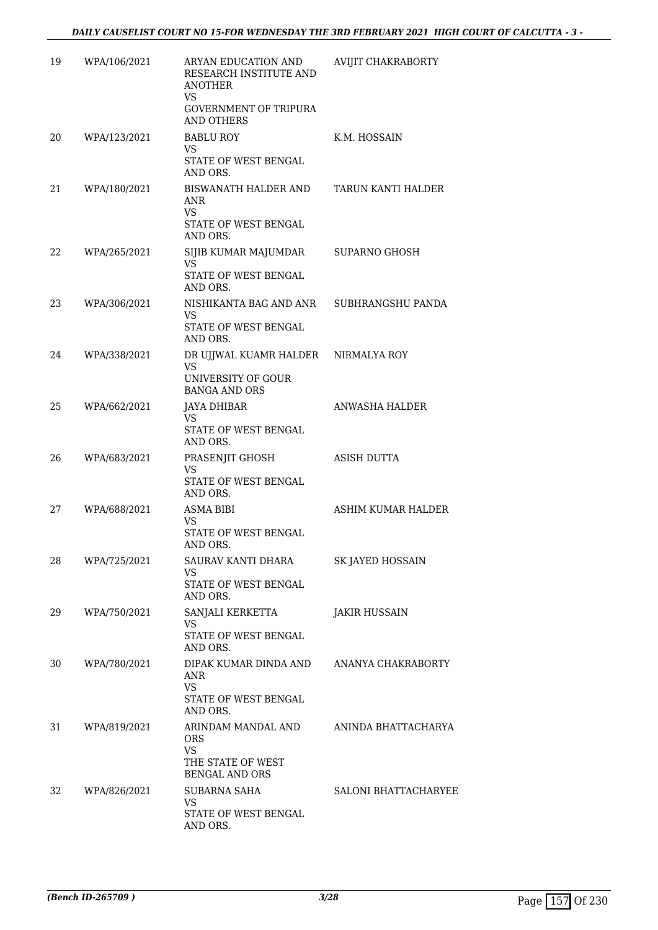| 19  | WPA/106/2021 | ARYAN EDUCATION AND<br>RESEARCH INSTITUTE AND<br><b>ANOTHER</b><br>VS<br><b>GOVERNMENT OF TRIPURA</b><br>AND OTHERS | AVIJIT CHAKRABORTY          |
|-----|--------------|---------------------------------------------------------------------------------------------------------------------|-----------------------------|
| 20  | WPA/123/2021 | <b>BABLU ROY</b><br><b>VS</b><br>STATE OF WEST BENGAL<br>AND ORS.                                                   | K.M. HOSSAIN                |
| 21  | WPA/180/2021 | BISWANATH HALDER AND<br>ANR<br><b>VS</b><br>STATE OF WEST BENGAL<br>AND ORS.                                        | TARUN KANTI HALDER          |
| 22. | WPA/265/2021 | SIJIB KUMAR MAJUMDAR<br>VS.<br>STATE OF WEST BENGAL<br>AND ORS.                                                     | <b>SUPARNO GHOSH</b>        |
| 23  | WPA/306/2021 | NISHIKANTA BAG AND ANR<br>VS.<br>STATE OF WEST BENGAL<br>AND ORS.                                                   | SUBHRANGSHU PANDA           |
| 24  | WPA/338/2021 | DR UJJWAL KUAMR HALDER<br><b>VS</b><br>UNIVERSITY OF GOUR<br><b>BANGA AND ORS</b>                                   | NIRMALYA ROY                |
| 25  | WPA/662/2021 | <b>JAYA DHIBAR</b><br>VS<br>STATE OF WEST BENGAL<br>AND ORS.                                                        | ANWASHA HALDER              |
| 26  | WPA/683/2021 | PRASENJIT GHOSH<br><b>VS</b><br>STATE OF WEST BENGAL<br>AND ORS.                                                    | ASISH DUTTA                 |
| 27  | WPA/688/2021 | ASMA BIBI<br>VS.<br>STATE OF WEST BENGAL<br>AND ORS.                                                                | ASHIM KUMAR HALDER          |
| 28  | WPA/725/2021 | SAURAV KANTI DHARA<br>VS<br>STATE OF WEST BENGAL<br>AND ORS.                                                        | SK JAYED HOSSAIN            |
| 29  | WPA/750/2021 | SANJALI KERKETTA<br>VS<br>STATE OF WEST BENGAL<br>AND ORS.                                                          | <b>JAKIR HUSSAIN</b>        |
| 30  | WPA/780/2021 | DIPAK KUMAR DINDA AND<br>ANR<br><b>VS</b><br>STATE OF WEST BENGAL<br>AND ORS.                                       | ANANYA CHAKRABORTY          |
| 31  | WPA/819/2021 | ARINDAM MANDAL AND<br><b>ORS</b><br><b>VS</b><br>THE STATE OF WEST<br><b>BENGAL AND ORS</b>                         | ANINDA BHATTACHARYA         |
| 32  | WPA/826/2021 | <b>SUBARNA SAHA</b><br><b>VS</b><br>STATE OF WEST BENGAL<br>AND ORS.                                                | <b>SALONI BHATTACHARYEE</b> |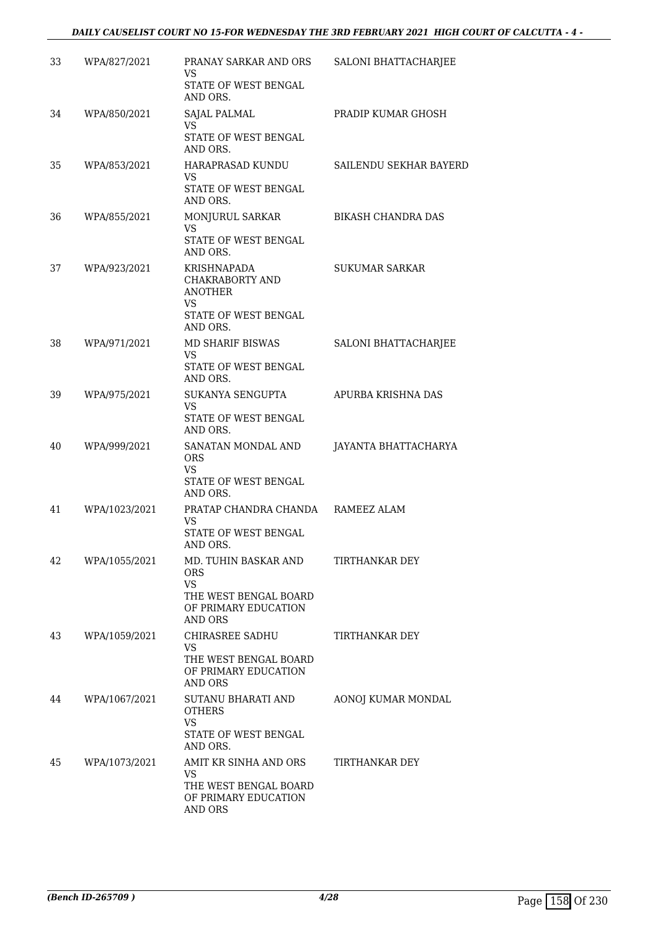| 33 | WPA/827/2021  | PRANAY SARKAR AND ORS<br>VS<br>STATE OF WEST BENGAL<br>AND ORS.                                                    | SALONI BHATTACHARJEE      |
|----|---------------|--------------------------------------------------------------------------------------------------------------------|---------------------------|
| 34 | WPA/850/2021  | SAJAL PALMAL<br>VS.<br>STATE OF WEST BENGAL<br>AND ORS.                                                            | PRADIP KUMAR GHOSH        |
| 35 | WPA/853/2021  | HARAPRASAD KUNDU<br>VS.<br>STATE OF WEST BENGAL<br>AND ORS.                                                        | SAILENDU SEKHAR BAYERD    |
| 36 | WPA/855/2021  | MONJURUL SARKAR<br>VS.<br>STATE OF WEST BENGAL<br>AND ORS.                                                         | <b>BIKASH CHANDRA DAS</b> |
| 37 | WPA/923/2021  | KRISHNAPADA<br>CHAKRABORTY AND<br><b>ANOTHER</b><br><b>VS</b><br>STATE OF WEST BENGAL<br>AND ORS.                  | <b>SUKUMAR SARKAR</b>     |
| 38 | WPA/971/2021  | MD SHARIF BISWAS<br><b>VS</b><br>STATE OF WEST BENGAL<br>AND ORS.                                                  | SALONI BHATTACHARJEE      |
| 39 | WPA/975/2021  | SUKANYA SENGUPTA<br><b>VS</b><br>STATE OF WEST BENGAL<br>AND ORS.                                                  | APURBA KRISHNA DAS        |
| 40 | WPA/999/2021  | SANATAN MONDAL AND<br><b>ORS</b><br>VS<br>STATE OF WEST BENGAL<br>AND ORS.                                         | JAYANTA BHATTACHARYA      |
| 41 | WPA/1023/2021 | PRATAP CHANDRA CHANDA RAMEEZ ALAM<br>VS<br><b>STATE OF WEST BENGAL</b><br>AND ORS.                                 |                           |
| 42 | WPA/1055/2021 | MD. TUHIN BASKAR AND<br><b>ORS</b><br><b>VS</b><br>THE WEST BENGAL BOARD<br>OF PRIMARY EDUCATION<br><b>AND ORS</b> | TIRTHANKAR DEY            |
| 43 | WPA/1059/2021 | CHIRASREE SADHU<br><b>VS</b><br>THE WEST BENGAL BOARD<br>OF PRIMARY EDUCATION<br><b>AND ORS</b>                    | TIRTHANKAR DEY            |
| 44 | WPA/1067/2021 | SUTANU BHARATI AND<br><b>OTHERS</b><br>VS.<br>STATE OF WEST BENGAL<br>AND ORS.                                     | AONOJ KUMAR MONDAL        |
| 45 | WPA/1073/2021 | AMIT KR SINHA AND ORS<br>VS<br>THE WEST BENGAL BOARD<br>OF PRIMARY EDUCATION<br>AND ORS                            | TIRTHANKAR DEY            |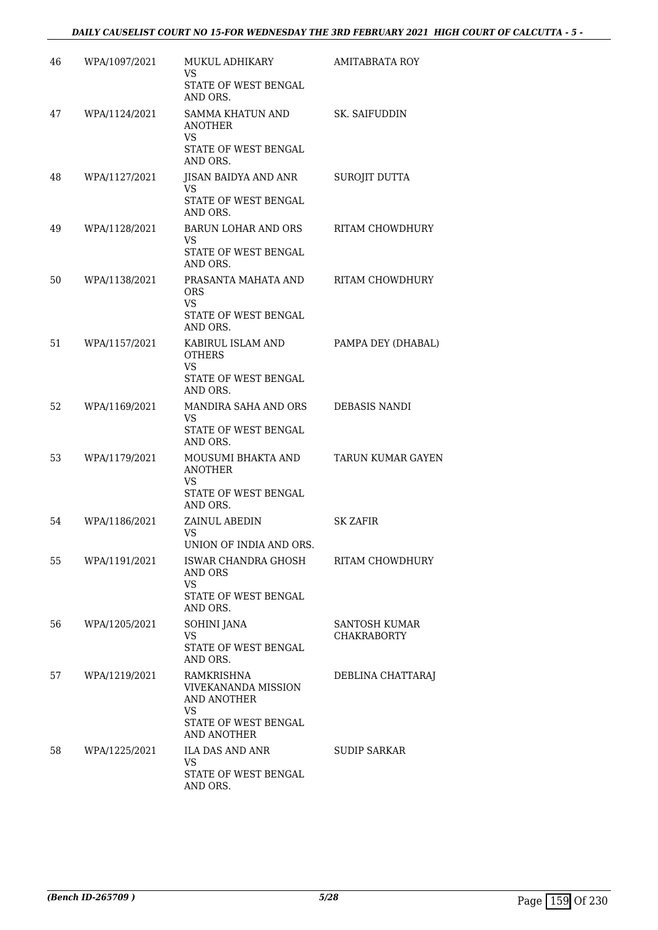| 46 | WPA/1097/2021 | MUKUL ADHIKARY<br>VS<br>STATE OF WEST BENGAL                                       | <b>AMITABRATA ROY</b>               |
|----|---------------|------------------------------------------------------------------------------------|-------------------------------------|
|    |               | AND ORS.                                                                           |                                     |
| 47 | WPA/1124/2021 | SAMMA KHATUN AND<br><b>ANOTHER</b><br><b>VS</b>                                    | SK. SAIFUDDIN                       |
|    |               | STATE OF WEST BENGAL<br>AND ORS.                                                   |                                     |
| 48 | WPA/1127/2021 | JISAN BAIDYA AND ANR<br>VS                                                         | <b>SUROJIT DUTTA</b>                |
|    |               | STATE OF WEST BENGAL<br>AND ORS.                                                   |                                     |
| 49 | WPA/1128/2021 | <b>BARUN LOHAR AND ORS</b><br>VS<br>STATE OF WEST BENGAL<br>AND ORS.               | RITAM CHOWDHURY                     |
| 50 | WPA/1138/2021 | PRASANTA MAHATA AND<br><b>ORS</b><br><b>VS</b><br>STATE OF WEST BENGAL<br>AND ORS. | RITAM CHOWDHURY                     |
| 51 | WPA/1157/2021 | KABIRUL ISLAM AND<br><b>OTHERS</b><br><b>VS</b><br>STATE OF WEST BENGAL            | PAMPA DEY (DHABAL)                  |
| 52 | WPA/1169/2021 | AND ORS.<br>MANDIRA SAHA AND ORS                                                   | DEBASIS NANDI                       |
|    |               | VS<br>STATE OF WEST BENGAL<br>AND ORS.                                             |                                     |
| 53 | WPA/1179/2021 | MOUSUMI BHAKTA AND<br><b>ANOTHER</b><br>VS.                                        | <b>TARUN KUMAR GAYEN</b>            |
|    |               | STATE OF WEST BENGAL<br>AND ORS.                                                   |                                     |
| 54 | WPA/1186/2021 | ZAINUL ABEDIN<br><b>VS</b><br>UNION OF INDIA AND ORS                               | <b>SK ZAFIR</b>                     |
| 55 | WPA/1191/2021 | ISWAR CHANDRA GHOSH<br>AND ORS<br>VS                                               | RITAM CHOWDHURY                     |
|    |               | STATE OF WEST BENGAL<br>AND ORS.                                                   |                                     |
| 56 | WPA/1205/2021 | <b>SOHINI JANA</b><br><b>VS</b>                                                    | SANTOSH KUMAR<br><b>CHAKRABORTY</b> |
|    |               | STATE OF WEST BENGAL<br>AND ORS.                                                   |                                     |
| 57 | WPA/1219/2021 | RAMKRISHNA<br><b>VIVEKANANDA MISSION</b><br>AND ANOTHER<br><b>VS</b>               | DEBLINA CHATTARAJ                   |
|    |               | STATE OF WEST BENGAL<br><b>AND ANOTHER</b>                                         |                                     |
| 58 | WPA/1225/2021 | ILA DAS AND ANR<br><b>VS</b>                                                       | <b>SUDIP SARKAR</b>                 |
|    |               | STATE OF WEST BENGAL<br>AND ORS.                                                   |                                     |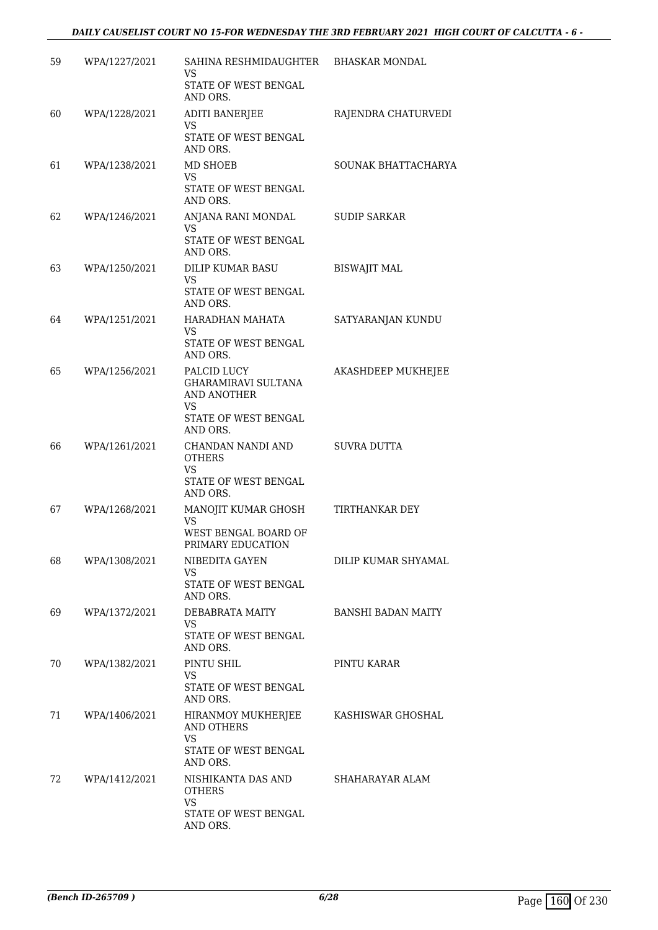| 59 | WPA/1227/2021 | SAHINA RESHMIDAUGHTER<br>VS<br>STATE OF WEST BENGAL<br>AND ORS.                                    | <b>BHASKAR MONDAL</b>     |
|----|---------------|----------------------------------------------------------------------------------------------------|---------------------------|
| 60 | WPA/1228/2021 | <b>ADITI BANERJEE</b><br><b>VS</b><br>STATE OF WEST BENGAL<br>AND ORS.                             | RAJENDRA CHATURVEDI       |
| 61 | WPA/1238/2021 | MD SHOEB<br>VS<br>STATE OF WEST BENGAL<br>AND ORS.                                                 | SOUNAK BHATTACHARYA       |
| 62 | WPA/1246/2021 | ANJANA RANI MONDAL<br><b>VS</b><br>STATE OF WEST BENGAL<br>AND ORS.                                | <b>SUDIP SARKAR</b>       |
| 63 | WPA/1250/2021 | DILIP KUMAR BASU<br>VS<br>STATE OF WEST BENGAL<br>AND ORS.                                         | <b>BISWAJIT MAL</b>       |
| 64 | WPA/1251/2021 | HARADHAN MAHATA<br>VS<br>STATE OF WEST BENGAL<br>AND ORS.                                          | SATYARANJAN KUNDU         |
| 65 | WPA/1256/2021 | PALCID LUCY<br><b>GHARAMIRAVI SULTANA</b><br>AND ANOTHER<br>VS<br>STATE OF WEST BENGAL<br>AND ORS. | AKASHDEEP MUKHEJEE        |
| 66 | WPA/1261/2021 | CHANDAN NANDI AND<br><b>OTHERS</b><br>VS<br>STATE OF WEST BENGAL<br>AND ORS.                       | SUVRA DUTTA               |
| 67 | WPA/1268/2021 | MANOJIT KUMAR GHOSH<br>VS<br>WEST BENGAL BOARD OF<br>PRIMARY EDUCATION                             | <b>TIRTHANKAR DEY</b>     |
| 68 | WPA/1308/2021 | NIBEDITA GAYEN<br><b>VS</b><br>STATE OF WEST BENGAL<br>AND ORS.                                    | DILIP KUMAR SHYAMAL       |
| 69 | WPA/1372/2021 | DEBABRATA MAITY<br>VS.<br>STATE OF WEST BENGAL<br>AND ORS.                                         | <b>BANSHI BADAN MAITY</b> |
| 70 | WPA/1382/2021 | PINTU SHIL<br>VS<br>STATE OF WEST BENGAL<br>AND ORS.                                               | PINTU KARAR               |
| 71 | WPA/1406/2021 | HIRANMOY MUKHERJEE KASHISWAR GHOSHAL<br>AND OTHERS<br>VS.<br>STATE OF WEST BENGAL<br>AND ORS.      |                           |
| 72 | WPA/1412/2021 | NISHIKANTA DAS AND<br><b>OTHERS</b><br>VS<br>STATE OF WEST BENGAL<br>AND ORS.                      | SHAHARAYAR ALAM           |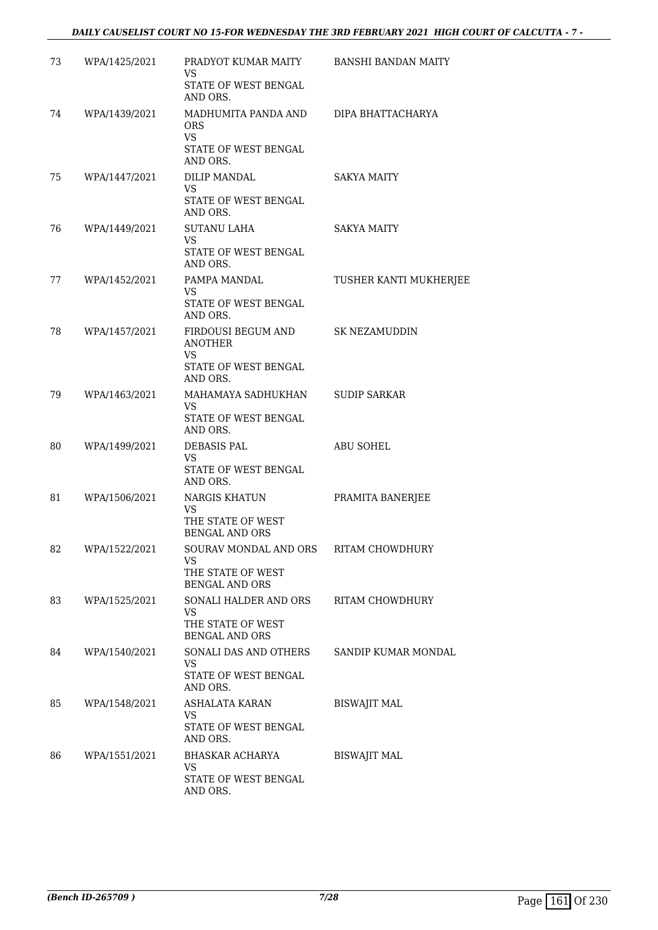| 73 | WPA/1425/2021 | PRADYOT KUMAR MAITY<br>VS<br>STATE OF WEST BENGAL<br>AND ORS.                                        | <b>BANSHI BANDAN MAITY</b> |
|----|---------------|------------------------------------------------------------------------------------------------------|----------------------------|
| 74 | WPA/1439/2021 | MADHUMITA PANDA AND DIPA BHATTACHARYA<br><b>ORS</b><br><b>VS</b><br>STATE OF WEST BENGAL<br>AND ORS. |                            |
| 75 | WPA/1447/2021 | DILIP MANDAL<br>VS.<br>STATE OF WEST BENGAL                                                          | <b>SAKYA MAITY</b>         |
| 76 | WPA/1449/2021 | AND ORS.<br>SUTANU LAHA<br><b>VS</b><br>STATE OF WEST BENGAL<br>AND ORS.                             | <b>SAKYA MAITY</b>         |
| 77 | WPA/1452/2021 | PAMPA MANDAL<br><b>VS</b><br>STATE OF WEST BENGAL<br>AND ORS.                                        | TUSHER KANTI MUKHERJEE     |
| 78 | WPA/1457/2021 | FIRDOUSI BEGUM AND<br><b>ANOTHER</b><br>VS.<br>STATE OF WEST BENGAL<br>AND ORS.                      | SK NEZAMUDDIN              |
| 79 | WPA/1463/2021 | MAHAMAYA SADHUKHAN<br>VS.<br>STATE OF WEST BENGAL<br>AND ORS.                                        | <b>SUDIP SARKAR</b>        |
| 80 | WPA/1499/2021 | DEBASIS PAL<br>VS.<br>STATE OF WEST BENGAL<br>AND ORS.                                               | ABU SOHEL                  |
| 81 | WPA/1506/2021 | NARGIS KHATUN<br><b>VS</b><br>THE STATE OF WEST<br><b>BENGAL AND ORS</b>                             | PRAMITA BANERJEE           |
| 82 | WPA/1522/2021 | SOURAV MONDAL AND ORS<br>VS.<br>THE STATE OF WEST<br><b>BENGAL AND ORS</b>                           | <b>RITAM CHOWDHURY</b>     |
| 83 | WPA/1525/2021 | SONALI HALDER AND ORS<br><b>VS</b><br>THE STATE OF WEST<br>BENGAL AND ORS                            | RITAM CHOWDHURY            |
| 84 | WPA/1540/2021 | SONALI DAS AND OTHERS<br>VS.<br>STATE OF WEST BENGAL<br>AND ORS.                                     | SANDIP KUMAR MONDAL        |
| 85 | WPA/1548/2021 | ASHALATA KARAN<br><b>VS</b><br>STATE OF WEST BENGAL<br>AND ORS.                                      | <b>BISWAJIT MAL</b>        |
| 86 | WPA/1551/2021 | BHASKAR ACHARYA<br><b>VS</b><br>STATE OF WEST BENGAL<br>AND ORS.                                     | <b>BISWAJIT MAL</b>        |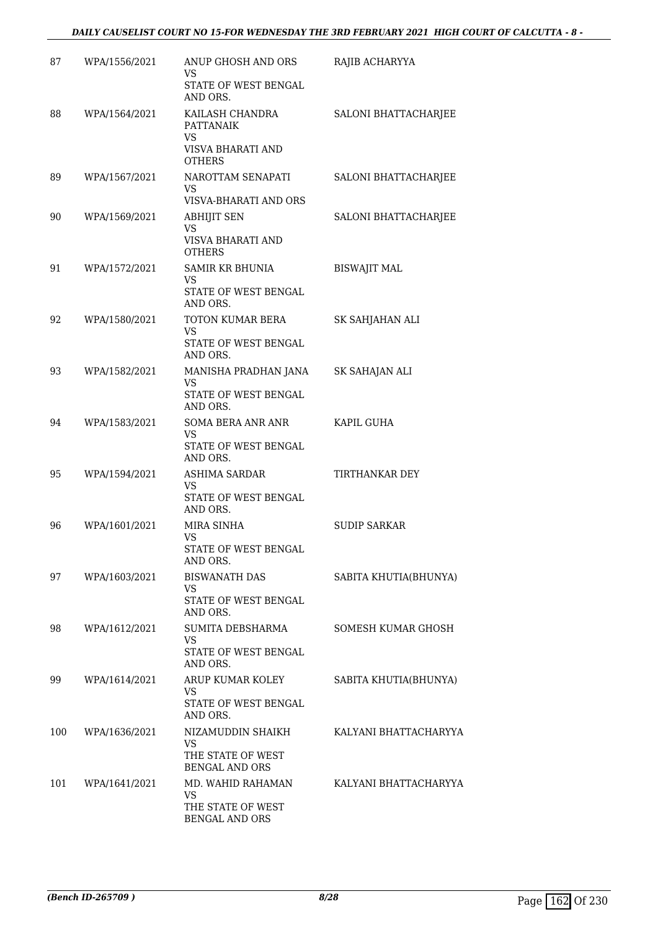| 87  | WPA/1556/2021 | ANUP GHOSH AND ORS<br>VS<br>STATE OF WEST BENGAL<br>AND ORS.                    | RAJIB ACHARYYA        |
|-----|---------------|---------------------------------------------------------------------------------|-----------------------|
| 88  | WPA/1564/2021 | KAILASH CHANDRA<br><b>PATTANAIK</b><br>VS<br>VISVA BHARATI AND<br><b>OTHERS</b> | SALONI BHATTACHARJEE  |
| 89  | WPA/1567/2021 | NAROTTAM SENAPATI<br>VS<br>VISVA-BHARATI AND ORS                                | SALONI BHATTACHARJEE  |
| 90  | WPA/1569/2021 | <b>ABHIJIT SEN</b><br><b>VS</b><br>VISVA BHARATI AND<br><b>OTHERS</b>           | SALONI BHATTACHARJEE  |
| 91  | WPA/1572/2021 | SAMIR KR BHUNIA<br>VS<br>STATE OF WEST BENGAL<br>AND ORS.                       | <b>BISWAJIT MAL</b>   |
| 92  | WPA/1580/2021 | TOTON KUMAR BERA<br>VS<br>STATE OF WEST BENGAL<br>AND ORS.                      | SK SAHJAHAN ALI       |
| 93  | WPA/1582/2021 | MANISHA PRADHAN JANA<br>VS<br>STATE OF WEST BENGAL<br>AND ORS.                  | SK SAHAJAN ALI        |
| 94  | WPA/1583/2021 | SOMA BERA ANR ANR<br>VS.<br>STATE OF WEST BENGAL<br>AND ORS.                    | KAPIL GUHA            |
| 95  | WPA/1594/2021 | ASHIMA SARDAR<br><b>VS</b><br>STATE OF WEST BENGAL<br>AND ORS.                  | TIRTHANKAR DEY        |
| 96  | WPA/1601/2021 | MIRA SINHA<br>VS<br>STATE OF WEST BENGAL<br>AND ORS.                            | <b>SUDIP SARKAR</b>   |
| 97  | WPA/1603/2021 | <b>BISWANATH DAS</b><br>VS<br>STATE OF WEST BENGAL<br>AND ORS.                  | SABITA KHUTIA(BHUNYA) |
| 98  | WPA/1612/2021 | SUMITA DEBSHARMA<br><b>VS</b><br>STATE OF WEST BENGAL<br>AND ORS.               | SOMESH KUMAR GHOSH    |
| 99  | WPA/1614/2021 | ARUP KUMAR KOLEY<br>VS.<br>STATE OF WEST BENGAL<br>AND ORS.                     | SABITA KHUTIA(BHUNYA) |
| 100 | WPA/1636/2021 | NIZAMUDDIN SHAIKH<br><b>VS</b><br>THE STATE OF WEST<br><b>BENGAL AND ORS</b>    | KALYANI BHATTACHARYYA |
| 101 | WPA/1641/2021 | MD. WAHID RAHAMAN<br><b>VS</b><br>THE STATE OF WEST<br><b>BENGAL AND ORS</b>    | KALYANI BHATTACHARYYA |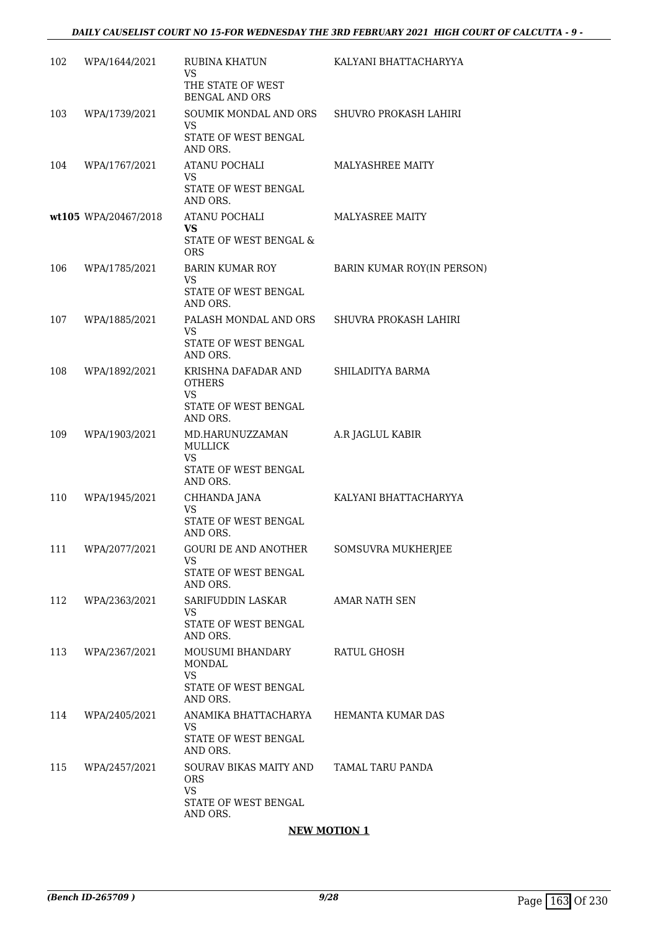| 102 | WPA/1644/2021        | RUBINA KHATUN                                                                         | KALYANI BHATTACHARYYA             |
|-----|----------------------|---------------------------------------------------------------------------------------|-----------------------------------|
|     |                      | VS<br>THE STATE OF WEST<br><b>BENGAL AND ORS</b>                                      |                                   |
| 103 | WPA/1739/2021        | SOUMIK MONDAL AND ORS<br>VS<br>STATE OF WEST BENGAL<br>AND ORS.                       | SHUVRO PROKASH LAHIRI             |
| 104 | WPA/1767/2021        | ATANU POCHALI<br><b>VS</b><br><b>STATE OF WEST BENGAL</b><br>AND ORS.                 | <b>MALYASHREE MAITY</b>           |
|     | wt105 WPA/20467/2018 | ATANU POCHALI<br>VS<br>STATE OF WEST BENGAL &<br><b>ORS</b>                           | MALYASREE MAITY                   |
| 106 | WPA/1785/2021        | BARIN KUMAR ROY<br>VS<br>STATE OF WEST BENGAL<br>AND ORS.                             | <b>BARIN KUMAR ROY(IN PERSON)</b> |
| 107 | WPA/1885/2021        | PALASH MONDAL AND ORS<br>VS.<br>STATE OF WEST BENGAL<br>AND ORS.                      | SHUVRA PROKASH LAHIRI             |
| 108 | WPA/1892/2021        | KRISHNA DAFADAR AND<br><b>OTHERS</b><br><b>VS</b><br>STATE OF WEST BENGAL<br>AND ORS. | SHILADITYA BARMA                  |
| 109 | WPA/1903/2021        | MD.HARUNUZZAMAN<br><b>MULLICK</b><br><b>VS</b><br>STATE OF WEST BENGAL<br>AND ORS.    | A.R JAGLUL KABIR                  |
| 110 | WPA/1945/2021        | CHHANDA JANA<br><b>VS</b><br>STATE OF WEST BENGAL<br>AND ORS.                         | KALYANI BHATTACHARYYA             |
| 111 | WPA/2077/2021        | <b>GOURI DE AND ANOTHER</b><br>VS.<br>STATE OF WEST BENGAL<br>AND ORS.                | SOMSUVRA MUKHERJEE                |
| 112 | WPA/2363/2021        | SARIFUDDIN LASKAR<br>VS.<br>STATE OF WEST BENGAL<br>AND ORS.                          | AMAR NATH SEN                     |
| 113 | WPA/2367/2021        | MOUSUMI BHANDARY<br>MONDAL<br>VS.<br>STATE OF WEST BENGAL<br>AND ORS.                 | RATUL GHOSH                       |
| 114 | WPA/2405/2021        | ANAMIKA BHATTACHARYA<br>VS.<br>STATE OF WEST BENGAL<br>AND ORS.                       | HEMANTA KUMAR DAS                 |
| 115 | WPA/2457/2021        | SOURAV BIKAS MAITY AND<br><b>ORS</b><br>VS.<br>STATE OF WEST BENGAL<br>AND ORS.       | TAMAL TARU PANDA                  |

## **NEW MOTION 1**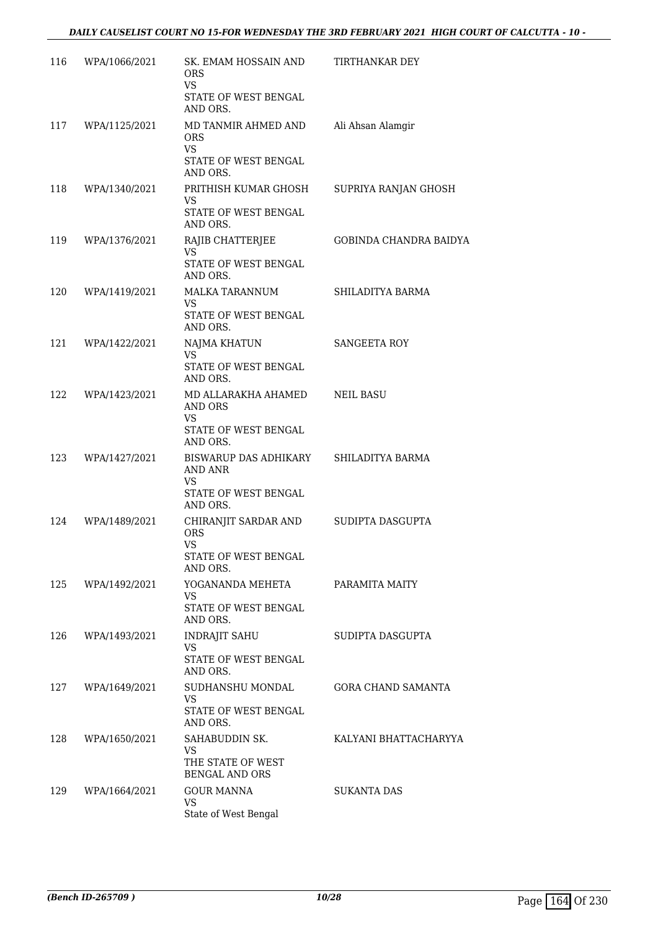| 116 | WPA/1066/2021 | SK. EMAM HOSSAIN AND<br><b>ORS</b><br><b>VS</b>                                     | TIRTHANKAR DEY            |
|-----|---------------|-------------------------------------------------------------------------------------|---------------------------|
|     |               | STATE OF WEST BENGAL<br>AND ORS.                                                    |                           |
| 117 | WPA/1125/2021 | MD TANMIR AHMED AND<br><b>ORS</b><br><b>VS</b>                                      | Ali Ahsan Alamgir         |
|     |               | STATE OF WEST BENGAL<br>AND ORS.                                                    |                           |
| 118 | WPA/1340/2021 | PRITHISH KUMAR GHOSH<br>VS.<br>STATE OF WEST BENGAL                                 | SUPRIYA RANJAN GHOSH      |
| 119 | WPA/1376/2021 | AND ORS.<br>RAJIB CHATTERJEE                                                        | GOBINDA CHANDRA BAIDYA    |
|     |               | VS.<br>STATE OF WEST BENGAL<br>AND ORS.                                             |                           |
| 120 | WPA/1419/2021 | MALKA TARANNUM<br>VS.<br>STATE OF WEST BENGAL<br>AND ORS.                           | SHILADITYA BARMA          |
| 121 | WPA/1422/2021 | NAJMA KHATUN<br>VS.                                                                 | SANGEETA ROY              |
|     |               | STATE OF WEST BENGAL<br>AND ORS.                                                    |                           |
| 122 | WPA/1423/2021 | MD ALLARAKHA AHAMED<br>AND ORS<br><b>VS</b>                                         | <b>NEIL BASU</b>          |
|     |               | STATE OF WEST BENGAL<br>AND ORS.                                                    |                           |
| 123 | WPA/1427/2021 | BISWARUP DAS ADHIKARY<br>AND ANR<br>VS.                                             | SHILADITYA BARMA          |
|     |               | STATE OF WEST BENGAL<br>AND ORS.                                                    |                           |
| 124 | WPA/1489/2021 | CHIRANJIT SARDAR AND<br><b>ORS</b><br><b>VS</b><br>STATE OF WEST BENGAL<br>AND ORS. | SUDIPTA DASGUPTA          |
| 125 | WPA/1492/2021 | YOGANANDA MEHETA<br>VS.                                                             | PARAMITA MAITY            |
|     |               | STATE OF WEST BENGAL<br>AND ORS.                                                    |                           |
| 126 | WPA/1493/2021 | <b>INDRAJIT SAHU</b><br>VS.                                                         | SUDIPTA DASGUPTA          |
|     |               | STATE OF WEST BENGAL<br>AND ORS.                                                    |                           |
| 127 | WPA/1649/2021 | SUDHANSHU MONDAL<br><b>VS</b><br>STATE OF WEST BENGAL<br>AND ORS.                   | <b>GORA CHAND SAMANTA</b> |
| 128 | WPA/1650/2021 | SAHABUDDIN SK.<br><b>VS</b><br>THE STATE OF WEST<br><b>BENGAL AND ORS</b>           | KALYANI BHATTACHARYYA     |
| 129 | WPA/1664/2021 | <b>GOUR MANNA</b><br><b>VS</b><br>State of West Bengal                              | SUKANTA DAS               |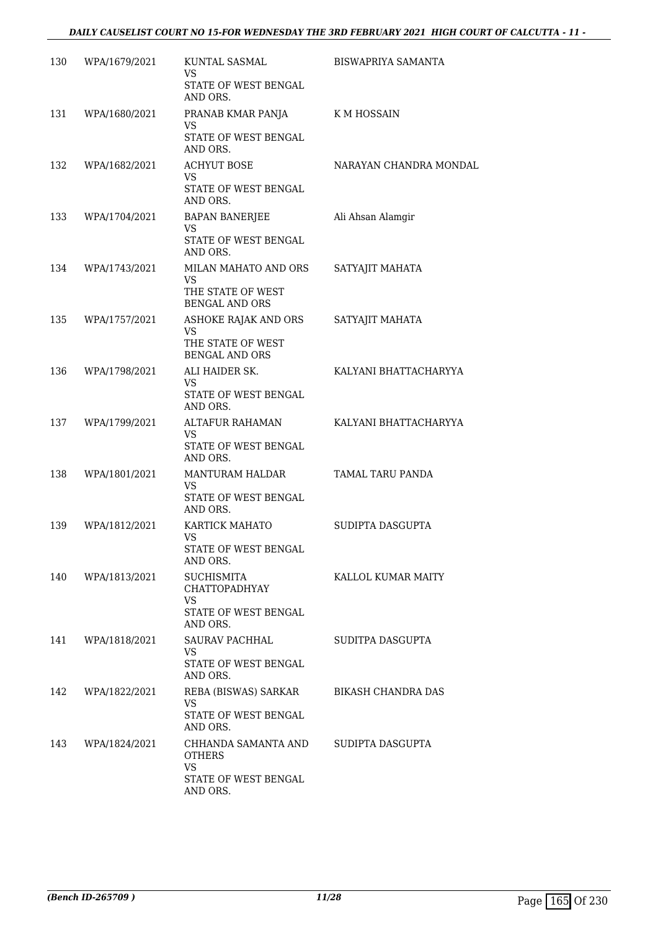| 130 | WPA/1679/2021 | KUNTAL SASMAL<br><b>VS</b><br>STATE OF WEST BENGAL<br>AND ORS.                             | BISWAPRIYA SAMANTA     |
|-----|---------------|--------------------------------------------------------------------------------------------|------------------------|
| 131 | WPA/1680/2021 | PRANAB KMAR PANJA<br>VS<br>STATE OF WEST BENGAL                                            | K M HOSSAIN            |
|     |               | AND ORS.                                                                                   |                        |
| 132 | WPA/1682/2021 | <b>ACHYUT BOSE</b><br><b>VS</b><br>STATE OF WEST BENGAL<br>AND ORS.                        | NARAYAN CHANDRA MONDAL |
| 133 | WPA/1704/2021 | BAPAN BANERJEE<br><b>VS</b><br>STATE OF WEST BENGAL<br>AND ORS.                            | Ali Ahsan Alamgir      |
| 134 | WPA/1743/2021 | MILAN MAHATO AND ORS<br>VS.<br>THE STATE OF WEST<br><b>BENGAL AND ORS</b>                  | SATYAJIT MAHATA        |
| 135 | WPA/1757/2021 | ASHOKE RAJAK AND ORS<br><b>VS</b><br>THE STATE OF WEST<br><b>BENGAL AND ORS</b>            | SATYAJIT MAHATA        |
| 136 | WPA/1798/2021 | ALI HAIDER SK.<br>VS<br>STATE OF WEST BENGAL<br>AND ORS.                                   | KALYANI BHATTACHARYYA  |
| 137 | WPA/1799/2021 | ALTAFUR RAHAMAN<br><b>VS</b><br>STATE OF WEST BENGAL<br>AND ORS.                           | KALYANI BHATTACHARYYA  |
| 138 | WPA/1801/2021 | MANTURAM HALDAR<br><b>VS</b><br>STATE OF WEST BENGAL<br>AND ORS.                           | TAMAL TARU PANDA       |
| 139 | WPA/1812/2021 | KARTICK MAHATO<br><b>VS</b><br>STATE OF WEST BENGAL<br>AND ORS.                            | SUDIPTA DASGUPTA       |
| 140 | WPA/1813/2021 | <b>SUCHISMITA</b><br><b>CHATTOPADHYAY</b><br><b>VS</b><br>STATE OF WEST BENGAL<br>AND ORS. | KALLOL KUMAR MAITY     |
| 141 | WPA/1818/2021 | SAURAV PACHHAL<br><b>VS</b><br>STATE OF WEST BENGAL<br>AND ORS.                            | SUDITPA DASGUPTA       |
| 142 | WPA/1822/2021 | REBA (BISWAS) SARKAR<br>VS.<br>STATE OF WEST BENGAL<br>AND ORS.                            | BIKASH CHANDRA DAS     |
| 143 | WPA/1824/2021 | CHHANDA SAMANTA AND<br>OTHERS<br>VS.<br>STATE OF WEST BENGAL<br>AND ORS.                   | SUDIPTA DASGUPTA       |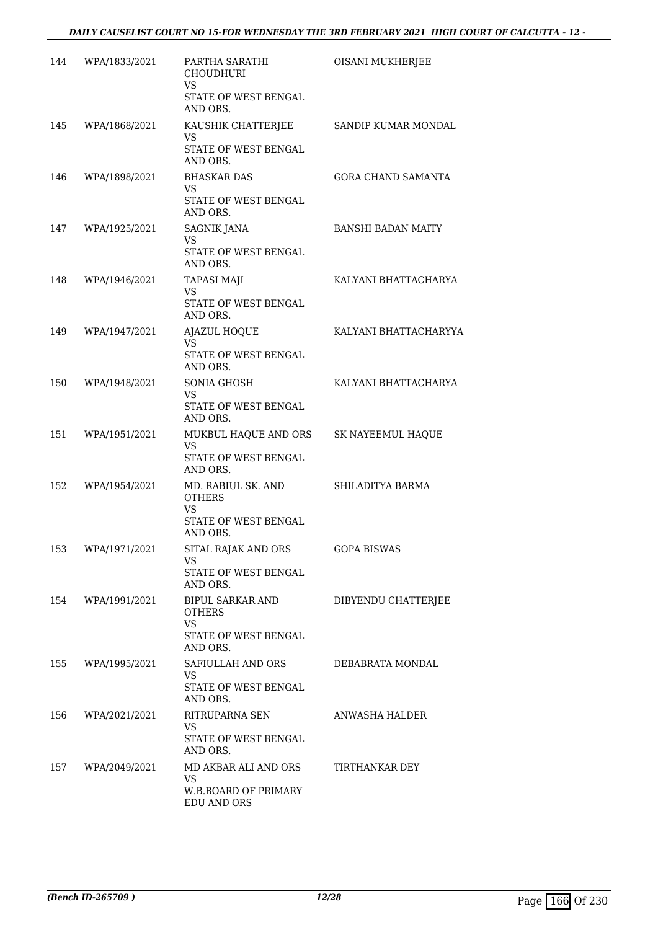| 144 | WPA/1833/2021     | PARTHA SARATHI<br><b>CHOUDHURI</b><br>VS                                             | OISANI MUKHERJEE          |
|-----|-------------------|--------------------------------------------------------------------------------------|---------------------------|
|     |                   | STATE OF WEST BENGAL<br>AND ORS.                                                     |                           |
| 145 | WPA/1868/2021     | KAUSHIK CHATTERJEE<br>VS<br>STATE OF WEST BENGAL<br>AND ORS.                         | SANDIP KUMAR MONDAL       |
| 146 | WPA/1898/2021     | <b>BHASKAR DAS</b><br>VS.<br>STATE OF WEST BENGAL<br>AND ORS.                        | <b>GORA CHAND SAMANTA</b> |
| 147 | WPA/1925/2021     | SAGNIK JANA<br>VS<br>STATE OF WEST BENGAL<br>AND ORS.                                | <b>BANSHI BADAN MAITY</b> |
| 148 | WPA/1946/2021     | <b>TAPASI MAJI</b><br><b>VS</b><br>STATE OF WEST BENGAL<br>AND ORS.                  | KALYANI BHATTACHARYA      |
| 149 | WPA/1947/2021     | <b>AJAZUL HOQUE</b><br>VS.<br>STATE OF WEST BENGAL<br>AND ORS.                       | KALYANI BHATTACHARYYA     |
| 150 | WPA/1948/2021     | SONIA GHOSH<br><b>VS</b><br>STATE OF WEST BENGAL<br>AND ORS.                         | KALYANI BHATTACHARYA      |
| 151 | WPA/1951/2021     | MUKBUL HAQUE AND ORS<br><b>VS</b><br>STATE OF WEST BENGAL<br>AND ORS.                | SK NAYEEMUL HAQUE         |
| 152 | WPA/1954/2021     | MD. RABIUL SK. AND<br><b>OTHERS</b><br><b>VS</b><br>STATE OF WEST BENGAL<br>AND ORS. | SHILADITYA BARMA          |
|     | 153 WPA/1971/2021 | SITAL RAJAK AND ORS<br><b>VS</b><br>STATE OF WEST BENGAL<br>AND ORS.                 | <b>GOPA BISWAS</b>        |
|     | 154 WPA/1991/2021 | BIPUL SARKAR AND<br><b>OTHERS</b><br>VS<br>STATE OF WEST BENGAL<br>AND ORS.          | DIBYENDU CHATTERJEE       |
| 155 | WPA/1995/2021     | SAFIULLAH AND ORS<br>VS.<br>STATE OF WEST BENGAL<br>AND ORS.                         | DEBABRATA MONDAL          |
| 156 | WPA/2021/2021     | RITRUPARNA SEN<br><b>VS</b><br>STATE OF WEST BENGAL<br>AND ORS.                      | ANWASHA HALDER            |
| 157 | WPA/2049/2021     | MD AKBAR ALI AND ORS<br><b>VS</b><br>W.B.BOARD OF PRIMARY<br>EDU AND ORS             | TIRTHANKAR DEY            |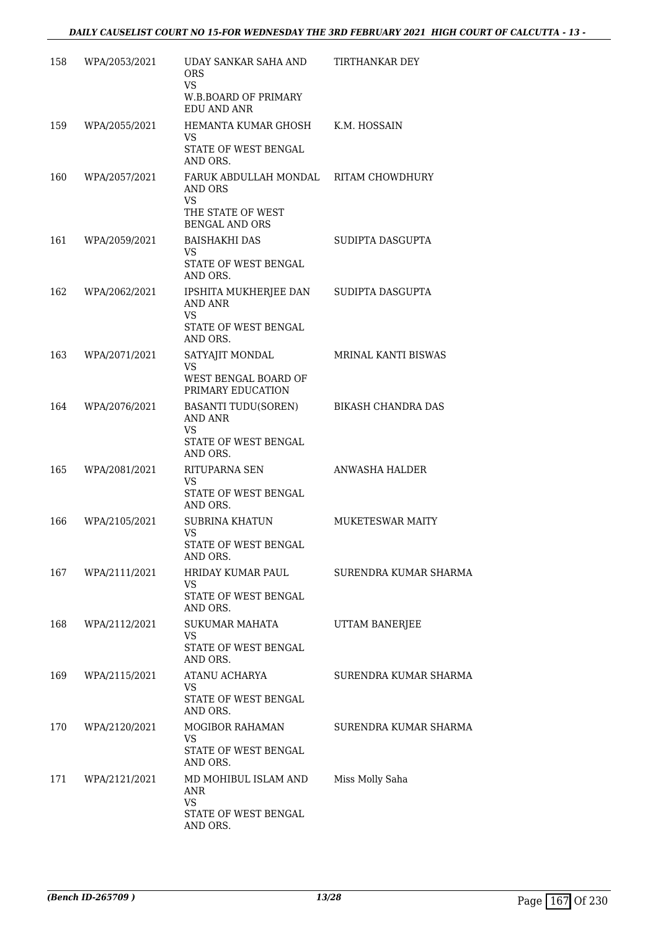| 158 | WPA/2053/2021 | UDAY SANKAR SAHA AND<br>ORS                                          | <b>TIRTHANKAR DEY</b>   |
|-----|---------------|----------------------------------------------------------------------|-------------------------|
|     |               | <b>VS</b><br><b>W.B.BOARD OF PRIMARY</b><br>EDU AND ANR              |                         |
| 159 | WPA/2055/2021 | HEMANTA KUMAR GHOSH<br><b>VS</b><br>STATE OF WEST BENGAL<br>AND ORS. | K.M. HOSSAIN            |
| 160 | WPA/2057/2021 | FARUK ABDULLAH MONDAL RITAM CHOWDHURY<br>AND ORS<br>VS               |                         |
|     |               | THE STATE OF WEST<br><b>BENGAL AND ORS</b>                           |                         |
| 161 | WPA/2059/2021 | <b>BAISHAKHI DAS</b><br>VS.<br>STATE OF WEST BENGAL<br>AND ORS.      | SUDIPTA DASGUPTA        |
| 162 | WPA/2062/2021 | IPSHITA MUKHERJEE DAN<br>AND ANR<br>VS                               | SUDIPTA DASGUPTA        |
|     |               | STATE OF WEST BENGAL<br>AND ORS.                                     |                         |
| 163 | WPA/2071/2021 | SATYAJIT MONDAL<br>VS<br>WEST BENGAL BOARD OF                        | MRINAL KANTI BISWAS     |
| 164 | WPA/2076/2021 | PRIMARY EDUCATION<br><b>BASANTI TUDU(SOREN)</b><br>AND ANR<br>VS     | BIKASH CHANDRA DAS      |
|     |               | STATE OF WEST BENGAL<br>AND ORS.                                     |                         |
| 165 | WPA/2081/2021 | RITUPARNA SEN<br>VS.<br>STATE OF WEST BENGAL<br>AND ORS.             | ANWASHA HALDER          |
| 166 | WPA/2105/2021 | SUBRINA KHATUN<br><b>VS</b><br>STATE OF WEST BENGAL<br>AND ORS.      | <b>MUKETESWAR MAITY</b> |
| 167 | WPA/2111/2021 | HRIDAY KUMAR PAUL<br><b>VS</b><br>STATE OF WEST BENGAL               | SURENDRA KUMAR SHARMA   |
| 168 | WPA/2112/2021 | AND ORS.<br>SUKUMAR MAHATA                                           | UTTAM BANERJEE          |
|     |               | <b>VS</b><br>STATE OF WEST BENGAL<br>AND ORS.                        |                         |
| 169 | WPA/2115/2021 | ATANU ACHARYA<br>VS<br>STATE OF WEST BENGAL                          | SURENDRA KUMAR SHARMA   |
| 170 | WPA/2120/2021 | AND ORS.<br>MOGIBOR RAHAMAN                                          | SURENDRA KUMAR SHARMA   |
|     |               | VS<br>STATE OF WEST BENGAL<br>AND ORS.                               |                         |
| 171 | WPA/2121/2021 | MD MOHIBUL ISLAM AND<br>ANR<br><b>VS</b>                             | Miss Molly Saha         |
|     |               | STATE OF WEST BENGAL<br>AND ORS.                                     |                         |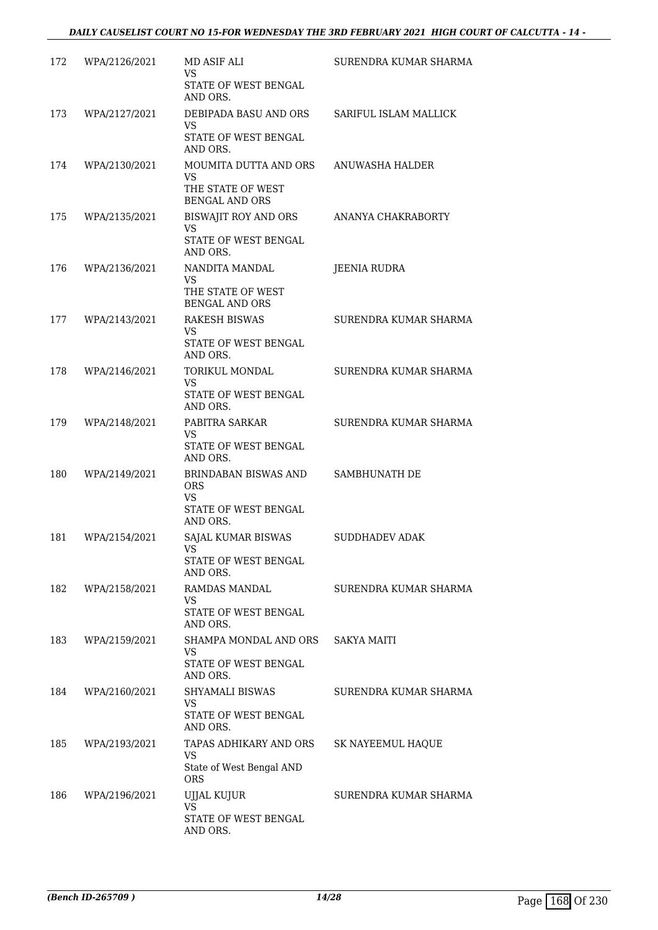| 172 | WPA/2126/2021 | MD ASIF ALI<br>VS<br>STATE OF WEST BENGAL<br>AND ORS.                         | SURENDRA KUMAR SHARMA |
|-----|---------------|-------------------------------------------------------------------------------|-----------------------|
| 173 | WPA/2127/2021 | DEBIPADA BASU AND ORS<br><b>VS</b><br>STATE OF WEST BENGAL<br>AND ORS.        | SARIFUL ISLAM MALLICK |
| 174 | WPA/2130/2021 | MOUMITA DUTTA AND ORS<br>VS.<br>THE STATE OF WEST<br><b>BENGAL AND ORS</b>    | ANUWASHA HALDER       |
| 175 | WPA/2135/2021 | BISWAJIT ROY AND ORS<br>VS<br>STATE OF WEST BENGAL<br>AND ORS.                | ANANYA CHAKRABORTY    |
| 176 | WPA/2136/2021 | NANDITA MANDAL<br><b>VS</b><br>THE STATE OF WEST<br><b>BENGAL AND ORS</b>     | <b>JEENIA RUDRA</b>   |
| 177 | WPA/2143/2021 | <b>RAKESH BISWAS</b><br><b>VS</b><br>STATE OF WEST BENGAL<br>AND ORS.         | SURENDRA KUMAR SHARMA |
| 178 | WPA/2146/2021 | TORIKUL MONDAL<br><b>VS</b><br>STATE OF WEST BENGAL<br>AND ORS.               | SURENDRA KUMAR SHARMA |
| 179 | WPA/2148/2021 | PABITRA SARKAR<br>VS<br>STATE OF WEST BENGAL<br>AND ORS.                      | SURENDRA KUMAR SHARMA |
| 180 | WPA/2149/2021 | BRINDABAN BISWAS AND<br><b>ORS</b><br>VS<br>STATE OF WEST BENGAL<br>AND ORS.  | SAMBHUNATH DE         |
| 181 | WPA/2154/2021 | SAJAL KUMAR BISWAS<br>VS —<br>STATE OF WEST BENGAL<br>AND ORS.                | <b>SUDDHADEV ADAK</b> |
| 182 | WPA/2158/2021 | RAMDAS MANDAL<br>VS<br>STATE OF WEST BENGAL<br>AND ORS.                       | SURENDRA KUMAR SHARMA |
| 183 | WPA/2159/2021 | SHAMPA MONDAL AND ORS<br>VS<br>STATE OF WEST BENGAL<br>AND ORS.               | <b>SAKYA MAITI</b>    |
| 184 | WPA/2160/2021 | SHYAMALI BISWAS<br><b>VS</b><br>STATE OF WEST BENGAL<br>AND ORS.              | SURENDRA KUMAR SHARMA |
| 185 | WPA/2193/2021 | TAPAS ADHIKARY AND ORS<br><b>VS</b><br>State of West Bengal AND<br><b>ORS</b> | SK NAYEEMUL HAQUE     |
| 186 | WPA/2196/2021 | UJJAL KUJUR<br><b>VS</b><br>STATE OF WEST BENGAL<br>AND ORS.                  | SURENDRA KUMAR SHARMA |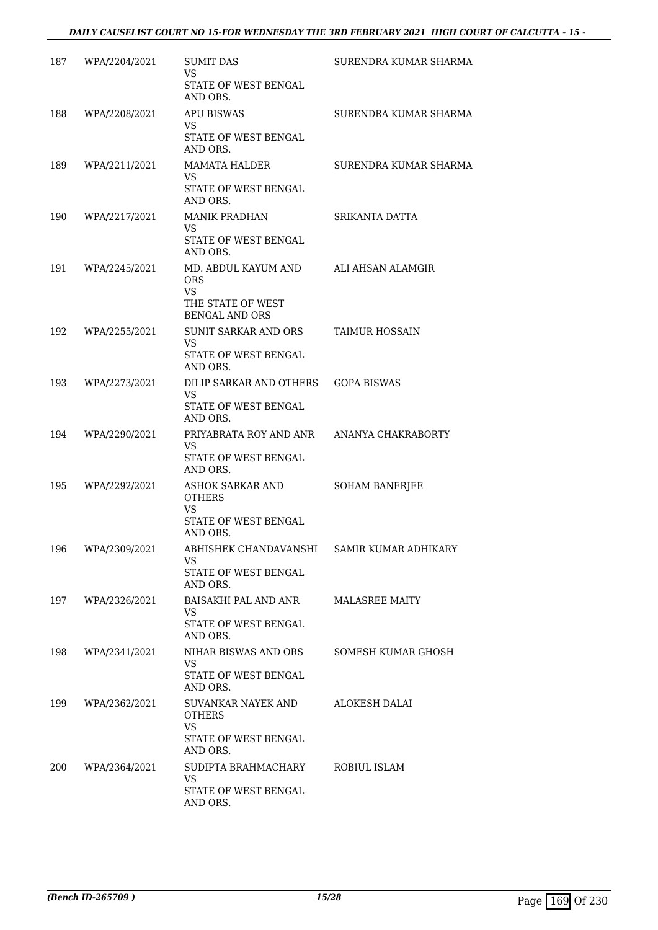| 187 | WPA/2204/2021 | <b>SUMIT DAS</b><br>VS                           | SURENDRA KUMAR SHARMA |
|-----|---------------|--------------------------------------------------|-----------------------|
|     |               | STATE OF WEST BENGAL<br>AND ORS.                 |                       |
| 188 | WPA/2208/2021 | <b>APU BISWAS</b><br><b>VS</b>                   | SURENDRA KUMAR SHARMA |
|     |               | STATE OF WEST BENGAL<br>AND ORS.                 |                       |
| 189 | WPA/2211/2021 | MAMATA HALDER<br>VS.                             | SURENDRA KUMAR SHARMA |
|     |               | STATE OF WEST BENGAL<br>AND ORS.                 |                       |
| 190 | WPA/2217/2021 | <b>MANIK PRADHAN</b><br>VS.                      | SRIKANTA DATTA        |
|     |               | STATE OF WEST BENGAL<br>AND ORS.                 |                       |
| 191 | WPA/2245/2021 | MD. ABDUL KAYUM AND<br><b>ORS</b>                | ALI AHSAN ALAMGIR     |
|     |               | <b>VS</b><br>THE STATE OF WEST                   |                       |
|     |               | <b>BENGAL AND ORS</b>                            |                       |
| 192 | WPA/2255/2021 | SUNIT SARKAR AND ORS<br>VS.                      | TAIMUR HOSSAIN        |
|     |               | STATE OF WEST BENGAL<br>AND ORS.                 |                       |
| 193 | WPA/2273/2021 | DILIP SARKAR AND OTHERS   GOPA BISWAS<br>VS.     |                       |
|     |               | STATE OF WEST BENGAL<br>AND ORS.                 |                       |
| 194 | WPA/2290/2021 | PRIYABRATA ROY AND ANR ANANYA CHAKRABORTY<br>VS. |                       |
|     |               | STATE OF WEST BENGAL<br>AND ORS.                 |                       |
| 195 | WPA/2292/2021 | ASHOK SARKAR AND<br><b>OTHERS</b>                | <b>SOHAM BANERJEE</b> |
|     |               | <b>VS</b><br>STATE OF WEST BENGAL<br>AND ORS.    |                       |
| 196 | WPA/2309/2021 | ABHISHEK CHANDAVANSHI SAMIR KUMAR ADHIKARY       |                       |
|     |               | VS.<br>STATE OF WEST BENGAL<br>AND ORS.          |                       |
| 197 | WPA/2326/2021 | BAISAKHI PAL AND ANR<br>VS.                      | <b>MALASREE MAITY</b> |
|     |               | STATE OF WEST BENGAL<br>AND ORS.                 |                       |
| 198 | WPA/2341/2021 | NIHAR BISWAS AND ORS<br>VS.                      | SOMESH KUMAR GHOSH    |
|     |               | STATE OF WEST BENGAL<br>AND ORS.                 |                       |
| 199 | WPA/2362/2021 | SUVANKAR NAYEK AND<br><b>OTHERS</b><br>VS.       | ALOKESH DALAI         |
|     |               | STATE OF WEST BENGAL<br>AND ORS.                 |                       |
| 200 | WPA/2364/2021 | SUDIPTA BRAHMACHARY<br>VS.                       | ROBIUL ISLAM          |
|     |               | STATE OF WEST BENGAL<br>AND ORS.                 |                       |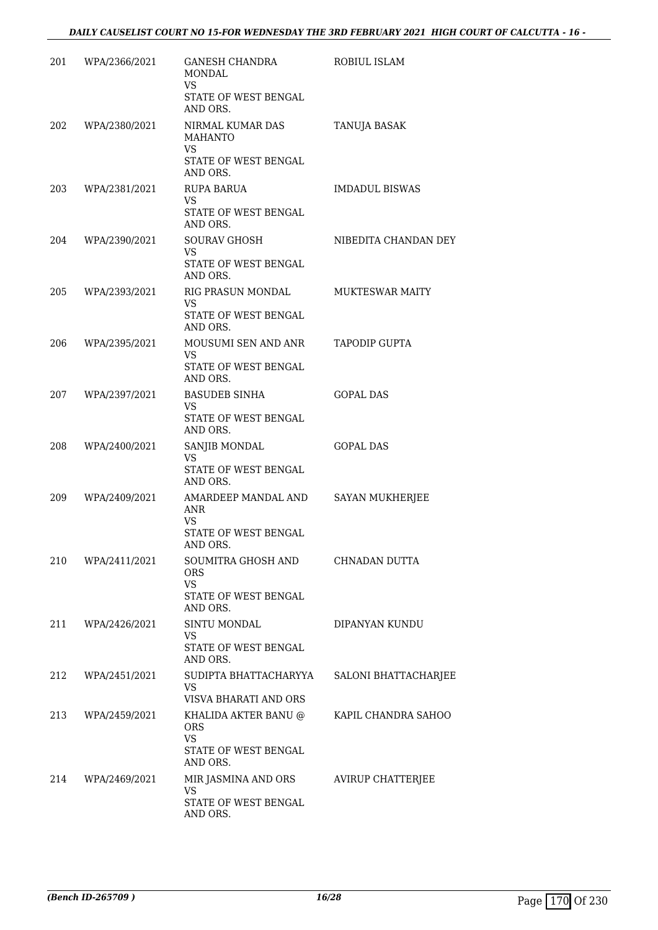| 201 | WPA/2366/2021 | GANESH CHANDRA<br><b>MONDAL</b><br><b>VS</b>                                             | ROBIUL ISLAM           |
|-----|---------------|------------------------------------------------------------------------------------------|------------------------|
|     |               | STATE OF WEST BENGAL<br>AND ORS.                                                         |                        |
| 202 | WPA/2380/2021 | NIRMAL KUMAR DAS<br><b>MAHANTO</b><br><b>VS</b>                                          | TANUJA BASAK           |
|     |               | STATE OF WEST BENGAL<br>AND ORS.                                                         |                        |
| 203 | WPA/2381/2021 | RUPA BARUA<br><b>VS</b><br>STATE OF WEST BENGAL<br>AND ORS.                              | <b>IMDADUL BISWAS</b>  |
| 204 | WPA/2390/2021 | <b>SOURAV GHOSH</b><br>VS.<br>STATE OF WEST BENGAL<br>AND ORS.                           | NIBEDITA CHANDAN DEY   |
| 205 | WPA/2393/2021 | RIG PRASUN MONDAL<br><b>VS</b><br>STATE OF WEST BENGAL<br>AND ORS.                       | <b>MUKTESWAR MAITY</b> |
| 206 | WPA/2395/2021 | MOUSUMI SEN AND ANR<br>VS.<br>STATE OF WEST BENGAL<br>AND ORS.                           | TAPODIP GUPTA          |
| 207 | WPA/2397/2021 | <b>BASUDEB SINHA</b><br><b>VS</b><br>STATE OF WEST BENGAL<br>AND ORS.                    | <b>GOPAL DAS</b>       |
| 208 | WPA/2400/2021 | SANJIB MONDAL<br>VS<br>STATE OF WEST BENGAL<br>AND ORS.                                  | <b>GOPAL DAS</b>       |
| 209 | WPA/2409/2021 | AMARDEEP MANDAL AND<br>ANR<br>VS<br>STATE OF WEST BENGAL<br>AND ORS.                     | SAYAN MUKHERJEE        |
| 210 | WPA/2411/2021 | SOUMITRA GHOSH AND<br><b>ORS</b><br><b>VS</b><br><b>STATE OF WEST BENGAL</b><br>AND ORS. | CHNADAN DUTTA          |
| 211 | WPA/2426/2021 | SINTU MONDAL<br><b>VS</b><br>STATE OF WEST BENGAL<br>AND ORS.                            | DIPANYAN KUNDU         |
| 212 | WPA/2451/2021 | SUDIPTA BHATTACHARYYA<br>VS.<br>VISVA BHARATI AND ORS                                    | SALONI BHATTACHARJEE   |
| 213 | WPA/2459/2021 | KHALIDA AKTER BANU @<br><b>ORS</b><br><b>VS</b><br>STATE OF WEST BENGAL<br>AND ORS.      | KAPIL CHANDRA SAHOO    |
| 214 | WPA/2469/2021 | MIR JASMINA AND ORS<br><b>VS</b><br>STATE OF WEST BENGAL<br>AND ORS.                     | AVIRUP CHATTERJEE      |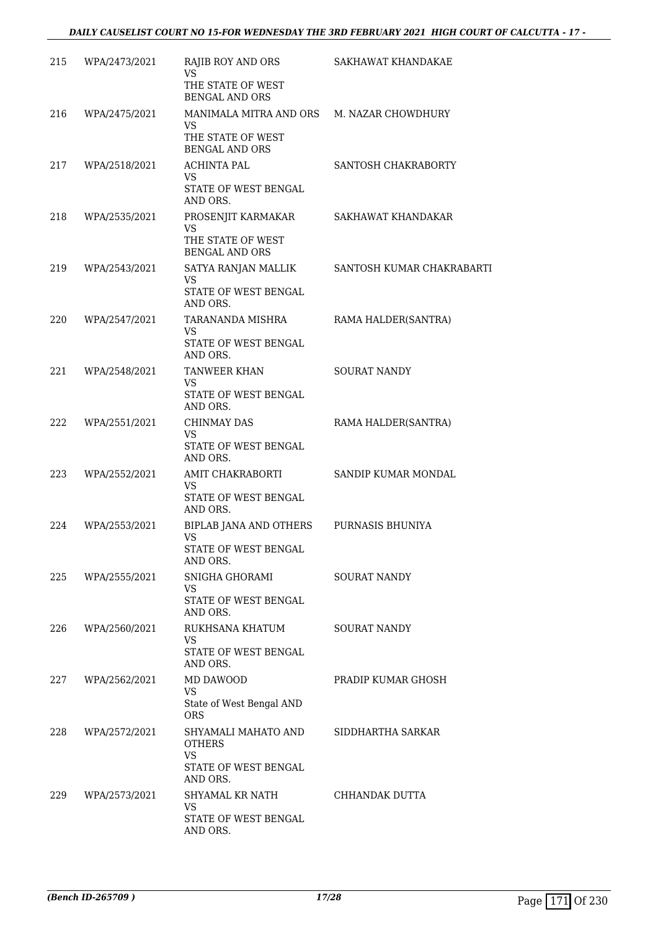| 215 | WPA/2473/2021 | RAJIB ROY AND ORS<br><b>VS</b><br>THE STATE OF WEST                                           | SAKHAWAT KHANDAKAE        |
|-----|---------------|-----------------------------------------------------------------------------------------------|---------------------------|
|     |               | <b>BENGAL AND ORS</b>                                                                         |                           |
| 216 | WPA/2475/2021 | MANIMALA MITRA AND ORS M. NAZAR CHOWDHURY<br>VS<br>THE STATE OF WEST<br><b>BENGAL AND ORS</b> |                           |
| 217 | WPA/2518/2021 | <b>ACHINTA PAL</b><br>VS<br>STATE OF WEST BENGAL<br>AND ORS.                                  | SANTOSH CHAKRABORTY       |
| 218 | WPA/2535/2021 | PROSENJIT KARMAKAR<br><b>VS</b><br>THE STATE OF WEST                                          | SAKHAWAT KHANDAKAR        |
|     |               | <b>BENGAL AND ORS</b>                                                                         |                           |
| 219 | WPA/2543/2021 | SATYA RANJAN MALLIK<br><b>VS</b><br>STATE OF WEST BENGAL                                      | SANTOSH KUMAR CHAKRABARTI |
| 220 | WPA/2547/2021 | AND ORS.<br>TARANANDA MISHRA                                                                  | RAMA HALDER(SANTRA)       |
|     |               | VS<br>STATE OF WEST BENGAL<br>AND ORS.                                                        |                           |
| 221 | WPA/2548/2021 | TANWEER KHAN<br>VS<br>STATE OF WEST BENGAL<br>AND ORS.                                        | <b>SOURAT NANDY</b>       |
| 222 | WPA/2551/2021 | <b>CHINMAY DAS</b><br>VS<br>STATE OF WEST BENGAL<br>AND ORS.                                  | RAMA HALDER(SANTRA)       |
| 223 | WPA/2552/2021 | AMIT CHAKRABORTI<br><b>VS</b><br>STATE OF WEST BENGAL<br>AND ORS.                             | SANDIP KUMAR MONDAL       |
| 224 | WPA/2553/2021 | BIPLAB JANA AND OTHERS<br><b>VS</b><br>STATE OF WEST BENGAL<br>AND ORS.                       | PURNASIS BHUNIYA          |
| 225 | WPA/2555/2021 | SNIGHA GHORAMI<br>VS.<br>STATE OF WEST BENGAL<br>AND ORS.                                     | <b>SOURAT NANDY</b>       |
| 226 | WPA/2560/2021 | RUKHSANA KHATUM<br><b>VS</b><br>STATE OF WEST BENGAL                                          | SOURAT NANDY              |
|     |               | AND ORS.                                                                                      |                           |
| 227 | WPA/2562/2021 | MD DAWOOD<br>VS.<br>State of West Bengal AND<br><b>ORS</b>                                    | PRADIP KUMAR GHOSH        |
| 228 | WPA/2572/2021 | SHYAMALI MAHATO AND<br><b>OTHERS</b><br><b>VS</b>                                             | SIDDHARTHA SARKAR         |
|     |               | STATE OF WEST BENGAL<br>AND ORS.                                                              |                           |
| 229 | WPA/2573/2021 | SHYAMAL KR NATH<br><b>VS</b>                                                                  | CHHANDAK DUTTA            |
|     |               | STATE OF WEST BENGAL<br>AND ORS.                                                              |                           |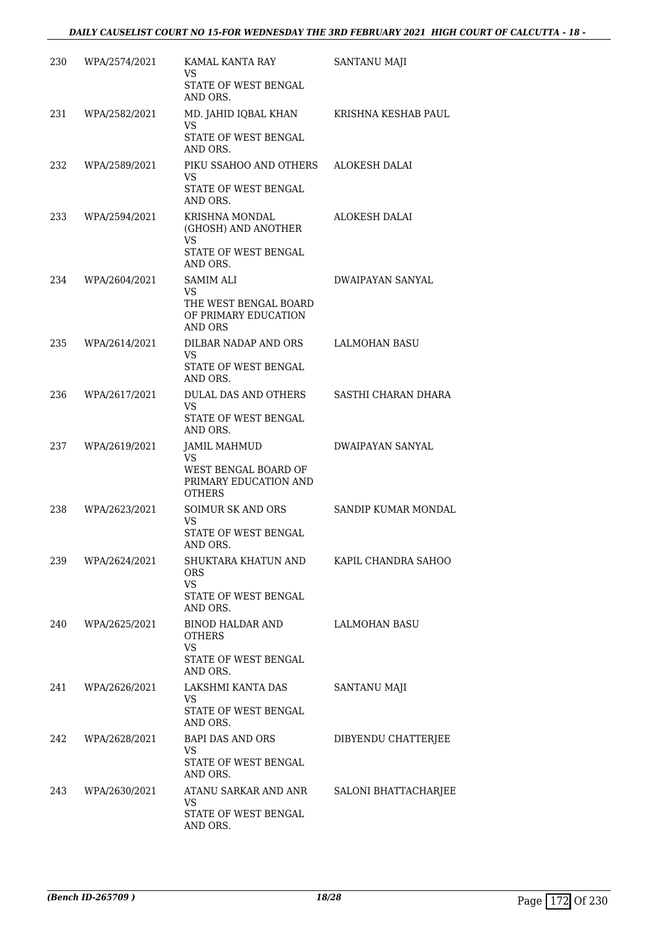| 230 | WPA/2574/2021 | KAMAL KANTA RAY<br>VS<br>STATE OF WEST BENGAL<br>AND ORS.                                    | SANTANU MAJI            |
|-----|---------------|----------------------------------------------------------------------------------------------|-------------------------|
| 231 | WPA/2582/2021 | MD. JAHID IQBAL KHAN<br><b>VS</b><br>STATE OF WEST BENGAL<br>AND ORS.                        | KRISHNA KESHAB PAUL     |
| 232 | WPA/2589/2021 | PIKU SSAHOO AND OTHERS<br>VS<br>STATE OF WEST BENGAL<br>AND ORS.                             | ALOKESH DALAI           |
| 233 | WPA/2594/2021 | KRISHNA MONDAL<br>(GHOSH) AND ANOTHER<br><b>VS</b><br>STATE OF WEST BENGAL<br>AND ORS.       | ALOKESH DALAI           |
| 234 | WPA/2604/2021 | SAMIM ALI<br><b>VS</b><br>THE WEST BENGAL BOARD<br>OF PRIMARY EDUCATION<br><b>AND ORS</b>    | <b>DWAIPAYAN SANYAL</b> |
| 235 | WPA/2614/2021 | DILBAR NADAP AND ORS<br>VS.<br>STATE OF WEST BENGAL<br>AND ORS.                              | <b>LALMOHAN BASU</b>    |
| 236 | WPA/2617/2021 | DULAL DAS AND OTHERS<br>VS.<br>STATE OF WEST BENGAL<br>AND ORS.                              | SASTHI CHARAN DHARA     |
| 237 | WPA/2619/2021 | <b>JAMIL MAHMUD</b><br>VS.<br>WEST BENGAL BOARD OF<br>PRIMARY EDUCATION AND<br><b>OTHERS</b> | DWAIPAYAN SANYAL        |
| 238 | WPA/2623/2021 | SOIMUR SK AND ORS<br>VS<br>STATE OF WEST BENGAL<br>AND ORS.                                  | SANDIP KUMAR MONDAL     |
| 239 | WPA/2624/2021 | SHUKTARA KHATUN AND<br>ORS<br><b>VS</b><br>STATE OF WEST BENGAL<br>AND ORS.                  | KAPIL CHANDRA SAHOO     |
| 240 | WPA/2625/2021 | BINOD HALDAR AND<br><b>OTHERS</b><br><b>VS</b><br><b>STATE OF WEST BENGAL</b><br>AND ORS.    | LALMOHAN BASU           |
| 241 | WPA/2626/2021 | LAKSHMI KANTA DAS<br>VS.<br>STATE OF WEST BENGAL<br>AND ORS.                                 | <b>SANTANU MAJI</b>     |
| 242 | WPA/2628/2021 | BAPI DAS AND ORS<br>VS.<br>STATE OF WEST BENGAL<br>AND ORS.                                  | DIBYENDU CHATTERJEE     |
| 243 | WPA/2630/2021 | ATANU SARKAR AND ANR<br><b>VS</b><br>STATE OF WEST BENGAL<br>AND ORS.                        | SALONI BHATTACHARJEE    |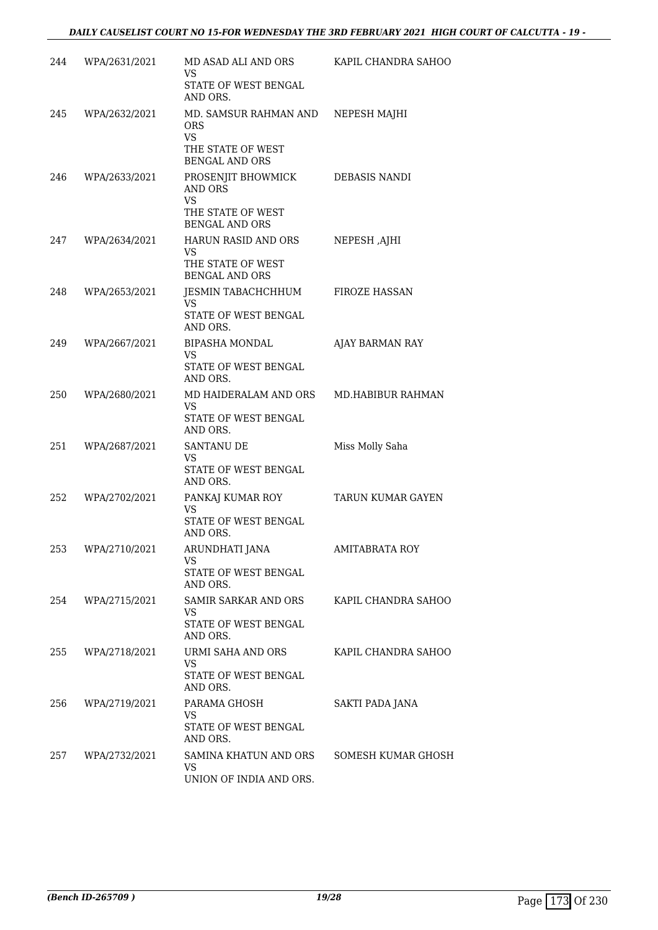| 244 | WPA/2631/2021 | MD ASAD ALI AND ORS<br>VS<br>STATE OF WEST BENGAL                                                   | KAPIL CHANDRA SAHOO |
|-----|---------------|-----------------------------------------------------------------------------------------------------|---------------------|
| 245 | WPA/2632/2021 | AND ORS.<br>MD. SAMSUR RAHMAN AND<br>ORS<br><b>VS</b><br>THE STATE OF WEST<br><b>BENGAL AND ORS</b> | NEPESH MAJHI        |
| 246 | WPA/2633/2021 | PROSENJIT BHOWMICK<br><b>AND ORS</b><br><b>VS</b><br>THE STATE OF WEST<br><b>BENGAL AND ORS</b>     | DEBASIS NANDI       |
| 247 | WPA/2634/2021 | HARUN RASID AND ORS<br>VS<br>THE STATE OF WEST<br><b>BENGAL AND ORS</b>                             | NEPESH, AJHI        |
| 248 | WPA/2653/2021 | JESMIN TABACHCHHUM<br><b>VS</b><br>STATE OF WEST BENGAL<br>AND ORS.                                 | FIROZE HASSAN       |
| 249 | WPA/2667/2021 | BIPASHA MONDAL<br>VS<br>STATE OF WEST BENGAL<br>AND ORS.                                            | AJAY BARMAN RAY     |
| 250 | WPA/2680/2021 | MD HAIDERALAM AND ORS<br>VS<br>STATE OF WEST BENGAL<br>AND ORS.                                     | MD.HABIBUR RAHMAN   |
| 251 | WPA/2687/2021 | <b>SANTANU DE</b><br><b>VS</b><br>STATE OF WEST BENGAL<br>AND ORS.                                  | Miss Molly Saha     |
| 252 | WPA/2702/2021 | PANKAJ KUMAR ROY<br><b>VS</b><br>STATE OF WEST BENGAL<br>AND ORS.                                   | TARUN KUMAR GAYEN   |
| 253 | WPA/2710/2021 | ARUNDHATI JANA<br><b>VS</b><br>STATE OF WEST BENGAL<br>AND ORS.                                     | AMITABRATA ROY      |
| 254 | WPA/2715/2021 | SAMIR SARKAR AND ORS<br>VS.<br>STATE OF WEST BENGAL<br>AND ORS.                                     | KAPIL CHANDRA SAHOO |
| 255 | WPA/2718/2021 | URMI SAHA AND ORS<br><b>VS</b><br>STATE OF WEST BENGAL<br>AND ORS.                                  | KAPIL CHANDRA SAHOO |
| 256 | WPA/2719/2021 | PARAMA GHOSH<br><b>VS</b><br>STATE OF WEST BENGAL<br>AND ORS.                                       | SAKTI PADA JANA     |
| 257 | WPA/2732/2021 | SAMINA KHATUN AND ORS<br><b>VS</b><br>UNION OF INDIA AND ORS.                                       | SOMESH KUMAR GHOSH  |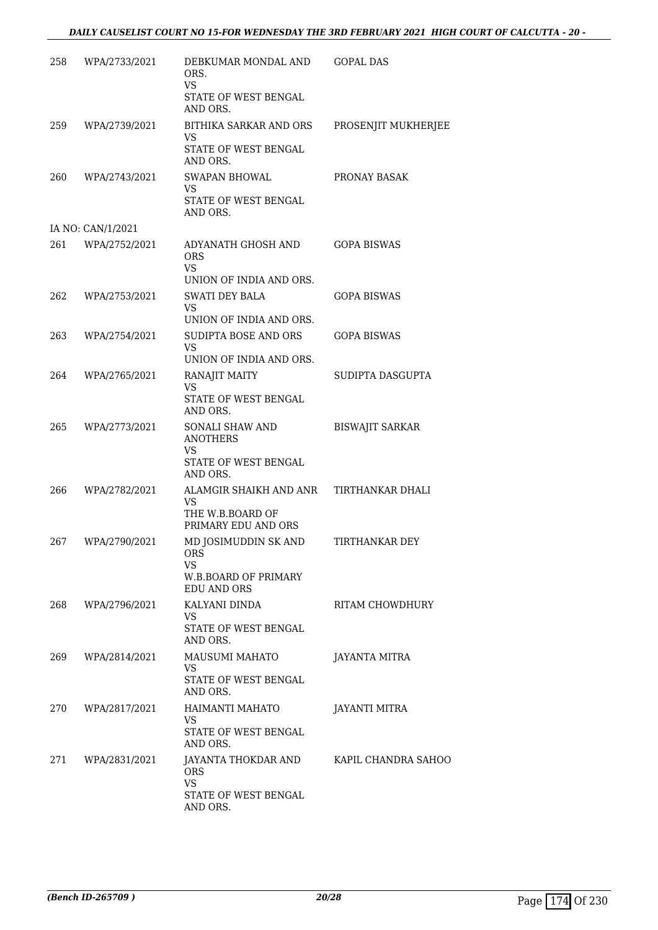| 258 | WPA/2733/2021     | DEBKUMAR MONDAL AND<br>ORS.<br>VS.                                    | GOPAL DAS              |
|-----|-------------------|-----------------------------------------------------------------------|------------------------|
|     |                   | STATE OF WEST BENGAL<br>AND ORS.                                      |                        |
| 259 | WPA/2739/2021     | BITHIKA SARKAR AND ORS<br><b>VS</b>                                   | PROSENJIT MUKHERJEE    |
|     |                   | STATE OF WEST BENGAL<br>AND ORS.                                      |                        |
| 260 | WPA/2743/2021     | <b>SWAPAN BHOWAL</b><br>VS<br><b>STATE OF WEST BENGAL</b><br>AND ORS. | PRONAY BASAK           |
|     | IA NO: CAN/1/2021 |                                                                       |                        |
| 261 | WPA/2752/2021     | ADYANATH GHOSH AND<br><b>ORS</b><br><b>VS</b>                         | <b>GOPA BISWAS</b>     |
| 262 |                   | UNION OF INDIA AND ORS.<br><b>SWATI DEY BALA</b>                      | <b>GOPA BISWAS</b>     |
|     | WPA/2753/2021     | <b>VS</b>                                                             |                        |
|     |                   | UNION OF INDIA AND ORS.                                               |                        |
| 263 | WPA/2754/2021     | SUDIPTA BOSE AND ORS<br><b>VS</b><br>UNION OF INDIA AND ORS.          | <b>GOPA BISWAS</b>     |
| 264 | WPA/2765/2021     | RANAJIT MAITY                                                         | SUDIPTA DASGUPTA       |
|     |                   | <b>VS</b><br>STATE OF WEST BENGAL<br>AND ORS.                         |                        |
| 265 | WPA/2773/2021     | <b>SONALI SHAW AND</b><br><b>ANOTHERS</b><br>VS                       | <b>BISWAJIT SARKAR</b> |
|     |                   | STATE OF WEST BENGAL<br>AND ORS.                                      |                        |
| 266 | WPA/2782/2021     | ALAMGIR SHAIKH AND ANR<br>VS<br>THE W.B.BOARD OF                      | TIRTHANKAR DHALI       |
|     |                   | PRIMARY EDU AND ORS                                                   |                        |
| 267 | WPA/2790/2021     | MD JOSIMUDDIN SK AND<br><b>ORS</b><br>VS.<br>W.B.BOARD OF PRIMARY     | TIRTHANKAR DEY         |
|     |                   | <b>EDU AND ORS</b>                                                    |                        |
| 268 | WPA/2796/2021     | KALYANI DINDA<br><b>VS</b><br>STATE OF WEST BENGAL                    | RITAM CHOWDHURY        |
|     |                   | AND ORS.                                                              |                        |
| 269 | WPA/2814/2021     | MAUSUMI MAHATO<br>VS.                                                 | JAYANTA MITRA          |
|     |                   | STATE OF WEST BENGAL<br>AND ORS.                                      |                        |
| 270 | WPA/2817/2021     | HAIMANTI MAHATO<br>VS.                                                | <b>JAYANTI MITRA</b>   |
|     |                   | STATE OF WEST BENGAL<br>AND ORS.                                      |                        |
| 271 | WPA/2831/2021     | JAYANTA THOKDAR AND<br>ORS.                                           | KAPIL CHANDRA SAHOO    |
|     |                   | <b>VS</b><br>STATE OF WEST BENGAL<br>AND ORS.                         |                        |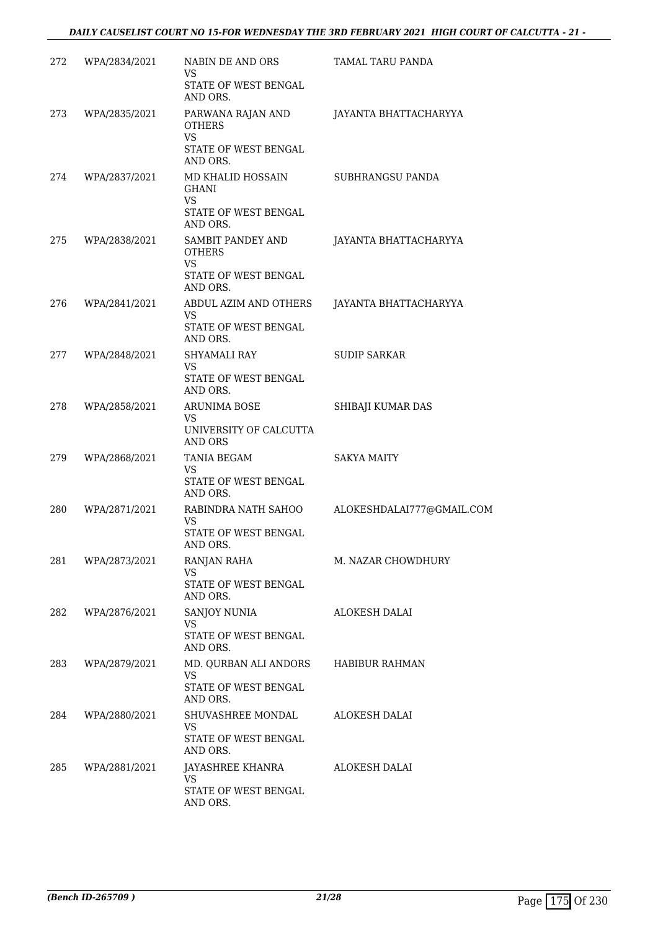| 272 | WPA/2834/2021 | NABIN DE AND ORS<br>VS<br>STATE OF WEST BENGAL                                          | TAMAL TARU PANDA          |
|-----|---------------|-----------------------------------------------------------------------------------------|---------------------------|
| 273 | WPA/2835/2021 | AND ORS.<br>PARWANA RAJAN AND<br><b>OTHERS</b><br><b>VS</b><br>STATE OF WEST BENGAL     | JAYANTA BHATTACHARYYA     |
| 274 | WPA/2837/2021 | AND ORS.<br>MD KHALID HOSSAIN<br><b>GHANI</b><br>VS<br>STATE OF WEST BENGAL<br>AND ORS. | SUBHRANGSU PANDA          |
| 275 | WPA/2838/2021 | SAMBIT PANDEY AND<br><b>OTHERS</b><br><b>VS</b><br>STATE OF WEST BENGAL<br>AND ORS.     | JAYANTA BHATTACHARYYA     |
| 276 | WPA/2841/2021 | ABDUL AZIM AND OTHERS<br>VS.<br>STATE OF WEST BENGAL                                    | JAYANTA BHATTACHARYYA     |
| 277 | WPA/2848/2021 | AND ORS.<br>SHYAMALI RAY<br>VS.<br>STATE OF WEST BENGAL                                 | <b>SUDIP SARKAR</b>       |
| 278 | WPA/2858/2021 | AND ORS.<br><b>ARUNIMA BOSE</b><br>VS<br>UNIVERSITY OF CALCUTTA<br>AND ORS              | SHIBAJI KUMAR DAS         |
| 279 | WPA/2868/2021 | TANIA BEGAM<br>VS<br>STATE OF WEST BENGAL<br>AND ORS.                                   | <b>SAKYA MAITY</b>        |
| 280 | WPA/2871/2021 | RABINDRA NATH SAHOO<br>VS<br>STATE OF WEST BENGAL                                       | ALOKESHDALAI777@GMAIL.COM |
| 281 | WPA/2873/2021 | AND ORS.<br>RANJAN RAHA<br>VS.<br>STATE OF WEST BENGAL                                  | M. NAZAR CHOWDHURY        |
| 282 | WPA/2876/2021 | AND ORS.<br>SANJOY NUNIA<br>VS.<br>STATE OF WEST BENGAL<br>AND ORS.                     | ALOKESH DALAI             |
| 283 | WPA/2879/2021 | MD. QURBAN ALI ANDORS<br>VS.<br>STATE OF WEST BENGAL<br>AND ORS.                        | HABIBUR RAHMAN            |
| 284 | WPA/2880/2021 | SHUVASHREE MONDAL<br><b>VS</b><br>STATE OF WEST BENGAL<br>AND ORS.                      | ALOKESH DALAI             |
| 285 | WPA/2881/2021 | JAYASHREE KHANRA<br><b>VS</b><br>STATE OF WEST BENGAL<br>AND ORS.                       | ALOKESH DALAI             |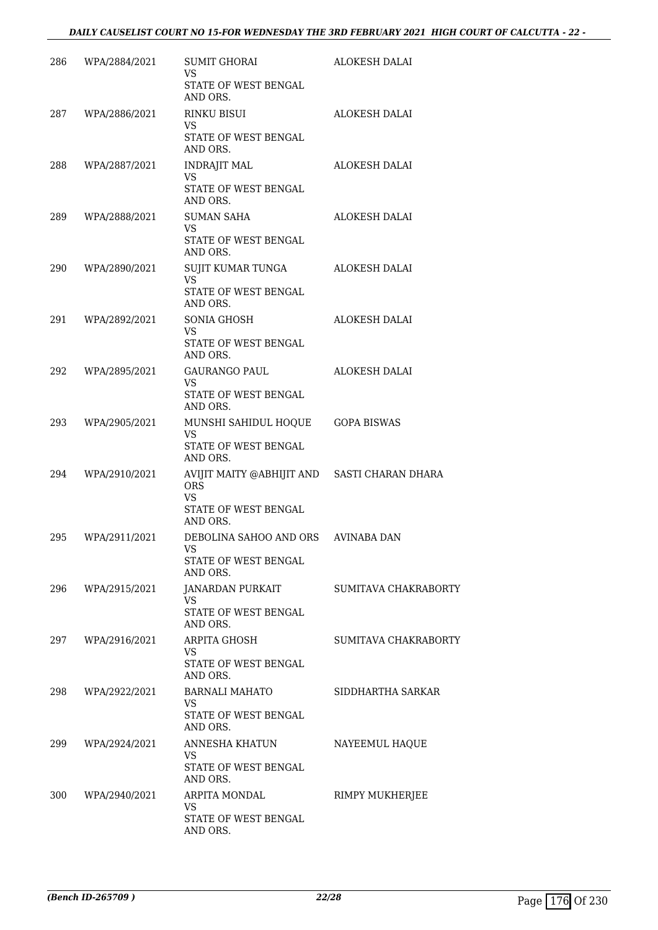| 286 | WPA/2884/2021 | SUMIT GHORAI<br>VS<br>STATE OF WEST BENGAL<br>AND ORS.                                               | <b>ALOKESH DALAI</b> |
|-----|---------------|------------------------------------------------------------------------------------------------------|----------------------|
| 287 | WPA/2886/2021 | RINKU BISUI<br>VS<br>STATE OF WEST BENGAL<br>AND ORS.                                                | ALOKESH DALAI        |
| 288 | WPA/2887/2021 | <b>INDRAJIT MAL</b><br><b>VS</b><br><b>STATE OF WEST BENGAL</b><br>AND ORS.                          | ALOKESH DALAI        |
| 289 | WPA/2888/2021 | <b>SUMAN SAHA</b><br>VS.<br>STATE OF WEST BENGAL<br>AND ORS.                                         | ALOKESH DALAI        |
| 290 | WPA/2890/2021 | SUJIT KUMAR TUNGA<br><b>VS</b><br>STATE OF WEST BENGAL<br>AND ORS.                                   | ALOKESH DALAI        |
| 291 | WPA/2892/2021 | SONIA GHOSH<br><b>VS</b><br>STATE OF WEST BENGAL<br>AND ORS.                                         | <b>ALOKESH DALAI</b> |
| 292 | WPA/2895/2021 | GAURANGO PAUL<br>VS.<br>STATE OF WEST BENGAL<br>AND ORS.                                             | <b>ALOKESH DALAI</b> |
| 293 | WPA/2905/2021 | MUNSHI SAHIDUL HOQUE<br><b>VS</b><br>STATE OF WEST BENGAL<br>AND ORS.                                | <b>GOPA BISWAS</b>   |
| 294 | WPA/2910/2021 | AVIJIT MAITY @ABHIJIT AND SASTI CHARAN DHARA<br><b>ORS</b><br>VS<br>STATE OF WEST BENGAL<br>AND ORS. |                      |
| 295 | WPA/2911/2021 | DEBOLINA SAHOO AND ORS<br>STATE OF WEST BENGAL<br>AND ORS.                                           | AVINABA DAN          |
| 296 | WPA/2915/2021 | JANARDAN PURKAIT<br><b>VS</b><br>STATE OF WEST BENGAL<br>AND ORS.                                    | SUMITAVA CHAKRABORTY |
| 297 | WPA/2916/2021 | ARPITA GHOSH<br>VS.<br>STATE OF WEST BENGAL<br>AND ORS.                                              | SUMITAVA CHAKRABORTY |
| 298 | WPA/2922/2021 | BARNALI MAHATO<br>VS.<br>STATE OF WEST BENGAL<br>AND ORS.                                            | SIDDHARTHA SARKAR    |
| 299 | WPA/2924/2021 | ANNESHA KHATUN<br>VS.<br>STATE OF WEST BENGAL<br>AND ORS.                                            | NAYEEMUL HAQUE       |
| 300 | WPA/2940/2021 | ARPITA MONDAL<br><b>VS</b><br>STATE OF WEST BENGAL<br>AND ORS.                                       | RIMPY MUKHERJEE      |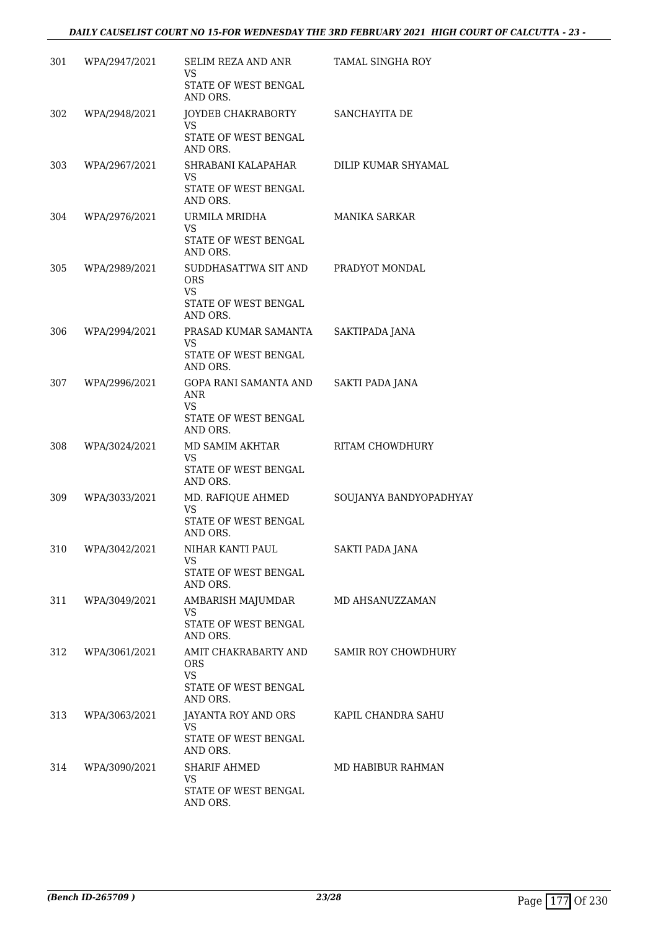| 301 | WPA/2947/2021 | SELIM REZA AND ANR<br>VS<br>STATE OF WEST BENGAL  | <b>TAMAL SINGHA ROY</b>    |
|-----|---------------|---------------------------------------------------|----------------------------|
|     |               | AND ORS.                                          |                            |
| 302 | WPA/2948/2021 | JOYDEB CHAKRABORTY SANCHAYITA DE<br><b>VS</b>     |                            |
|     |               | STATE OF WEST BENGAL<br>AND ORS.                  |                            |
| 303 | WPA/2967/2021 | SHRABANI KALAPAHAR                                | DILIP KUMAR SHYAMAL        |
|     |               | VS<br>STATE OF WEST BENGAL<br>AND ORS.            |                            |
| 304 | WPA/2976/2021 | URMILA MRIDHA                                     | MANIKA SARKAR              |
|     |               | <b>VS</b><br>STATE OF WEST BENGAL<br>AND ORS.     |                            |
| 305 | WPA/2989/2021 | SUDDHASATTWA SIT AND PRADYOT MONDAL<br><b>ORS</b> |                            |
|     |               | VS                                                |                            |
|     |               | STATE OF WEST BENGAL<br>AND ORS.                  |                            |
| 306 | WPA/2994/2021 | PRASAD KUMAR SAMANTA                              | SAKTIPADA JANA             |
|     |               | VS.<br>STATE OF WEST BENGAL                       |                            |
|     |               | AND ORS.                                          |                            |
| 307 | WPA/2996/2021 | GOPA RANI SAMANTA AND<br>ANR<br><b>VS</b>         | <b>SAKTI PADA JANA</b>     |
|     |               | STATE OF WEST BENGAL<br>AND ORS.                  |                            |
| 308 | WPA/3024/2021 | MD SAMIM AKHTAR<br>VS                             | RITAM CHOWDHURY            |
|     |               | STATE OF WEST BENGAL<br>AND ORS.                  |                            |
| 309 | WPA/3033/2021 | MD. RAFIQUE AHMED<br><b>VS</b>                    | SOUJANYA BANDYOPADHYAY     |
|     |               | STATE OF WEST BENGAL<br>AND ORS.                  |                            |
| 310 | WPA/3042/2021 | NIHAR KANTI PAUL                                  | <b>SAKTI PADA JANA</b>     |
|     |               | VS<br>STATE OF WEST BENGAL<br>AND ORS.            |                            |
| 311 | WPA/3049/2021 | AMBARISH MAJUMDAR                                 | MD AHSANUZZAMAN            |
|     |               | <b>VS</b><br>STATE OF WEST BENGAL<br>AND ORS.     |                            |
| 312 | WPA/3061/2021 | AMIT CHAKRABARTY AND<br>ORS.                      | <b>SAMIR ROY CHOWDHURY</b> |
|     |               | <b>VS</b><br>STATE OF WEST BENGAL<br>AND ORS.     |                            |
| 313 | WPA/3063/2021 | JAYANTA ROY AND ORS                               | KAPIL CHANDRA SAHU         |
|     |               | <b>VS</b><br>STATE OF WEST BENGAL<br>AND ORS.     |                            |
| 314 | WPA/3090/2021 | <b>SHARIF AHMED</b>                               | MD HABIBUR RAHMAN          |
|     |               | VS.<br>STATE OF WEST BENGAL<br>AND ORS.           |                            |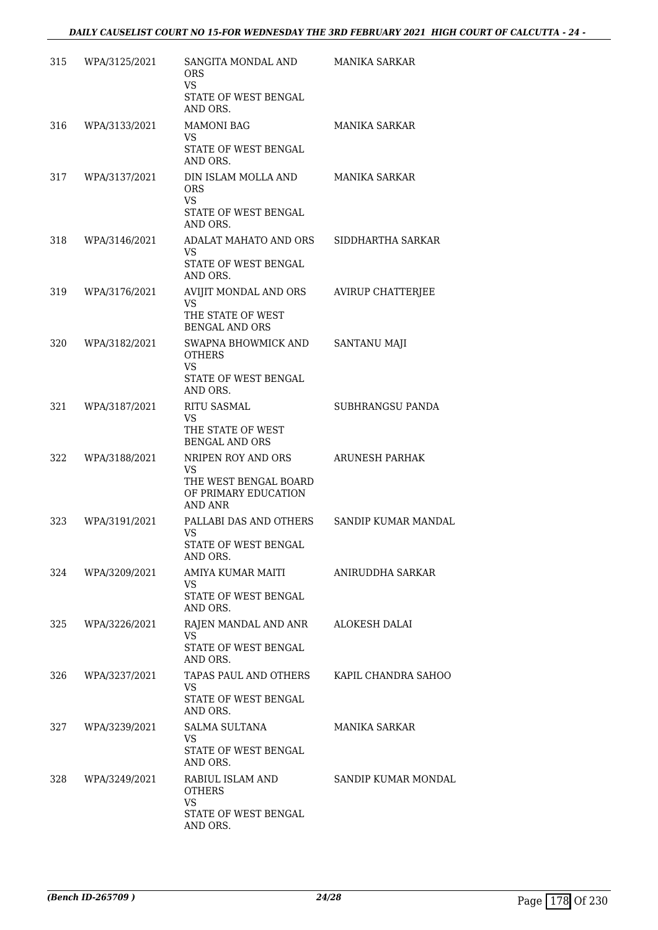| 315 | WPA/3125/2021 | SANGITA MONDAL AND<br>ORS.<br><b>VS</b><br>STATE OF WEST BENGAL<br>AND ORS.                 | <b>MANIKA SARKAR</b>       |
|-----|---------------|---------------------------------------------------------------------------------------------|----------------------------|
| 316 | WPA/3133/2021 | <b>MAMONI BAG</b><br>VS<br>STATE OF WEST BENGAL                                             | <b>MANIKA SARKAR</b>       |
| 317 | WPA/3137/2021 | AND ORS.<br>DIN ISLAM MOLLA AND<br>ORS<br><b>VS</b><br>STATE OF WEST BENGAL                 | <b>MANIKA SARKAR</b>       |
| 318 | WPA/3146/2021 | AND ORS.<br>ADALAT MAHATO AND ORS<br>VS.<br>STATE OF WEST BENGAL                            | SIDDHARTHA SARKAR          |
| 319 | WPA/3176/2021 | AND ORS.<br>AVIJIT MONDAL AND ORS<br>VS<br>THE STATE OF WEST<br><b>BENGAL AND ORS</b>       | AVIRUP CHATTERJEE          |
| 320 | WPA/3182/2021 | SWAPNA BHOWMICK AND<br><b>OTHERS</b><br><b>VS</b><br>STATE OF WEST BENGAL<br>AND ORS.       | SANTANU MAJI               |
| 321 | WPA/3187/2021 | <b>RITU SASMAL</b><br>VS<br>THE STATE OF WEST<br><b>BENGAL AND ORS</b>                      | SUBHRANGSU PANDA           |
| 322 | WPA/3188/2021 | NRIPEN ROY AND ORS<br>VS<br>THE WEST BENGAL BOARD<br>OF PRIMARY EDUCATION<br><b>AND ANR</b> | <b>ARUNESH PARHAK</b>      |
| 323 | WPA/3191/2021 | PALLABI DAS AND OTHERS<br><b>VS</b><br>STATE OF WEST BENGAL<br>AND ORS.                     | <b>SANDIP KUMAR MANDAL</b> |
| 324 | WPA/3209/2021 | AMIYA KUMAR MAITI<br><b>VS</b><br><b>STATE OF WEST BENGAL</b><br>AND ORS.                   | ANIRUDDHA SARKAR           |
| 325 | WPA/3226/2021 | RAJEN MANDAL AND ANR<br><b>VS</b><br>STATE OF WEST BENGAL<br>AND ORS.                       | ALOKESH DALAI              |
| 326 | WPA/3237/2021 | TAPAS PAUL AND OTHERS<br>VS<br>STATE OF WEST BENGAL<br>AND ORS.                             | KAPIL CHANDRA SAHOO        |
| 327 | WPA/3239/2021 | SALMA SULTANA<br>VS<br>STATE OF WEST BENGAL<br>AND ORS.                                     | MANIKA SARKAR              |
| 328 | WPA/3249/2021 | RABIUL ISLAM AND<br><b>OTHERS</b><br><b>VS</b><br>STATE OF WEST BENGAL<br>AND ORS.          | SANDIP KUMAR MONDAL        |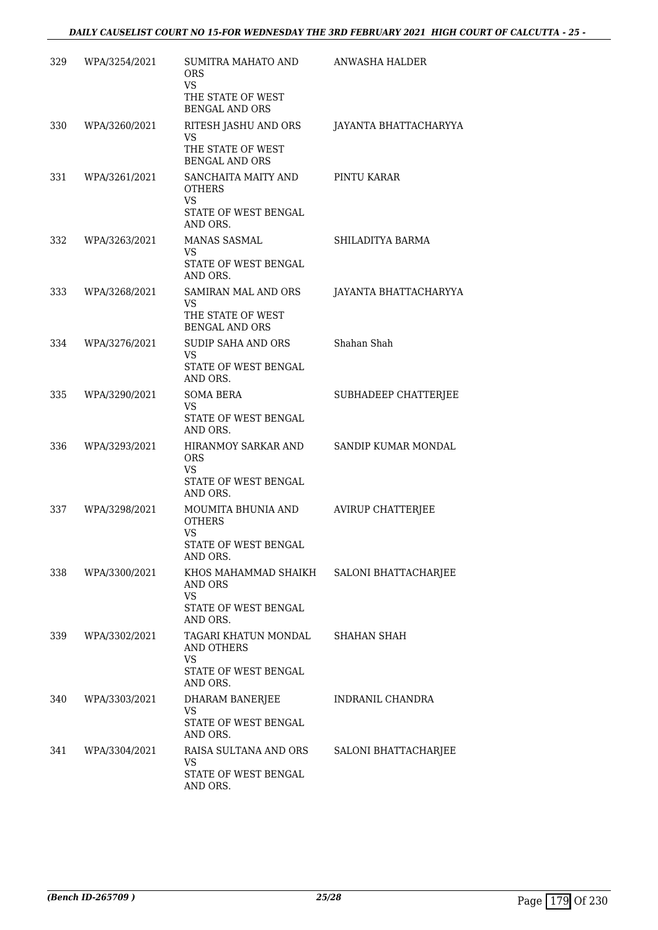| 329 | WPA/3254/2021 | SUMITRA MAHATO AND<br>ORS.<br>VS<br>THE STATE OF WEST<br><b>BENGAL AND ORS</b>        | ANWASHA HALDER           |
|-----|---------------|---------------------------------------------------------------------------------------|--------------------------|
| 330 | WPA/3260/2021 | RITESH JASHU AND ORS<br>VS<br>THE STATE OF WEST<br><b>BENGAL AND ORS</b>              | JAYANTA BHATTACHARYYA    |
| 331 | WPA/3261/2021 | SANCHAITA MAITY AND<br><b>OTHERS</b><br><b>VS</b><br>STATE OF WEST BENGAL<br>AND ORS. | PINTU KARAR              |
| 332 | WPA/3263/2021 | MANAS SASMAL<br>VS.<br>STATE OF WEST BENGAL<br>AND ORS.                               | SHILADITYA BARMA         |
| 333 | WPA/3268/2021 | SAMIRAN MAL AND ORS<br><b>VS</b><br>THE STATE OF WEST<br><b>BENGAL AND ORS</b>        | JAYANTA BHATTACHARYYA    |
| 334 | WPA/3276/2021 | SUDIP SAHA AND ORS<br>VS<br>STATE OF WEST BENGAL<br>AND ORS.                          | Shahan Shah              |
| 335 | WPA/3290/2021 | <b>SOMA BERA</b><br>VS<br>STATE OF WEST BENGAL<br>AND ORS.                            | SUBHADEEP CHATTERJEE     |
| 336 | WPA/3293/2021 | HIRANMOY SARKAR AND<br><b>ORS</b><br>VS.<br>STATE OF WEST BENGAL<br>AND ORS.          | SANDIP KUMAR MONDAL      |
| 337 | WPA/3298/2021 | MOUMITA BHUNIA AND<br><b>OTHERS</b><br>VS<br>STATE OF WEST BENGAL<br>AND ORS.         | <b>AVIRUP CHATTERJEE</b> |
| 338 | WPA/3300/2021 | KHOS MAHAMMAD SHAIKH<br>AND ORS<br>VS.<br>STATE OF WEST BENGAL<br>AND ORS.            | SALONI BHATTACHARJEE     |
| 339 | WPA/3302/2021 | TAGARI KHATUN MONDAL<br><b>AND OTHERS</b><br>VS<br>STATE OF WEST BENGAL<br>AND ORS.   | SHAHAN SHAH              |
| 340 | WPA/3303/2021 | DHARAM BANERJEE<br>VS<br>STATE OF WEST BENGAL<br>AND ORS.                             | INDRANIL CHANDRA         |
| 341 | WPA/3304/2021 | RAISA SULTANA AND ORS<br>VS<br>STATE OF WEST BENGAL<br>AND ORS.                       | SALONI BHATTACHARJEE     |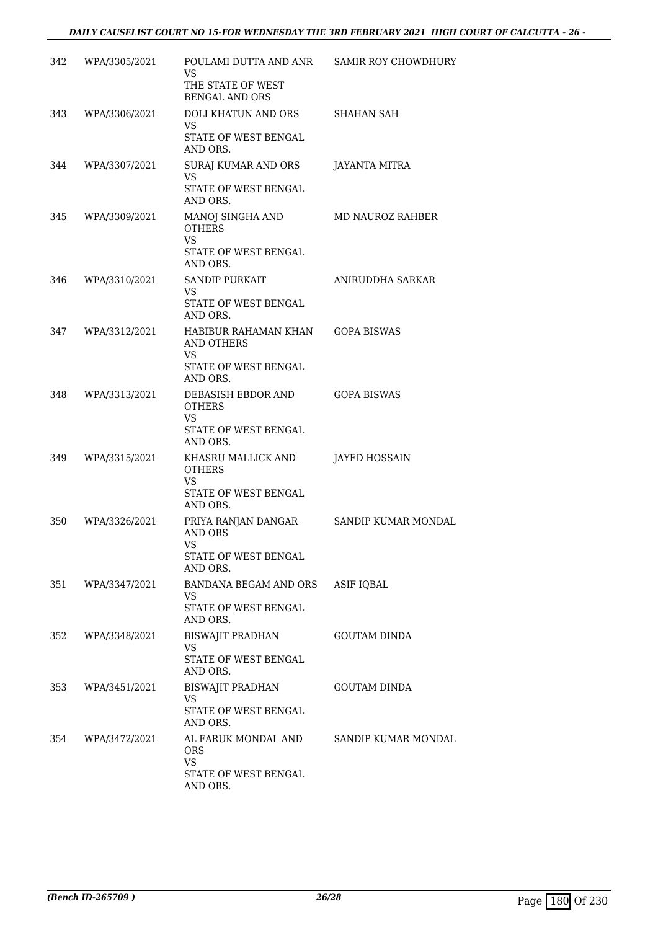| 342 | WPA/3305/2021     | POULAMI DUTTA AND ANR<br><b>VS</b>                                                         | <b>SAMIR ROY CHOWDHURY</b> |
|-----|-------------------|--------------------------------------------------------------------------------------------|----------------------------|
|     |                   | THE STATE OF WEST<br><b>BENGAL AND ORS</b>                                                 |                            |
| 343 | WPA/3306/2021     | DOLI KHATUN AND ORS<br><b>VS</b>                                                           | SHAHAN SAH                 |
|     |                   | STATE OF WEST BENGAL<br>AND ORS.                                                           |                            |
| 344 | WPA/3307/2021     | SURAJ KUMAR AND ORS<br>VS<br>STATE OF WEST BENGAL<br>AND ORS.                              | JAYANTA MITRA              |
| 345 | WPA/3309/2021     | MANOJ SINGHA AND<br><b>OTHERS</b><br><b>VS</b><br>STATE OF WEST BENGAL<br>AND ORS.         | MD NAUROZ RAHBER           |
| 346 | WPA/3310/2021     | SANDIP PURKAIT<br><b>VS</b><br>STATE OF WEST BENGAL<br>AND ORS.                            | ANIRUDDHA SARKAR           |
| 347 | WPA/3312/2021     | HABIBUR RAHAMAN KHAN<br><b>AND OTHERS</b><br><b>VS</b><br>STATE OF WEST BENGAL<br>AND ORS. | <b>GOPA BISWAS</b>         |
| 348 | WPA/3313/2021     | DEBASISH EBDOR AND<br><b>OTHERS</b><br><b>VS</b><br>STATE OF WEST BENGAL<br>AND ORS.       | <b>GOPA BISWAS</b>         |
| 349 | WPA/3315/2021     | KHASRU MALLICK AND<br><b>OTHERS</b><br><b>VS</b><br>STATE OF WEST BENGAL<br>AND ORS.       | <b>JAYED HOSSAIN</b>       |
| 350 | WPA/3326/2021     | PRIYA RANJAN DANGAR<br><b>AND ORS</b><br>VS<br>STATE OF WEST BENGAL<br>AND ORS.            | SANDIP KUMAR MONDAL        |
|     | 351 WPA/3347/2021 | BANDANA BEGAM AND ORS<br><b>VS</b><br>STATE OF WEST BENGAL<br>AND ORS.                     | ASIF IQBAL                 |
| 352 | WPA/3348/2021     | <b>BISWAJIT PRADHAN</b><br><b>VS</b><br>STATE OF WEST BENGAL<br>AND ORS.                   | <b>GOUTAM DINDA</b>        |
| 353 | WPA/3451/2021     | BISWAJIT PRADHAN<br><b>VS</b><br>STATE OF WEST BENGAL<br>AND ORS.                          | <b>GOUTAM DINDA</b>        |
| 354 | WPA/3472/2021     | AL FARUK MONDAL AND<br>ORS.<br><b>VS</b><br>STATE OF WEST BENGAL<br>AND ORS.               | SANDIP KUMAR MONDAL        |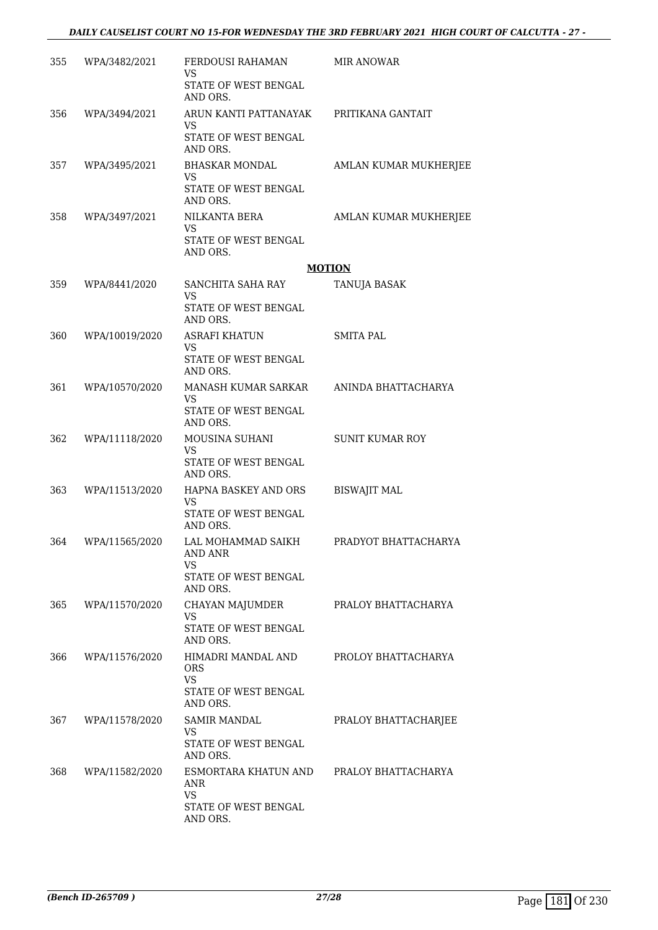| 355 | WPA/3482/2021  | FERDOUSI RAHAMAN<br>VS                     | MIR ANOWAR             |
|-----|----------------|--------------------------------------------|------------------------|
|     |                | STATE OF WEST BENGAL<br>AND ORS.           |                        |
| 356 | WPA/3494/2021  | ARUN KANTI PATTANAYAK<br>VS                | PRITIKANA GANTAIT      |
|     |                | STATE OF WEST BENGAL<br>AND ORS.           |                        |
| 357 | WPA/3495/2021  | BHASKAR MONDAL<br>VS                       | AMLAN KUMAR MUKHERJEE  |
|     |                | STATE OF WEST BENGAL<br>AND ORS.           |                        |
| 358 | WPA/3497/2021  | NILKANTA BERA<br>VS                        | AMLAN KUMAR MUKHERJEE  |
|     |                | STATE OF WEST BENGAL<br>AND ORS.           |                        |
|     |                |                                            | <b>MOTION</b>          |
| 359 | WPA/8441/2020  | SANCHITA SAHA RAY<br>VS                    | TANUJA BASAK           |
|     |                | STATE OF WEST BENGAL<br>AND ORS.           |                        |
| 360 | WPA/10019/2020 | <b>ASRAFI KHATUN</b>                       | <b>SMITA PAL</b>       |
|     |                | VS<br>STATE OF WEST BENGAL<br>AND ORS.     |                        |
| 361 | WPA/10570/2020 | MANASH KUMAR SARKAR<br><b>VS</b>           | ANINDA BHATTACHARYA    |
|     |                | STATE OF WEST BENGAL<br>AND ORS.           |                        |
| 362 | WPA/11118/2020 | MOUSINA SUHANI<br>VS                       | <b>SUNIT KUMAR ROY</b> |
|     |                | STATE OF WEST BENGAL<br>AND ORS.           |                        |
| 363 | WPA/11513/2020 | HAPNA BASKEY AND ORS<br>VS                 | <b>BISWAJIT MAL</b>    |
|     |                | STATE OF WEST BENGAL<br>AND ORS.           |                        |
| 364 | WPA/11565/2020 | LAL MOHAMMAD SAIKH<br>AND ANR<br><b>VS</b> | PRADYOT BHATTACHARYA   |
|     |                | STATE OF WEST BENGAL<br>AND ORS.           |                        |
| 365 | WPA/11570/2020 | CHAYAN MAJUMDER<br><b>VS</b>               | PRALOY BHATTACHARYA    |
|     |                | <b>STATE OF WEST BENGAL</b><br>AND ORS.    |                        |
| 366 | WPA/11576/2020 | HIMADRI MANDAL AND<br><b>ORS</b><br>VS.    | PROLOY BHATTACHARYA    |
|     |                | STATE OF WEST BENGAL<br>AND ORS.           |                        |
| 367 | WPA/11578/2020 | <b>SAMIR MANDAL</b><br>VS                  | PRALOY BHATTACHARJEE   |
|     |                | STATE OF WEST BENGAL<br>AND ORS.           |                        |
| 368 | WPA/11582/2020 | ESMORTARA KHATUN AND<br>ANR                | PRALOY BHATTACHARYA    |
|     |                | VS.<br>STATE OF WEST BENGAL<br>AND ORS.    |                        |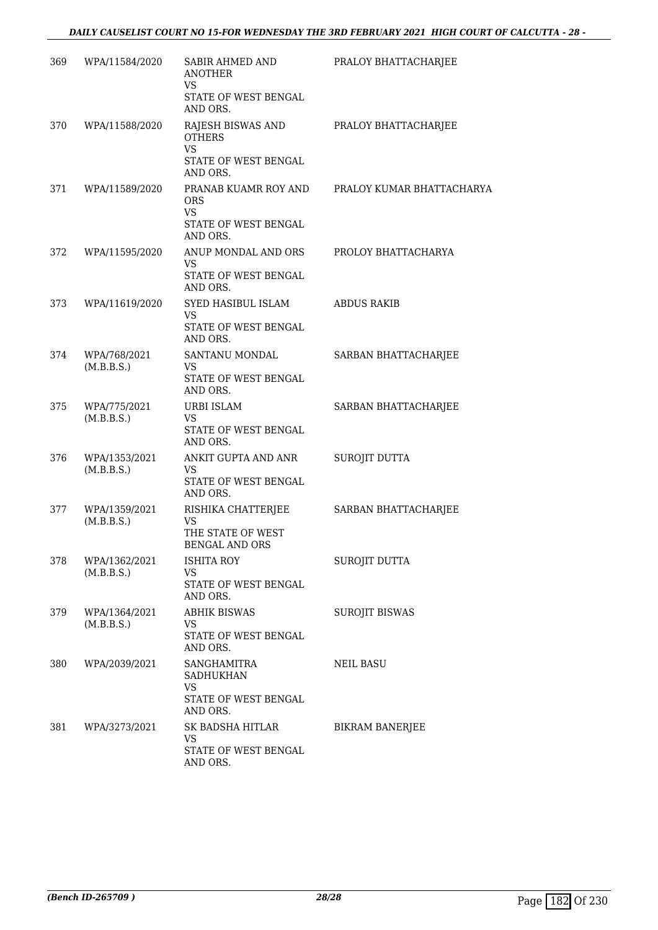| 369 | WPA/11584/2020              | SABIR AHMED AND<br><b>ANOTHER</b><br><b>VS</b>                                      | PRALOY BHATTACHARJEE      |
|-----|-----------------------------|-------------------------------------------------------------------------------------|---------------------------|
|     |                             | STATE OF WEST BENGAL<br>AND ORS.                                                    |                           |
| 370 | WPA/11588/2020              | RAJESH BISWAS AND<br><b>OTHERS</b><br><b>VS</b><br>STATE OF WEST BENGAL<br>AND ORS. | PRALOY BHATTACHARJEE      |
| 371 | WPA/11589/2020              | PRANAB KUAMR ROY AND<br><b>ORS</b><br><b>VS</b><br>STATE OF WEST BENGAL<br>AND ORS. | PRALOY KUMAR BHATTACHARYA |
| 372 | WPA/11595/2020              | ANUP MONDAL AND ORS<br><b>VS</b><br>STATE OF WEST BENGAL<br>AND ORS.                | PROLOY BHATTACHARYA       |
| 373 | WPA/11619/2020              | SYED HASIBUL ISLAM<br><b>VS</b><br>STATE OF WEST BENGAL<br>AND ORS.                 | <b>ABDUS RAKIB</b>        |
| 374 | WPA/768/2021<br>(M.B.B.S.)  | SANTANU MONDAL<br>VS<br>STATE OF WEST BENGAL<br>AND ORS.                            | SARBAN BHATTACHARJEE      |
| 375 | WPA/775/2021<br>(M.B.B.S.)  | URBI ISLAM<br>VS<br>STATE OF WEST BENGAL<br>AND ORS.                                | SARBAN BHATTACHARJEE      |
| 376 | WPA/1353/2021<br>(M.B.B.S.) | ANKIT GUPTA AND ANR<br>VS<br>STATE OF WEST BENGAL<br>AND ORS.                       | SUROJIT DUTTA             |
| 377 | WPA/1359/2021<br>(M.B.B.S.) | RISHIKA CHATTERJEE<br>VS<br>THE STATE OF WEST<br><b>BENGAL AND ORS</b>              | SARBAN BHATTACHARJEE      |
| 378 | WPA/1362/2021<br>(M.B.B.S.) | ISHITA ROY<br><b>VS</b><br>STATE OF WEST BENGAL<br>AND ORS.                         | SUROJIT DUTTA             |
| 379 | WPA/1364/2021<br>(M.B.B.S.) | <b>ABHIK BISWAS</b><br><b>VS</b><br>STATE OF WEST BENGAL<br>AND ORS.                | <b>SUROJIT BISWAS</b>     |
| 380 | WPA/2039/2021               | SANGHAMITRA<br><b>SADHUKHAN</b><br><b>VS</b><br>STATE OF WEST BENGAL<br>AND ORS.    | NEIL BASU                 |
| 381 | WPA/3273/2021               | SK BADSHA HITLAR<br><b>VS</b><br>STATE OF WEST BENGAL<br>AND ORS.                   | <b>BIKRAM BANERJEE</b>    |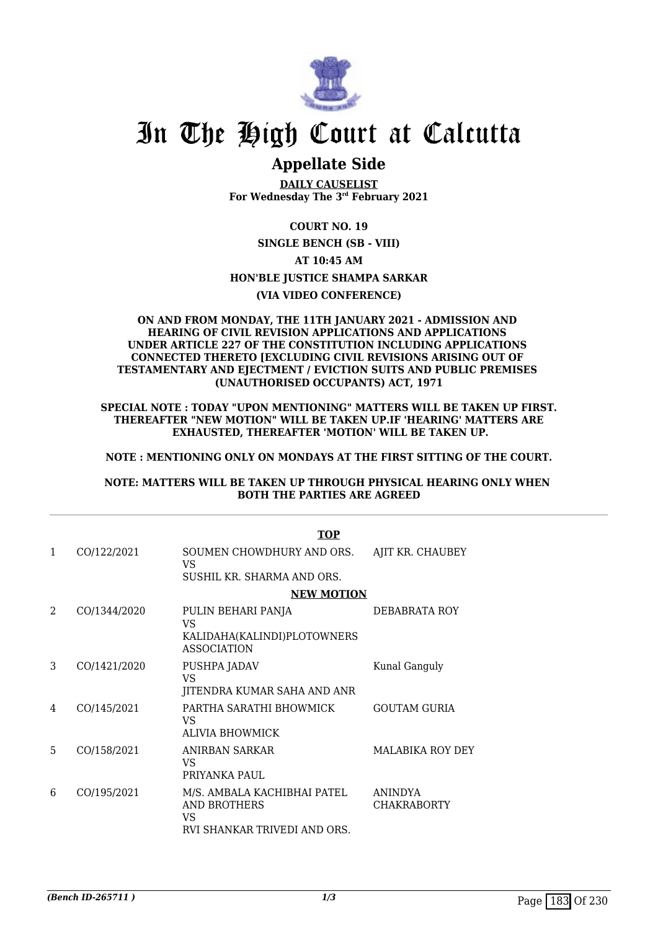

## **Appellate Side**

**DAILY CAUSELIST For Wednesday The 3rd February 2021**

**COURT NO. 19 SINGLE BENCH (SB - VIII) AT 10:45 AM HON'BLE JUSTICE SHAMPA SARKAR (VIA VIDEO CONFERENCE)**

### **ON AND FROM MONDAY, THE 11TH JANUARY 2021 - ADMISSION AND HEARING OF CIVIL REVISION APPLICATIONS AND APPLICATIONS UNDER ARTICLE 227 OF THE CONSTITUTION INCLUDING APPLICATIONS CONNECTED THERETO [EXCLUDING CIVIL REVISIONS ARISING OUT OF TESTAMENTARY AND EJECTMENT / EVICTION SUITS AND PUBLIC PREMISES (UNAUTHORISED OCCUPANTS) ACT, 1971**

**SPECIAL NOTE : TODAY "UPON MENTIONING" MATTERS WILL BE TAKEN UP FIRST. THEREAFTER "NEW MOTION" WILL BE TAKEN UP.IF 'HEARING' MATTERS ARE EXHAUSTED, THEREAFTER 'MOTION' WILL BE TAKEN UP.**

### **NOTE : MENTIONING ONLY ON MONDAYS AT THE FIRST SITTING OF THE COURT.**

### **NOTE: MATTERS WILL BE TAKEN UP THROUGH PHYSICAL HEARING ONLY WHEN BOTH THE PARTIES ARE AGREED**

|               | <b>TOP</b>   |                                                                                          |                               |  |  |
|---------------|--------------|------------------------------------------------------------------------------------------|-------------------------------|--|--|
| 1             | CO/122/2021  | SOUMEN CHOWDHURY AND ORS.<br><b>VS</b>                                                   | AJIT KR. CHAUBEY              |  |  |
|               |              | SUSHIL KR. SHARMA AND ORS.                                                               |                               |  |  |
|               |              | <b>NEW MOTION</b>                                                                        |                               |  |  |
| $\mathcal{L}$ | CO/1344/2020 | PULIN BEHARI PANJA<br><b>VS</b>                                                          | DEBABRATA ROY                 |  |  |
|               |              | KALIDAHA(KALINDI)PLOTOWNERS<br><b>ASSOCIATION</b>                                        |                               |  |  |
| 3             | CO/1421/2020 | PUSHPA JADAV<br><b>VS</b>                                                                | Kunal Ganguly                 |  |  |
|               |              | JITENDRA KUMAR SAHA AND ANR                                                              |                               |  |  |
| 4             | CO/145/2021  | PARTHA SARATHI BHOWMICK<br>VS.<br><b>ALIVIA BHOWMICK</b>                                 | <b>GOUTAM GURIA</b>           |  |  |
| 5             | CO/158/2021  | ANIRBAN SARKAR<br><b>VS</b><br>PRIYANKA PAUL                                             | <b>MALABIKA ROY DEY</b>       |  |  |
| 6             | CO/195/2021  | M/S. AMBALA KACHIBHAI PATEL<br>AND BROTHERS<br><b>VS</b><br>RVI SHANKAR TRIVEDI AND ORS. | ANINDYA<br><b>CHAKRABORTY</b> |  |  |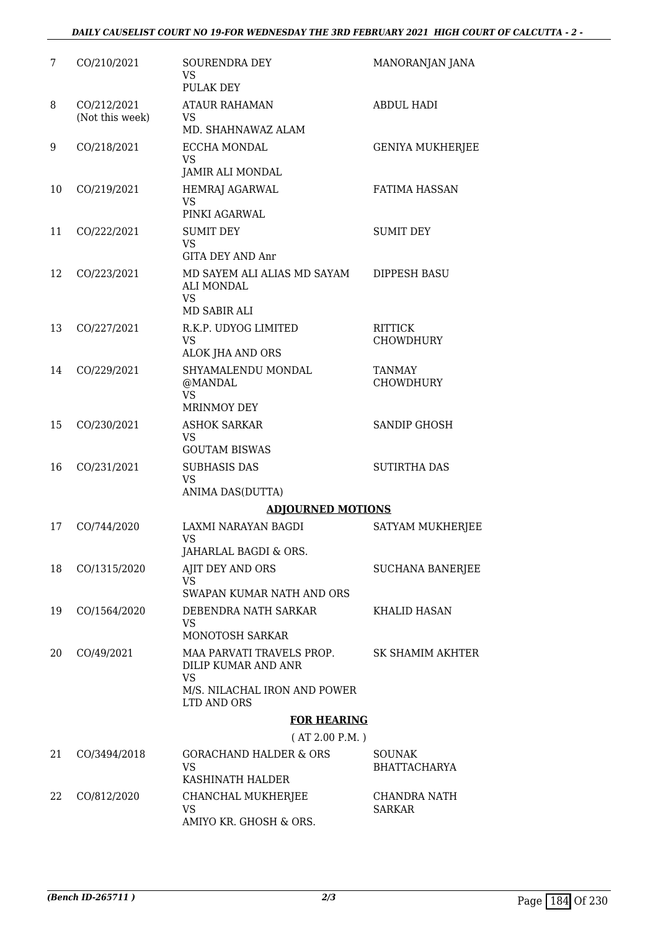### *DAILY CAUSELIST COURT NO 19-FOR WEDNESDAY THE 3RD FEBRUARY 2021 HIGH COURT OF CALCUTTA - 2 -*

| 7  | CO/210/2021                    | SOURENDRA DEY<br><b>VS</b><br>PULAK DEY                                       | MANORANJAN JANA                   |
|----|--------------------------------|-------------------------------------------------------------------------------|-----------------------------------|
| 8  | CO/212/2021<br>(Not this week) | <b>ATAUR RAHAMAN</b><br><b>VS</b>                                             | <b>ABDUL HADI</b>                 |
|    |                                | MD. SHAHNAWAZ ALAM                                                            |                                   |
| 9  | CO/218/2021                    | <b>ECCHA MONDAL</b><br><b>VS</b>                                              | <b>GENIYA MUKHERJEE</b>           |
|    |                                | <b>JAMIR ALI MONDAL</b>                                                       |                                   |
| 10 | CO/219/2021                    | HEMRAJ AGARWAL<br><b>VS</b><br>PINKI AGARWAL                                  | <b>FATIMA HASSAN</b>              |
| 11 | CO/222/2021                    | <b>SUMIT DEY</b>                                                              | <b>SUMIT DEY</b>                  |
|    |                                | <b>VS</b><br><b>GITA DEY AND Anr</b>                                          |                                   |
| 12 | CO/223/2021                    | MD SAYEM ALI ALIAS MD SAYAM<br><b>ALI MONDAL</b><br><b>VS</b><br>MD SABIR ALI | <b>DIPPESH BASU</b>               |
| 13 | CO/227/2021                    | R.K.P. UDYOG LIMITED                                                          | <b>RITTICK</b>                    |
|    |                                | <b>VS</b>                                                                     | <b>CHOWDHURY</b>                  |
|    |                                | ALOK JHA AND ORS                                                              |                                   |
| 14 | CO/229/2021                    | SHYAMALENDU MONDAL<br>@MANDAL<br><b>VS</b>                                    | <b>TANMAY</b><br><b>CHOWDHURY</b> |
|    |                                | <b>MRINMOY DEY</b>                                                            |                                   |
| 15 | CO/230/2021                    | <b>ASHOK SARKAR</b><br><b>VS</b>                                              | <b>SANDIP GHOSH</b>               |
|    |                                | <b>GOUTAM BISWAS</b>                                                          |                                   |
| 16 | CO/231/2021                    | <b>SUBHASIS DAS</b><br><b>VS</b>                                              | <b>SUTIRTHA DAS</b>               |
|    |                                | ANIMA DAS(DUTTA)                                                              |                                   |
|    |                                | <b>ADJOURNED MOTIONS</b>                                                      |                                   |
| 17 | CO/744/2020                    | LAXMI NARAYAN BAGDI<br><b>VS</b>                                              | <b>SATYAM MUKHERJEE</b>           |
|    |                                | JAHARLAL BAGDI & ORS.                                                         |                                   |
| 18 | CO/1315/2020                   | AJIT DEY AND ORS<br><b>VS</b>                                                 | <b>SUCHANA BANERJEE</b>           |
|    |                                | SWAPAN KUMAR NATH AND ORS                                                     |                                   |
| 19 | CO/1564/2020                   | DEBENDRA NATH SARKAR<br><b>VS</b><br>MONOTOSH SARKAR                          | KHALID HASAN                      |
| 20 | CO/49/2021                     | MAA PARVATI TRAVELS PROP.<br>DILIP KUMAR AND ANR<br><b>VS</b>                 | SK SHAMIM AKHTER                  |
|    |                                | M/S. NILACHAL IRON AND POWER<br>LTD AND ORS                                   |                                   |
|    |                                | <b>FOR HEARING</b>                                                            |                                   |
|    |                                | (AT 2.00 P.M.)                                                                |                                   |
| 21 | CO/3494/2018                   | <b>GORACHAND HALDER &amp; ORS</b>                                             | <b>SOUNAK</b>                     |
|    |                                | <b>VS</b><br>KASHINATH HALDER                                                 | <b>BHATTACHARYA</b>               |
|    |                                |                                                                               |                                   |
| 22 | CO/812/2020                    | CHANCHAL MUKHERJEE<br><b>VS</b><br>AMIYO KR. GHOSH & ORS.                     | CHANDRA NATH<br>SARKAR            |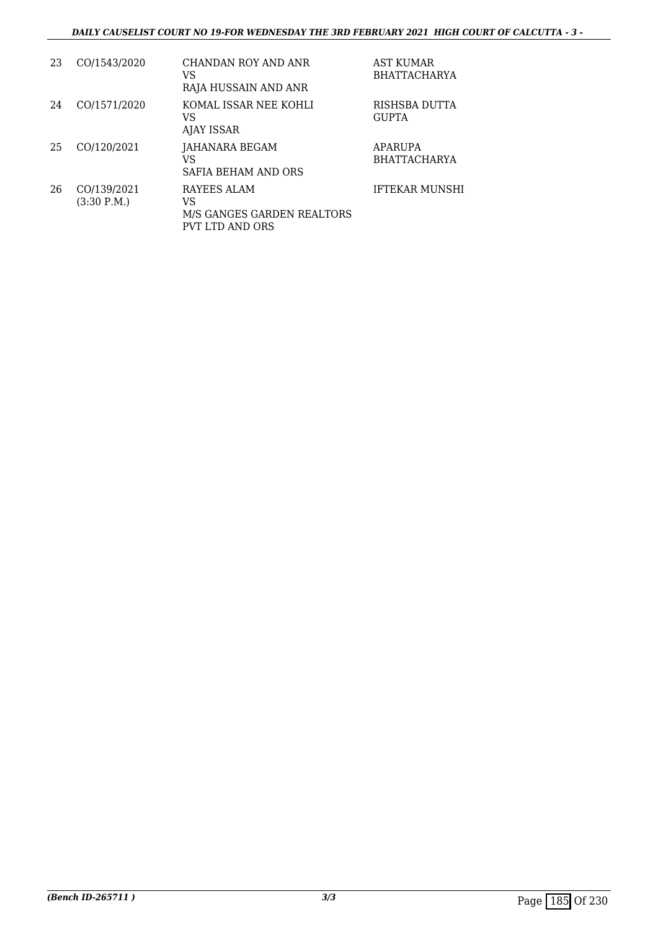| 23 | CO/1543/2020                         | CHANDAN ROY AND ANR<br>VS<br>RAJA HUSSAIN AND ANR                         | <b>AST KUMAR</b><br><b>BHATTACHARYA</b> |
|----|--------------------------------------|---------------------------------------------------------------------------|-----------------------------------------|
| 24 | CO/1571/2020                         | KOMAL ISSAR NEE KOHLI<br>VS<br>AJAY ISSAR                                 | RISHSBA DUTTA<br><b>GUPTA</b>           |
| 25 | CO/120/2021                          | JAHANARA BEGAM<br>VS<br>SAFIA BEHAM AND ORS                               | <b>APARUPA</b><br><b>BHATTACHARYA</b>   |
| 26 | CO/139/2021<br>$(3:30 \text{ P.M.})$ | RAYEES ALAM<br>VS<br>M/S GANGES GARDEN REALTORS<br><b>PVT LTD AND ORS</b> | <b>IFTEKAR MUNSHI</b>                   |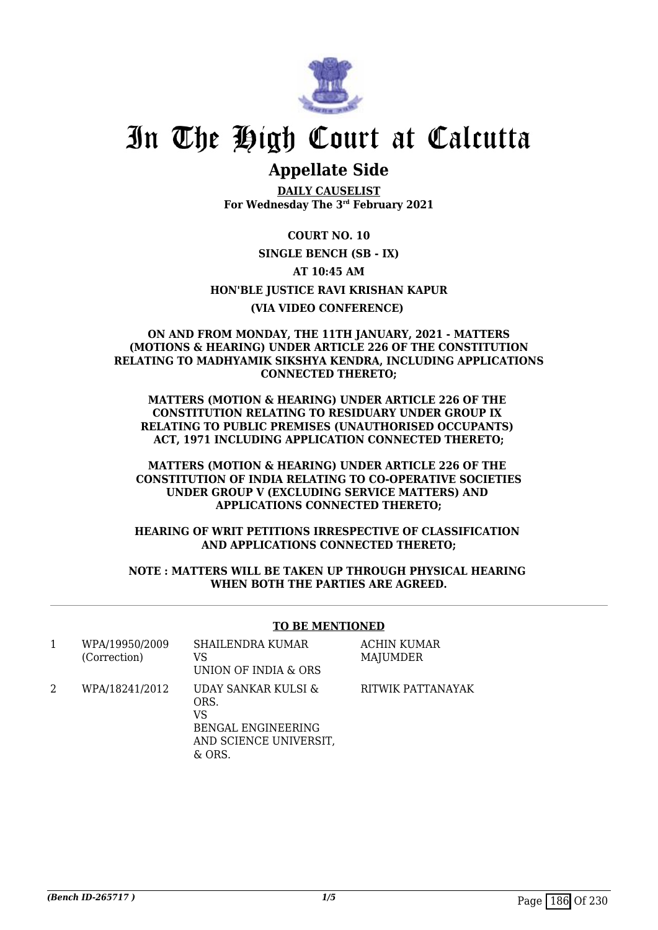

## **Appellate Side**

**DAILY CAUSELIST For Wednesday The 3rd February 2021**

**COURT NO. 10 SINGLE BENCH (SB - IX) AT 10:45 AM HON'BLE JUSTICE RAVI KRISHAN KAPUR (VIA VIDEO CONFERENCE)** 

### **ON AND FROM MONDAY, THE 11TH JANUARY, 2021 - MATTERS (MOTIONS & HEARING) UNDER ARTICLE 226 OF THE CONSTITUTION RELATING TO MADHYAMIK SIKSHYA KENDRA, INCLUDING APPLICATIONS CONNECTED THERETO;**

**MATTERS (MOTION & HEARING) UNDER ARTICLE 226 OF THE CONSTITUTION RELATING TO RESIDUARY UNDER GROUP IX RELATING TO PUBLIC PREMISES (UNAUTHORISED OCCUPANTS) ACT, 1971 INCLUDING APPLICATION CONNECTED THERETO;**

**MATTERS (MOTION & HEARING) UNDER ARTICLE 226 OF THE CONSTITUTION OF INDIA RELATING TO CO-OPERATIVE SOCIETIES UNDER GROUP V (EXCLUDING SERVICE MATTERS) AND APPLICATIONS CONNECTED THERETO;**

**HEARING OF WRIT PETITIONS IRRESPECTIVE OF CLASSIFICATION AND APPLICATIONS CONNECTED THERETO;**

### **NOTE : MATTERS WILL BE TAKEN UP THROUGH PHYSICAL HEARING WHEN BOTH THE PARTIES ARE AGREED.**

### **TO BE MENTIONED**

| WPA/19950/2009<br>(Correction) | SHAILENDRA KUMAR<br>VS<br>UNION OF INDIA & ORS                                                     | <b>ACHIN KUMAR</b><br>MAJUMDER |
|--------------------------------|----------------------------------------------------------------------------------------------------|--------------------------------|
| WPA/18241/2012                 | UDAY SANKAR KULSI &<br>ORS.<br>VS<br><b>BENGAL ENGINEERING</b><br>AND SCIENCE UNIVERSIT,<br>& ORS. | RITWIK PATTANAYAK              |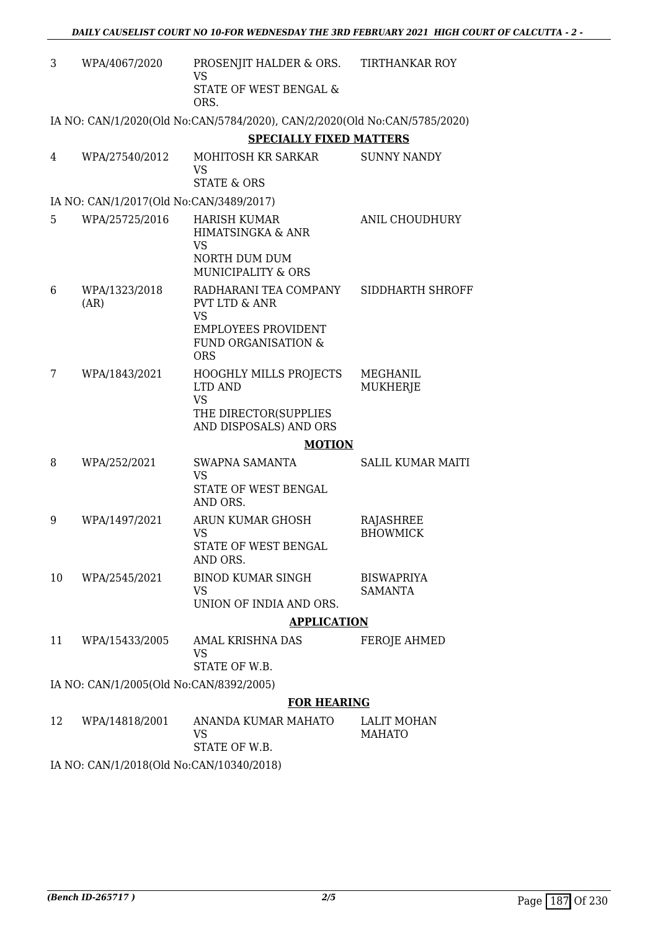| 3  | WPA/4067/2020                            | PROSENJIT HALDER & ORS.<br><b>VS</b>                                                                            | <b>TIRTHANKAR ROY</b>               |
|----|------------------------------------------|-----------------------------------------------------------------------------------------------------------------|-------------------------------------|
|    |                                          | <b>STATE OF WEST BENGAL &amp;</b><br>ORS.                                                                       |                                     |
|    |                                          | IA NO: CAN/1/2020(Old No:CAN/5784/2020), CAN/2/2020(Old No:CAN/5785/2020)                                       |                                     |
|    |                                          | <b>SPECIALLY FIXED MATTERS</b>                                                                                  |                                     |
| 4  | WPA/27540/2012                           | MOHITOSH KR SARKAR<br><b>VS</b><br><b>STATE &amp; ORS</b>                                                       | <b>SUNNY NANDY</b>                  |
|    |                                          |                                                                                                                 |                                     |
|    | IA NO: CAN/1/2017(Old No:CAN/3489/2017)  |                                                                                                                 |                                     |
| 5  | WPA/25725/2016                           | <b>HARISH KUMAR</b><br>HIMATSINGKA & ANR<br><b>VS</b>                                                           | ANIL CHOUDHURY                      |
|    |                                          | NORTH DUM DUM<br><b>MUNICIPALITY &amp; ORS</b>                                                                  |                                     |
| 6  | WPA/1323/2018<br>(AR)                    | RADHARANI TEA COMPANY<br><b>PVT LTD &amp; ANR</b><br><b>VS</b>                                                  | SIDDHARTH SHROFF                    |
|    |                                          | <b>EMPLOYEES PROVIDENT</b><br><b>FUND ORGANISATION &amp;</b><br><b>ORS</b>                                      |                                     |
| 7  | WPA/1843/2021                            | <b>HOOGHLY MILLS PROJECTS</b><br><b>LTD AND</b><br><b>VS</b><br>THE DIRECTOR(SUPPLIES<br>AND DISPOSALS) AND ORS | <b>MEGHANIL</b><br><b>MUKHERJE</b>  |
|    |                                          | <b>MOTION</b>                                                                                                   |                                     |
| 8  | WPA/252/2021                             | SWAPNA SAMANTA                                                                                                  | <b>SALIL KUMAR MAITI</b>            |
|    |                                          | <b>VS</b><br>STATE OF WEST BENGAL<br>AND ORS.                                                                   |                                     |
| 9  | WPA/1497/2021                            | ARUN KUMAR GHOSH<br><b>VS</b>                                                                                   | RAJASHREE<br><b>BHOWMICK</b>        |
|    |                                          | STATE OF WEST BENGAL<br>AND ORS.                                                                                |                                     |
| 10 | WPA/2545/2021                            | <b>BINOD KUMAR SINGH</b><br><b>VS</b>                                                                           | <b>BISWAPRIYA</b><br><b>SAMANTA</b> |
|    |                                          | UNION OF INDIA AND ORS.                                                                                         |                                     |
|    |                                          | <b>APPLICATION</b>                                                                                              |                                     |
| 11 | WPA/15433/2005                           | AMAL KRISHNA DAS<br>VS<br>STATE OF W.B.                                                                         | <b>FEROJE AHMED</b>                 |
|    | IA NO: CAN/1/2005(Old No:CAN/8392/2005)  |                                                                                                                 |                                     |
|    |                                          | <b>FOR HEARING</b>                                                                                              |                                     |
| 12 | WPA/14818/2001                           | ANANDA KUMAR MAHATO<br>VS                                                                                       | <b>LALIT MOHAN</b><br><b>MAHATO</b> |
|    | IA NO: CAN/1/2018(Old No:CAN/10340/2018) | STATE OF W.B.                                                                                                   |                                     |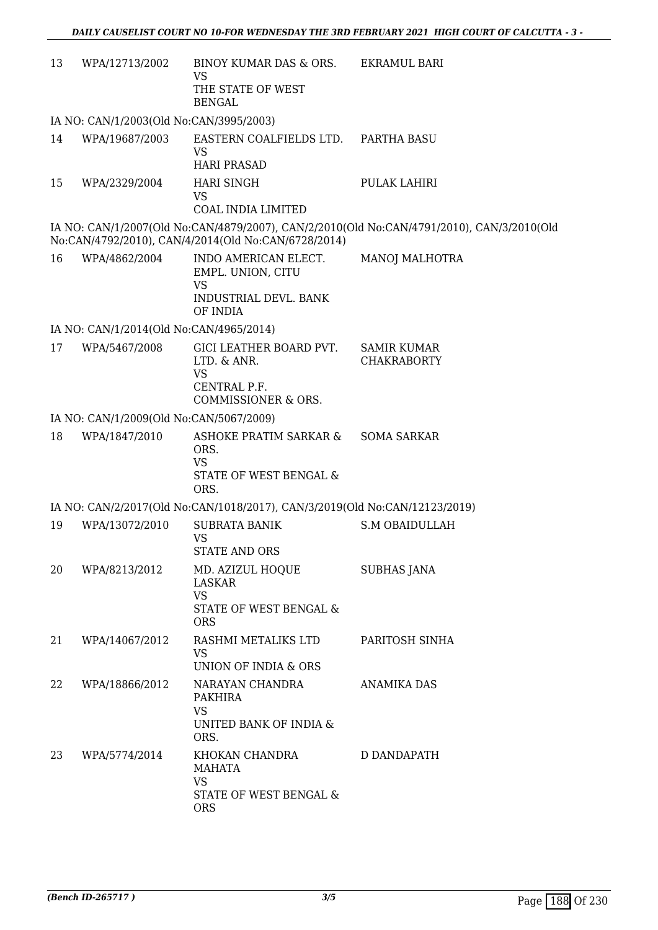| 13 | WPA/12713/2002                          | BINOY KUMAR DAS & ORS. EKRAMUL BARI<br>VS<br>THE STATE OF WEST<br><b>BENGAL</b>             |                                                                                           |
|----|-----------------------------------------|---------------------------------------------------------------------------------------------|-------------------------------------------------------------------------------------------|
|    | IA NO: CAN/1/2003(Old No:CAN/3995/2003) |                                                                                             |                                                                                           |
| 14 | WPA/19687/2003                          | EASTERN COALFIELDS LTD. PARTHA BASU<br><b>VS</b><br><b>HARI PRASAD</b>                      |                                                                                           |
| 15 | WPA/2329/2004                           | <b>HARI SINGH</b><br><b>VS</b><br><b>COAL INDIA LIMITED</b>                                 | PULAK LAHIRI                                                                              |
|    |                                         | No:CAN/4792/2010), CAN/4/2014(Old No:CAN/6728/2014)                                         | IA NO: CAN/1/2007(Old No:CAN/4879/2007), CAN/2/2010(Old No:CAN/4791/2010), CAN/3/2010(Old |
| 16 | WPA/4862/2004                           | INDO AMERICAN ELECT.<br>EMPL. UNION, CITU<br><b>VS</b><br>INDUSTRIAL DEVL. BANK<br>OF INDIA | <b>MANOJ MALHOTRA</b>                                                                     |
|    | IA NO: CAN/1/2014(Old No:CAN/4965/2014) |                                                                                             |                                                                                           |
| 17 | WPA/5467/2008                           | GICI LEATHER BOARD PVT.<br>LTD. & ANR.<br><b>VS</b><br>CENTRAL P.F.<br>COMMISSIONER & ORS.  | <b>SAMIR KUMAR</b><br><b>CHAKRABORTY</b>                                                  |
|    | IA NO: CAN/1/2009(Old No:CAN/5067/2009) |                                                                                             |                                                                                           |
| 18 | WPA/1847/2010                           | ASHOKE PRATIM SARKAR &<br>ORS.<br><b>VS</b><br>STATE OF WEST BENGAL &<br>ORS.               | <b>SOMA SARKAR</b>                                                                        |
|    |                                         | IA NO: CAN/2/2017(Old No:CAN/1018/2017), CAN/3/2019(Old No:CAN/12123/2019)                  |                                                                                           |
| 19 | WPA/13072/2010                          | <b>SUBRATA BANIK</b><br><b>VS</b><br><b>STATE AND ORS</b>                                   | <b>S.M OBAIDULLAH</b>                                                                     |
| 20 | WPA/8213/2012                           | MD. AZIZUL HOQUE<br><b>LASKAR</b><br><b>VS</b><br>STATE OF WEST BENGAL &<br><b>ORS</b>      | SUBHAS JANA                                                                               |
| 21 | WPA/14067/2012                          | RASHMI METALIKS LTD<br><b>VS</b><br>UNION OF INDIA & ORS                                    | PARITOSH SINHA                                                                            |
| 22 | WPA/18866/2012                          | NARAYAN CHANDRA<br><b>PAKHIRA</b><br><b>VS</b><br>UNITED BANK OF INDIA &<br>ORS.            | <b>ANAMIKA DAS</b>                                                                        |
| 23 | WPA/5774/2014                           | KHOKAN CHANDRA<br>MAHATA<br>VS<br>STATE OF WEST BENGAL &<br><b>ORS</b>                      | D DANDAPATH                                                                               |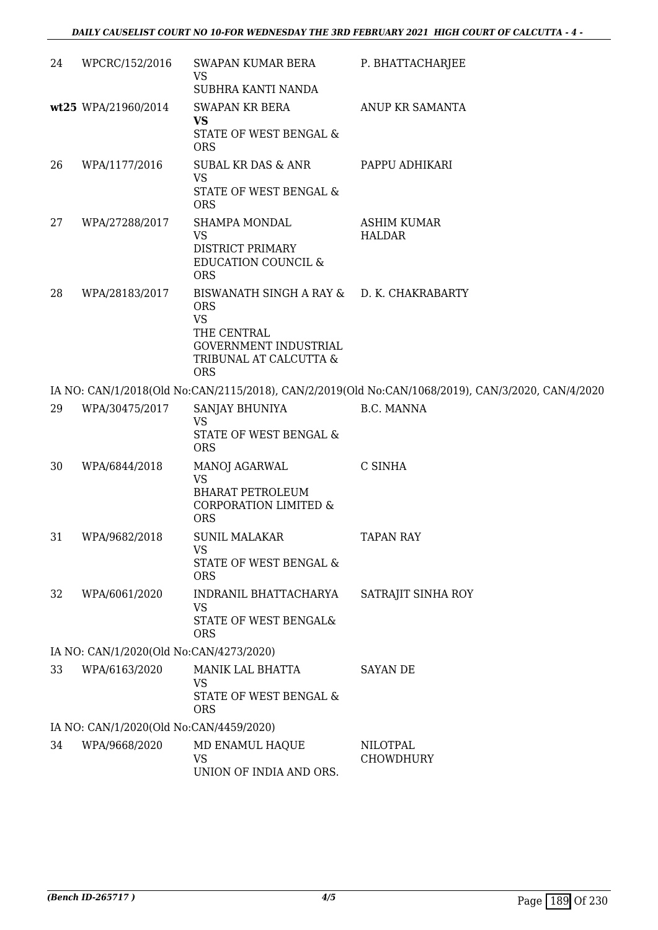| 24 | WPCRC/152/2016                          | SWAPAN KUMAR BERA<br><b>VS</b><br>SUBHRA KANTI NANDA                                                                                                 | P. BHATTACHARJEE                                                                                  |
|----|-----------------------------------------|------------------------------------------------------------------------------------------------------------------------------------------------------|---------------------------------------------------------------------------------------------------|
|    | wt25 WPA/21960/2014                     | <b>SWAPAN KR BERA</b><br><b>VS</b><br>STATE OF WEST BENGAL &<br><b>ORS</b>                                                                           | ANUP KR SAMANTA                                                                                   |
| 26 | WPA/1177/2016                           | <b>SUBAL KR DAS &amp; ANR</b><br><b>VS</b><br>STATE OF WEST BENGAL &<br><b>ORS</b>                                                                   | PAPPU ADHIKARI                                                                                    |
| 27 | WPA/27288/2017                          | SHAMPA MONDAL<br><b>VS</b><br>DISTRICT PRIMARY<br><b>EDUCATION COUNCIL &amp;</b><br><b>ORS</b>                                                       | <b>ASHIM KUMAR</b><br><b>HALDAR</b>                                                               |
| 28 | WPA/28183/2017                          | BISWANATH SINGH A RAY & D. K. CHAKRABARTY<br><b>ORS</b><br><b>VS</b><br>THE CENTRAL<br>GOVERNMENT INDUSTRIAL<br>TRIBUNAL AT CALCUTTA &<br><b>ORS</b> |                                                                                                   |
|    |                                         |                                                                                                                                                      | IA NO: CAN/1/2018(Old No:CAN/2115/2018), CAN/2/2019(Old No:CAN/1068/2019), CAN/3/2020, CAN/4/2020 |
| 29 | WPA/30475/2017                          | SANJAY BHUNIYA<br><b>VS</b><br>STATE OF WEST BENGAL &<br><b>ORS</b>                                                                                  | <b>B.C. MANNA</b>                                                                                 |
| 30 | WPA/6844/2018                           | MANOJ AGARWAL<br><b>VS</b><br><b>BHARAT PETROLEUM</b><br><b>CORPORATION LIMITED &amp;</b><br><b>ORS</b>                                              | C SINHA                                                                                           |
| 31 | WPA/9682/2018                           | <b>SUNIL MALAKAR</b><br>VS<br>STATE OF WEST BENGAL &<br><b>ORS</b>                                                                                   | <b>TAPAN RAY</b>                                                                                  |
| 32 | WPA/6061/2020                           | INDRANIL BHATTACHARYA<br><b>VS</b><br>STATE OF WEST BENGAL&<br><b>ORS</b>                                                                            | SATRAJIT SINHA ROY                                                                                |
|    | IA NO: CAN/1/2020(Old No:CAN/4273/2020) |                                                                                                                                                      |                                                                                                   |
| 33 | WPA/6163/2020                           | <b>MANIK LAL BHATTA</b><br><b>VS</b><br>STATE OF WEST BENGAL &<br><b>ORS</b>                                                                         | <b>SAYAN DE</b>                                                                                   |
|    | IA NO: CAN/1/2020(Old No:CAN/4459/2020) |                                                                                                                                                      |                                                                                                   |
| 34 | WPA/9668/2020                           | MD ENAMUL HAQUE<br><b>VS</b><br>UNION OF INDIA AND ORS.                                                                                              | <b>NILOTPAL</b><br><b>CHOWDHURY</b>                                                               |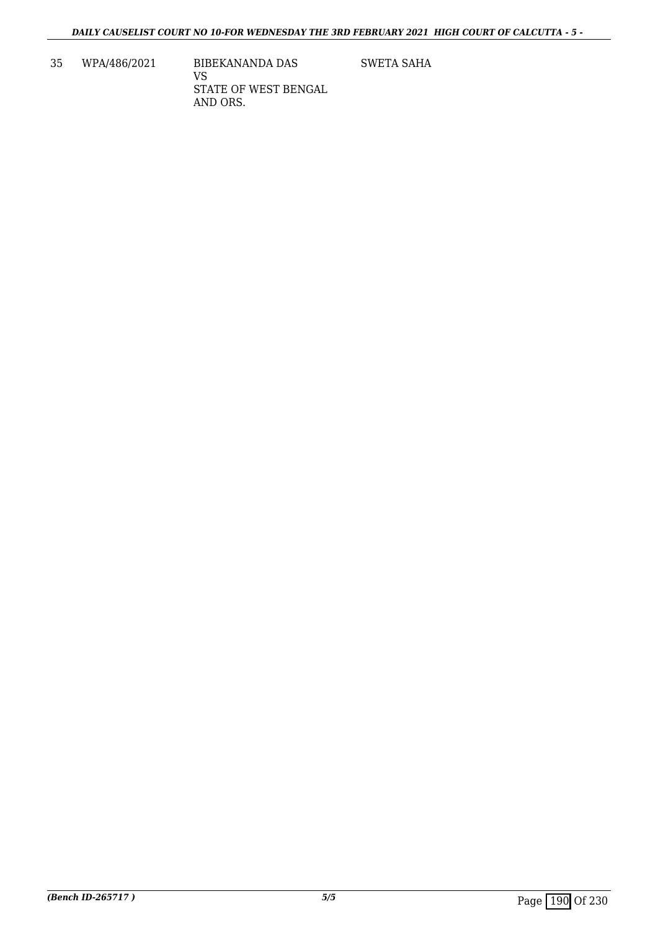35 WPA/486/2021 BIBEKANANDA DAS VS STATE OF WEST BENGAL AND ORS.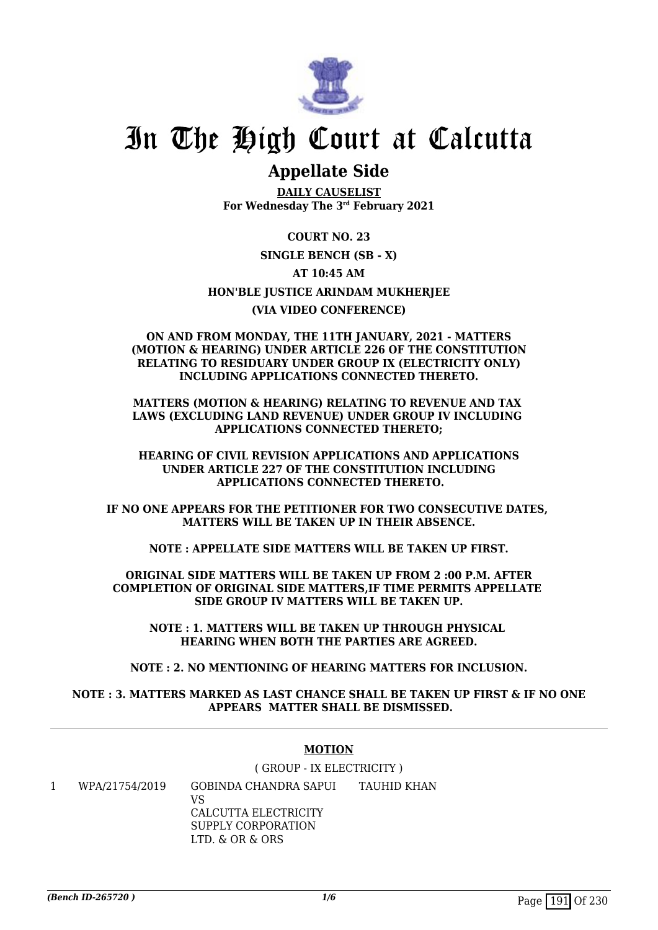

## **Appellate Side**

**DAILY CAUSELIST For Wednesday The 3rd February 2021**

**COURT NO. 23 SINGLE BENCH (SB - X) AT 10:45 AM HON'BLE JUSTICE ARINDAM MUKHERJEE (VIA VIDEO CONFERENCE)**

### **ON AND FROM MONDAY, THE 11TH JANUARY, 2021 - MATTERS (MOTION & HEARING) UNDER ARTICLE 226 OF THE CONSTITUTION RELATING TO RESIDUARY UNDER GROUP IX (ELECTRICITY ONLY) INCLUDING APPLICATIONS CONNECTED THERETO.**

**MATTERS (MOTION & HEARING) RELATING TO REVENUE AND TAX LAWS (EXCLUDING LAND REVENUE) UNDER GROUP IV INCLUDING APPLICATIONS CONNECTED THERETO;**

**HEARING OF CIVIL REVISION APPLICATIONS AND APPLICATIONS UNDER ARTICLE 227 OF THE CONSTITUTION INCLUDING APPLICATIONS CONNECTED THERETO.**

**IF NO ONE APPEARS FOR THE PETITIONER FOR TWO CONSECUTIVE DATES, MATTERS WILL BE TAKEN UP IN THEIR ABSENCE.**

**NOTE : APPELLATE SIDE MATTERS WILL BE TAKEN UP FIRST.**

**ORIGINAL SIDE MATTERS WILL BE TAKEN UP FROM 2 :00 P.M. AFTER COMPLETION OF ORIGINAL SIDE MATTERS,IF TIME PERMITS APPELLATE SIDE GROUP IV MATTERS WILL BE TAKEN UP.**

**NOTE : 1. MATTERS WILL BE TAKEN UP THROUGH PHYSICAL HEARING WHEN BOTH THE PARTIES ARE AGREED.**

**NOTE : 2. NO MENTIONING OF HEARING MATTERS FOR INCLUSION.**

### **NOTE : 3. MATTERS MARKED AS LAST CHANCE SHALL BE TAKEN UP FIRST & IF NO ONE APPEARS MATTER SHALL BE DISMISSED.**

### **MOTION**

( GROUP - IX ELECTRICITY )

1 WPA/21754/2019 GOBINDA CHANDRA SAPUI VS CALCUTTA ELECTRICITY SUPPLY CORPORATION LTD. & OR & ORS TAUHID KHAN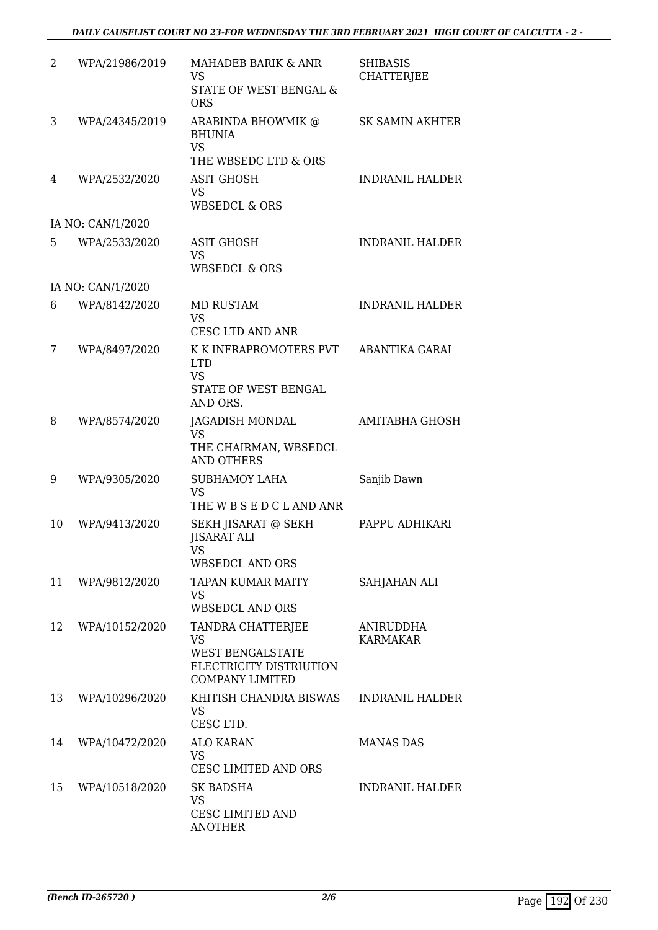| 2  | WPA/21986/2019    | MAHADEB BARIK & ANR<br>VS<br><b>STATE OF WEST BENGAL &amp;</b><br><b>ORS</b>                                   | <b>SHIBASIS</b><br><b>CHATTERJEE</b> |
|----|-------------------|----------------------------------------------------------------------------------------------------------------|--------------------------------------|
| 3  | WPA/24345/2019    | ARABINDA BHOWMIK @<br><b>BHUNIA</b><br><b>VS</b>                                                               | <b>SK SAMIN AKHTER</b>               |
|    |                   | THE WBSEDC LTD & ORS                                                                                           |                                      |
| 4  | WPA/2532/2020     | ASIT GHOSH<br><b>VS</b><br><b>WBSEDCL &amp; ORS</b>                                                            | <b>INDRANIL HALDER</b>               |
|    | IA NO: CAN/1/2020 |                                                                                                                |                                      |
| 5  | WPA/2533/2020     | <b>ASIT GHOSH</b><br><b>VS</b><br><b>WBSEDCL &amp; ORS</b>                                                     | <b>INDRANIL HALDER</b>               |
|    | IA NO: CAN/1/2020 |                                                                                                                |                                      |
| 6  | WPA/8142/2020     | <b>MD RUSTAM</b><br><b>VS</b><br><b>CESC LTD AND ANR</b>                                                       | <b>INDRANIL HALDER</b>               |
| 7  | WPA/8497/2020     | K K INFRAPROMOTERS PVT<br><b>LTD</b><br><b>VS</b><br>STATE OF WEST BENGAL                                      | ABANTIKA GARAI                       |
|    |                   | AND ORS.                                                                                                       |                                      |
| 8  | WPA/8574/2020     | JAGADISH MONDAL<br><b>VS</b><br>THE CHAIRMAN, WBSEDCL<br><b>AND OTHERS</b>                                     | AMITABHA GHOSH                       |
| 9  | WPA/9305/2020     | <b>SUBHAMOY LAHA</b><br><b>VS</b><br>THE W B S E D C L AND ANR                                                 | Sanjib Dawn                          |
| 10 | WPA/9413/2020     | SEKH JISARAT @ SEKH<br><b>JISARAT ALI</b><br>VS<br>WBSEDCL AND ORS                                             | PAPPU ADHIKARI                       |
| 11 | WPA/9812/2020     | <b>TAPAN KUMAR MAITY</b><br><b>VS</b><br><b>WBSEDCL AND ORS</b>                                                | SAHJAHAN ALI                         |
| 12 | WPA/10152/2020    | TANDRA CHATTERJEE<br><b>VS</b><br><b>WEST BENGALSTATE</b><br>ELECTRICITY DISTRIUTION<br><b>COMPANY LIMITED</b> | ANIRUDDHA<br><b>KARMAKAR</b>         |
| 13 | WPA/10296/2020    | KHITISH CHANDRA BISWAS<br><b>VS</b><br>CESC LTD.                                                               | <b>INDRANIL HALDER</b>               |
| 14 | WPA/10472/2020    | <b>ALO KARAN</b><br><b>VS</b><br>CESC LIMITED AND ORS                                                          | <b>MANAS DAS</b>                     |
| 15 | WPA/10518/2020    | SK BADSHA<br><b>VS</b><br><b>CESC LIMITED AND</b><br><b>ANOTHER</b>                                            | <b>INDRANIL HALDER</b>               |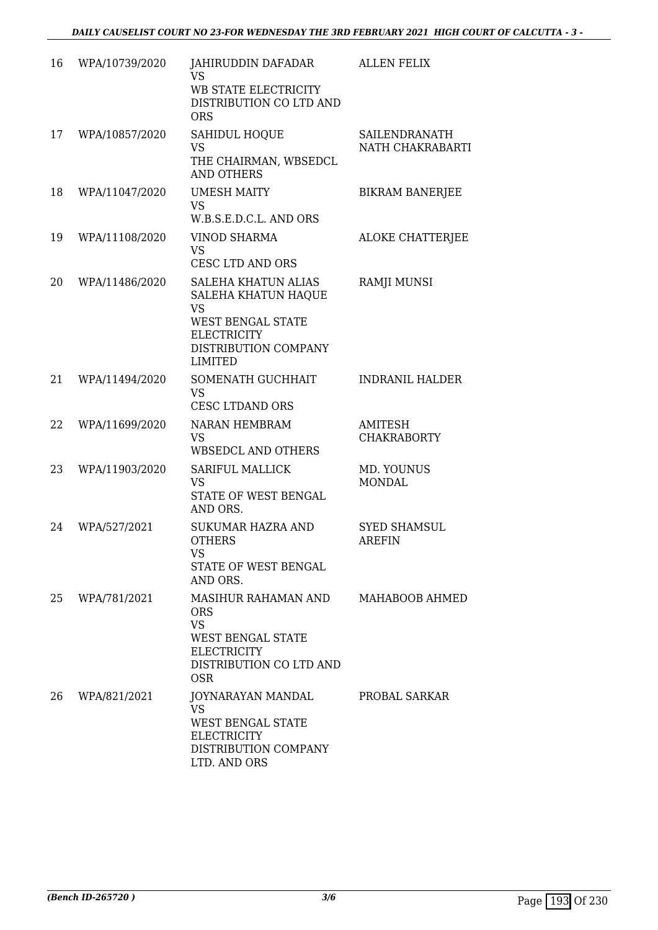| 16 | WPA/10739/2020 | JAHIRUDDIN DAFADAR<br><b>VS</b><br>WB STATE ELECTRICITY<br>DISTRIBUTION CO LTD AND<br><b>ORS</b>                                                                  | <b>ALLEN FELIX</b>                   |
|----|----------------|-------------------------------------------------------------------------------------------------------------------------------------------------------------------|--------------------------------------|
| 17 | WPA/10857/2020 | SAHIDUL HOQUE<br><b>VS</b><br>THE CHAIRMAN, WBSEDCL<br><b>AND OTHERS</b>                                                                                          | SAILENDRANATH<br>NATH CHAKRABARTI    |
| 18 | WPA/11047/2020 | <b>UMESH MAITY</b><br><b>VS</b><br>W.B.S.E.D.C.L. AND ORS                                                                                                         | <b>BIKRAM BANERJEE</b>               |
| 19 | WPA/11108/2020 | <b>VINOD SHARMA</b><br><b>VS</b><br><b>CESC LTD AND ORS</b>                                                                                                       | <b>ALOKE CHATTERJEE</b>              |
| 20 | WPA/11486/2020 | <b>SALEHA KHATUN ALIAS</b><br><b>SALEHA KHATUN HAQUE</b><br><b>VS</b><br><b>WEST BENGAL STATE</b><br><b>ELECTRICITY</b><br>DISTRIBUTION COMPANY<br><b>LIMITED</b> | <b>RAMJI MUNSI</b>                   |
| 21 | WPA/11494/2020 | SOMENATH GUCHHAIT<br><b>VS</b><br><b>CESC LTDAND ORS</b>                                                                                                          | <b>INDRANIL HALDER</b>               |
| 22 | WPA/11699/2020 | <b>NARAN HEMBRAM</b><br><b>VS</b><br><b>WBSEDCL AND OTHERS</b>                                                                                                    | <b>AMITESH</b><br><b>CHAKRABORTY</b> |
| 23 | WPA/11903/2020 | <b>SARIFUL MALLICK</b><br><b>VS</b><br>STATE OF WEST BENGAL<br>AND ORS.                                                                                           | MD. YOUNUS<br><b>MONDAL</b>          |
| 24 | WPA/527/2021   | SUKUMAR HAZRA AND<br><b>OTHERS</b><br>VS<br>STATE OF WEST BENGAL<br>AND ORS.                                                                                      | <b>SYED SHAMSUL</b><br><b>AREFIN</b> |
| 25 | WPA/781/2021   | MASIHUR RAHAMAN AND<br><b>ORS</b><br><b>VS</b><br><b>WEST BENGAL STATE</b><br><b>ELECTRICITY</b><br>DISTRIBUTION CO LTD AND<br>OSR.                               | MAHABOOB AHMED                       |
| 26 | WPA/821/2021   | JOYNARAYAN MANDAL<br>VS<br><b>WEST BENGAL STATE</b><br><b>ELECTRICITY</b><br>DISTRIBUTION COMPANY<br>LTD. AND ORS                                                 | PROBAL SARKAR                        |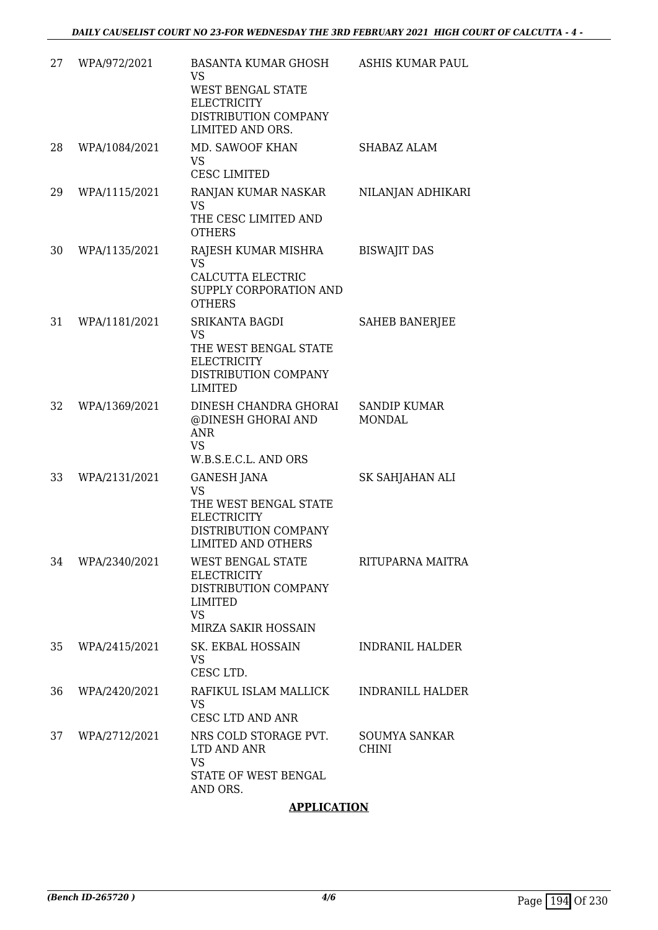| 27 | WPA/972/2021  | BASANTA KUMAR GHOSH<br><b>VS</b><br><b>WEST BENGAL STATE</b><br><b>ELECTRICITY</b><br>DISTRIBUTION COMPANY<br>LIMITED AND ORS.      | <b>ASHIS KUMAR PAUL</b>              |
|----|---------------|-------------------------------------------------------------------------------------------------------------------------------------|--------------------------------------|
| 28 | WPA/1084/2021 | MD. SAWOOF KHAN<br><b>VS</b><br><b>CESC LIMITED</b>                                                                                 | SHABAZ ALAM                          |
| 29 | WPA/1115/2021 | RANJAN KUMAR NASKAR<br><b>VS</b><br>THE CESC LIMITED AND<br><b>OTHERS</b>                                                           | NILANJAN ADHIKARI                    |
| 30 | WPA/1135/2021 | RAJESH KUMAR MISHRA<br><b>VS</b><br>CALCUTTA ELECTRIC<br>SUPPLY CORPORATION AND<br><b>OTHERS</b>                                    | <b>BISWAJIT DAS</b>                  |
| 31 | WPA/1181/2021 | <b>SRIKANTA BAGDI</b><br><b>VS</b><br>THE WEST BENGAL STATE<br><b>ELECTRICITY</b><br>DISTRIBUTION COMPANY<br><b>LIMITED</b>         | <b>SAHEB BANERJEE</b>                |
| 32 | WPA/1369/2021 | DINESH CHANDRA GHORAI<br>@DINESH GHORAI AND<br><b>ANR</b><br><b>VS</b><br>W.B.S.E.C.L. AND ORS                                      | <b>SANDIP KUMAR</b><br><b>MONDAL</b> |
| 33 | WPA/2131/2021 | <b>GANESH JANA</b><br><b>VS</b><br>THE WEST BENGAL STATE<br><b>ELECTRICITY</b><br>DISTRIBUTION COMPANY<br><b>LIMITED AND OTHERS</b> | SK SAHJAHAN ALI                      |
| 34 | WPA/2340/2021 | WEST BENGAL STATE<br><b>ELECTRICITY</b><br>DISTRIBUTION COMPANY<br>LIMITED<br><b>VS</b><br>MIRZA SAKIR HOSSAIN                      | RITUPARNA MAITRA                     |
| 35 | WPA/2415/2021 | SK. EKBAL HOSSAIN<br><b>VS</b><br>CESC LTD.                                                                                         | <b>INDRANIL HALDER</b>               |
| 36 | WPA/2420/2021 | RAFIKUL ISLAM MALLICK<br><b>VS</b><br>CESC LTD AND ANR                                                                              | INDRANILL HALDER                     |
| 37 | WPA/2712/2021 | NRS COLD STORAGE PVT.<br>LTD AND ANR<br><b>VS</b><br>STATE OF WEST BENGAL<br>AND ORS.                                               | SOUMYA SANKAR<br><b>CHINI</b>        |

### **APPLICATION**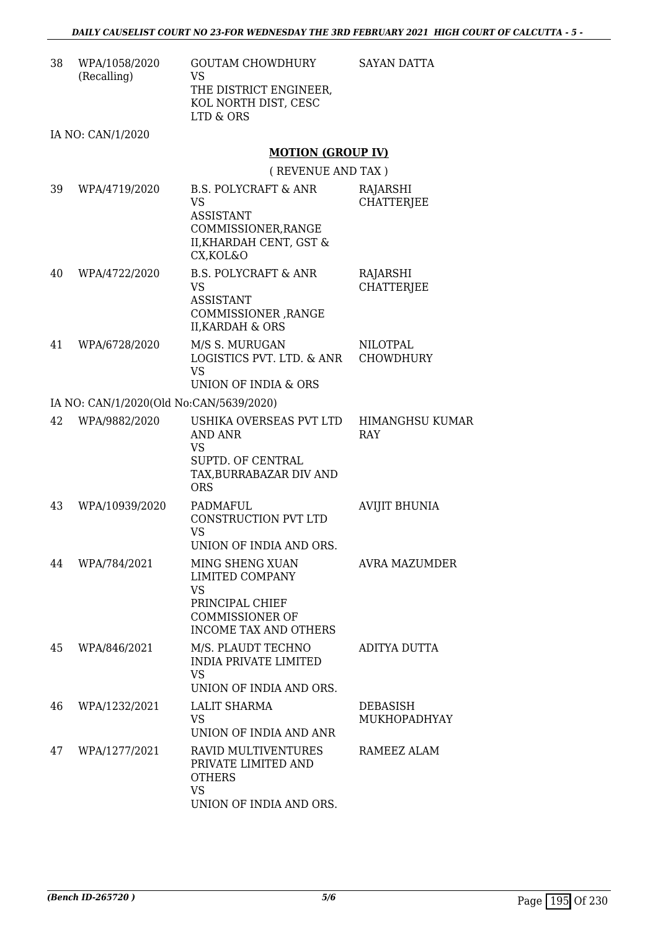SAYAN DATTA

| 38 | WPA/1058/2020 | <b>GOUTAM CHOWDHURY</b> |
|----|---------------|-------------------------|
|    | (Recalling)   | VS.                     |
|    |               | THE DISTRICT ENGINEER.  |
|    |               | KOL NORTH DIST, CESC    |
|    |               | LTD & ORS               |
|    |               |                         |

IA NO: CAN/1/2020

### **MOTION (GROUP IV)**

( REVENUE AND TAX )

| 39 | WPA/4719/2020                           | <b>B.S. POLYCRAFT &amp; ANR</b><br><b>VS</b><br><b>ASSISTANT</b><br>COMMISSIONER, RANGE<br>II, KHARDAH CENT, GST &<br>CX, KOL&O | RAJARSHI<br><b>CHATTERJEE</b>          |
|----|-----------------------------------------|---------------------------------------------------------------------------------------------------------------------------------|----------------------------------------|
| 40 | WPA/4722/2020                           | <b>B.S. POLYCRAFT &amp; ANR</b><br><b>VS</b><br><b>ASSISTANT</b><br>COMMISSIONER, RANGE<br><b>II, KARDAH &amp; ORS</b>          | RAJARSHI<br><b>CHATTERJEE</b>          |
| 41 | WPA/6728/2020                           | M/S S. MURUGAN<br>LOGISTICS PVT. LTD. & ANR<br><b>VS</b><br>UNION OF INDIA & ORS                                                | NILOTPAL<br><b>CHOWDHURY</b>           |
|    | IA NO: CAN/1/2020(Old No:CAN/5639/2020) |                                                                                                                                 |                                        |
| 42 | WPA/9882/2020                           | USHIKA OVERSEAS PVT LTD<br><b>AND ANR</b><br><b>VS</b><br>SUPTD. OF CENTRAL<br>TAX, BURRABAZAR DIV AND<br><b>ORS</b>            | <b>HIMANGHSU KUMAR</b><br><b>RAY</b>   |
| 43 | WPA/10939/2020                          | PADMAFUL<br>CONSTRUCTION PVT LTD<br><b>VS</b><br>UNION OF INDIA AND ORS.                                                        | <b>AVIJIT BHUNIA</b>                   |
| 44 | WPA/784/2021                            | MING SHENG XUAN<br>LIMITED COMPANY<br><b>VS</b><br>PRINCIPAL CHIEF<br><b>COMMISSIONER OF</b><br>INCOME TAX AND OTHERS           | <b>AVRA MAZUMDER</b>                   |
| 45 | WPA/846/2021                            | M/S. PLAUDT TECHNO<br><b>INDIA PRIVATE LIMITED</b><br>VS.<br>UNION OF INDIA AND ORS.                                            | ADITYA DUTTA                           |
| 46 | WPA/1232/2021                           | <b>LALIT SHARMA</b><br><b>VS</b><br>UNION OF INDIA AND ANR                                                                      | <b>DEBASISH</b><br><b>MUKHOPADHYAY</b> |
| 47 | WPA/1277/2021                           | RAVID MULTIVENTURES<br>PRIVATE LIMITED AND<br><b>OTHERS</b><br><b>VS</b><br>UNION OF INDIA AND ORS.                             | RAMEEZ ALAM                            |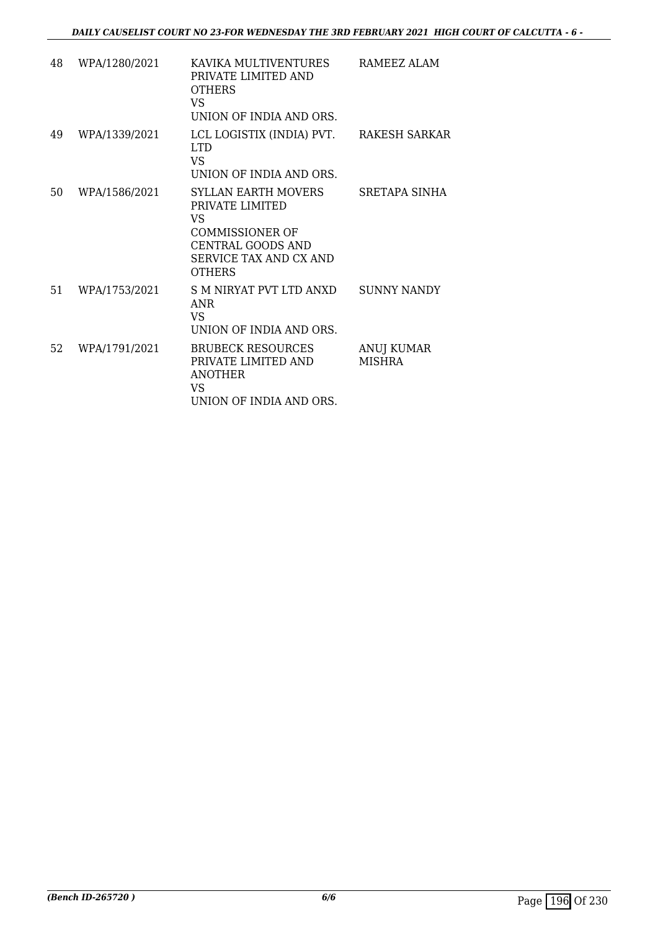| 48 | WPA/1280/2021 | KAVIKA MULTIVENTURES<br>PRIVATE LIMITED AND<br><b>OTHERS</b><br>VS.<br>UNION OF INDIA AND ORS.                                                | RAMEEZ ALAM                 |
|----|---------------|-----------------------------------------------------------------------------------------------------------------------------------------------|-----------------------------|
| 49 | WPA/1339/2021 | LCL LOGISTIX (INDIA) PVT.<br>LTD.<br>VS<br>UNION OF INDIA AND ORS.                                                                            | RAKESH SARKAR               |
| 50 | WPA/1586/2021 | SYLLAN FARTH MOVERS<br>PRIVATE LIMITED<br>VS<br><b>COMMISSIONER OF</b><br>CENTRAL GOODS AND<br><b>SERVICE TAX AND CX AND</b><br><b>OTHERS</b> | SRETAPA SINHA               |
| 51 | WPA/1753/2021 | S M NIRYAT PVT LTD ANXD<br>ANR<br>VS.<br>UNION OF INDIA AND ORS.                                                                              | SUNNY NANDY                 |
| 52 | WPA/1791/2021 | <b>BRUBECK RESOURCES</b><br>PRIVATE LIMITED AND<br><b>ANOTHER</b><br>VS.<br>UNION OF INDIA AND ORS.                                           | ANUJ KUMAR<br><b>MISHRA</b> |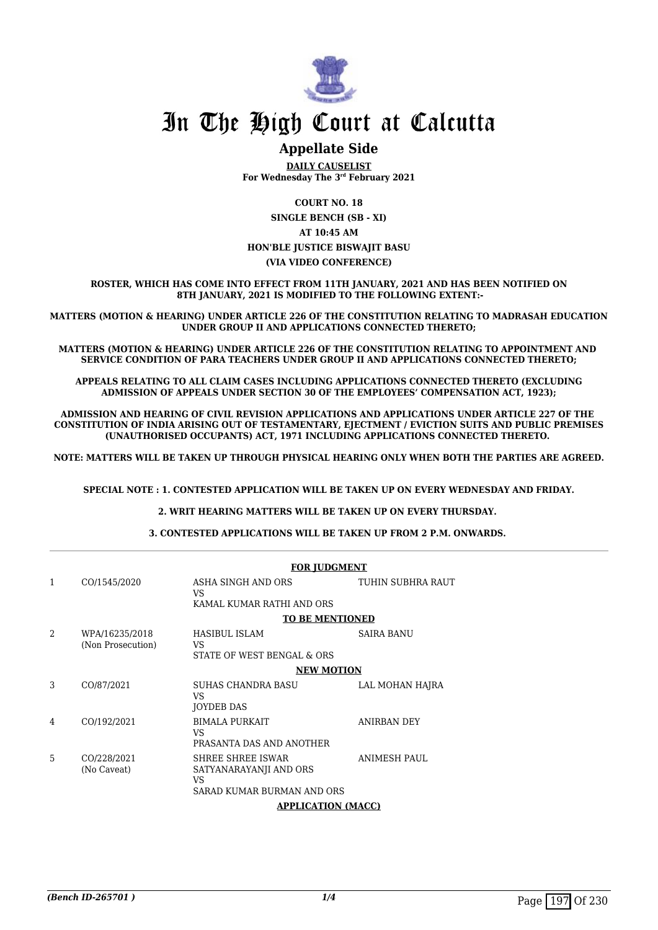

### **Appellate Side**

**DAILY CAUSELIST For Wednesday The 3rd February 2021**

**COURT NO. 18 SINGLE BENCH (SB - XI) AT 10:45 AM HON'BLE JUSTICE BISWAJIT BASU (VIA VIDEO CONFERENCE)**

**ROSTER, WHICH HAS COME INTO EFFECT FROM 11TH JANUARY, 2021 AND HAS BEEN NOTIFIED ON 8TH JANUARY, 2021 IS MODIFIED TO THE FOLLOWING EXTENT:-**

**MATTERS (MOTION & HEARING) UNDER ARTICLE 226 OF THE CONSTITUTION RELATING TO MADRASAH EDUCATION UNDER GROUP II AND APPLICATIONS CONNECTED THERETO;**

**MATTERS (MOTION & HEARING) UNDER ARTICLE 226 OF THE CONSTITUTION RELATING TO APPOINTMENT AND SERVICE CONDITION OF PARA TEACHERS UNDER GROUP II AND APPLICATIONS CONNECTED THERETO;**

**APPEALS RELATING TO ALL CLAIM CASES INCLUDING APPLICATIONS CONNECTED THERETO (EXCLUDING ADMISSION OF APPEALS UNDER SECTION 30 OF THE EMPLOYEES' COMPENSATION ACT, 1923);**

**ADMISSION AND HEARING OF CIVIL REVISION APPLICATIONS AND APPLICATIONS UNDER ARTICLE 227 OF THE CONSTITUTION OF INDIA ARISING OUT OF TESTAMENTARY, EJECTMENT / EVICTION SUITS AND PUBLIC PREMISES (UNAUTHORISED OCCUPANTS) ACT, 1971 INCLUDING APPLICATIONS CONNECTED THERETO.** 

**NOTE: MATTERS WILL BE TAKEN UP THROUGH PHYSICAL HEARING ONLY WHEN BOTH THE PARTIES ARE AGREED.**

**SPECIAL NOTE : 1. CONTESTED APPLICATION WILL BE TAKEN UP ON EVERY WEDNESDAY AND FRIDAY.**

**2. WRIT HEARING MATTERS WILL BE TAKEN UP ON EVERY THURSDAY.** 

**3. CONTESTED APPLICATIONS WILL BE TAKEN UP FROM 2 P.M. ONWARDS.** 

|                |                                     | <b>FOR JUDGMENT</b>                                                                    |                   |
|----------------|-------------------------------------|----------------------------------------------------------------------------------------|-------------------|
| $\mathbf{1}$   | CO/1545/2020                        | ASHA SINGH AND ORS<br>VS.                                                              | TUHIN SUBHRA RAUT |
|                |                                     | KAMAL KUMAR RATHI AND ORS                                                              |                   |
|                |                                     | <b>TO BE MENTIONED</b>                                                                 |                   |
| $\mathfrak{D}$ | WPA/16235/2018<br>(Non Prosecution) | HASIBUL ISLAM<br>VS                                                                    | SAIRA BANU        |
|                |                                     | STATE OF WEST BENGAL & ORS                                                             |                   |
|                |                                     | <b>NEW MOTION</b>                                                                      |                   |
| 3              | CO/87/2021                          | <b>SUHAS CHANDRA BASU</b><br>VS.<br><b>JOYDEB DAS</b>                                  | LAL MOHAN HAJRA   |
| 4              | CO/192/2021                         | <b>BIMALA PURKAIT</b><br>VS.<br>PRASANTA DAS AND ANOTHER                               | ANIRBAN DEY       |
| 5              | CO/228/2021<br>(No Caveat)          | <b>SHREE SHREE ISWAR</b><br>SATYANARAYANJI AND ORS<br>VS<br>SARAD KUMAR BURMAN AND ORS | ANIMESH PAUL      |
|                |                                     | <b>APPLICATION (MACC)</b>                                                              |                   |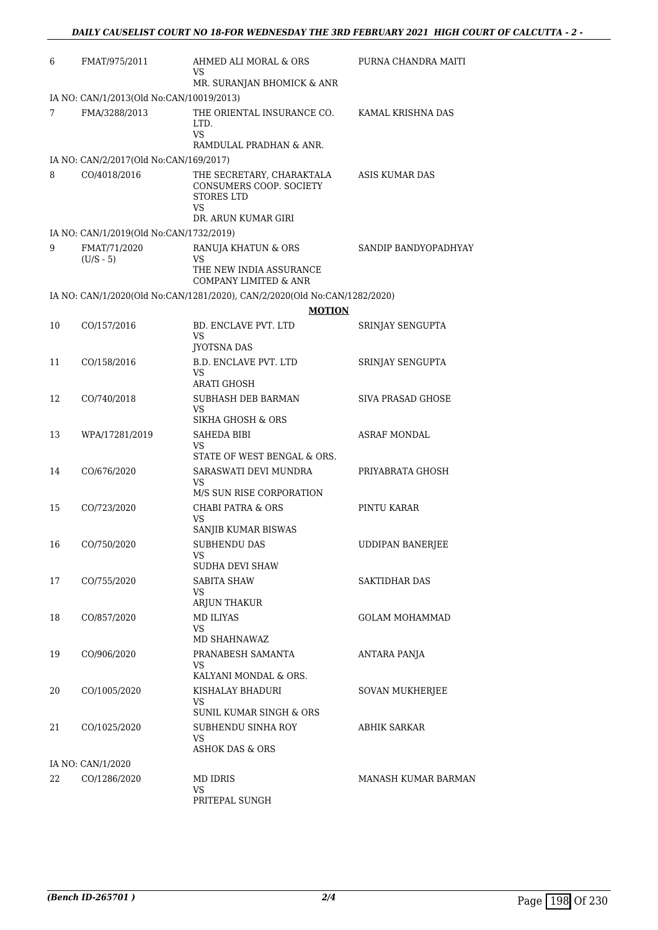| 6  | FMAT/975/2011                            | AHMED ALI MORAL & ORS<br>VS                                                                            | PURNA CHANDRA MAITI      |
|----|------------------------------------------|--------------------------------------------------------------------------------------------------------|--------------------------|
|    |                                          | MR. SURANJAN BHOMICK & ANR                                                                             |                          |
|    | IA NO: CAN/1/2013(Old No:CAN/10019/2013) |                                                                                                        |                          |
| 7  | FMA/3288/2013                            | THE ORIENTAL INSURANCE CO.<br>LTD.<br><b>VS</b><br>RAMDULAL PRADHAN & ANR.                             | KAMAL KRISHNA DAS        |
|    | IA NO: CAN/2/2017(Old No:CAN/169/2017)   |                                                                                                        |                          |
| 8  | CO/4018/2016                             | THE SECRETARY, CHARAKTALA<br>CONSUMERS COOP. SOCIETY<br><b>STORES LTD</b><br>VS<br>DR. ARUN KUMAR GIRI | ASIS KUMAR DAS           |
|    | IA NO: CAN/1/2019(Old No:CAN/1732/2019)  |                                                                                                        |                          |
| 9  | FMAT/71/2020<br>$(U/S - 5)$              | RANUJA KHATUN & ORS<br>VS<br>THE NEW INDIA ASSURANCE<br><b>COMPANY LIMITED &amp; ANR</b>               | SANDIP BANDYOPADHYAY     |
|    |                                          | IA NO: CAN/1/2020(Old No:CAN/1281/2020), CAN/2/2020(Old No:CAN/1282/2020)                              |                          |
|    |                                          | <b>MOTION</b>                                                                                          |                          |
| 10 | CO/157/2016                              | <b>BD. ENCLAVE PVT. LTD</b><br>VS<br>JYOTSNA DAS                                                       | SRINJAY SENGUPTA         |
| 11 | CO/158/2016                              | <b>B.D. ENCLAVE PVT. LTD</b><br>VS<br>ARATI GHOSH                                                      | SRINJAY SENGUPTA         |
| 12 | CO/740/2018                              | SUBHASH DEB BARMAN<br>VS<br>SIKHA GHOSH & ORS                                                          | <b>SIVA PRASAD GHOSE</b> |
| 13 | WPA/17281/2019                           | SAHEDA BIBI<br>VS                                                                                      | ASRAF MONDAL             |
| 14 | CO/676/2020                              | STATE OF WEST BENGAL & ORS.<br>SARASWATI DEVI MUNDRA<br>VS<br>M/S SUN RISE CORPORATION                 | PRIYABRATA GHOSH         |
| 15 | CO/723/2020                              | <b>CHABI PATRA &amp; ORS</b><br>VS<br>SANJIB KUMAR BISWAS                                              | PINTU KARAR              |
| 16 | CO/750/2020                              | <b>SUBHENDU DAS</b><br>VS<br>SUDHA DEVI SHAW                                                           | <b>UDDIPAN BANERJEE</b>  |
| 17 | CO/755/2020                              | <b>SABITA SHAW</b><br>VS<br>ARJUN THAKUR                                                               | <b>SAKTIDHAR DAS</b>     |
| 18 | CO/857/2020                              | <b>MD ILIYAS</b><br>VS<br>MD SHAHNAWAZ                                                                 | <b>GOLAM MOHAMMAD</b>    |
| 19 | CO/906/2020                              | PRANABESH SAMANTA<br>VS<br>KALYANI MONDAL & ORS.                                                       | ANTARA PANJA             |
| 20 | CO/1005/2020                             | KISHALAY BHADURI<br>VS<br>SUNIL KUMAR SINGH & ORS                                                      | <b>SOVAN MUKHERJEE</b>   |
| 21 | CO/1025/2020                             | SUBHENDU SINHA ROY<br>VS<br><b>ASHOK DAS &amp; ORS</b>                                                 | ABHIK SARKAR             |
|    | IA NO: CAN/1/2020                        |                                                                                                        |                          |
| 22 | CO/1286/2020                             | MD IDRIS<br>VS<br>PRITEPAL SUNGH                                                                       | MANASH KUMAR BARMAN      |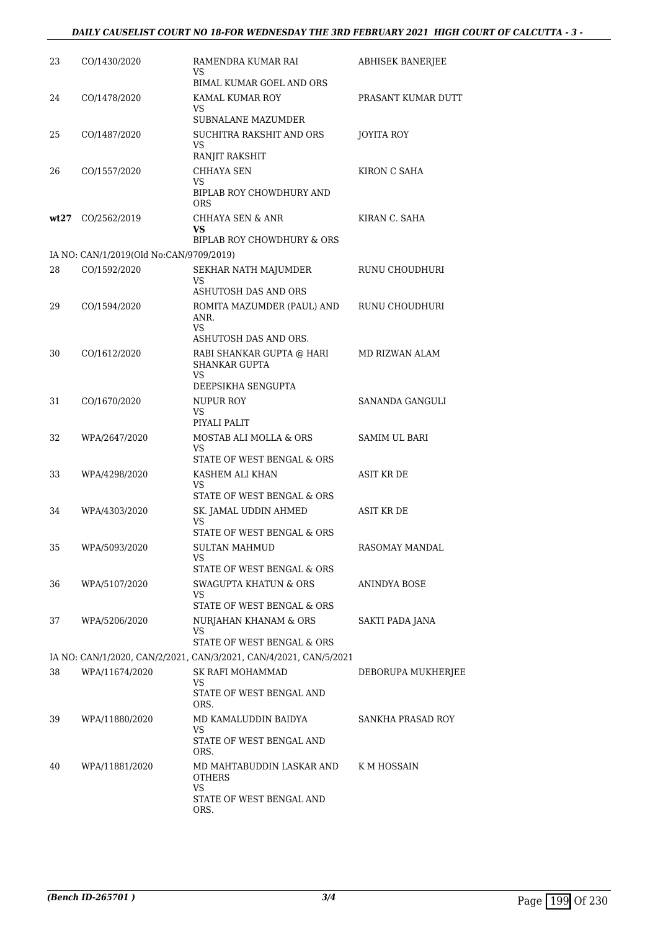| 23 | CO/1430/2020                            | RAMENDRA KUMAR RAI<br>VS                                          | ABHISEK BANERJEE     |
|----|-----------------------------------------|-------------------------------------------------------------------|----------------------|
|    |                                         | BIMAL KUMAR GOEL AND ORS                                          |                      |
| 24 | CO/1478/2020                            | KAMAL KUMAR ROY                                                   | PRASANT KUMAR DUTT   |
|    |                                         | VS<br><b>SUBNALANE MAZUMDER</b>                                   |                      |
| 25 | CO/1487/2020                            | SUCHITRA RAKSHIT AND ORS                                          | <b>JOYITA ROY</b>    |
|    |                                         | VS<br>RANJIT RAKSHIT                                              |                      |
| 26 | CO/1557/2020                            | CHHAYA SEN                                                        | KIRON C SAHA         |
|    |                                         | VS                                                                |                      |
|    |                                         | BIPLAB ROY CHOWDHURY AND<br>ORS                                   |                      |
|    | wt27 CO/2562/2019                       | CHHAYA SEN & ANR                                                  | KIRAN C. SAHA        |
|    |                                         | VS<br>BIPLAB ROY CHOWDHURY & ORS                                  |                      |
|    | IA NO: CAN/1/2019(Old No:CAN/9709/2019) |                                                                   |                      |
| 28 | CO/1592/2020                            | SEKHAR NATH MAJUMDER                                              | RUNU CHOUDHURI       |
|    |                                         | VS<br>ASHUTOSH DAS AND ORS                                        |                      |
| 29 | CO/1594/2020                            | ROMITA MAZUMDER (PAUL) AND                                        | RUNU CHOUDHURI       |
|    |                                         | ANR.<br>VS                                                        |                      |
|    |                                         | ASHUTOSH DAS AND ORS.                                             |                      |
| 30 | CO/1612/2020                            | RABI SHANKAR GUPTA @ HARI                                         | MD RIZWAN ALAM       |
|    |                                         | <b>SHANKAR GUPTA</b><br>VS                                        |                      |
|    |                                         | DEEPSIKHA SENGUPTA                                                |                      |
| 31 | CO/1670/2020                            | NUPUR ROY<br>VS                                                   | SANANDA GANGULI      |
|    |                                         | PIYALI PALIT                                                      |                      |
| 32 | WPA/2647/2020                           | MOSTAB ALI MOLLA & ORS<br>VS                                      | <b>SAMIM UL BARI</b> |
|    |                                         | STATE OF WEST BENGAL & ORS                                        |                      |
| 33 | WPA/4298/2020                           | KASHEM ALI KHAN                                                   | ASIT KR DE           |
|    |                                         | VS<br>STATE OF WEST BENGAL & ORS                                  |                      |
| 34 | WPA/4303/2020                           | SK. JAMAL UDDIN AHMED                                             | <b>ASIT KR DE</b>    |
|    |                                         | VS<br>STATE OF WEST BENGAL & ORS                                  |                      |
| 35 | WPA/5093/2020                           | <b>SULTAN MAHMUD</b>                                              | RASOMAY MANDAL       |
|    |                                         | VS<br>STATE OF WEST BENGAL & ORS                                  |                      |
| 36 | WPA/5107/2020                           | SWAGUPTA KHATUN & ORS                                             | ANINDYA BOSE         |
|    |                                         | VS                                                                |                      |
|    |                                         | STATE OF WEST BENGAL & ORS                                        |                      |
| 37 | WPA/5206/2020                           | NURJAHAN KHANAM & ORS<br>VS                                       | SAKTI PADA JANA      |
|    |                                         | STATE OF WEST BENGAL & ORS                                        |                      |
|    |                                         | IA NO: CAN/1/2020, CAN/2/2021, CAN/3/2021, CAN/4/2021, CAN/5/2021 |                      |
| 38 | WPA/11674/2020                          | SK RAFI MOHAMMAD<br>VS                                            | DEBORUPA MUKHERJEE   |
|    |                                         | STATE OF WEST BENGAL AND                                          |                      |
| 39 | WPA/11880/2020                          | ORS.<br>MD KAMALUDDIN BAIDYA                                      | SANKHA PRASAD ROY    |
|    |                                         | VS                                                                |                      |
|    |                                         | STATE OF WEST BENGAL AND<br>ORS.                                  |                      |
| 40 | WPA/11881/2020                          | MD MAHTABUDDIN LASKAR AND                                         | K M HOSSAIN          |
|    |                                         | <b>OTHERS</b>                                                     |                      |
|    |                                         | VS<br>STATE OF WEST BENGAL AND                                    |                      |
|    |                                         | ORS.                                                              |                      |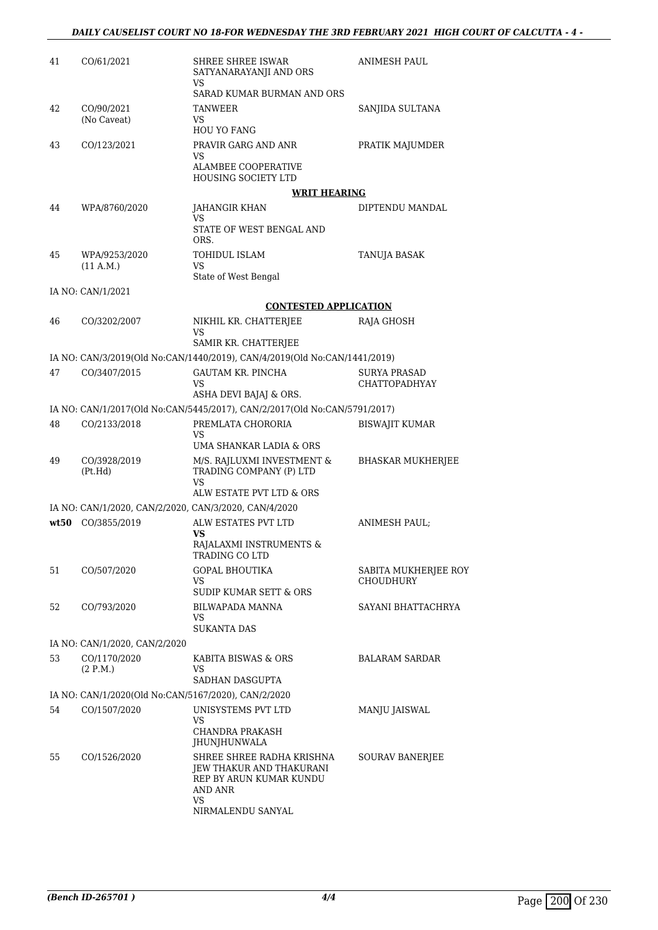| 41 | CO/61/2021                                            | SHREE SHREE ISWAR<br>SATYANARAYANJI AND ORS<br>VS                                                   | <b>ANIMESH PAUL</b>               |
|----|-------------------------------------------------------|-----------------------------------------------------------------------------------------------------|-----------------------------------|
|    |                                                       | SARAD KUMAR BURMAN AND ORS                                                                          |                                   |
| 42 | CO/90/2021<br>(No Caveat)                             | TANWEER<br>VS<br><b>HOU YO FANG</b>                                                                 | SANJIDA SULTANA                   |
| 43 | CO/123/2021                                           | PRAVIR GARG AND ANR<br>VS                                                                           | PRATIK MAJUMDER                   |
|    |                                                       | <b>ALAMBEE COOPERATIVE</b><br><b>HOUSING SOCIETY LTD</b>                                            |                                   |
|    |                                                       | <b>WRIT HEARING</b>                                                                                 |                                   |
| 44 | WPA/8760/2020                                         | JAHANGIR KHAN<br>VS                                                                                 | DIPTENDU MANDAL                   |
|    |                                                       | STATE OF WEST BENGAL AND<br>ORS.                                                                    |                                   |
| 45 | WPA/9253/2020<br>(11 A.M.)                            | TOHIDUL ISLAM<br>VS                                                                                 | TANUJA BASAK                      |
|    |                                                       | State of West Bengal                                                                                |                                   |
|    | IA NO: CAN/1/2021                                     |                                                                                                     |                                   |
|    |                                                       | <b>CONTESTED APPLICATION</b>                                                                        |                                   |
| 46 | CO/3202/2007                                          | NIKHIL KR. CHATTERJEE<br>VS<br>SAMIR KR. CHATTERJEE                                                 | RAJA GHOSH                        |
|    |                                                       | IA NO: CAN/3/2019(Old No:CAN/1440/2019), CAN/4/2019(Old No:CAN/1441/2019)                           |                                   |
| 47 | CO/3407/2015                                          | <b>GAUTAM KR. PINCHA</b>                                                                            | <b>SURYA PRASAD</b>               |
|    |                                                       | VS                                                                                                  | <b>CHATTOPADHYAY</b>              |
|    |                                                       | ASHA DEVI BAJAJ & ORS.<br>IA NO: CAN/1/2017(Old No:CAN/5445/2017), CAN/2/2017(Old No:CAN/5791/2017) |                                   |
| 48 | CO/2133/2018                                          | PREMLATA CHORORIA                                                                                   | BISWAJIT KUMAR                    |
|    |                                                       | VS<br>UMA SHANKAR LADIA & ORS                                                                       |                                   |
| 49 | CO/3928/2019                                          | M/S. RAJLUXMI INVESTMENT &                                                                          | BHASKAR MUKHERJEE                 |
|    | (Pt.Hd)                                               | TRADING COMPANY (P) LTD<br>VS                                                                       |                                   |
|    |                                                       | ALW ESTATE PVT LTD & ORS                                                                            |                                   |
|    | IA NO: CAN/1/2020, CAN/2/2020, CAN/3/2020, CAN/4/2020 |                                                                                                     |                                   |
|    | wt50 CO/3855/2019                                     | ALW ESTATES PVT LTD<br>VS<br>RAJALAXMI INSTRUMENTS &<br>TRADING CO LTD                              | ANIMESH PAUL;                     |
| 51 | CO/507/2020                                           | GOPAL BHOUTIKA<br>VS                                                                                | SABITA MUKHERJEE ROY<br>CHOUDHURY |
|    |                                                       | <b>SUDIP KUMAR SETT &amp; ORS</b>                                                                   |                                   |
| 52 | CO/793/2020                                           | <b>BILWAPADA MANNA</b><br>VS<br>SUKANTA DAS                                                         | SAYANI BHATTACHRYA                |
|    | IA NO: CAN/1/2020, CAN/2/2020                         |                                                                                                     |                                   |
| 53 | CO/1170/2020<br>(2 P.M.)                              | KABITA BISWAS & ORS<br>VS                                                                           | <b>BALARAM SARDAR</b>             |
|    |                                                       | SADHAN DASGUPTA                                                                                     |                                   |
|    | IA NO: CAN/1/2020(Old No:CAN/5167/2020), CAN/2/2020   |                                                                                                     |                                   |
| 54 | CO/1507/2020                                          | UNISYSTEMS PVT LTD<br>VS                                                                            | MANJU JAISWAL                     |
|    |                                                       | CHANDRA PRAKASH<br>JHUNJHUNWALA                                                                     |                                   |
| 55 | CO/1526/2020                                          | SHREE SHREE RADHA KRISHNA<br>JEW THAKUR AND THAKURANI<br>REP BY ARUN KUMAR KUNDU<br>AND ANR<br>VS   | <b>SOURAV BANERJEE</b>            |
|    |                                                       | NIRMALENDU SANYAL                                                                                   |                                   |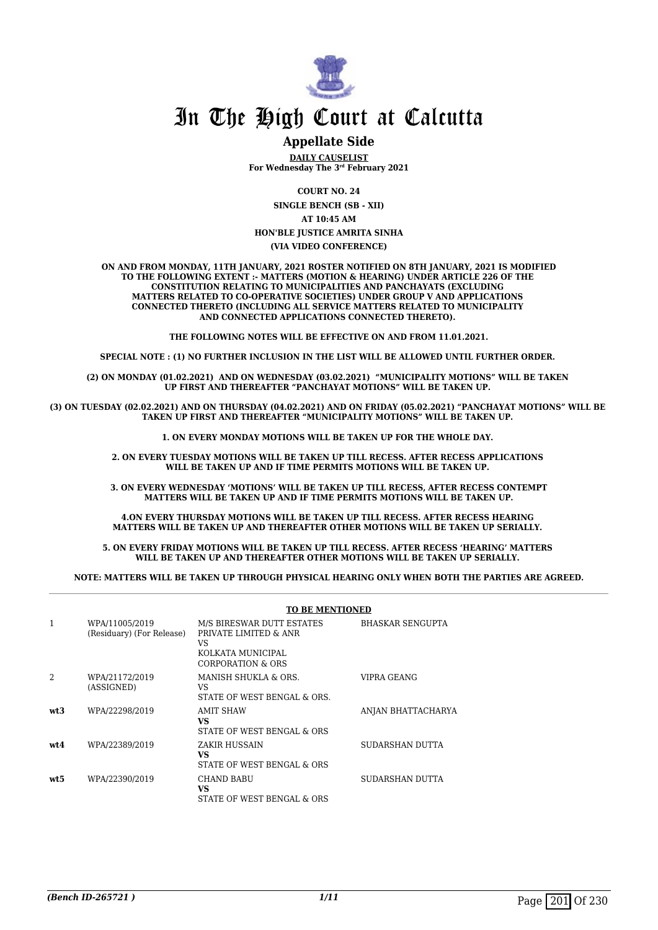

### **Appellate Side**

**DAILY CAUSELIST For Wednesday The 3rd February 2021**

**COURT NO. 24**

**SINGLE BENCH (SB - XII) AT 10:45 AM**

#### **HON'BLE JUSTICE AMRITA SINHA (VIA VIDEO CONFERENCE)**

**ON AND FROM MONDAY, 11TH JANUARY, 2021 ROSTER NOTIFIED ON 8TH JANUARY, 2021 IS MODIFIED TO THE FOLLOWING EXTENT :- MATTERS (MOTION & HEARING) UNDER ARTICLE 226 OF THE CONSTITUTION RELATING TO MUNICIPALITIES AND PANCHAYATS (EXCLUDING MATTERS RELATED TO CO-OPERATIVE SOCIETIES) UNDER GROUP V AND APPLICATIONS CONNECTED THERETO (INCLUDING ALL SERVICE MATTERS RELATED TO MUNICIPALITY AND CONNECTED APPLICATIONS CONNECTED THERETO).** 

**THE FOLLOWING NOTES WILL BE EFFECTIVE ON AND FROM 11.01.2021.**

**SPECIAL NOTE : (1) NO FURTHER INCLUSION IN THE LIST WILL BE ALLOWED UNTIL FURTHER ORDER.** 

**(2) ON MONDAY (01.02.2021) AND ON WEDNESDAY (03.02.2021) "MUNICIPALITY MOTIONS" WILL BE TAKEN UP FIRST AND THEREAFTER "PANCHAYAT MOTIONS" WILL BE TAKEN UP.** 

**(3) ON TUESDAY (02.02.2021) AND ON THURSDAY (04.02.2021) AND ON FRIDAY (05.02.2021) "PANCHAYAT MOTIONS" WILL BE TAKEN UP FIRST AND THEREAFTER "MUNICIPALITY MOTIONS" WILL BE TAKEN UP.** 

**1. ON EVERY MONDAY MOTIONS WILL BE TAKEN UP FOR THE WHOLE DAY.** 

**2. ON EVERY TUESDAY MOTIONS WILL BE TAKEN UP TILL RECESS. AFTER RECESS APPLICATIONS**  WILL BE TAKEN UP AND IF TIME PERMITS MOTIONS WILL BE TAKEN UP.

**3. ON EVERY WEDNESDAY 'MOTIONS' WILL BE TAKEN UP TILL RECESS, AFTER RECESS CONTEMPT MATTERS WILL BE TAKEN UP AND IF TIME PERMITS MOTIONS WILL BE TAKEN UP.**

**4.ON EVERY THURSDAY MOTIONS WILL BE TAKEN UP TILL RECESS. AFTER RECESS HEARING MATTERS WILL BE TAKEN UP AND THEREAFTER OTHER MOTIONS WILL BE TAKEN UP SERIALLY.** 

**5. ON EVERY FRIDAY MOTIONS WILL BE TAKEN UP TILL RECESS. AFTER RECESS 'HEARING' MATTERS WILL BE TAKEN UP AND THEREAFTER OTHER MOTIONS WILL BE TAKEN UP SERIALLY.** 

**NOTE: MATTERS WILL BE TAKEN UP THROUGH PHYSICAL HEARING ONLY WHEN BOTH THE PARTIES ARE AGREED.**

|                 |                                             | <b>TO BE MENTIONED</b>                                                                             |                         |
|-----------------|---------------------------------------------|----------------------------------------------------------------------------------------------------|-------------------------|
| 1               | WPA/11005/2019<br>(Residuary) (For Release) | M/S BIRESWAR DUTT ESTATES<br>PRIVATE LIMITED & ANR<br>VS<br>KOLKATA MUNICIPAL<br>CORPORATION & ORS | <b>BHASKAR SENGUPTA</b> |
|                 | WPA/21172/2019<br>(ASSIGNED)                | MANISH SHUKLA & ORS.<br>VS<br>STATE OF WEST BENGAL & ORS.                                          | VIPRA GEANG             |
| wt <sub>3</sub> | WPA/22298/2019                              | <b>AMIT SHAW</b><br>VS<br>STATE OF WEST BENGAL & ORS                                               | ANJAN BHATTACHARYA      |
| wt.4            | WPA/22389/2019                              | ZAKIR HUSSAIN<br>VS<br>STATE OF WEST BENGAL & ORS                                                  | <b>SUDARSHAN DUTTA</b>  |
| wt5             | WPA/22390/2019                              | <b>CHAND BABU</b><br>VS<br>STATE OF WEST BENGAL & ORS                                              | SUDARSHAN DUTTA         |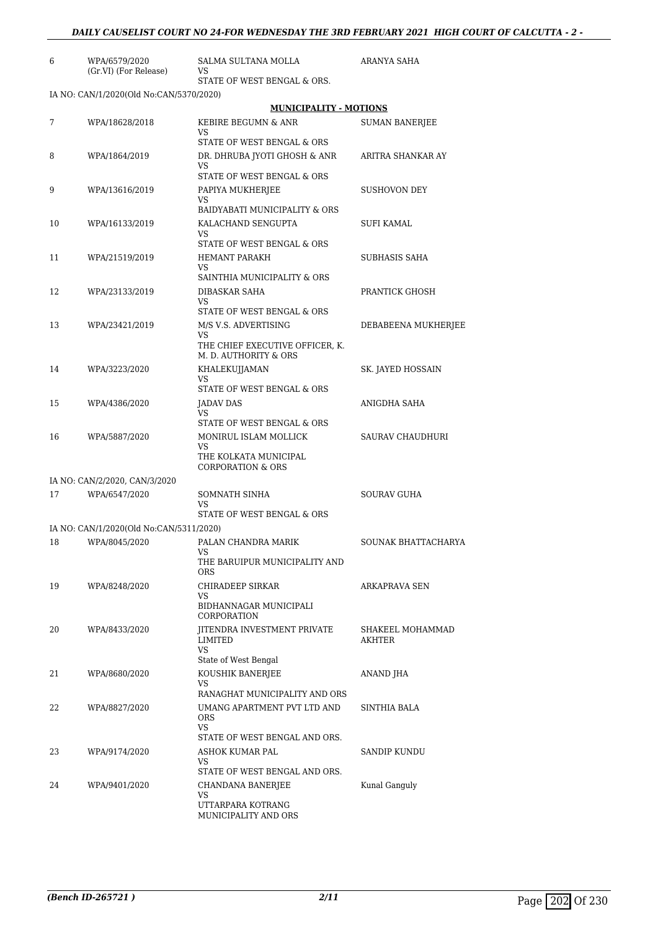| 6  | WPA/6579/2020                                            | SALMA SULTANA MOLLA                                                                            | ARANYA SAHA                |
|----|----------------------------------------------------------|------------------------------------------------------------------------------------------------|----------------------------|
|    | (Gr.VI) (For Release)                                    | VS<br>STATE OF WEST BENGAL & ORS.                                                              |                            |
|    | IA NO: CAN/1/2020(Old No:CAN/5370/2020)                  |                                                                                                |                            |
|    |                                                          | <b>MUNICIPALITY - MOTIONS</b>                                                                  |                            |
| 7  | WPA/18628/2018                                           | KEBIRE BEGUMN & ANR<br>VS                                                                      | <b>SUMAN BANERJEE</b>      |
| 8  | WPA/1864/2019                                            | STATE OF WEST BENGAL & ORS<br>DR. DHRUBA JYOTI GHOSH & ANR<br>VS<br>STATE OF WEST BENGAL & ORS | ARITRA SHANKAR AY          |
| 9  | WPA/13616/2019                                           | PAPIYA MUKHERJEE<br>VS                                                                         | <b>SUSHOVON DEY</b>        |
| 10 | WPA/16133/2019                                           | BAIDYABATI MUNICIPALITY & ORS<br>KALACHAND SENGUPTA<br>VS                                      | <b>SUFI KAMAL</b>          |
| 11 | WPA/21519/2019                                           | STATE OF WEST BENGAL & ORS<br><b>HEMANT PARAKH</b><br>VS                                       | SUBHASIS SAHA              |
| 12 | WPA/23133/2019                                           | SAINTHIA MUNICIPALITY & ORS<br>DIBASKAR SAHA<br>VS.                                            | PRANTICK GHOSH             |
| 13 | WPA/23421/2019                                           | STATE OF WEST BENGAL & ORS<br>M/S V.S. ADVERTISING<br>VS<br>THE CHIEF EXECUTIVE OFFICER, K.    | DEBABEENA MUKHERJEE        |
| 14 | WPA/3223/2020                                            | M. D. AUTHORITY & ORS<br>KHALEKUJJAMAN<br>VS                                                   | SK. JAYED HOSSAIN          |
| 15 | WPA/4386/2020                                            | STATE OF WEST BENGAL & ORS<br>JADAV DAS<br>VS                                                  | ANIGDHA SAHA               |
| 16 | WPA/5887/2020                                            | STATE OF WEST BENGAL & ORS<br>MONIRUL ISLAM MOLLICK<br>VS<br>THE KOLKATA MUNICIPAL             | SAURAV CHAUDHURI           |
|    |                                                          | <b>CORPORATION &amp; ORS</b>                                                                   |                            |
| 17 | IA NO: CAN/2/2020, CAN/3/2020<br>WPA/6547/2020           | SOMNATH SINHA<br>VS                                                                            | SOURAV GUHA                |
|    |                                                          | STATE OF WEST BENGAL & ORS                                                                     |                            |
|    | IA NO: CAN/1/2020(Old No:CAN/5311/2020)<br>WPA/8045/2020 |                                                                                                |                            |
| 18 |                                                          | PALAN CHANDRA MARIK<br>VS<br>THE BARUIPUR MUNICIPALITY AND<br><b>ORS</b>                       | SOUNAK BHATTACHARYA        |
| 19 | WPA/8248/2020                                            | CHIRADEEP SIRKAR<br>VS<br>BIDHANNAGAR MUNICIPALI<br>CORPORATION                                | ARKAPRAVA SEN              |
| 20 | WPA/8433/2020                                            | <b>IITENDRA INVESTMENT PRIVATE</b><br>LIMITED<br><b>VS</b>                                     | SHAKEEL MOHAMMAD<br>AKHTER |
| 21 | WPA/8680/2020                                            | State of West Bengal<br>KOUSHIK BANERJEE<br>VS                                                 | ANAND JHA                  |
| 22 | WPA/8827/2020                                            | RANAGHAT MUNICIPALITY AND ORS<br>UMANG APARTMENT PVT LTD AND<br><b>ORS</b><br>VS               | SINTHIA BALA               |
| 23 | WPA/9174/2020                                            | STATE OF WEST BENGAL AND ORS.<br>ASHOK KUMAR PAL<br>VS                                         | SANDIP KUNDU               |
| 24 | WPA/9401/2020                                            | STATE OF WEST BENGAL AND ORS.<br>CHANDANA BANERJEE<br>VS<br>UTTARPARA KOTRANG                  | Kunal Ganguly              |

MUNICIPALITY AND ORS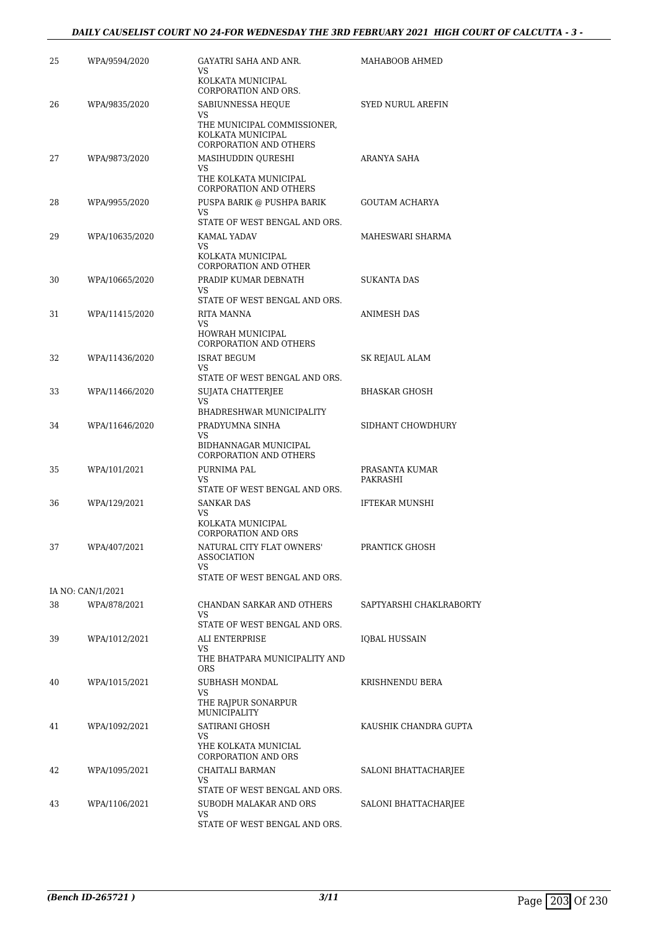| 25 | WPA/9594/2020     | GAYATRI SAHA AND ANR.<br>VS                                                       | MAHABOOB AHMED           |
|----|-------------------|-----------------------------------------------------------------------------------|--------------------------|
|    |                   | KOLKATA MUNICIPAL<br>CORPORATION AND ORS.                                         |                          |
| 26 | WPA/9835/2020     | SABIUNNESSA HEQUE<br>VS                                                           | <b>SYED NURUL AREFIN</b> |
|    |                   | THE MUNICIPAL COMMISSIONER,<br>KOLKATA MUNICIPAL<br><b>CORPORATION AND OTHERS</b> |                          |
| 27 | WPA/9873/2020     | MASIHUDDIN QURESHI<br>VS                                                          | <b>ARANYA SAHA</b>       |
|    |                   | THE KOLKATA MUNICIPAL<br><b>CORPORATION AND OTHERS</b>                            |                          |
| 28 | WPA/9955/2020     | PUSPA BARIK @ PUSHPA BARIK<br>VS                                                  | <b>GOUTAM ACHARYA</b>    |
|    |                   | STATE OF WEST BENGAL AND ORS.                                                     |                          |
| 29 | WPA/10635/2020    | KAMAL YADAV<br>VS                                                                 | MAHESWARI SHARMA         |
|    |                   | KOLKATA MUNICIPAL<br>CORPORATION AND OTHER                                        |                          |
| 30 | WPA/10665/2020    | PRADIP KUMAR DEBNATH                                                              | <b>SUKANTA DAS</b>       |
|    |                   | VS<br>STATE OF WEST BENGAL AND ORS.                                               |                          |
| 31 | WPA/11415/2020    | RITA MANNA                                                                        | <b>ANIMESH DAS</b>       |
|    |                   | VS                                                                                |                          |
|    |                   | HOWRAH MUNICIPAL<br><b>CORPORATION AND OTHERS</b>                                 |                          |
| 32 | WPA/11436/2020    | <b>ISRAT BEGUM</b><br>VS                                                          | SK REJAUL ALAM           |
|    |                   | STATE OF WEST BENGAL AND ORS.                                                     |                          |
| 33 | WPA/11466/2020    | SUJATA CHATTERJEE                                                                 | BHASKAR GHOSH            |
|    |                   | VS<br>BHADRESHWAR MUNICIPALITY                                                    |                          |
| 34 | WPA/11646/2020    | PRADYUMNA SINHA                                                                   | SIDHANT CHOWDHURY        |
|    |                   | VS                                                                                |                          |
|    |                   | BIDHANNAGAR MUNICIPAL<br>CORPORATION AND OTHERS                                   |                          |
| 35 | WPA/101/2021      | PURNIMA PAL                                                                       | PRASANTA KUMAR           |
|    |                   | VS<br>STATE OF WEST BENGAL AND ORS.                                               | PAKRASHI                 |
| 36 | WPA/129/2021      | <b>SANKAR DAS</b>                                                                 | <b>IFTEKAR MUNSHI</b>    |
|    |                   | VS                                                                                |                          |
|    |                   | KOLKATA MUNICIPAL<br>CORPORATION AND ORS                                          |                          |
| 37 | WPA/407/2021      | NATURAL CITY FLAT OWNERS'<br><b>ASSOCIATION</b>                                   | PRANTICK GHOSH           |
|    |                   | VS<br>STATE OF WEST BENGAL AND ORS.                                               |                          |
|    | IA NO: CAN/1/2021 |                                                                                   |                          |
| 38 | WPA/878/2021      | CHANDAN SARKAR AND OTHERS                                                         | SAPTYARSHI CHAKLRABORTY  |
|    |                   | VS<br>STATE OF WEST BENGAL AND ORS.                                               |                          |
| 39 | WPA/1012/2021     | ALI ENTERPRISE                                                                    | IQBAL HUSSAIN            |
|    |                   | VS                                                                                |                          |
|    |                   | THE BHATPARA MUNICIPALITY AND<br><b>ORS</b>                                       |                          |
| 40 | WPA/1015/2021     | SUBHASH MONDAL                                                                    | KRISHNENDU BERA          |
|    |                   | VS                                                                                |                          |
|    |                   | THE RAJPUR SONARPUR<br>MUNICIPALITY                                               |                          |
| 41 | WPA/1092/2021     | SATIRANI GHOSH                                                                    | KAUSHIK CHANDRA GUPTA    |
|    |                   | VS<br>YHE KOLKATA MUNICIAL                                                        |                          |
|    |                   | <b>CORPORATION AND ORS</b>                                                        |                          |
| 42 | WPA/1095/2021     | CHAITALI BARMAN                                                                   | SALONI BHATTACHARJEE     |
|    |                   | VS.<br>STATE OF WEST BENGAL AND ORS.                                              |                          |
| 43 | WPA/1106/2021     | SUBODH MALAKAR AND ORS                                                            | SALONI BHATTACHARJEE     |
|    |                   | VS<br>STATE OF WEST BENGAL AND ORS.                                               |                          |
|    |                   |                                                                                   |                          |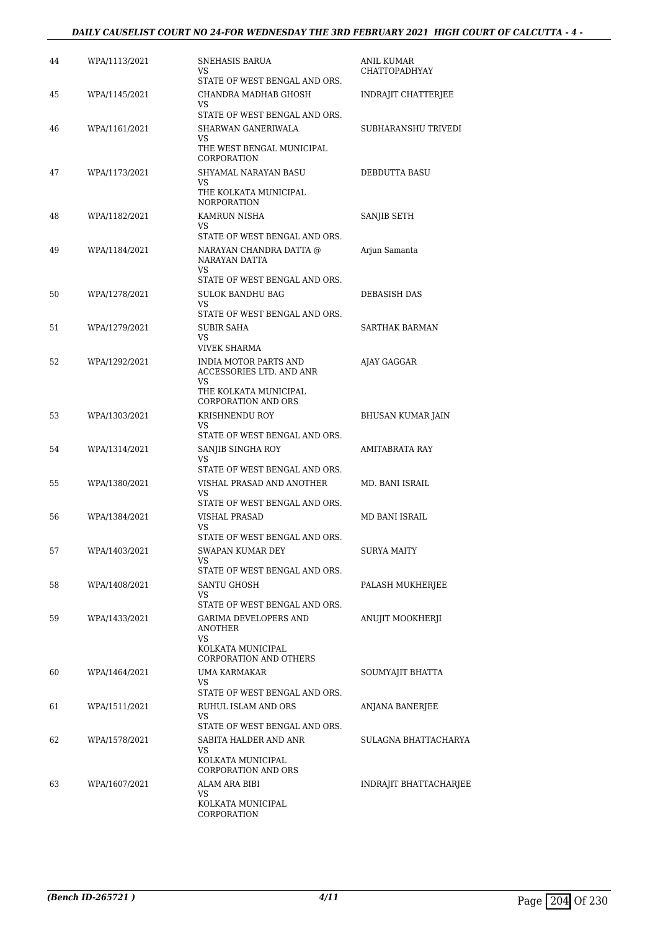### *DAILY CAUSELIST COURT NO 24-FOR WEDNESDAY THE 3RD FEBRUARY 2021 HIGH COURT OF CALCUTTA - 4 -*

| 44 | WPA/1113/2021 | SNEHASIS BARUA<br>VS.<br>STATE OF WEST BENGAL AND ORS.                                                                        | ANIL KUMAR<br><b>CHATTOPADHYAY</b> |
|----|---------------|-------------------------------------------------------------------------------------------------------------------------------|------------------------------------|
| 45 | WPA/1145/2021 | CHANDRA MADHAB GHOSH<br>VS                                                                                                    | INDRAJIT CHATTERJEE                |
| 46 | WPA/1161/2021 | STATE OF WEST BENGAL AND ORS.<br>SHARWAN GANERIWALA<br>VS<br>THE WEST BENGAL MUNICIPAL                                        | SUBHARANSHU TRIVEDI                |
| 47 | WPA/1173/2021 | CORPORATION<br>SHYAMAL NARAYAN BASU<br>VS<br>THE KOLKATA MUNICIPAL<br><b>NORPORATION</b>                                      | DEBDUTTA BASU                      |
| 48 | WPA/1182/2021 | KAMRUN NISHA<br>VS                                                                                                            | SANJIB SETH                        |
| 49 | WPA/1184/2021 | STATE OF WEST BENGAL AND ORS.<br>NARAYAN CHANDRA DATTA @<br>NARAYAN DATTA<br>VS.                                              | Arjun Samanta                      |
| 50 | WPA/1278/2021 | STATE OF WEST BENGAL AND ORS.<br>SULOK BANDHU BAG<br>VS                                                                       | DEBASISH DAS                       |
| 51 | WPA/1279/2021 | STATE OF WEST BENGAL AND ORS.<br>SUBIR SAHA<br>VS.                                                                            | <b>SARTHAK BARMAN</b>              |
| 52 | WPA/1292/2021 | VIVEK SHARMA<br>INDIA MOTOR PARTS AND<br>ACCESSORIES LTD. AND ANR<br>VS                                                       | AJAY GAGGAR                        |
| 53 | WPA/1303/2021 | THE KOLKATA MUNICIPAL<br><b>CORPORATION AND ORS</b><br>KRISHNENDU ROY<br>VS                                                   | BHUSAN KUMAR JAIN                  |
| 54 | WPA/1314/2021 | STATE OF WEST BENGAL AND ORS.<br>SANJIB SINGHA ROY<br>VS                                                                      | AMITABRATA RAY                     |
| 55 | WPA/1380/2021 | STATE OF WEST BENGAL AND ORS.<br>VISHAL PRASAD AND ANOTHER<br>VS<br>STATE OF WEST BENGAL AND ORS.                             | MD. BANI ISRAIL                    |
| 56 | WPA/1384/2021 | <b>VISHAL PRASAD</b><br>VS<br>STATE OF WEST BENGAL AND ORS.                                                                   | MD BANI ISRAIL                     |
| 57 | WPA/1403/2021 | SWAPAN KUMAR DEY<br>VS<br>STATE OF WEST BENGAL AND ORS.                                                                       | <b>SURYA MAITY</b>                 |
| 58 | WPA/1408/2021 | SANTU GHOSH<br>VS                                                                                                             | PALASH MUKHERJEE                   |
| 59 | WPA/1433/2021 | STATE OF WEST BENGAL AND ORS.<br>GARIMA DEVELOPERS AND<br>ANOTHER<br>VS<br>KOLKATA MUNICIPAL<br><b>CORPORATION AND OTHERS</b> | ANUJIT MOOKHERJI                   |
| 60 | WPA/1464/2021 | UMA KARMAKAR<br>VS                                                                                                            | SOUMYAJIT BHATTA                   |
| 61 | WPA/1511/2021 | STATE OF WEST BENGAL AND ORS.<br>RUHUL ISLAM AND ORS<br>VS<br>STATE OF WEST BENGAL AND ORS.                                   | ANJANA BANERJEE                    |
| 62 | WPA/1578/2021 | SABITA HALDER AND ANR<br>VS<br>KOLKATA MUNICIPAL<br><b>CORPORATION AND ORS</b>                                                | SULAGNA BHATTACHARYA               |
| 63 | WPA/1607/2021 | ALAM ARA BIBI<br>VS<br>KOLKATA MUNICIPAL<br>CORPORATION                                                                       | <b>INDRAJIT BHATTACHARJEE</b>      |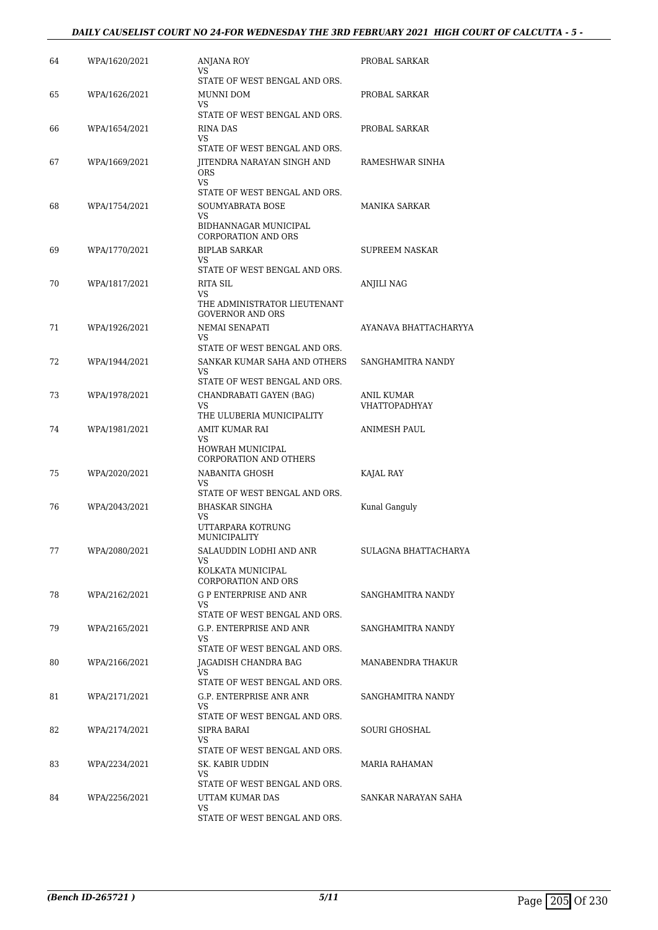| 64 | WPA/1620/2021 | ANJANA ROY                                             | PROBAL SARKAR               |
|----|---------------|--------------------------------------------------------|-----------------------------|
|    |               | VS.<br>STATE OF WEST BENGAL AND ORS.                   |                             |
| 65 | WPA/1626/2021 | MUNNI DOM                                              | PROBAL SARKAR               |
|    |               | VS.<br>STATE OF WEST BENGAL AND ORS.                   |                             |
| 66 | WPA/1654/2021 | <b>RINA DAS</b>                                        | PROBAL SARKAR               |
|    |               | VS<br>STATE OF WEST BENGAL AND ORS.                    |                             |
| 67 | WPA/1669/2021 | JITENDRA NARAYAN SINGH AND                             | RAMESHWAR SINHA             |
|    |               | <b>ORS</b><br>VS.                                      |                             |
|    |               | STATE OF WEST BENGAL AND ORS.                          |                             |
| 68 | WPA/1754/2021 | SOUMYABRATA BOSE<br>VS.                                | MANIKA SARKAR               |
|    |               | BIDHANNAGAR MUNICIPAL<br><b>CORPORATION AND ORS</b>    |                             |
| 69 | WPA/1770/2021 | <b>BIPLAB SARKAR</b>                                   | SUPREEM NASKAR              |
|    |               | VS<br>STATE OF WEST BENGAL AND ORS.                    |                             |
| 70 | WPA/1817/2021 | RITA SIL                                               | ANJILI NAG                  |
|    |               | <b>VS</b><br>THE ADMINISTRATOR LIEUTENANT              |                             |
|    |               | <b>GOVERNOR AND ORS</b>                                |                             |
| 71 | WPA/1926/2021 | NEMAI SENAPATI<br>VS                                   | AYANAVA BHATTACHARYYA       |
|    |               | STATE OF WEST BENGAL AND ORS.                          |                             |
| 72 | WPA/1944/2021 | SANKAR KUMAR SAHA AND OTHERS<br>VS                     | SANGHAMITRA NANDY           |
|    |               | STATE OF WEST BENGAL AND ORS.                          |                             |
| 73 | WPA/1978/2021 | CHANDRABATI GAYEN (BAG)<br>VS                          | ANIL KUMAR<br>VHATTOPADHYAY |
|    |               | THE ULUBERIA MUNICIPALITY                              |                             |
| 74 | WPA/1981/2021 | AMIT KUMAR RAI<br><b>VS</b>                            | ANIMESH PAUL                |
|    |               | HOWRAH MUNICIPAL                                       |                             |
| 75 | WPA/2020/2021 | <b>CORPORATION AND OTHERS</b><br>NABANITA GHOSH        | KAJAL RAY                   |
|    |               | VS                                                     |                             |
| 76 | WPA/2043/2021 | STATE OF WEST BENGAL AND ORS.<br><b>BHASKAR SINGHA</b> | Kunal Ganguly               |
|    |               | VS                                                     |                             |
|    |               | UTTARPARA KOTRUNG<br>MUNICIPALITY                      |                             |
| 77 | WPA/2080/2021 | SALAUDDIN LODHI AND ANR                                | SULAGNA BHATTACHARYA        |
|    |               | VS<br>KOLKATA MUNICIPAL                                |                             |
|    |               | <b>CORPORATION AND ORS</b>                             |                             |
| 78 | WPA/2162/2021 | G P ENTERPRISE AND ANR<br>VS.                          | SANGHAMITRA NANDY           |
|    |               | STATE OF WEST BENGAL AND ORS.                          |                             |
| 79 | WPA/2165/2021 | G.P. ENTERPRISE AND ANR<br>VS.                         | SANGHAMITRA NANDY           |
|    |               | STATE OF WEST BENGAL AND ORS.                          |                             |
| 80 | WPA/2166/2021 | IAGADISH CHANDRA BAG<br>VS.                            | MANABENDRA THAKUR           |
|    |               | STATE OF WEST BENGAL AND ORS.                          |                             |
| 81 | WPA/2171/2021 | G.P. ENTERPRISE ANR ANR<br>VS.                         | SANGHAMITRA NANDY           |
|    |               | STATE OF WEST BENGAL AND ORS.                          |                             |
| 82 | WPA/2174/2021 | SIPRA BARAI<br>VS.                                     | SOURI GHOSHAL               |
|    |               | STATE OF WEST BENGAL AND ORS.                          |                             |
| 83 | WPA/2234/2021 | SK. KABIR UDDIN<br>VS                                  | MARIA RAHAMAN               |
|    |               | STATE OF WEST BENGAL AND ORS.                          |                             |
| 84 | WPA/2256/2021 | UTTAM KUMAR DAS<br>VS.                                 | SANKAR NARAYAN SAHA         |
|    |               | STATE OF WEST BENGAL AND ORS.                          |                             |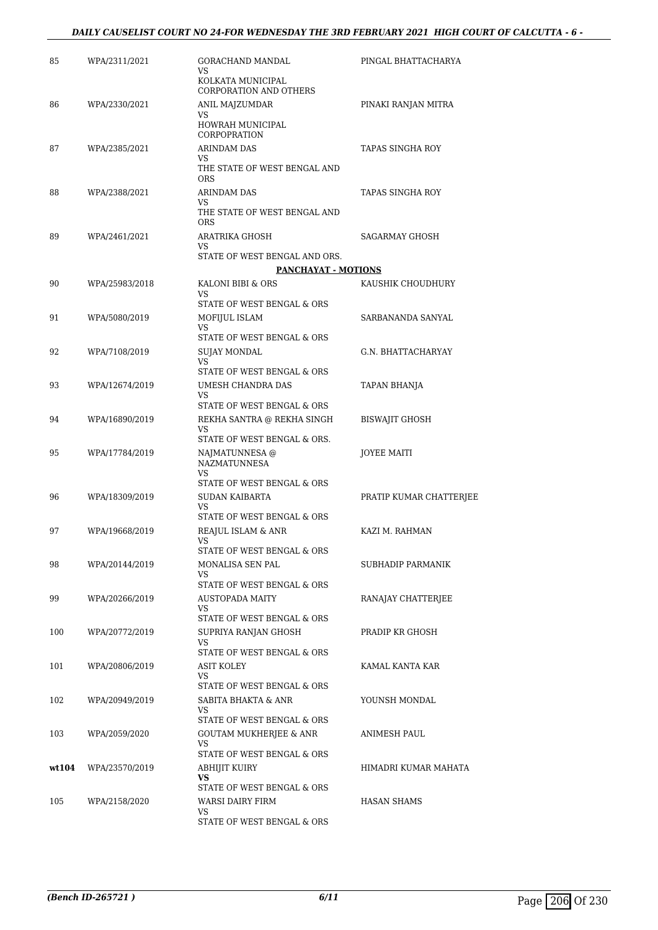| 85    | WPA/2311/2021  | <b>GORACHAND MANDAL</b><br>VS                          | PINGAL BHATTACHARYA     |
|-------|----------------|--------------------------------------------------------|-------------------------|
|       |                | KOLKATA MUNICIPAL<br><b>CORPORATION AND OTHERS</b>     |                         |
| 86    | WPA/2330/2021  | ANIL MAJZUMDAR                                         | PINAKI RANJAN MITRA     |
|       |                | VS.<br>HOWRAH MUNICIPAL<br>CORPOPRATION                |                         |
| 87    | WPA/2385/2021  | ARINDAM DAS                                            | TAPAS SINGHA ROY        |
|       |                | VS                                                     |                         |
|       |                | THE STATE OF WEST BENGAL AND<br><b>ORS</b>             |                         |
| 88    | WPA/2388/2021  | <b>ARINDAM DAS</b>                                     | TAPAS SINGHA ROY        |
|       |                | VS.<br>THE STATE OF WEST BENGAL AND<br><b>ORS</b>      |                         |
| 89    | WPA/2461/2021  | ARATRIKA GHOSH<br>VS                                   | SAGARMAY GHOSH          |
|       |                | STATE OF WEST BENGAL AND ORS.                          |                         |
|       |                | <b>PANCHAYAT - MOTIONS</b>                             |                         |
| 90    | WPA/25983/2018 | KALONI BIBI & ORS<br>VS.                               | KAUSHIK CHOUDHURY       |
|       |                | STATE OF WEST BENGAL & ORS                             |                         |
| 91    | WPA/5080/2019  | MOFIJUL ISLAM<br>VS                                    | SARBANANDA SANYAL       |
|       |                | STATE OF WEST BENGAL & ORS                             |                         |
| 92    | WPA/7108/2019  | <b>SUJAY MONDAL</b><br>VS.                             | G.N. BHATTACHARYAY      |
|       |                | STATE OF WEST BENGAL & ORS                             |                         |
| 93    | WPA/12674/2019 | UMESH CHANDRA DAS                                      | TAPAN BHANJA            |
|       |                | VS<br>STATE OF WEST BENGAL & ORS                       |                         |
| 94    | WPA/16890/2019 | REKHA SANTRA @ REKHA SINGH                             | <b>BISWAJIT GHOSH</b>   |
|       |                | VS<br>STATE OF WEST BENGAL & ORS.                      |                         |
| 95    | WPA/17784/2019 | NAJMATUNNESA @<br><b>NAZMATUNNESA</b>                  | JOYEE MAITI             |
|       |                | VS<br>STATE OF WEST BENGAL & ORS                       |                         |
| 96    | WPA/18309/2019 | <b>SUDAN KAIBARTA</b>                                  | PRATIP KUMAR CHATTERJEE |
|       |                | VS.                                                    |                         |
|       |                | STATE OF WEST BENGAL & ORS                             |                         |
| 97    | WPA/19668/2019 | REAJUL ISLAM & ANR<br>VS<br>STATE OF WEST BENGAL & ORS | KAZI M. RAHMAN          |
| 98    | WPA/20144/2019 | MONALISA SEN PAL                                       | SUBHADIP PARMANIK       |
|       |                | VS.<br>STATE OF WEST BENGAL & ORS                      |                         |
| 99    | WPA/20266/2019 | <b>AUSTOPADA MAITY</b>                                 | RANAJAY CHATTERJEE      |
|       |                | VS<br>STATE OF WEST BENGAL & ORS                       |                         |
| 100   | WPA/20772/2019 | SUPRIYA RANJAN GHOSH                                   | PRADIP KR GHOSH         |
|       |                | VS                                                     |                         |
|       |                | STATE OF WEST BENGAL & ORS                             |                         |
| 101   | WPA/20806/2019 | ASIT KOLEY<br>VS.                                      | KAMAL KANTA KAR         |
|       |                | STATE OF WEST BENGAL & ORS                             |                         |
| 102   | WPA/20949/2019 | SABITA BHAKTA & ANR<br>VS                              | YOUNSH MONDAL           |
|       |                | STATE OF WEST BENGAL & ORS                             |                         |
| 103   | WPA/2059/2020  | <b>GOUTAM MUKHERJEE &amp; ANR</b><br>VS.               | ANIMESH PAUL            |
|       |                | STATE OF WEST BENGAL & ORS                             |                         |
| wt104 | WPA/23570/2019 | ABHIJIT KUIRY                                          | HIMADRI KUMAR MAHATA    |
|       |                | VS<br>STATE OF WEST BENGAL & ORS                       |                         |
| 105   | WPA/2158/2020  | WARSI DAIRY FIRM                                       | <b>HASAN SHAMS</b>      |
|       |                | VS                                                     |                         |
|       |                | STATE OF WEST BENGAL & ORS                             |                         |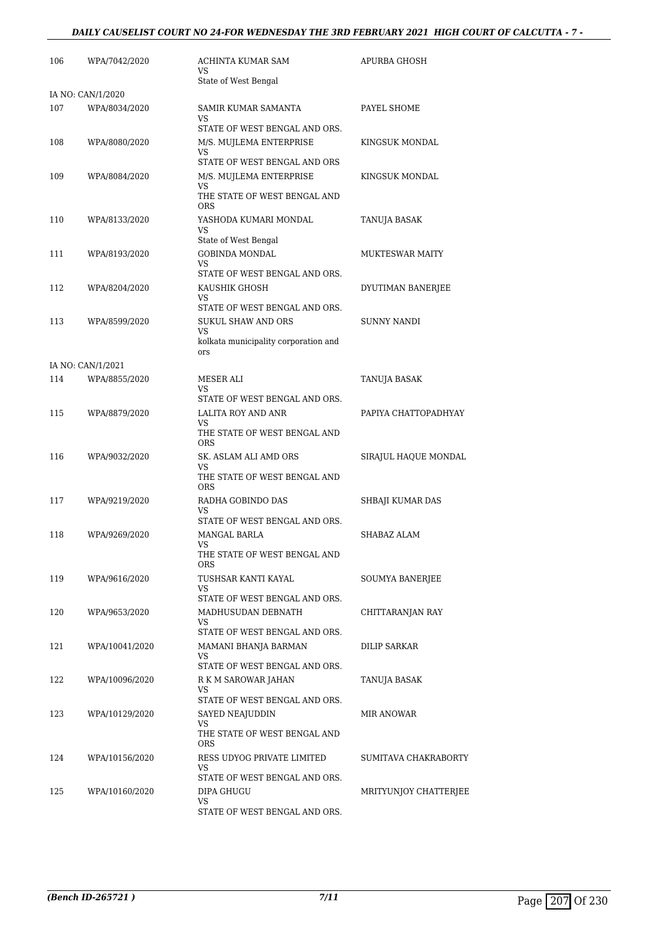### *DAILY CAUSELIST COURT NO 24-FOR WEDNESDAY THE 3RD FEBRUARY 2021 HIGH COURT OF CALCUTTA - 7 -*

| IA NO: CAN/1/2020<br>107<br>WPA/8034/2020<br>SAMIR KUMAR SAMANTA<br>PAYEL SHOME<br>VS<br>STATE OF WEST BENGAL AND ORS.<br>M/S. MUJLEMA ENTERPRISE<br>108<br>WPA/8080/2020<br>KINGSUK MONDAL<br>VS<br>STATE OF WEST BENGAL AND ORS<br>M/S. MUJLEMA ENTERPRISE<br>109<br>WPA/8084/2020<br>KINGSUK MONDAL<br>VS<br>THE STATE OF WEST BENGAL AND<br><b>ORS</b><br>110<br>WPA/8133/2020<br>YASHODA KUMARI MONDAL<br>TANUJA BASAK<br>VS<br>State of West Bengal<br><b>GOBINDA MONDAL</b><br><b>MUKTESWAR MAITY</b><br>111<br>WPA/8193/2020<br>VS<br>STATE OF WEST BENGAL AND ORS.<br>112<br>KAUSHIK GHOSH<br>WPA/8204/2020<br>DYUTIMAN BANERJEE<br>VS<br>STATE OF WEST BENGAL AND ORS.<br><b>SUKUL SHAW AND ORS</b><br>113<br>WPA/8599/2020<br><b>SUNNY NANDI</b><br>VS<br>kolkata municipality corporation and<br>ors<br>IA NO: CAN/1/2021<br>114<br>WPA/8855/2020<br>MESER ALI<br>TANUJA BASAK<br>VS<br>STATE OF WEST BENGAL AND ORS.<br>LALITA ROY AND ANR<br>PAPIYA CHATTOPADHYAY<br>115<br>WPA/8879/2020<br>VS<br>THE STATE OF WEST BENGAL AND<br><b>ORS</b><br>116<br>WPA/9032/2020<br>SK. ASLAM ALI AMD ORS<br>SIRAJUL HAQUE MONDAL<br>VS<br>THE STATE OF WEST BENGAL AND<br><b>ORS</b><br>117<br>WPA/9219/2020<br>RADHA GOBINDO DAS<br>SHBAJI KUMAR DAS<br>VS<br>STATE OF WEST BENGAL AND ORS.<br>118<br>WPA/9269/2020<br><b>MANGAL BARLA</b><br>SHABAZ ALAM<br>VS<br>THE STATE OF WEST BENGAL AND<br><b>ORS</b><br>119<br>TUSHSAR KANTI KAYAL<br>WPA/9616/2020<br>SOUMYA BANERJEE<br>VS.<br>STATE OF WEST BENGAL AND ORS.<br>120<br>MADHUSUDAN DEBNATH<br>WPA/9653/2020<br>CHITTARANJAN RAY<br>VS<br>STATE OF WEST BENGAL AND ORS.<br>121<br>WPA/10041/2020<br>MAMANI BHANJA BARMAN<br>DILIP SARKAR<br>VS<br>STATE OF WEST BENGAL AND ORS.<br>R K M SAROWAR JAHAN<br>122<br>WPA/10096/2020<br>TANUJA BASAK<br>VS<br>STATE OF WEST BENGAL AND ORS.<br>123<br>WPA/10129/2020<br>SAYED NEAJUDDIN<br>MIR ANOWAR<br>VS<br>THE STATE OF WEST BENGAL AND<br><b>ORS</b> | 106 | WPA/7042/2020  | ACHINTA KUMAR SAM<br>VS    | APURBA GHOSH         |
|--------------------------------------------------------------------------------------------------------------------------------------------------------------------------------------------------------------------------------------------------------------------------------------------------------------------------------------------------------------------------------------------------------------------------------------------------------------------------------------------------------------------------------------------------------------------------------------------------------------------------------------------------------------------------------------------------------------------------------------------------------------------------------------------------------------------------------------------------------------------------------------------------------------------------------------------------------------------------------------------------------------------------------------------------------------------------------------------------------------------------------------------------------------------------------------------------------------------------------------------------------------------------------------------------------------------------------------------------------------------------------------------------------------------------------------------------------------------------------------------------------------------------------------------------------------------------------------------------------------------------------------------------------------------------------------------------------------------------------------------------------------------------------------------------------------------------------------------------------------------------------------------------------------------------------------------------------------------|-----|----------------|----------------------------|----------------------|
|                                                                                                                                                                                                                                                                                                                                                                                                                                                                                                                                                                                                                                                                                                                                                                                                                                                                                                                                                                                                                                                                                                                                                                                                                                                                                                                                                                                                                                                                                                                                                                                                                                                                                                                                                                                                                                                                                                                                                                    |     |                | State of West Bengal       |                      |
|                                                                                                                                                                                                                                                                                                                                                                                                                                                                                                                                                                                                                                                                                                                                                                                                                                                                                                                                                                                                                                                                                                                                                                                                                                                                                                                                                                                                                                                                                                                                                                                                                                                                                                                                                                                                                                                                                                                                                                    |     |                |                            |                      |
|                                                                                                                                                                                                                                                                                                                                                                                                                                                                                                                                                                                                                                                                                                                                                                                                                                                                                                                                                                                                                                                                                                                                                                                                                                                                                                                                                                                                                                                                                                                                                                                                                                                                                                                                                                                                                                                                                                                                                                    |     |                |                            |                      |
|                                                                                                                                                                                                                                                                                                                                                                                                                                                                                                                                                                                                                                                                                                                                                                                                                                                                                                                                                                                                                                                                                                                                                                                                                                                                                                                                                                                                                                                                                                                                                                                                                                                                                                                                                                                                                                                                                                                                                                    |     |                |                            |                      |
|                                                                                                                                                                                                                                                                                                                                                                                                                                                                                                                                                                                                                                                                                                                                                                                                                                                                                                                                                                                                                                                                                                                                                                                                                                                                                                                                                                                                                                                                                                                                                                                                                                                                                                                                                                                                                                                                                                                                                                    |     |                |                            |                      |
|                                                                                                                                                                                                                                                                                                                                                                                                                                                                                                                                                                                                                                                                                                                                                                                                                                                                                                                                                                                                                                                                                                                                                                                                                                                                                                                                                                                                                                                                                                                                                                                                                                                                                                                                                                                                                                                                                                                                                                    |     |                |                            |                      |
|                                                                                                                                                                                                                                                                                                                                                                                                                                                                                                                                                                                                                                                                                                                                                                                                                                                                                                                                                                                                                                                                                                                                                                                                                                                                                                                                                                                                                                                                                                                                                                                                                                                                                                                                                                                                                                                                                                                                                                    |     |                |                            |                      |
|                                                                                                                                                                                                                                                                                                                                                                                                                                                                                                                                                                                                                                                                                                                                                                                                                                                                                                                                                                                                                                                                                                                                                                                                                                                                                                                                                                                                                                                                                                                                                                                                                                                                                                                                                                                                                                                                                                                                                                    |     |                |                            |                      |
|                                                                                                                                                                                                                                                                                                                                                                                                                                                                                                                                                                                                                                                                                                                                                                                                                                                                                                                                                                                                                                                                                                                                                                                                                                                                                                                                                                                                                                                                                                                                                                                                                                                                                                                                                                                                                                                                                                                                                                    |     |                |                            |                      |
|                                                                                                                                                                                                                                                                                                                                                                                                                                                                                                                                                                                                                                                                                                                                                                                                                                                                                                                                                                                                                                                                                                                                                                                                                                                                                                                                                                                                                                                                                                                                                                                                                                                                                                                                                                                                                                                                                                                                                                    |     |                |                            |                      |
|                                                                                                                                                                                                                                                                                                                                                                                                                                                                                                                                                                                                                                                                                                                                                                                                                                                                                                                                                                                                                                                                                                                                                                                                                                                                                                                                                                                                                                                                                                                                                                                                                                                                                                                                                                                                                                                                                                                                                                    |     |                |                            |                      |
|                                                                                                                                                                                                                                                                                                                                                                                                                                                                                                                                                                                                                                                                                                                                                                                                                                                                                                                                                                                                                                                                                                                                                                                                                                                                                                                                                                                                                                                                                                                                                                                                                                                                                                                                                                                                                                                                                                                                                                    |     |                |                            |                      |
|                                                                                                                                                                                                                                                                                                                                                                                                                                                                                                                                                                                                                                                                                                                                                                                                                                                                                                                                                                                                                                                                                                                                                                                                                                                                                                                                                                                                                                                                                                                                                                                                                                                                                                                                                                                                                                                                                                                                                                    |     |                |                            |                      |
|                                                                                                                                                                                                                                                                                                                                                                                                                                                                                                                                                                                                                                                                                                                                                                                                                                                                                                                                                                                                                                                                                                                                                                                                                                                                                                                                                                                                                                                                                                                                                                                                                                                                                                                                                                                                                                                                                                                                                                    |     |                |                            |                      |
|                                                                                                                                                                                                                                                                                                                                                                                                                                                                                                                                                                                                                                                                                                                                                                                                                                                                                                                                                                                                                                                                                                                                                                                                                                                                                                                                                                                                                                                                                                                                                                                                                                                                                                                                                                                                                                                                                                                                                                    |     |                |                            |                      |
|                                                                                                                                                                                                                                                                                                                                                                                                                                                                                                                                                                                                                                                                                                                                                                                                                                                                                                                                                                                                                                                                                                                                                                                                                                                                                                                                                                                                                                                                                                                                                                                                                                                                                                                                                                                                                                                                                                                                                                    |     |                |                            |                      |
|                                                                                                                                                                                                                                                                                                                                                                                                                                                                                                                                                                                                                                                                                                                                                                                                                                                                                                                                                                                                                                                                                                                                                                                                                                                                                                                                                                                                                                                                                                                                                                                                                                                                                                                                                                                                                                                                                                                                                                    |     |                |                            |                      |
|                                                                                                                                                                                                                                                                                                                                                                                                                                                                                                                                                                                                                                                                                                                                                                                                                                                                                                                                                                                                                                                                                                                                                                                                                                                                                                                                                                                                                                                                                                                                                                                                                                                                                                                                                                                                                                                                                                                                                                    |     |                |                            |                      |
|                                                                                                                                                                                                                                                                                                                                                                                                                                                                                                                                                                                                                                                                                                                                                                                                                                                                                                                                                                                                                                                                                                                                                                                                                                                                                                                                                                                                                                                                                                                                                                                                                                                                                                                                                                                                                                                                                                                                                                    |     |                |                            |                      |
|                                                                                                                                                                                                                                                                                                                                                                                                                                                                                                                                                                                                                                                                                                                                                                                                                                                                                                                                                                                                                                                                                                                                                                                                                                                                                                                                                                                                                                                                                                                                                                                                                                                                                                                                                                                                                                                                                                                                                                    |     |                |                            |                      |
|                                                                                                                                                                                                                                                                                                                                                                                                                                                                                                                                                                                                                                                                                                                                                                                                                                                                                                                                                                                                                                                                                                                                                                                                                                                                                                                                                                                                                                                                                                                                                                                                                                                                                                                                                                                                                                                                                                                                                                    |     |                |                            |                      |
|                                                                                                                                                                                                                                                                                                                                                                                                                                                                                                                                                                                                                                                                                                                                                                                                                                                                                                                                                                                                                                                                                                                                                                                                                                                                                                                                                                                                                                                                                                                                                                                                                                                                                                                                                                                                                                                                                                                                                                    |     |                |                            |                      |
|                                                                                                                                                                                                                                                                                                                                                                                                                                                                                                                                                                                                                                                                                                                                                                                                                                                                                                                                                                                                                                                                                                                                                                                                                                                                                                                                                                                                                                                                                                                                                                                                                                                                                                                                                                                                                                                                                                                                                                    |     |                |                            |                      |
|                                                                                                                                                                                                                                                                                                                                                                                                                                                                                                                                                                                                                                                                                                                                                                                                                                                                                                                                                                                                                                                                                                                                                                                                                                                                                                                                                                                                                                                                                                                                                                                                                                                                                                                                                                                                                                                                                                                                                                    |     |                |                            |                      |
|                                                                                                                                                                                                                                                                                                                                                                                                                                                                                                                                                                                                                                                                                                                                                                                                                                                                                                                                                                                                                                                                                                                                                                                                                                                                                                                                                                                                                                                                                                                                                                                                                                                                                                                                                                                                                                                                                                                                                                    |     |                |                            |                      |
|                                                                                                                                                                                                                                                                                                                                                                                                                                                                                                                                                                                                                                                                                                                                                                                                                                                                                                                                                                                                                                                                                                                                                                                                                                                                                                                                                                                                                                                                                                                                                                                                                                                                                                                                                                                                                                                                                                                                                                    |     |                |                            |                      |
|                                                                                                                                                                                                                                                                                                                                                                                                                                                                                                                                                                                                                                                                                                                                                                                                                                                                                                                                                                                                                                                                                                                                                                                                                                                                                                                                                                                                                                                                                                                                                                                                                                                                                                                                                                                                                                                                                                                                                                    |     |                |                            |                      |
|                                                                                                                                                                                                                                                                                                                                                                                                                                                                                                                                                                                                                                                                                                                                                                                                                                                                                                                                                                                                                                                                                                                                                                                                                                                                                                                                                                                                                                                                                                                                                                                                                                                                                                                                                                                                                                                                                                                                                                    |     |                |                            |                      |
|                                                                                                                                                                                                                                                                                                                                                                                                                                                                                                                                                                                                                                                                                                                                                                                                                                                                                                                                                                                                                                                                                                                                                                                                                                                                                                                                                                                                                                                                                                                                                                                                                                                                                                                                                                                                                                                                                                                                                                    |     |                |                            |                      |
|                                                                                                                                                                                                                                                                                                                                                                                                                                                                                                                                                                                                                                                                                                                                                                                                                                                                                                                                                                                                                                                                                                                                                                                                                                                                                                                                                                                                                                                                                                                                                                                                                                                                                                                                                                                                                                                                                                                                                                    |     |                |                            |                      |
|                                                                                                                                                                                                                                                                                                                                                                                                                                                                                                                                                                                                                                                                                                                                                                                                                                                                                                                                                                                                                                                                                                                                                                                                                                                                                                                                                                                                                                                                                                                                                                                                                                                                                                                                                                                                                                                                                                                                                                    |     |                |                            |                      |
|                                                                                                                                                                                                                                                                                                                                                                                                                                                                                                                                                                                                                                                                                                                                                                                                                                                                                                                                                                                                                                                                                                                                                                                                                                                                                                                                                                                                                                                                                                                                                                                                                                                                                                                                                                                                                                                                                                                                                                    |     |                |                            |                      |
|                                                                                                                                                                                                                                                                                                                                                                                                                                                                                                                                                                                                                                                                                                                                                                                                                                                                                                                                                                                                                                                                                                                                                                                                                                                                                                                                                                                                                                                                                                                                                                                                                                                                                                                                                                                                                                                                                                                                                                    |     |                |                            |                      |
|                                                                                                                                                                                                                                                                                                                                                                                                                                                                                                                                                                                                                                                                                                                                                                                                                                                                                                                                                                                                                                                                                                                                                                                                                                                                                                                                                                                                                                                                                                                                                                                                                                                                                                                                                                                                                                                                                                                                                                    |     |                |                            |                      |
|                                                                                                                                                                                                                                                                                                                                                                                                                                                                                                                                                                                                                                                                                                                                                                                                                                                                                                                                                                                                                                                                                                                                                                                                                                                                                                                                                                                                                                                                                                                                                                                                                                                                                                                                                                                                                                                                                                                                                                    |     |                |                            |                      |
|                                                                                                                                                                                                                                                                                                                                                                                                                                                                                                                                                                                                                                                                                                                                                                                                                                                                                                                                                                                                                                                                                                                                                                                                                                                                                                                                                                                                                                                                                                                                                                                                                                                                                                                                                                                                                                                                                                                                                                    |     |                |                            |                      |
|                                                                                                                                                                                                                                                                                                                                                                                                                                                                                                                                                                                                                                                                                                                                                                                                                                                                                                                                                                                                                                                                                                                                                                                                                                                                                                                                                                                                                                                                                                                                                                                                                                                                                                                                                                                                                                                                                                                                                                    |     |                |                            |                      |
|                                                                                                                                                                                                                                                                                                                                                                                                                                                                                                                                                                                                                                                                                                                                                                                                                                                                                                                                                                                                                                                                                                                                                                                                                                                                                                                                                                                                                                                                                                                                                                                                                                                                                                                                                                                                                                                                                                                                                                    |     |                |                            |                      |
|                                                                                                                                                                                                                                                                                                                                                                                                                                                                                                                                                                                                                                                                                                                                                                                                                                                                                                                                                                                                                                                                                                                                                                                                                                                                                                                                                                                                                                                                                                                                                                                                                                                                                                                                                                                                                                                                                                                                                                    |     |                |                            |                      |
|                                                                                                                                                                                                                                                                                                                                                                                                                                                                                                                                                                                                                                                                                                                                                                                                                                                                                                                                                                                                                                                                                                                                                                                                                                                                                                                                                                                                                                                                                                                                                                                                                                                                                                                                                                                                                                                                                                                                                                    |     |                |                            |                      |
|                                                                                                                                                                                                                                                                                                                                                                                                                                                                                                                                                                                                                                                                                                                                                                                                                                                                                                                                                                                                                                                                                                                                                                                                                                                                                                                                                                                                                                                                                                                                                                                                                                                                                                                                                                                                                                                                                                                                                                    | 124 | WPA/10156/2020 | RESS UDYOG PRIVATE LIMITED | SUMITAVA CHAKRABORTY |
| VS<br>STATE OF WEST BENGAL AND ORS.                                                                                                                                                                                                                                                                                                                                                                                                                                                                                                                                                                                                                                                                                                                                                                                                                                                                                                                                                                                                                                                                                                                                                                                                                                                                                                                                                                                                                                                                                                                                                                                                                                                                                                                                                                                                                                                                                                                                |     |                |                            |                      |
| 125<br>WPA/10160/2020<br>DIPA GHUGU<br>MRITYUNJOY CHATTERJEE                                                                                                                                                                                                                                                                                                                                                                                                                                                                                                                                                                                                                                                                                                                                                                                                                                                                                                                                                                                                                                                                                                                                                                                                                                                                                                                                                                                                                                                                                                                                                                                                                                                                                                                                                                                                                                                                                                       |     |                |                            |                      |
| VS<br>STATE OF WEST BENGAL AND ORS.                                                                                                                                                                                                                                                                                                                                                                                                                                                                                                                                                                                                                                                                                                                                                                                                                                                                                                                                                                                                                                                                                                                                                                                                                                                                                                                                                                                                                                                                                                                                                                                                                                                                                                                                                                                                                                                                                                                                |     |                |                            |                      |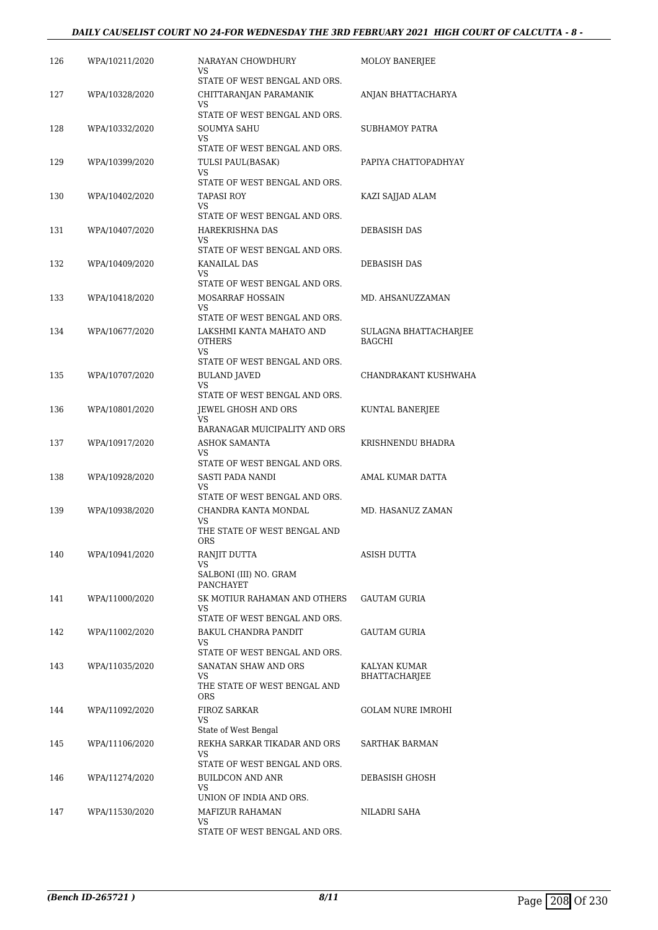### *DAILY CAUSELIST COURT NO 24-FOR WEDNESDAY THE 3RD FEBRUARY 2021 HIGH COURT OF CALCUTTA - 8 -*

| 126 | WPA/10211/2020 | NARAYAN CHOWDHURY<br>VS                                                                       | <b>MOLOY BANERJEE</b>                  |
|-----|----------------|-----------------------------------------------------------------------------------------------|----------------------------------------|
| 127 | WPA/10328/2020 | STATE OF WEST BENGAL AND ORS.<br>CHITTARANJAN PARAMANIK<br>VS                                 | ANJAN BHATTACHARYA                     |
| 128 | WPA/10332/2020 | STATE OF WEST BENGAL AND ORS.<br>SOUMYA SAHU                                                  | SUBHAMOY PATRA                         |
| 129 | WPA/10399/2020 | VS.<br>STATE OF WEST BENGAL AND ORS.<br>TULSI PAUL(BASAK)                                     | PAPIYA CHATTOPADHYAY                   |
|     |                | VS<br>STATE OF WEST BENGAL AND ORS.                                                           |                                        |
| 130 | WPA/10402/2020 | <b>TAPASI ROY</b><br>VS<br>STATE OF WEST BENGAL AND ORS.                                      | KAZI SAJJAD ALAM                       |
| 131 | WPA/10407/2020 | HAREKRISHNA DAS<br>VS.                                                                        | DEBASISH DAS                           |
| 132 | WPA/10409/2020 | STATE OF WEST BENGAL AND ORS.<br>KANAILAL DAS<br>VS                                           | DEBASISH DAS                           |
| 133 | WPA/10418/2020 | STATE OF WEST BENGAL AND ORS.<br>MOSARRAF HOSSAIN<br>VS.                                      | MD. AHSANUZZAMAN                       |
| 134 | WPA/10677/2020 | STATE OF WEST BENGAL AND ORS.<br>LAKSHMI KANTA MAHATO AND<br><b>OTHERS</b>                    | SULAGNA BHATTACHARJEE<br><b>BAGCHI</b> |
| 135 | WPA/10707/2020 | VS.<br>STATE OF WEST BENGAL AND ORS.<br><b>BULAND JAVED</b><br><b>VS</b>                      | CHANDRAKANT KUSHWAHA                   |
| 136 | WPA/10801/2020 | STATE OF WEST BENGAL AND ORS.<br>JEWEL GHOSH AND ORS<br>VS                                    | KUNTAL BANERJEE                        |
| 137 | WPA/10917/2020 | BARANAGAR MUICIPALITY AND ORS<br><b>ASHOK SAMANTA</b><br>VS.<br>STATE OF WEST BENGAL AND ORS. | KRISHNENDU BHADRA                      |
| 138 | WPA/10928/2020 | SASTI PADA NANDI<br>VS                                                                        | AMAL KUMAR DATTA                       |
| 139 | WPA/10938/2020 | STATE OF WEST BENGAL AND ORS.<br>CHANDRA KANTA MONDAL<br>VS<br>THE STATE OF WEST BENGAL AND   | MD. HASANUZ ZAMAN                      |
| 140 | WPA/10941/2020 | <b>ORS</b><br>RANJIT DUTTA<br>VS<br>SALBONI (III) NO. GRAM                                    | ASISH DUTTA                            |
| 141 | WPA/11000/2020 | PANCHAYET<br>SK MOTIUR RAHAMAN AND OTHERS<br>VS                                               | <b>GAUTAM GURIA</b>                    |
| 142 | WPA/11002/2020 | STATE OF WEST BENGAL AND ORS.<br>BAKUL CHANDRA PANDIT<br>VS                                   | GAUTAM GURIA                           |
| 143 | WPA/11035/2020 | STATE OF WEST BENGAL AND ORS.<br>SANATAN SHAW AND ORS<br>VS<br>THE STATE OF WEST BENGAL AND   | KALYAN KUMAR<br><b>BHATTACHARJEE</b>   |
| 144 | WPA/11092/2020 | <b>ORS</b><br><b>FIROZ SARKAR</b><br>VS                                                       | <b>GOLAM NURE IMROHI</b>               |
| 145 | WPA/11106/2020 | State of West Bengal<br>REKHA SARKAR TIKADAR AND ORS<br>VS                                    | SARTHAK BARMAN                         |
| 146 | WPA/11274/2020 | STATE OF WEST BENGAL AND ORS.<br><b>BUILDCON AND ANR</b>                                      | DEBASISH GHOSH                         |
| 147 | WPA/11530/2020 | VS.<br>UNION OF INDIA AND ORS.<br>MAFIZUR RAHAMAN                                             | NILADRI SAHA                           |
|     |                | VS<br>STATE OF WEST BENGAL AND ORS.                                                           |                                        |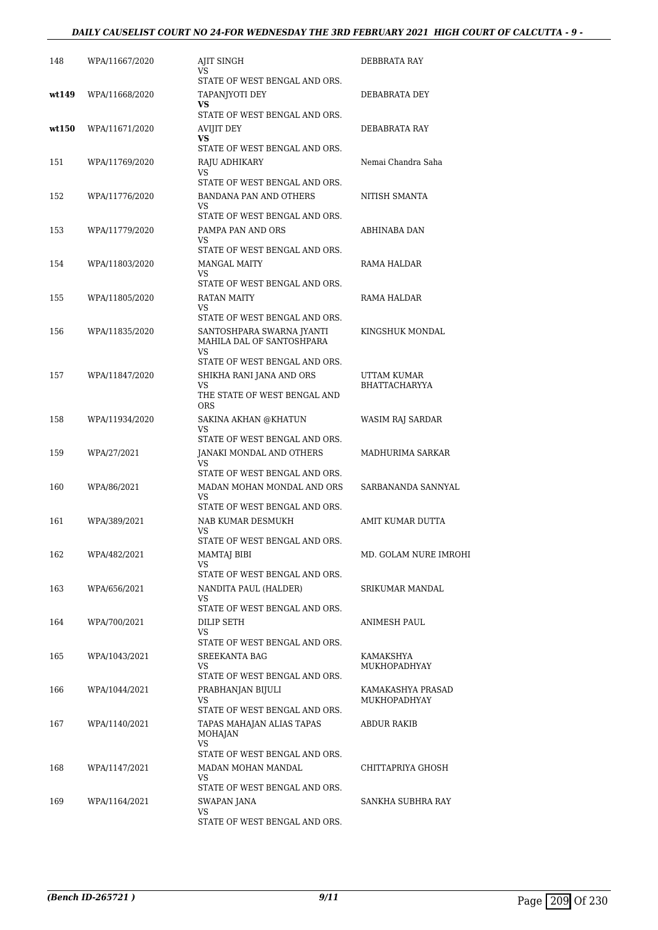### *DAILY CAUSELIST COURT NO 24-FOR WEDNESDAY THE 3RD FEBRUARY 2021 HIGH COURT OF CALCUTTA - 9 -*

| 148   | WPA/11667/2020 | <b>AJIT SINGH</b><br>VS.                                                                        | DEBBRATA RAY                        |
|-------|----------------|-------------------------------------------------------------------------------------------------|-------------------------------------|
| wt149 | WPA/11668/2020 | STATE OF WEST BENGAL AND ORS.<br>TAPANJYOTI DEY<br>VS.                                          | DEBABRATA DEY                       |
| wt150 | WPA/11671/2020 | STATE OF WEST BENGAL AND ORS.<br>AVIJIT DEY<br><b>VS</b>                                        | DEBABRATA RAY                       |
| 151   | WPA/11769/2020 | STATE OF WEST BENGAL AND ORS.<br>RAJU ADHIKARY<br>VS                                            | Nemai Chandra Saha                  |
| 152   | WPA/11776/2020 | STATE OF WEST BENGAL AND ORS.<br>BANDANA PAN AND OTHERS<br>VS                                   | NITISH SMANTA                       |
| 153   | WPA/11779/2020 | STATE OF WEST BENGAL AND ORS.<br>PAMPA PAN AND ORS<br>VS.                                       | ABHINABA DAN                        |
| 154   | WPA/11803/2020 | STATE OF WEST BENGAL AND ORS.<br><b>MANGAL MAITY</b><br>VS                                      | RAMA HALDAR                         |
| 155   | WPA/11805/2020 | STATE OF WEST BENGAL AND ORS.<br>RATAN MAITY<br>VS.                                             | RAMA HALDAR                         |
| 156   | WPA/11835/2020 | STATE OF WEST BENGAL AND ORS.<br>SANTOSHPARA SWARNA JYANTI<br>MAHILA DAL OF SANTOSHPARA<br>VS   | KINGSHUK MONDAL                     |
| 157   | WPA/11847/2020 | STATE OF WEST BENGAL AND ORS.<br>SHIKHA RANI JANA AND ORS<br>VS<br>THE STATE OF WEST BENGAL AND | UTTAM KUMAR<br><b>BHATTACHARYYA</b> |
| 158   | WPA/11934/2020 | <b>ORS</b><br>SAKINA AKHAN @KHATUN<br>VS                                                        | WASIM RAJ SARDAR                    |
| 159   | WPA/27/2021    | STATE OF WEST BENGAL AND ORS.<br>JANAKI MONDAL AND OTHERS<br>VS                                 | MADHURIMA SARKAR                    |
| 160   | WPA/86/2021    | STATE OF WEST BENGAL AND ORS.<br>MADAN MOHAN MONDAL AND ORS<br>VS                               | SARBANANDA SANNYAL                  |
| 161   | WPA/389/2021   | STATE OF WEST BENGAL AND ORS.<br>NAB KUMAR DESMUKH<br>VS<br>STATE OF WEST BENGAL AND ORS.       | AMIT KUMAR DUTTA                    |
| 162   | WPA/482/2021   | <b>MAMTAJ BIBI</b><br>VS.<br>STATE OF WEST BENGAL AND ORS.                                      | MD. GOLAM NURE IMROHI               |
| 163   | WPA/656/2021   | NANDITA PAUL (HALDER)<br>VS<br>STATE OF WEST BENGAL AND ORS.                                    | SRIKUMAR MANDAL                     |
| 164   | WPA/700/2021   | DILIP SETH<br>VS<br>STATE OF WEST BENGAL AND ORS.                                               | ANIMESH PAUL                        |
| 165   | WPA/1043/2021  | SREEKANTA BAG<br>VS.                                                                            | KAMAKSHYA<br>MUKHOPADHYAY           |
| 166   | WPA/1044/2021  | STATE OF WEST BENGAL AND ORS.<br>PRABHANJAN BIJULI<br>VS                                        | KAMAKASHYA PRASAD<br>MUKHOPADHYAY   |
| 167   | WPA/1140/2021  | STATE OF WEST BENGAL AND ORS.<br>TAPAS MAHAJAN ALIAS TAPAS<br>MOHAJAN<br>VS                     | ABDUR RAKIB                         |
| 168   | WPA/1147/2021  | STATE OF WEST BENGAL AND ORS.<br>MADAN MOHAN MANDAL<br>VS                                       | CHITTAPRIYA GHOSH                   |
| 169   | WPA/1164/2021  | STATE OF WEST BENGAL AND ORS.<br>SWAPAN JANA<br>VS<br>STATE OF WEST BENGAL AND ORS.             | SANKHA SUBHRA RAY                   |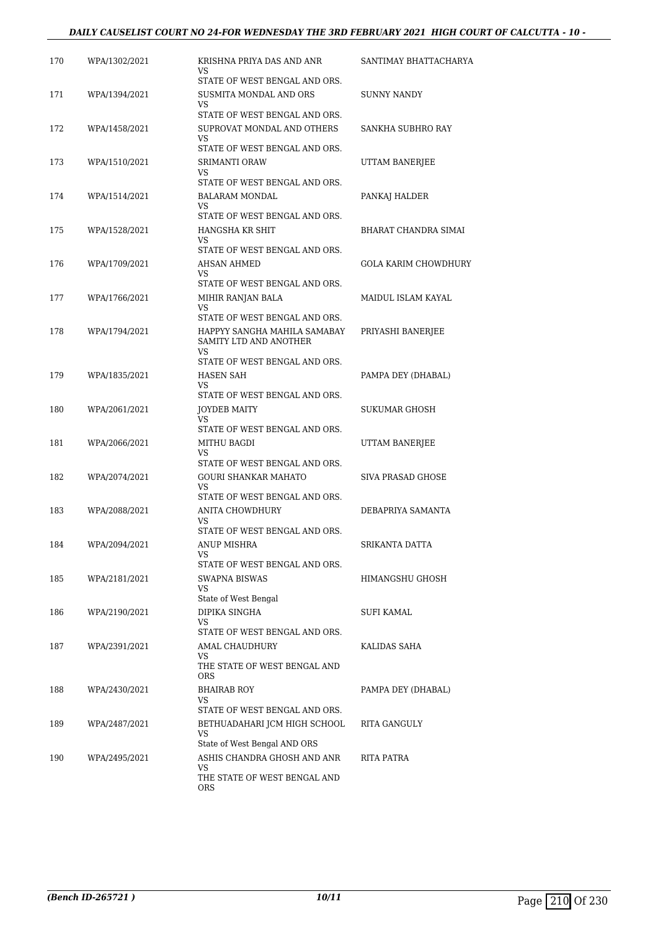### *DAILY CAUSELIST COURT NO 24-FOR WEDNESDAY THE 3RD FEBRUARY 2021 HIGH COURT OF CALCUTTA - 10 -*

| 170 | WPA/1302/2021 | KRISHNA PRIYA DAS AND ANR<br>VS<br>STATE OF WEST BENGAL AND ORS.                                         | SANTIMAY BHATTACHARYA    |
|-----|---------------|----------------------------------------------------------------------------------------------------------|--------------------------|
| 171 | WPA/1394/2021 | SUSMITA MONDAL AND ORS<br>VS                                                                             | SUNNY NANDY              |
| 172 | WPA/1458/2021 | STATE OF WEST BENGAL AND ORS.<br>SUPROVAT MONDAL AND OTHERS<br>VS                                        | SANKHA SUBHRO RAY        |
| 173 | WPA/1510/2021 | STATE OF WEST BENGAL AND ORS.<br><b>SRIMANTI ORAW</b><br>VS                                              | UTTAM BANERJEE           |
| 174 | WPA/1514/2021 | STATE OF WEST BENGAL AND ORS.<br>BALARAM MONDAL<br>VS                                                    | PANKAJ HALDER            |
| 175 | WPA/1528/2021 | STATE OF WEST BENGAL AND ORS.<br>HANGSHA KR SHIT<br>VS                                                   | BHARAT CHANDRA SIMAI     |
| 176 | WPA/1709/2021 | STATE OF WEST BENGAL AND ORS.<br>AHSAN AHMED<br>VS                                                       | GOLA KARIM CHOWDHURY     |
| 177 | WPA/1766/2021 | STATE OF WEST BENGAL AND ORS.<br>MIHIR RANJAN BALA                                                       | MAIDUL ISLAM KAYAL       |
| 178 | WPA/1794/2021 | VS<br>STATE OF WEST BENGAL AND ORS.<br>HAPPYY SANGHA MAHILA SAMABAY                                      | PRIYASHI BANERJEE        |
|     |               | SAMITY LTD AND ANOTHER<br>VS<br>STATE OF WEST BENGAL AND ORS.                                            |                          |
| 179 | WPA/1835/2021 | HASEN SAH<br>VS<br>STATE OF WEST BENGAL AND ORS.                                                         | PAMPA DEY (DHABAL)       |
| 180 | WPA/2061/2021 | JOYDEB MAITY<br>VS<br>STATE OF WEST BENGAL AND ORS.                                                      | SUKUMAR GHOSH            |
| 181 | WPA/2066/2021 | MITHU BAGDI<br>VS.<br>STATE OF WEST BENGAL AND ORS.                                                      | UTTAM BANERJEE           |
| 182 | WPA/2074/2021 | <b>GOURI SHANKAR MAHATO</b><br>VS<br>STATE OF WEST BENGAL AND ORS.                                       | <b>SIVA PRASAD GHOSE</b> |
| 183 | WPA/2088/2021 | ANITA CHOWDHURY<br>VS                                                                                    | DEBAPRIYA SAMANTA        |
| 184 | WPA/2094/2021 | STATE OF WEST BENGAL AND ORS.<br>ANUP MISHRA<br>VS                                                       | SRIKANTA DATTA           |
| 185 | WPA/2181/2021 | STATE OF WEST BENGAL AND ORS.<br>SWAPNA BISWAS<br>VS                                                     | HIMANGSHU GHOSH          |
| 186 | WPA/2190/2021 | State of West Bengal<br>DIPIKA SINGHA<br>VS                                                              | SUFI KAMAL               |
| 187 | WPA/2391/2021 | STATE OF WEST BENGAL AND ORS.<br>AMAL CHAUDHURY<br>VS<br>THE STATE OF WEST BENGAL AND<br>ORS             | KALIDAS SAHA             |
| 188 | WPA/2430/2021 | <b>BHAIRAB ROY</b><br>VS                                                                                 | PAMPA DEY (DHABAL)       |
| 189 | WPA/2487/2021 | STATE OF WEST BENGAL AND ORS.<br>BETHUADAHARI JCM HIGH SCHOOL<br>VS                                      | RITA GANGULY             |
| 190 | WPA/2495/2021 | State of West Bengal AND ORS<br>ASHIS CHANDRA GHOSH AND ANR<br>VS<br>THE STATE OF WEST BENGAL AND<br>ORS | RITA PATRA               |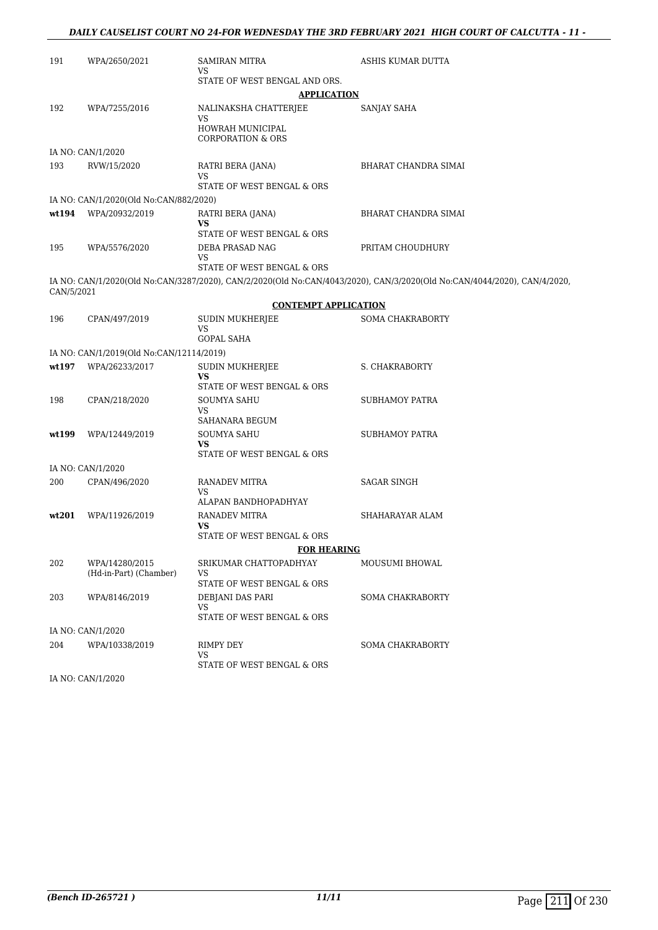### *DAILY CAUSELIST COURT NO 24-FOR WEDNESDAY THE 3RD FEBRUARY 2021 HIGH COURT OF CALCUTTA - 11 -*

| 191               | WPA/2650/2021                            | <b>SAMIRAN MITRA</b>                             | ASHIS KUMAR DUTTA                                                                                                        |  |  |
|-------------------|------------------------------------------|--------------------------------------------------|--------------------------------------------------------------------------------------------------------------------------|--|--|
|                   |                                          | VS                                               |                                                                                                                          |  |  |
|                   | STATE OF WEST BENGAL AND ORS.            |                                                  |                                                                                                                          |  |  |
|                   |                                          | <b>APPLICATION</b>                               |                                                                                                                          |  |  |
| 192               | WPA/7255/2016                            | NALINAKSHA CHATTERJEE<br>VS                      | SANJAY SAHA                                                                                                              |  |  |
|                   |                                          | HOWRAH MUNICIPAL<br><b>CORPORATION &amp; ORS</b> |                                                                                                                          |  |  |
|                   | IA NO: CAN/1/2020                        |                                                  |                                                                                                                          |  |  |
| 193               | RVW/15/2020                              | RATRI BERA (JANA)<br>VS                          | BHARAT CHANDRA SIMAI                                                                                                     |  |  |
|                   |                                          | STATE OF WEST BENGAL & ORS                       |                                                                                                                          |  |  |
|                   | IA NO: CAN/1/2020(Old No:CAN/882/2020)   |                                                  |                                                                                                                          |  |  |
| wt194             | WPA/20932/2019                           | RATRI BERA (JANA)<br>VS                          | BHARAT CHANDRA SIMAI                                                                                                     |  |  |
|                   |                                          | STATE OF WEST BENGAL & ORS                       |                                                                                                                          |  |  |
| 195               | WPA/5576/2020                            | DEBA PRASAD NAG                                  | PRITAM CHOUDHURY                                                                                                         |  |  |
|                   |                                          | VS<br>STATE OF WEST BENGAL & ORS                 |                                                                                                                          |  |  |
| CAN/5/2021        |                                          |                                                  | IA NO: CAN/1/2020(Old No:CAN/3287/2020), CAN/2/2020(Old No:CAN/4043/2020), CAN/3/2020(Old No:CAN/4044/2020), CAN/4/2020, |  |  |
|                   |                                          | <b>CONTEMPT APPLICATION</b>                      |                                                                                                                          |  |  |
| 196               | CPAN/497/2019                            | <b>SUDIN MUKHERJEE</b>                           | <b>SOMA CHAKRABORTY</b>                                                                                                  |  |  |
|                   |                                          | VS<br><b>GOPAL SAHA</b>                          |                                                                                                                          |  |  |
|                   | IA NO: CAN/1/2019(Old No:CAN/12114/2019) |                                                  |                                                                                                                          |  |  |
| wt197             | WPA/26233/2017                           | SUDIN MUKHERJEE                                  | <b>S. CHAKRABORTY</b>                                                                                                    |  |  |
|                   |                                          | VS<br>STATE OF WEST BENGAL & ORS                 |                                                                                                                          |  |  |
| 198               | CPAN/218/2020                            | SOUMYA SAHU                                      | <b>SUBHAMOY PATRA</b>                                                                                                    |  |  |
|                   |                                          | VS.<br>SAHANARA BEGUM                            |                                                                                                                          |  |  |
| wt199             | WPA/12449/2019                           | SOUMYA SAHU                                      | <b>SUBHAMOY PATRA</b>                                                                                                    |  |  |
|                   |                                          | VS<br>STATE OF WEST BENGAL & ORS                 |                                                                                                                          |  |  |
|                   | IA NO: CAN/1/2020                        |                                                  |                                                                                                                          |  |  |
| 200               | CPAN/496/2020                            | RANADEV MITRA<br>VS                              | <b>SAGAR SINGH</b>                                                                                                       |  |  |
|                   |                                          | ALAPAN BANDHOPADHYAY                             |                                                                                                                          |  |  |
| wt201             | WPA/11926/2019                           | RANADEV MITRA<br>VS                              | SHAHARAYAR ALAM                                                                                                          |  |  |
|                   |                                          | STATE OF WEST BENGAL & ORS                       |                                                                                                                          |  |  |
|                   |                                          | <b>FOR HEARING</b>                               |                                                                                                                          |  |  |
| 202               | WPA/14280/2015<br>(Hd-in-Part) (Chamber) | SRIKUMAR CHATTOPADHYAY<br>VS                     | MOUSUMI BHOWAL                                                                                                           |  |  |
|                   |                                          | STATE OF WEST BENGAL & ORS                       |                                                                                                                          |  |  |
| 203               | WPA/8146/2019                            | DEBJANI DAS PARI                                 | <b>SOMA CHAKRABORTY</b>                                                                                                  |  |  |
|                   |                                          | VS<br>STATE OF WEST BENGAL & ORS                 |                                                                                                                          |  |  |
| IA NO: CAN/1/2020 |                                          |                                                  |                                                                                                                          |  |  |
| 204               | WPA/10338/2019                           | RIMPY DEY<br>VS                                  | <b>SOMA CHAKRABORTY</b>                                                                                                  |  |  |
|                   |                                          | STATE OF WEST BENGAL & ORS                       |                                                                                                                          |  |  |
|                   | IA NO: CAN/1/2020                        |                                                  |                                                                                                                          |  |  |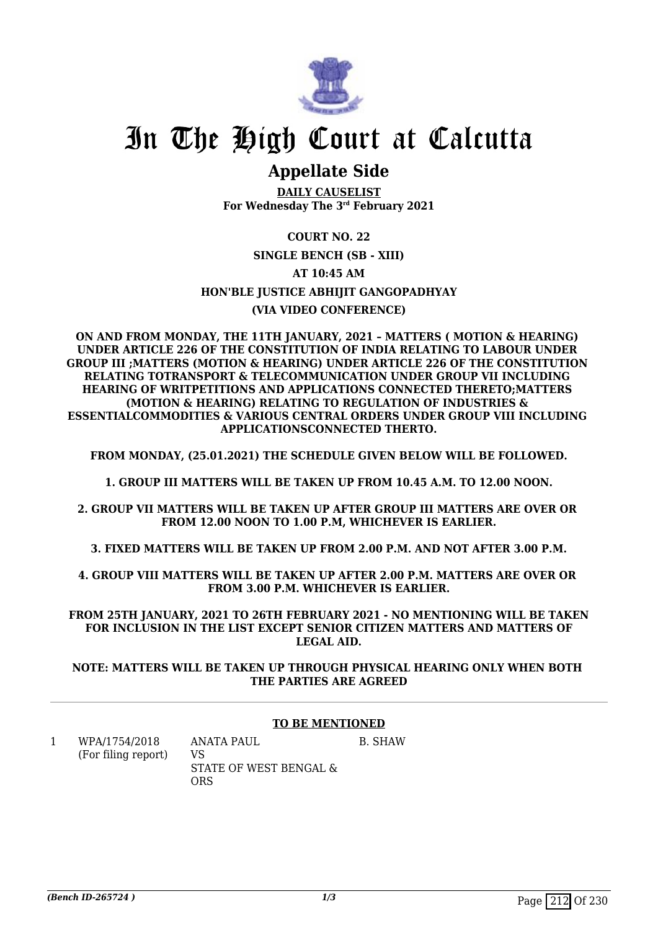

## **Appellate Side**

**DAILY CAUSELIST For Wednesday The 3rd February 2021**

### **COURT NO. 22 SINGLE BENCH (SB - XIII) AT 10:45 AM HON'BLE JUSTICE ABHIJIT GANGOPADHYAY (VIA VIDEO CONFERENCE)**

**ON AND FROM MONDAY, THE 11TH JANUARY, 2021 – MATTERS ( MOTION & HEARING) UNDER ARTICLE 226 OF THE CONSTITUTION OF INDIA RELATING TO LABOUR UNDER GROUP III ;MATTERS (MOTION & HEARING) UNDER ARTICLE 226 OF THE CONSTITUTION RELATING TOTRANSPORT & TELECOMMUNICATION UNDER GROUP VII INCLUDING HEARING OF WRITPETITIONS AND APPLICATIONS CONNECTED THERETO;MATTERS (MOTION & HEARING) RELATING TO REGULATION OF INDUSTRIES & ESSENTIALCOMMODITIES & VARIOUS CENTRAL ORDERS UNDER GROUP VIII INCLUDING APPLICATIONSCONNECTED THERTO.**

**FROM MONDAY, (25.01.2021) THE SCHEDULE GIVEN BELOW WILL BE FOLLOWED.**

**1. GROUP III MATTERS WILL BE TAKEN UP FROM 10.45 A.M. TO 12.00 NOON.**

**2. GROUP VII MATTERS WILL BE TAKEN UP AFTER GROUP III MATTERS ARE OVER OR FROM 12.00 NOON TO 1.00 P.M, WHICHEVER IS EARLIER.**

**3. FIXED MATTERS WILL BE TAKEN UP FROM 2.00 P.M. AND NOT AFTER 3.00 P.M.**

**4. GROUP VIII MATTERS WILL BE TAKEN UP AFTER 2.00 P.M. MATTERS ARE OVER OR FROM 3.00 P.M. WHICHEVER IS EARLIER.**

**FROM 25TH JANUARY, 2021 TO 26TH FEBRUARY 2021 - NO MENTIONING WILL BE TAKEN FOR INCLUSION IN THE LIST EXCEPT SENIOR CITIZEN MATTERS AND MATTERS OF LEGAL AID.**

**NOTE: MATTERS WILL BE TAKEN UP THROUGH PHYSICAL HEARING ONLY WHEN BOTH THE PARTIES ARE AGREED**

### **TO BE MENTIONED**

1 WPA/1754/2018 (For filing report) ANATA PAUL VS STATE OF WEST BENGAL & **ORS** B. SHAW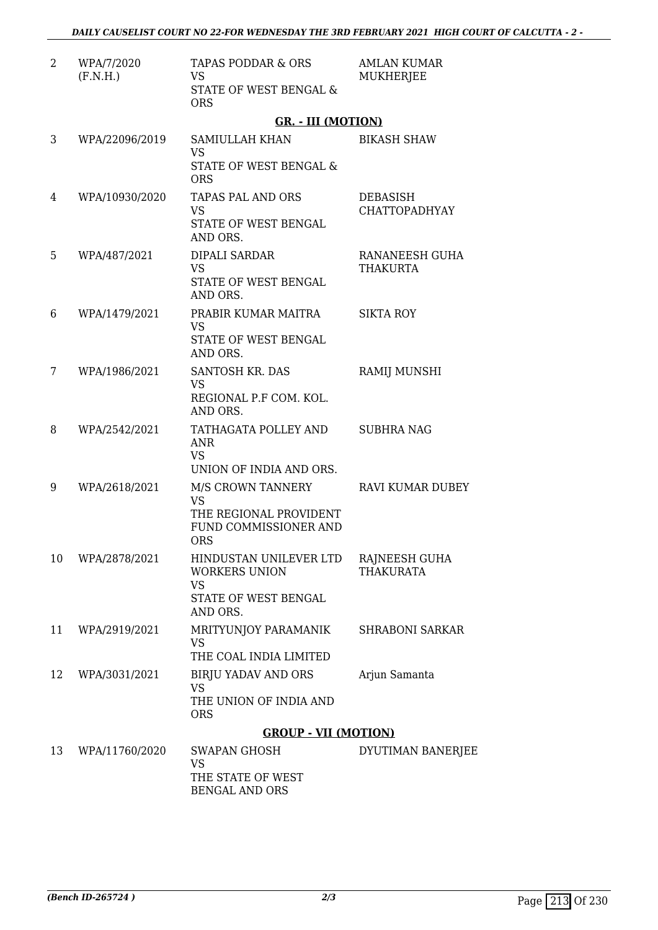| 2  | WPA/7/2020<br>(F.N.H.) | TAPAS PODDAR & ORS<br><b>VS</b><br>STATE OF WEST BENGAL &<br><b>ORS</b>                                | <b>AMLAN KUMAR</b><br><b>MUKHERJEE</b>  |
|----|------------------------|--------------------------------------------------------------------------------------------------------|-----------------------------------------|
|    |                        | <b>GR. - III (MOTION)</b>                                                                              |                                         |
| 3  | WPA/22096/2019         | SAMIULLAH KHAN<br><b>VS</b><br>STATE OF WEST BENGAL &<br><b>ORS</b>                                    | <b>BIKASH SHAW</b>                      |
| 4  | WPA/10930/2020         | TAPAS PAL AND ORS<br><b>VS</b><br>STATE OF WEST BENGAL<br>AND ORS.                                     | <b>DEBASISH</b><br><b>CHATTOPADHYAY</b> |
| 5  | WPA/487/2021           | DIPALI SARDAR<br><b>VS</b><br>STATE OF WEST BENGAL<br>AND ORS.                                         | RANANEESH GUHA<br><b>THAKURTA</b>       |
| 6  | WPA/1479/2021          | PRABIR KUMAR MAITRA<br><b>VS</b><br>STATE OF WEST BENGAL<br>AND ORS.                                   | <b>SIKTA ROY</b>                        |
| 7  | WPA/1986/2021          | <b>SANTOSH KR. DAS</b><br><b>VS</b><br>REGIONAL P.F COM. KOL.<br>AND ORS.                              | RAMIJ MUNSHI                            |
| 8  | WPA/2542/2021          | TATHAGATA POLLEY AND<br><b>ANR</b><br><b>VS</b><br>UNION OF INDIA AND ORS.                             | <b>SUBHRA NAG</b>                       |
| 9  | WPA/2618/2021          | M/S CROWN TANNERY<br><b>VS</b><br>THE REGIONAL PROVIDENT<br><b>FUND COMMISSIONER AND</b><br><b>ORS</b> | <b>RAVI KUMAR DUBEY</b>                 |
| 10 | WPA/2878/2021          | HINDUSTAN UNILEVER LTD<br><b>WORKERS UNION</b><br><b>VS</b><br>STATE OF WEST BENGAL<br>AND ORS.        | RAJNEESH GUHA<br><b>THAKURATA</b>       |
| 11 | WPA/2919/2021          | MRITYUNJOY PARAMANIK<br><b>VS</b><br>THE COAL INDIA LIMITED                                            | <b>SHRABONI SARKAR</b>                  |
| 12 | WPA/3031/2021          | <b>BIRJU YADAV AND ORS</b><br><b>VS</b><br>THE UNION OF INDIA AND<br><b>ORS</b>                        | Arjun Samanta                           |
|    |                        | <b>GROUP - VII (MOTION)</b>                                                                            |                                         |
| 13 | WPA/11760/2020         | SWAPAN GHOSH<br><b>VS</b><br>THE STATE OF WEST<br><b>BENGAL AND ORS</b>                                | DYUTIMAN BANERJEE                       |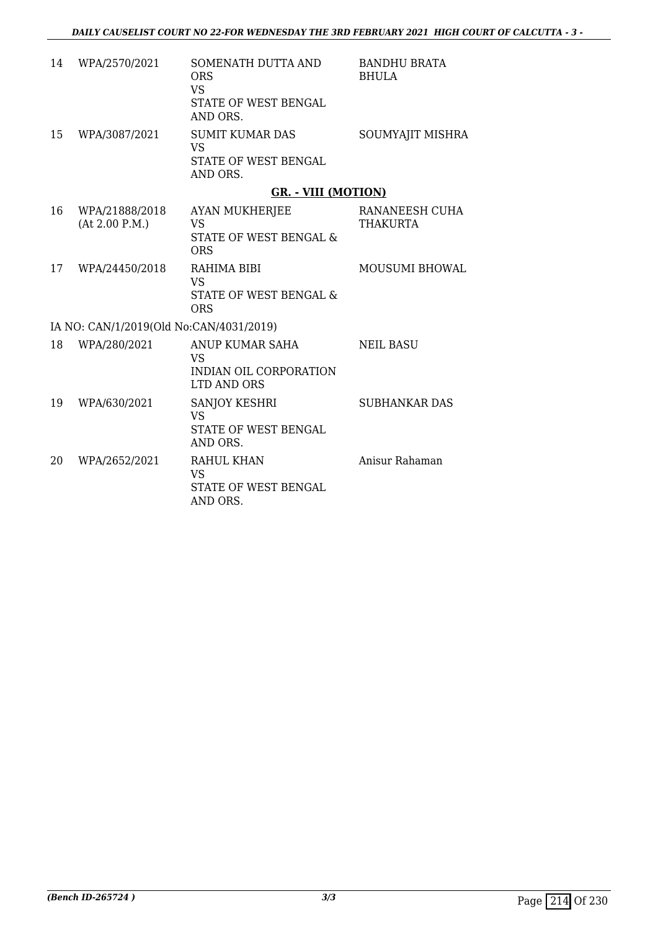| 14 | WPA/2570/2021                           | SOMENATH DUTTA AND<br><b>ORS</b><br><b>VS</b><br>STATE OF WEST BENGAL<br>AND ORS.     | <b>BANDHU BRATA</b><br><b>BHULA</b> |
|----|-----------------------------------------|---------------------------------------------------------------------------------------|-------------------------------------|
| 15 | WPA/3087/2021                           | <b>SUMIT KUMAR DAS</b><br><b>VS</b><br>STATE OF WEST BENGAL<br>AND ORS.               | SOUMYAJIT MISHRA                    |
|    |                                         | <b>GR. - VIII (MOTION)</b>                                                            |                                     |
| 16 | WPA/21888/2018<br>(At 2.00 P.M.)        | <b>AYAN MUKHERJEE</b><br><b>VS</b><br><b>STATE OF WEST BENGAL &amp;</b><br><b>ORS</b> | RANANEESH CUHA<br>THAKURTA          |
| 17 | WPA/24450/2018                          | RAHIMA BIBI<br><b>VS</b><br>STATE OF WEST BENGAL &<br><b>ORS</b>                      | <b>MOUSUMI BHOWAL</b>               |
|    | IA NO: CAN/1/2019(Old No:CAN/4031/2019) |                                                                                       |                                     |
| 18 | WPA/280/2021                            | ANUP KUMAR SAHA<br><b>VS</b><br>INDIAN OIL CORPORATION<br>LTD AND ORS                 | <b>NEIL BASU</b>                    |
| 19 | WPA/630/2021                            | <b>SANJOY KESHRI</b><br><b>VS</b><br>STATE OF WEST BENGAL<br>AND ORS.                 | <b>SUBHANKAR DAS</b>                |
| 20 | WPA/2652/2021                           | RAHUL KHAN<br>VS<br>STATE OF WEST BENGAL<br>AND ORS.                                  | Anisur Rahaman                      |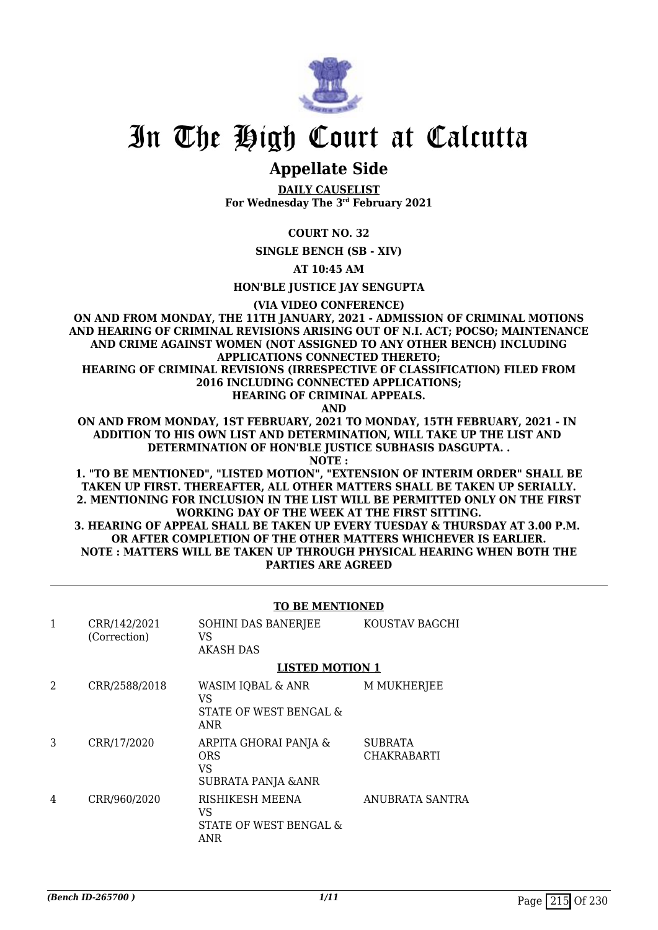

# In The High Court at Calcutta

## **Appellate Side**

**DAILY CAUSELIST For Wednesday The 3rd February 2021**

### **COURT NO. 32**

**SINGLE BENCH (SB - XIV)**

**AT 10:45 AM**

**HON'BLE JUSTICE JAY SENGUPTA**

**(VIA VIDEO CONFERENCE)**

**ON AND FROM MONDAY, THE 11TH JANUARY, 2021 - ADMISSION OF CRIMINAL MOTIONS AND HEARING OF CRIMINAL REVISIONS ARISING OUT OF N.I. ACT; POCSO; MAINTENANCE AND CRIME AGAINST WOMEN (NOT ASSIGNED TO ANY OTHER BENCH) INCLUDING APPLICATIONS CONNECTED THERETO;**

**HEARING OF CRIMINAL REVISIONS (IRRESPECTIVE OF CLASSIFICATION) FILED FROM 2016 INCLUDING CONNECTED APPLICATIONS;**

**HEARING OF CRIMINAL APPEALS.**

 **AND**

**ON AND FROM MONDAY, 1ST FEBRUARY, 2021 TO MONDAY, 15TH FEBRUARY, 2021 - IN ADDITION TO HIS OWN LIST AND DETERMINATION, WILL TAKE UP THE LIST AND DETERMINATION OF HON'BLE JUSTICE SUBHASIS DASGUPTA. .**

**NOTE :**

**1. "TO BE MENTIONED", "LISTED MOTION", "EXTENSION OF INTERIM ORDER" SHALL BE TAKEN UP FIRST. THEREAFTER, ALL OTHER MATTERS SHALL BE TAKEN UP SERIALLY. 2. MENTIONING FOR INCLUSION IN THE LIST WILL BE PERMITTED ONLY ON THE FIRST WORKING DAY OF THE WEEK AT THE FIRST SITTING. 3. HEARING OF APPEAL SHALL BE TAKEN UP EVERY TUESDAY & THURSDAY AT 3.00 P.M. OR AFTER COMPLETION OF THE OTHER MATTERS WHICHEVER IS EARLIER. NOTE : MATTERS WILL BE TAKEN UP THROUGH PHYSICAL HEARING WHEN BOTH THE PARTIES ARE AGREED**

### **TO BE MENTIONED**

| $\mathbf{1}$ | CRR/142/2021<br>(Correction) | SOHINI DAS BANERJEE<br>VS<br><b>AKASH DAS</b>             | KOUSTAV BAGCHI                |
|--------------|------------------------------|-----------------------------------------------------------|-------------------------------|
|              |                              | <b>LISTED MOTION 1</b>                                    |                               |
| 2            | CRR/2588/2018                | WASIM IQBAL & ANR<br>VS<br>STATE OF WEST BENGAL &<br>ANR  | M MUKHERJEE                   |
| 3            | CRR/17/2020                  | ARPITA GHORAI PANJA &<br>ORS<br>VS<br>SUBRATA PANJA & ANR | <b>SUBRATA</b><br>CHAKRABARTI |
| 4            | CRR/960/2020                 | RISHIKESH MEENA<br>VS<br>STATE OF WEST BENGAL &<br>ANR    | <b>ANUBRATA SANTRA</b>        |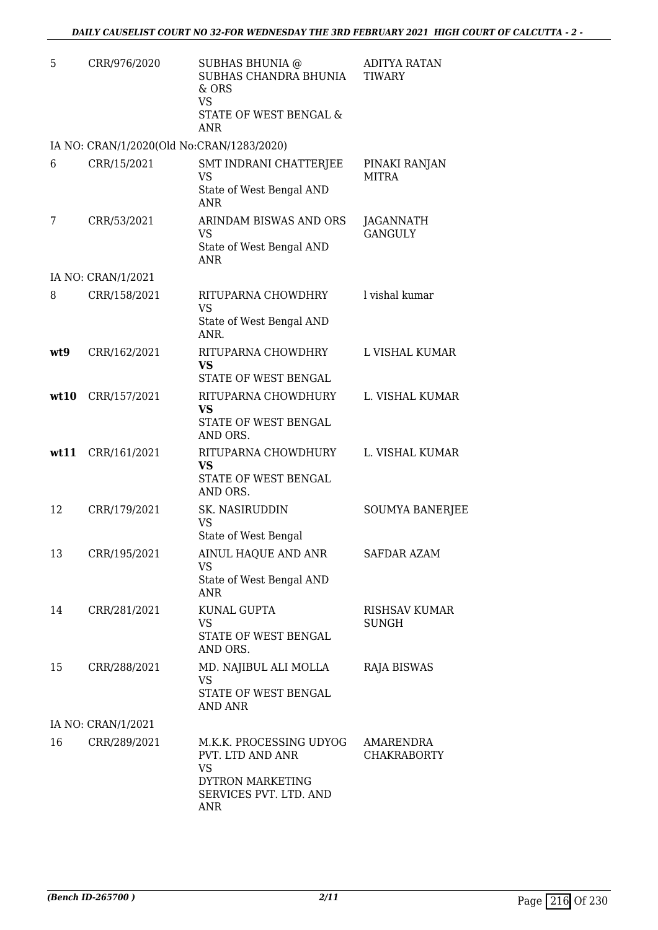| 5   | CRR/976/2020                              | SUBHAS BHUNIA @<br>SUBHAS CHANDRA BHUNIA<br>& ORS<br><b>VS</b>                | <b>ADITYA RATAN</b><br><b>TIWARY</b>   |
|-----|-------------------------------------------|-------------------------------------------------------------------------------|----------------------------------------|
|     |                                           | STATE OF WEST BENGAL &<br><b>ANR</b>                                          |                                        |
|     | IA NO: CRAN/1/2020(Old No:CRAN/1283/2020) |                                                                               |                                        |
| 6   | CRR/15/2021                               | SMT INDRANI CHATTERJEE<br><b>VS</b>                                           | PINAKI RANJAN<br><b>MITRA</b>          |
|     |                                           | State of West Bengal AND<br><b>ANR</b>                                        |                                        |
| 7   | CRR/53/2021                               | ARINDAM BISWAS AND ORS<br><b>VS</b><br>State of West Bengal AND<br><b>ANR</b> | JAGANNATH<br><b>GANGULY</b>            |
|     | IA NO: CRAN/1/2021                        |                                                                               |                                        |
| 8   | CRR/158/2021                              | RITUPARNA CHOWDHRY<br><b>VS</b>                                               | l vishal kumar                         |
|     |                                           | State of West Bengal AND<br>ANR.                                              |                                        |
| wt9 | CRR/162/2021                              | RITUPARNA CHOWDHRY<br><b>VS</b>                                               | L VISHAL KUMAR                         |
|     |                                           | STATE OF WEST BENGAL                                                          |                                        |
|     | wt10 CRR/157/2021                         | RITUPARNA CHOWDHURY<br>VS                                                     | L. VISHAL KUMAR                        |
|     |                                           | STATE OF WEST BENGAL<br>AND ORS.                                              |                                        |
|     | wt11 CRR/161/2021                         | RITUPARNA CHOWDHURY<br><b>VS</b><br>STATE OF WEST BENGAL<br>AND ORS.          | L. VISHAL KUMAR                        |
| 12  | CRR/179/2021                              | SK. NASIRUDDIN<br><b>VS</b>                                                   | <b>SOUMYA BANERJEE</b>                 |
|     |                                           | State of West Bengal                                                          |                                        |
| 13  | CRR/195/2021                              | AINUL HAQUE AND ANR<br>VS<br>State of West Bengal AND                         | SAFDAR AZAM                            |
|     |                                           | ANR                                                                           |                                        |
| 14  | CRR/281/2021                              | KUNAL GUPTA<br><b>VS</b>                                                      | <b>RISHSAV KUMAR</b><br><b>SUNGH</b>   |
|     |                                           | STATE OF WEST BENGAL<br>AND ORS.                                              |                                        |
| 15  | CRR/288/2021                              | MD. NAJIBUL ALI MOLLA<br>VS                                                   | RAJA BISWAS                            |
|     |                                           | STATE OF WEST BENGAL<br>AND ANR                                               |                                        |
|     | IA NO: CRAN/1/2021                        |                                                                               |                                        |
| 16  | CRR/289/2021                              | M.K.K. PROCESSING UDYOG<br>PVT. LTD AND ANR<br><b>VS</b><br>DYTRON MARKETING  | <b>AMARENDRA</b><br><b>CHAKRABORTY</b> |
|     |                                           | SERVICES PVT. LTD. AND<br>ANR                                                 |                                        |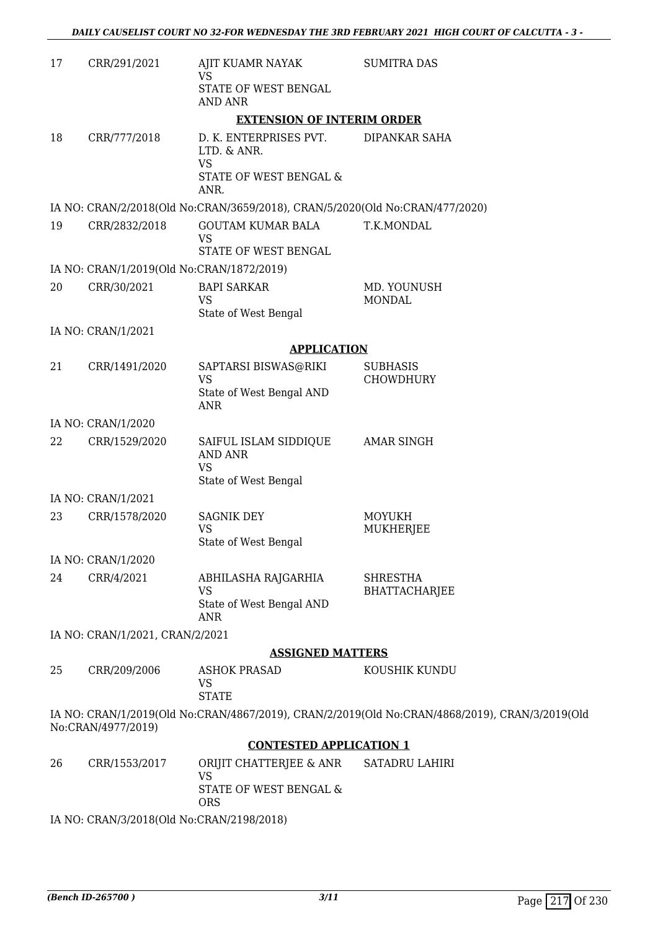| 17 | CRR/291/2021                              | AJIT KUAMR NAYAK<br>VS                                                               | <b>SUMITRA DAS</b>                                                                             |
|----|-------------------------------------------|--------------------------------------------------------------------------------------|------------------------------------------------------------------------------------------------|
|    |                                           | STATE OF WEST BENGAL<br><b>AND ANR</b>                                               |                                                                                                |
|    |                                           | <b>EXTENSION OF INTERIM ORDER</b>                                                    |                                                                                                |
| 18 | CRR/777/2018                              | D. K. ENTERPRISES PVT.<br>LTD. & ANR.<br><b>VS</b><br>STATE OF WEST BENGAL &<br>ANR. | <b>DIPANKAR SAHA</b>                                                                           |
|    |                                           | IA NO: CRAN/2/2018(Old No:CRAN/3659/2018), CRAN/5/2020(Old No:CRAN/477/2020)         |                                                                                                |
| 19 | CRR/2832/2018                             | <b>GOUTAM KUMAR BALA</b><br><b>VS</b><br>STATE OF WEST BENGAL                        | T.K.MONDAL                                                                                     |
|    | IA NO: CRAN/1/2019(Old No:CRAN/1872/2019) |                                                                                      |                                                                                                |
| 20 | CRR/30/2021                               | <b>BAPI SARKAR</b><br><b>VS</b><br>State of West Bengal                              | MD. YOUNUSH<br><b>MONDAL</b>                                                                   |
|    | IA NO: CRAN/1/2021                        |                                                                                      |                                                                                                |
|    |                                           | <b>APPLICATION</b>                                                                   |                                                                                                |
| 21 | CRR/1491/2020                             | SAPTARSI BISWAS@RIKI<br><b>VS</b><br>State of West Bengal AND<br><b>ANR</b>          | <b>SUBHASIS</b><br>CHOWDHURY                                                                   |
|    | IA NO: CRAN/1/2020                        |                                                                                      |                                                                                                |
| 22 | CRR/1529/2020                             | SAIFUL ISLAM SIDDIQUE<br><b>AND ANR</b><br><b>VS</b><br>State of West Bengal         | <b>AMAR SINGH</b>                                                                              |
|    | IA NO: CRAN/1/2021                        |                                                                                      |                                                                                                |
| 23 | CRR/1578/2020                             | <b>SAGNIK DEY</b><br><b>VS</b><br>State of West Bengal                               | <b>MOYUKH</b><br>MUKHERJEE                                                                     |
|    | IA NO: CRAN/1/2020                        |                                                                                      |                                                                                                |
| 24 | CRR/4/2021                                | ABHILASHA RAJGARHIA<br><b>VS</b><br>State of West Bengal AND<br><b>ANR</b>           | <b>SHRESTHA</b><br><b>BHATTACHARJEE</b>                                                        |
|    | IA NO: CRAN/1/2021, CRAN/2/2021           |                                                                                      |                                                                                                |
|    |                                           | <b>ASSIGNED MATTERS</b>                                                              |                                                                                                |
| 25 | CRR/209/2006                              | <b>ASHOK PRASAD</b><br>VS<br><b>STATE</b>                                            | KOUSHIK KUNDU                                                                                  |
|    | No:CRAN/4977/2019)                        |                                                                                      | IA NO: CRAN/1/2019(Old No:CRAN/4867/2019), CRAN/2/2019(Old No:CRAN/4868/2019), CRAN/3/2019(Old |
|    |                                           | <b>CONTESTED APPLICATION 1</b>                                                       |                                                                                                |
| 26 | CRR/1553/2017                             | ORIJIT CHATTERJEE & ANR<br><b>VS</b><br>STATE OF WEST BENGAL &                       | SATADRU LAHIRI                                                                                 |
|    | IA NO: CRAN/3/2018(Old No:CRAN/2198/2018) | <b>ORS</b>                                                                           |                                                                                                |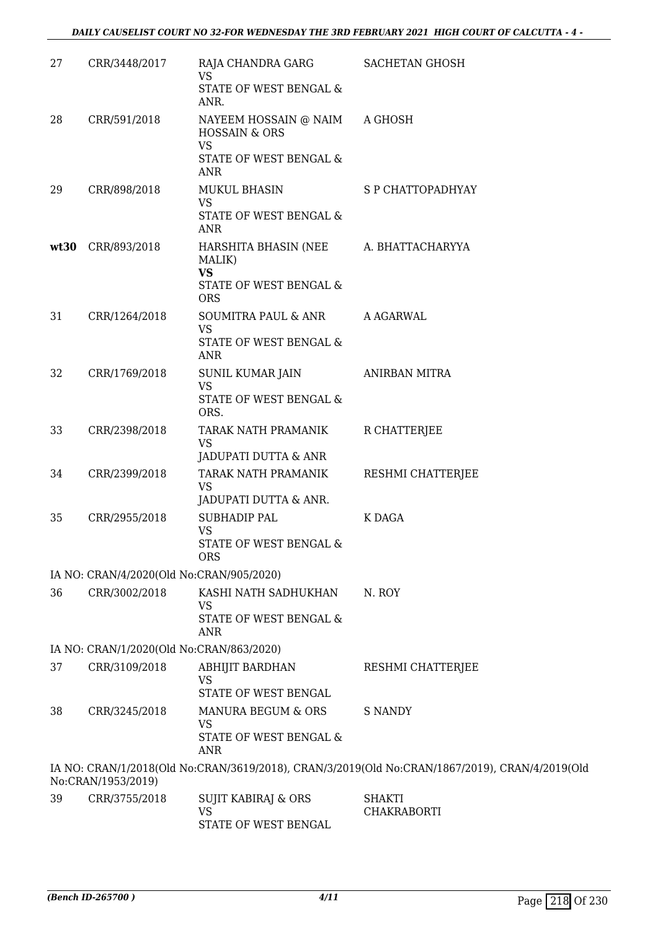| 27   | CRR/3448/2017                            | RAJA CHANDRA GARG<br><b>VS</b>                                                      | <b>SACHETAN GHOSH</b>                                                                          |
|------|------------------------------------------|-------------------------------------------------------------------------------------|------------------------------------------------------------------------------------------------|
|      |                                          | STATE OF WEST BENGAL &<br>ANR.                                                      |                                                                                                |
| 28   | CRR/591/2018                             | NAYEEM HOSSAIN @ NAIM<br><b>HOSSAIN &amp; ORS</b><br><b>VS</b>                      | A GHOSH                                                                                        |
|      |                                          | STATE OF WEST BENGAL &<br>ANR                                                       |                                                                                                |
| 29   | CRR/898/2018                             | MUKUL BHASIN<br><b>VS</b><br>STATE OF WEST BENGAL &<br><b>ANR</b>                   | S P CHATTOPADHYAY                                                                              |
| wt30 | CRR/893/2018                             | HARSHITA BHASIN (NEE<br>MALIK)<br><b>VS</b><br>STATE OF WEST BENGAL &<br><b>ORS</b> | A. BHATTACHARYYA                                                                               |
| 31   | CRR/1264/2018                            | SOUMITRA PAUL & ANR<br><b>VS</b><br>STATE OF WEST BENGAL &<br>ANR                   | A AGARWAL                                                                                      |
| 32   | CRR/1769/2018                            | SUNIL KUMAR JAIN<br><b>VS</b><br>STATE OF WEST BENGAL &<br>ORS.                     | <b>ANIRBAN MITRA</b>                                                                           |
| 33   | CRR/2398/2018                            | TARAK NATH PRAMANIK<br><b>VS</b><br>JADUPATI DUTTA & ANR                            | R CHATTERJEE                                                                                   |
| 34   | CRR/2399/2018                            | TARAK NATH PRAMANIK<br><b>VS</b><br>JADUPATI DUTTA & ANR.                           | RESHMI CHATTERJEE                                                                              |
| 35   | CRR/2955/2018                            | <b>SUBHADIP PAL</b><br><b>VS</b><br>STATE OF WEST BENGAL &<br><b>ORS</b>            | K DAGA                                                                                         |
|      | IA NO: CRAN/4/2020(Old No:CRAN/905/2020) |                                                                                     |                                                                                                |
| 36   | CRR/3002/2018                            | KASHI NATH SADHUKHAN<br><b>VS</b><br>STATE OF WEST BENGAL &<br><b>ANR</b>           | N. ROY                                                                                         |
|      | IA NO: CRAN/1/2020(Old No:CRAN/863/2020) |                                                                                     |                                                                                                |
| 37   | CRR/3109/2018                            | <b>ABHIJIT BARDHAN</b><br><b>VS</b><br>STATE OF WEST BENGAL                         | RESHMI CHATTERJEE                                                                              |
| 38   | CRR/3245/2018                            | MANURA BEGUM & ORS<br><b>VS</b><br>STATE OF WEST BENGAL &<br><b>ANR</b>             | <b>S NANDY</b>                                                                                 |
|      | No:CRAN/1953/2019)                       |                                                                                     | IA NO: CRAN/1/2018(Old No:CRAN/3619/2018), CRAN/3/2019(Old No:CRAN/1867/2019), CRAN/4/2019(Old |
| 39   | CRR/3755/2018                            | SUJIT KABIRAJ & ORS<br><b>VS</b><br>STATE OF WEST BENGAL                            | SHAKTI<br><b>CHAKRABORTI</b>                                                                   |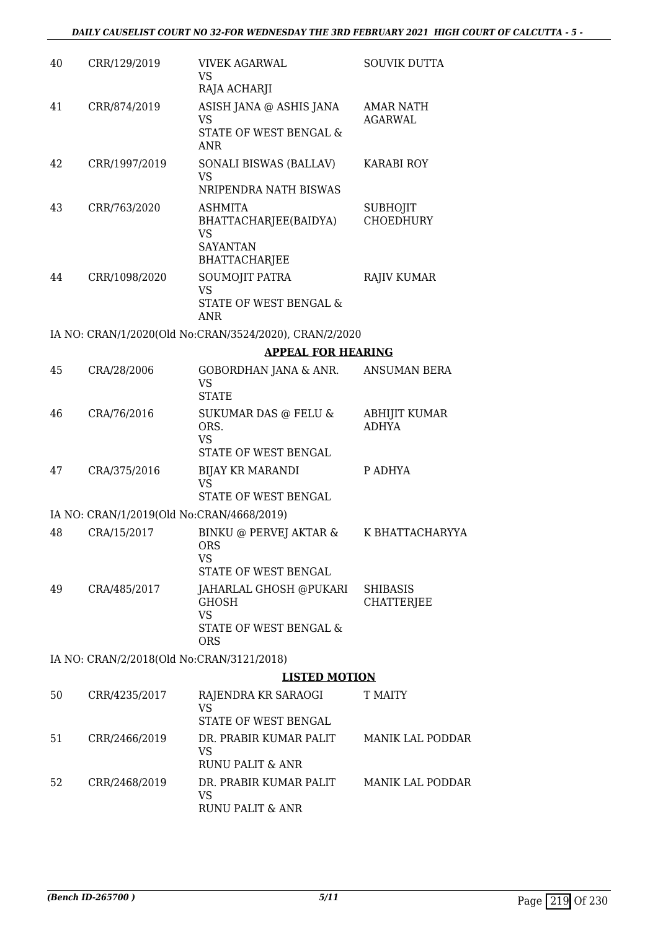| 40 | CRR/129/2019                              | <b>VIVEK AGARWAL</b><br>VS<br>RAJA ACHARJI                                                  | <b>SOUVIK DUTTA</b>                  |
|----|-------------------------------------------|---------------------------------------------------------------------------------------------|--------------------------------------|
| 41 | CRR/874/2019                              | ASISH JANA @ ASHIS JANA<br><b>VS</b><br><b>STATE OF WEST BENGAL &amp;</b><br><b>ANR</b>     | AMAR NATH<br><b>AGARWAL</b>          |
| 42 | CRR/1997/2019                             | SONALI BISWAS (BALLAV)<br><b>VS</b><br>NRIPENDRA NATH BISWAS                                | <b>KARABI ROY</b>                    |
| 43 | CRR/763/2020                              | ASHMITA<br>BHATTACHARJEE(BAIDYA)<br><b>VS</b><br><b>SAYANTAN</b><br><b>BHATTACHARJEE</b>    | SUBHOJIT<br><b>CHOEDHURY</b>         |
| 44 | CRR/1098/2020                             | SOUMOJIT PATRA<br><b>VS</b><br>STATE OF WEST BENGAL &<br><b>ANR</b>                         | <b>RAJIV KUMAR</b>                   |
|    |                                           | IA NO: CRAN/1/2020(Old No:CRAN/3524/2020), CRAN/2/2020                                      |                                      |
|    |                                           | <b>APPEAL FOR HEARING</b>                                                                   |                                      |
| 45 | CRA/28/2006                               | GOBORDHAN JANA & ANR.<br><b>VS</b><br><b>STATE</b>                                          | <b>ANSUMAN BERA</b>                  |
| 46 | CRA/76/2016                               | SUKUMAR DAS @ FELU &<br>ORS.<br><b>VS</b><br>STATE OF WEST BENGAL                           | <b>ABHIJIT KUMAR</b><br><b>ADHYA</b> |
| 47 | CRA/375/2016                              | <b>BIJAY KR MARANDI</b><br><b>VS</b><br>STATE OF WEST BENGAL                                | P ADHYA                              |
|    | IA NO: CRAN/1/2019(Old No:CRAN/4668/2019) |                                                                                             |                                      |
| 48 | CRA/15/2017                               | BINKU @ PERVEJ AKTAR &<br>ORS<br>VS<br>STATE OF WEST BENGAL                                 | K BHATTACHARYYA                      |
| 49 | CRA/485/2017                              | JAHARLAL GHOSH @PUKARI<br><b>GHOSH</b><br><b>VS</b><br>STATE OF WEST BENGAL &<br><b>ORS</b> | <b>SHIBASIS</b><br><b>CHATTERJEE</b> |
|    | IA NO: CRAN/2/2018(Old No:CRAN/3121/2018) |                                                                                             |                                      |
|    |                                           | <b>LISTED MOTION</b>                                                                        |                                      |
| 50 | CRR/4235/2017                             | RAJENDRA KR SARAOGI<br>VS<br>STATE OF WEST BENGAL                                           | T MAITY                              |
| 51 | CRR/2466/2019                             | DR. PRABIR KUMAR PALIT<br>VS<br><b>RUNU PALIT &amp; ANR</b>                                 | <b>MANIK LAL PODDAR</b>              |
| 52 | CRR/2468/2019                             | DR. PRABIR KUMAR PALIT<br>VS<br><b>RUNU PALIT &amp; ANR</b>                                 | <b>MANIK LAL PODDAR</b>              |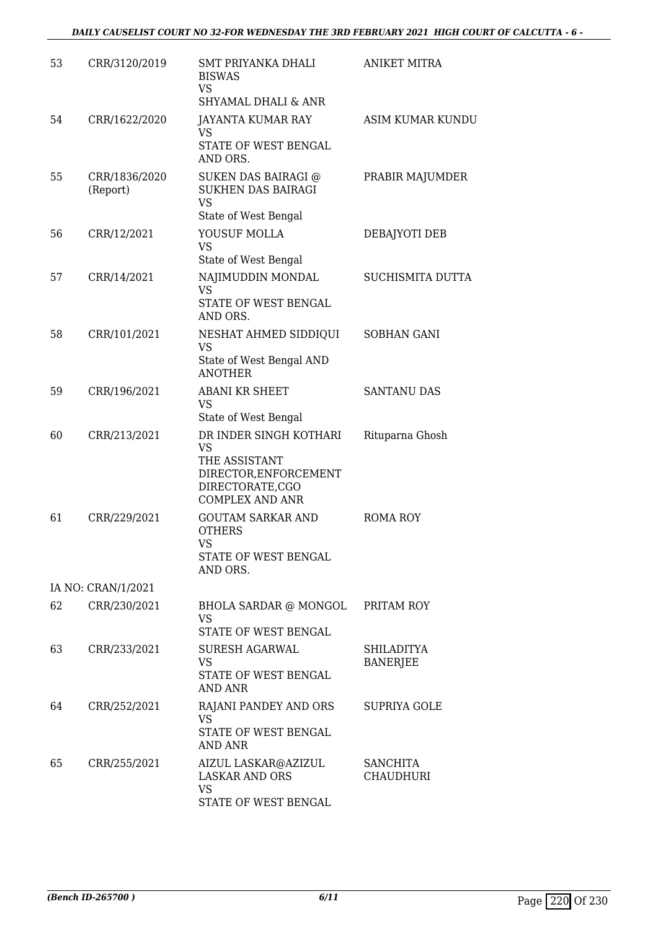| 53 | CRR/3120/2019             | SMT PRIYANKA DHALI<br><b>BISWAS</b><br>VS<br><b>SHYAMAL DHALI &amp; ANR</b>                                                | <b>ANIKET MITRA</b>                  |
|----|---------------------------|----------------------------------------------------------------------------------------------------------------------------|--------------------------------------|
| 54 | CRR/1622/2020             | <b>JAYANTA KUMAR RAY</b><br>VS<br>STATE OF WEST BENGAL<br>AND ORS.                                                         | <b>ASIM KUMAR KUNDU</b>              |
| 55 | CRR/1836/2020<br>(Report) | SUKEN DAS BAIRAGI @<br>SUKHEN DAS BAIRAGI<br><b>VS</b>                                                                     | PRABIR MAJUMDER                      |
| 56 | CRR/12/2021               | State of West Bengal<br>YOUSUF MOLLA<br>VS<br>State of West Bengal                                                         | DEBAJYOTI DEB                        |
| 57 | CRR/14/2021               | NAJIMUDDIN MONDAL<br><b>VS</b><br>STATE OF WEST BENGAL<br>AND ORS.                                                         | SUCHISMITA DUTTA                     |
| 58 | CRR/101/2021              | NESHAT AHMED SIDDIQUI<br><b>VS</b><br>State of West Bengal AND<br><b>ANOTHER</b>                                           | SOBHAN GANI                          |
| 59 | CRR/196/2021              | <b>ABANI KR SHEET</b><br>VS<br>State of West Bengal                                                                        | <b>SANTANU DAS</b>                   |
| 60 | CRR/213/2021              | DR INDER SINGH KOTHARI<br><b>VS</b><br>THE ASSISTANT<br>DIRECTOR, ENFORCEMENT<br>DIRECTORATE,CGO<br><b>COMPLEX AND ANR</b> | Rituparna Ghosh                      |
| 61 | CRR/229/2021              | <b>GOUTAM SARKAR AND</b><br><b>OTHERS</b><br><b>VS</b><br>STATE OF WEST BENGAL<br>AND ORS.                                 | ROMA ROY                             |
|    | IA NO: CRAN/1/2021        |                                                                                                                            |                                      |
| 62 | CRR/230/2021              | BHOLA SARDAR @ MONGOL PRITAM ROY<br><b>VS</b><br>STATE OF WEST BENGAL                                                      |                                      |
| 63 | CRR/233/2021              | <b>SURESH AGARWAL</b><br>VS.<br>STATE OF WEST BENGAL<br>AND ANR                                                            | <b>SHILADITYA</b><br><b>BANERJEE</b> |
| 64 | CRR/252/2021              | RAJANI PANDEY AND ORS<br><b>VS</b><br>STATE OF WEST BENGAL<br>AND ANR                                                      | <b>SUPRIYA GOLE</b>                  |
| 65 | CRR/255/2021              | AIZUL LASKAR@AZIZUL<br><b>LASKAR AND ORS</b><br><b>VS</b><br>STATE OF WEST BENGAL                                          | <b>SANCHITA</b><br><b>CHAUDHURI</b>  |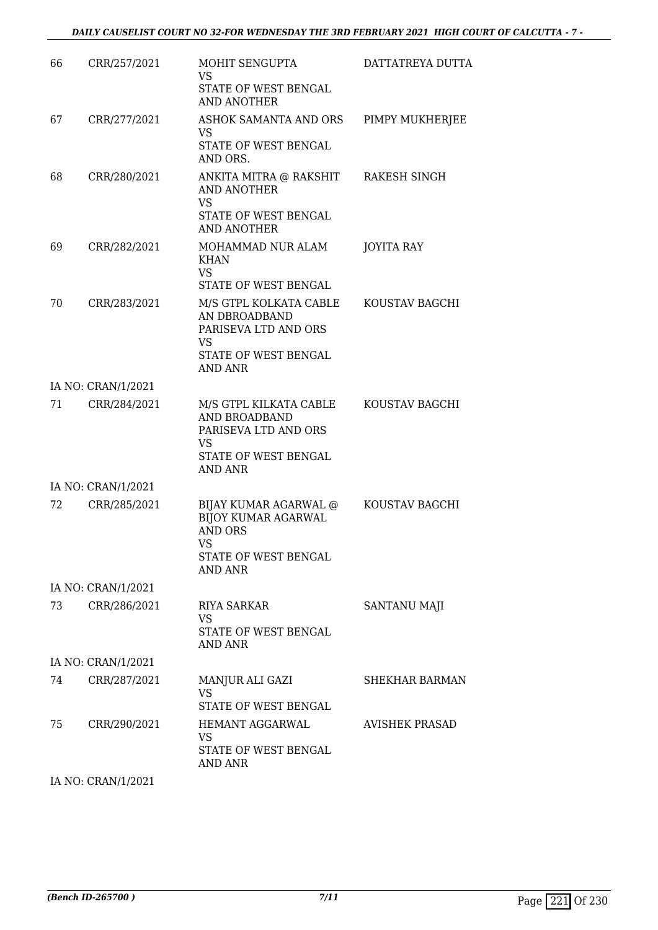| 66  | CRR/257/2021       | MOHIT SENGUPTA<br>VS                                                                                                  | DATTATREYA DUTTA      |
|-----|--------------------|-----------------------------------------------------------------------------------------------------------------------|-----------------------|
|     |                    | STATE OF WEST BENGAL<br>AND ANOTHER                                                                                   |                       |
| 67  | CRR/277/2021       | ASHOK SAMANTA AND ORS<br><b>VS</b>                                                                                    | PIMPY MUKHERJEE       |
|     |                    | STATE OF WEST BENGAL<br>AND ORS.                                                                                      |                       |
| 68  | CRR/280/2021       | ANKITA MITRA @ RAKSHIT<br>AND ANOTHER<br><b>VS</b><br>STATE OF WEST BENGAL                                            | RAKESH SINGH          |
|     |                    | <b>AND ANOTHER</b>                                                                                                    |                       |
| 69  | CRR/282/2021       | MOHAMMAD NUR ALAM<br>KHAN<br><b>VS</b>                                                                                | JOYITA RAY            |
|     |                    | STATE OF WEST BENGAL                                                                                                  |                       |
| 70  | CRR/283/2021       | M/S GTPL KOLKATA CABLE<br>AN DBROADBAND<br>PARISEVA LTD AND ORS<br>VS                                                 | KOUSTAV BAGCHI        |
|     |                    | STATE OF WEST BENGAL<br>AND ANR                                                                                       |                       |
|     | IA NO: CRAN/1/2021 |                                                                                                                       |                       |
| 71  | CRR/284/2021       | M/S GTPL KILKATA CABLE<br>AND BROADBAND<br>PARISEVA LTD AND ORS<br>VS                                                 | KOUSTAV BAGCHI        |
|     |                    | STATE OF WEST BENGAL<br>AND ANR                                                                                       |                       |
|     | IA NO: CRAN/1/2021 |                                                                                                                       |                       |
| 72  | CRR/285/2021       | BIJAY KUMAR AGARWAL @<br><b>BIJOY KUMAR AGARWAL</b><br><b>AND ORS</b><br>VS<br>STATE OF WEST BENGAL<br><b>AND ANR</b> | KOUSTAV BAGCHI        |
|     | IA NO: CRAN/1/2021 |                                                                                                                       |                       |
| 73. | CRR/286/2021       | <b>RIYA SARKAR</b>                                                                                                    | SANTANU MAJI          |
|     |                    | VS<br>STATE OF WEST BENGAL<br><b>AND ANR</b>                                                                          |                       |
|     | IA NO: CRAN/1/2021 |                                                                                                                       |                       |
| 74  | CRR/287/2021       | MANJUR ALI GAZI<br><b>VS</b><br>STATE OF WEST BENGAL                                                                  | SHEKHAR BARMAN        |
| 75  | CRR/290/2021       | HEMANT AGGARWAL                                                                                                       | <b>AVISHEK PRASAD</b> |
|     |                    | <b>VS</b><br>STATE OF WEST BENGAL<br>AND ANR                                                                          |                       |
|     |                    |                                                                                                                       |                       |

IA NO: CRAN/1/2021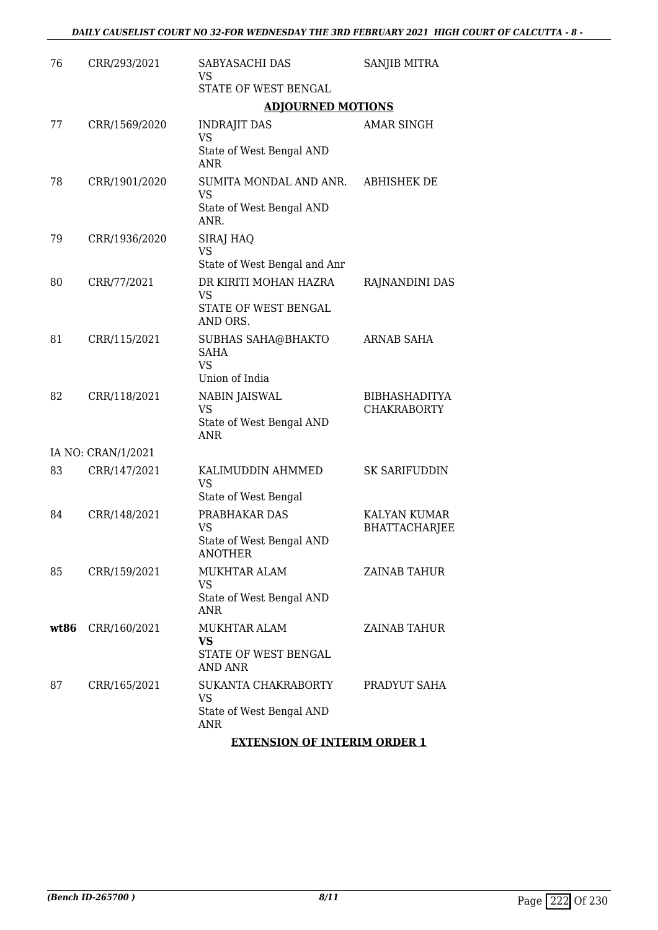| 76   | CRR/293/2021       | SABYASACHI DAS<br>VS                                                        | SANJIB MITRA                                |
|------|--------------------|-----------------------------------------------------------------------------|---------------------------------------------|
|      |                    | STATE OF WEST BENGAL                                                        |                                             |
|      |                    | <b>ADJOURNED MOTIONS</b>                                                    |                                             |
| 77   | CRR/1569/2020      | <b>INDRAJIT DAS</b><br><b>VS</b>                                            | AMAR SINGH                                  |
|      |                    | State of West Bengal AND<br><b>ANR</b>                                      |                                             |
| 78   | CRR/1901/2020      | SUMITA MONDAL AND ANR.<br>VS<br>State of West Bengal AND<br>ANR.            | <b>ABHISHEK DE</b>                          |
| 79   | CRR/1936/2020      | SIRAJ HAQ<br><b>VS</b><br>State of West Bengal and Anr                      |                                             |
| 80   | CRR/77/2021        | DR KIRITI MOHAN HAZRA                                                       | RAJNANDINI DAS                              |
|      |                    | VS<br>STATE OF WEST BENGAL<br>AND ORS.                                      |                                             |
| 81   | CRR/115/2021       | <b>SUBHAS SAHA@BHAKTO</b><br>SAHA<br><b>VS</b>                              | ARNAB SAHA                                  |
|      |                    | Union of India                                                              |                                             |
| 82   | CRR/118/2021       | <b>NABIN JAISWAL</b><br><b>VS</b><br>State of West Bengal AND<br><b>ANR</b> | <b>BIBHASHADITYA</b><br><b>CHAKRABORTY</b>  |
|      | IA NO: CRAN/1/2021 |                                                                             |                                             |
| 83   | CRR/147/2021       | KALIMUDDIN AHMMED<br><b>VS</b><br>State of West Bengal                      | <b>SK SARIFUDDIN</b>                        |
| 84   | CRR/148/2021       | PRABHAKAR DAS<br><b>VS</b><br>State of West Bengal AND<br><b>ANOTHER</b>    | <b>KALYAN KUMAR</b><br><b>BHATTACHARJEE</b> |
| 85   | CRR/159/2021       | <b>MUKHTAR ALAM</b><br>VS<br>State of West Bengal AND<br>ANR                | ZAINAB TAHUR                                |
| wt86 | CRR/160/2021       | <b>MUKHTAR ALAM</b><br>VS<br>STATE OF WEST BENGAL<br>AND ANR                | ZAINAB TAHUR                                |
| 87   | CRR/165/2021       | SUKANTA CHAKRABORTY<br><b>VS</b><br>State of West Bengal AND<br>ANR         | PRADYUT SAHA                                |
|      |                    |                                                                             |                                             |

**EXTENSION OF INTERIM ORDER 1**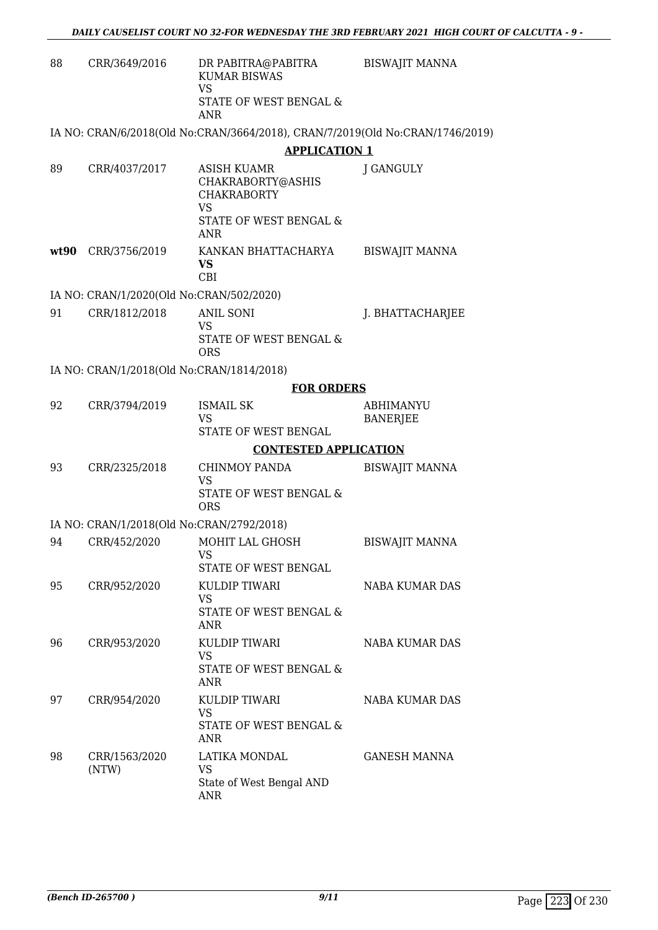| 88   | CRR/3649/2016                                             | DR PABITRA@PABITRA<br><b>KUMAR BISWAS</b><br><b>VS</b><br>STATE OF WEST BENGAL &<br><b>ANR</b>       | <b>BISWAJIT MANNA</b>        |
|------|-----------------------------------------------------------|------------------------------------------------------------------------------------------------------|------------------------------|
|      |                                                           | IA NO: CRAN/6/2018(Old No:CRAN/3664/2018), CRAN/7/2019(Old No:CRAN/1746/2019)                        |                              |
|      |                                                           | <b>APPLICATION 1</b>                                                                                 |                              |
| 89   | CRR/4037/2017                                             | ASISH KUAMR<br>CHAKRABORTY@ASHIS<br><b>CHAKRABORTY</b><br><b>VS</b><br>STATE OF WEST BENGAL &<br>ANR | J GANGULY                    |
| wt90 | CRR/3756/2019                                             | KANKAN BHATTACHARYA<br>VS<br><b>CBI</b>                                                              | <b>BISWAJIT MANNA</b>        |
|      | IA NO: CRAN/1/2020(Old No:CRAN/502/2020)                  |                                                                                                      |                              |
| 91   | CRR/1812/2018                                             | <b>ANIL SONI</b><br>VS<br>STATE OF WEST BENGAL &<br><b>ORS</b>                                       | J. BHATTACHARJEE             |
|      | IA NO: CRAN/1/2018(Old No:CRAN/1814/2018)                 |                                                                                                      |                              |
|      |                                                           | <b>FOR ORDERS</b>                                                                                    |                              |
| 92   | CRR/3794/2019                                             | <b>ISMAIL SK</b><br>VS<br>STATE OF WEST BENGAL                                                       | ABHIMANYU<br><b>BANERJEE</b> |
|      |                                                           | <b>CONTESTED APPLICATION</b>                                                                         |                              |
| 93   | CRR/2325/2018                                             | <b>CHINMOY PANDA</b><br><b>VS</b><br>STATE OF WEST BENGAL &                                          | <b>BISWAJIT MANNA</b>        |
|      |                                                           | <b>ORS</b>                                                                                           |                              |
| 94   | IA NO: CRAN/1/2018(Old No:CRAN/2792/2018)<br>CRR/452/2020 | MOHIT LAL GHOSH                                                                                      | <b>BISWAJIT MANNA</b>        |
|      |                                                           | <b>VS</b><br>STATE OF WEST BENGAL                                                                    |                              |
| 95   | CRR/952/2020                                              | KULDIP TIWARI<br><b>VS</b><br>STATE OF WEST BENGAL &<br><b>ANR</b>                                   | NABA KUMAR DAS               |
| 96   | CRR/953/2020                                              | KULDIP TIWARI<br>VS<br>STATE OF WEST BENGAL &<br>ANR                                                 | <b>NABA KUMAR DAS</b>        |
| 97   | CRR/954/2020                                              | KULDIP TIWARI<br><b>VS</b><br>STATE OF WEST BENGAL &<br>ANR                                          | NABA KUMAR DAS               |
| 98   | CRR/1563/2020<br>(NTW)                                    | LATIKA MONDAL<br><b>VS</b><br>State of West Bengal AND<br>ANR                                        | <b>GANESH MANNA</b>          |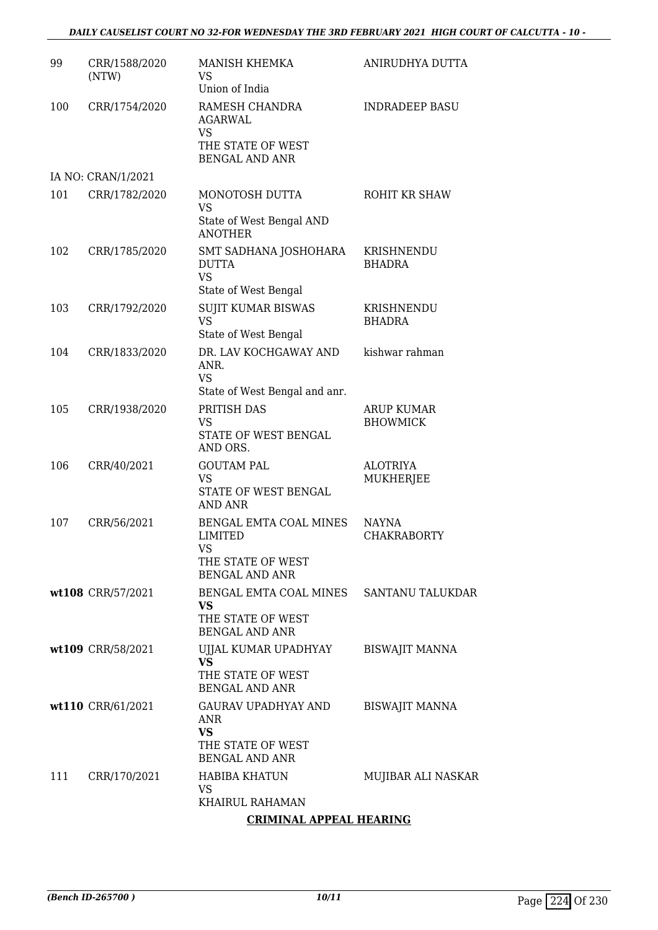### *DAILY CAUSELIST COURT NO 32-FOR WEDNESDAY THE 3RD FEBRUARY 2021 HIGH COURT OF CALCUTTA - 10 -*

| 99  | CRR/1588/2020<br>(NTW) | MANISH KHEMKA<br>VS<br>Union of India                                                               | ANIRUDHYA DUTTA                    |
|-----|------------------------|-----------------------------------------------------------------------------------------------------|------------------------------------|
| 100 | CRR/1754/2020          | RAMESH CHANDRA<br><b>AGARWAL</b><br>VS<br>THE STATE OF WEST<br><b>BENGAL AND ANR</b>                | <b>INDRADEEP BASU</b>              |
|     | IA NO: CRAN/1/2021     |                                                                                                     |                                    |
| 101 | CRR/1782/2020          | MONOTOSH DUTTA<br><b>VS</b><br>State of West Bengal AND                                             | ROHIT KR SHAW                      |
| 102 | CRR/1785/2020          | <b>ANOTHER</b><br>SMT SADHANA JOSHOHARA<br><b>DUTTA</b><br><b>VS</b><br>State of West Bengal        | KRISHNENDU<br><b>BHADRA</b>        |
| 103 | CRR/1792/2020          | <b>SUJIT KUMAR BISWAS</b><br><b>VS</b><br>State of West Bengal                                      | KRISHNENDU<br><b>BHADRA</b>        |
| 104 | CRR/1833/2020          | DR. LAV KOCHGAWAY AND<br>ANR.<br><b>VS</b><br>State of West Bengal and anr.                         | kishwar rahman                     |
| 105 | CRR/1938/2020          | PRITISH DAS<br><b>VS</b><br>STATE OF WEST BENGAL<br>AND ORS.                                        | ARUP KUMAR<br><b>BHOWMICK</b>      |
| 106 | CRR/40/2021            | <b>GOUTAM PAL</b><br><b>VS</b><br>STATE OF WEST BENGAL<br>AND ANR                                   | <b>ALOTRIYA</b><br>MUKHERJEE       |
| 107 | CRR/56/2021            | BENGAL EMTA COAL MINES<br><b>LIMITED</b><br><b>VS</b><br>THE STATE OF WEST<br><b>BENGAL AND ANR</b> | <b>NAYNA</b><br><b>CHAKRABORTY</b> |
|     | wt108 CRR/57/2021      | BENGAL EMTA COAL MINES SANTANU TALUKDAR<br><b>VS</b><br>THE STATE OF WEST<br><b>BENGAL AND ANR</b>  |                                    |
|     | wt109 CRR/58/2021      | UJJAL KUMAR UPADHYAY<br>VS.<br>THE STATE OF WEST<br><b>BENGAL AND ANR</b>                           | BISWAJIT MANNA                     |
|     | wt110 CRR/61/2021      | GAURAV UPADHYAY AND<br>ANR<br>VS<br>THE STATE OF WEST<br><b>BENGAL AND ANR</b>                      | <b>BISWAJIT MANNA</b>              |
| 111 | CRR/170/2021           | <b>HABIBA KHATUN</b><br>VS<br>KHAIRUL RAHAMAN                                                       | MUJIBAR ALI NASKAR                 |

### **CRIMINAL APPEAL HEARING**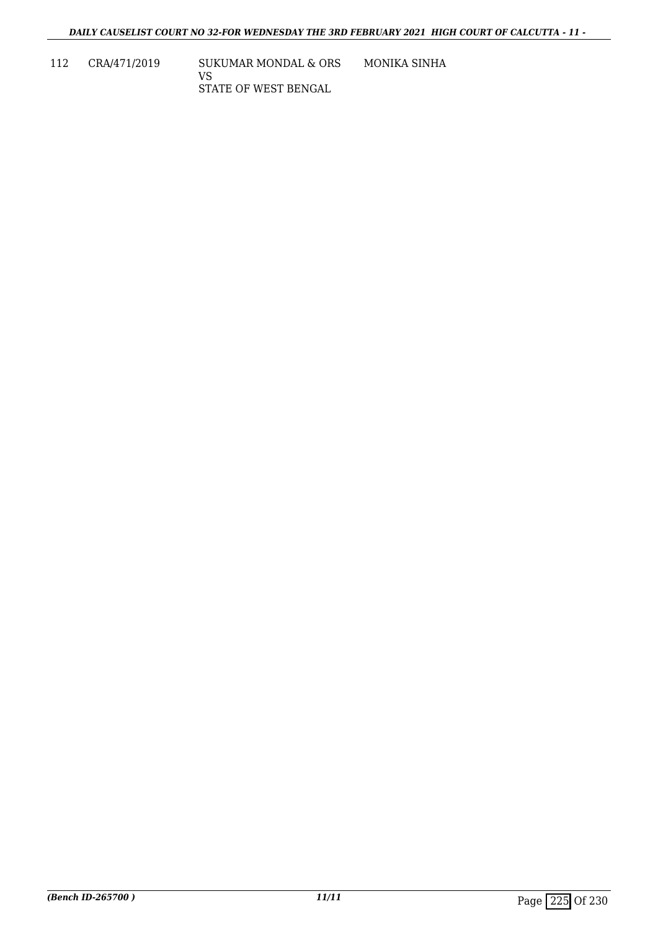112 CRA/471/2019 SUKUMAR MONDAL & ORS VS STATE OF WEST BENGAL MONIKA SINHA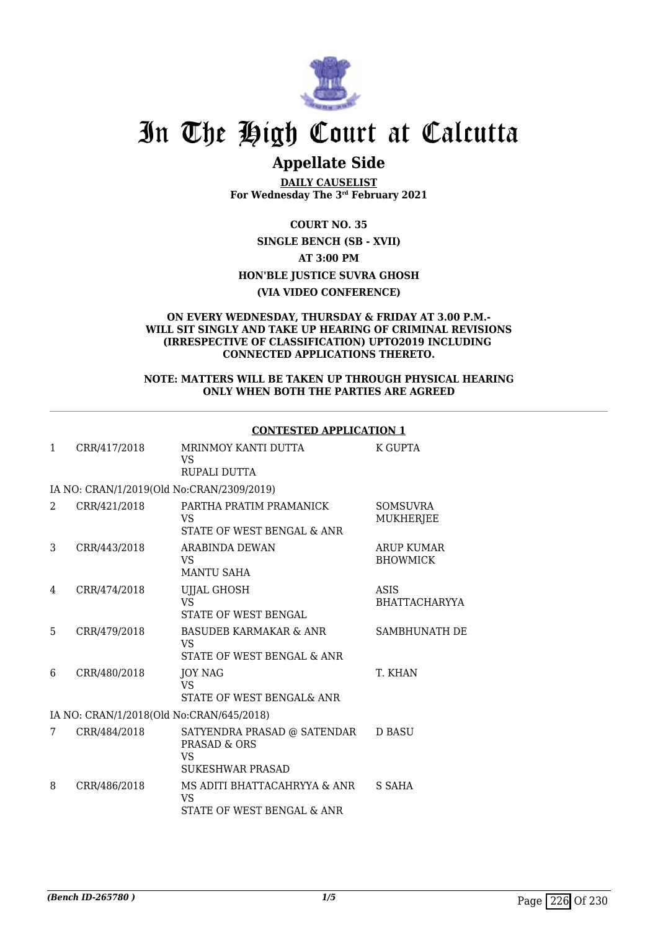

# In The High Court at Calcutta

## **Appellate Side**

**DAILY CAUSELIST For Wednesday The 3rd February 2021**

**COURT NO. 35 SINGLE BENCH (SB - XVII) AT 3:00 PM HON'BLE JUSTICE SUVRA GHOSH (VIA VIDEO CONFERENCE)**

#### **ON EVERY WEDNESDAY, THURSDAY & FRIDAY AT 3.00 P.M.- WILL SIT SINGLY AND TAKE UP HEARING OF CRIMINAL REVISIONS (IRRESPECTIVE OF CLASSIFICATION) UPTO2019 INCLUDING CONNECTED APPLICATIONS THERETO.**

#### **NOTE: MATTERS WILL BE TAKEN UP THROUGH PHYSICAL HEARING ONLY WHEN BOTH THE PARTIES ARE AGREED**

|   |                                           | <u> CUNTLƏTLIJ AFFLICATIUN T</u>                                                         |                                      |
|---|-------------------------------------------|------------------------------------------------------------------------------------------|--------------------------------------|
| 1 | CRR/417/2018                              | MRINMOY KANTI DUTTA<br><b>VS</b><br>RUPALI DUTTA                                         | K GUPTA                              |
|   | IA NO: CRAN/1/2019(Old No:CRAN/2309/2019) |                                                                                          |                                      |
| 2 | CRR/421/2018                              | PARTHA PRATIM PRAMANICK<br>VS.<br>STATE OF WEST BENGAL & ANR                             | <b>SOMSUVRA</b><br><b>MUKHERJEE</b>  |
| 3 | CRR/443/2018                              | ARABINDA DEWAN<br>VS.<br><b>MANTU SAHA</b>                                               | <b>ARUP KUMAR</b><br><b>BHOWMICK</b> |
| 4 | CRR/474/2018                              | UJJAL GHOSH<br><b>VS</b><br><b>STATE OF WEST BENGAL</b>                                  | ASIS<br><b>BHATTACHARYYA</b>         |
| 5 | CRR/479/2018                              | <b>BASUDEB KARMAKAR &amp; ANR</b><br><b>VS</b><br>STATE OF WEST BENGAL & ANR             | <b>SAMBHUNATH DE</b>                 |
| 6 | CRR/480/2018                              | JOY NAG<br>VS.<br>STATE OF WEST BENGAL& ANR                                              | T. KHAN                              |
|   | IA NO: CRAN/1/2018(Old No:CRAN/645/2018)  |                                                                                          |                                      |
| 7 | CRR/484/2018                              | SATYENDRA PRASAD @ SATENDAR<br><b>PRASAD &amp; ORS</b><br>VS.<br><b>SUKESHWAR PRASAD</b> | <b>D BASU</b>                        |
| 8 | CRR/486/2018                              | MS ADITI BHATTACAHRYYA & ANR<br>VS<br>STATE OF WEST BENGAL & ANR                         | S SAHA                               |
|   |                                           |                                                                                          |                                      |

### **CONTESTED APPLICATION 1**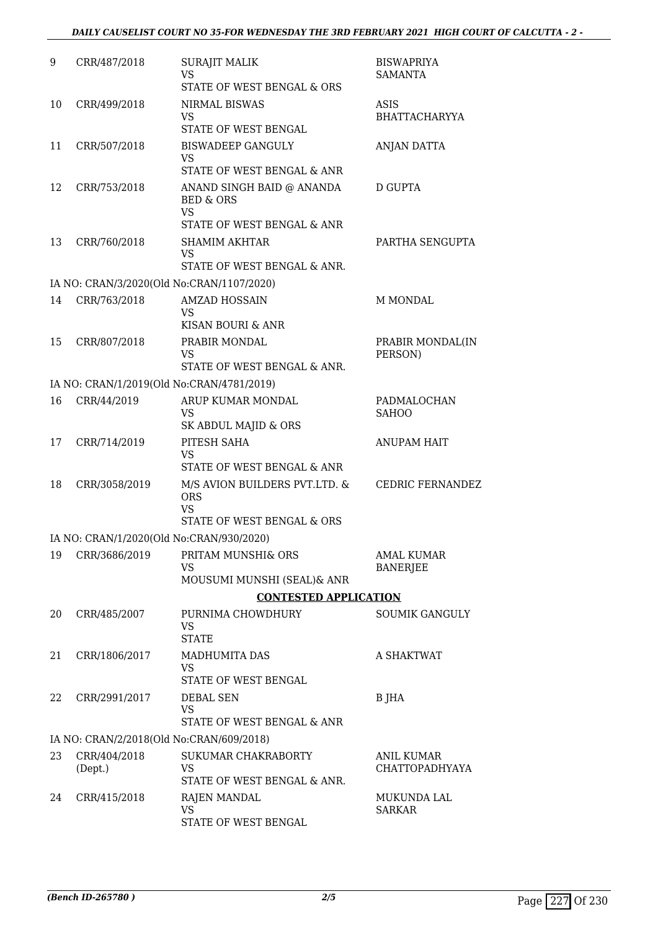| 9  | CRR/487/2018  | <b>SURAJIT MALIK</b>                                             | <b>BISWAPRIYA</b>                    |
|----|---------------|------------------------------------------------------------------|--------------------------------------|
|    |               | <b>VS</b><br>STATE OF WEST BENGAL & ORS                          | <b>SAMANTA</b>                       |
| 10 | CRR/499/2018  | <b>NIRMAL BISWAS</b>                                             | ASIS                                 |
|    |               | <b>VS</b><br>STATE OF WEST BENGAL                                | BHATTACHARYYA                        |
| 11 | CRR/507/2018  | <b>BISWADEEP GANGULY</b>                                         | ANJAN DATTA                          |
|    |               | <b>VS</b>                                                        |                                      |
|    |               | STATE OF WEST BENGAL & ANR                                       |                                      |
| 12 | CRR/753/2018  | ANAND SINGH BAID @ ANANDA<br><b>BED &amp; ORS</b><br><b>VS</b>   | D GUPTA                              |
|    |               | STATE OF WEST BENGAL & ANR                                       |                                      |
| 13 | CRR/760/2018  | <b>SHAMIM AKHTAR</b><br><b>VS</b><br>STATE OF WEST BENGAL & ANR. | PARTHA SENGUPTA                      |
|    |               | IA NO: CRAN/3/2020(Old No:CRAN/1107/2020)                        |                                      |
| 14 | CRR/763/2018  | <b>AMZAD HOSSAIN</b>                                             | M MONDAL                             |
|    |               | VS                                                               |                                      |
|    |               | KISAN BOURI & ANR                                                |                                      |
| 15 | CRR/807/2018  | PRABIR MONDAL<br><b>VS</b>                                       | PRABIR MONDAL(IN<br>PERSON)          |
|    |               | STATE OF WEST BENGAL & ANR.                                      |                                      |
|    |               | IA NO: CRAN/1/2019(Old No:CRAN/4781/2019)                        |                                      |
| 16 | CRR/44/2019   | ARUP KUMAR MONDAL<br><b>VS</b>                                   | PADMALOCHAN<br><b>SAHOO</b>          |
|    |               | SK ABDUL MAJID & ORS                                             |                                      |
| 17 | CRR/714/2019  | PITESH SAHA<br><b>VS</b>                                         | <b>ANUPAM HAIT</b>                   |
|    |               | STATE OF WEST BENGAL & ANR                                       |                                      |
| 18 | CRR/3058/2019 | M/S AVION BUILDERS PVT.LTD. &<br><b>ORS</b><br><b>VS</b>         | <b>CEDRIC FERNANDEZ</b>              |
|    |               | STATE OF WEST BENGAL & ORS                                       |                                      |
|    |               | IA NO: CRAN/1/2020(Old No:CRAN/930/2020)                         |                                      |
| 19 | CRR/3686/2019 | PRITAM MUNSHI& ORS<br><b>VS</b>                                  | <b>AMAL KUMAR</b><br><b>BANERJEE</b> |
|    |               | MOUSUMI MUNSHI (SEAL)& ANR                                       |                                      |
|    |               | <b>CONTESTED APPLICATION</b>                                     |                                      |
| 20 | CRR/485/2007  | PURNIMA CHOWDHURY<br><b>VS</b><br><b>STATE</b>                   | <b>SOUMIK GANGULY</b>                |
| 21 | CRR/1806/2017 | <b>MADHUMITA DAS</b>                                             | A SHAKTWAT                           |
|    |               | <b>VS</b><br>STATE OF WEST BENGAL                                |                                      |
| 22 | CRR/2991/2017 | DEBAL SEN<br><b>VS</b><br>STATE OF WEST BENGAL & ANR             | B JHA                                |
|    |               | IA NO: CRAN/2/2018(Old No:CRAN/609/2018)                         |                                      |
| 23 | CRR/404/2018  | SUKUMAR CHAKRABORTY                                              | ANIL KUMAR                           |
|    | (Dept.)       | <b>VS</b><br>STATE OF WEST BENGAL & ANR.                         | CHATTOPADHYAYA                       |
| 24 | CRR/415/2018  | <b>RAJEN MANDAL</b>                                              | MUKUNDA LAL                          |
|    |               | <b>VS</b>                                                        | <b>SARKAR</b>                        |
|    |               | STATE OF WEST BENGAL                                             |                                      |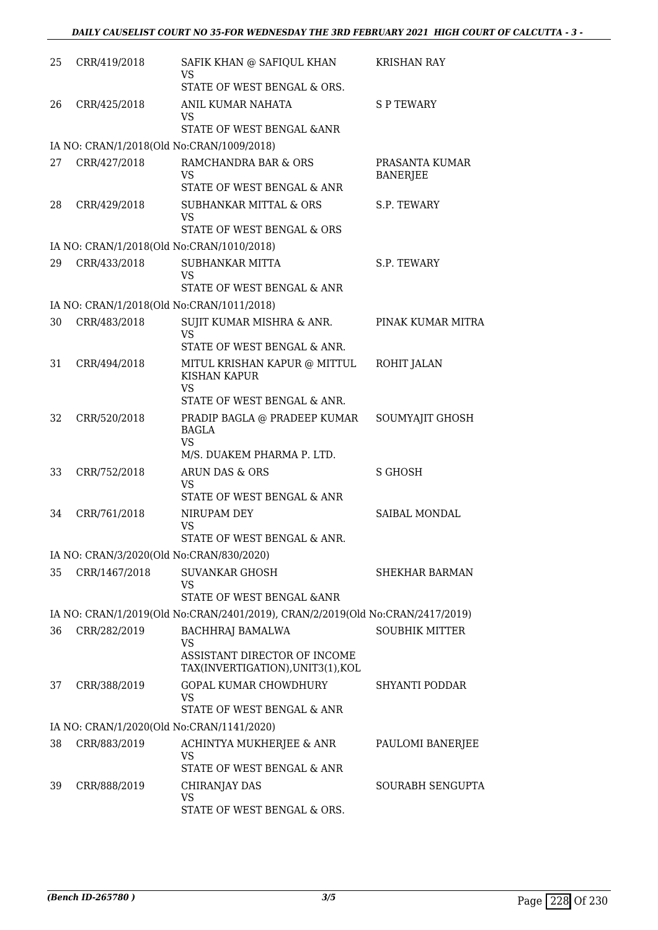| 25 | CRR/419/2018  | SAFIK KHAN @ SAFIQUL KHAN<br>VS                                               | <b>KRISHAN RAY</b>                |
|----|---------------|-------------------------------------------------------------------------------|-----------------------------------|
|    |               | STATE OF WEST BENGAL & ORS.                                                   |                                   |
| 26 | CRR/425/2018  | ANIL KUMAR NAHATA<br>VS                                                       | <b>SP TEWARY</b>                  |
|    |               | STATE OF WEST BENGAL & ANR                                                    |                                   |
|    |               | IA NO: CRAN/1/2018(Old No:CRAN/1009/2018)                                     |                                   |
| 27 | CRR/427/2018  | RAMCHANDRA BAR & ORS<br><b>VS</b>                                             | PRASANTA KUMAR<br><b>BANERJEE</b> |
|    |               | STATE OF WEST BENGAL & ANR                                                    |                                   |
| 28 | CRR/429/2018  | SUBHANKAR MITTAL & ORS<br>VS<br>STATE OF WEST BENGAL & ORS                    | S.P. TEWARY                       |
|    |               | IA NO: CRAN/1/2018(Old No:CRAN/1010/2018)                                     |                                   |
| 29 | CRR/433/2018  | SUBHANKAR MITTA<br><b>VS</b>                                                  | S.P. TEWARY                       |
|    |               | STATE OF WEST BENGAL & ANR                                                    |                                   |
|    |               | IA NO: CRAN/1/2018(Old No:CRAN/1011/2018)                                     |                                   |
| 30 | CRR/483/2018  | SUJIT KUMAR MISHRA & ANR.<br><b>VS</b>                                        | PINAK KUMAR MITRA                 |
|    |               | STATE OF WEST BENGAL & ANR.                                                   |                                   |
| 31 | CRR/494/2018  | MITUL KRISHAN KAPUR @ MITTUL<br>KISHAN KAPUR<br><b>VS</b>                     | ROHIT JALAN                       |
|    |               | STATE OF WEST BENGAL & ANR.                                                   |                                   |
| 32 | CRR/520/2018  | PRADIP BAGLA @ PRADEEP KUMAR<br>BAGLA<br>VS.                                  | SOUMYAJIT GHOSH                   |
|    |               | M/S. DUAKEM PHARMA P. LTD.                                                    |                                   |
| 33 | CRR/752/2018  | ARUN DAS & ORS<br><b>VS</b>                                                   | S GHOSH                           |
|    |               | STATE OF WEST BENGAL & ANR                                                    | <b>SAIBAL MONDAL</b>              |
| 34 | CRR/761/2018  | NIRUPAM DEY<br>VS                                                             |                                   |
|    |               | STATE OF WEST BENGAL & ANR.                                                   |                                   |
|    |               | IA NO: CRAN/3/2020(Old No:CRAN/830/2020)                                      |                                   |
| 35 | CRR/1467/2018 | <b>SUVANKAR GHOSH</b><br>VS                                                   | <b>SHEKHAR BARMAN</b>             |
|    |               | STATE OF WEST BENGAL & ANR                                                    |                                   |
|    |               | IA NO: CRAN/1/2019(Old No:CRAN/2401/2019), CRAN/2/2019(Old No:CRAN/2417/2019) |                                   |
| 36 | CRR/282/2019  | <b>BACHHRAJ BAMALWA</b><br><b>VS</b>                                          | <b>SOUBHIK MITTER</b>             |
|    |               | ASSISTANT DIRECTOR OF INCOME<br>TAX(INVERTIGATION), UNIT3(1), KOL             |                                   |
| 37 | CRR/388/2019  | GOPAL KUMAR CHOWDHURY<br><b>VS</b><br>STATE OF WEST BENGAL & ANR              | SHYANTI PODDAR                    |
|    |               | IA NO: CRAN/1/2020(Old No:CRAN/1141/2020)                                     |                                   |
| 38 | CRR/883/2019  | ACHINTYA MUKHERJEE & ANR<br>VS                                                | PAULOMI BANERJEE                  |
|    |               | STATE OF WEST BENGAL & ANR                                                    |                                   |
| 39 | CRR/888/2019  | <b>CHIRANJAY DAS</b><br><b>VS</b>                                             | <b>SOURABH SENGUPTA</b>           |
|    |               | STATE OF WEST BENGAL & ORS.                                                   |                                   |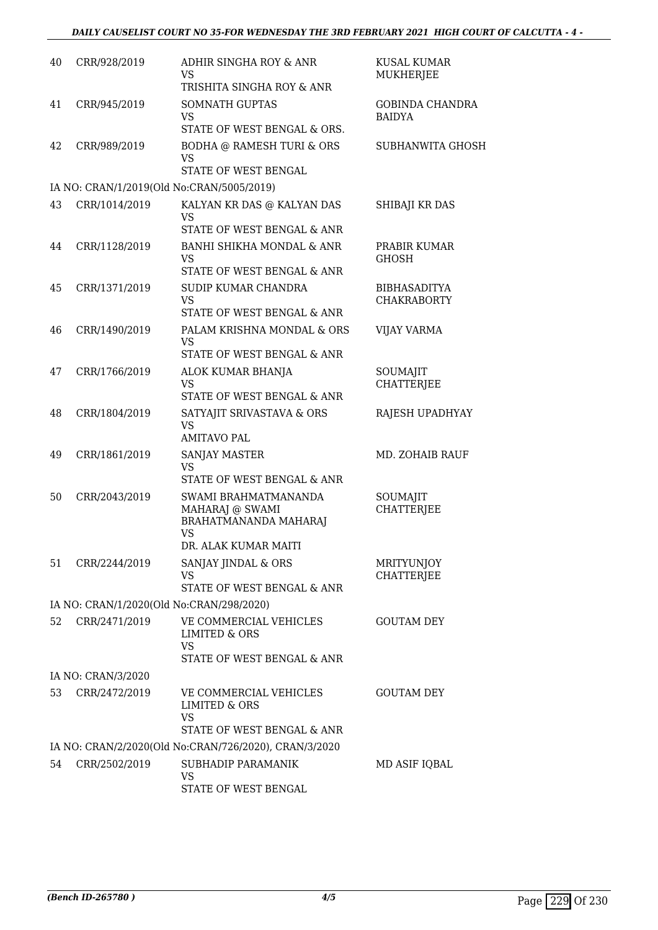| 40 | CRR/928/2019       | ADHIR SINGHA ROY & ANR<br>VS                                                                                                              | KUSAL KUMAR<br><b>MUKHERJEE</b>           |
|----|--------------------|-------------------------------------------------------------------------------------------------------------------------------------------|-------------------------------------------|
| 41 | CRR/945/2019       | TRISHITA SINGHA ROY & ANR<br><b>SOMNATH GUPTAS</b><br>VS<br>STATE OF WEST BENGAL & ORS.                                                   | <b>GOBINDA CHANDRA</b><br><b>BAIDYA</b>   |
| 42 | CRR/989/2019       | <b>BODHA @ RAMESH TURI &amp; ORS</b><br><b>VS</b>                                                                                         | <b>SUBHANWITA GHOSH</b>                   |
|    |                    | STATE OF WEST BENGAL                                                                                                                      |                                           |
|    |                    | IA NO: CRAN/1/2019(Old No:CRAN/5005/2019)                                                                                                 |                                           |
| 43 | CRR/1014/2019      | KALYAN KR DAS @ KALYAN DAS<br>VS.<br>STATE OF WEST BENGAL & ANR                                                                           | SHIBAJI KR DAS                            |
| 44 | CRR/1128/2019      | BANHI SHIKHA MONDAL & ANR<br>VS<br>STATE OF WEST BENGAL & ANR                                                                             | PRABIR KUMAR<br><b>GHOSH</b>              |
| 45 | CRR/1371/2019      | SUDIP KUMAR CHANDRA<br><b>VS</b>                                                                                                          | <b>BIBHASADITYA</b><br><b>CHAKRABORTY</b> |
| 46 | CRR/1490/2019      | STATE OF WEST BENGAL & ANR<br>PALAM KRISHNA MONDAL & ORS<br>VS.                                                                           | <b>VIJAY VARMA</b>                        |
|    |                    | STATE OF WEST BENGAL & ANR                                                                                                                |                                           |
| 47 | CRR/1766/2019      | ALOK KUMAR BHANJA<br><b>VS</b><br>STATE OF WEST BENGAL & ANR                                                                              | SOUMAJIT<br><b>CHATTERJEE</b>             |
| 48 | CRR/1804/2019      | SATYAJIT SRIVASTAVA & ORS<br><b>VS</b><br><b>AMITAVO PAL</b>                                                                              | RAJESH UPADHYAY                           |
| 49 | CRR/1861/2019      | <b>SANJAY MASTER</b><br>VS                                                                                                                | MD. ZOHAIB RAUF                           |
|    |                    | STATE OF WEST BENGAL & ANR                                                                                                                |                                           |
| 50 | CRR/2043/2019      | SWAMI BRAHMATMANANDA<br>MAHARAJ @ SWAMI<br>BRAHATMANANDA MAHARAJ<br>VS<br>DR. ALAK KUMAR MAITI                                            | SOUMAJIT<br><b>CHATTERJEE</b>             |
| 51 | CRR/2244/2019      | SANJAY JINDAL & ORS                                                                                                                       | MRITYUNJOY                                |
|    |                    | VS                                                                                                                                        | <b>CHATTERJEE</b>                         |
|    |                    | STATE OF WEST BENGAL & ANR                                                                                                                |                                           |
| 52 | CRR/2471/2019      | IA NO: CRAN/1/2020(Old No:CRAN/298/2020)<br>VE COMMERCIAL VEHICLES<br><b>LIMITED &amp; ORS</b><br><b>VS</b><br>STATE OF WEST BENGAL & ANR | <b>GOUTAM DEY</b>                         |
|    | IA NO: CRAN/3/2020 |                                                                                                                                           |                                           |
| 53 | CRR/2472/2019      | VE COMMERCIAL VEHICLES<br>LIMITED & ORS                                                                                                   | <b>GOUTAM DEY</b>                         |
|    |                    | VS<br>STATE OF WEST BENGAL & ANR                                                                                                          |                                           |
|    |                    | IA NO: CRAN/2/2020(Old No:CRAN/726/2020), CRAN/3/2020                                                                                     |                                           |
| 54 | CRR/2502/2019      | SUBHADIP PARAMANIK<br><b>VS</b>                                                                                                           | MD ASIF IQBAL                             |
|    |                    | STATE OF WEST BENGAL                                                                                                                      |                                           |